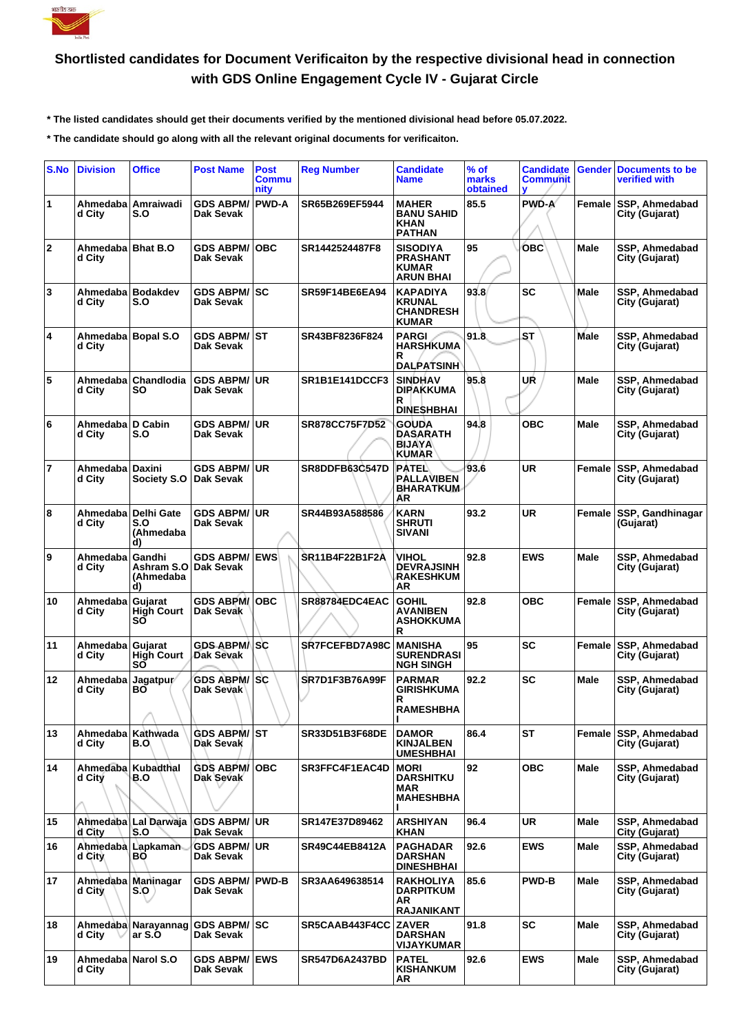

## **Shortlisted candidates for Document Verificaiton by the respective divisional head in connection with GDS Online Engagement Cycle IV - Gujarat Circle**

 **\* The listed candidates should get their documents verified by the mentioned divisional head before 05.07.2022.**

 **\* The candidate should go along with all the relevant original documents for verificaiton.**

| S.No           | <b>Division</b>                | <b>Office</b>                                   | <b>Post Name</b>                     | <b>Post</b><br><b>Commu</b><br>nity | <b>Reg Number</b>     | <b>Candidate</b><br>Name                                               | $%$ of<br>marks<br>obtained | <b>Candidate</b><br><b>Communit</b><br>v | <b>Gender</b> | <b>Documents to be</b><br>verified with |
|----------------|--------------------------------|-------------------------------------------------|--------------------------------------|-------------------------------------|-----------------------|------------------------------------------------------------------------|-----------------------------|------------------------------------------|---------------|-----------------------------------------|
| 1              | d City                         | Ahmedaba   Amraiwadi<br>S.O                     | <b>GDS ABPM/</b><br>Dak Sevak        | <b>PWD-A</b>                        | SR65B269EF5944        | <b>MAHER</b><br><b>BANU SAHID</b><br><b>KHAN</b><br><b>PATHAN</b>      | 85.5                        | PWD-A                                    | Female        | SSP, Ahmedabad<br>City (Gujarat)        |
| $\mathbf{2}$   | Ahmedaba   Bhat B.O<br>d City  |                                                 | <b>GDS ABPM/</b><br>Dak Sevak        | <b>OBC</b>                          | SR1442524487F8        | <b>SISODIYA</b><br><b>PRASHANT</b><br><b>KUMAR</b><br><b>ARUN BHAI</b> | 95                          | <b>OBC</b>                               | Male          | SSP, Ahmedabad<br>City (Gujarat)        |
| 3              | Ahmedaba   Bodakdev<br>d City  | S.O                                             | <b>GDS ABPM/ SC</b><br>Dak Sevak     |                                     | SR59F14BE6EA94        | <b>KAPADIYA</b><br><b>KRUNAL</b><br><b>CHANDRESH</b><br><b>KUMAR</b>   | 93.8                        | SC                                       | Male          | SSP, Ahmedabad<br>City (Gujarat)        |
| 4              | Ahmedaba Bopal S.O<br>d City   |                                                 | <b>GDS ABPM/ ST</b><br>Dak Sevak     |                                     | SR43BF8236F824        | <b>PARGI</b><br><b>HARSHKUMA</b><br>R<br><b>DALPATSINH</b>             | 91.8                        | <b>ST</b>                                | Male          | SSP, Ahmedabad<br>City (Gujarat)        |
| 5              | d City                         | Ahmedaba   Chandlodia<br>SO.                    | <b>GDS ABPM/</b><br>Dak Sevak        | <b>UR</b>                           | SR1B1E141DCCF3        | <b>SINDHAV</b><br>DIPAKKUMA<br>R<br><b>DINESHBHAI</b>                  | 95.8                        | UŔ                                       | Male          | SSP, Ahmedabad<br>City (Gujarat)        |
| 6              | Ahmedaba D Cabin<br>d City     | S.O                                             | <b>GDS ABPM/</b><br>Dak Sevak        | <b>UR</b>                           | <b>SR878CC75F7D52</b> | <b>GOUDA</b><br>DASARATH<br><b>BIJAYA</b><br><b>KUMAR</b>              | 94.8                        | <b>OBC</b>                               | Male          | SSP, Ahmedabad<br>City (Gujarat)        |
| $\overline{7}$ | Ahmedaba   Daxini<br>d City    | Society S.O                                     | <b>GDS ABPM/</b><br><b>Dak Sevak</b> | <b>UR</b>                           | SR8DDFB63C547D        | PATEL<br>PALLAVIBEN<br><b>BHARATKUM</b><br>ΑR                          | 93.6                        | UR                                       | Female        | SSP, Ahmedabad<br>City (Gujarat)        |
| 8              | d City                         | Ahmedaba   Delhi Gate<br>S.O<br>(Ahmedaba<br>d) | <b>GDS ABPM/</b><br>Dak Sevak        | <b>UR</b>                           | SR44B93A588586        | <b>KARN</b><br><b>SHRUTI</b><br><b>SIVANI</b>                          | 93.2                        | <b>UR</b>                                | Female        | SSP, Gandhinagar<br>(Gujarat)           |
| 9              | Ahmedaba<br>d City             | Gandhi<br>Ashram S.O<br>(Ahmedaba<br>d)         | <b>GDS ABPM/</b><br>∣Dak Sevak       | <b>EWS</b>                          | <b>SR11B4F22B1F2A</b> | <b>VIHOL</b><br><b>DEVRAJSINH</b><br><b>RAKESHKUM</b><br>AR            | 92.8                        | <b>EWS</b>                               | Male          | SSP, Ahmedabad<br>City (Gujarat)        |
| 10             | Ahmedaba<br>d City             | Guiarat<br><b>High Court</b><br>SÕ              | <b>GDS ABPM/ OBC</b><br>Dak Sevak    |                                     | SR88784EDC4EAC        | <b>GOHIL</b><br>AVANIBEN<br><b>ASHOKKUMA</b><br>R                      | 92.8                        | <b>OBC</b>                               | Female        | SSP, Ahmedabad<br>City (Gujarat)        |
| 11             | Ahmedaba<br>d City             | Gujarat<br><b>High Court</b><br>SÕ              | GDS ABPM/∖SC<br>Dak Sevak            |                                     | SR7FCEFBD7A98C        | <b>MANISHA</b><br><b>SURENDRASI</b><br><b>NGH SINGH</b>                | 95                          | <b>SC</b>                                | Female        | SSP, Ahmedabad<br>City (Gujarat)        |
| 12             | Ahmedaba<br>d City             | Jagatpur/<br>ΒO                                 | <b>GDS ABPM/</b><br>Dak Sevaki       | <b>SC</b>                           | <b>SR7D1F3B76A99F</b> | <b>PARMAR</b><br>GIRISHKUMA<br>R<br><b>RAMESHBHA</b><br>п              | 92.2                        | <b>SC</b>                                | Male          | SSP, Ahmedabad<br>City (Gujarat)        |
| 13             | Ahmedaba<br>d City             | Kathwada<br>B.O.                                | <b>GDS ABPM/ ST</b><br>Dak Sevak     |                                     | SR33D51B3F68DE        | <b>DAMOR</b><br><b>KINJALBEN</b><br><b>UMESHBHAI</b>                   | 86.4                        | <b>ST</b>                                | Female        | SSP, Ahmedabad<br>City (Gujarat)        |
| 14             | Ahmedaba  <br>d City           | Kubadthal<br>B.O                                | <b>GDS ABPM/</b><br>Dak Sevak        | <b>OBC</b>                          | SR3FFC4F1EAC4D        | <b>MORI</b><br><b>DARSHITKU</b><br>MAR<br><b>MAHESHBHA</b>             | 92                          | <b>OBC</b>                               | Male          | SSP, Ahmedabad<br>City (Gujarat)        |
| 15             | Ahmedaba<br>d City             | Lal Darwaja<br>S.O                              | <b>GDS ABPM/</b><br>Dak Sevak        | <b>UR</b>                           | SR147E37D89462        | <b>ARSHIYAN</b><br>KHAN                                                | 96.4                        | UR                                       | Male          | SSP, Ahmedabad<br>City (Gujarat)        |
| 16             | Ahmedaba<br>d City             | Lapkaman<br>ВO                                  | <b>GDS ABPM/</b><br>Dak Sevak        | UR.                                 | SR49C44EB8412A        | <b>PAGHADAR</b><br><b>DARSHAN</b><br><b>DINESHBHAI</b>                 | 92.6                        | <b>EWS</b>                               | Male          | SSP, Ahmedabad<br>City (Gujarat)        |
| 17             | d City                         | Ahmedaba Maninagar<br>S.O                       | <b>GDS ABPM/</b><br>Dak Sevak        | <b>PWD-B</b>                        | SR3AA649638514        | <b>RAKHOLIYA</b><br><b>DARPITKUM</b><br>AR<br>RAJANIKANT               | 85.6                        | <b>PWD-B</b>                             | Male          | SSP, Ahmedabad<br>City (Gujarat)        |
| 18             | d City                         | Ahmedaba Narayannag<br>ar S.O                   | <b>GDS ABPM/SC</b><br>Dak Sevak      |                                     | SR5CAAB443F4CC        | <b>ZAVER</b><br><b>DARSHAN</b><br><b>VIJAYKUMAR</b>                    | 91.8                        | <b>SC</b>                                | Male          | SSP, Ahmedabad<br>City (Gujarat)        |
| 19             | Ahmedaba   Narol S.O<br>d City |                                                 | <b>GDS ABPM/ EWS</b><br>Dak Sevak    |                                     | <b>SR547D6A2437BD</b> | <b>PATEL</b><br><b>KISHANKUM</b><br>AR                                 | 92.6                        | <b>EWS</b>                               | Male          | SSP, Ahmedabad<br>City (Gujarat)        |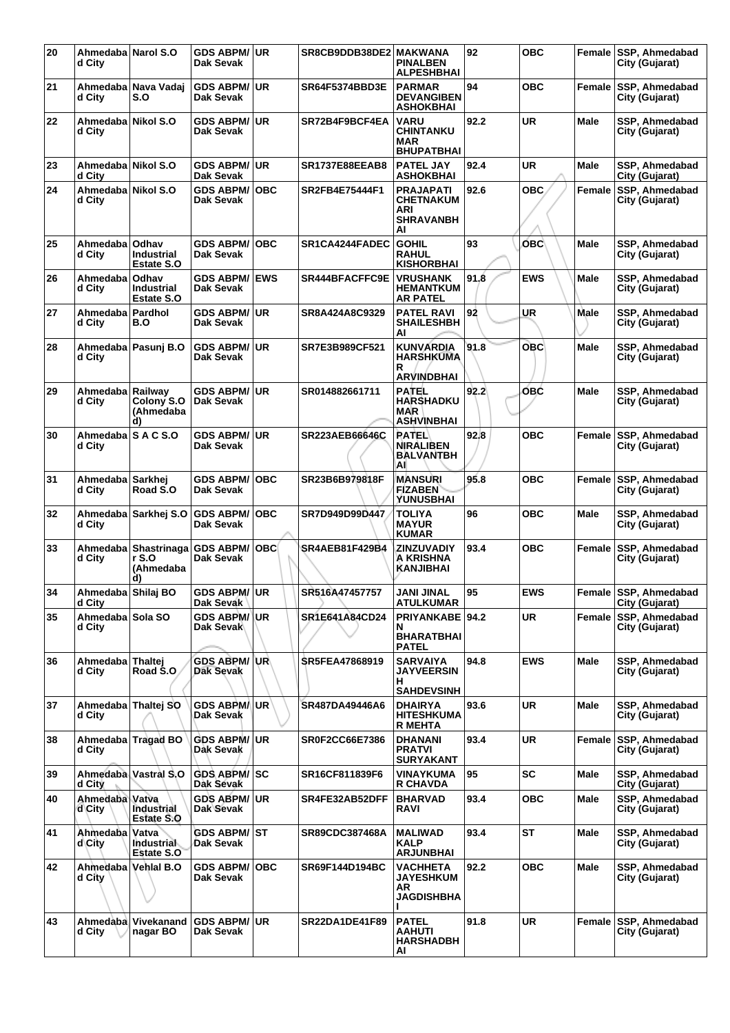| 20 | Ahmedaba Narol S.O<br>d City  |                                          | <b>GDS ABPM/</b><br>Dak Sevak    | <b>UR</b>       | SR8CB9DDB38DE2 MAKWANA | <b>PINALBEN</b><br><b>ALPESHBHAI</b>                                         | 92   | <b>OBC</b> | Female      | SSP, Ahmedabad<br>City (Gujarat)        |
|----|-------------------------------|------------------------------------------|----------------------------------|-----------------|------------------------|------------------------------------------------------------------------------|------|------------|-------------|-----------------------------------------|
| 21 | d City                        | Ahmedaba   Nava Vadaj<br>S.O             | <b>GDS ABPM/</b><br>Dak Sevak    | UR              | <b>SR64F5374BBD3E</b>  | <b>PARMAR</b><br><b>DEVANGIBEN</b><br><b>ASHOKBHAI</b>                       | 94   | <b>OBC</b> | Female      | SSP, Ahmedabad<br>City (Gujarat)        |
| 22 | Ahmedaba<br>d City            | Nikol S.O                                | <b>GDS ABPM/</b><br>Dak Sevak    | <b>UR</b>       | SR72B4F9BCF4EA         | <b>VARU</b><br><b>CHINTANKU</b><br><b>MAR</b><br><b>BHUPATBHAI</b>           | 92.2 | <b>UR</b>  | Male        | SSP, Ahmedabad<br>City (Gujarat)        |
| 23 | Ahmedaba Nikol S.O<br>d City  |                                          | <b>GDS ABPM/</b><br>Dak Sevak    | <b>UR</b>       | <b>SR1737E88EEAB8</b>  | <b>PATEL JAY</b><br><b>ASHOKBHAI</b>                                         | 92.4 | <b>UR</b>  | Male        | SSP, Ahmedabad<br>City (Gujarat)        |
| 24 | Ahmedaba Nikol S.O<br>d City  |                                          | <b>GDS ABPM/</b><br>Dak Sevak    | <b>OBC</b>      | SR2FB4E75444F1         | <b>PRAJAPATI</b><br><b>CHETNAKUM</b><br><b>ARI</b><br><b>SHRAVANBH</b><br>AI | 92.6 | <b>OBC</b> | Female      | SSP, Ahmedabad<br>City (Gujarat)        |
| 25 | Ahmedaba   Odhav<br>d City    | <b>Industrial</b><br>Estate S.O          | <b>GDS ABPM/</b><br>Dak Sevak    | <b>OBC</b>      | SR1CA4244FADEC         | <b>GOHIL</b><br><b>RAHUL</b><br><b>KISHORBHAI</b>                            | 93   | OBC        | <b>Male</b> | SSP, Ahmedabad<br>City (Gujarat)        |
| 26 | Ahmedaba<br>d City            | Odhav<br><b>Industrial</b><br>Estate S.O | <b>GDS ABPM/</b><br>Dak Sevak    | <b>EWS</b>      | SR444BFACFFC9E         | <b>VRUSHANK</b><br><b>HEMANTKUM</b><br><b>AR PATEL</b>                       | 91.8 | <b>EWS</b> | Male        | SSP, Ahmedabad<br>City (Gujarat)        |
| 27 | Ahmedaba<br>d City            | Pardhol<br>B.O                           | <b>GDS ABPM/</b><br>Dak Sevak    | <b>UR</b>       | SR8A424A8C9329         | <b>PATEL RAVI</b><br><b>SHAILESHBH</b><br>ΑI                                 | 92   | <b>UR</b>  | <b>Male</b> | SSP, Ahmedabad<br>City (Gujarat)        |
| 28 | d City                        | Ahmedaba Pasunj B.O                      | <b>GDS ABPM/</b><br>Dak Sevak    | <b>UR</b>       | SR7E3B989CF521         | <b>KUNVARDIA</b><br><b>HARSHKUMA</b><br>R                                    | 91.8 | ОВС        | <b>Male</b> | SSP, Ahmedabad<br>City (Gujarat)        |
| 29 | Ahmedaba   Railwav            |                                          | <b>GDS ABPM/</b>                 | <b>UR</b>       | SR014882661711         | <b>ARVINDBHAI</b><br><b>PATEL</b>                                            | 92.2 | ÓBĆ        | <b>Male</b> | SSP, Ahmedabad                          |
|    | d City                        | Colony <sub>S.O</sub><br>(Ahmedaba<br>d) | Dak Sevak                        |                 |                        | <b>HARSHADKU</b><br><b>MAR</b><br><b>ASHVINBHAI</b>                          |      |            |             | City (Gujarat)                          |
| 30 | Ahmedaba S A C S.O<br>d City  |                                          | <b>GDS ABPM/</b><br>Dak Sevak    | <b>UR</b>       | <b>SR223AEB66646C</b>  | <b>RATEL</b><br><b>NIRALIBEN</b><br><b>BALVANTBH</b><br>AI                   | 92.8 | <b>OBC</b> | Female      | <b>SSP, Ahmedabad</b><br>City (Gujarat) |
| 31 | Ahmedaba   Sarkhei<br>d City  | Road S.O                                 | <b>GDS ABPM/</b><br>Dak Sevak    | <b>OBC</b>      | SR23B6B979818F         | <b>MANSURI</b><br><b>FIZABEN</b><br>YUNUSBHAI                                | 95.8 | <b>OBC</b> | Female      | <b>SSP, Ahmedabad</b><br>City (Gujarat) |
| 32 | d City                        | Ahmedaba Sarkhej S.O                     | <b>GDS ABPM/</b><br>Dak Sevak    | <b>OBC</b>      | SR7D949D99D447         | <b>TOLIYA</b><br><b>MAYUR</b><br><b>KUMAR</b>                                | 96   | <b>OBC</b> | Male        | SSP, Ahmedabad<br>City (Gujarat)        |
| 33 | Ahmedaba<br>d City            | Shastrinaga<br>r S.O<br>(Ahmedaba<br>d)  | <b>GDS ABPM/</b><br>Dak Sevak    | <b>OBC</b>      | <b>SR4AEB81F429B4</b>  | <b>ZINZUVADIY</b><br>A KRISHNA<br><b>KANJIBHAI</b>                           | 93.4 | <b>OBC</b> | Female      | SSP, Ahmedabad<br>City (Gujarat)        |
| 34 | Ahmedaba Shilaj BO<br>d City  |                                          | GDS ABPM/UR<br>Dak Sevak         |                 | SR516A47457757         | JANI JINAL<br><b>ATULKUMAR</b>                                               | 95   | <b>EWS</b> |             | Female SSP, Ahmedabad<br>City (Gujarat) |
| 35 | Ahmedaba   Sola SO<br>d City  |                                          | <b>GDS ABPM/</b><br>Dak Sevak    | <b>UR</b>       | SR1E641A84CD24         | <b>PRIYANKABE 94.2</b><br>N<br><b>BHARATBHAI</b><br><b>PATEL</b>             |      | <b>UR</b>  | Female      | <b>SSP, Ahmedabad</b><br>City (Gujarat) |
| 36 | Ahmedaba Thaltej<br>d City    | Road S.O.                                | <b>GDS ABPM/</b><br>Dak Sevak    | UR\             | <b>SR5FEA47868919</b>  | <b>SARVAIYA</b><br><b>JAYVEERSIN</b><br>н<br><b>SAHDEVSINH</b>               | 94.8 | <b>EWS</b> | Male        | SSP. Ahmedabad<br>City (Gujarat)        |
| 37 | Ahmedaba Thaltej SO<br>d City |                                          | <b>GDS ABPM/</b><br>Dak Sevak    | UR <sup>1</sup> | SR487DA49446A6         | <b>DHAIRYA</b><br><b>HITESHKUMA</b><br><b>R MEHTA</b>                        | 93.6 | UR         | Male        | SSP, Ahmedabad<br>City (Gujarat)        |
| 38 | d City                        | Ahmedaba Tragad BO                       | <b>GDS ABPM/ UR</b><br>Dak Sevak |                 | SR0F2CC66E7386         | <b>DHANANI</b><br><b>PRATVI</b><br><b>SURYAKANT</b>                          | 93.4 | <b>UR</b>  | Female      | <b>SSP, Ahmedabad</b><br>City (Gujarat) |
| 39 | d City                        | Ahmedaba Vastral S.O                     | <b>GDS ABPM/ SC</b><br>Dak Sevak |                 | SR16CF811839F6         | <b>VINAYKUMA</b><br><b>R CHAVDA</b>                                          | 95   | <b>SC</b>  | <b>Male</b> | SSP, Ahmedabad<br>City (Gujarat)        |
| 40 | Ahmedaba Vatva<br>d City      | <b>Industrial</b><br>Estate S.O          | <b>GDS ABPM/ UR</b><br>Dak Sevak |                 | SR4FE32AB52DFF         | <b>BHARVAD</b><br>RAVI                                                       | 93.4 | <b>OBC</b> | Male        | SSP, Ahmedabad<br>City (Gujarat)        |
| 41 | Ahmedaba   Vatva<br>d\City    | Industrial<br><b>Estate S.O</b>          | <b>GDS ABPM/ ST</b><br>Dak Sevak |                 | SR89CDC387468A         | <b>MALIWAD</b><br><b>KALP</b><br><b>ARJUNBHAI</b>                            | 93.4 | <b>ST</b>  | Male        | SSP, Ahmedabad<br>City (Gujarat)        |
| 42 | Ahmedaba Vehlal B.O<br>d City |                                          | <b>GDS ABPM/</b><br>Dak Sevak    | <b>OBC</b>      | SR69F144D194BC         | <b>VACHHETA</b><br><b>JAYESHKUM</b><br>AR.<br><b>JAGDISHBHA</b>              | 92.2 | <b>OBC</b> | Male        | SSP, Ahmedabad<br>City (Gujarat)        |
| 43 | d City                        | Ahmedaba Vivekanand<br>nagar BO          | <b>GDS ABPM/</b><br>Dak Sevak    | <b>UR</b>       | SR22DA1DE41F89         | <b>PATEL</b><br><b>AAHUTI</b><br><b>HARSHADBH</b><br>AI                      | 91.8 | <b>UR</b>  |             | Female SSP, Ahmedabad<br>City (Gujarat) |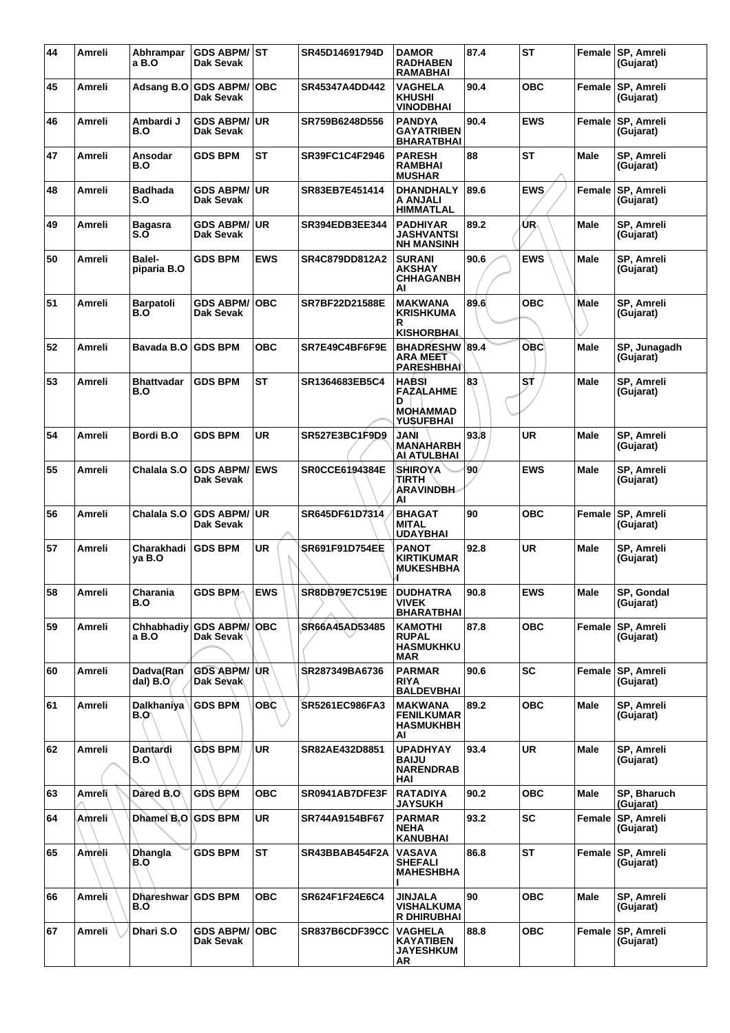| 44 | Amreli | Abhrampar<br>a B.O       | GDS ABPM/ST<br>Dak Sevak          |            | SR45D14691794D        | <b>DAMOR</b><br><b>RADHABEN</b><br><b>RAMABHAI</b>                    | 87.4            | <b>ST</b>  |             | Female SP, Amreli<br>(Gujarat) |
|----|--------|--------------------------|-----------------------------------|------------|-----------------------|-----------------------------------------------------------------------|-----------------|------------|-------------|--------------------------------|
| 45 | Amreli | Adsang B.O               | <b>GDS ABPM/</b><br>Dak Sevak     | <b>OBC</b> | SR45347A4DD442        | <b>VAGHELA</b><br><b>KHUSHI</b><br><b>VINODBHAI</b>                   | 90.4            | <b>OBC</b> | Female      | <b>SP, Amreli</b><br>(Gujarat) |
| 46 | Amreli | Ambardi J<br>B.O         | <b>GDS ABPM/ UR</b><br>Dak Sevak  |            | SR759B6248D556        | <b>PANDYA</b><br><b>GAYATRIBEN</b><br><b>BHARATBHAI</b>               | 90.4            | <b>EWS</b> | Female      | <b>SP, Amreli</b><br>(Gujarat) |
| 47 | Amreli | Ansodar<br>B.O           | <b>GDS BPM</b>                    | <b>ST</b>  | SR39FC1C4F2946        | <b>PARESH</b><br><b>RAMBHAI</b><br><b>MUSHAR</b>                      | 88              | <b>ST</b>  | <b>Male</b> | SP, Amreli<br>(Gujarat)        |
| 48 | Amreli | <b>Badhada</b><br>S.O    | <b>GDS ABPM/</b><br>Dak Sevak     | ∣UR.       | SR83EB7E451414        | <b>DHANDHALY</b><br>A ANJALI<br><b>HIMMATLAL</b>                      | 89.6            | <b>EWS</b> | Female      | SP, Amreli<br>(Gujarat)        |
| 49 | Amreli | <b>Bagasra</b><br>S.Ō    | <b>GDS ABPM/ UR</b><br>Dak Sevak  |            | SR394EDB3EE344        | <b>PADHIYAR</b><br><b>JASHVANTSI</b><br><b>NH MANSINH</b>             | 89.2            | ŰR.        | Male        | SP, Amreli<br>(Gujarat)        |
| 50 | Amreli | Balel-<br>piparia B.O    | <b>GDS BPM</b>                    | <b>EWS</b> | SR4C879DD812A2        | <b>SURANI</b><br><b>AKSHAY</b><br><b>CHHAGANBH</b><br>AI              | 90.6            | <b>EWS</b> | Male        | SP, Amreli<br>(Gujarat)        |
| 51 | Amreli | Barpatoli<br>B.O         | <b>GDS ABPM/</b><br>Dak Sevak     | <b>OBC</b> | SR7BF22D21588E        | <b>MAKWANA</b><br><b>KRISHKUMA</b><br>R<br><b>KISHORBHAL</b>          | 89.6            | <b>OBC</b> | Male        | SP, Amreli<br>(Gujarat)        |
| 52 | Amreli | Bavada B.O               | <b>GDS BPM</b>                    | <b>OBC</b> | SR7E49C4BF6F9E        | <b>BHADRESHW 89.4</b><br><b>ARA MEET</b><br><b>PARESHBHAI</b>         |                 | <b>OBC</b> | Male        | SP, Junagadh<br>(Gujarat)      |
| 53 | Amreli | <b>Bhattvadar</b><br>B.O | <b>GDS BPM</b>                    | <b>ST</b>  | SR1364683EB5C4        | <b>HABSI</b><br><b>FAZALAHME</b><br>D<br><b>MOHAMMAD</b><br>YUSUFBHAI | 83              | S,Ť        | <b>Male</b> | SP, Amreli<br>(Gujarat)        |
| 54 | Amreli | Bordi B.O                | <b>GDS BPM</b>                    | <b>UR</b>  | SR527E3BC1F9D9        | <b>IAAL</b><br><b>MANAHARBH</b><br>AÌ ATULBHAI                        | 93.8            | <b>UR</b>  | <b>Male</b> | SP, Amreli<br>(Gujarat)        |
| 55 | Amreli | Chalala S.O              | <b>GDS ABPM/ EWS</b><br>Dak Sevak |            | <b>SR0CCE6194384E</b> | <b>SHIROYA</b><br>TIRTH<br><b>ARAVINDBH</b><br>ΑI                     | 90 <sub>1</sub> | <b>EWS</b> | <b>Male</b> | SP, Amreli<br>(Gujarat)        |
| 56 | Amreli | Chalala S.O              | <b>GDS ABPM/ UR</b><br>Dak Sevak  |            | SR645DF61D7314        | <b>BHAGAT</b><br><b>MITAL</b><br><b>UDAYBHAI</b>                      | 90              | <b>OBC</b> | Female      | <b>SP, Amreli</b><br>(Gujarat) |
| 57 | Amreli | Charakhadi<br>ya B.O     | <b>GDS BPM</b>                    | <b>UR</b>  | SR691F91D754EE        | <b>PANOT</b><br><b>KIRTIKUMAR</b><br><b>MUKESHBHA</b>                 | 92.8            | <b>UR</b>  | Male        | SP, Amreli<br>(Gujarat)        |
| 58 | Amreli | Charania<br><b>B.O</b>   | <b>GDS BPM</b>                    | <b>EWS</b> | SR8DB79E7C519E        | <b>DUDHATRA</b><br><b>VIVEK</b><br><b>BHARATBHAI</b>                  | 90.8            | <b>EWS</b> | Male        | SP, Gondal<br>(Gujarat)        |
| 59 | Amreli | Chhabhadiy<br>a B.O      | <b>GDS ABPM/OBC</b><br>Dak Sevak  |            | SR66A45AD53485        | <b>KAMOTHI</b><br><b>RUPAL</b><br><b>HASMUKHKU</b><br>MAR             | 87.8            | <b>OBC</b> |             | Female SP, Amreli<br>(Gujarat) |
| 60 | Amreli | Dadva(Ran<br>dal) B.O    | <b>GDS ABPM/UR</b><br>Dak Sevak   |            | SR287349BA6736        | <b>PARMAR</b><br><b>RIYA</b><br><b>BALDEVBHAI</b>                     | 90.6            | <b>SC</b>  |             | Female SP, Amreli<br>(Gujarat) |
| 61 | Amreli | Dalkhaniya<br>B.O        | <b>GDS BPM</b>                    | <b>OBC</b> | SR5261EC986FA3        | <b>MAKWANA</b><br><b>FENILKUMAR</b><br><b>HASMUKHBH</b><br>AI         | 89.2            | <b>OBC</b> | Male        | SP, Amreli<br>(Gujarat)        |
| 62 | Amreli | Dantardi<br>B.O          | <b>GDS BPM</b>                    | <b>UR</b>  | SR82AE432D8851        | <b>UPADHYAY</b><br><b>BAIJU</b><br><b>NARENDRAB</b><br>HAI            | 93.4            | <b>UR</b>  | Male        | SP, Amreli<br>(Gujarat)        |
| 63 | Amreli | Dared B.O                | <b>GDS BPM</b>                    | <b>OBC</b> | SR0941AB7DFE3F        | <b>RATADIYA</b><br><b>JAYSUKH</b>                                     | 90.2            | <b>OBC</b> | <b>Male</b> | SP, Bharuch<br>(Gujarat)       |
| 64 | Amreli | Dhamel B.O               | <b>GDS BPM</b>                    | <b>UR</b>  | SR744A9154BF67        | <b>PARMAR</b><br><b>NEHA</b><br><b>KANUBHAI</b>                       | 93.2            | <b>SC</b>  |             | Female SP, Amreli<br>(Gujarat) |
| 65 | Amreli | Dhangla<br>B.O           | <b>GDS BPM</b>                    | <b>ST</b>  | SR43BBAB454F2A        | <b>VASAVA</b><br><b>SHEFALI</b><br><b>MAHESHBHA</b>                   | 86.8            | ST         | Female      | <b>SP, Amreli</b><br>(Gujarat) |
| 66 | Amreli | <b>Dhareshwar</b><br>B.O | <b>GDS BPM</b>                    | <b>OBC</b> | SR624F1F24E6C4        | JINJALA<br>VISHALKUMA<br><b>R DHIRUBHAI</b>                           | 90              | <b>OBC</b> | Male        | SP, Amreli<br>(Gujarat)        |
| 67 | Amreli | Dhari S.O                | <b>GDS ABPM/</b><br>Dak Sevak     | <b>OBC</b> | SR837B6CDF39CC        | <b>VAGHELA</b><br><b>KAYATIBEN</b><br><b>JAYESHKUM</b><br>AR          | 88.8            | <b>OBC</b> | Female      | SP, Amreli<br>(Gujarat)        |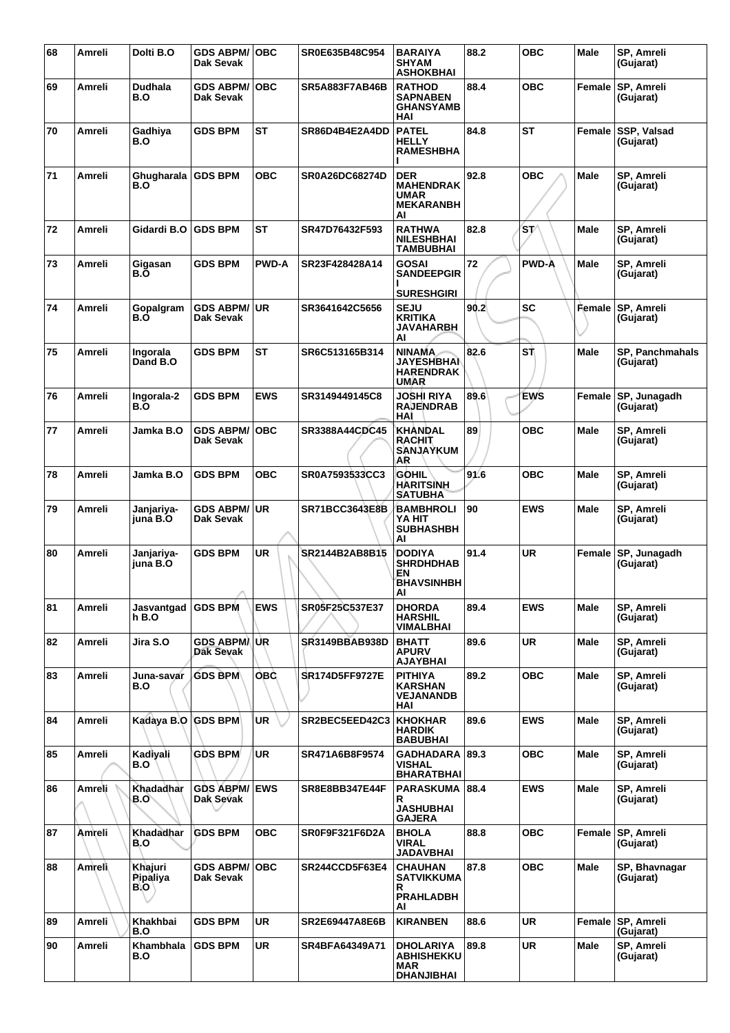| 68 | <b>Amreli</b> | Dolti B.O                  | <b>GDS ABPM/OBC</b><br>Dak Sevak  |              | SR0E635B48C954        | <b>BARAIYA</b><br><b>SHYAM</b><br><b>ASHOKBHAI</b>                       | 88.2 | <b>OBC</b>   | Male        | SP, Amreli<br>(Gujarat)             |
|----|---------------|----------------------------|-----------------------------------|--------------|-----------------------|--------------------------------------------------------------------------|------|--------------|-------------|-------------------------------------|
| 69 | Amreli        | <b>Dudhala</b><br>B.O      | <b>GDS ABPM/</b><br>Dak Sevak     | <b>OBC</b>   | <b>SR5A883F7AB46B</b> | <b>RATHOD</b><br><b>SAPNABEN</b><br><b>GHANSYAMB</b><br>HAI              | 88.4 | <b>OBC</b>   | Female      | <b>SP, Amreli</b><br>(Gujarat)      |
| 70 | Amreli        | Gadhiya<br>B.O             | <b>GDS BPM</b>                    | <b>ST</b>    | SR86D4B4E2A4DD        | <b>PATEL</b><br><b>HELLY</b><br><b>RAMESHBHA</b>                         | 84.8 | ST           | Female      | SSP, Valsad<br>(Gujarat)            |
| 71 | Amreli        | Ghugharala<br>B.O          | <b>GDS BPM</b>                    | <b>OBC</b>   | SR0A26DC68274D        | <b>DER</b><br><b>MAHENDRAK</b><br><b>UMAR</b><br><b>MEKARANBH</b><br>AI  | 92.8 | <b>OBC</b>   | <b>Male</b> | SP, Amreli<br>(Gujarat)             |
| 72 | Amreli        | Gidardi B.O                | <b>GDS BPM</b>                    | <b>ST</b>    | SR47D76432F593        | <b>RATHWA</b><br><b>NILESHBHAI</b><br><b>TAMBUBHAI</b>                   | 82.8 | 'sv          | Male        | SP, Amreli<br>(Gujarat)             |
| 73 | Amreli        | Gigasan<br>B.Ò             | <b>GDS BPM</b>                    | <b>PWD-A</b> | SR23F428428A14        | <b>GOSAI</b><br><b>SANDEEPGIR</b><br><b>SURESHGIRI</b>                   | 72   | <b>PWD-A</b> | Male        | SP, Amreli<br>(Gujarat)             |
| 74 | Amreli        | Gopalgram<br>B.Ő           | <b>GDS ABPM/ UR</b><br>Dak Sevak  |              | SR3641642C5656        | <b>SEJU</b><br><b>KRITIKA</b><br><b>JAVAHARBH</b><br>AI                  | 90.2 | <b>SC</b>    | Female      | <b>SP, Amreli</b><br>(Gujarat)      |
| 75 | Amreli        | Ingorala<br>Dand B.O       | <b>GDS BPM</b>                    | <b>ST</b>    | SR6C513165B314        | <b>NINAMA</b><br><b>JAYESHBHAI</b><br><b>HARENDRAK</b><br><b>UMAR</b>    | 82.6 | SŤ           | <b>Male</b> | <b>SP, Panchmahals</b><br>(Gujarat) |
| 76 | Amreli        | Ingorala-2<br>B.O          | <b>GDS BPM</b>                    | <b>EWS</b>   | SR3149449145C8        | JOSHI RIYA<br><b>RAJENDRAB</b><br>HAI                                    | 89.6 | <b>EWS</b>   | Female      | SP, Junagadh<br>(Gujarat)           |
| 77 | Amreli        | Jamka B.O                  | <b>GDS ABPM/</b><br>Dak Sevak     | <b>OBC</b>   | SR3388A44CDC45        | <b>KHANDAL</b><br>RACHIT<br><b>SANJAYKUM</b><br>AR                       | 89   | <b>OBC</b>   | Male        | SP, Amreli<br>(Gujarat)             |
| 78 | Amreli        | Jamka B.O                  | <b>GDS BPM</b>                    | <b>OBC</b>   | SR0A7593533CC3        | <b>GOHIL</b><br><b>HARITSINH</b><br><b>SATUBHA</b>                       | 91.6 | <b>OBC</b>   | Male        | SP, Amreli<br>(Gujarat)             |
| 79 | Amreli        | Janjariya-<br>iuna B.O     | GDS ABPM/UR<br>Dak Sevak          |              | SR71BCC3643E8B        | <b>BAMBHROLI</b><br>YA HIT<br><b>SUBHASHBH</b><br>AI                     | 90   | <b>EWS</b>   | <b>Male</b> | SP, Amreli<br>(Gujarat)             |
| 80 | Amreli        | Janjariya-<br>iuna B.O     | <b>GDS BPM</b>                    | <b>UR</b>    | SR2144B2AB8B15        | <b>DODIYA</b><br><b>SHRDHDHAB</b><br>EΝ<br><b>BHAVSINHBH</b><br>AI       | 91.4 | <b>UR</b>    |             | Female SP, Junagadh<br>(Gujarat)    |
| 81 | Amreli        | Jasvantgad<br>h B.O        | <b>GDS BPM</b>                    | <b>EWS</b>   | SR05F25C537E37        | <b>DHORDA</b><br><b>HARSHIL</b><br><b>VIMALBHAI</b>                      | 89.4 | <b>EWS</b>   | Male        | SP, Amreli<br>(Gujarat)             |
| 82 | Amreli        | Jira S.O                   | GDS ABPM/UR<br>Dak Sevak          |              | SR3149BBAB938D        | <b>BHATT</b><br><b>APURV</b><br><b>AJAYBHAI</b>                          | 89.6 | <b>UR</b>    | <b>Male</b> | <b>SP. Amreli</b><br>(Gujarat)      |
| 83 | Amreli        | Juna-savar<br>B.O          | <b>GDS BPM</b>                    | OBC.         | <b>SR174D5FF9727E</b> | <b>PITHIYA</b><br><b>KARSHAN</b><br><b>VEJANANDB</b><br>HAI              | 89.2 | <b>OBC</b>   | Male        | SP, Amreli<br>(Gujarat)             |
| 84 | Amreli        | Kadaya B.O GDS BPM         |                                   | UR           | SR2BEC5EED42C3        | <b>KHOKHAR</b><br><b>HARDIK</b><br><b>BABUBHAI</b>                       | 89.6 | <b>EWS</b>   | <b>Male</b> | SP, Amreli<br>(Gujarat)             |
| 85 | Amreli        | Kadiyali<br>B.O            | <b>GDS BPM</b>                    | <b>UR</b>    | SR471A6B8F9574        | <b>GADHADARA</b><br><b>VISHAL</b><br><b>BHARATBHAI</b>                   | 89.3 | <b>OBC</b>   | Male        | SP, Amreli<br>(Gujarat)             |
| 86 | Amreli        | Khadadhar<br>B.O`          | <b>GDS ABPM/ EWS</b><br>Dak Sevak |              | SR8E8BB347E44F        | PARASKUMA 88.4<br>R<br><b>JASHUBHAI</b><br><b>GAJERA</b>                 |      | <b>EWS</b>   | <b>Male</b> | SP, Amreli<br>(Gujarat)             |
| 87 | Amreli        | Khadadhar<br>B.O           | <b>GDS BPM</b>                    | <b>OBC</b>   | SR0F9F321F6D2A        | <b>BHOLA</b><br><b>VIRAL</b><br><b>JADAVBHAI</b>                         | 88.8 | <b>OBC</b>   |             | Female SP, Amreli<br>(Gujarat)      |
| 88 | Amreli        | Khajuri<br>Pipaliya<br>B.O | <b>GDS ABPM/OBC</b><br>Dak Sevak  |              | SR244CCD5F63E4        | <b>CHAUHAN</b><br><b>SATVIKKUMA</b><br>R<br><b>PRAHLADBH</b><br>ΑI       | 87.8 | <b>OBC</b>   | <b>Male</b> | SP, Bhavnagar<br>(Gujarat)          |
| 89 | Amreli        | Khakhbai<br>B.O            | <b>GDS BPM</b>                    | <b>UR</b>    | <b>SR2E69447A8E6B</b> | <b>KIRANBEN</b>                                                          | 88.6 | <b>UR</b>    |             | Female SP, Amreli<br>(Gujarat)      |
| 90 | Amreli        | Khambhala<br>B.O           | <b>GDS BPM</b>                    | <b>UR</b>    | SR4BFA64349A71        | <b>DHOLARIYA</b><br><b>ABHISHEKKU</b><br><b>MAR</b><br><b>DHANJIBHAI</b> | 89.8 | <b>UR</b>    | Male        | SP, Amreli<br>(Gujarat)             |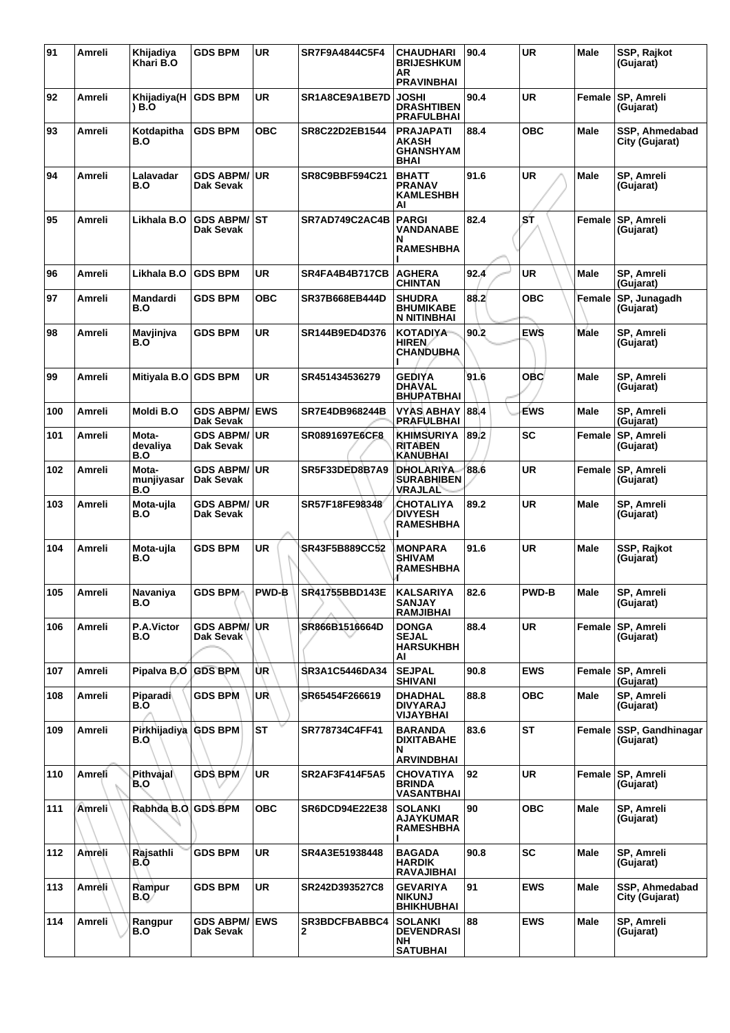| 91  | Amreli        | Khijadiya<br>Khari B.O            | <b>GDS BPM</b>                            | <b>UR</b>    | SR7F9A4844C5F4        | <b>CHAUDHARI</b><br><b>BRIJESHKUM</b><br>AR<br><b>PRAVINBHAI</b>            | 90.4 | <b>UR</b>    | <b>Male</b>   | SSP, Rajkot<br>(Gujarat)         |
|-----|---------------|-----------------------------------|-------------------------------------------|--------------|-----------------------|-----------------------------------------------------------------------------|------|--------------|---------------|----------------------------------|
| 92  | Amreli        | Khijadiya(H<br>) B.O              | <b>GDS BPM</b>                            | <b>UR</b>    | SR1A8CE9A1BE7D        | <b>JOSHI</b><br><b>DRASHTIBEN</b><br><b>PRAFULBHAI</b>                      | 90.4 | <b>UR</b>    | Female        | <b>SP, Amreli</b><br>(Gujarat)   |
| 93  | Amreli        | Kotdapitha<br>B.O                 | <b>GDS BPM</b>                            | овс          | SR8C22D2EB1544        | <b>PRAJAPATI</b><br><b>AKASH</b><br><b>GHANSHYAM</b><br><b>BHAI</b>         | 88.4 | овс          | Male          | SSP. Ahmedabad<br>City (Gujarat) |
| 94  | Amreli        | Lalavadar<br>B.O                  | <b>GDS ABPM/</b><br>Dak Sevak             | ∣UR          | SR8C9BBF594C21        | <b>BHATT</b><br><b>PRANAV</b><br><b>KAMLESHBH</b><br>AI                     | 91.6 | UR           | Male          | SP, Amreli<br>(Gujarat)          |
| 95  | Amreli        | Likhala B.O                       | <b>GDS ABPM/ ST</b><br>Dak Sevak          |              | SR7AD749C2AC4B        | <b>PARGI</b><br><b>VANDANABE</b><br>N<br><b>RAMESHBHA</b>                   | 82.4 | ST           | Female        | <b>SP, Amreli</b><br>(Gujarat)   |
| 96  | Amreli        | Likhala B.O                       | <b>GDS BPM</b>                            | <b>UR</b>    | SR4FA4B4B717CB        | <b>AGHERA</b><br><b>CHINTAN</b>                                             | 92.4 | <b>UR</b>    | <b>Male</b>   | SP, Amreli<br>(Gujarat)          |
| 97  | Amreli        | Mandardi<br>B.O                   | <b>GDS BPM</b>                            | <b>OBC</b>   | SR37B668EB444D        | <b>SHUDRA</b><br><b>BHUMIKABE</b><br><b>N NITINBHAI</b>                     | 88.2 | <b>OBC</b>   | Female        | SP, Junagadh<br>(Gujarat)        |
| 98  | Amreli        | Mavjinjva<br>B.O                  | <b>GDS BPM</b>                            | <b>UR</b>    | SR144B9ED4D376        | <b>KOTADIYA</b><br><b>HIREN</b><br><b>CHANDUBHA</b>                         | 90.2 | <b>EWS</b>   | <b>Male</b>   | SP, Amreli<br>(Gujarat)          |
| 99  | Amreli        | Mitiyala B.O GDS BPM              |                                           | <b>UR</b>    | SR451434536279        | <b>GEDIYA</b><br><b>DHAVAL</b><br><b>BHUPATBHAI</b>                         | 91.6 | OBC          | <b>Male</b>   | SP, Amreli<br>(Gujarat)          |
| 100 | Amreli        | Moldi B.O                         | <b>GDS ABPM/ EWS</b><br>Dak Sevak         |              | SR7E4DB968244B        | VYAS ABHAY<br><b>PRAFULBHAI</b>                                             | 88.4 | EWS          | Male          | SP, Amreli<br>(Gujarat)          |
| 101 | Amreli        | Mota-<br>devaliya<br>B.O          | <b>GDS ABPM/ UR</b><br>Dak Sevak          |              | SR0891697E6CF8        | <b>KHIMSURIYA</b><br><b>RITABEN</b><br><b>KANUBHAI</b>                      | 89.2 | SC           | Female        | SP, Amreli<br>(Gujarat)          |
| 102 | Amreli        | Mota-<br>munjiyasar<br><b>B.O</b> | GDS ABPM/∣UR<br><b>Dak Sevak</b>          |              | SR5F33DED8B7A9        | <b>DHOLARIYA</b><br><b>SURABHIBEN</b><br><b>VRAJLAL</b>                     | 88.6 | UR           | Female        | SP, Amreli<br>(Gujarat)          |
| 103 | Amreli        | Mota-uila<br>B.O                  | <b>GDS ABPM/</b><br>Dak Sevak             | ∣UR          | SR57F18FE98348        | <b>CHOTALIYA</b><br><b>DIVYESH</b><br><b>RAMESHBHA</b>                      | 89.2 | <b>UR</b>    | Male          | SP. Amreli<br>(Gujarat)          |
| 104 | Amreli        | Mota-ujla<br>B.O                  | <b>GDS BPM</b>                            | UR           | SR43F5B889CC52        | <b>MONPARA</b><br><b>SHIVAM</b><br><b>RAMESHBHA</b>                         | 91.6 | <b>UR</b>    | Male          | SSP, Rajkot<br>(Gujarat)         |
| 105 | Amreli        | Navaniya<br>B.O                   | <b>GDS BPM</b>                            | <b>PWD-B</b> | SR41755BBD143E        | <b>KALSARIYA</b><br><b>SANJAY</b><br><b>RAMJIBHAI</b>                       | 82.6 | <b>PWD-B</b> | Male          | SP. Amreli<br>(Gujarat)          |
| 106 | <b>Amreli</b> | P.A.Victor<br>B.O                 | <b>GDS ABPM/ UR</b><br>Dak Sevak <b> </b> |              | SR866B1516664D        | <b>DONGA</b><br><b>SEJAL</b><br><b>HARSUKHBH</b><br>AI                      | 88.4 | <b>UR</b>    | <b>Female</b> | <b>SP, Amreli</b><br>(Gujarat)   |
| 107 | Amreli        | Pipalva B.O GDS BPM               |                                           | ÙR           | SR3A1C5446DA34        | <b>SEJPAL</b><br><b>SHIVANI</b>                                             | 90.8 | <b>EWS</b>   |               | Female SP, Amreli<br>(Gujarat)   |
| 108 | Amreli        | Piparadi<br>B.O                   | <b>GDS BPM</b>                            | UR           | SR65454F266619        | <b>DHADHAL</b><br><b>DIVYARAJ</b><br><b>VIJAYBHAI</b>                       | 88.8 | <b>OBC</b>   | Male          | SP, Amreli<br>(Gujarat)          |
| 109 | Amreli        | Pirkhijadiya GDS BPM<br>B.O       |                                           | <b>ST</b>    | SR778734C4FF41        | <b>BARANDA</b><br><b>DIXITABAHE</b><br>N                                    | 83.6 | ST           | Female        | SSP, Gandhinagar<br>(Gujarat)    |
| 110 | Amreli        | Pithvajal<br>B.O                  | <b>GDS BPM</b>                            | <b>UR</b>    | <b>SR2AF3F414F5A5</b> | <b>ARVINDBHAI</b><br><b>CHOVATIYA</b><br><b>BRINDA</b><br><b>VASANTBHAI</b> | 92   | <b>UR</b>    |               | Female SP, Amreli<br>(Gujarat)   |
| 111 | Amreli        | Rabhda B.O. GDS BPM               |                                           | <b>OBC</b>   | <b>SR6DCD94E22E38</b> | <b>SOLANKI</b><br><b>AJAYKUMAR</b><br><b>RAMESHBHA</b>                      | 90   | <b>OBC</b>   | Male          | SP, Amreli<br>(Gujarat)          |
| 112 | Amreli        | Rajsathli<br>B.O                  | <b>GDS BPM</b>                            | <b>UR</b>    | SR4A3E51938448        | <b>BAGADA</b><br><b>HARDIK</b><br><b>RAVAJIBHAI</b>                         | 90.8 | <b>SC</b>    | Male          | SP, Amreli<br>(Gujarat)          |
| 113 | Amrèli        | Rampur<br>B.O/                    | <b>GDS BPM</b>                            | UR           | SR242D393527C8        | <b>GEVARIYA</b><br><b>NIKUNJ</b><br><b>BHIKHUBHAI</b>                       | 91   | <b>EWS</b>   | Male          | SSP, Ahmedabad<br>City (Gujarat) |
| 114 | Amreli        | Rangpur<br>B.O                    | <b>GDS ABPM/ EWS</b><br>Dak Sevak         |              | SR3BDCFBABBC4<br>2    | <b>SOLANKI</b><br><b>DEVENDRASI</b><br><b>NH</b><br><b>SATUBHAI</b>         | 88   | <b>EWS</b>   | <b>Male</b>   | SP, Amreli<br>(Gujarat)          |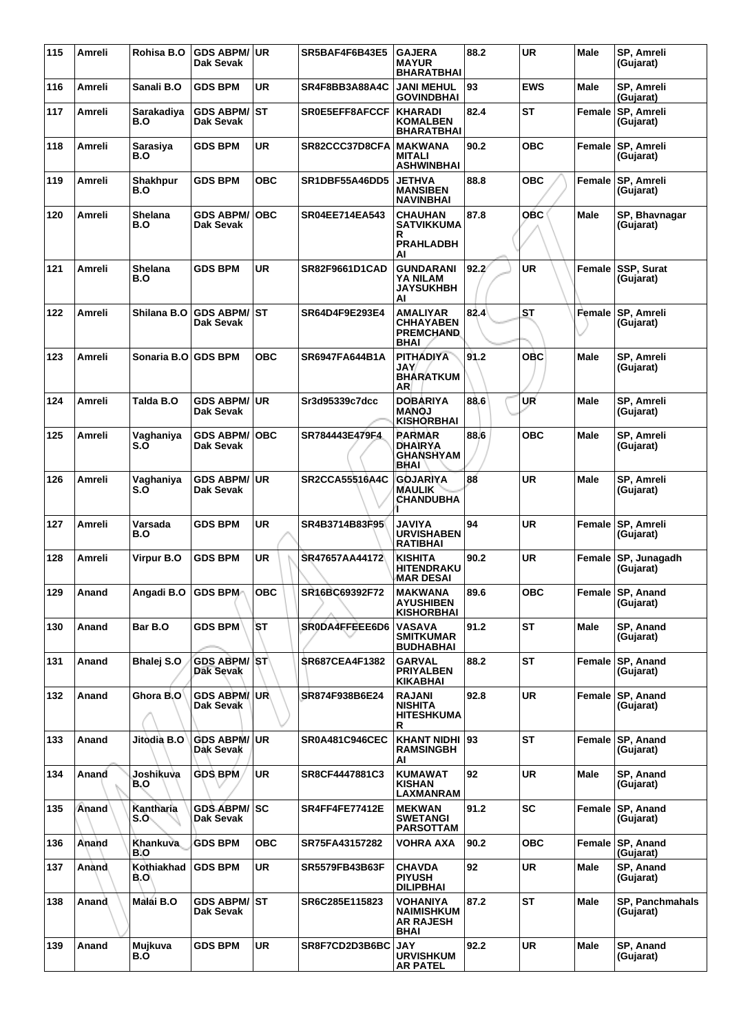| 115 | Amreli        | Rohisa B.O         | <b>GDS ABPM/</b><br>Dak Sevak    | ∣UR        | SR5BAF4F6B43E5        | <b>GAJERA</b><br><b>MAYUR</b><br><b>BHARATBHAI</b>              | 88.2  | <b>UR</b>  | <b>Male</b> | SP, Amreli<br>(Gujarat)             |
|-----|---------------|--------------------|----------------------------------|------------|-----------------------|-----------------------------------------------------------------|-------|------------|-------------|-------------------------------------|
| 116 | Amreli        | Sanali B.O         | <b>GDS BPM</b>                   | UR         | SR4F8BB3A88A4C        | <b>JANI MEHUL</b><br><b>GOVINDBHAI</b>                          | 93    | <b>EWS</b> | Male        | SP, Amreli<br>(Gujarat)             |
| 117 | Amreli        | Sarakadiya<br>B.O  | <b>GDS ABPM/</b><br>Dak Sevak    | lst        | SR0E5EFF8AFCCF        | <b>KHARADI</b><br><b>KOMALBEN</b><br>BHARATBHAI                 | 82.4  | <b>ST</b>  | Female      | <b>SP, Amreli</b><br>(Gujarat)      |
| 118 | Amreli        | Sarasiya<br>B.O    | <b>GDS BPM</b>                   | UR         | SR82CCC37D8CFA        | <b>MAKWANA</b><br><b>MITALI</b><br><b>ASHWINBHAI</b>            | 90.2  | <b>OBC</b> | Female      | <b>SP, Amreli</b><br>(Gujarat)      |
| 119 | Amreli        | Shakhpur<br>B.O    | <b>GDS BPM</b>                   | <b>OBC</b> | SR1DBF55A46DD5        | <b>JETHVA</b><br><b>MANSIBEN</b><br><b>NAVINBHAI</b>            | 88.8  | <b>OBC</b> | Female      | SP, Amreli<br>(Gujarat)             |
| 120 | Amreli        | Shelana<br>B.O     | <b>GDS ABPM/</b><br>Dak Sevak    | <b>OBC</b> | <b>SR04EE714EA543</b> | <b>CHAUHAN</b><br>SATVIKKUMA<br>R<br><b>PRAHLADBH</b><br>ΑI     | 87.8  | <b>OBC</b> | <b>Male</b> | SP, Bhavnagar<br>(Gujarat)          |
| 121 | Amreli        | Shelana<br>B.O     | <b>GDS BPM</b>                   | UR         | <b>SR82F9661D1CAD</b> | <b>GUNDARANI</b><br><b>YA NILAM</b><br><b>JAYSUKHBH</b><br>Al   | 92.2' | <b>UR</b>  | Female      | <b>SSP, Surat</b><br>(Gujarat)      |
| 122 | Amreli        | Shilana B.O        | <b>GDS ABPM/ ST</b><br>Dak Sevak |            | SR64D4F9E293E4        | AMALIYAR<br><b>CHHAYABEN</b><br><b>PREMCHAND</b><br><b>BHAI</b> | 82.4  | <b>ST</b>  | Female      | SP, Amreli<br>(Gujarat)             |
| 123 | <b>Amreli</b> | Sonaria B.O        | <b>GDS BPM</b>                   | <b>OBC</b> | SR6947FA644B1A        | <b>PITHADIYA</b><br>JAY/<br><b>BHARATKUM</b><br><b>AR</b>       | 91.2  | <b>OBC</b> | <b>Male</b> | SP, Amreli<br>(Gujarat)             |
| 124 | Amreli        | Talda B.O          | GDS ABPM/UR<br>Dak Sevak         |            | Sr3d95339c7dcc        | <b>DOBARIYA</b><br><b>MANOJ</b><br><b>KISHORBHAI</b>            | 88.6  | UR         | Male        | SP, Amreli<br>(Gujarat)             |
| 125 | Amreli        | Vaghaniya<br>S.Õ   | <b>GDS ABPM/</b><br>Dak Sevak    | <b>OBC</b> | SR784443E479F4        | <b>PARMAR</b><br><b>DHAIRYA</b><br><b>GHANSHYAM</b><br>BHAI     | 88.6  | <b>OBC</b> | <b>Male</b> | SP, Amreli<br>(Gujarat)             |
| 126 | Amreli        | Vaghaniya<br>S.Õ   | <b>GDS ABPM/</b><br>Dak Sevak    | ∣UR        | SR2CCA55516A4C        | <b>GOJARIYA</b><br><b>MAULIK</b><br><b>CHANDUBHA</b>            | 88    | <b>UR</b>  | <b>Male</b> | SP, Amreli<br>(Gujarat)             |
| 127 | Amreli        | Varsada<br>B.O     | <b>GDS BPM</b>                   | <b>UR</b>  | SR4B3714B83F95        | JAVIYA<br><b>URVISHABEN</b><br><b>RATIBHAI</b>                  | 94    | <b>UR</b>  |             | Female SP, Amreli<br>(Gujarat)      |
| 128 | Amreli        | Virpur B.O         | <b>GDS BPM</b>                   | UR         | SR47657AA44172        | <b>KISHITA</b><br>HITENDRAKU<br><b>MAR DESAI</b>                | 90.2  | UR         | Female      | SP, Junagadh<br>(Gujarat)           |
| 129 | Anand         | Angadi B.O         | <b>GDS BPM-</b>                  | <b>OBC</b> | SR16BC69392F72        | <b>MAKWANA</b><br><b>AYUSHIBEN</b><br><b>KISHORBHAI</b>         | 89.6  | <b>OBC</b> |             | Female SP, Anand<br>(Gujarat)       |
| 130 | Anand         | Bar B.O            | <b>GDS BPM</b>                   | SТ         | SR0DA4FFEEE6D6        | <b>VASAVA</b><br><b>SMITKUMAR</b><br><b>BUDHABHAI</b>           | 91.2  | <b>ST</b>  | <b>Male</b> | SP. Anand<br>(Gujarat)              |
| 131 | Anand         | Bhalej S.O         | <b>GDS ABPM/ST</b><br>Dak Sevak  |            | <b>SR687CEA4F1382</b> | <b>GARVAL</b><br><b>PRIYALBEN</b><br><b>KIKABHAI</b>            | 88.2  | <b>ST</b>  |             | Female SP, Anand<br>(Gujarat)       |
| 132 | Anand         | Ghora B.O          | <b>GDS ABPM/UR</b><br>Dak Sevak  |            | SR874F938B6E24        | <b>RAJANI</b><br><b>NISHITA</b><br><b>HITESHKUMA</b><br>R       | 92.8  | <b>UR</b>  |             | Female SP, Anand<br>(Gujarat)       |
| 133 | Anand         | Jitodia B.O        | <b>GDS ABPM/ UR</b><br>Dak Sevak |            | <b>SR0A481C946CEC</b> | KHANT NIDHI 93<br><b>RAMSINGBH</b><br>AI                        |       | <b>ST</b>  |             | Female SP, Anand<br>(Gujarat)       |
| 134 | Anand         | Joshikuva<br>B.O   | <b>GDS BPM</b>                   | <b>UR</b>  | SR8CF4447881C3        | <b>KUMAWAT</b><br><b>KISHAN</b><br>LAXMANRAM                    | 92    | <b>UR</b>  | <b>Male</b> | SP, Anand<br>(Gujarat)              |
| 135 | Anand         | Kantharia<br>S.O   | <b>GDS ABPM/ SC</b><br>Dak Sevak |            | SR4FF4FE77412E        | <b>MEKWAN</b><br><b>SWETANGI</b><br><b>PARSOTTAM</b>            | 91.2  | <b>SC</b>  |             | Female SP, Anand<br>(Gujarat)       |
| 136 | Anand         | Khankuva<br>B.O    | <b>GDS BPM</b>                   | овс        | SR75FA43157282        | VOHRA AXA                                                       | 90.2  | <b>OBC</b> |             | Female SP, Anand<br>(Gujarat)       |
| 137 | <b>Anànd</b>  | Kothiakhad<br>B.O\ | <b>GDS BPM</b>                   | UR.        | <b>SR5579FB43B63F</b> | <b>CHAVDA</b><br><b>PIYUSH</b><br><b>DILIPBHAI</b>              | 92    | UR.        | <b>Male</b> | SP, Anand<br>(Gujarat)              |
| 138 | Anand         | Malai B.O          | GDS ABPM/ST<br>Dak Sevak         |            | SR6C285E115823        | VOHANIYA<br><b>NAIMISHKUM</b><br><b>AR RAJESH</b><br>BHAI       | 87.2  | <b>ST</b>  | Male        | <b>SP, Panchmahals</b><br>(Gujarat) |
| 139 | Anand         | Mujkuva<br>B.Ó     | <b>GDS BPM</b>                   | <b>UR</b>  | SR8F7CD2D3B6BC        | <b>JAY</b><br><b>URVISHKUM</b><br><b>AR PATEL</b>               | 92.2  | <b>UR</b>  | Male        | SP, Anand<br>(Gujarat)              |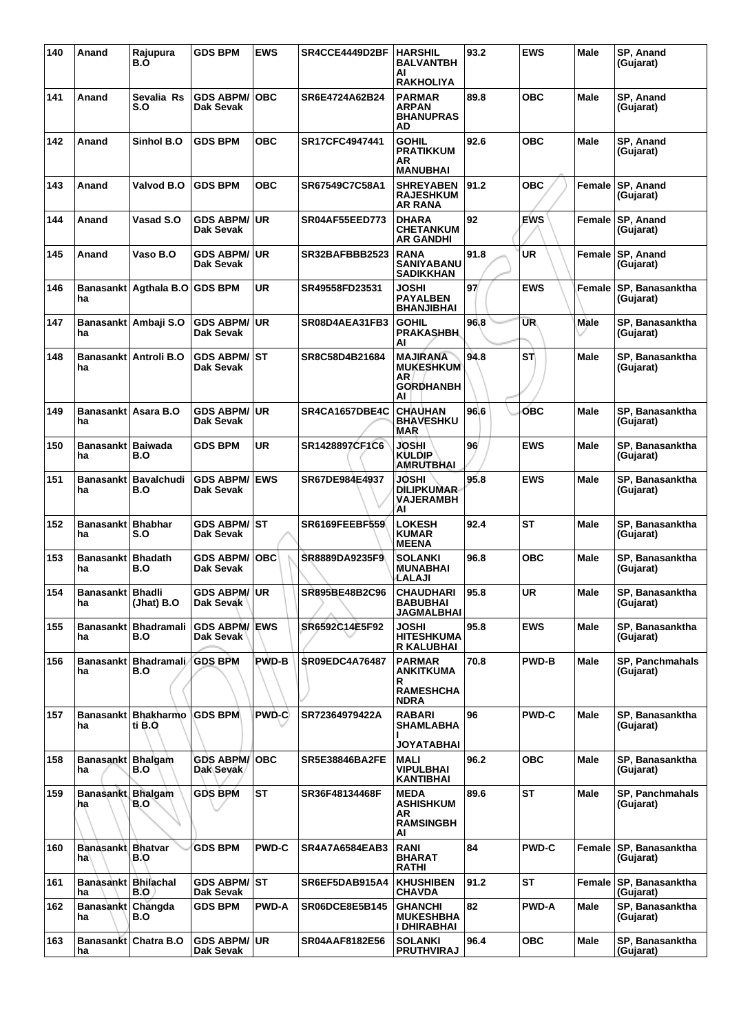| 140 | Anand                     | Rajupura<br>B.O                 | <b>GDS BPM</b>                    | <b>EWS</b>   | SR4CCE4449D2BF        | <b>HARSHIL</b><br><b>BALVANTBH</b><br>AI<br><b>RAKHOLIYA</b>                 | 93.2 | <b>EWS</b>   | Male        | SP, Anand<br>(Gujarat)              |
|-----|---------------------------|---------------------------------|-----------------------------------|--------------|-----------------------|------------------------------------------------------------------------------|------|--------------|-------------|-------------------------------------|
| 141 | Anand                     | Sevalia Rs<br>S.O               | <b>GDS ABPM/ OBC</b><br>Dak Sevak |              | SR6E4724A62B24        | <b>PARMAR</b><br><b>ARPAN</b><br><b>BHANUPRAS</b><br>AD                      | 89.8 | <b>OBC</b>   | <b>Male</b> | SP, Anand<br>(Gujarat)              |
| 142 | Anand                     | Sinhol B.O                      | <b>GDS BPM</b>                    | <b>OBC</b>   | SR17CFC4947441        | <b>GOHIL</b><br><b>PRATIKKUM</b><br>AR<br><b>MANUBHAI</b>                    | 92.6 | <b>OBC</b>   | <b>Male</b> | SP, Anand<br>(Gujarat)              |
| 143 | Anand                     | Valvod B.O                      | <b>GDS BPM</b>                    | <b>OBC</b>   | SR67549C7C58A1        | <b>SHREYABEN</b><br><b>RAJESHKUM</b><br>AR RANA                              | 91.2 | <b>OBC</b>   | Female      | SP, Anand<br>(Gujarat)              |
| 144 | Anand                     | Vasad S.O                       | <b>GDS ABPM/</b><br>Dak Sevak     | ∣UR          | <b>SR04AF55EED773</b> | <b>DHARA</b><br><b>CHETANKUM</b><br><b>AR GANDHI</b>                         | 92   | <b>EWS</b>   | Female      | <b>SP, Anand</b><br>(Gujarat)       |
| 145 | Anand                     | Vaso B.O                        | GDS ABPM/∣UR<br>Dak Sevak         |              | SR32BAFBBB2523        | <b>RANA</b><br>SANIYABANU<br><b>SADIKKHAN</b>                                | 91.8 | UR           | Female      | SP, Anand<br>(Gujarat)              |
| 146 | ha                        | Banasankt Agthala B.O GDS BPM   |                                   | <b>UR</b>    | SR49558FD23531        | JOSHI<br><b>PAYALBEN</b><br><b>BHANJIBHAI</b>                                | 97   | <b>EWS</b>   | Female      | SP, Banasanktha<br>(Gujarat)        |
| 147 | ha                        | Banasankt   Ambaji S.O          | <b>GDS ABPM/ UR</b><br>Dak Sevak  |              | SR08D4AEA31FB3        | <b>GOHIL</b><br><b>PRAKASHBH</b><br>AI                                       | 96.8 | <b>UR</b>    | Male        | SP, Banasanktha<br>(Gujarat)        |
| 148 | ha                        | Banasankt Antroli B.O           | GDS ABPM/⊺ST<br>Dak Sevak         |              | SR8C58D4B21684        | <b>MAJIRANA</b><br><b>MUKESHKUM</b><br>AR<br><b>GORDHANBH</b><br>AI          | 94.8 | STÌ          | Male        | SP. Banasanktha<br>(Gujarat)        |
| 149 | ha                        | Banasankt   Asara B.O           | <b>GDS ABPM/ UR</b><br>Dak Sevak  |              | SR4CA1657DBE4C        | <b>CHAUHAN</b><br><b>BHAVESHKU</b><br>MAR                                    | 96.6 | ОВС          | Male        | SP, Banasanktha<br>(Gujarat)        |
| 150 | Banasankt Baiwada<br>ha   | B.O                             | GDS BPM                           | <b>UR</b>    | SR1428897CF1C6        | JOSHI<br><b>KULDIP</b><br>AMRUTBHAI                                          | 96   | <b>EWS</b>   | Male        | SP, Banasanktha<br>(Gujarat)        |
| 151 | ha                        | Banasankt   Bavalchudi<br>B.O   | <b>GDS ABPM/ EWS</b><br>Dak Sevak |              | <b>SR67DE984E4937</b> | JOSHI<br><b>DILIPKUMAR</b><br>VAJERAMBH<br>ΑI                                | 95.8 | <b>EWS</b>   | <b>Male</b> | SP, Banasanktha<br>(Gujarat)        |
| 152 | Banasankt Bhabhar<br>ha   | S.O                             | GDS ABPM/ ST<br>Dak Sevak         |              | <b>SR6169FEEBF559</b> | <b>LOKESH</b><br><b>KUMAR</b><br><b>MEENA</b>                                | 92.4 | <b>ST</b>    | <b>Male</b> | SP, Banasanktha<br>(Gujarat)        |
| 153 | Banasankt   Bhadath<br>ha | B.O                             | <b>GDS ABPM/ OBC</b><br>Dak Sevak |              | SR8889DA9235F9        | SOLANKI<br><b>MUNABHAI</b><br>LALAJI                                         | 96.8 | овс          | Male        | SP, Banasanktha<br>(Gujarat)        |
| 154 | Banasankt   Bhadli<br>ha  | (Jhat) B.O                      | GDS ABPM/UR<br>Dak Sevak          |              | SR895BE48B2C96        | <b>CHAUDHARI</b><br><b>BABUBHAI</b><br><b>JAGMALBHAI</b>                     | 95.8 | <b>UR</b>    | Male        | SP, Banasanktha<br>(Gujarat)        |
| 155 | ha                        | Banasankt   Bhadramali<br>B.O   | <b>GDS ABPM/ EWS</b><br>Dak Sevak |              | SR6592C14E5F92        | <b>JOSHI</b><br><b>HITESHKUMA</b><br>R KALUBHAI                              | 95.8 | <b>EWS</b>   | <b>Male</b> | SP, Banasanktha<br>(Gujarat)        |
| 156 | ha                        | Banasankt   Bhadramali<br>B.O   | <b>GDS BPM</b>                    | <b>PWD-B</b> | <b>SR09EDC4A76487</b> | <b>PARMAR</b><br>ANKITKUMA<br>R<br><b>RAMESHCHA</b>                          | 70.8 | <b>PWD-B</b> | Male        | <b>SP, Panchmahals</b><br>(Gujarat) |
| 157 | ha                        | Banasankt   Bhakharmo<br>ti B.O | <b>GDS BPM</b>                    | PWD-C        | SR72364979422A        | <b>NDRA</b><br><b>RABARI</b><br>SHAMLABHA                                    | 96   | <b>PWD-C</b> | <b>Male</b> | SP. Banasanktha<br>(Gujarat)        |
| 158 | Banasankt Bhalgam<br>ha   | ${\bf B. O}$                    | <b>GDS ABPM/ OBC</b><br>Dak Sevak |              | <b>SR5E38846BA2FE</b> | <b>JOYATABHAI</b><br>MALI<br><b>VIPULBHAI</b>                                | 96.2 | <b>OBC</b>   | <b>Male</b> | SP, Banasanktha<br>(Gujarat)        |
| 159 | Banasankt Bhalgam<br>ha   | B.O                             | <b>GDS BPM</b>                    | <b>ST</b>    | SR36F48134468F        | KANTIBHAI<br><b>MEDA</b><br><b>ASHISHKUM</b><br>AR<br><b>RAMSINGBH</b><br>AI | 89.6 | <b>ST</b>    | Male        | <b>SP, Panchmahals</b><br>(Gujarat) |
| 160 | Banasankt Bhatvar<br>ha   | B.O                             | <b>GDS BPM</b>                    | <b>PWD-C</b> | <b>SR4A7A6584EAB3</b> | <b>RANI</b><br><b>BHARAT</b><br><b>RATHI</b>                                 | 84   | <b>PWD-C</b> | Female      | SP, Banasanktha<br>(Gujarat)        |
| 161 | Banasankt Bhilachal<br>ha | B.O                             | GDS ABPM/ST<br>Dak Sevak          |              | SR6EF5DAB915A4        | <b>KHUSHIBEN</b><br><b>CHAVDA</b>                                            | 91.2 | ST           | Female      | <b>SP, Banasanktha</b><br>(Gujarat) |
| 162 | Banasankt Changda<br>ha   | B.O                             | <b>GDS BPM</b>                    | <b>PWD-A</b> | <b>SR06DCE8E5B145</b> | <b>GHANCHI</b><br><b>MUKESHBHA</b><br>I DHIRABHAI                            | 82   | <b>PWD-A</b> | <b>Male</b> | SP, Banasanktha<br>(Gujarat)        |
| 163 | ha                        | <b>Banasankt Chatra B.O</b>     | <b>GDS ABPM/ UR</b><br>Dak Sevak  |              | <b>SR04AAF8182E56</b> | <b>SOLANKI</b><br><b>PRUTHVIRAJ</b>                                          | 96.4 | ОВС          | <b>Male</b> | SP, Banasanktha<br>(Gujarat)        |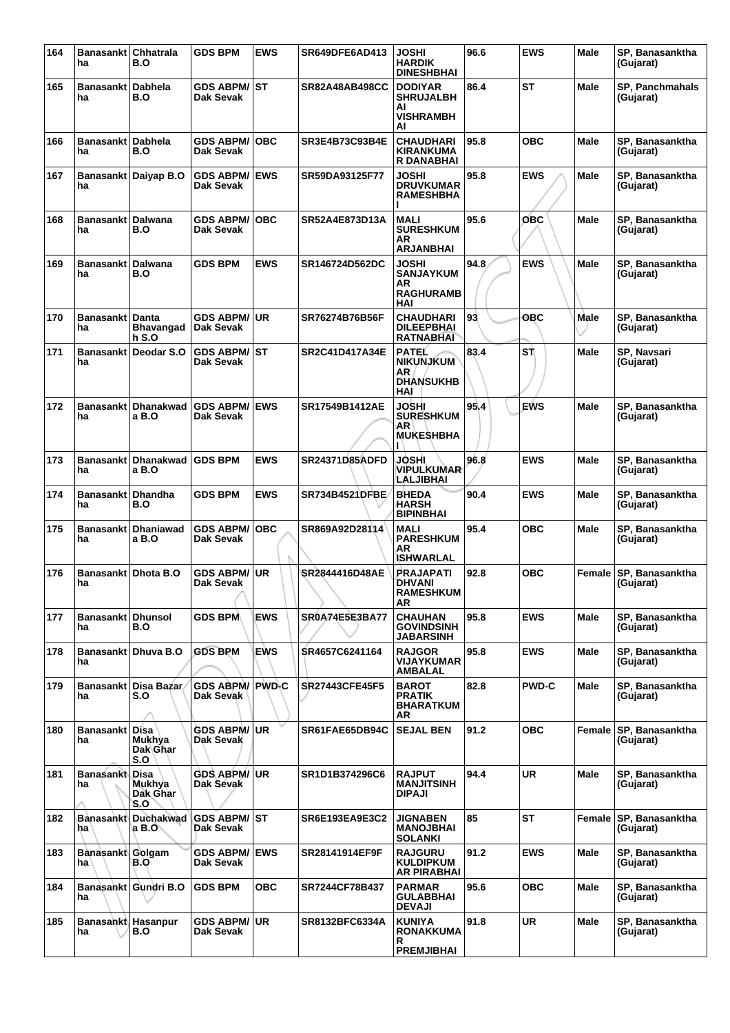| 164 | Banasankt Chhatrala<br>ha        | B.O                              | <b>GDS BPM</b>                      | <b>EWS</b> | SR649DFE6AD413        | <b>JOSHI</b><br><b>HARDIK</b><br><b>DINESHBHAI</b>                 | 96.6 | <b>EWS</b>   | <b>Male</b> | SP. Banasanktha<br>(Gujarat)        |
|-----|----------------------------------|----------------------------------|-------------------------------------|------------|-----------------------|--------------------------------------------------------------------|------|--------------|-------------|-------------------------------------|
| 165 | Banasankt l<br>ha                | Dabhela<br>B.O                   | <b>GDS ABPM/ ST</b><br>Dak Sevak    |            | SR82A48AB498CC        | <b>DODIYAR</b><br><b>SHRUJALBH</b><br>AI<br><b>VISHRAMBH</b><br>AI | 86.4 | ST           | <b>Male</b> | <b>SP, Panchmahals</b><br>(Gujarat) |
| 166 | <b>Banasankt</b><br>ha           | <b>Dabhela</b><br>B.O            | <b>GDS ABPM/</b><br>Dak Sevak       | <b>OBC</b> | SR3E4B73C93B4E        | <b>CHAUDHARI</b><br><b>KIRANKUMA</b><br>R DANABHAI                 | 95.8 | <b>OBC</b>   | <b>Male</b> | SP, Banasanktha<br>(Gujarat)        |
| 167 | ha                               | Banasankt Daiyap B.O             | <b>GDS ABPM/ EWS</b><br>Dak Sevak   |            | SR59DA93125F77        | <b>JOSHI</b><br><b>DRUVKUMAR</b><br><b>RAMESHBHA</b>               | 95.8 | <b>EWS</b>   | <b>Male</b> | SP, Banasanktha<br>(Gujarat)        |
| 168 | Banasankt   Dalwana<br>ha        | B.O                              | <b>GDS ABPM/ OBC</b><br>Dak Sevak   |            | SR52A4E873D13A        | <b>MALI</b><br><b>SURESHKUM</b><br><b>AR</b><br><b>ARJANBHAI</b>   | 95.6 | OBC          | Male        | SP, Banasanktha<br>(Gujarat)        |
| 169 | <b>Banasankt</b><br>ha           | <b>Dalwana</b><br>B.O            | <b>GDS BPM</b>                      | <b>EWS</b> | SR146724D562DC        | JOSHI<br><b>SANJAYKUM</b><br>AR<br><b>RAGHURAMB</b><br>HAI         | 94.8 | <b>EWS</b>   | <b>Male</b> | SP, Banasanktha<br>(Gujarat)        |
| 170 | Banasankt Danta<br>ha            | <b>Bhavangad</b><br><b>h S.O</b> | <b>GDS ABPM/ UR</b><br>Dak Sevak    |            | SR76274B76B56F        | <b>CHAUDHARI</b><br><b>DILEEPBHAI</b><br><b>RATNABHAI</b>          | 93   | <b>OBC</b>   | Male        | SP, Banasanktha<br>(Gujarat)        |
| 171 | Banasankt<br>ha                  | Deodar S.O                       | <b>GDS ABPM/ ST</b><br>Dak Sevak    |            | <b>SR2C41D417A34E</b> | <b>PATEL</b><br><b>NIKUNJKUM</b><br>AR<br><b>DHANSUKHB</b><br>HAI  | 83.4 | SŤ           | <b>Male</b> | SP, Navsari<br>(Gujarat)            |
| 172 | <b>Banasankt</b><br>ha           | <b>Dhanakwad</b><br>a B.O        | <b>GDS ABPM/ EWS</b><br>Dak Sevak   |            | SR17549B1412AE        | JOSHI<br><b>SURESHKUM</b><br>AR<br><b>MUKESHBHA</b>                | 95.4 | <b>EWS</b>   | <b>Male</b> | SP, Banasanktha<br>(Gujarat)        |
| 173 | <b>Banasankt</b><br>ha           | <b>Dhanakwad</b><br>a B.O        | <b>GDS BPM</b>                      | <b>EWS</b> | <b>SR24371D85ADFD</b> | JOSHI<br><b>VIPULKUMAR</b><br>LALJIBHAI                            | 96.8 | <b>EWS</b>   | <b>Male</b> | SP, Banasanktha<br>(Gujarat)        |
| 174 | <b>Banasankt</b><br>ha           | <b>Dhandha</b><br>B.O            | <b>GDS BPM</b>                      | <b>EWS</b> | SR734B4521DFBE        | <b>BHEDA</b><br>HARSH<br><b>BIPINBHAI</b>                          | 90.4 | <b>EWS</b>   | <b>Male</b> | SP, Banasanktha<br>(Gujarat)        |
| 175 | Banasankt<br>ha                  | <b>Dhaniawad</b><br>a B.O        | <b>GDS ABPM/ OBC</b><br>Dak Sevak   |            | SR869A92D28114        | MALI<br><b>PARESHKUM</b><br>AR<br><b>ISHWARLAL</b>                 | 95.4 | <b>OBC</b>   | <b>Male</b> | SP, Banasanktha<br>(Gujarat)        |
| 176 | Banasankt<br>ha                  | Dhota B.O                        | <b>GDS ABPM/</b><br>Dak Sevak       | ∣UR        | SR2844416D48AE        | <b>PRAJAPATI</b><br><b>DHVANI</b><br><b>RAMESHKUM</b><br>AR        | 92.8 | <b>OBC</b>   | Female      | SP, Banasanktha<br>(Gujarat)        |
| 177 | <b>Banasankt   Dhunsol</b><br>ha | B.O                              | <b>GDS BPM</b>                      | <b>EWS</b> | <b>SR0A74E5E3BA77</b> | <b>CHAUHAN</b><br><b>GOVINDSINH</b><br><b>JABARSINH</b>            | 95.8 | <b>EWS</b>   | <b>Male</b> | SP. Banasanktha<br>(Gujarat)        |
| 178 | <b>Banasankt</b><br>ha           | Dhuya B.O                        | <b>GDS BPM</b>                      | <b>EWS</b> | SR4657C6241164        | <b>RAJGOR</b><br>VIJAYKUMAR<br>AMBALAL                             | 95.8 | <b>EWS</b>   | <b>Male</b> | SP, Banasanktha<br>(Gujarat)        |
| 179 | ha                               | Banasankt Disa Bazar<br>S.O      | <b>GDS ABPM/ PWD-C</b><br>Dak Sevak |            | <b>SR27443CFE45F5</b> | <b>BAROT</b><br><b>PRATIK</b><br><b>BHARATKUM</b><br>AR            | 82.8 | <b>PWD-C</b> | <b>Male</b> | SP, Banasanktha<br>(Gujarat)        |
| 180 | Banasankt Disa<br>ha             | Mukhya<br>Dak Ghar<br>S.O        | <b>GDS ABPM/ UR</b><br>Dak Sevak    |            | SR61FAE65DB94C        | <b>SEJAL BEN</b>                                                   | 91.2 | <b>OBC</b>   | Female      | SP, Banasanktha<br>(Gujarat)        |
| 181 | <b>Banasankt Disa</b><br>ha      | <b>Mukhya</b><br>Dak Ghar<br>S.O | <b>GDS ABPM/ UR</b><br>Dak Sevak    |            | SR1D1B374296C6        | <b>RAJPUT</b><br><b>MANJITSINH</b><br><b>DIPAJI</b>                | 94.4 | <b>UR</b>    | <b>Male</b> | SP, Banasanktha<br>(Gujarat)        |
| 182 | ha                               | Banasankt Duchakwad<br>a B.O     | <b>GDS ABPM/ ST</b><br>Dak Sevak    |            | <b>SR6E193EA9E3C2</b> | <b>JIGNABEN</b><br><b>MANOJBHAI</b><br><b>SOLANKI</b>              | 85   | ST           | Female      | <b>SP, Banasanktha</b><br>(Gujarat) |
| 183 | Banasankt Golgam<br>ha           | B.O                              | <b>GDS ABPM/ EWS</b><br>Dak Sevak   |            | SR28141914EF9F        | <b>RAJGURU</b><br><b>KULDIPKUM</b><br><b>AR PIRABHAI</b>           | 91.2 | <b>EWS</b>   | <b>Male</b> | SP, Banasanktha<br>(Gujarat)        |
| 184 | ha                               | Banasankt Gundri B.O             | <b>GDS BPM</b>                      | <b>OBC</b> | SR7244CF78B437        | <b>PARMAR</b><br>GULABBHAI<br><b>DEVAJI</b>                        | 95.6 | <b>OBC</b>   | <b>Male</b> | SP, Banasanktha<br>(Gujarat)        |
| 185 | Banasankt Hasanpur<br>ha         | B.O                              | <b>GDS ABPM/ UR</b><br>Dak Sevak    |            | SR8132BFC6334A        | <b>KUNIYA</b><br><b>RONAKKUMA</b><br>R                             | 91.8 | <b>UR</b>    | <b>Male</b> | SP, Banasanktha<br>(Gujarat)        |
|     |                                  |                                  |                                     |            |                       | <b>PREMJIBHAI</b>                                                  |      |              |             |                                     |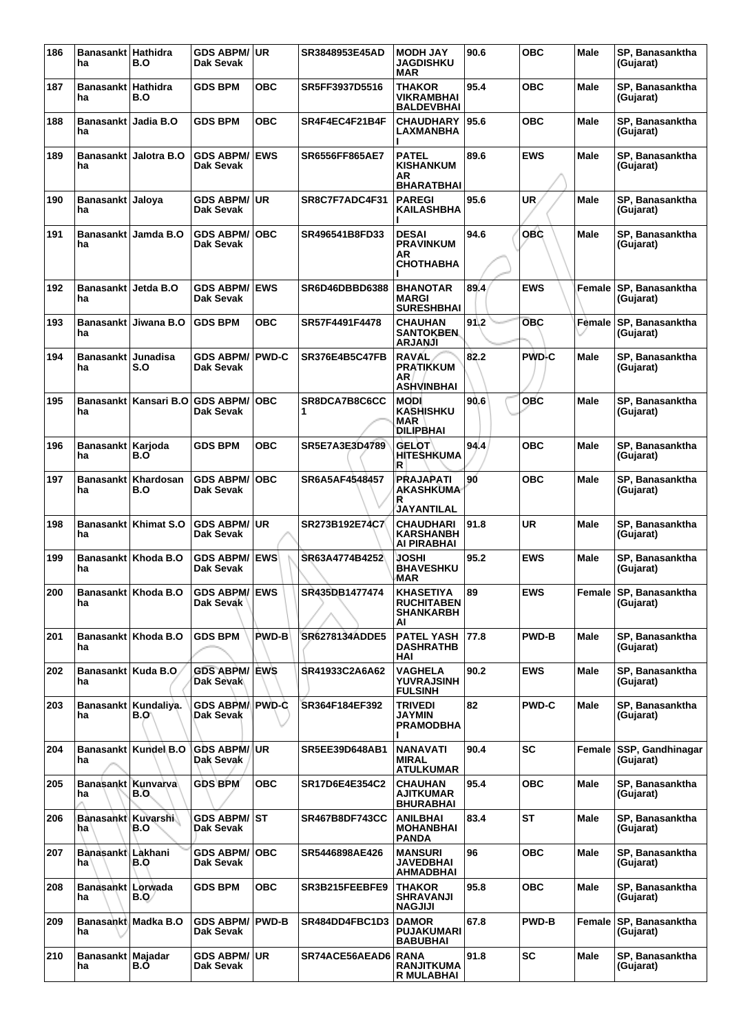| 186 | Banasankt Hathidra<br>ha    | B.O                          | <b>GDS ABPM/ UR</b><br>Dak Sevak    |              | SR3848953E45AD        | <b>MODH JAY</b><br><b>JAGDISHKU</b><br><b>MAR</b>               | 90.6 | <b>OBC</b>   | Male        | SP, Banasanktha<br>(Gujarat)        |
|-----|-----------------------------|------------------------------|-------------------------------------|--------------|-----------------------|-----------------------------------------------------------------|------|--------------|-------------|-------------------------------------|
| 187 | Banasankt Hathidra<br>ha    | B.O                          | <b>GDS BPM</b>                      | <b>OBC</b>   | SR5FF3937D5516        | <b>THAKOR</b><br>VIKRAMBHAI<br><b>BALDEVBHAI</b>                | 95.4 | <b>OBC</b>   | <b>Male</b> | SP, Banasanktha<br>(Gujarat)        |
| 188 | <b>Banasankt</b><br>ha      | Jadia B.O                    | <b>GDS BPM</b>                      | ОВС          | SR4F4EC4F21B4F        | <b>CHAUDHARY</b><br>LAXMANBHA                                   | 95.6 | ОВС          | Male        | SP, Banasanktha<br>(Gujarat)        |
| 189 | ha                          | Banasankt Jalotra B.O        | <b>GDS ABPM/ EWS</b><br>Dak Sevak   |              | <b>SR6556FF865AE7</b> | <b>PATEL</b><br><b>KISHANKUM</b><br>AR<br><b>BHARATBHAI</b>     | 89.6 | <b>EWS</b>   | Male        | SP, Banasanktha<br>(Gujarat)        |
| 190 | Banasankt Jaloya<br>ha      |                              | <b>GDS ABPM/ UR</b><br>Dak Sevak    |              | SR8C7F7ADC4F31        | <b>PAREGI</b><br><b>KAILASHBHA</b>                              | 95.6 | UR.          | Male        | SP, Banasanktha<br>(Gujarat)        |
| 191 | ha                          | Banasankt   Jamda B.O        | <b>GDS ABPM/</b><br>Dak Sevak       | <b>OBC</b>   | SR496541B8FD33        | <b>DESAI</b><br><b>PRAVINKUM</b><br>AR<br><b>CHOTHABHA</b>      | 94.6 | <b>OBC</b>   | <b>Male</b> | SP, Banasanktha<br>(Gujarat)        |
| 192 | Banasankt Jetda B.O<br>ha   |                              | <b>GDS ABPM/ EWS</b><br>Dak Sevak   |              | SR6D46DBBD6388        | <b>BHANOTAR</b><br><b>MARGI</b><br><b>SURESHBHAI</b>            | 89.4 | <b>EWS</b>   |             | Female SP, Banasanktha<br>(Gujarat) |
| 193 | ha                          | Banasankt Jiwana B.O         | <b>GDS BPM</b>                      | <b>OBC</b>   | SR57F4491F4478        | <b>CHAUHAN</b><br><b>SANTOKBEN</b><br><b>ARJANJI</b>            | 91.2 | <b>OBC</b>   | Female      | SP. Banasanktha<br>(Gujarat)        |
| 194 | <b>Banasankt</b><br>ha      | Junadisa<br>S.O              | <b>GDS ABPM/ PWD-C</b><br>Dak Sevak |              | <b>SR376E4B5C47FB</b> | <b>RAVAL</b><br><b>PRATIKKUM</b><br>ΑR<br><b>ASHVINBHAI</b>     | 82.2 | <b>PWD-C</b> | Male        | SP. Banasanktha<br>(Gujarat)        |
| 195 | <b>Banasankt</b><br>ha      | Kansari B.O                  | <b>GDS ABPM/</b><br>Dak Sevak       | <b>OBC</b>   | SR8DCA7B8C6CC<br>1    | <b>MODI</b><br><b>KASHISHKU</b><br>MAR<br><b>DILIPBHAI</b>      | 90.6 | <b>OBC</b>   | Male        | SP, Banasanktha<br>(Gujarat)        |
| 196 | Banasankt<br>ha             | Karjoda<br>B.O               | <b>GDS BPM</b>                      | ОВС          | SR5E7A3E3D4789        | <b>GELOT</b><br><b>HITESHKUMA</b><br>R.                         | 94.4 | <b>OBC</b>   | Male        | SP, Banasanktha<br>(Gujarat)        |
| 197 | ha                          | Banasankt Khardosan<br>B.O   | <b>GDS ABPM/</b><br>Dak Sevak       | <b>OBC</b>   | SR6A5AF4548457        | <b>PRAJAPATI</b><br>AKASHKUMA<br>R<br>JAYANTILAL                | 90   | <b>OBC</b>   | <b>Male</b> | SP, Banasanktha<br>(Gujarat)        |
| 198 | ha                          | Banasankt Khimat S.O         | <b>GDS ABPM/ UR</b><br>Dak Sevak    |              | SR273B192E74C7        | <b>CHAUDHARI</b><br><b>KARSHANBH</b><br>AI PIRABHAI             | 91.8 | <b>UR</b>    | Male        | SP, Banasanktha<br>(Gujarat)        |
| 199 | ha                          | Banasankt Khoda B.O          | <b>GDS ABPM/ EWS</b><br>Dak Sevak   |              | SR63A4774B4252        | JOSHI<br><b>BHAVESHKU</b><br>MAR                                | 95.2 | <b>EWS</b>   | Male        | SP, Banasanktha<br>(Gujarat)        |
| 200 | ha                          | Banasankt   Khoda B.O        | <b>GDS ABPM/ EWS</b><br>Dak Sevak   |              | SR435DB1477474        | <b>KHASETIYA</b><br><b>RUCHITABEN</b><br><b>SHANKARBH</b><br>AI | 89   | <b>EWS</b>   |             | Female SP, Banasanktha<br>(Gujarat) |
| 201 | ha                          | Banasankt   Khoda B.O        | <b>GDS BPM</b>                      | <b>PWD-B</b> | SR6278134ADDE5        | <b>PATEL YASH</b><br><b>DASHRATHB</b><br>HAI                    | 77.8 | <b>PWD-B</b> | Male        | SP, Banasanktha<br>(Gujarat)        |
| 202 | Banasankt   Kuda B.O.<br>ha |                              | <b>GDS ABPM/ EWS</b><br>Dak Sevak   |              | SR41933C2A6A62        | <b>VAGHELA</b><br><b>YUVRAJSINH</b><br><b>FULSINH</b>           | 90.2 | <b>EWS</b>   | <b>Male</b> | SP. Banasanktha<br>(Gujarat)        |
| 203 | ha                          | Banasankt Kundaliya.<br>B.O\ | GDS ABPM/ PWD-C<br>Dak Sevak        |              | SR364F184EF392        | <b>TRIVEDI</b><br><b>JAYMIN</b><br><b>PRAMODBHA</b>             | 82   | <b>PWD-C</b> | Male        | SP, Banasanktha<br>(Gujarat)        |
| 204 | ha                          | Banasankt   Kundel B.O       | GDS ABPM/UR<br>Dak Sevak            |              | <b>SR5EE39D648AB1</b> | <b>NANAVATI</b><br><b>MIRAL</b><br><b>ATULKUMAR</b>             | 90.4 | <b>SC</b>    | Female      | SSP, Gandhinagar<br>(Gujarat)       |
| 205 | Banasankt Kunvarva<br>ha    | B.O.                         | <b>GDS BPM</b>                      | <b>OBC</b>   | SR17D6E4E354C2        | <b>CHAUHAN</b><br><b>AJITKUMAR</b><br><b>BHURABHAI</b>          | 95.4 | <b>OBC</b>   | Male        | SP, Banasanktha<br>(Gujarat)        |
| 206 | Banasankt Kuvarshi<br>ha    | B.O                          | <b>GDS ABPM/ST</b><br>Dak Sevak     |              | <b>SR467B8DF743CC</b> | <b>ANILBHAI</b><br><b>MOHANBHAI</b><br><b>PANDA</b>             | 83.4 | <b>ST</b>    | <b>Male</b> | SP, Banasanktha<br>(Gujarat)        |
| 207 | <b>Banasankt</b><br>ha      | Lakhani<br>B.O               | <b>GDS ABPM/</b><br>Dak Sevak       | <b>OBC</b>   | SR5446898AE426        | <b>MANSURI</b><br>JAVEDBHAI<br>AHMADBHAI                        | 96   | <b>OBC</b>   | Male        | SP, Banasanktha<br>(Gujarat)        |
| 208 | Banasankt<br>ha             | Lorwada<br>B.O/              | <b>GDS BPM</b>                      | ОВС          | SR3B215FEEBFE9        | <b>THAKOR</b><br><b>SHRAVANJI</b><br><b>NAGJIJI</b>             | 95.8 | <b>OBC</b>   | Male        | SP, Banasanktha<br>(Gujarat)        |
| 209 | ha                          | Banasankt Madka B.O          | <b>GDS ABPM/ PWD-B</b><br>Dak Sevak |              | SR484DD4FBC1D3        | <b>DAMOR</b><br><b>PUJAKUMARI</b><br><b>BABUBHAI</b>            | 67.8 | <b>PWD-B</b> | Female      | <b>SP, Banasanktha</b><br>(Gujarat) |
| 210 | Banasankt Majadar<br>ha     | B.O                          | <b>GDS ABPM/ UR</b><br>Dak Sevak    |              | SR74ACE56AEAD6        | <b>RANA</b><br><b>RANJITKUMA</b><br><b>R MULABHAI</b>           | 91.8 | <b>SC</b>    | Male        | SP, Banasanktha<br>(Gujarat)        |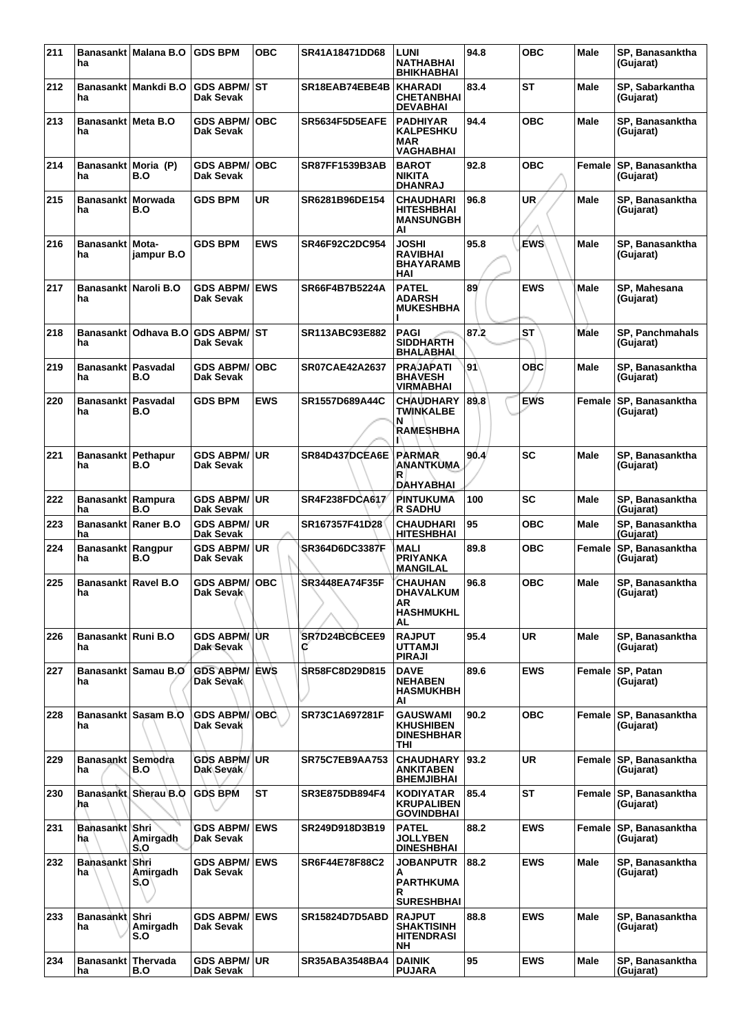| 211 | ha                                | Banasankt   Malana B.O  | <b>GDS BPM</b>                                     | <b>OBC</b> | SR41A18471DD68        | <b>LUNI</b><br><b>NATHABHAI</b><br><b>BHIKHABHAI</b>                 | 94.8 | <b>OBC</b> | Male        | SP, Banasanktha<br>(Gujarat)        |
|-----|-----------------------------------|-------------------------|----------------------------------------------------|------------|-----------------------|----------------------------------------------------------------------|------|------------|-------------|-------------------------------------|
| 212 | ha                                | Banasankt   Mankdi B.O  | <b>GDS ABPM/ ST</b><br>Dak Sevak                   |            | SR18EAB74EBE4B        | <b>KHARADI</b><br><b>CHETANBHAI</b><br><b>DEVABHAI</b>               | 83.4 | ST         | <b>Male</b> | SP, Sabarkantha<br>(Gujarat)        |
| 213 | Banasankt Meta B.O<br>ha          |                         | <b>GDS ABPM/</b><br>Dak Sevak                      | <b>OBC</b> | SR5634F5D5EAFE        | <b>PADHIYAR</b><br><b>KALPESHKU</b><br><b>MAR</b><br>VAGHABHAI       | 94.4 | <b>OBC</b> | Male        | SP, Banasanktha<br>(Gujarat)        |
| 214 | Banasankt Moria (P)<br>ha         | B.O                     | <b>GDS ABPM/ OBC</b><br>Dak Sevak                  |            | <b>SR87FF1539B3AB</b> | <b>BAROT</b><br><b>NIKITA</b><br><b>DHANRAJ</b>                      | 92.8 | <b>OBC</b> | Female      | SP, Banasanktha<br>(Gujarat)        |
| 215 | Banasankt   Morwada<br>ha         | B.O                     | <b>GDS BPM</b>                                     | <b>UR</b>  | SR6281B96DE154        | <b>CHAUDHARI</b><br><b>HITESHBHAI</b><br><b>MANSUNGBH</b><br>AI      | 96.8 | UR.        | Male        | SP. Banasanktha<br>(Gujarat)        |
| 216 | Banasankt   Mota-<br>ha           | jampur B.O              | <b>GDS BPM</b>                                     | <b>EWS</b> | SR46F92C2DC954        | <b>JOSHI</b><br><b>RAVIBHAI</b><br><b>BHAYARAMB</b><br>HAI           | 95.8 | <b>EWS</b> | <b>Male</b> | SP, Banasanktha<br>(Gujarat)        |
| 217 | ha                                | Banasankt Naroli B.O    | <b>GDS ABPM/ EWS</b><br>Dak Sevak                  |            | SR66F4B7B5224A        | <b>PATEL</b><br><b>ADARSH</b><br><b>MUKESHBHA</b>                    | 89   | <b>EWS</b> | Male        | SP, Mahesana<br>(Gujarat)           |
| 218 | ha                                |                         | Banasankt   Odhava B.O   GDS ABPM/ ST<br>Dak Sevak |            | SR113ABC93E882        | <b>PAGI</b><br><b>SIDDHARTH</b><br><b>BHALABHAL</b>                  | 87.2 | <b>ST</b>  | Male        | <b>SP, Panchmahals</b><br>(Gujarat) |
| 219 | Banasankt   Pasvadal<br>ha        | B.O                     | <b>GDS ABPM/</b><br>Dak Sevak                      | ∣OBC       | <b>SR07CAE42A2637</b> | <b>PRAJAPATI</b><br><b>BHAVESH</b><br>VIRMABHAI                      | 91   | ОВС        | Male        | SP, Banasanktha<br>(Gujarat)        |
| 220 | <b>Banasankt</b><br>ha            | <b>Pasvadal</b><br>B.O  | <b>GDS BPM</b>                                     | <b>EWS</b> | SR1557D689A44C        | <b>CHAUDHARY</b><br>TWINKALBE<br>N<br>RAMESHBHA                      | 89.8 | <b>EWS</b> | Female      | SP, Banasanktha<br>(Gujarat)        |
| 221 | Banasankt   Pethapur<br>ha        | B.O                     | <b>GDS ABPM/ UR</b><br>Dak Sevak                   |            | SR84D437DCEA6E        | <b>PARMAR</b><br>ANANTKUMA<br>R<br>DAHYABHAI                         | 90.4 | SC         | Male        | SP, Banasanktha<br>(Gujarat)        |
| 222 | Banasankt Rampura<br>ha           | B.O                     | <b>GDS ABPM/ UR</b><br>Dak Sevak                   |            | <b>SR4F238FDCA617</b> | <b>PINTUKUMA</b><br><b>R SADHU</b>                                   | 100  | SC         | Male        | SP, Banasanktha<br>(Gujarat)        |
| 223 | Banasankt Raner B.O<br>ha         |                         | <b>GDS ABPM/UR</b><br><b>Dak Sevak</b>             |            | SR167357F41D28        | <b>CHAUDHARI</b><br><b>HITESHBHAI</b>                                | 95   | <b>OBC</b> | Male        | SP, Banasanktha<br>(Gujarat)        |
| 224 | Banasankt Rangpur<br>ha           | B.O                     | <b>GDS ABPM/ UR</b><br>Dak Sevak                   |            | <b>SR364D6DC3387F</b> | MALI<br><b>PRIYANKA</b><br><b>MANGILAL</b>                           | 89.8 | овс        | Female      | SP, Banasanktha<br>(Gujarat)        |
| 225 | <b>Banasankt Ravel B.O</b><br>ha. |                         | <b>GDS ABPM/ OBC</b><br>Dak Sevak                  |            | SR3448EA74F35F        | <b>CHAUHAN</b><br><b>DHAVALKUM</b><br>AR<br><b>HASHMUKHL</b><br>AL   | 96.8 | <b>OBC</b> | Male        | SP, Banasanktha<br>(Gujarat)        |
| 226 | Banasankt   Runi B.O<br>ha        |                         | GDS ABPM/ UR<br>Dak Sevak                          |            | SR7D24BCBCEE9<br>C    | <b>RAJPUT</b><br><b>UTTAMJI</b><br><b>PIRAJI</b>                     | 95.4 | <b>UR</b>  | Male        | SP, Banasanktha<br>(Gujarat)        |
| 227 | ha                                | Banasankt Samau B.O     | <b>GDS ABPM/ EWS</b><br>Dak Sevak                  |            | SR58FC8D29D815        | <b>DAVE</b><br><b>NEHABEN</b><br><b>HASMUKHBH</b><br>ΑI              | 89.6 | <b>EWS</b> | Female      | <b>SP, Patan</b><br>(Gujarat)       |
| 228 | ha                                | Banasankt Sasam B.O.    | GDS ABPM/ <sup> </sup> OBC<br>Dak Sevak            |            | SR73C1A697281F        | <b>GAUSWAMI</b><br><b>KHUSHIBEN</b><br><b>DINESHBHAR</b><br>THI      | 90.2 | <b>OBC</b> |             | Female SP. Banasanktha<br>(Gujarat) |
| 229 | Banasankt Semodra<br>ha           | B.O                     | <b>GDS ABPM/ UR</b><br>Dak Sevak                   |            | <b>SR75C7EB9AA753</b> | <b>CHAUDHARY</b><br><b>ANKITABEN</b><br><b>BHEMJIBHAI</b>            | 93.2 | <b>UR</b>  |             | Female SP, Banasanktha<br>(Gujarat) |
| 230 | ha                                | Banasankt Sherau B.O    | <b>GDS BPM</b>                                     | <b>ST</b>  | SR3E875DB894F4        | <b>KODIYATAR</b><br><b>KRUPALIBEN</b><br><b>GOVINDBHAI</b>           | 85.4 | ST         | Female      | SP, Banasanktha<br>(Gujarat)        |
| 231 | Banasankt Shri<br>ha              | Amirgadh<br>S.O         | <b>GDS ABPM/ EWS</b><br>Dak Sevak                  |            | SR249D918D3B19        | <b>PATEL</b><br><b>JOLLYBEN</b><br><b>DINESHBHAI</b>                 | 88.2 | <b>EWS</b> | Female      | SP, Banasanktha<br>(Gujarat)        |
| 232 | Banasankt Shri<br>ha              | Amirgadh<br>S.O'        | <b>GDS ABPM/ EWS</b><br>Dak Sevak                  |            | SR6F44E78F88C2        | <b>JOBANPUTR</b><br>A<br><b>PARTHKUMA</b><br>R.<br><b>SURESHBHAI</b> | 88.2 | <b>EWS</b> | <b>Male</b> | SP, Banasanktha<br>(Gujarat)        |
| 233 | <b>Banasankt</b><br>ha            | Shri<br>Amirgadh<br>S.O | <b>GDS ABPM/ EWS</b><br>Dak Sevak                  |            | <b>SR15824D7D5ABD</b> | <b>RAJPUT</b><br><b>SHAKTISINH</b><br><b>HITENDRASI</b><br>NΗ        | 88.8 | <b>EWS</b> | <b>Male</b> | SP, Banasanktha<br>(Gujarat)        |
| 234 | <b>Banasankt</b><br>ha            | Thervada<br>B.O         | <b>GDS ABPM/ UR</b><br>Dak Sevak                   |            | SR35ABA3548BA4        | <b>DAINIK</b><br><b>PUJARA</b>                                       | 95   | <b>EWS</b> | Male        | SP, Banasanktha<br>(Gujarat)        |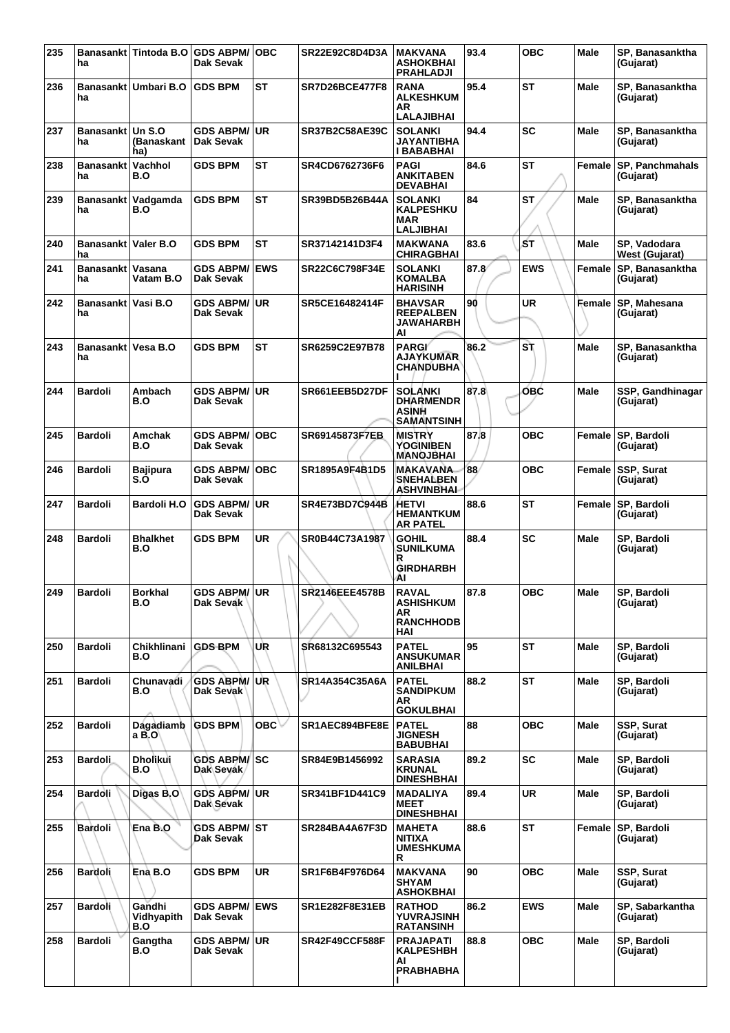| 235 | ha                          |                                    | Banasankt Tintoda B.O GDS ABPM/<br>Dak Sevak | ∣OBC       | SR22E92C8D4D3A        | <b>MAKVANA</b><br><b>ASHOKBHAI</b><br><b>PRAHLADJI</b>               | 93.4 | <b>OBC</b> | Male        | SP. Banasanktha<br>(Gujarat)          |
|-----|-----------------------------|------------------------------------|----------------------------------------------|------------|-----------------------|----------------------------------------------------------------------|------|------------|-------------|---------------------------------------|
| 236 | ha                          | Banasankt Umbari B.O               | <b>IGDS BPM</b>                              | ST         | <b>SR7D26BCE477F8</b> | <b>RANA</b><br><b>ALKESHKUM</b><br>AR<br><b>LALAJIBHAI</b>           | 95.4 | ST         | Male        | SP, Banasanktha<br>(Gujarat)          |
| 237 | <b>Banasankt</b><br>ha      | <b>Un S.O</b><br>(Banaskant<br>ha) | GDS ABPM/∣UR<br>Dak Sevak                    |            | SR37B2C58AE39C        | <b>SOLANKI</b><br><b>JAYANTIBHA</b><br>I BABABHAI                    | 94.4 | SC         | Male        | SP, Banasanktha<br>(Gujarat)          |
| 238 | Banasankt<br>ha             | Vachhol<br>B.O                     | <b>GDS BPM</b>                               | <b>ST</b>  | SR4CD6762736F6        | <b>PAGI</b><br><b>ANKITABEN</b><br><b>DEVABHAI</b>                   | 84.6 | ST         | Female      | <b>SP, Panchmahals</b><br>(Gujarat)   |
| 239 | ha                          | Banasankt   Vadgamda<br>B.O        | <b>GDS BPM</b>                               | <b>ST</b>  | SR39BD5B26B44A        | <b>SOLANKI</b><br><b>KALPESHKU</b><br><b>MAR</b><br><b>LALJIBHAI</b> | 84   | ST         | Male        | SP, Banasanktha<br>(Gujarat)          |
| 240 | Banasankt   Valer B.O<br>ha |                                    | <b>GDS BPM</b>                               | <b>ST</b>  | SR37142141D3F4        | <b>MAKWANA</b><br><b>CHIRAGBHAI</b>                                  | 83.6 | ŚТ         | <b>Male</b> | SP, Vadodara<br><b>West (Gujarat)</b> |
| 241 | Banasankt<br>ha             | Vasana<br>Vatam B.O                | <b>GDS ABPM/</b><br><b>Dak Sevak</b>         | <b>EWS</b> | <b>SR22C6C798F34E</b> | <b>SOLANKI</b><br><b>KOMALBA</b><br><b>HARISINH</b>                  | 87.8 | <b>EWS</b> | Female      | SP, Banasanktha<br>(Gujarat)          |
| 242 | Banasankt Vasi B.O<br>ha    |                                    | <b>GDS ABPM/ UR</b><br>Dak Sevak             |            | SR5CE16482414F        | <b>BHAVSAR</b><br><b>REEPALBEN</b><br><b>JAWAHARBH</b><br>AI         | 90   | <b>UR</b>  | Female      | SP, Mahesana<br>(Gujarat)             |
| 243 | Banasankt   Vesa B.O<br>ha  |                                    | <b>GDS BPM</b>                               | <b>ST</b>  | SR6259C2E97B78        | <b>PARGI</b><br><b>AJAYKUMAR</b><br><b>CHANDUBHA</b>                 | 86.2 | S٦         | <b>Male</b> | SP. Banasanktha<br>(Gujarat)          |
| 244 | <b>Bardoli</b>              | Ambach<br>B.O                      | <b>GDS ABPM/ UR</b><br>Dak Sevak             |            | SR661EEB5D27DF        | <b>SOLANKI</b><br><b>DHARMENDR</b><br>ASINH<br><b>SAMANTSINH</b>     | 87.8 | OBC        | <b>Male</b> | SSP, Gandhinagar<br>(Gujarat)         |
| 245 | <b>Bardoli</b>              | Amchak<br>B.O                      | <b>GDS ABPM/ OBC</b><br>Dak Sevak            |            | SR69145873F7EB        | <b>MISTRY</b><br><b>YOGINIBEN</b><br><b>MANOJBHAI</b>                | 87.8 | <b>OBC</b> | Female      | <b>SP, Bardoli</b><br>(Gujarat)       |
| 246 | <b>Bardoli</b>              | Bajipura<br>S.O                    | <b>GDS ABPM/</b><br>Dak Sevak                | ∣OBC       | SR1895A9F4B1D5        | <b>MAKAVANA</b><br><b>SNEHALBEN</b><br>ASHVINBHAI                    | 88   | <b>OBC</b> | Female      | <b>SSP, Surat</b><br>(Gujarat)        |
| 247 | <b>Bardoli</b>              | Bardoli H.O                        | <b>GDS ABPM/</b><br>Dak Sevak                | l UR       | SR4E73BD7C944B        | HETVI<br><b>HEMANTKUM</b><br><b>AR PATEL</b>                         | 88.6 | ST         | Female      | <b>SP, Bardoli</b><br>(Gujarat)       |
| 248 | <b>Bardoli</b>              | <b>Bhalkhet</b><br>B.O             | <b>GDS BPM</b>                               | <b>UR</b>  | SR0B44C73A1987        | <b>GOHIL</b><br><b>SUNILKUMA</b><br>R<br><b>GIRDHARBH</b><br>ΑI      | 88.4 | SC         | Male        | SP, Bardoli<br>(Gujarat)              |
| 249 | <b>Bardoli</b>              | <b>Borkhal</b><br>B.O              | GDS ABPM/UR<br>Dak Sevak                     |            | SR2146EEE4578B        | <b>RAVAL</b><br><b>ASHISHKUM</b><br>AR.<br><b>RANCHHODB</b><br>HAI   | 87.8 | <b>OBC</b> | Male        | SP, Bardoli<br>(Gujarat)              |
| 250 | <b>Bardoli</b>              | Chikhlinani<br>B.O                 | <b>GDS BPM</b>                               | UR         | SR68132C695543        | <b>PATEL</b><br><b>ANSUKUMAR</b><br><b>ANILBHAI</b>                  | 95   | ST         | <b>Male</b> | SP, Bardoli<br>(Gujarat)              |
| 251 | <b>Bardoli</b>              | Chunavadi<br>B.O                   | <b>GDS ABPM/ UR</b><br>Dak Sevak             |            | SR14A354C35A6A        | <b>PATEL</b><br><b>SANDIPKUM</b><br>AR<br><b>GOKULBHAI</b>           | 88.2 | ST         | Male        | SP, Bardoli<br>(Gujarat)              |
| 252 | <b>Bardoli</b>              | Dagadiamb<br>a B.O                 | <b>GDS BPM</b>                               | OBC ↓      | SR1AEC894BFE8E        | <b>PATEL</b><br><b>JIGNESH</b><br><b>BABUBHAI</b>                    | 88   | <b>OBC</b> | Male        | SSP, Surat<br>(Gujarat)               |
| 253 | <b>Bardoli</b>              | Dholikui<br>B.O                    | <b>GDS ABPM/ SC</b><br>Dak Sevak             |            | SR84E9B1456992        | <b>SARASIA</b><br><b>KRUNAL</b><br><b>DINESHBHAI</b>                 | 89.2 | <b>SC</b>  | <b>Male</b> | SP, Bardoli<br>(Gujarat)              |
| 254 | <b>Bardoli</b>              | Digas B.O                          | <b>GDS ABPM/ UR</b><br>Dak Sevak             |            | SR341BF1D441C9        | <b>MADALIYA</b><br><b>MEET</b><br><b>DINESHBHAI</b>                  | 89.4 | <b>UR</b>  | Male        | SP, Bardoli<br>(Gujarat)              |
| 255 | <b>Bardoli</b>              | Ena B.O                            | GDS ABPM/│ST<br>Dak Sevak                    |            | SR284BA4A67F3D        | <b>MAHETA</b><br>NITIXA<br><b>UMESHKUMA</b><br>R                     | 88.6 | <b>ST</b>  | Female      | <b>SP, Bardoli</b><br>(Gujarat)       |
| 256 | <b>Bardoli</b>              | Ena B.O                            | <b>GDS BPM</b>                               | <b>UR</b>  | SR1F6B4F976D64        | <b>MAKVANA</b><br><b>SHYAM</b><br>ASHOKBHAI                          | 90   | <b>OBC</b> | Male        | SSP, Surat<br>(Gujarat)               |
| 257 | <b>Bardoli</b>              | Gandhi<br>Vidhyapith<br>B.O        | <b>GDS ABPM/ EWS</b><br>Dak Sevak            |            | SR1E282F8E31EB        | <b>RATHOD</b><br><b>YUVRAJSINH</b><br><b>RATANSINH</b>               | 86.2 | <b>EWS</b> | <b>Male</b> | SP, Sabarkantha<br>(Gujarat)          |
| 258 | <b>Bardoli</b>              | Gangtha<br>B.O                     | GDS ABPM/UR<br>Dak Sevak                     |            | <b>SR42F49CCF588F</b> | <b>PRAJAPATI</b><br><b>KALPESHBH</b><br>AI<br><b>PRABHABHA</b>       | 88.8 | <b>OBC</b> | Male        | SP, Bardoli<br>(Gujarat)              |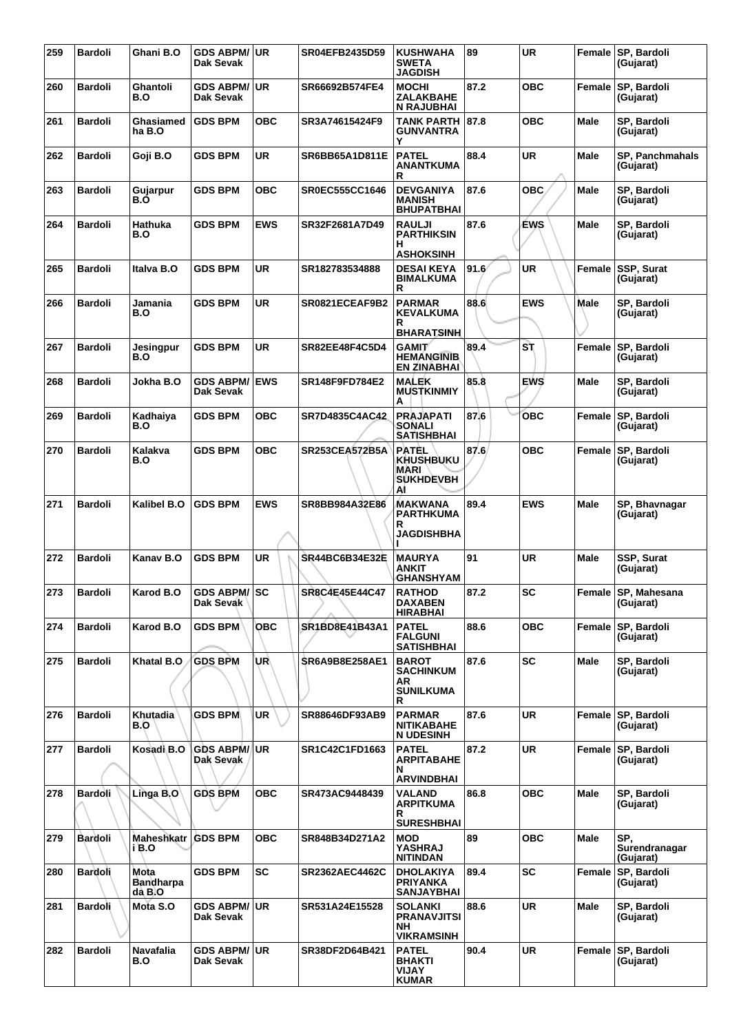| 259 | <b>Bardoli</b> | Ghani B.O                | GDS ABPM/UR<br>Dak Sevak         |            | SR04EFB2435D59        | <b>KUSHWAHA</b><br><b>SWETA</b><br><b>JAGDISH</b>                                           | 89    | <b>UR</b>  |             | Female SP, Bardoli<br>(Gujarat)       |
|-----|----------------|--------------------------|----------------------------------|------------|-----------------------|---------------------------------------------------------------------------------------------|-------|------------|-------------|---------------------------------------|
| 260 | <b>Bardoli</b> | Ghantoli<br>B.O          | <b>GDS ABPM/ UR</b><br>Dak Sevak |            | SR66692B574FE4        | <b>MOCHI</b><br>ZALAKBAHE<br><b>N RAJUBHAI</b>                                              | 87.2  | <b>OBC</b> | Female      | SP, Bardoli<br>(Gujarat)              |
| 261 | <b>Bardoli</b> | Ghasiamed<br>ha B.O      | <b>GDS BPM</b>                   | овс        | SR3A74615424F9        | <b>TANK PARTH</b><br><b>GUNVANTRA</b><br>Y                                                  | 87.8  | овс        | Male        | SP, Bardoli<br>(Gujarat)              |
| 262 | <b>Bardoli</b> | Goji B.O                 | <b>GDS BPM</b>                   | <b>UR</b>  | <b>SR6BB65A1D811E</b> | <b>PATEL</b><br>ANANTKUMA<br>R                                                              | 88.4  | <b>UR</b>  | <b>Male</b> | <b>SP, Panchmahals</b><br>(Gujarat)   |
| 263 | <b>Bardoli</b> | Gujarpur<br>B.O          | <b>GDS BPM</b>                   | <b>OBC</b> | <b>SR0EC555CC1646</b> | <b>DEVGANIYA</b><br><b>MANISH</b><br><b>BHUPATBHAI</b>                                      | 87.6  | <b>OBC</b> | Male        | SP, Bardoli<br>(Gujarat)              |
| 264 | <b>Bardoli</b> | Hathuka<br>B.O           | <b>GDS BPM</b>                   | <b>EWS</b> | SR32F2681A7D49        | <b>RAULJI</b><br><b>PARTHIKSIN</b><br>н<br><b>ASHOKSINH</b>                                 | 87.6  | <b>EWS</b> | Male        | SP, Bardoli<br>(Gujarat)              |
| 265 | <b>Bardoli</b> | Italva B.O               | <b>GDS BPM</b>                   | UR         | SR182783534888        | <b>DESAI KEYA</b><br><b>BIMALKUMA</b><br>R                                                  | 91.6' | UR         | Female      | <b>SSP, Surat</b><br>(Gujarat)        |
| 266 | <b>Bardoli</b> | Jamania<br>B.O           | <b>GDS BPM</b>                   | <b>UR</b>  | SR0821ECEAF9B2        | <b>PARMAR</b><br><b>KEVALKUMA</b><br>R                                                      | 88.6  | <b>EWS</b> | Male        | SP, Bardoli<br>(Gujarat)              |
| 267 | <b>Bardoli</b> | Jesingpur<br>B.O         | <b>GDS BPM</b>                   | <b>UR</b>  | SR82EE48F4C5D4        | <b>BHARATSINH</b><br><b>GAMIT</b><br><b>HEMANGINIB</b><br><b>EN ZINABHAI</b>                | 89.4  | S٦         |             | Female SP, Bardoli<br>(Gujarat)       |
| 268 | <b>Bardoli</b> | Jokha B.O                | <b>GDS ABPM/</b><br>Dak Sevak    | <b>EWS</b> | SR148F9FD784E2        | <b>MALEK</b><br><b>MUSTKINMIY</b><br>А                                                      | 85.8  | <b>EWS</b> | Male        | SP, Bardoli<br>(Gujarat)              |
| 269 | <b>Bardoli</b> | Kadhaiya<br>B.O          | <b>GDS BPM</b>                   | овс        | SR7D4835C4AC42        | <b>PRAJAPATI</b><br><b>SONALI</b><br><b>SATISHBHAI</b>                                      | 87.6  | <b>OBC</b> | Female      | SP, Bardoli<br>(Gujarat)              |
| 270 | <b>Bardoli</b> | Kalakva<br>B.O           | <b>GDS BPM</b>                   | <b>OBC</b> | <b>SR253CEA572B5A</b> | <b>PATEL</b><br><b>KHUSHBUKU</b><br><b>MARI</b><br><b>SUKHDEVBH</b><br>AI                   | 87.6  | <b>OBC</b> | Female      | SP, Bardoli<br>(Gujarat)              |
| 271 | <b>Bardoli</b> | Kalibel B.O              | <b>GDS BPM</b>                   | <b>EWS</b> | SR8BB984A32E86        | MAKWANA<br><b>PARTHKUMA</b><br>R<br><b>JAGDISHBHA</b>                                       | 89.4  | <b>EWS</b> | Male        | SP, Bhavnagar<br>(Gujarat)            |
| 272 | <b>Bardoli</b> | Kanav B.O                | <b>GDS BPM</b>                   | <b>UR</b>  | <b>SR44BC6B34E32E</b> | <b>MAURYA</b><br>ANKIT<br><b>GHANSHYAM</b>                                                  | 91    | <b>UR</b>  | Male        | SSP, Surat<br>(Gujarat)               |
| 273 | <b>Bardoli</b> | Karod B.O                | GDS ABPM/SC<br>Dak Sevak         |            | SR8C4E45E44C47        | <b>RATHOD</b><br><b>DAXABEN</b><br><b>HIRABHAI</b>                                          | 87.2  | <b>SC</b>  |             | Female SP, Mahesana<br>(Gujarat)      |
| 274 | <b>Bardoli</b> | Karod B.O                | <b>GDS BPM</b>                   | <b>OBC</b> | SR1BD8E41B43A1        | <b>PATEL</b><br><b>FALGUNI</b><br><b>SATISHBHAI</b>                                         | 88.6  | <b>OBC</b> |             | Female SP, Bardoli<br>(Gujarat)       |
| 275 | <b>Bardoli</b> | Khatal B.O               | <b>GDS BPM</b>                   | UR∖        | <b>SR6A9B8E258AE1</b> | <b>BAROT</b><br><b>SACHINKUM</b><br>AR.<br><b>SUNILKUMA</b><br>R                            | 87.6  | <b>SC</b>  | Male        | SP, Bardoli<br>(Gujarat)              |
| 276 | <b>Bardoli</b> | Khutadia<br>B.O          | <b>GDS BPM</b>                   | <b>UR</b>  | SR88646DF93AB9        | <b>PARMAR</b><br><b>NITIKABAHE</b><br><b>N UDESINH</b>                                      | 87.6  | UR         |             | Female SP, Bardoli<br>(Gujarat)       |
| 277 | <b>Bardoli</b> | Kosadi B.O               | <b>GDS ABPM/</b><br>Dak Sevak    | ∣UR        | SR1C42C1FD1663        | <b>PATEL</b><br><b>ARPITABAHE</b><br>N                                                      | 87.2  | <b>UR</b>  | Female      | SP, Bardoli<br>(Gujarat)              |
| 278 | <b>Bardoli</b> | Linga B.O                | <b>GDS BPM</b>                   | <b>OBC</b> | SR473AC9448439        | <b>ARVINDBHAI</b><br><b>VALAND</b><br><b>ARPITKUMA</b><br>R                                 | 86.8  | <b>OBC</b> | Male        | SP, Bardoli<br>(Gujarat)              |
| 279 | <b>Bardoli</b> | Maheshkatr<br>i B.O      | <b>GDS BPM</b>                   | <b>OBC</b> | SR848B34D271A2        | <b>SURESHBHAI</b><br><b>MOD</b><br><b>YASHRAJ</b>                                           | 89    | <b>OBC</b> | Male        | SP,<br>Surendranagar                  |
| 280 | <b>Bardoli</b> | Mota<br><b>Bandharpa</b> | <b>GDS BPM</b>                   | <b>SC</b>  | <b>SR2362AEC4462C</b> | <b>NITINDAN</b><br><b>DHOLAKIYA</b><br><b>PRIYANKA</b>                                      | 89.4  | SC         | Female      | (Gujarat)<br>SP, Bardoli<br>(Gujarat) |
| 281 | <b>Bardoli</b> | dà B.O<br>Mota S.O       | GDS ABPM/UR<br>Dak Sevak         |            | SR531A24E15528        | <b>SANJAYBHAI</b><br><b>SOLANKI</b><br><b>PRANAVJITSI</b><br><b>NH</b><br><b>VIKRAMSINH</b> | 88.6  | <b>UR</b>  | <b>Male</b> | SP, Bardoli<br>(Gujarat)              |
| 282 | <b>Bardoli</b> | Navafalia<br>B.O         | GDS ABPM/UR<br>Dak Sevak         |            | SR38DF2D64B421        | <b>PATEL</b><br><b>BHAKTI</b><br>VIJAY<br><b>KUMAR</b>                                      | 90.4  | <b>UR</b>  |             | Female SP, Bardoli<br>(Gujarat)       |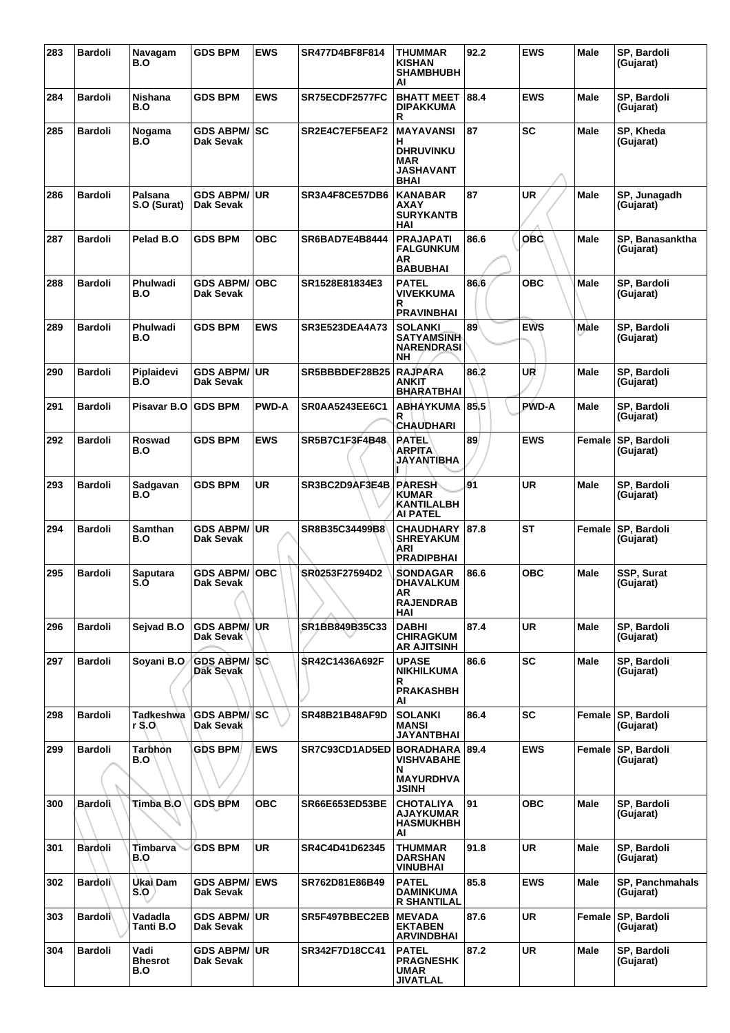| 283 | <b>Bardoli</b> | Navagam<br>B.O                | <b>GDS BPM</b>                    | <b>EWS</b>   | SR477D4BF8F814        | THUMMAR<br>KISHAN<br><b>SHAMBHUBH</b><br>AI                                  | 92.2 | <b>EWS</b>   | <b>Male</b> | SP, Bardoli<br>(Gujarat)            |
|-----|----------------|-------------------------------|-----------------------------------|--------------|-----------------------|------------------------------------------------------------------------------|------|--------------|-------------|-------------------------------------|
| 284 | <b>Bardoli</b> | Nishana<br>B.O                | <b>GDS BPM</b>                    | <b>EWS</b>   | SR75ECDF2577FC        | <b>BHATT MEET</b><br><b>DIPAKKUMA</b><br>R                                   | 88.4 | <b>EWS</b>   | <b>Male</b> | SP, Bardoli<br>(Gujarat)            |
| 285 | <b>Bardoli</b> | Nogama<br>B.O                 | <b>GDS ABPM/ SC</b><br>Dak Sevak  |              | SR2E4C7EF5EAF2        | MAYAVANSI<br>н<br><b>DHRUVINKU</b><br>MAR<br><b>JASHAVANT</b><br><b>BHAI</b> | 87   | SC           | <b>Male</b> | SP, Kheda<br>(Gujarat)              |
| 286 | <b>Bardoli</b> | Palsana<br>S.O (Surat)        | <b>GDS ABPM/ UR</b><br>Dak Sevak  |              | SR3A4F8CE57DB6        | <b>KANABAR</b><br>AXAY<br><b>SURYKANTB</b><br>HAI                            | 87   | UR           | <b>Male</b> | SP, Junagadh<br>(Gujarat)           |
| 287 | <b>Bardoli</b> | Pelad B.O                     | <b>GDS BPM</b>                    | <b>OBC</b>   | <b>SR6BAD7E4B8444</b> | <b>PRAJAPATI</b><br><b>FALGUNKUM</b><br>AR<br><b>BABUBHAI</b>                | 86.6 | OBC          | <b>Male</b> | SP, Banasanktha<br>(Gujarat)        |
| 288 | <b>Bardoli</b> | Phulwadi<br>B.O               | <b>GDS ABPM/</b><br>Dak Sevak     | <b>OBC</b>   | SR1528E81834E3        | <b>PATEL</b><br>VIVEKKUMA<br>R<br><b>PRAVINBHAI</b>                          | 86.6 | <b>OBC</b>   | <b>Male</b> | SP, Bardoli<br>(Gujarat)            |
| 289 | <b>Bardoli</b> | Phulwadi<br>B.O               | <b>GDS BPM</b>                    | <b>EWS</b>   | <b>SR3E523DEA4A73</b> | <b>SOLANKI</b><br><b>SATYAMSINH</b><br><b>NARENDRASI</b><br>NΗ               | 89   | <b>EWS</b>   | Male        | SP, Bardoli<br>(Gujarat)            |
| 290 | <b>Bardoli</b> | Piplaidevi<br>B.O             | <b>GDS ABPM/</b><br>Dak Sevak     | ∣UR          | SR5BBBDEF28B25        | <b>RAJPARA</b><br>ANKIT<br><b>BHARATBHAI</b>                                 | 86.2 | UR           | <b>Male</b> | SP, Bardoli<br>(Gujarat)            |
| 291 | <b>Bardoli</b> | Pisavar B.O                   | <b>GDS BPM</b>                    | <b>PWD-A</b> | <b>SR0AA5243EE6C1</b> | ABHAYKUMA<br>R<br>CHAUDHARI                                                  | 85.5 | <b>PWD-A</b> | <b>Male</b> | SP, Bardoli<br>(Gujarat)            |
| 292 | <b>Bardoli</b> | Roswad<br>B.O                 | <b>GDS BPM</b>                    | <b>EWS</b>   | SR5B7C1F3F4B48        | PATEL<br><b>ARPITA</b><br>JAYANTIBHA                                         | 89   | <b>EWS</b>   | Female      | SP, Bardoli<br>(Gujarat)            |
| 293 | <b>Bardoli</b> | Sadgavan<br>B.O               | <b>GDS BPM</b>                    | <b>UR</b>    | SR3BC2D9AF3E4B        | <b>PARESH</b><br>KUMAR<br>KANTILALBH<br><b>AI PATEL</b>                      | 91   | <b>UR</b>    | Male        | SP, Bardoli<br>(Gujarat)            |
| 294 | <b>Bardoli</b> | Samthan<br>B.O                | <b>GDS ABPM/ UR</b><br>Dak Sevak  |              | SR8B35C34499B8        | <b>CHAUDHARY</b><br><b>SHREYAKUM</b><br>ARI<br><b>PRADIPBHAI</b>             | 87.8 | <b>ST</b>    | Female      | <b>SP, Bardoli</b><br>(Gujarat)     |
| 295 | <b>Bardoli</b> | Saputara<br>S.O               | <b>GDS ABPM/ OBC</b><br>Dak Sevak |              | SR0253F27594D2        | <b>SONDAGAR</b><br>DHAVALKUM<br>AR<br><b>RAJENDRAB</b><br>HAI                | 86.6 | <b>OBC</b>   | <b>Male</b> | SSP, Surat<br>(Gujarat)             |
| 296 | <b>Bardoli</b> | Sejvad B.O                    | <b>GDS ABPM/UR</b><br>Dak Sevak   |              | SR1BB849B35C33        | <b>DABHI</b><br><b>CHIRAGKUM</b><br>AR AJITSINH                              | 87.4 | <b>UR</b>    | <b>Male</b> | SP, Bardoli<br>(Gujarat)            |
| 297 | <b>Bardoli</b> | Soyani B.O                    | <b>GDS ABPM/SC</b><br>Dak Sevak   |              | SR42C1436A692F        | <b>UPASE</b><br>NIKHILKUMA<br>R<br><b>PRAKASHBH</b><br>AI                    | 86.6 | SC           | <b>Male</b> | SP, Bardoli<br>(Gujarat)            |
| 298 | <b>Bardoli</b> | Tadkeshwa<br>r S.O            | <b>GDS ABPM/ SC</b><br>Dak Sevak  |              | SR48B21B48AF9D        | <b>SOLANKI</b><br><b>MANSI</b><br>JAYANTBHAI                                 | 86.4 | <b>SC</b>    | Female      | SP, Bardoli<br>(Gujarat)            |
| 299 | <b>Bardoli</b> | Tarḃhơn<br>B.O                | <b>GDS BPM</b>                    | <b>EWS</b>   | SR7C93CD1AD5ED        | <b>BORADHARA</b><br>VISHVABAHE<br>N<br><b>MAYURDHVA</b>                      | 89.4 | <b>EWS</b>   | Female      | <b>SP, Bardoli</b><br>(Gujarat)     |
| 300 | <b>Bardoli</b> | Timba B.O                     | <b>GDS BPM</b>                    | <b>OBC</b>   | <b>SR66E653ED53BE</b> | JSINH<br>CHOTALIYA<br><b>AJAYKUMAR</b><br><b>HASMUKHBH</b><br>AI             | 91   | <b>OBC</b>   | <b>Male</b> | SP, Bardoli<br>(Gujarat)            |
| 301 | <b>Bardoli</b> | Timbarva<br>B.O               | <b>GDS BPM</b>                    | <b>UR</b>    | SR4C4D41D62345        | <b>THUMMAR</b><br><b>DARSHAN</b><br><b>VINUBHAI</b>                          | 91.8 | <b>UR</b>    | <b>Male</b> | SP, Bardoli<br>(Gujarat)            |
| 302 | <b>Bardoli</b> | Ukai Dam<br>S.                | <b>GDS ABPM/ EWS</b><br>Dak Sevak |              | SR762D81E86B49        | <b>PATEL</b><br>DAMINKUMA<br><b>R SHANTILAL</b>                              | 85.8 | <b>EWS</b>   | <b>Male</b> | <b>SP, Panchmahals</b><br>(Gujarat) |
| 303 | <b>Bardoli</b> | Vadadla<br>Tanti B.O          | <b>GDS ABPM/ UR</b><br>Dak Sevak  |              | SR5F497BBEC2EB        | <b>MEVADA</b><br><b>EKTABEN</b><br><b>ARVINDBHAI</b>                         | 87.6 | UR           | Female      | SP, Bardoli<br>(Gujarat)            |
| 304 | <b>Bardoli</b> | Vadi<br><b>Bhesrot</b><br>B.O | <b>GDS ABPM/ UR</b><br>Dak Sevak  |              | SR342F7D18CC41        | <b>PATEL</b><br><b>PRAGNESHK</b><br><b>UMAR</b><br><b>JIVATLAL</b>           | 87.2 | <b>UR</b>    | Male        | SP, Bardoli<br>(Gujarat)            |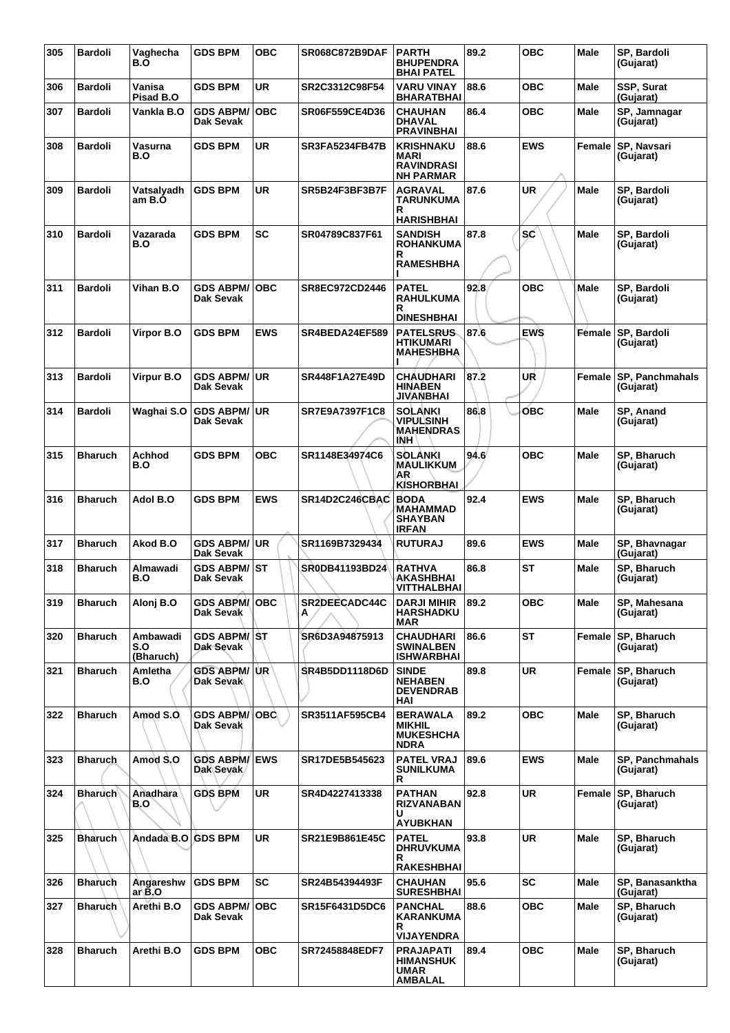| 305 | <b>Bardoli</b> | Vaghecha<br>B.Ő              | <b>GDS BPM</b>                    | овс        | <b>SR068C872B9DAF</b> | <b>PARTH</b><br><b>BHUPENDRA</b><br><b>BHAI PATEL</b>                               | 89.2 | ОВС        | Male          | SP, Bardoli<br>(Gujarat)            |
|-----|----------------|------------------------------|-----------------------------------|------------|-----------------------|-------------------------------------------------------------------------------------|------|------------|---------------|-------------------------------------|
| 306 | <b>Bardoli</b> | Vanisa<br>Pisad B.O          | <b>GDS BPM</b>                    | <b>UR</b>  | SR2C3312C98F54        | <b>VARU VINAY</b><br><b>BHARATBHAI</b>                                              | 88.6 | <b>OBC</b> | Male          | SSP, Surat<br>(Gujarat)             |
| 307 | <b>Bardoli</b> | Vankla B.O                   | <b>GDS ABPM/</b><br>Dak Sevak     | <b>OBC</b> | SR06F559CE4D36        | <b>CHAUHAN</b><br><b>DHAVAL</b><br><b>PRAVINBHAI</b>                                | 86.4 | овс        | Male          | SP, Jamnagar<br>(Gujarat)           |
| 308 | <b>Bardoli</b> | Vasurna<br>B.O               | <b>GDS BPM</b>                    | <b>UR</b>  | <b>SR3FA5234FB47B</b> | <b>KRISHNAKU</b><br>MARI<br><b>RAVINDRASI</b><br><b>NH PARMAR</b>                   | 88.6 | <b>EWS</b> | Female        | SP, Navsari<br>(Gujarat)            |
| 309 | <b>Bardoli</b> | Vatsalyadh<br>am B.O         | <b>GDS BPM</b>                    | <b>UR</b>  | SR5B24F3BF3B7F        | <b>AGRAVAL</b><br>TARUNKUMA<br>R<br><b>HARISHBHAI</b>                               | 87.6 | <b>UR</b>  | Male          | SP, Bardoli<br>(Gujarat)            |
| 310 | <b>Bardoli</b> | Vazarada<br>B.O              | <b>GDS BPM</b>                    | <b>SC</b>  | SR04789C837F61        | <b>SANDISH</b><br><b>ROHANKUMA</b><br>R<br><b>RAMESHBHA</b>                         | 87.8 | <b>SC</b>  | Male          | SP, Bardoli<br>(Gujarat)            |
| 311 | <b>Bardoli</b> | Vihan B.O                    | <b>GDS ABPM/</b><br>Dak Sevak     | <b>OBC</b> | SR8EC972CD2446        | <b>PATEL</b><br><b>RAHULKUMA</b><br>R<br><b>DINESHBHAI</b>                          | 92.8 | <b>OBC</b> | Male          | SP, Bardoli<br>(Gujarat)            |
| 312 | <b>Bardoli</b> | Virpor B.O                   | <b>GDS BPM</b>                    | <b>EWS</b> | SR4BEDA24EF589        | <b>PATELSRUS.</b><br>HTIKUMARI<br><b>MAHESHBHA</b>                                  | 87.6 | <b>EWS</b> | <b>Female</b> | SP, Bardoli<br>(Gujarat)            |
| 313 | <b>Bardoli</b> | Virpur B.O                   | GDS ABPM/UR<br>Dak Sevak          |            | SR448F1A27E49D        | CHAUDHARI<br><b>HINABEN</b><br>JIVANBHAI                                            | 87.2 | UR         | Female        | <b>SP, Panchmahals</b><br>(Gujarat) |
| 314 | <b>Bardoli</b> | Waghai S.O                   | GDS ABPM/UR<br>Dak Sevak          |            | SR7E9A7397F1C8        | <b>SOLANKI</b><br>VIPULSINH<br><b>MAHENDRAS</b><br>INH.                             | 86.8 | ОВС        | Male          | SP, Anand<br>(Gujarat)              |
| 315 | <b>Bharuch</b> | Achhod<br>B.O                | <b>GDS BPM</b>                    | <b>OBC</b> | SR1148E34974C6        | <b>SOLANKI</b><br><b>MAULIKKUM</b><br>AR<br><b>KISHORBHAI</b>                       | 94.6 | <b>OBC</b> | Male          | SP, Bharuch<br>(Gujarat)            |
| 316 | <b>Bharuch</b> | Adol B.O                     | <b>GDS BPM</b>                    | <b>EWS</b> | SR14D2C246CBAC        | <b>BODA</b><br>MAHAMMAD<br><b>SHAYBAN</b><br><b>IRFAN</b>                           | 92.4 | <b>EWS</b> | Male          | SP, Bharuch<br>(Gujarat)            |
| 317 | <b>Bharuch</b> | Akod B.O                     | <b>GDS ABPM/ UR</b><br>Dak Sevak  |            | SR1169B7329434        | <b>RUTURAJ</b>                                                                      | 89.6 | <b>EWS</b> | Male          | SP, Bhavnagar<br>(Gujarat)          |
| 318 | <b>Bharuch</b> | Almawadi<br>B.O              | GDS ABPM/ST<br>Dak Sevak          |            | SR0DB41193BD24        | <b>RATHVA</b><br><b>AKASHBHAI</b><br><b>VITTHALBHAI</b>                             | 86.8 | ST         | Male          | SP, Bharuch<br>(Gujarat)            |
| 319 | <b>Bharuch</b> | Alonj B.O                    | <b>GDS ABPM/OBC</b><br>Dak Sevak  |            | SR2DEECADC44C<br>А    | <b>DARJI MIHIR</b><br><b>HARSHADKU</b><br><b>MAR</b>                                | 89.2 | <b>OBC</b> | Male          | SP, Mahesana<br>(Gujarat)           |
| 320 | <b>Bharuch</b> | Ambawadi<br>S.O<br>(Bharuch) | <b>GDS ABPM/ ST</b><br>Dak Sevak  |            | SR6D3A94875913        | <b>CHAUDHARI</b><br><b>SWINALBEN</b><br><b>ISHWARBHAI</b>                           | 86.6 | ST         | Female        | SP, Bharuch<br>(Gujarat)            |
| 321 | <b>Bharuch</b> | Amletha<br>B.O               | <b>GDS ABPM/UR</b><br>Dak Sevak   |            | SR4B5DD1118D6D        | <b>SINDE</b><br><b>NEHABEN</b><br><b>DEVENDRAB</b><br>HAI                           | 89.8 | <b>UR</b>  | Female        | <b>SP. Bharuch</b><br>(Gujarat)     |
| 322 | <b>Bharuch</b> | Amod S.O                     | <b>GDS ABPM/</b><br>Dak Sevak     | ∣OBC∖      | SR3511AF595CB4        | <b>BERAWALA</b><br><b>MIKHIL</b><br><b>MUKESHCHA</b><br><b>NDRA</b>                 | 89.2 | <b>OBC</b> | Male          | SP, Bharuch<br>(Gujarat)            |
| 323 | <b>Bharuch</b> | Amod S.O                     | <b>GDS ABPM/ EWS</b><br>Dak Sevak |            | SR17DE5B545623        | <b>PATEL VRAJ</b><br><b>SUNILKUMA</b><br>R                                          | 89.6 | <b>EWS</b> | Male          | <b>SP, Panchmahals</b><br>(Gujarat) |
| 324 | <b>Bharuch</b> | Anadhara<br>B.O              | <b>GDS BPM</b>                    | <b>UR</b>  | SR4D4227413338        | <b>PATHAN</b><br><b>RIZVANABAN</b><br>U<br><b>AYUBKHAN</b>                          | 92.8 | <b>UR</b>  | Female        | SP, Bharuch<br>(Gujarat)            |
| 325 | <b>Bharuch</b> | Andada B.O GDS BPM           |                                   | <b>UR</b>  | SR21E9B861E45C        | <b>PATEL</b><br><b>DHRUVKUMA</b><br>R<br><b>RAKESHBHAI</b>                          | 93.8 | <b>UR</b>  | <b>Male</b>   | SP, Bharuch<br>(Gujarat)            |
| 326 | <b>Bharuch</b> | Angareshw<br>ar\B.O          | <b>GDS BPM</b>                    | <b>SC</b>  | SR24B54394493F        | <b>CHAUHAN</b><br><b>SURESHBHAI</b>                                                 | 95.6 | <b>SC</b>  | Male          | SP, Banasanktha<br>(Gujarat)        |
| 327 | <b>Bharuch</b> | Arethi B.O                   | <b>GDS ABPM/</b><br>Dak Sevak     | OBC        | <b>SR15F6431D5DC6</b> | <b>PANCHAL</b><br>KARANKUMA<br>R                                                    | 88.6 | овс        | Male          | SP, Bharuch<br>(Gujarat)            |
| 328 | <b>Bharuch</b> | Arethi B.O                   | GDS BPM                           | <b>OBC</b> | SR72458848EDF7        | <b>VIJAYENDRA</b><br><b>PRAJAPATI</b><br><b>HIMANSHUK</b><br>UMAR<br><b>AMBALAL</b> | 89.4 | <b>OBC</b> | Male          | SP, Bharuch<br>(Gujarat)            |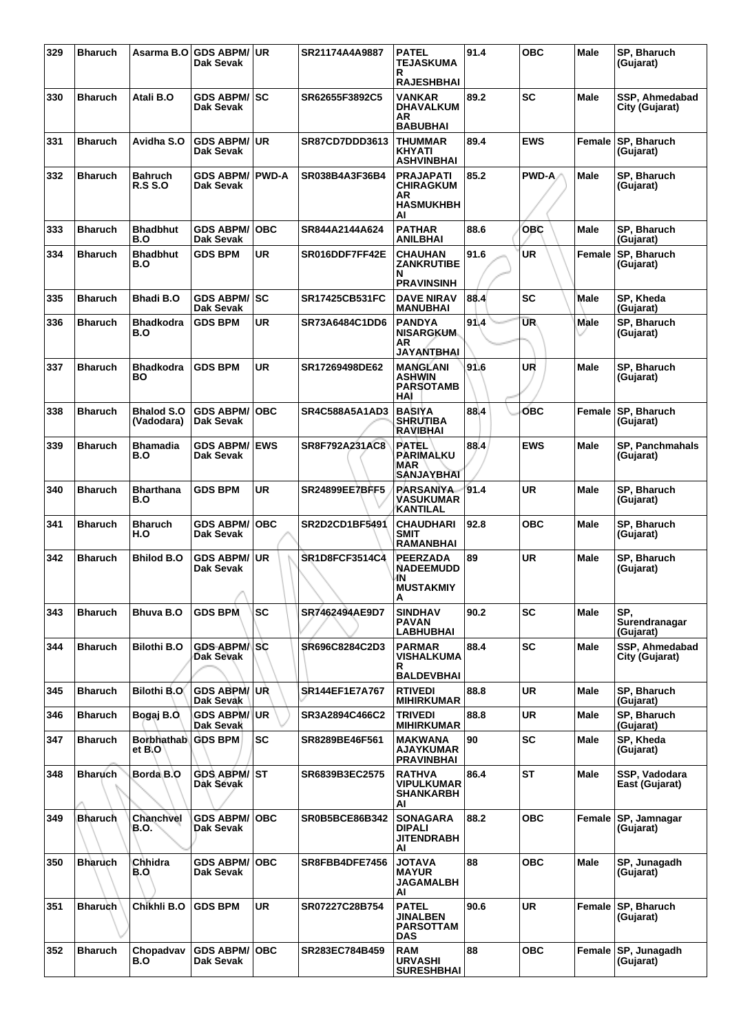| 329 | <b>Bharuch</b> |                                 | Asarma B.O   GDS ABPM/   UR<br>Dak Sevak |            | SR21174A4A9887        | <b>PATEL</b><br><b>TEJASKUMA</b><br>R                                | 91.4 | <b>OBC</b>   | Male          | SP, Bharuch<br>(Gujarat)          |
|-----|----------------|---------------------------------|------------------------------------------|------------|-----------------------|----------------------------------------------------------------------|------|--------------|---------------|-----------------------------------|
|     |                |                                 |                                          |            |                       | <b>RAJESHBHAI</b>                                                    |      |              |               |                                   |
| 330 | <b>Bharuch</b> | Atali B.O                       | <b>GDS ABPM/ SC</b><br>Dak Sevak         |            | SR62655F3892C5        | <b>VANKAR</b><br><b>DHAVALKUM</b><br>AR<br><b>BABUBHAI</b>           | 89.2 | <b>SC</b>    | <b>Male</b>   | SSP. Ahmedabad<br>City (Gujarat)  |
| 331 | <b>Bharuch</b> | Avidha S.O                      | <b>GDS ABPM/ UR</b><br>Dak Sevak         |            | SR87CD7DDD3613        | <b>THUMMAR</b><br><b>KHYATI</b><br><b>ASHVINBHAI</b>                 | 89.4 | <b>EWS</b>   | Female        | SP, Bharuch<br>(Gujarat)          |
| 332 | <b>Bharuch</b> | Bahruch<br><b>R.S S.O</b>       | <b>GDS ABPM/ PWD-A</b><br>Dak Sevak      |            | SR038B4A3F36B4        | <b>PRAJAPATI</b><br><b>CHIRAGKUM</b><br>AR<br><b>HASMUKHBH</b><br>AI | 85.2 | <b>PWD-A</b> | <b>Male</b>   | SP, Bharuch<br>(Gujarat)          |
| 333 | <b>Bharuch</b> | <b>Bhadbhut</b><br>B.O          | <b>GDS ABPM/</b><br>Dak Sevak            | <b>OBC</b> | SR844A2144A624        | <b>PATHAR</b><br><b>ANILBHAI</b>                                     | 88.6 | <b>OBC</b>   | Male          | SP, Bharuch<br>(Gujarat)          |
| 334 | <b>Bharuch</b> | <b>Bhadbhut</b><br>B.O          | <b>GDS BPM</b>                           | <b>UR</b>  | SR016DDF7FF42E        | <b>CHAUHAN</b><br><b>ZANKRUTIBE</b><br>N<br><b>PRAVINSINH</b>        | 91.6 | <b>UR</b>    | Female        | SP, Bharuch<br>(Gujarat)          |
| 335 | <b>Bharuch</b> | Bhadi B.O                       | GDS ABPM/ SC<br>Dak Sevak                |            | SR17425CB531FC        | <b>DAVE NIRAV</b><br><b>MANUBHAI</b>                                 | 88.4 | <b>SC</b>    | Male          | SP, Kheda<br>(Gujarat)            |
| 336 | <b>Bharuch</b> | Bhadkodra<br>B.O                | <b>GDS BPM</b>                           | <b>UR</b>  | SR73A6484C1DD6        | <b>PANDYA</b><br><b>NISARGKUM</b><br>AR<br><b>JAYANTBHAI</b>         | 91.4 | <b>UR</b>    | Male          | SP, Bharuch<br>(Gujarat)          |
| 337 | <b>Bharuch</b> | Bhadkodra<br>BO                 | <b>GDS BPM</b>                           | UR         | SR17269498DE62        | <b>MANGLANI</b><br><b>ASHWIN</b><br><b>PARSOTAMB</b><br>HAI          | 91.6 | UR           | Male          | SP, Bharuch<br>(Gujarat)          |
| 338 | <b>Bharuch</b> | <b>Bhalod S.O</b><br>(Vadodara) | <b>GDS ABPM/</b><br>Dak Sevak            | <b>OBC</b> | <b>SR4C588A5A1AD3</b> | <b>BASIYA</b><br><b>SHRUTIBA</b><br><b>RAVIBHAI</b>                  | 88.4 | бвс          | Female        | SP, Bharuch<br>(Gujarat)          |
| 339 | <b>Bharuch</b> | <b>Bhamadia</b><br>B.O          | <b>GDS ABPM/</b><br>Dak Sevak            | <b>EWS</b> | <b>SR8F792A231AC8</b> | <b>PATEL</b><br>PARIMALKU<br>MAR<br><b>SANJAYBHAI</b>                | 88.4 | <b>EWS</b>   | Male          | SP, Panchmahals<br>(Gujarat)      |
| 340 | <b>Bharuch</b> | Bharthana<br>B.O                | <b>GDS BPM</b>                           | UR         | <b>SR24899EE7BFF5</b> | <b>PARSANIYA</b><br><b>VASUKUMAR</b><br><b>KANTILAL</b>              | 91.4 | <b>UR</b>    | Male          | SP, Bharuch<br>(Gujarat)          |
| 341 | <b>Bharuch</b> | <b>Bharuch</b><br>H.O           | <b>GDS ABPM/ OBC</b><br>Dak Sevak        |            | SR2D2CD1BF5491        | <b>CHAUDHARI</b><br><b>SMIT</b><br><b>RAMANBHAI</b>                  | 92.8 | <b>OBC</b>   | <b>Male</b>   | SP, Bharuch<br>(Gujarat)          |
| 342 | <b>Bharuch</b> | Bhilod B.O                      | <b>GDS ABPM/</b><br>Dak Sevak            | UR.        | <b>SR1D8FCF3514C4</b> | <b>PEERZADA</b><br><b>NADEEMUDD</b><br>IN.<br><b>MUSTAKMIY</b><br>A  | 89   | UR           | Male          | SP, Bharuch<br>(Gujarat)          |
| 343 | <b>Bharuch</b> | Bhuva B.O                       | <b>GDS BPM</b>                           | <b>SC</b>  | SR7462494AE9D7        | <b>SINDHAV</b><br><b>PAVAN</b><br><b>LABHUBHAI</b>                   | 90.2 | <b>SC</b>    | Male          | SP.<br>Surendranagar<br>(Gujarat) |
| 344 | <b>Bharuch</b> | <b>Bilothi B.O</b>              | GDS ABPM/SC<br>Dak Sevak                 |            | SR696C8284C2D3        | <b>PARMAR</b><br>VISHALKUMA<br>R                                     | 88.4 | <b>SC</b>    | <b>Male</b>   | SSP, Ahmedabad<br>City (Gujarat)  |
| 345 | <b>Bharuch</b> | <b>Bilothi B.O</b>              | <b>GDS ABPM/ UR</b>                      |            | <b>SR144EF1E7A767</b> | <b>BALDEVBHAI</b><br><b>RTIVEDI</b>                                  | 88.8 | <b>UR</b>    | Male          | SP, Bharuch                       |
|     |                |                                 | Dak Sevak                                |            |                       | <b>MIHIRKUMAR</b>                                                    |      |              |               | (Gujarat)                         |
| 346 | <b>Bharuch</b> | Bogaj B.O.                      | <b>GDS ABPM/ UR</b><br>Dak Sevak         |            | SR3A2894C466C2        | <b>TRIVEDI</b><br><b>MIHIRKUMAR</b>                                  | 88.8 | <b>UR</b>    | <b>Male</b>   | SP, Bharuch<br>(Gujarat)          |
| 347 | <b>Bharuch</b> | Borbhathab GDS BPM<br>et B.O    |                                          | <b>SC</b>  | SR8289BE46F561        | <b>MAKWANA</b><br>AJAYKUMAR<br><b>PRAVINBHAI</b>                     | 90   | SC           | Male          | SP, Kheda<br>(Gujarat)            |
| 348 | <b>Bharuch</b> | Borda <sub>B.O</sub>            | <b>GDS ABPM/ ST</b><br>Dak Sevak         |            | SR6839B3EC2575        | <b>RATHVA</b><br><b>VIPULKUMAR</b><br>SHANKARBH<br>ΑI                | 86.4 | <b>ST</b>    | <b>Male</b>   | SSP, Vadodara<br>East (Gujarat)   |
| 349 | <b>Bharuch</b> | Chanchvel<br><b>B.O.</b>        | <b>GDS ABPM/ OBC</b><br>Dak Sevak        |            | <b>SR0B5BCE86B342</b> | <b>SONAGARA</b><br><b>DIPALI</b><br><b>JITENDRABH</b><br>AI          | 88.2 | <b>OBC</b>   | <b>Female</b> | <b>SP, Jamnagar</b><br>(Gujarat)  |
| 350 | <b>Bharuch</b> | Chhidra<br>B.O                  | <b>GDS ABPM/ OBC</b><br>Dak Sevak        |            | SR8FBB4DFE7456        | <b>AVATOL</b><br><b>MAYUR</b><br><b>JAGAMALBH</b><br>AI              | 88   | <b>OBC</b>   | <b>Male</b>   | SP, Junagadh<br>(Gujarat)         |
| 351 | <b>Bharuch</b> | Chikhli B.O                     | <b>GDS BPM</b>                           | <b>UR</b>  | SR07227C28B754        | <b>PATEL</b><br><b>JINALBEN</b><br><b>PARSOTTAM</b><br><b>DAS</b>    | 90.6 | <b>UR</b>    |               | Female SP, Bharuch<br>(Gujarat)   |
| 352 | <b>Bharuch</b> | Chopadvav<br>B.O                | <b>GDS ABPM/OBC</b><br>Dak Sevak         |            | SR283EC784B459        | <b>RAM</b><br><b>URVASHI</b><br><b>SURESHBHAI</b>                    | 88   | <b>OBC</b>   |               | Female SP, Junagadh<br>(Gujarat)  |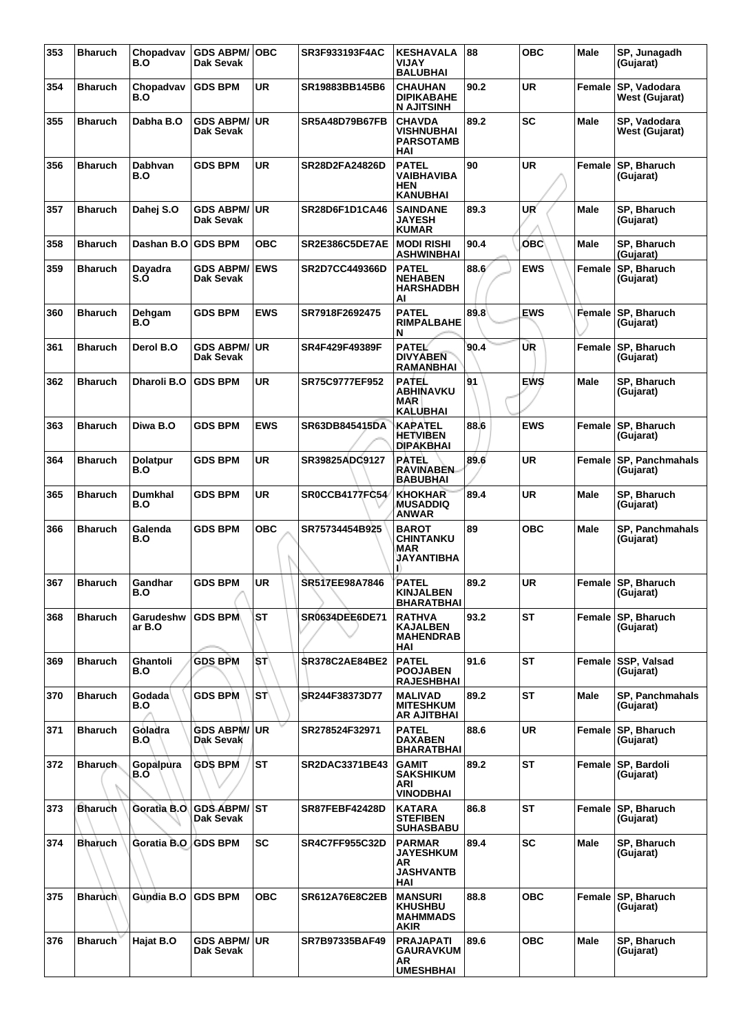| 353 | <b>Bharuch</b> | Chopadvav<br>B.O       | <b>GDS ABPM/OBC</b><br>Dak Sevak |            | SR3F933193F4AC        | <b>KESHAVALA</b><br><b>VIJAY</b><br><b>BALUBHAI</b>                | 88   | <b>OBC</b> | <b>Male</b> | SP, Junagadh<br>(Gujarat)           |
|-----|----------------|------------------------|----------------------------------|------------|-----------------------|--------------------------------------------------------------------|------|------------|-------------|-------------------------------------|
| 354 | <b>Bharuch</b> | Chopadvav<br>B.O       | <b>GDS BPM</b>                   | UR         | SR19883BB145B6        | <b>CHAUHAN</b><br><b>DIPIKABAHE</b><br><b>N AJITSINH</b>           | 90.2 | <b>UR</b>  | Female      | SP, Vadodara<br>West (Gujarat)      |
| 355 | <b>Bharuch</b> | Dabha B.O              | <b>GDS ABPM/ UR</b><br>Dak Sevak |            | <b>SR5A48D79B67FB</b> | <b>CHAVDA</b><br><b>VISHNUBHAI</b><br><b>PARSOTAMB</b><br>HAI      | 89.2 | <b>SC</b>  | Male        | SP, Vadodara<br>West (Gujarat)      |
| 356 | <b>Bharuch</b> | Dabhvan<br>B.O         | <b>GDS BPM</b>                   | <b>UR</b>  | <b>SR28D2FA24826D</b> | <b>PATEL</b><br>VAIBHAVIBA<br><b>HEN</b><br><b>KANUBHAI</b>        | 90   | <b>UR</b>  | Female      | SP, Bharuch<br>(Gujarat)            |
| 357 | <b>Bharuch</b> | Dahej S.O              | <b>GDS ABPM/ UR</b><br>Dak Sevak |            | SR28D6F1D1CA46        | <b>SAINDANE</b><br><b>JAYESH</b><br><b>KUMAR</b>                   | 89.3 | UR'        | Male        | SP, Bharuch<br>(Gujarat)            |
| 358 | <b>Bharuch</b> | Dashan B.O             | <b>GDS BPM</b>                   | <b>OBC</b> | SR2E386C5DE7AE        | <b>MODI RISHI</b><br><b>ASHWINBHAI</b>                             | 90.4 | <b>OBC</b> | <b>Male</b> | SP, Bharuch<br>(Gujarat)            |
| 359 | <b>Bharuch</b> | Dayadra<br>S.O         | <b>GDS ABPM/</b><br>Dak Sevak    | <b>EWS</b> | <b>SR2D7CC449366D</b> | <b>PATEL</b><br><b>NEHABEN</b><br><b>HARSHADBH</b><br>AI           | 88.6 | <b>EWS</b> | Female      | SP, Bharuch<br>(Gujarat)            |
| 360 | <b>Bharuch</b> | Dehgam<br>B.O          | <b>GDS BPM</b>                   | <b>EWS</b> | SR7918F2692475        | <b>PATEL</b><br><b>RIMPALBAHE</b><br>N                             | 89.8 | <b>EWS</b> | Female      | SP, Bharuch<br>(Gujarat)            |
| 361 | <b>Bharuch</b> | Derol B.O              | <b>GDS ABPM/ UR</b><br>Dak Sevak |            | SR4F429F49389F        | <b>PATEL</b><br><b>DIVYABEN</b><br><b>RAMANBHAI</b>                | 90.4 | UR         | Female      | SP, Bharuch<br>(Gujarat)            |
| 362 | <b>Bharuch</b> | Dharoli B.O            | <b>GDS BPM</b>                   | <b>UR</b>  | <b>SR75C9777EF952</b> | <b>PATEL</b><br><b>ABHINAVKU</b><br><b>MAR</b><br><b>KALUBHAI</b>  | 91   | <b>EWS</b> | Male        | SP, Bharuch<br>(Gujarat)            |
| 363 | <b>Bharuch</b> | Diwa B.O               | <b>GDS BPM</b>                   | <b>EWS</b> | SR63DB845415DA        | KAPATEL<br><b>HETVIBEN</b><br><b>DIPAKBHAI</b>                     | 88.6 | <b>EWS</b> | Female      | SP, Bharuch<br>(Gujarat)            |
| 364 | <b>Bharuch</b> | <b>Dolatpur</b><br>B.O | <b>GDS BPM</b>                   | UR         | SR39825ADC9127        | PATEL<br><b>RAVINABEN</b><br><b>BABUBHAI</b>                       | 89.6 | <b>UR</b>  | Female      | <b>SP, Panchmahals</b><br>(Gujarat) |
| 365 | <b>Bharuch</b> | Dumkhal<br>B.O         | <b>GDS BPM</b>                   | <b>UR</b>  | <b>SROCCB4177FC54</b> | <b>KHOKHAR</b><br><b>MUSADDIQ</b><br><b>ANWAR</b>                  | 89.4 | <b>UR</b>  | <b>Male</b> | SP, Bharuch<br>(Gujarat)            |
| 366 | <b>Bharuch</b> | Galenda<br>B.O         | <b>GDS BPM</b>                   | <b>OBC</b> | SR75734454B925        | <b>BAROT</b><br><b>CHINTANKU</b><br>MAR<br>JAYANTIBHA              | 89   | <b>OBC</b> | Male        | SP, Panchmahals<br>(Gujarat)        |
| 367 | <b>Bharuch</b> | Gandhar<br>B.O         | <b>GDS BPM</b>                   | <b>UR</b>  | SR517EE98A7846        | <b>PATEL</b><br><b>KINJALBEN</b><br><b>BHARATBHAI</b>              | 89.2 | <b>UR</b>  |             | Female SP, Bharuch<br>(Gujarat)     |
| 368 | <b>Bharuch</b> | Garudeshw<br>ar B.O    | <b>GDS BPM</b>                   | <b>ST</b>  | <b>SR0634DEE6DE71</b> | <b>RATHVA</b><br><b>KAJALBEN</b><br><b>MAHENDRAB</b><br>HAI        | 93.2 | ST         |             | Female SP, Bharuch<br>(Gujarat)     |
| 369 | <b>Bharuch</b> | Ghantoli<br>B.O        | <b>GDS BPM</b>                   | `SΤ`       | <b>SR378C2AE84BE2</b> | <b>PATEL</b><br><b>POOJABEN</b><br><b>RAJESHBHAI</b>               | 91.6 | ST         | Female      | SSP, Valsad<br>(Gujarat)            |
| 370 | <b>Bharuch</b> | Godada<br>B.O          | GDS BPM                          | <b>ST</b>  | SR244F38373D77        | <b>MALIVAD</b><br><b>MITESHKUM</b><br><b>AR AJITBHAI</b>           | 89.2 | ST         | Male        | <b>SP, Panchmahals</b><br>(Gujarat) |
| 371 | <b>Bharuch</b> | Goladra<br>B.O.        | <b>GDS ABPM/ UR</b><br>Dak Sevak |            | SR278524F32971        | <b>PATEL</b><br><b>DAXABEN</b><br><b>BHARATBHAI</b>                | 88.6 | <b>UR</b>  | Female      | <b>SP, Bharuch</b><br>(Gujarat)     |
| 372 | <b>Bharuch</b> | Gopalpura<br>B.O       | <b>GDS BPM</b>                   | <b>ST</b>  | <b>SR2DAC3371BE43</b> | <b>GAMIT</b><br><b>SAKSHIKUM</b><br><b>ARI</b><br><b>VINODBHAI</b> | 89.2 | <b>ST</b>  | Female      | SP, Bardoli<br>(Gujarat)            |
| 373 | <b>Bharuch</b> | Goratia B.O            | <b>GDS ABPM/ST</b><br>Dak Sevak  |            | SR87FEBF42428D        | <b>KATARA</b><br><b>STEFIBEN</b><br><b>SUHASBABU</b>               | 86.8 | <b>ST</b>  | Female      | SP, Bharuch<br>(Gujarat)            |
| 374 | <b>Bharuch</b> | Goratia B.O GDS BPM    |                                  | <b>SC</b>  | <b>SR4C7FF955C32D</b> | <b>PARMAR</b><br><b>JAYESHKUM</b><br>AR<br><b>JASHVANTB</b><br>HAI | 89.4 | <b>SC</b>  | Male        | SP, Bharuch<br>(Gujarat)            |
| 375 | <b>Bharuch</b> | Gùndia B.O             | <b>GDS BPM</b>                   | <b>OBC</b> | <b>SR612A76E8C2EB</b> | <b>MANSURI</b><br><b>KHUSHBU</b><br><b>MAHMMADS</b><br>AKIR        | 88.8 | <b>OBC</b> | Female      | SP, Bharuch<br>(Gujarat)            |
| 376 | <b>Bharuch</b> | Hajat B.O              | <b>GDS ABPM/ UR</b><br>Dak Sevak |            | SR7B97335BAF49        | <b>PRAJAPATI</b><br><b>GAURAVKUM</b><br>AR<br><b>UMESHBHAI</b>     | 89.6 | <b>OBC</b> | Male        | SP, Bharuch<br>(Gujarat)            |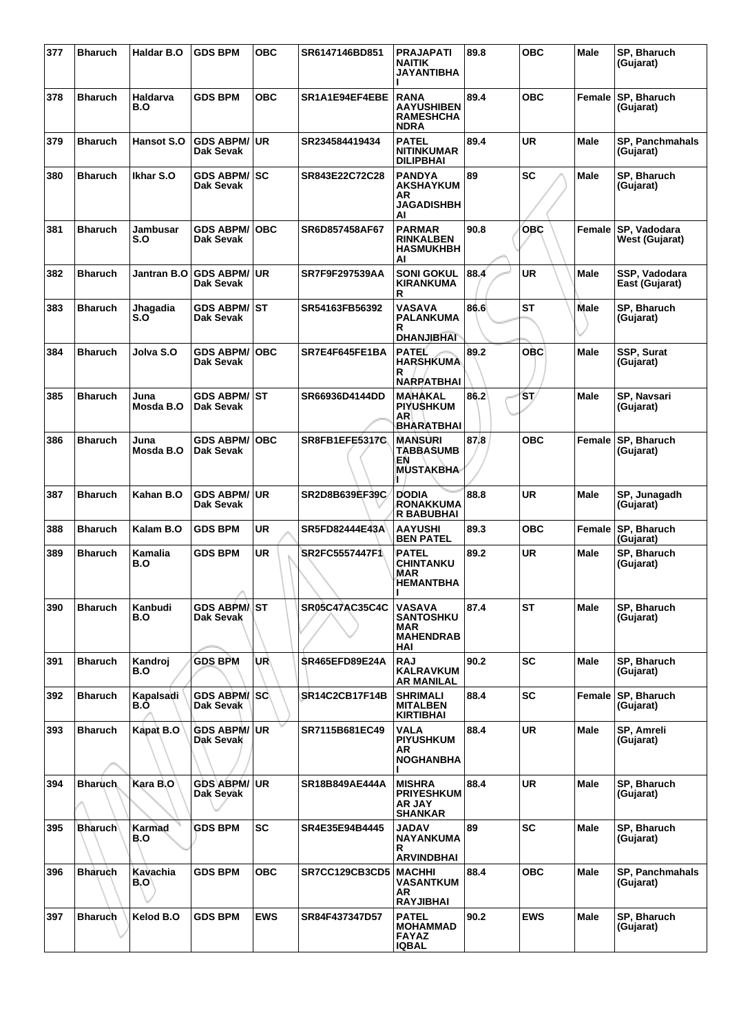| 377 | <b>Bharuch</b> | Haldar B.O        | <b>GDS BPM</b>                          | <b>OBC</b> | SR6147146BD851        | <b>PRAJAPATI</b><br><b>NAITIK</b><br><b>JAYANTIBHA</b>                | 89.8 | <b>OBC</b> | <b>Male</b> | SP, Bharuch<br>(Gujarat)              |
|-----|----------------|-------------------|-----------------------------------------|------------|-----------------------|-----------------------------------------------------------------------|------|------------|-------------|---------------------------------------|
| 378 | <b>Bharuch</b> | Haldarva<br>B.O   | <b>GDS BPM</b>                          | <b>OBC</b> | SR1A1E94EF4EBE        | <b>RANA</b><br><b>AAYUSHIBEN</b><br><b>RAMESHCHA</b><br><b>NDRA</b>   | 89.4 | <b>OBC</b> | Female      | <b>SP, Bharuch</b><br>(Gujarat)       |
| 379 | <b>Bharuch</b> | <b>Hansot S.O</b> | <b>GDS ABPM/</b><br>Dak Sevak           | ∣UR.       | SR234584419434        | <b>PATEL</b><br><b>NITINKUMAR</b><br><b>DILIPBHAI</b>                 | 89.4 | <b>UR</b>  | <b>Male</b> | <b>SP. Panchmahals</b><br>(Gujarat)   |
| 380 | <b>Bharuch</b> | Ikhar S.O         | GDS ABPM/SC<br>Dak Sevak                |            | SR843E22C72C28        | <b>PANDYA</b><br><b>AKSHAYKUM</b><br>AR<br><b>JAGADISHBH</b><br>Al    | 89   | <b>SC</b>  | Male        | SP, Bharuch<br>(Gujarat)              |
| 381 | <b>Bharuch</b> | Jambusar<br>S.O   | <b>GDS ABPM/</b><br>Dak Sevak           | <b>OBC</b> | SR6D857458AF67        | <b>PARMAR</b><br><b>RINKALBEN</b><br><b>HASMUKHBH</b><br>AI           | 90.8 | <b>OBC</b> |             | Female SP, Vadodara<br>West (Gujarat) |
| 382 | <b>Bharuch</b> | Jantran B.O       | <b>GDS ABPM/</b><br>Dak Sevak           | ∣UR        | <b>SR7F9F297539AA</b> | <b>SONI GOKUL</b><br><b>KIRANKUMA</b><br>R                            | 88.4 | <b>UR</b>  | <b>Male</b> | SSP, Vadodara<br>East (Gujarat)       |
| 383 | <b>Bharuch</b> | Jhagadia<br>S.O   | <b>GDS ABPM/ ST</b><br>Dak Sevak        |            | SR54163FB56392        | VASAVA<br><b>PALANKUMA</b><br>R<br><b>DHANJIBHAI</b>                  | 86.6 | <b>ST</b>  | Male        | SP, Bharuch<br>(Gujarat)              |
| 384 | <b>Bharuch</b> | Jolva S.O         | <b>GDS ABPM/ OBC</b><br>Dak Sevak       |            | SR7E4F645FE1BA        | <b>PATEL</b><br><b>HARSHKUMA</b><br>R<br><b>NARPATBHAI</b>            | 89.2 | <b>OBC</b> | Male        | SSP, Surat<br>(Gujarat)               |
| 385 | <b>Bharuch</b> | Juna<br>Mosda B.O | <b>GDS ABPM/ ST</b><br>Dak Sevak        |            | SR66936D4144DD        | <b>MAHAKAL</b><br><b>PIYUSHKUM</b><br><b>AR</b><br><b>BHARATBHAI</b>  | 86.2 | 'ST/       | Male        | SP, Navsari<br>(Gujarat)              |
| 386 | <b>Bharuch</b> | Juna<br>Mosda B.O | <b>GDS ABPM/ OBC</b><br>Dak Sevak       |            | <b>SR8FB1EFE5317C</b> | <b>MANSURI</b><br><b>TABBASUMB</b><br>EN<br><b>MUSTAKBHA</b><br>Ш.    | 87.8 | <b>OBC</b> | Female      | <b>SP, Bharuch</b><br>(Gujarat)       |
| 387 | <b>Bharuch</b> | Kahan B.O         | <b>GDS ABPM/ UR</b><br>Dak Sevak        |            | SR2D8B639EF39C        | <b>DODIA</b><br><b>RONAKKUMA</b><br><b>R BABUBHAI</b>                 | 88.8 | <b>UR</b>  | <b>Male</b> | SP, Junagadh<br>(Gujarat)             |
| 388 | <b>Bharuch</b> | Kalam B.O         | <b>GDS BPM</b>                          | UR         | SR5FD82444E43A        | <b>AAYUSHI</b><br><b>BEN PATEL</b>                                    | 89.3 | <b>OBC</b> | Female      | SP, Bharuch<br>(Gujarat)              |
| 389 | <b>Bharuch</b> | Kamalia<br>B.O    | <b>GDS BPM</b>                          | <b>UR</b>  | SR2FC5557447F1        | PATEL<br><b>CHINTANKU</b><br><b>MAR</b><br>HEMANTBHA                  | 89.2 | <b>UR</b>  | <b>Male</b> | SP, Bharuch<br>(Gujarat)              |
| 390 | <b>Bharuch</b> | Kanbudi<br>B.O    | <b>GDS ABPMAST</b><br>Dak Sevak         |            | SR05C47AC35C4C        | VASAVA<br><b>SANTOSHKU</b><br>MAR<br><b>MAHENDRAB</b><br>HAI          | 87.4 | <b>ST</b>  | Male        | SP, Bharuch<br>(Gujarat)              |
| 391 | <b>Bharuch</b> | Kandroj<br>B.O    | <b>GDS BPM</b>                          | UR\        | <b>SR465EFD89E24A</b> | <b>RAJ</b><br><b>KALRAVKUM</b><br><b>AR MANILAL</b>                   | 90.2 | <b>SC</b>  | Male        | SP, Bharuch<br>(Gujarat)              |
| 392 | <b>Bharuch</b> | Kapalsadi<br>B.O  | <b>GDS ABPM/ SC</b><br>Dak Sevak        |            | <b>SR14C2CB17F14B</b> | <b>SHRIMALI</b><br><b>MITALBEN</b><br><b>KIRTIBHAI</b>                | 88.4 | <b>SC</b>  | Female      | SP, Bharuch<br>(Gujarat)              |
| 393 | <b>Bharuch</b> | Kapat B.O         | <b>GDS ABPM/ UR</b><br><b>Dak Sevak</b> |            | SR7115B681EC49        | VALA<br><b>PIYUSHKUM</b><br>AR.<br><b>NOGHANBHA</b>                   | 88.4 | <b>UR</b>  | <b>Male</b> | SP, Amreli<br>(Gujarat)               |
| 394 | <b>Bharuch</b> | Kara B.O          | GDS ABPM/UR<br>Dak Sevak                |            | SR18B849AE444A        | <b>MISHRA</b><br><b>PRIYESHKUM</b><br><b>AR JAY</b><br><b>SHANKAR</b> | 88.4 | <b>UR</b>  | Male        | SP, Bharuch<br>(Gujarat)              |
| 395 | <b>Bharuch</b> | Karmad<br>B.O     | <b>GDS BPM</b>                          | <b>SC</b>  | SR4E35E94B4445        | JADAV<br>NAYANKUMA<br>R<br><b>ARVINDBHAI</b>                          | 89   | <b>SC</b>  | Male        | SP, Bharuch<br>(Gujarat)              |
| 396 | <b>Bharuch</b> | Kavachia<br>B.O'  | <b>GDS BPM</b>                          | ОВС        | SR7CC129CB3CD5        | <b>MACHHI</b><br>VASANTKUM<br>AR<br><b>RAYJIBHAI</b>                  | 88.4 | <b>OBC</b> | Male        | <b>SP, Panchmahals</b><br>(Gujarat)   |
| 397 | <b>Bharuch</b> | Kelod B.O         | <b>GDS BPM</b>                          | <b>EWS</b> | SR84F437347D57        | <b>PATEL</b><br><b>MOHAMMAD</b><br><b>FAYAZ</b><br><b>IQBAL</b>       | 90.2 | <b>EWS</b> | Male        | SP, Bharuch<br>(Gujarat)              |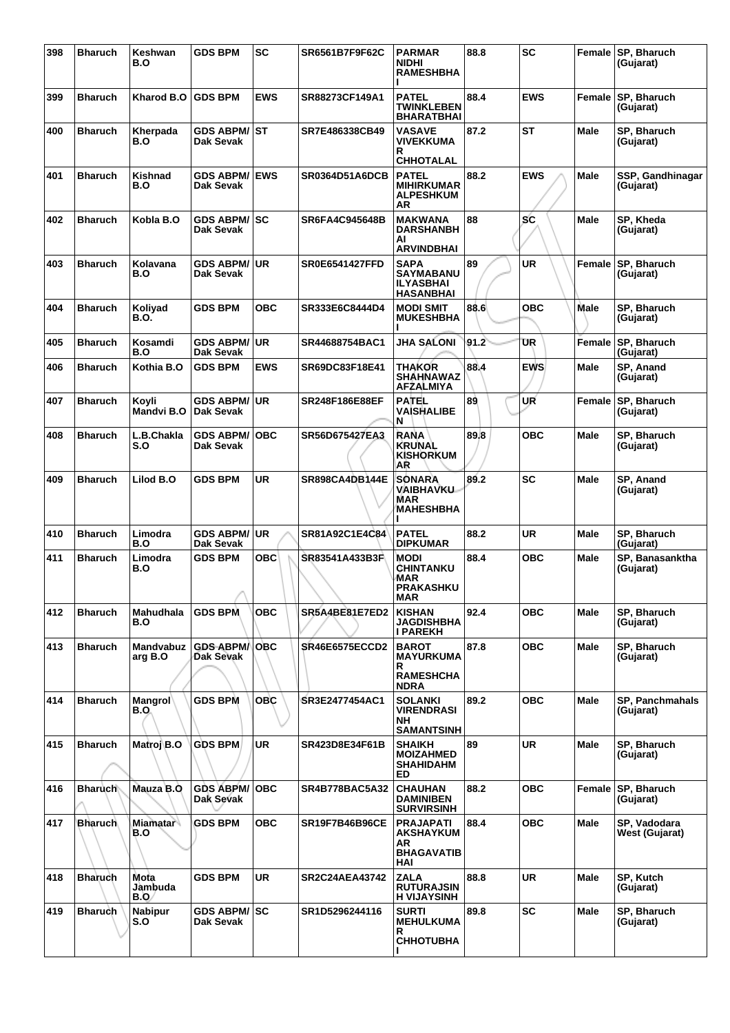| 398 | <b>Bharuch</b> | Keshwan<br>B.O         | <b>GDS BPM</b>                    | <b>SC</b>  | SR6561B7F9F62C        | <b>PARMAR</b><br><b>NIDHI</b><br><b>RAMESHBHA</b>                        | 88.8 | <b>SC</b>  |             | Female SP, Bharuch<br>(Gujarat)       |
|-----|----------------|------------------------|-----------------------------------|------------|-----------------------|--------------------------------------------------------------------------|------|------------|-------------|---------------------------------------|
| 399 | <b>Bharuch</b> | Kharod B.O             | <b>GDS BPM</b>                    | <b>EWS</b> | SR88273CF149A1        | <b>PATEL</b><br><b>TWINKLEBEN</b><br><b>BHARATBHAI</b>                   | 88.4 | <b>EWS</b> | Female      | SP, Bharuch<br>(Gujarat)              |
| 400 | <b>Bharuch</b> | Kherpada<br>B.O        | <b>GDS ABPM/ ST</b><br>Dak Sevak  |            | SR7E486338CB49        | <b>VASAVE</b><br><b>VIVEKKUMA</b><br>R<br><b>CHHOTALAL</b>               | 87.2 | ST         | <b>Male</b> | SP, Bharuch<br>(Gujarat)              |
| 401 | <b>Bharuch</b> | Kishnad<br>B.O         | <b>GDS ABPM/ EWS</b><br>Dak Sevak |            | <b>SR0364D51A6DCB</b> | <b>PATEL</b><br><b>MIHIRKUMAR</b><br><b>ALPESHKUM</b><br>AR              | 88.2 | <b>EWS</b> | <b>Male</b> | SSP, Gandhinagar<br>(Gujarat)         |
| 402 | <b>Bharuch</b> | Kobla B.O              | <b>GDS ABPM/ SC</b><br>Dak Sevak  |            | SR6FA4C945648B        | <b>MAKWANA</b><br><b>DARSHANBH</b><br>ΑI<br><b>ARVINDBHAI</b>            | 88   | SC         | Male        | SP, Kheda<br>(Gujarat)                |
| 403 | <b>Bharuch</b> | Kolavana<br>B.O        | GDS ABPM/∣UR<br>Dak Sevak         |            | <b>SR0E6541427FFD</b> | <b>SAPA</b><br><b>SAYMABANU</b><br><b>ILYASBHAI</b><br><b>HASANBHAI</b>  | 89   | UR         | Female      | SP, Bharuch<br>(Gujarat)              |
| 404 | <b>Bharuch</b> | Kolivad<br>B.O.        | <b>GDS BPM</b>                    | <b>OBC</b> | SR333E6C8444D4        | <b>MODI SMIT</b><br><b>MUKESHBHA</b>                                     | 88.6 | <b>OBC</b> | Male        | SP, Bharuch<br>(Gujarat)              |
| 405 | <b>Bharuch</b> | Kosamdi<br>B.O         | <b>GDS ABPM/ UR</b><br>Dak Sevak  |            | SR44688754BAC1        | JHA SALONI                                                               | 91.2 | UR         | Female      | SP, Bharuch<br>(Gujarat)              |
| 406 | <b>Bharuch</b> | Kothia B.O             | <b>GDS BPM</b>                    | <b>EWS</b> | SR69DC83F18E41        | <b>THAKOR</b><br><b>SHAHNAWAZ</b><br><b>AFZALMIYA</b>                    | 88.4 | <b>EWS</b> | <b>Male</b> | SP. Anand<br>(Gujarat)                |
| 407 | <b>Bharuch</b> | Koyli<br>Mandvi B.O    | <b>GDS ABPM/ UR</b><br>Dak Sevak  |            | <b>SR248F186E88EF</b> | <b>PATEL</b><br>VAISHALIBE<br>N                                          | 89   | UR         | Female      | SP, Bharuch<br>(Gujarat)              |
| 408 | <b>Bharuch</b> | L.B.Chakla<br>S.O      | <b>GDS ABPM/</b><br>Dak Sevak     | <b>OBC</b> | SR56D675427EA3        | <b>RANA</b><br><b>KRUNAL</b><br><b>KISHORKUM</b><br>AR                   | 89.8 | <b>OBC</b> | <b>Male</b> | SP, Bharuch<br>(Gujarat)              |
| 409 | <b>Bharuch</b> | Lilod B.O              | <b>GDS BPM</b>                    | <b>UR</b>  | <b>SR898CA4DB144E</b> | <b>SONARA</b><br>VAIBHAVKU<br><b>MAR</b><br><b>MAHESHBHA</b>             | 89.2 | <b>SC</b>  | <b>Male</b> | SP, Anand<br>(Gujarat)                |
| 410 | <b>Bharuch</b> | Limodra<br>B.O         | <b>GDS ABPM/ UR</b><br>Dak Sevak  |            | SR81A92C1E4C84        | <b>PATEL</b><br><b>DIPKUMAR</b>                                          | 88.2 | <b>UR</b>  | Male        | SP, Bharuch<br>(Gujarat)              |
| 411 | <b>Bharuch</b> | Limodra<br>B.O         | <b>GDS BPM</b>                    | <b>OBC</b> | SR83541A433B3F        | <b>MODI</b><br><b>CHINTANKU</b><br>MAR<br><b>PRAKASHKU</b><br>MAR        | 88.4 | <b>OBC</b> | Male        | SP. Banasanktha<br>(Gujarat)          |
| 412 | <b>Bharuch</b> | Mahudhala<br>B.O       | <b>GDS BPM</b>                    | ОВС        | SR5A4BE81E7ED2        | <b>KISHAN</b><br><b>JAGDISHBHA</b><br>I PAREKH                           | 92.4 | ОВС        | Male        | SP, Bharuch<br>(Gujarat)              |
| 413 | <b>Bharuch</b> | Mandvabuz<br>arg B.O   | <b>GDS ABPM/OBC</b><br>Dak Sevak  |            | <b>SR46E6575ECCD2</b> | <b>BAROT</b><br><b>MAYURKUMA</b><br>R<br><b>RAMESHCHA</b><br><b>NDRA</b> | 87.8 | <b>OBC</b> | <b>Male</b> | SP, Bharuch<br>(Gujarat)              |
| 414 | <b>Bharuch</b> | <b>Mangrol</b><br>B.O  | <b>GDS BPM</b>                    | <b>OBC</b> | SR3E2477454AC1        | <b>SOLANKI</b><br><b>VIRENDRASI</b><br>NH<br><b>SAMANTSINH</b>           | 89.2 | <b>OBC</b> | <b>Male</b> | <b>SP. Panchmahals</b><br>(Gujarat)   |
| 415 | <b>Bharuch</b> | Matroj B.O             | <b>GDS BPM</b>                    | <b>UR</b>  | SR423D8E34F61B        | <b>SHAIKH</b><br><b>MOIZAHMED</b><br>SHAHIDAHM<br>ED                     | 89   | <b>UR</b>  | <b>Male</b> | SP, Bharuch<br>(Gujarat)              |
| 416 | <b>Bharuch</b> | Mauza B.O              | <b>GDS ABPM/ OBC</b><br>Dak Sevak |            | <b>SR4B778BAC5A32</b> | <b>CHAUHAN</b><br><b>DAMINIBEN</b><br><b>SURVIRSINH</b>                  | 88.2 | <b>OBC</b> |             | Female SP, Bharuch<br>(Gujarat)       |
| 417 | <b>Bharuch</b> | <b>Miamatar</b><br>B.O | <b>GDS BPM</b>                    | <b>OBC</b> | <b>SR19F7B46B96CE</b> | <b>PRAJAPATI</b><br><b>AKSHAYKUM</b><br>AR<br><b>BHAGAVATIB</b><br>HAI   | 88.4 | <b>OBC</b> | Male        | SP, Vadodara<br><b>West (Gujarat)</b> |
| 418 | <b>Bharuch</b> | Mota<br>Jàmbuda<br>B.O | <b>GDS BPM</b>                    | <b>UR</b>  | <b>SR2C24AEA43742</b> | <b>ZALA</b><br><b>RUTURAJSIN</b><br><b>H VIJAYSINH</b>                   | 88.8 | <b>UR</b>  | <b>Male</b> | SP, Kutch<br>(Gujarat)                |
| 419 | <b>Bharuch</b> | <b>Nabipur</b><br>S.O  | GDS ABPM/SC<br>Dak Sevak          |            | SR1D5296244116        | <b>SURTI</b><br><b>MEHULKUMA</b><br>R<br><b>CHHOTUBHA</b>                | 89.8 | <b>SC</b>  | Male        | SP, Bharuch<br>(Gujarat)              |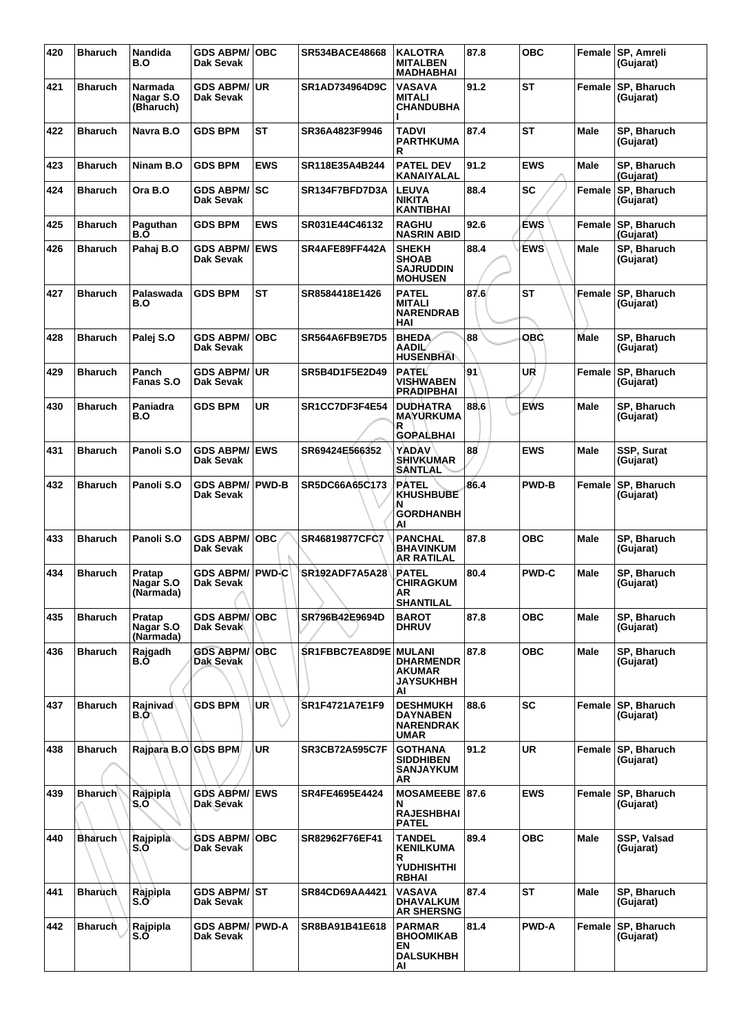| 420 | <b>Bharuch</b> | Nandida<br>B.O                    | <b>GDS ABPM/OBC</b><br>Dak Sevak    |            | <b>SR534BACE48668</b>        | <b>KALOTRA</b><br><b>MITALBEN</b><br><b>MADHABHAI</b>                       | 87.8 | <b>OBC</b>   |             | Female SP, Amreli<br>(Gujarat)  |
|-----|----------------|-----------------------------------|-------------------------------------|------------|------------------------------|-----------------------------------------------------------------------------|------|--------------|-------------|---------------------------------|
| 421 | <b>Bharuch</b> | Narmada<br>Nagar S.O<br>(Bharuch) | <b>GDS ABPM/ UR</b><br>Dak Sevak    |            | SR1AD734964D9C               | <b>VASAVA</b><br><b>MITALI</b><br><b>CHANDUBHA</b>                          | 91.2 | ST           | Female      | SP, Bharuch<br>(Gujarat)        |
| 422 | <b>Bharuch</b> | Navra B.O                         | <b>GDS BPM</b>                      | ST         | SR36A4823F9946               | <b>TADVI</b><br><b>PARTHKUMA</b><br>R                                       | 87.4 | <b>ST</b>    | <b>Male</b> | SP, Bharuch<br>(Gujarat)        |
| 423 | <b>Bharuch</b> | Ninam B.O                         | <b>GDS BPM</b>                      | <b>EWS</b> | SR118E35A4B244               | <b>PATEL DEV</b><br>KANAIYALAL                                              | 91.2 | <b>EWS</b>   | Male        | SP, Bharuch<br>(Gujarat)        |
| 424 | <b>Bharuch</b> | Ora B.O                           | <b>GDS ABPM/ SC</b><br>Dak Sevak    |            | SR134F7BFD7D3A               | <b>LEUVA</b><br><b>NIKITA</b><br><b>KANTIBHAI</b>                           | 88.4 | <b>SC</b>    | Female      | <b>SP. Bharuch</b><br>(Gujarat) |
| 425 | <b>Bharuch</b> | Paguthan<br>B.Õ                   | <b>GDS BPM</b>                      | <b>EWS</b> | SR031E44C46132               | <b>RAGHU</b><br><b>NASRIN ABID</b>                                          | 92.6 | <b>EWS</b>   | Female      | SP, Bharuch<br>(Gujarat)        |
| 426 | <b>Bharuch</b> | Pahaj B.O                         | <b>GDS ABPM/</b><br>Dak Sevak       | <b>EWS</b> | SR4AFE89FF442A               | <b>SHEKH</b><br><b>SHOAB</b><br><b>SAJRUDDIN</b><br><b>MOHUSEN</b>          | 88.4 | <b>EWS</b>   | <b>Male</b> | SP, Bharuch<br>(Gujarat)        |
| 427 | <b>Bharuch</b> | Palaswada<br>B.O                  | <b>GDS BPM</b>                      | ST         | SR8584418E1426               | <b>PATEL</b><br><b>MITALI</b><br><b>NARENDRAB</b><br>HAI                    | 87.6 | <b>ST</b>    | Female      | SP, Bharuch<br>(Gujarat)        |
| 428 | <b>Bharuch</b> | Palej S.O                         | <b>GDS ABPM/</b><br>Dak Sevak       | ∣OBC       | SR564A6FB9E7D5               | <b>BHEDA</b><br>AADIL<br><b>HUSENBHAN</b>                                   | 88   | OBÒ          | Male        | SP, Bharuch<br>(Gujarat)        |
| 429 | <b>Bharuch</b> | Panch<br>Fanas S.O                | <b>GDS ABPM/ UR</b><br>Dak Sevak    |            | SR5B4D1F5E2D49               | <b>PATEL</b><br><b>VISHWABEN</b><br><b>PRADIPBHAI</b>                       | 91   | UR           | Female      | SP, Bharuch<br>(Gujarat)        |
| 430 | <b>Bharuch</b> | Paniadra<br>B.O                   | <b>GDS BPM</b>                      | <b>UR</b>  | SR1CC7DF3F4E54               | <b>DUDHATRA</b><br><b>MAYURKUMA</b><br>R<br><b>GOPALBHAI</b>                | 88.6 | <b>EWS</b>   | <b>Male</b> | SP, Bharuch<br>(Gujarat)        |
| 431 | <b>Bharuch</b> | Panoli S.O                        | <b>GDS ABPM/ EWS</b><br>Dak Sevak   |            | SR69424E566352               | <b>YADAV</b><br><b>SHIVKUMAR</b><br>SANTLAL                                 | 88   | <b>EWS</b>   | <b>Male</b> | SSP, Surat<br>(Gujarat)         |
| 432 | <b>Bharuch</b> | Panoli S.O                        | <b>GDS ABPM/ PWD-B</b><br>Dak Sevak |            | SR5DC66A65C173               | <b>PATEL</b><br><b>KHUSHBUBE</b><br>N<br><b>GORDHANBH</b><br>AI             | 86.4 | <b>PWD-B</b> | Female      | SP, Bharuch<br>(Gujarat)        |
| 433 | <b>Bharuch</b> | Panoli S.O                        | <b>GDS ABPM/OBC</b><br>Dak Sevak    |            | SR46819877CFC7               | <b>PANCHAL</b><br><b>BHAVINKUM</b><br>AR RATILAL                            | 87.8 | <b>OBC</b>   | Male        | SP, Bharuch<br>(Gujarat)        |
| 434 | <b>Bharuch</b> | Pratap<br>Nagar S.O<br>(Narmada)  | <b>GDS ABPM/</b><br>Dak Sevak       | PWD-C      | SR192ADF7A5A28               | <b>PATEL</b><br><b>CHIRAGKUM</b><br>AR<br><b>SHANTILAL</b>                  | 80.4 | <b>PWD-C</b> | <b>Male</b> | SP, Bharuch<br>(Gujarat)        |
| 435 | <b>Bharuch</b> | Pratap<br>Nagar S.O<br>(Narmada)  | <b>GDS ABPM/ OBC</b><br>Dak Sevak   |            | SR796B42E9694D               | <b>BAROT</b><br><b>DHRUV</b>                                                | 87.8 | <b>OBC</b>   | <b>Male</b> | SP, Bharuch<br>(Gujarat)        |
| 436 | <b>Bharuch</b> | Rajgadh<br>B.O                    | <b>GDS ABPM/ OBC</b><br>Dak Sevak   |            | <b>SR1FBBC7EA8D9E MULANI</b> | <b>DHARMENDR</b><br>AKUMAR<br><b>JAYSUKHBH</b><br>AI                        | 87.8 | <b>OBC</b>   | Male        | SP, Bharuch<br>(Gujarat)        |
| 437 | <b>Bharuch</b> | <b>Rajnivad</b><br>B.O            | <b>GDS BPM</b>                      | <b>UR</b>  | SR1F4721A7E1F9               | <b>DESHMUKH</b><br><b>DAYNABEN</b><br><b>NARENDRAK</b><br><b>UMAR</b>       | 88.6 | <b>SC</b>    |             | Female SP, Bharuch<br>(Gujarat) |
| 438 | <b>Bharuch</b> | Rajpara B.O GDS BPM               |                                     | <b>UR</b>  | <b>SR3CB72A595C7F</b>        | <b>GOTHANA</b><br><b>SIDDHIBEN</b><br><b>SANJAYKUM</b><br>AR                | 91.2 | <b>UR</b>    |             | Female SP, Bharuch<br>(Gujarat) |
| 439 | <b>Bharuch</b> | Rajpipla<br>S.O                   | <b>GDS ABPM/</b><br>Dak Sevak       | <b>EWS</b> | SR4FE4695E4424               | MOSAMEEBE 87.6<br>N<br><b>RAJESHBHAI</b><br><b>PATEL</b>                    |      | <b>EWS</b>   |             | Female SP, Bharuch<br>(Gujarat) |
| 440 | <b>Bharuch</b> | Rajpipla<br>S.O                   | <b>GDS ABPM/</b><br>Dak Sevak       | ∣OBC       | SR82962F76EF41               | <b>TANDEL</b><br><b>KENILKUMA</b><br>R<br><b>YUDHISHTHI</b><br><b>RBHAI</b> | 89.4 | <b>OBC</b>   | Male        | SSP, Valsad<br>(Gujarat)        |
| 441 | <b>Bharuch</b> | Rajpipla<br>S.O″                  | GDS ABPM/ST<br>Dak Sevak            |            | SR84CD69AA4421               | VASAVA<br><b>DHAVALKUM</b><br><b>AR SHERSNG</b>                             | 87.4 | <b>ST</b>    | <b>Male</b> | SP, Bharuch<br>(Gujarat)        |
| 442 | <b>Bharuch</b> | Rajpipla<br>S.O                   | <b>GDS ABPM/ PWD-A</b><br>Dak Sevak |            | SR8BA91B41E618               | <b>PARMAR</b><br><b>BHOOMIKAB</b><br>EN<br><b>DALSUKHBH</b><br>AI           | 81.4 | <b>PWD-A</b> | Female      | <b>SP, Bharuch</b><br>(Gujarat) |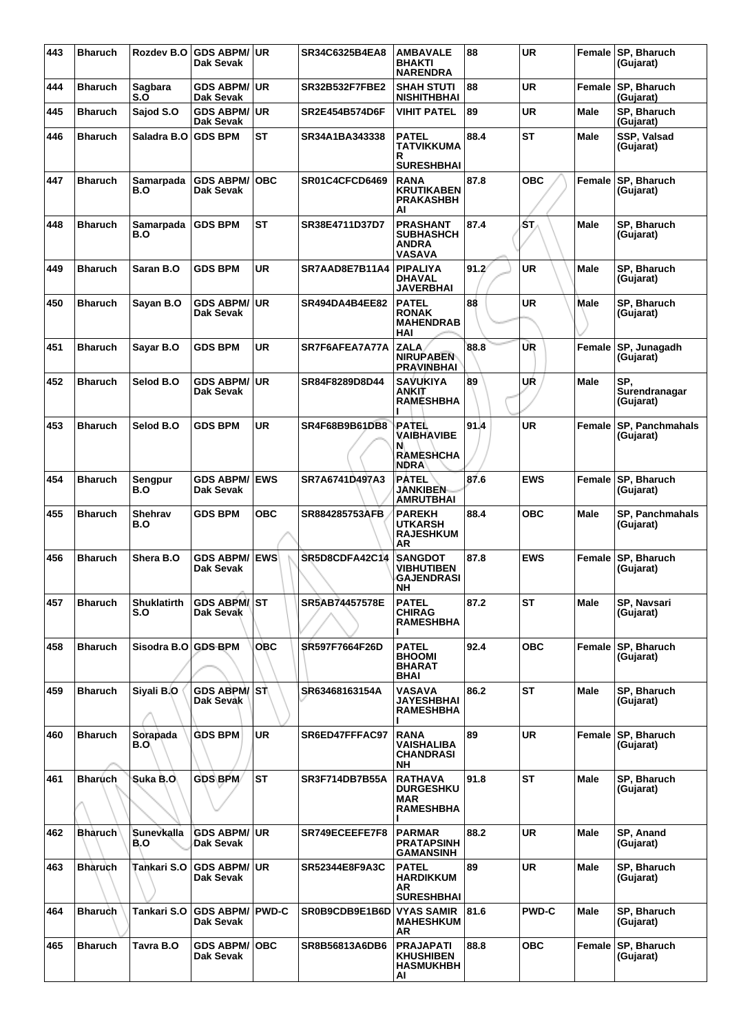| 443 | <b>Bharuch</b> | Rozdev B.O                | <b>GDS ABPM/ UR</b><br>Dak Sevak    |            | SR34C6325B4EA8        | <b>AMBAVALE</b><br><b>BHAKTI</b><br><b>NARENDRA</b>                  | 88    | <b>UR</b>    |               | Female SP, Bharuch<br>(Gujarat)   |
|-----|----------------|---------------------------|-------------------------------------|------------|-----------------------|----------------------------------------------------------------------|-------|--------------|---------------|-----------------------------------|
| 444 | <b>Bharuch</b> | Sagbara<br>S.O            | <b>GDS ABPM/ UR</b><br>Dak Sevak    |            | <b>SR32B532F7FBE2</b> | <b>SHAH STUTI</b><br><b>NISHITHBHAI</b>                              | 88    | <b>UR</b>    | Female        | SP, Bharuch<br>(Gujarat)          |
| 445 | <b>Bharuch</b> | Sajod S.O                 | <b>GDS ABPM/UR</b><br>Dak Sevak     |            | SR2E454B574D6F        | <b>VIHIT PATEL</b>                                                   | 89    | <b>UR</b>    | <b>Male</b>   | SP, Bharuch<br>(Gujarat)          |
| 446 | <b>Bharuch</b> | Saladra B.O               | <b>GDS BPM</b>                      | ST         | SR34A1BA343338        | <b>PATEL</b><br>TATVIKKUMA<br>R<br><b>SURESHBHAI</b>                 | 88.4  | <b>ST</b>    | Male          | SSP, Valsad<br>(Gujarat)          |
| 447 | <b>Bharuch</b> | Samarpada<br>B.O          | <b>GDS ABPM/</b><br>Dak Sevak       | <b>OBC</b> | SR01C4CFCD6469        | <b>RANA</b><br><b>KRUTIKABEN</b><br><b>PRAKASHBH</b><br>AI           | 87.8  | <b>OBC</b>   | Female        | SP, Bharuch<br>(Gujarat)          |
| 448 | <b>Bharuch</b> | Samarpada<br>B.O          | <b>GDS BPM</b>                      | ST         | SR38E4711D37D7        | <b>PRASHANT</b><br><b>SUBHASHCH</b><br><b>ANDRA</b><br><b>VASAVA</b> | 87.4  | ŚΤ.          | Male          | <b>SP. Bharuch</b><br>(Gujarat)   |
| 449 | <b>Bharuch</b> | Saran B.O                 | <b>GDS BPM</b>                      | <b>UR</b>  | SR7AAD8E7B11A4        | <b>PIPALIYA</b><br><b>DHAVAL</b><br><b>JAVERBHAI</b>                 | 91.2' | <b>UR</b>    | Male          | SP, Bharuch<br>(Gujarat)          |
| 450 | <b>Bharuch</b> | Sayan B.O                 | <b>GDS ABPM/UR</b><br>Dak Sevak     |            | SR494DA4B4EE82        | <b>PATEL</b><br><b>RONAK</b><br><b>MAHENDRAB</b><br>HAI              | 88    | <b>UR</b>    | Male          | SP, Bharuch<br>(Gujarat)          |
| 451 | <b>Bharuch</b> | Sayar B.O                 | <b>GDS BPM</b>                      | <b>UR</b>  | SR7F6AFEA7A77A        | <b>ZALA</b><br><b>NIRUPABEN</b><br><b>PRAVINBHAI</b>                 | 88.8  | UR           | Female        | SP, Junagadh<br>(Gujarat)         |
| 452 | <b>Bharuch</b> | Selod B.O                 | <b>GDS ABPM/</b><br>Dak Sevak       | ∣UR        | SR84F8289D8D44        | <b>SAVUKIYA</b><br>ANKIT<br><b>RAMESHBHA</b>                         | 89    | UŔ           | Male          | SP.<br>Surendranagar<br>(Gujarat) |
| 453 | <b>Bharuch</b> | Selod B.O                 | <b>GDS BPM</b>                      | UR         | <b>SR4F68B9B61DB8</b> | PATEL<br>VAIBHAVIBE<br>N<br><b>RAMESHCHA</b><br><b>NDRA</b>          | 91.4  | <b>UR</b>    | <b>Female</b> | SP, Panchmahals<br>(Gujarat)      |
| 454 | <b>Bharuch</b> | Sengpur<br>B.O            | <b>GDS ABPM/ EWS</b><br>Dak Sevak   |            | SR7A6741D497A3        | <b>PATEL</b><br><b>JANKIBEN</b><br><b>AMRUTBHAI</b>                  | 87.6  | <b>EWS</b>   |               | Female SP, Bharuch<br>(Gujarat)   |
| 455 | <b>Bharuch</b> | Shehrav<br>B.O            | <b>GDS BPM</b>                      | <b>OBC</b> | <b>SR884285753AFB</b> | <b>PAREKH</b><br><b>UTKARSH</b><br><b>RAJESHKUM</b><br>AR            | 88.4  | <b>OBC</b>   | <b>Male</b>   | SP, Panchmahals<br>(Gujarat)      |
| 456 | <b>Bharuch</b> | Shera B.O                 | <b>GDS ABPM/ EWS</b><br>Dak Sevak   |            | <b>SR5D8CDFA42C14</b> | <b>SANGDOT</b><br><b>VIBHUTIBEN</b><br><b>GAJENDRASI</b><br>NΗ       | 87.8  | <b>EWS</b>   | Female        | SP, Bharuch<br>(Gujarat)          |
| 457 | <b>Bharuch</b> | <b>Shuklatirth</b><br>S.O | <b>GDS ABPM/ST</b><br>Dak Sevak     |            | SR5AB74457578E        | <b>PATEL</b><br><b>CHIRAG</b><br><b>RAMESHBHA</b>                    | 87.2  | <b>ST</b>    | Male          | SP, Navsari<br>(Gujarat)          |
| 458 | <b>Bharuch</b> | Sisodra B.O GDS BPM       |                                     | <b>OBC</b> | SR597F7664F26D        | <b>PATEL</b><br><b>BHOOMI</b><br><b>BHARAT</b><br>BHAI               | 92.4  | <b>OBC</b>   |               | Female SP, Bharuch<br>(Gujarat)   |
| 459 | <b>Bharuch</b> | Siyali B.O                | GDS ABPM/ST<br>Dak Sevak            |            | SR63468163154A        | <b>VASAVA</b><br><b>JAYESHBHAI</b><br><b>RAMESHBHA</b>               | 86.2  | <b>ST</b>    | Male          | SP, Bharuch<br>(Gujarat)          |
| 460 | <b>Bharuch</b> | Sorapada<br>B.O           | <b>GDS BPM</b>                      | <b>UR</b>  | SR6ED47FFFAC97        | <b>RANA</b><br>VAISHALIBA<br><b>CHANDRASI</b><br>NΗ                  | 89    | <b>UR</b>    |               | Female SP, Bharuch<br>(Gujarat)   |
| 461 | <b>Bharuch</b> | Suka B.O                  | <b>GDS BPM</b>                      | <b>ST</b>  | <b>SR3F714DB7B55A</b> | <b>RATHAVA</b><br><b>DURGESHKU</b><br><b>MAR</b><br><b>RAMESHBHA</b> | 91.8  | <b>ST</b>    | Male          | SP, Bharuch<br>(Gujarat)          |
| 462 | <b>Bhàruch</b> | Sunevkalla<br>B.O         | <b>GDS ABPM/ UR</b><br>Dak Sevak    |            | SR749ECEEFE7F8        | <b>PARMAR</b><br><b>PRATAPSINH</b><br><b>GAMANSINH</b>               | 88.2  | <b>UR</b>    | Male          | SP, Anand<br>(Gujarat)            |
| 463 | <b>Bhàruch</b> | Tankari S.O               | <b>GDS ABPM/ UR</b><br>Dak Sevak    |            | <b>SR52344E8F9A3C</b> | <b>PATEL</b><br><b>HARDIKKUM</b><br>AR<br><b>SURESHBHAI</b>          | 89    | <b>UR</b>    | Male          | SP, Bharuch<br>(Gujarat)          |
| 464 | <b>Bharuch</b> | Tankari S.O               | <b>GDS ABPM/ PWD-C</b><br>Dak Sevak |            | SR0B9CDB9E1B6D        | <b>VYAS SAMIR</b><br><b>MAHESHKUM</b><br>AR                          | 81.6  | <b>PWD-C</b> | Male          | SP, Bharuch<br>(Gujarat)          |
| 465 | <b>Bharuch</b> | Tavra B.O                 | <b>GDS ABPM/ OBC</b><br>Dak Sevak   |            | SR8B56813A6DB6        | <b>PRAJAPATI</b><br><b>KHUSHIBEN</b><br><b>HASMUKHBH</b><br>Al       | 88.8  | <b>OBC</b>   | Female        | SP, Bharuch<br>(Gujarat)          |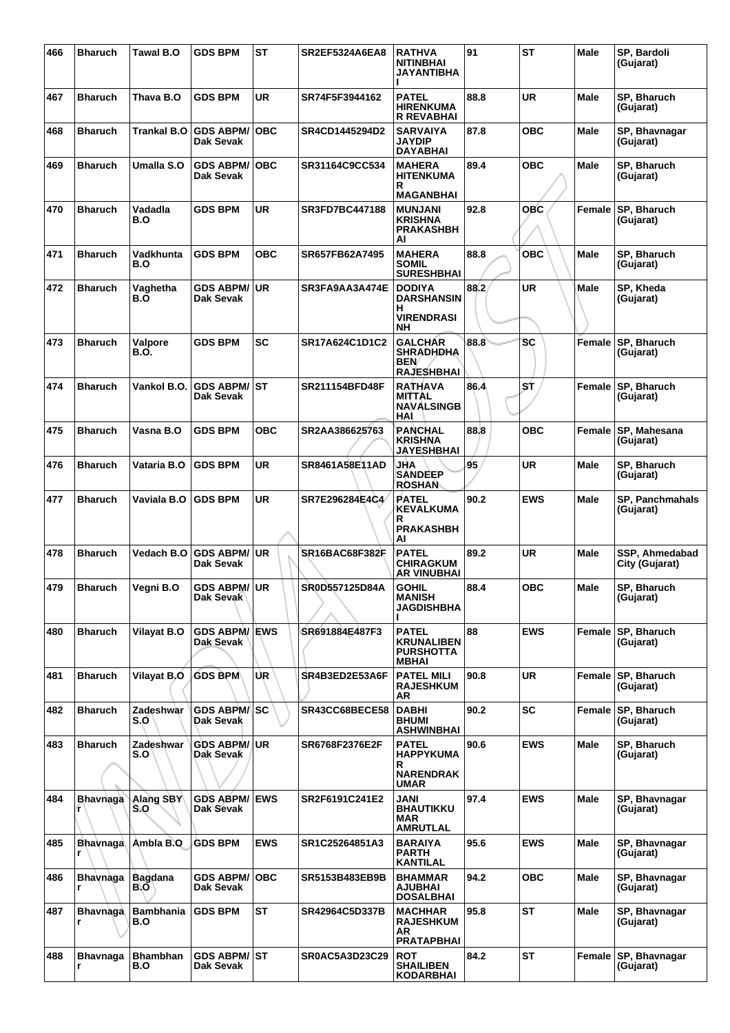| 466 | <b>Bharuch</b>       | Tawal B.O               | <b>GDS BPM</b>                    | <b>ST</b>  | <b>SR2EF5324A6EA8</b> | <b>RATHVA</b><br><b>NITINBHAI</b><br><b>JAYANTIBHA</b>                    | 91   | <b>ST</b>  | Male        | SP, Bardoli<br>(Gujarat)         |
|-----|----------------------|-------------------------|-----------------------------------|------------|-----------------------|---------------------------------------------------------------------------|------|------------|-------------|----------------------------------|
| 467 | <b>Bharuch</b>       | Thava B.O               | <b>GDS BPM</b>                    | <b>UR</b>  | SR74F5F3944162        | <b>PATEL</b><br><b>HIRENKUMA</b><br><b>R REVABHAI</b>                     | 88.8 | <b>UR</b>  | <b>Male</b> | SP, Bharuch<br>(Gujarat)         |
| 468 | <b>Bharuch</b>       | Trankal B.O             | <b>GDS ABPM/</b><br>Dak Sevak     | <b>OBC</b> | <b>SR4CD1445294D2</b> | <b>SARVAIYA</b><br>JAYDIP<br><b>DAYABHAI</b>                              | 87.8 | <b>OBC</b> | Male        | SP, Bhavnagar<br>(Gujarat)       |
| 469 | <b>Bharuch</b>       | Umalla S.O              | <b>GDS ABPM/</b><br>Dak Sevak     | <b>OBC</b> | SR31164C9CC534        | <b>MAHERA</b><br>HITENKUMA<br>R<br><b>MAGANBHAI</b>                       | 89.4 | <b>OBC</b> | Male        | SP, Bharuch<br>(Gujarat)         |
| 470 | <b>Bharuch</b>       | Vadadla<br>B.O          | <b>GDS BPM</b>                    | <b>UR</b>  | <b>SR3FD7BC447188</b> | <b>MUNJANI</b><br><b>KRISHNA</b><br><b>PRAKASHBH</b><br>AI                | 92.8 | <b>OBC</b> | Female      | SP, Bharuch<br>(Gujarat)         |
| 471 | <b>Bharuch</b>       | Vadkhunta<br>B.O        | <b>GDS BPM</b>                    | <b>OBC</b> | SR657FB62A7495        | <b>MAHERA</b><br>SOMIL<br><b>SURESHBHAI</b>                               | 88.8 | <b>OBC</b> | Male        | SP, Bharuch<br>(Gujarat)         |
| 472 | <b>Bharuch</b>       | Vaghetha<br>B.Ő         | GDS ABPM/UR<br><b>Dak Sevak</b>   |            | SR3FA9AA3A474E        | <b>DODIYA</b><br><b>DARSHANSIN</b><br>н<br><b>VIRENDRASI</b><br><b>NH</b> | 88.2 | <b>UR</b>  | Male        | SP, Kheda<br>(Gujarat)           |
| 473 | <b>Bharuch</b>       | Valpore<br>B.O.         | <b>GDS BPM</b>                    | <b>SC</b>  | SR17A624C1D1C2        | <b>GALCHAR</b><br><b>SHRADHDHA</b><br>BEN/<br><b>RAJESHBHAI</b>           | 88.8 | SC         | Female      | SP, Bharuch<br>(Gujarat)         |
| 474 | <b>Bharuch</b>       | Vankol B.O.             | <b>GDS ABPM/ ST</b><br>Dak Sevak  |            | <b>SR211154BFD48F</b> | <b>RATHAVA</b><br><b>MITTAL</b><br><b>NAVALSINGB</b><br>HAI               | 86.4 | ST         | Female      | <b>SP, Bharuch</b><br>(Gujarat)  |
| 475 | <b>Bharuch</b>       | Vasna B.O               | <b>GDS BPM</b>                    | <b>OBC</b> | SR2AA386625763        | <b>PANCHAL</b><br><b>KRISHNA</b><br><b>JAYESHBHAI</b>                     | 88.8 | <b>OBC</b> | Female      | SP, Mahesana<br>(Gujarat)        |
| 476 | <b>Bharuch</b>       | Vataria B.O             | <b>GDS BPM</b>                    | <b>UR</b>  | <b>SR8461A58E11AD</b> | JHA<br><b>SANDEEP</b><br><b>ROSHAN</b>                                    | 95   | <b>UR</b>  | <b>Male</b> | SP, Bharuch<br>(Gujarat)         |
| 477 | <b>Bharuch</b>       | Vaviala B.O             | <b>GDS BPM</b>                    | <b>UR</b>  | SR7E296284E4C4        | <b>PATEL</b><br><b>KEVALKUMA</b><br>R<br><b>PRAKASHBH</b><br>AI           | 90.2 | <b>EWS</b> | Male        | SP, Panchmahals<br>(Gujarat)     |
| 478 | <b>Bharuch</b>       | Vedach B.O              | <b>GDS ABPM/ UR</b><br>Dak Sevak  |            | SR16BAC68F382F        | PATEL<br><b>CHIRAGKUM</b><br>AR VINUBHAI                                  | 89.2 | <b>UR</b>  | Male        | SSP. Ahmedabad<br>City (Gujarat) |
| 479 | <b>Bharuch</b>       | Vegni B.O               | GDS ABPM/ UR<br><b>Dak Sevak</b>  |            | SR0D557125D84A        | <b>GOHIL</b><br><b>MANISH</b><br><b>JAGDISHBHA</b>                        | 88.4 | <b>OBC</b> | Male        | SP, Bharuch<br>(Gujarat)         |
| 480 | <b>Bharuch</b>       | <b>Vilayat B.O</b>      | <b>GDS ABPM/ EWS</b><br>Dak Sevak |            | SR691884E487F3        | <b>PATEL</b><br><b>KRUNALIBEN</b><br><b>PURSHOTTA</b><br><b>MBHAI</b>     | 88   | <b>EWS</b> | Female      | SP, Bharuch<br>(Gujarat)         |
| 481 | <b>Bharuch</b>       | Vilayat B.O             | <b>GDS BPM</b>                    | UR.        | SR4B3ED2E53A6F        | <b>PATEL MILI</b><br><b>RAJESHKUM</b><br>AR                               | 90.8 | <b>UR</b>  | Female      | SP, Bharuch<br>(Gujarat)         |
| 482 | <b>Bharuch</b>       | Zadeshwar<br>S.O        | <b>GDS ABPM/ SC</b><br>Dak Sevak  |            | <b>SR43CC68BECE58</b> | <b>DABHI</b><br><b>BHUMI</b><br><b>ASHWINBHAI</b>                         | 90.2 | SC         | Female      | SP, Bharuch<br>(Gujarat)         |
| 483 | <b>Bharuch</b>       | Zadeshwar<br>S.O        | <b>GDS ABPM/JUR</b><br>Dak Sevak  |            | SR6768F2376E2F        | <b>PATEL</b><br><b>HAPPYKUMA</b><br>R<br><b>NARENDRAK</b><br>UMAR         | 90.6 | <b>EWS</b> | <b>Male</b> | SP, Bharuch<br>(Gujarat)         |
| 484 | <b>Bhavnaga</b>      | <b>Alang SBY</b><br>S.O | <b>GDS ABPM/ EWS</b><br>Dak Sevak |            | SR2F6191C241E2        | JANI<br><b>BHAUTIKKU</b><br>MAR<br><b>AMRUTLAL</b>                        | 97.4 | <b>EWS</b> | <b>Male</b> | SP, Bhavnagar<br>(Gujarat)       |
| 485 | <b>Bhavnaga</b><br>r | Ambla B.O               | <b>GDS BPM</b>                    | <b>EWS</b> | SR1C25264851A3        | <b>BARAIYA</b><br><b>PARTH</b><br><b>KANTILAL</b>                         | 95.6 | <b>EWS</b> | Male        | SP, Bhavnagar<br>(Gujarat)       |
| 486 | Bhavnaga<br>r        | <b>Bagdana</b><br>B.O'  | <b>GDS ABPM/ OBC</b><br>Dak Sevak |            | SR5153B483EB9B        | <b>BHAMMAR</b><br><b>AJUBHAI</b><br><b>DOSALBHAI</b>                      | 94.2 | <b>OBC</b> | Male        | SP, Bhavnagar<br>(Gujarat)       |
| 487 | <b>Bhavnaga</b><br>r | <b>Bambhania</b><br>B.O | <b>GDS BPM</b>                    | <b>ST</b>  | SR42964C5D337B        | <b>MACHHAR</b><br><b>RAJESHKUM</b><br>AR<br><b>PRATAPBHAI</b>             | 95.8 | ST         | Male        | SP, Bhavnagar<br>(Gujarat)       |
| 488 | <b>Bhavnaga</b><br>r | <b>Bhambhan</b><br>B.O  | <b>GDS ABPM/ ST</b><br>Dak Sevak  |            | <b>SR0AC5A3D23C29</b> | <b>ROT</b><br><b>SHAILIBEN</b><br><b>KODARBHAI</b>                        | 84.2 | <b>ST</b>  | Female      | SP, Bhavnagar<br>(Gujarat)       |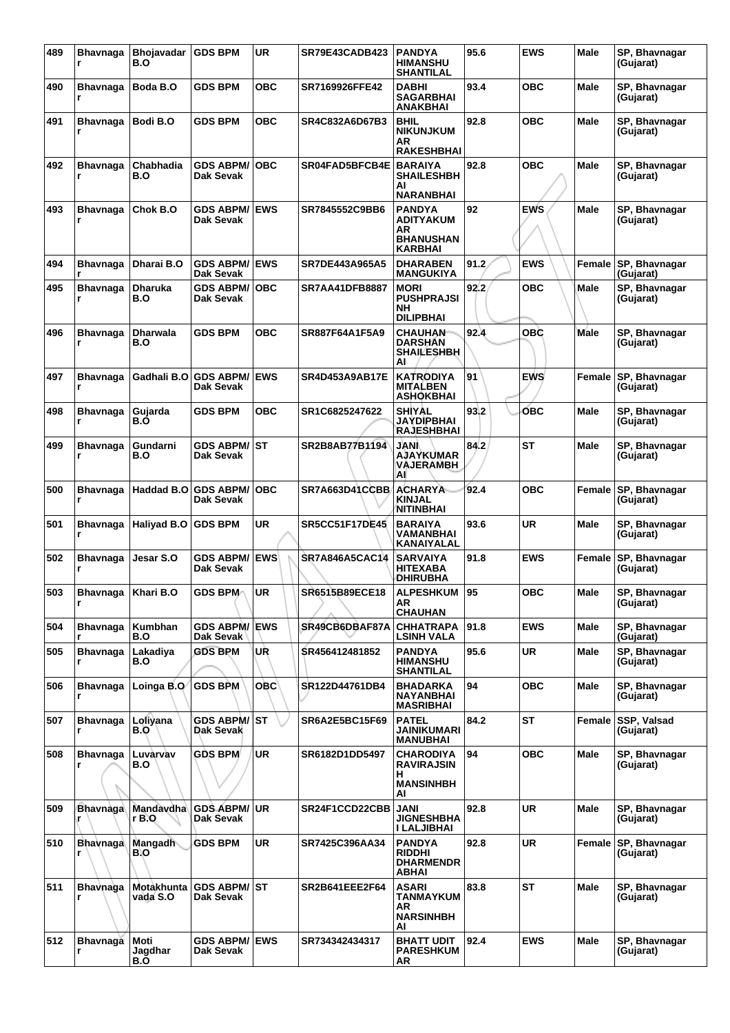| 489 | <b>Bhavnaga</b><br>r | Bhojavadar<br>B.O      | <b>GDS BPM</b>                  | <b>UR</b>  | SR79E43CADB423        | <b>PANDYA</b><br><b>HIMANSHU</b><br>SHANTILAL                          | 95.6 | <b>EWS</b> | Male        | SP, Bhavnagar<br>(Gujarat) |
|-----|----------------------|------------------------|---------------------------------|------------|-----------------------|------------------------------------------------------------------------|------|------------|-------------|----------------------------|
| 490 | Bhavnaga<br>r        | Boda B.O               | <b>GDS BPM</b>                  | овс        | SR7169926FFE42        | <b>DABHI</b><br>SAGARBHAI<br><b>ANAKBHAI</b>                           | 93.4 | ОВС        | <b>Male</b> | SP, Bhavnagar<br>(Gujarat) |
| 491 | <b>Bhavnaga</b><br>r | Bodi B.O               | <b>GDS BPM</b>                  | <b>OBC</b> | SR4C832A6D67B3        | BHIL<br><b>NIKUNJKUM</b><br>ΑR<br><b>RAKESHBHAI</b>                    | 92.8 | ОВС        | Male        | SP, Bhavnagar<br>(Gujarat) |
| 492 | <b>Bhavnaga</b><br>r | Chabhadia<br>B.O       | <b>GDS ABPM/</b><br>Dak Sevak   | <b>OBC</b> | SR04FAD5BFCB4E        | <b>BARAIYA</b><br><b>SHAILESHBH</b><br>Al<br><b>NARANBHAI</b>          | 92.8 | ОВС        | Male        | SP, Bhavnagar<br>(Gujarat) |
| 493 | <b>Bhavnaga</b><br>r | Chok B.O               | <b>GDS ABPM/</b><br>Dak Sevak   | <b>EWS</b> | SR7845552C9BB6        | <b>PANDYA</b><br><b>ADITYAKUM</b><br>ΑR<br><b>BHANUSHAN</b><br>KARBHAI | 92   | <b>EWS</b> | Male        | SP, Bhavnagar<br>(Gujarat) |
| 494 | <b>Bhavnaga</b><br>r | Dharai B.O             | <b>GDS ABPM/</b><br>Dak Sevak   | <b>EWS</b> | SR7DE443A965A5        | <b>DHARABEN</b><br><b>MANGUKIYA</b>                                    | 91.2 | <b>EWS</b> | Female      | SP, Bhavnagar<br>(Gujarat) |
| 495 | <b>Bhavnaga</b><br>r | <b>Dharuka</b><br>B.O  | <b>GDS ABPM/</b><br>Dak Sevak   | <b>OBC</b> | <b>SR7AA41DFB8887</b> | <b>MORI</b><br><b>PUSHPRAJSI</b><br>NΗ<br><b>DILIPBHAI</b>             | 92.2 | ОВС        | <b>Male</b> | SP, Bhavnagar<br>(Gujarat) |
| 496 | <b>Bhavnaga</b><br>r | <b>Dharwala</b><br>B.O | <b>GDS BPM</b>                  | <b>OBC</b> | SR887F64A1F5A9        | <b>CHAUHAN</b><br><b>DARSHAN</b><br><b>SHAILESHBH</b><br>AI            | 92.4 | <b>OBC</b> | <b>Male</b> | SP, Bhavnagar<br>(Gujarat) |
| 497 | <b>Bhavnaga</b>      | Gadhali B.O            | <b>GDS ABPM/</b><br>Dak Sevak   | <b>EWS</b> | <b>SR4D453A9AB17E</b> | <b>KATRODIYA</b><br><b>MITALBEN</b><br><b>ASHOKBHAI</b>                | 91   | <b>EWS</b> | Female      | SP, Bhavnagar<br>(Gujarat) |
| 498 | Bhavnaga<br>r        | Gujarda<br>B.Ó         | <b>GDS BPM</b>                  | овс        | SR1C6825247622        | <b>SHIYAL</b><br>JAYDIPBHAI<br>RAJESHBHAI                              | 93.2 | ОВС        | <b>Male</b> | SP, Bhavnagar<br>(Gujarat) |
| 499 | <b>Bhavnaga</b><br>r | Gundarni<br>B.O        | <b>GDS ABPM/</b><br>Dak Sevak   | IST        | SR2B8AB77B1194        | JANI<br>AJAYKUMAR<br><b>VAJERAMBH</b><br>Al                            | 84.2 | ST         | Male        | SP, Bhavnagar<br>(Gujarat) |
| 500 | <b>Bhavnaga</b><br>r | Haddad B.O             | <b>GDS ABPM/</b><br>Dak Sevak   | <b>OBC</b> | SR7A663D41CCBB        | <b>ACHARYA</b><br><b>KINJAL</b><br>NITINBHAI                           | 92.4 | ОВС        | Female      | SP, Bhavnagar<br>(Gujarat) |
| 501 | <b>Bhavnaga</b>      | Haliyad B.O            | <b>GDS BPM</b>                  | <b>UR</b>  | <b>SR5CC51F17DE45</b> | <b>BARAIYA</b><br>VAMANBHAI<br>KANAIYALAL                              | 93.6 | UR         | Male        | SP, Bhavnagar<br>(Gujarat) |
| 502 | <b>Bhavnaga</b><br>r | Jesar S.O              | <b>GDS ABPM/</b><br>Dak Sevak   | <b>EWS</b> | <b>SR7A846A5CAC14</b> | <b>SARVAIYA</b><br>HITEXABA<br><b>DHIRUBHA</b>                         | 91.8 | <b>EWS</b> | Female      | SP, Bhavnagar<br>(Gujarat) |
| 503 | <b>Bhavnaga</b><br>r | Khari B.O              | GDS BPM∩                        | UR         | SR6515B89ECE18        | <b>ALPESHKUM</b><br><b>AR</b><br><b>CHAUHAN</b>                        | 95   | <b>OBC</b> | Male        | SP, Bhavnagar<br>(Gujarat) |
| 504 | <b>Bhavnaga</b>      | Kumbhan<br>B.O         | <b>GDS ABPM/</b><br>Dak Sevak   | <b>EWS</b> | SR49CB6DBAF87A        | <b>CHHATRAPA</b><br><b>LSINH VALA</b>                                  | 91.8 | <b>EWS</b> | <b>Male</b> | SP, Bhavnagar<br>(Gujarat) |
| 505 | <b>Bhavnaga</b>      | Lakadiya<br>B.O        | <b>GDS BPM</b>                  | UR         | SR456412481852        | <b>PANDYA</b><br><b>HIMANSHU</b><br><b>SHANTILAL</b>                   | 95.6 | <b>UR</b>  | Male        | SP, Bhavnagar<br>(Gujarat) |
| 506 | <b>Bhavnaga</b>      | Loinga B.O             | <b>GDS BPM</b>                  | <b>OBC</b> | SR122D44761DB4        | <b>BHADARKA</b><br>NAYANBHAI<br><b>MASRIBHAI</b>                       | 94   | <b>OBC</b> | <b>Male</b> | SP. Bhavnagar<br>(Gujarat) |
| 507 | <b>Bhavnaga</b><br>r | Lolivana<br>B.O        | <b>GDS ABPM/</b><br>Dak Sevak   | <b>ST</b>  | SR6A2E5BC15F69        | <b>PATEL</b><br>JAINIKUMARI<br><b>MANUBHAI</b>                         | 84.2 | ST         | Female      | SSP, Valsad<br>(Gujarat)   |
| 508 | <b>Bhavnaga</b><br>r | Luvárvav<br>B.O        | <b>GDS BPM</b>                  | <b>UR</b>  | SR6182D1DD5497        | <b>CHARODIYA</b><br><b>RAVIRAJSIN</b><br>н.<br><b>MANSINHBH</b><br>Al  | 94   | OBC        | Male        | SP, Bhavnagar<br>(Gujarat) |
| 509 | <b>Bhavnaga</b><br>r | Mandavdha<br>r B.O     | <b>GDS ABPM/</b><br>Dak Sevak   | <b>UR</b>  | SR24F1CCD22CBB        | <b>JANI</b><br><b>JIGNESHBHA</b><br>I LALJIBHAI                        | 92.8 | <b>UR</b>  | Male        | SP, Bhavnagar<br>(Gujarat) |
| 510 | <b>Bhavnaga</b><br>r | Mangadh<br>B.O         | <b>GDS BPM</b>                  | <b>UR</b>  | SR7425C396AA34        | <b>PANDYA</b><br><b>RIDDHI</b><br><b>DHARMENDR</b><br>ABHAI            | 92.8 | <b>UR</b>  | Female      | SP, Bhavnagar<br>(Gujarat) |
| 511 | <b>Bhavnaga</b><br>r | Motakhunta<br>vada S.O | <b>GDS ABPM/ST</b><br>Dak Sevak |            | SR2B641EEE2F64        | <b>ASARI</b><br>TANMAYKUM<br>AR<br><b>NARSINHBH</b><br>AI              | 83.8 | <b>ST</b>  | <b>Male</b> | SP, Bhavnagar<br>(Gujarat) |
| 512 | <b>Bhavnaga</b><br>r | Moti<br>Jagdhar<br>B.O | <b>GDS ABPM/</b><br>Dak Sevak   | <b>EWS</b> | SR734342434317        | <b>BHATT UDIT</b><br><b>PARESHKUM</b><br>AR                            | 92.4 | <b>EWS</b> | <b>Male</b> | SP, Bhavnagar<br>(Gujarat) |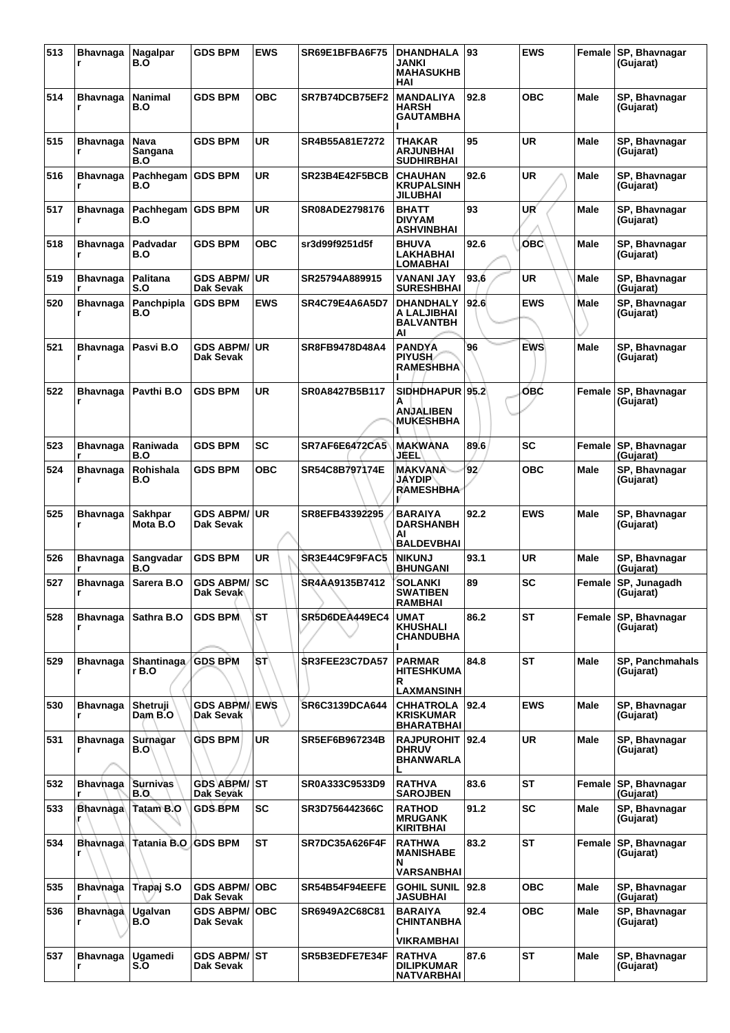| 513 | Bhavnaga<br>r        | Nagalpar<br>B.O            | <b>GDS BPM</b>                             | EWS        | SR69E1BFBA6F75        | DHANDHALA<br>JANKI<br><b>MAHASUKHB</b><br>HAI                 | 93              | <b>EWS</b> | Female      | SP, Bhavnagar<br>(Gujarat)              |
|-----|----------------------|----------------------------|--------------------------------------------|------------|-----------------------|---------------------------------------------------------------|-----------------|------------|-------------|-----------------------------------------|
| 514 | <b>Bhavnaga</b><br>r | Nanimal<br>B.O             | <b>GDS BPM</b>                             | <b>OBC</b> | SR7B74DCB75EF2        | <b>MANDALIYA</b><br><b>HARSH</b><br>GAUTAMBHA                 | 92.8            | ОВС        | Male        | SP, Bhavnagar<br>(Gujarat)              |
| 515 | <b>Bhavnaga</b><br>r | Nava<br>Sangana<br>B.O     | <b>GDS BPM</b>                             | <b>UR</b>  | SR4B55A81E7272        | THAKAR<br>ARJUNBHAI<br><b>SUDHIRBHAI</b>                      | 95              | UR         | Male        | SP, Bhavnagar<br>(Gujarat)              |
| 516 | <b>Bhavnaga</b><br>r | Pachhegam<br>B.O           | <b>GDS BPM</b>                             | UR         | SR23B4E42F5BCB        | <b>CHAUHAN</b><br><b>KRUPALSINH</b><br><b>JILUBHAI</b>        | 92.6            | UR         | Male        | SP, Bhavnagar<br>(Gujarat)              |
| 517 | <b>Bhavnaga</b>      | Pachhegam<br>B.O           | <b>GDS BPM</b>                             | UR         | SR08ADE2798176        | <b>BHATT</b><br><b>DIVYAM</b><br><b>ASHVINBHAI</b>            | 93              | UR         | Male        | SP, Bhavnagar<br>(Gujarat)              |
| 518 | <b>Bhavnaga</b><br>r | Padvadar<br>B.O            | <b>GDS BPM</b>                             | <b>OBC</b> | sr3d99f9251d5f        | <b>BHUVA</b><br>LAKHABHAI<br><b>LOMABHAI</b>                  | 92.6            | <b>OBC</b> | <b>Male</b> | SP, Bhavnagar<br>(Gujarat)              |
| 519 | <b>Bhavnaga</b><br>r | Palitana<br>S.O            | <b>GDS ABPM/</b><br>Dak Sevak              | <b>UR</b>  | SR25794A889915        | <b>VANANI JAY</b><br><b>SURESHBHAI</b>                        | 93.6            | UR         | Male        | SP, Bhavnagar<br>(Gujarat)              |
| 520 | Bhavnaga<br>r        | Panchpipla<br>B.O          | <b>GDS BPM</b>                             | <b>EWS</b> | SR4C79E4A6A5D7        | <b>DHANDHALY</b><br>A LALJIBHAI<br><b>BALVANTBH</b><br>Al     | 92.6            | <b>EWS</b> | Male        | SP, Bhavnagar<br>(Gujarat)              |
| 521 | <b>Bhavnaga</b><br>r | Pasvi B.O                  | <b>GDS ABPM/</b><br>Dak Sevak              | <b>UR</b>  | SR8FB9478D48A4        | <b>PANDYA</b><br><b>PIYUSH</b><br><b>RAMESHBHA</b>            | 96              | <b>EWS</b> | <b>Male</b> | SP, Bhavnagar<br>(Gujarat)              |
| 522 | <b>Bhavnaga</b><br>r | Pavthi B.O                 | <b>GDS BPM</b>                             | <b>UR</b>  | SR0A8427B5B117        | SIDHDHAPUR 95.2<br>А<br>ANJALIBEN<br><b>MUKESHBHA</b>         |                 | ОВС        | Female      | SP, Bhavnagar<br>(Gujarat)              |
| 523 | Bhavnaga             | Raniwada<br>B.O            | <b>GDS BPM</b>                             | <b>SC</b>  | <b>SR7AF6E6472CA5</b> | MAKWANA<br>JEEL                                               | 89.6            | <b>SC</b>  | Female      | SP, Bhavnagar<br>(Gujarat)              |
| 524 | <b>Bhavnaga</b><br>r | Rohishala<br>B.O           | <b>GDS BPM</b>                             | овс        | SR54C8B797174E        | <b>MAKVANA</b><br><b>JAYDIP</b><br><b>RAMESHBHA</b>           | 92 <sub>1</sub> | овс        | Male        | SP, Bhavnagar<br>(Gujarat)              |
| 525 | <b>Bhavnaga</b><br>r | <b>Sakhpar</b><br>Mota B.O | <b>GDS ABPM/</b><br>Dak Sevak              | <b>UR</b>  | SR8EFB43392295        | <b>BARAIYA</b><br><b>DARSHANBH</b><br>Al<br><b>BALDEVBHAI</b> | 92.2            | <b>EWS</b> | Male        | SP, Bhavnagar<br>(Gujarat)              |
| 526 | <b>Bhavnaga</b><br>r | Sangvadar<br>B.O           | <b>GDS BPM</b>                             | <b>UR</b>  | SR3E44C9F9FAC5        | <b>NIKUNJ</b><br><b>BHUNGANI</b>                              | 93.1            | UR         | Male        | SP, Bhavnagar<br>(Gujarat)              |
| 527 | <b>Bhavnaga</b>      | Sarera B.O                 | <b>GDS ABPM/ SC</b><br>Dak Sevak           |            | SR4AA9135B7412        | <b>SOLANKI</b><br><b>SWATIBEN</b><br><b>RAMBHAI</b>           | 89              | SC         | Female      | SP, Junagadh<br>(Gujarat)               |
| 528 | <b>Bhavnaga</b><br>r | Sathra B.O                 | <b>GDS BPM</b>                             | <b>ST</b>  | SR5D6DEA449EC4        | <b>UMAT</b><br><b>KHUSHALI</b><br><b>CHANDUBHA</b>            | 86.2            | <b>ST</b>  | Female      | SP, Bhavnagar<br>(Gujarat)              |
| 529 | <b>Bhavnaga</b><br>r | <b>Shantinaga</b><br>r B.O | <b>GDS BPM</b>                             | `SΤ∖       | SR3FEE23C7DA57        | <b>PARMAR</b><br><b>HITESHKUMA</b><br>R<br>LAXMANSINH         | 84.8            | <b>ST</b>  | <b>Male</b> | SP, Panchmahals<br>(Gujarat)            |
| 530 | <b>Bhavnaga</b><br>r | Shetruji<br>Dam B.O        | <b>GDS ABPM/</b><br>Dak Sevak              | <b>EWS</b> | SR6C3139DCA644        | <b>CHHATROLA</b><br><b>KRISKUMAR</b><br><b>BHARATBHAI</b>     | 92.4            | <b>EWS</b> | Male        | SP, Bhavnagar<br>(Gujarat)              |
| 531 | <b>Bhavnaga</b>      | Surnagar<br>B.O            | <b>GDS BPM</b>                             | UR         | <b>SR5EF6B967234B</b> | RAJPUROHIT   92.4<br><b>DHRUV</b><br><b>BHANWARLA</b>         |                 | UR         | Male        | SP, Bhavnagar<br>(Gujarat)              |
| 532 | <b>Bhavhaga</b>      | <b>Surnivas</b><br>B.O.    | <b>GDS ABPM/ ST</b><br>Dak Sevak           |            | SR0A333C9533D9        | <b>RATHVA</b><br><b>SAROJBEN</b>                              | 83.6            | <b>ST</b>  | Female      | SP, Bhavnagar<br>(Gujarat)              |
| 533 | Bhavnaga<br>r        | Tatam B.O                  | <b>GDS BPM</b>                             | <b>SC</b>  | SR3D756442366C        | <b>RATHOD</b><br><b>MRUGANK</b><br><b>KIRITBHAI</b>           | 91.2            | <b>SC</b>  | Male        | SP, Bhavnagar<br>(Gujarat)              |
| 534 | Bhavnaga             | Tatania B.O                | <b>GDS BPM</b>                             | <b>ST</b>  | SR7DC35A626F4F        | <b>RATHWA</b><br><b>MANISHABE</b><br>N                        | 83.2            | ST         | Female      | SP, Bhavnagar<br>(Gujarat)              |
| 535 | <b>Bhavnaga</b>      | Trapaj S.O                 | <b>GDS ABPM/</b>                           | <b>OBC</b> | SR54B54F94EEFE        | VARSANBHAI<br><b>GOHIL SUNIL</b>                              | 92.8            | OBC        | <b>Male</b> | SP, Bhavnagar                           |
| 536 | <b>Bhavnaga</b><br>r | Ugalvan<br>B.O             | Dak Sevak<br><b>GDS ABPM/</b><br>Dak Sevak | <b>OBC</b> | SR6949A2C68C81        | <b>JASUBHAI</b><br><b>BARAIYA</b><br>CHINTANBHA               | 92.4            | OBC        | Male        | (Gujarat)<br>SP, Bhavnagar<br>(Gujarat) |
|     |                      |                            |                                            |            |                       | VIKRAMBHAI                                                    |                 |            |             |                                         |
| 537 | <b>Bhavnaga</b><br>r | Ugamedi<br>S.O             | <b>GDS ABPM/ ST</b><br>Dak Sevak           |            | SR5B3EDFE7E34F        | <b>RATHVA</b><br><b>DILIPKUMAR</b><br><b>NATVARBHAI</b>       | 87.6            | <b>ST</b>  | <b>Male</b> | SP, Bhavnagar<br>(Gujarat)              |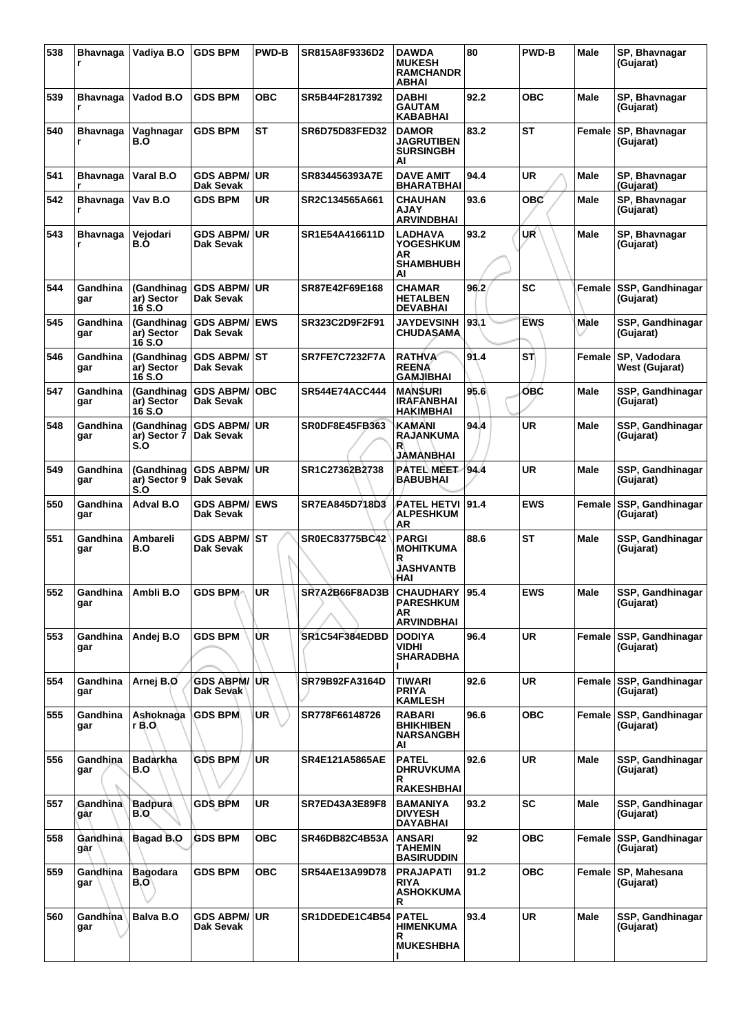| 538 | <b>Bhavnaga</b>        | Vadiya B.O                         | GDS BPM                                 | <b>PWD-B</b> | SR815A8F9336D2        | <b>DAWDA</b><br><b>MUKESH</b><br><b>RAMCHANDR</b><br>ABHAI         | 80   | <b>PWD-B</b> | Male        | SP, Bhavnagar<br>(Gujarat)           |
|-----|------------------------|------------------------------------|-----------------------------------------|--------------|-----------------------|--------------------------------------------------------------------|------|--------------|-------------|--------------------------------------|
| 539 | <b>Bhavnaga</b>        | Vadod B.O                          | <b>GDS BPM</b>                          | <b>OBC</b>   | SR5B44F2817392        | <b>DABHI</b><br><b>GAUTAM</b><br>KABABHAI                          | 92.2 | <b>OBC</b>   | <b>Male</b> | SP, Bhavnagar<br>(Gujarat)           |
| 540 | <b>Bhavnaga</b><br>r   | Vaghnagar<br>B.O                   | <b>GDS BPM</b>                          | ST           | <b>SR6D75D83FED32</b> | <b>DAMOR</b><br><b>JAGRUTIBEN</b><br><b>SURSINGBH</b><br>Al        | 83.2 | ST           | Female      | SP, Bhavnagar<br>(Gujarat)           |
| 541 | <b>Bhavnaga</b><br>r   | Varal B.O                          | <b>GDS ABPM/ UR</b><br>Dak Sevak        |              | SR834456393A7E        | <b>DAVE AMIT</b><br><b>BHARATBHAI</b>                              | 94.4 | UR           | Male        | SP, Bhavnagar<br>(Gujarat)           |
| 542 | <b>Bhavnaga</b>        | Vav B.O                            | <b>GDS BPM</b>                          | UR           | SR2C134565A661        | <b>CHAUHAN</b><br><b>AJAY</b><br><b>ARVINDBHAI</b>                 | 93.6 | <b>OBC</b>   | Male        | SP, Bhavnagar<br>(Gujarat)           |
| 543 | <b>Bhavnaga</b><br>r   | Vejodari<br>B.O                    | <b>GDS ABPM/ UR</b><br>Dak Sevak        |              | SR1E54A416611D        | <b>LADHAVA</b><br><b>YOGESHKUM</b><br>AR<br><b>SHAMBHUBH</b><br>Al | 93.2 | UR           | Male        | SP, Bhavnagar<br>(Gujarat)           |
| 544 | Gandhina<br>gar        | (Gandhinag<br>ar) Sector<br>16 S.O | GDS ABPM/∣UR<br>Dak Sevak               |              | <b>SR87E42F69E168</b> | <b>CHAMAR</b><br><b>HETALBEN</b><br><b>DEVABHAI</b>                | 96.2 | SC           | Female      | SSP, Gandhinagar<br>(Gujarat)        |
| 545 | Gandhina<br>gar        | (Gandhinaq<br>ar) Sector<br>16 S.O | <b>GDS ABPM/ EWS</b><br>Dak Sevak       |              | SR323C2D9F2F91        | <b>JAYDEVSINH</b><br><b>CHUDASAMA</b>                              | 93.1 | <b>EWS</b>   | Male        | SSP, Gandhinagar<br>(Gujarat)        |
| 546 | Gandhina<br>gar        | (Gandhinag<br>ar) Sector<br>16 S.O | <b>GDS ABPM/ ST</b><br>Dak Sevak        |              | <b>SR7FE7C7232F7A</b> | <b>RATHVA</b><br><b>REENA</b><br><b>GAMJIBHAI</b>                  | 91.4 | STI          | Female      | SP. Vadodara<br>West (Gujarat)       |
| 547 | Gandhina<br>gar        | (Gandhinag<br>ar) Sector<br>16 S.O | <b>GDS ABPM/ OBC</b><br>Dak Sevak       |              | SR544E74ACC444        | <b>MANSURI</b><br><b>IRAFANBHAI</b><br><b>HAKIMBHAI</b>            | 95.6 | OBC          | <b>Male</b> | SSP, Gandhinagar<br>(Gujarat)        |
| 548 | Gandhina<br>gar        | (Gandhinag<br>ar) Sector 7<br>S.O  | GDS ABPM/∣UR<br><b>Dak Sevak</b>        |              | <b>SR0DF8E45FB363</b> | KAMANI<br>RAJANKUMA<br>R<br>JAMANBHAI                              | 94.4 | UR           | <b>Male</b> | SSP, Gandhinagar<br>(Gujarat)        |
| 549 | Gandhina<br>gar        | (Gandhinag<br>ar) Sector 9<br>S.O  | <b>GDS ABPM/ UR</b><br><b>Dak Sevak</b> |              | SR1C27362B2738        | PATEL MEET 194.4<br><b>BABUBHAI</b>                                |      | UR           | Male        | SSP, Gandhinagar<br>(Gujarat)        |
| 550 | Gandhina<br>gar        | Adval B.O                          | <b>GDS ABPM/ EWS</b><br>Dak Sevak       |              | <b>SR7EA845D718D3</b> | PATEL HETVI<br><b>ALPESHKUM</b><br>AR                              | 91.4 | <b>EWS</b>   | Female      | SSP, Gandhinagar<br>(Gujarat)        |
| 551 | Gandhina<br>gar        | Ambareli<br>B.O                    | GDS ABPM/⊺ST<br>Dak Sevak               |              | SR0EC83775BC42        | <b>PARGI</b><br><b>MOHITKUMA</b><br>R<br><b>JASHVANTB</b><br>HAI   | 88.6 | <b>ST</b>    | Male        | SSP, Gandhinagar<br>(Gujarat)        |
| 552 | Gandhina<br>gar        | Ambli B.O                          | <b>GDS BPM</b>                          | UR           | SR7A2B66F8AD3B        | CHAUDHARY   95.4<br><b>PARESHKUM</b><br>AR.<br><b>ARVINDBHAI</b>   |      | <b>EWS</b>   | Male        | SSP, Gandhinagar<br>(Gujarat)        |
| 553 | Gandhina<br>gar        | Andej B.O                          | <b>GDS BPM</b>                          | ÙR           | SR1C54F384EDBD        | <b>DODIYA</b><br><b>VIDHI</b><br><b>SHARADBHA</b>                  | 96.4 | UR           |             | Female SSP, Gandhinagar<br>(Gujarat) |
| 554 | Gandhina<br>gar        | Arnej B.O                          | <b>GDS ABPM/ UR</b><br>Dak Sevak        |              | SR79B92FA3164D        | TIWARI<br><b>PRIYA</b><br><b>KAMLESH</b>                           | 92.6 | UR           |             | Female SSP, Gandhinagar<br>(Gujarat) |
| 555 | Gandhina<br>gar        | Ashoknaga<br>r B.O.                | <b>GDS BPM</b>                          | <b>UR</b>    | SR778F66148726        | <b>RABARI</b><br><b>BHIKHIBEN</b><br><b>NARSANGBH</b><br>AI        | 96.6 | <b>OBC</b>   | Female      | <b>SSP, Gandhinagar</b><br>(Gujarat) |
| 556 | Gandhina<br>gar        | Badarkha<br>B.O                    | <b>GDS BPM</b>                          | <b>UR</b>    | <b>SR4E121A5865AE</b> | <b>PATEL</b><br><b>DHRUVKUMA</b><br>R<br><b>RAKESHBHAI</b>         | 92.6 | <b>UR</b>    | <b>Male</b> | SSP, Gandhinagar<br>(Gujarat)        |
| 557 | Gandhina<br>går        | <b>Badpura</b><br><b>B.O</b>       | <b>GDS BPM</b>                          | <b>UR</b>    | <b>SR7ED43A3E89F8</b> | <b>BAMANIYA</b><br><b>DIVYESH</b><br><b>DAYABHAI</b>               | 93.2 | <b>SC</b>    | <b>Male</b> | SSP, Gandhinagar<br>(Gujarat)        |
| 558 | Gandhina<br>gar        | Bagad B.O                          | <b>GDS BPM</b>                          | <b>OBC</b>   | SR46DB82C4B53A        | ANSARI<br>TAHEMIN<br><b>BASIRUDDIN</b>                             | 92   | <b>OBC</b>   | Female      | SSP, Gandhinagar<br>(Gujarat)        |
| 559 | Gandhina<br>gar        | <b>Bagodara</b><br>B.O'            | <b>GDS BPM</b>                          | <b>OBC</b>   | SR54AE13A99D78        | <b>PRAJAPATI</b><br><b>RIYA</b><br><b>ASHOKKUMA</b><br>R           | 91.2 | <b>OBC</b>   | Female      | SP, Mahesana<br>(Gujarat)            |
| 560 | <b>Gandhina</b><br>gar | Balva B.O                          | <b>GDS ABPM/ UR</b><br>Dak Sevak        |              | <b>SR1DDEDE1C4B54</b> | <b>PATEL</b><br><b>HIMENKUMA</b><br>R<br><b>MUKESHBHA</b>          | 93.4 | <b>UR</b>    | Male        | SSP, Gandhinagar<br>(Gujarat)        |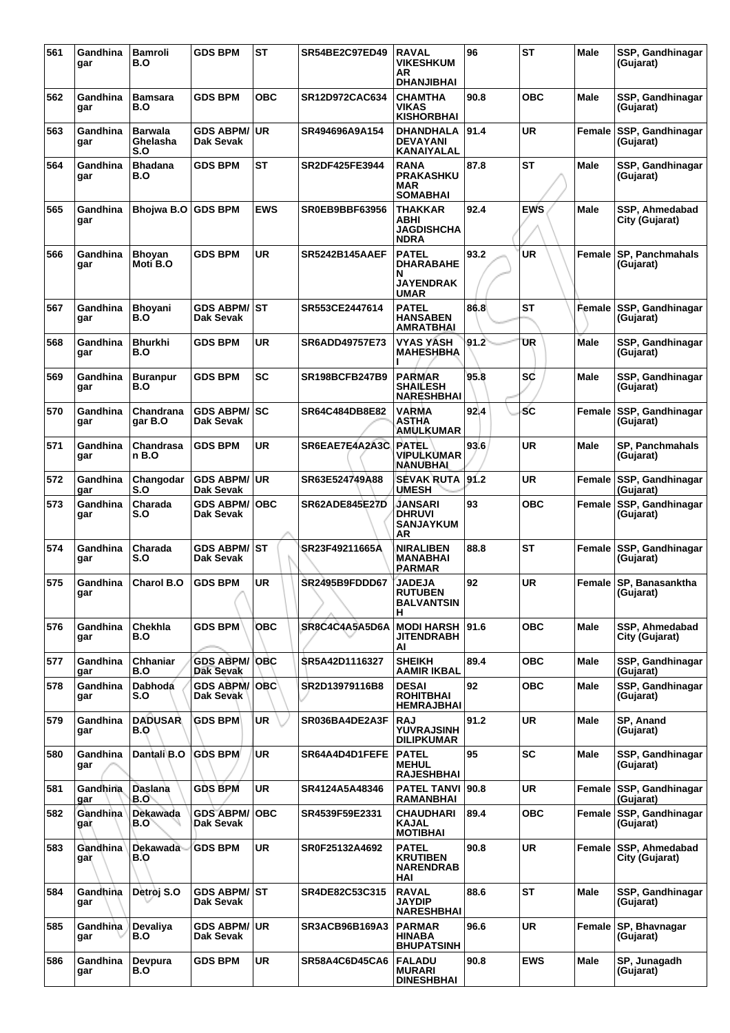| 561 | Gandhina<br>gar        | <b>Bamroli</b><br>B.O             | <b>GDS BPM</b>                    | <b>ST</b>  | <b>SR54BE2C97ED49</b> | <b>RAVAL</b><br><b>VIKESHKUM</b><br>ΑR<br><b>DHANJIBHAI</b>       | 96   | <b>ST</b>  | Male          | SSP, Gandhinagar<br>(Gujarat)        |
|-----|------------------------|-----------------------------------|-----------------------------------|------------|-----------------------|-------------------------------------------------------------------|------|------------|---------------|--------------------------------------|
| 562 | Gandhina<br>gar        | <b>Bamsara</b><br>B.O             | <b>GDS BPM</b>                    | <b>OBC</b> | SR12D972CAC634        | <b>CHAMTHA</b><br><b>VIKAS</b><br><b>KISHORBHAI</b>               | 90.8 | <b>OBC</b> | <b>Male</b>   | SSP, Gandhinagar<br>(Gujarat)        |
| 563 | Gandhina<br>gar        | <b>Barwala</b><br>Ghelasha<br>S.O | <b>GDS ABPM/</b><br>Dak Sevak     | UR         | SR494696A9A154        | DHANDHALA<br><b>DEVAYANI</b><br>KANAIYALAL                        | 91.4 | UR         | Female        | SSP, Gandhinagar<br>(Gujarat)        |
| 564 | Gandhina<br>gar        | <b>Bhadana</b><br>B.O             | <b>GDS BPM</b>                    | <b>ST</b>  | SR2DF425FE3944        | <b>RANA</b><br><b>PRAKASHKU</b><br><b>MAR</b><br><b>SOMABHAI</b>  | 87.8 | ST         | Male          | SSP, Gandhinagar<br>(Gujarat)        |
| 565 | Gandhina<br>gar        | Bhojwa B.O                        | <b>GDS BPM</b>                    | <b>EWS</b> | SR0EB9BBF63956        | <b>THAKKAR</b><br>ABHI<br><b>JAGDISHCHA</b><br><b>NDRA</b>        | 92.4 | <b>EWS</b> | Male          | SSP, Ahmedabad<br>City (Gujarat)     |
| 566 | Gandhina<br>gar        | <b>Bhoyan</b><br>Moti B.O         | <b>GDS BPM</b>                    | UR         | <b>SR5242B145AAEF</b> | <b>PATEL</b><br>DHARABAHE<br>N<br><b>JAYENDRAK</b><br><b>UMAR</b> | 93.2 | <b>UR</b>  | <b>Female</b> | <b>SP, Panchmahals</b><br>(Gujarat)  |
| 567 | Gandhina<br>gar        | <b>Bhoyani</b><br>B.O             | GDS ABPM/ ∣ST<br>Dak Sevak        |            | SR553CE2447614        | <b>PATEL</b><br><b>HANSABEN</b><br><b>AMRATBHAI</b>               | 86.8 | <b>ST</b>  | Female        | SSP, Gandhinagar<br>(Gujarat)        |
| 568 | Gandhina<br>gar        | <b>Bhurkhi</b><br>B.O             | <b>GDS BPM</b>                    | UR         | SR6ADD49757E73        | <b>VYAS YASH</b><br><b>MAHESHBHA</b>                              | 91.2 | UR         | <b>Male</b>   | SSP, Gandhinagar<br>(Gujarat)        |
| 569 | Gandhina<br>gar        | <b>Buranpur</b><br>B.O            | <b>GDS BPM</b>                    | <b>SC</b>  | <b>SR198BCFB247B9</b> | <b>PARMAR</b><br><b>SHAILESH</b><br><b>NARESHBHAI</b>             | 95.8 | sc         | <b>Male</b>   | SSP, Gandhinagar<br>(Gujarat)        |
| 570 | Gandhina<br>gar        | Chandrana<br>gar B.O              | <b>GDS ABPM/ SC</b><br>Dak Sevak  |            | SR64C484DB8E82        | VARMA<br><b>ASTHA</b><br>AMULKUMAR                                | 92.4 | <b>SC</b>  | <b>Female</b> | SSP, Gandhinagar<br>(Gujarat)        |
| 571 | Gandhina<br>gar        | Chandrasa<br>n B.O                | <b>GDS BPM</b>                    | UR         | SR6EAE7E4A2A3C        | <b>PATEL</b><br>VIPULKUMAR<br>NANUBHAI                            | 93.6 | <b>UR</b>  | Male          | <b>SP, Panchmahals</b><br>(Gujarat)  |
| 572 | Gandhina<br>gar        | Changodar<br>S.O                  | <b>GDS ABPM/ UR</b><br>Dak Sevak  |            | SR63E524749A88        | <b>SEVAK RUTA</b><br><b>UMESH</b>                                 | 91.2 | <b>UR</b>  | Female        | SSP, Gandhinagar<br>(Gujarat)        |
| 573 | Gandhina<br>gar        | Charada<br>S.O                    | <b>GDS ABPM/</b><br>Dak Sevak     | <b>OBC</b> | <b>SR62ADE845E27D</b> | JANSARI<br><b>DHRUVI</b><br><b>SANJAYKUM</b><br>AR                | 93   | <b>OBC</b> | Female        | SSP, Gandhinagar<br>(Gujarat)        |
| 574 | Gandhina<br>gar        | Charada<br>S.O                    | <b>GDS ABPM/ ST</b><br>Dak Sevak  |            | SR23F49211665A        | <b>NIRALIBEN</b><br><b>MANABHAI</b><br><b>PARMAR</b>              | 88.8 | ST         | Female        | SSP, Gandhinagar<br>(Gujarat)        |
| 575 | Gandhina<br>gar        | <b>Charol B.O</b>                 | <b>GDS BPM</b>                    | <b>UR</b>  | <b>SR2495B9FDDD67</b> | <b>JADEJA</b><br><b>RUTUBEN</b><br><b>BALVANTSIN</b><br>н         | 92   | <b>UR</b>  | Female        | <b>SP, Banasanktha</b><br>(Gujarat)  |
| 576 | Gandhina<br>gar        | Chekhla<br>B.O                    | <b>GDS BPM</b>                    | <b>OBC</b> | SR8C4C4A5A5D6A        | <b>MODI HARSH</b><br><b>JITENDRABH</b><br>AI                      | 91.6 | <b>OBC</b> | <b>Male</b>   | SSP, Ahmedabad<br>City (Gujarat)     |
| 577 | Gandhina<br>gar        | <b>Chhaniar</b><br>B.O            | <b>GDS ABPM/</b><br>Dak Sevak     | <b>OBC</b> | SR5A42D1116327        | <b>SHEIKH</b><br><b>AAMIR IKBAL</b>                               | 89.4 | <b>OBC</b> | Male          | SSP, Gandhinagar<br>(Gujarat)        |
| 578 | Gandhina<br>gar        | Dabhoda<br>S.O                    | <b>GDS ABPM/ OBC</b><br>Dak Sevak |            | SR2D13979116B8        | <b>DESAI</b><br><b>ROHITBHAI</b><br><b>HEMRAJBHAI</b>             | 92   | <b>OBC</b> | <b>Male</b>   | SSP, Gandhinagar<br>(Gujarat)        |
| 579 | Gandhina<br>gar        | <b>DADUSAR</b><br>B.O             | <b>GDS BPM</b>                    | <b>UR</b>  | SR036BA4DE2A3F        | <b>RAJ</b><br><b>YUVRAJSINH</b><br><b>DILIPKUMAR</b>              | 91.2 | <b>UR</b>  | <b>Male</b>   | SP, Anand<br>(Gujarat)               |
| 580 | Gandhina<br>gar        | Dantali B.O                       | <b>GDS BPM</b>                    | <b>UR</b>  | SR64A4D4D1FEFE        | <b>PATEL</b><br><b>MEHUL</b><br><b>RAJESHBHAI</b>                 | 95   | SC         | <b>Male</b>   | SSP, Gandhinagar<br>(Gujarat)        |
| 581 | Gandhina<br>gar        | Daslana<br>B.O                    | <b>GDS BPM</b>                    | <b>UR</b>  | SR4124A5A48346        | <b>PATEL TANVI 90.8</b><br><b>RAMANBHAI</b>                       |      | <b>UR</b>  | Female        | SSP, Gandhinagar<br>(Gujarat)        |
| 582 | Gandhina<br>gar        | Dekawada<br>B.O`                  | <b>GDS ABPM/</b><br>Dak Sevak     | <b>OBC</b> | SR4539F59E2331        | CHAUDHARI<br><b>KAJAL</b><br><b>MOTIBHAI</b>                      | 89.4 | <b>OBC</b> | Female        | <b>SSP, Gandhinagar</b><br>(Gujarat) |
| 583 | <b>Gandhina</b><br>gar | <b>Dekawada</b><br>B.O            | <b>GDS BPM</b>                    | <b>UR</b>  | SR0F25132A4692        | <b>PATEL</b><br><b>KRUTIBEN</b><br><b>NARENDRAB</b><br>HAI        | 90.8 | <b>UR</b>  | Female        | SSP, Ahmedabad<br>City (Gujarat)     |
| 584 | Gandhina<br>gar        | Detroj S.O                        | <b>GDS ABPM/ST</b><br>Dak Sevak   |            | SR4DE82C53C315        | <b>RAVAL</b><br><b>JAYDIP</b><br><b>NARESHBHAI</b>                | 88.6 | ST         | <b>Male</b>   | SSP, Gandhinagar<br>(Gujarat)        |
| 585 | Gandhina<br>gar        | Devaliya<br>B.O                   | <b>GDS ABPM/</b><br>Dak Sevak     | UR.        | SR3ACB96B169A3        | <b>PARMAR</b><br><b>HINABA</b><br><b>BHUPATSINH</b>               | 96.6 | <b>UR</b>  | Female        | SP, Bhavnagar<br>(Gujarat)           |
| 586 | Gandhina<br>gar        | Devpura<br>B.O                    | <b>GDS BPM</b>                    | UR         | SR58A4C6D45CA6        | <b>FALADU</b><br><b>MURARI</b><br><b>DINESHBHAI</b>               | 90.8 | <b>EWS</b> | <b>Male</b>   | SP, Junagadh<br>(Gujarat)            |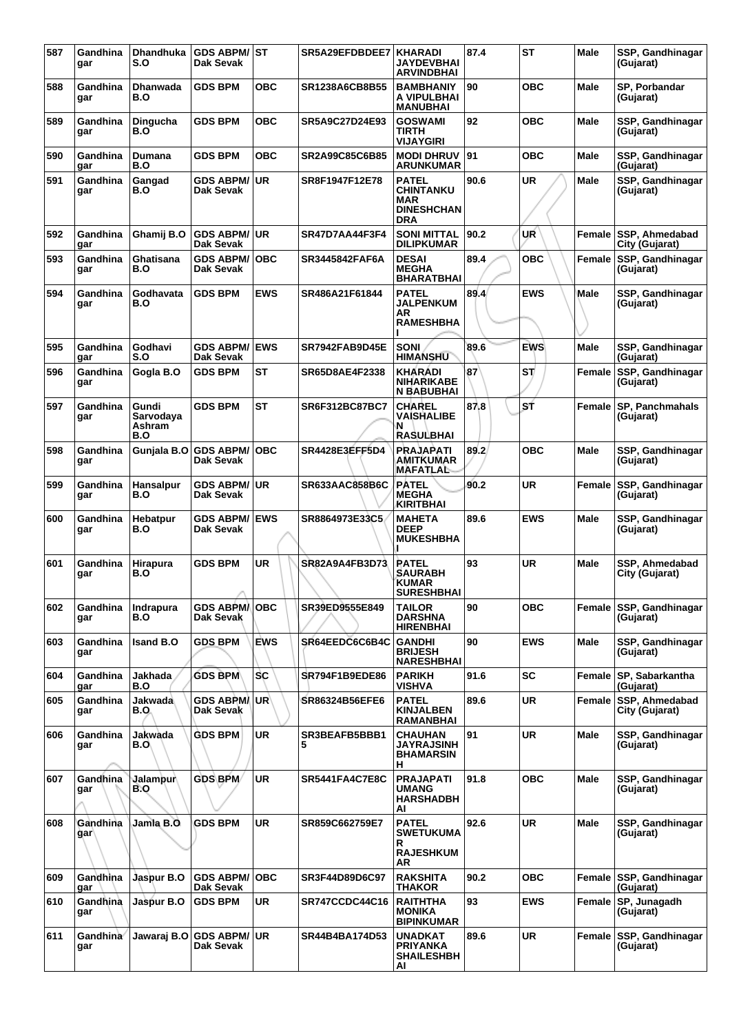| 587 | Gandhina<br>gar              | <b>Dhandhuka</b><br>S.O             | <b>GDS ABPM/ST</b><br>Dak Sevak   |            | SR5A29EFDBDEE7        | <b>KHARADI</b><br>JAYDEVBHAI<br>ARVINDBHAI                                 | 87.4 | <b>ST</b>  | Male        | SSP, Gandhinagar<br>(Gujarat)           |
|-----|------------------------------|-------------------------------------|-----------------------------------|------------|-----------------------|----------------------------------------------------------------------------|------|------------|-------------|-----------------------------------------|
| 588 | Gandhina<br>gar              | Dhanwada<br>B.O                     | <b>GDS BPM</b>                    | <b>OBC</b> | SR1238A6CB8B55        | <b>BAMBHANIY</b><br>A VIPULBHAI<br><b>MANUBHAI</b>                         | 90   | ОВС        | Male        | SP, Porbandar<br>(Gujarat)              |
| 589 | Gandhina<br>gar              | Dingucha<br>B.O                     | <b>GDS BPM</b>                    | <b>OBC</b> | SR5A9C27D24E93        | <b>GOSWAMI</b><br>TIRTH<br>VIJAYGIRI                                       | 92   | <b>OBC</b> | Male        | SSP, Gandhinagar<br>(Gujarat)           |
| 590 | Gandhina<br>gar              | Dumana<br>B.O                       | <b>GDS BPM</b>                    | <b>OBC</b> | SR2A99C85C6B85        | <b>MODI DHRUV</b><br><b>ARUNKUMAR</b>                                      | 91   | ОВС        | Male        | SSP, Gandhinagar<br>(Gujarat)           |
| 591 | Gandhina<br>gar              | Gangad<br>B.O                       | <b>GDS ABPM/</b><br>Dak Sevak     | UR.        | SR8F1947F12E78        | <b>PATEL</b><br><b>CHINTANKU</b><br>MAR<br><b>DINESHCHAN</b><br><b>DRA</b> | 90.6 | <b>UR</b>  | Male        | SSP, Gandhinagar<br>(Gujarat)           |
| 592 | Gandhina<br>gar              | Ghamij B.O                          | <b>GDS ABPM/</b><br>Dak Sevak     | ∣UR        | SR47D7AA44F3F4        | SONI MITTAL<br><b>DILIPKUMAR</b>                                           | 90.2 | UR         | Female      | SSP, Ahmedabad<br>City (Gujarat)        |
| 593 | Gandhina<br>gar              | Ghatisana<br>B.O                    | <b>GDS ABPM/</b><br>Dak Sevak     | <b>OBC</b> | SR3445842FAF6A        | <b>DESAI</b><br><b>MEGHA</b><br><b>BHARATBHAI</b>                          | 89.4 | <b>OBC</b> |             | Female SSP, Gandhinagar<br>(Gujarat)    |
| 594 | Gandhina<br>gar              | Godhavata<br>B.O                    | <b>GDS BPM</b>                    | <b>EWS</b> | SR486A21F61844        | PATEL<br><b>JALPENKUM</b><br>AR<br><b>RAMESHBHA</b>                        | 89.4 | <b>EWS</b> | Male        | SSP, Gandhinagar<br>(Gujarat)           |
| 595 | Gandhina<br>gar              | Godhavi<br>S.O                      | <b>GDS ABPM/</b><br>Dak Sevak     | <b>EWS</b> | <b>SR7942FAB9D45E</b> | <b>SONI</b><br><b>HIMANSHU</b>                                             | 89.6 | <b>EWS</b> | Male        | SSP, Gandhinagar<br>(Gujarat)           |
| 596 | Gandhina<br>gar              | Gogla B.O                           | <b>GDS BPM</b>                    | ST         | SR65D8AE4F2338        | KHARADI<br><b>NIHARIKABE</b><br><b>N BABUBHAI</b>                          | 87   | SΤ         | Female      | <b>SSP, Gandhinagar</b><br>(Gujarat)    |
| 597 | Gandhina<br>gar              | Gundi<br>Sarvodava<br>Ashram<br>B.O | <b>GDS BPM</b>                    | <b>ST</b>  | SR6F312BC87BC7        | <b>CHAREL</b><br>VAISHALIBE<br>N<br><b>RASULBHAI</b>                       | 87.8 | SŤ         |             | Female SP, Panchmahals<br>(Gujarat)     |
| 598 | Gandhina<br>gar              | Gunjala B.O                         | <b>GDS ABPM/</b><br>Dak Sevak     | <b>OBC</b> | SR4428E3EFF5D4        | <b>PRAJAPATI</b><br><b>AMITKUMAR</b><br>MAFATLAL                           | 89.2 | <b>OBC</b> | Male        | SSP, Gandhinagar<br>(Gujarat)           |
| 599 | Gandhina<br>gar              | Hansalpur<br>B.O                    | <b>GDS ABPM/ UR</b><br>Dak Sevak  |            | SR633AAC858B6C        | <b>PATEL</b><br><b>MEGHA</b><br><b>KIRITBHAI</b>                           | 90.2 | <b>UR</b>  | Female      | <b>SSP, Gandhinagar</b><br>(Gujarat)    |
| 600 | Gandhina<br>gar              | Hebatpur<br>B.O                     | <b>GDS ABPM/</b><br>Dak Sevak     | <b>EWS</b> | SR8864973E33C5        | <b>MAHETA</b><br><b>DEEP</b><br><b>MUKESHBHA</b>                           | 89.6 | <b>EWS</b> | Male        | SSP, Gandhinagar<br>(Gujarat)           |
| 601 | Gandhina<br>gar              | Hirapura<br>B.O                     | <b>GDS BPM</b>                    | UR         | SR82A9A4FB3D73        | <b>RATEL</b><br><b>SAURABH</b><br><b>KUMAR</b><br><b>SURESHBHAI</b>        | 93   | <b>UR</b>  | Male        | SSP, Ahmedabad<br>City (Gujarat)        |
| 602 | Gandhina<br>gar              | Indrapura<br>B.O                    | <b>GDS ABPMA</b><br>Dak Sevak     | <b>OBC</b> | SR39ED9555E849        | <b>TAILOR</b><br><b>DARSHNA</b><br><b>HIRENBHAI</b>                        | 90   | <b>OBC</b> |             | Female SSP, Gandhinagar<br>(Gujarat)    |
| 603 | Gandhina<br>gar              | Isand B.O                           | <b>GDS BPM</b>                    | <b>EWS</b> | SR64EEDC6C6B4C        | <b>GANDHI</b><br><b>BRIJESH</b><br><b>NARESHBHAI</b>                       | 90   | <b>EWS</b> | <b>Male</b> | SSP, Gandhinagar<br>(Gujarat)           |
| 604 | Gandhina<br>gar              | Jakhada<br>B.O                      | <b>GDS BPM</b>                    | <b>SC</b>  | <b>SR794F1B9EDE86</b> | <b>PARIKH</b><br><b>VISHVA</b>                                             | 91.6 | <b>SC</b>  |             | Female SP, Sabarkantha<br>(Gujarat)     |
| 605 | Gandhina<br>gar              | Jakwada<br>B.O.                     | <b>GDS ABPMAUR</b><br>Dak Sevak   |            | <b>SR86324B56EFE6</b> | <b>PATEL</b><br><b>KINJALBEN</b><br>RAMANBHAI                              | 89.6 | <b>UR</b>  |             | Female SSP, Ahmedabad<br>City (Gujarat) |
| 606 | Gandhina<br>gar              | Jakwada<br>B.O\                     | <b>GDS BPM</b>                    | <b>UR</b>  | SR3BEAFB5BBB1<br>5    | CHAUHAN<br><b>JAYRAJSINH</b><br><b>BHAMARSIN</b><br>н                      | 91   | <b>UR</b>  | Male        | SSP, Gandhinagar<br>(Gujarat)           |
| 607 | Gandhina<br>gar              | Jalampur∖<br>B.O                    | GDS BPM                           | <b>UR</b>  | <b>SR5441FA4C7E8C</b> | <b>PRAJAPATI</b><br>UMANG<br><b>HARSHADBH</b><br>AI                        | 91.8 | <b>OBC</b> | Male        | SSP, Gandhinagar<br>(Gujarat)           |
| 608 | Gandhina<br>gar              | Jamla B.O                           | <b>GDS BPM</b>                    | UR.        | SR859C662759E7        | PATEL<br><b>SWETUKUMA</b><br>R<br><b>RAJESHKUM</b>                         | 92.6 | <b>UR</b>  | Male        | SSP, Gandhinagar<br>(Gujarat)           |
| 609 | Gandhina<br>gar              | Jaspur B.O                          | <b>GDS ABPM/ OBC</b><br>Dak Sevak |            | SR3F44D89D6C97        | AR<br><b>RAKSHITA</b><br><b>THAKOR</b>                                     | 90.2 | <b>OBC</b> |             | Female SSP, Gandhinagar<br>(Gujarat)    |
| 610 | Gandhina<br>gar              | Jaspur B.O                          | <b>GDS BPM</b>                    | <b>UR</b>  | <b>SR747CCDC44C16</b> | <b>RAITHTHA</b><br>MONIKA<br><b>BIPINKUMAR</b>                             | 93   | <b>EWS</b> |             | Female SP, Junagadh<br>(Gujarat)        |
| 611 | Gandhina <sup>®</sup><br>gar | Jawaraj B.O                         | <b>GDS ABPM/UR</b><br>Dak Sevak   |            | SR44B4BA174D53        | <b>UNADKAT</b><br><b>PRIYANKA</b><br><b>SHAILESHBH</b><br>AI               | 89.6 | <b>UR</b>  |             | Female SSP, Gandhinagar<br>(Gujarat)    |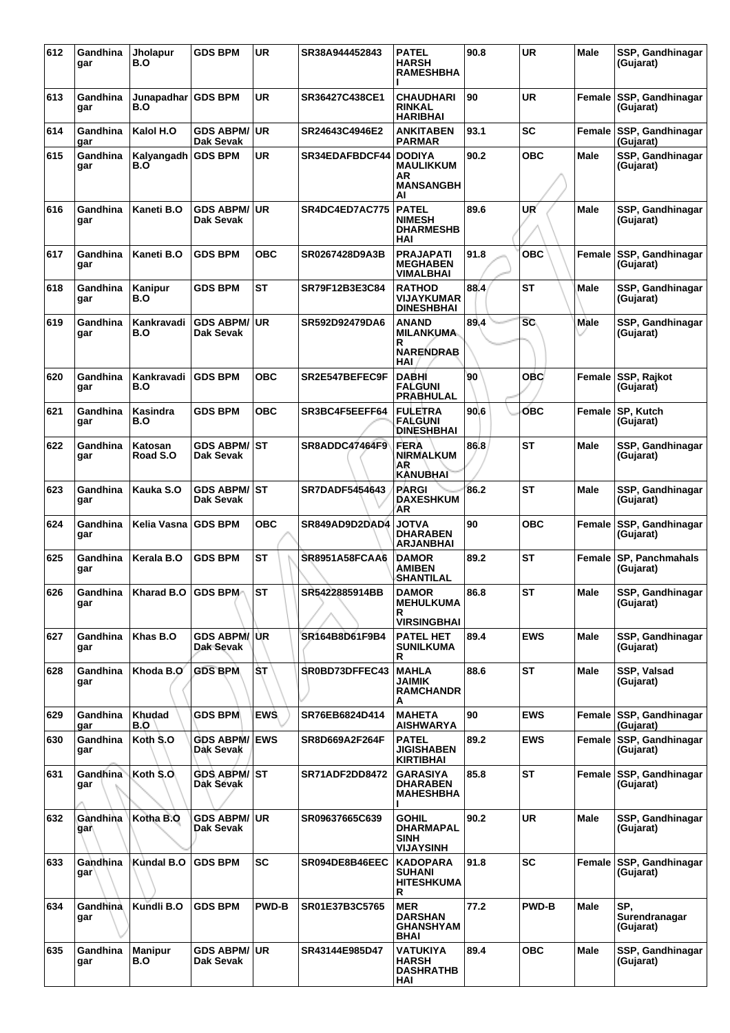| 612 | Gandhina<br>gar | <b>Jholapur</b><br>B.O | <b>GDS BPM</b>                    | UR           | SR38A944452843        | PATEL<br><b>HARSH</b><br><b>RAMESHBHA</b>                         | 90.8 | <b>UR</b>    | Male        | SSP, Gandhinagar<br>(Gujarat)        |
|-----|-----------------|------------------------|-----------------------------------|--------------|-----------------------|-------------------------------------------------------------------|------|--------------|-------------|--------------------------------------|
| 613 | Gandhina<br>gar | Junapadhar<br>B.O      | <b>GDS BPM</b>                    | <b>UR</b>    | SR36427C438CE1        | CHAUDHARI<br><b>RINKAL</b><br><b>HARIBHAI</b>                     | 90   | <b>UR</b>    |             | Female SSP, Gandhinagar<br>(Gujarat) |
| 614 | Gandhina<br>gar | Kalol H.O              | <b>GDS ABPM/</b><br>Dak Sevak     | ∣UR          | SR24643C4946E2        | ANKITABEN<br><b>PARMAR</b>                                        | 93.1 | <b>SC</b>    |             | Female SSP, Gandhinagar<br>(Gujarat) |
| 615 | Gandhina<br>gar | Kalyangadh<br>B.O      | <b>GDS BPM</b>                    | <b>UR</b>    | <b>SR34EDAFBDCF44</b> | <b>DODIYA</b><br><b>MAULIKKUM</b><br>AR<br><b>MANSANGBH</b><br>Al | 90.2 | <b>OBC</b>   | Male        | SSP, Gandhinagar<br>(Gujarat)        |
| 616 | Gandhina<br>gar | Kaneti B.O             | <b>GDS ABPM/</b><br>Dak Sevak     | <b>UR</b>    | <b>SR4DC4ED7AC775</b> | <b>PATEL</b><br><b>NIMESH</b><br><b>DHARMESHB</b><br>HAI          | 89.6 | UR           | Male        | SSP, Gandhinagar<br>(Gujarat)        |
| 617 | Gandhina<br>gar | Kaneti B.O             | <b>GDS BPM</b>                    | ОВС          | SR0267428D9A3B        | PRAJAPATI<br><b>MEGHABEN</b><br>VIMALBHAI                         | 91.8 | <b>OBC</b>   | Female      | <b>SSP, Gandhinagar</b><br>(Gujarat) |
| 618 | Gandhina<br>gar | Kanipur<br>B.O         | <b>GDS BPM</b>                    | <b>ST</b>    | <b>SR79F12B3E3C84</b> | <b>RATHOD</b><br>VIJAYKUMAR<br><b>DINESHBHAI</b>                  | 88.4 | <b>ST</b>    | Male        | SSP, Gandhinagar<br>(Gujarat)        |
| 619 | Gandhina<br>gar | Kankravadi<br>B.O      | <b>GDS ABPM/ UR</b><br>Dak Sevak  |              | SR592D92479DA6        | <b>ANAND</b><br><b>MILANKUMA</b><br>R<br><b>NARENDRAB</b><br>HAI  | 89.4 | <b>SC</b>    | Male        | SSP, Gandhinagar<br>(Gujarat)        |
| 620 | Gandhina<br>gar | Kankravadi<br>B.O      | <b>GDS BPM</b>                    | <b>OBC</b>   | <b>SR2E547BEFEC9F</b> | <b>DABHI</b><br><b>FALGUNI</b><br><b>PRABHULAL</b>                | 90   | <b>OBC</b>   | Female      | SSP, Rajkot<br>(Gujarat)             |
| 621 | Gandhina<br>gar | Kasindra<br>B.O        | <b>GDS BPM</b>                    | OBC          | SR3BC4F5EEFF64        | <b>FULETRA</b><br>FALGUNI<br><b>DINESHBHAI</b>                    | 90.6 | <b>OBC</b>   | Female      | <b>SP, Kutch</b><br>(Gujarat)        |
| 622 | Gandhina<br>gar | Katosan<br>Road S.O    | <b>GDS ABPM/ ST</b><br>Dak Sevak  |              | SR8ADDC47464F9        | <b>FERA</b><br><b>NIRMALKUM</b><br>AR<br>KANUBHAI                 | 86.8 | <b>ST</b>    | Male        | SSP, Gandhinagar<br>(Gujarat)        |
| 623 | Gandhina<br>gar | Kauka S.O              | <b>GDS ABPM/ ST</b><br>Dak Sevak  |              | <b>SR7DADF5454643</b> | <b>PARGI</b><br><b>DAXESHKUM</b><br>AR                            | 86.2 | <b>ST</b>    | Male        | SSP, Gandhinagar<br>(Gujarat)        |
| 624 | Gandhina<br>gar | Kelia Vasna            | <b>GDS BPM</b>                    | <b>OBC</b>   | SR849AD9D2DAD4        | JOTVA<br><b>DHARABEN</b><br><b>ARJANBHAI</b>                      | 90   | <b>OBC</b>   | Female      | SSP, Gandhinagar<br>(Gujarat)        |
| 625 | Gandhina<br>gar | Kerala B.O             | <b>GDS BPM</b>                    | <b>ST</b>    | <b>SR8951A58FCAA6</b> | <b>DAMOR</b><br>AMIBEN<br>SHANTILAL                               | 89.2 | <b>ST</b>    | Female      | <b>SP, Panchmahals</b><br>(Gujarat)  |
| 626 | gar             | Gandhina Kharad B.O    | <b>GDS BPM</b>                    | <b>ST</b>    | SR5422885914BB        | <b>DAMOR</b><br><b>MEHULKUMA</b><br>R<br><b>VIRSINGBHAI</b>       | 86.8 | <b>ST</b>    | Male        | SSP, Gandhinagar<br>(Gujarat)        |
| 627 | Gandhina<br>gar | Khas B.O               | GDS ABPM/UR<br>Dak Sevak          |              | SR164B8D61F9B4        | <b>PATEL HET</b><br><b>SUNILKUMA</b><br>R                         | 89.4 | <b>EWS</b>   | <b>Male</b> | SSP, Gandhinagar<br>(Gujarat)        |
| 628 | Gandhina<br>gar | Khoda B.O              | <b>GDS BPM</b>                    | ŜT           | SR0BD73DFFEC43        | <b>MAHLA</b><br>JAIMIK<br><b>RAMCHANDR</b><br>А                   | 88.6 | <b>ST</b>    | Male        | SSP, Valsad<br>(Gujarat)             |
| 629 | Gandhina<br>gar | Khudad<br>B.O          | <b>GDS BPM</b>                    | <b>EWS</b>   | SR76EB6824D414        | <b>MAHETA</b><br><b>AISHWARYA</b>                                 | 90   | <b>EWS</b>   |             | Female SSP, Gandhinagar<br>(Gujarat) |
| 630 | Gandhina<br>gar | Koth S.O               | <b>GDS ABPM/ EWS</b><br>Dak Sevak |              | SR8D669A2F264F        | <b>PATEL</b><br><b>JIGISHABEN</b><br>KIRTIBHAI                    | 89.2 | <b>EWS</b>   |             | Female SSP, Gandhinagar<br>(Gujarat) |
| 631 | Gandhina<br>gar | Koth S.O.              | <b>GDS ABPM/ ST</b><br>Dak Sevak  |              | <b>SR71ADF2DD8472</b> | <b>GARASIYA</b><br><b>DHARABEN</b><br><b>MAHESHBHA</b>            | 85.8 | <b>ST</b>    |             | Female SSP, Gandhinagar<br>(Gujarat) |
| 632 | Gandhina<br>gar | Kotha B.O              | <b>GDS ABPM/ UR</b><br>Dak Sevak  |              | SR09637665C639        | GOHIL<br><b>DHARMAPAL</b><br>SINH<br>VIJAYSINH                    | 90.2 | <b>UR</b>    | Male        | SSP, Gandhinagar<br>(Gujarat)        |
| 633 | Gandhina<br>gar | Kundal B.O             | <b>GDS BPM</b>                    | <b>SC</b>    | SR094DE8B46EEC        | <b>KADOPARA</b><br><b>SUHANI</b><br><b>HITESHKUMA</b><br>R        | 91.8 | <b>SC</b>    |             | Female SSP, Gandhinagar<br>(Gujarat) |
| 634 | Gandhina<br>gar | Kundli B.O             | <b>GDS BPM</b>                    | <b>PWD-B</b> | SR01E37B3C5765        | <b>MER</b><br><b>DARSHAN</b><br><b>GHANSHYAM</b><br>BHAI          | 77.2 | <b>PWD-B</b> | Male        | SP.<br>Surendranagar<br>(Gujarat)    |
| 635 | Gandhina<br>gar | Manipur<br>B.O         | <b>GDS ABPM/ UR</b><br>Dak Sevak  |              | SR43144E985D47        | VATUKIYA<br><b>HARSH</b><br><b>DASHRATHB</b><br>HAI               | 89.4 | <b>OBC</b>   | Male        | SSP, Gandhinagar<br>(Gujarat)        |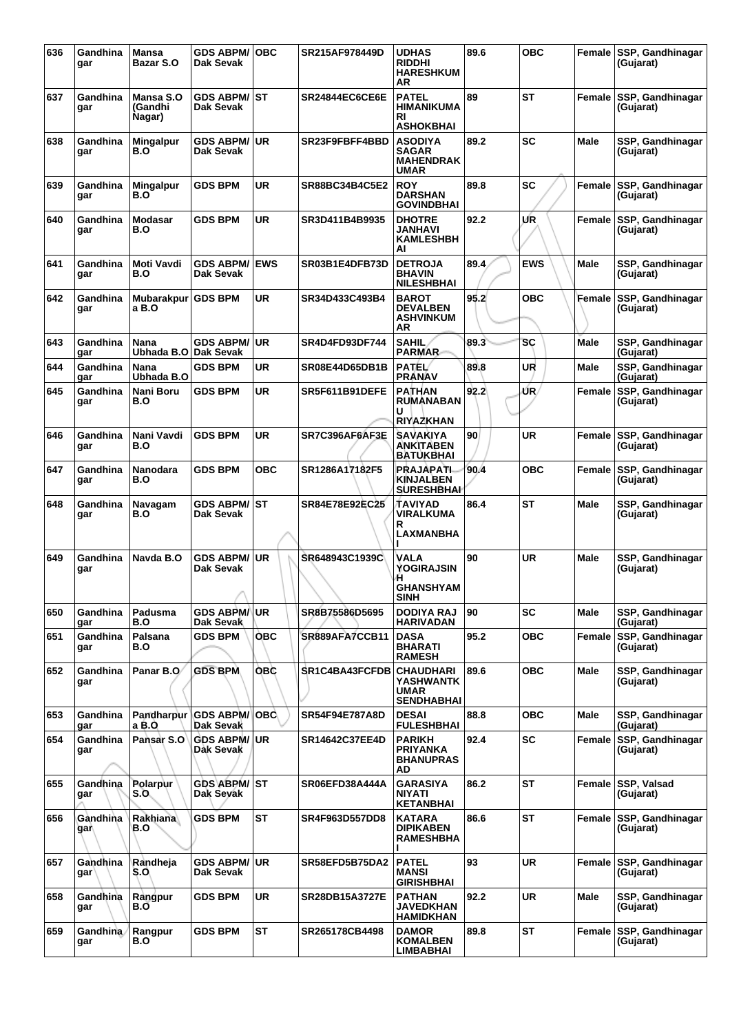| 636 | Gandhina<br>gar | <b>Mansa</b><br><b>Bazar S.O</b> | <b>GDS ABPM/OBC</b><br>Dak Sevak  |            | SR215AF978449D        | <b>UDHAS</b><br><b>RIDDHI</b><br><b>HARESHKUM</b><br>ΑR           | 89.6 | <b>OBC</b> |             | Female SSP, Gandhinagar<br>(Gujarat) |
|-----|-----------------|----------------------------------|-----------------------------------|------------|-----------------------|-------------------------------------------------------------------|------|------------|-------------|--------------------------------------|
| 637 | Gandhina<br>gar | Mansa S.O<br>(Gandhi<br>Nagar)   | <b>GDS ABPM/ST</b><br>Dak Sevak   |            | <b>SR24844EC6CE6E</b> | <b>PATEL</b><br><b>HIMANIKUMA</b><br>RI<br><b>ASHOKBHAI</b>       | 89   | <b>ST</b>  | Female      | <b>SSP, Gandhinagar</b><br>(Gujarat) |
| 638 | Gandhina<br>gar | <b>Mingalpur</b><br>B.O          | <b>GDS ABPM/</b><br>Dak Sevak     | l UR       | SR23F9FBFF4BBD        | <b>ASODIYA</b><br><b>SAGAR</b><br><b>MAHENDRAK</b><br><b>UMAR</b> | 89.2 | <b>SC</b>  | Male        | SSP, Gandhinagar<br>(Gujarat)        |
| 639 | Gandhina<br>gar | <b>Mingalpur</b><br>B.O          | <b>GDS BPM</b>                    | UR         | SR88BC34B4C5E2        | <b>ROY</b><br><b>DARSHAN</b><br><b>GOVINDBHAI</b>                 | 89.8 | SC         | Female      | <b>SSP, Gandhinagar</b><br>(Gujarat) |
| 640 | Gandhina<br>gar | <b>Modasar</b><br>B.O            | <b>GDS BPM</b>                    | UR         | SR3D411B4B9935        | <b>DHOTRE</b><br>JANHAVI<br><b>KAMLESHBH</b><br>AI                | 92.2 | UR         | Female      | SSP, Gandhinagar<br>(Gujarat)        |
| 641 | Gandhina<br>gar | <b>Moti Vavdi</b><br>B.O         | <b>GDS ABPM/ EWS</b><br>Dak Sevak |            | SR03B1E4DFB73D        | <b>DETROJA</b><br><b>BHAVIN</b><br><b>NILESHBHAI</b>              | 89.4 | <b>EWS</b> | Male        | SSP, Gandhinagar<br>(Gujarat)        |
| 642 | Gandhina<br>gar | Mubarakpur<br>a B.O              | <b>GDS BPM</b>                    | UR         | SR34D433C493B4        | <b>BAROT</b><br><b>DEVALBEN</b><br><b>ASHVINKUM</b><br><b>AR</b>  | 95.2 | <b>OBC</b> | Female      | SSP, Gandhinagar<br>(Gujarat)        |
| 643 | Gandhina<br>gar | Nana<br>Ubhada B.O               | <b>GDS ABPM/ UR</b><br>∣Dak Sevak |            | SR4D4FD93DF744        | <b>SAHIL</b><br><b>PARMAR</b>                                     | 89.3 | SC         | <b>Male</b> | SSP, Gandhinagar<br>(Gujarat)        |
| 644 | Gandhina<br>qar | Nana<br>Ubhada B.O               | <b>GDS BPM</b>                    | <b>UR</b>  | SR08E44D65DB1B        | <b>PATEL</b><br><b>PRANAV</b>                                     | 89.8 | UR         | Male        | SSP, Gandhinagar<br>(Gujarat)        |
| 645 | Gandhina<br>gar | Nani Boru<br>B.O                 | <b>GDS BPM</b>                    | <b>UR</b>  | SR5F611B91DEFE        | <b>PATHAN</b><br><b>RUMANABAN</b><br>U<br>RIYAZKHAN               | 92.2 | ŰR,        | Female      | SSP, Gandhinagar<br>(Guiarat)        |
| 646 | Gandhina<br>gar | Nani Vavdi<br>B.O                | <b>GDS BPM</b>                    | <b>UR</b>  | SR7C396AF6AF3E        | <b>SAVAKIYA</b><br>ANKITABEN<br>BATUKBHAI                         | 90   | <b>UR</b>  | Female      | <b>SSP, Gandhinagar</b><br>(Gujarat) |
| 647 | Gandhina<br>gar | <b>Nanodara</b><br>B.O           | <b>GDS BPM</b>                    | OBC        | SR1286A17182F5        | <b>PRAJAPATI</b><br><b>KINJALBEN</b><br><b>SURESHBHAI</b>         | 90.4 | <b>OBC</b> | Female      | SSP, Gandhinagar<br>(Gujarat)        |
| 648 | Gandhina<br>gar | Navagam<br>B.O                   | <b>GDS ABPM/ ST</b><br>Dak Sevak  |            | SR84E78E92EC25        | TAVIYAD<br>VIRALKUMA<br>R<br><b>LAXMANBHA</b>                     | 86.4 | SТ         | Male        | SSP, Gandhinagar<br>(Gujarat)        |
| 649 | Gandhina<br>gar | Navda B.O                        | <b>GDS ABPM/</b><br>Dak Sevak     | <b>UR</b>  | SR648943C1939C        | VALA<br>YOGIRAJSIN<br>Æ.<br><b>GHANSHYAM</b><br>SINH              | 90   | <b>UR</b>  | <b>Male</b> | SSP, Gandhinagar<br>(Gujarat)        |
| 650 | Gandhina<br>gar | Padusma<br>B.O                   | <b>GDS ABPM/UR</b><br>Dak Sevak   |            | SR8B75586D5695        | <b>DODIYA RAJ</b><br><b>HARIVADAN</b>                             | 90   | <b>SC</b>  | Male        | SSP, Gandhinagar<br>(Gujarat)        |
| 651 | Gandhina<br>gar | Palsana<br>B.O                   | GDS BPM                           | ОВС        | SR889AFA7CCB11        | <b>DASA</b><br><b>BHARATI</b><br><b>RAMESH</b>                    | 95.2 | <b>OBC</b> | Female      | SSP, Gandhinagar<br>(Gujarat)        |
| 652 | Gandhina<br>gar | Panar B.O                        | <b>GDS BPM</b>                    | <b>OBC</b> | SR1C4BA43FCFDB        | <b>CHAUDHARI</b><br>YASHWANTK<br><b>UMAR</b><br><b>SENDHABHAI</b> | 89.6 | <b>OBC</b> | <b>Male</b> | SSP, Gandhinagar<br>(Gujarat)        |
| 653 | Gandhina<br>gar | Pandharpur<br>a B.O              | GDS ABPM/ OBC<br>Dak Sevak        |            | SR54F94E787A8D        | <b>DESAI</b><br><b>FULESHBHAI</b>                                 | 88.8 | <b>OBC</b> | Male        | SSP, Gandhinagar<br>(Gujarat)        |
| 654 | Gandhina<br>gar | Pansar S.O                       | <b>GDS ABPM/ UR</b><br>Dak Sevak  |            | SR14642C37EE4D        | <b>PARIKH</b><br><b>PRIYANKA</b><br><b>BHANUPRAS</b><br>AD.       | 92.4 | SC         | Female      | SSP, Gandhinagar<br>(Gujarat)        |
| 655 | Gandhina<br>gar | Polarpur<br>S.O.                 | <b>GDS ABPM/ ST</b><br>Dak Sevak  |            | SR06EFD38A444A        | <b>GARASIYA</b><br><b>NIYATI</b><br><b>KETANBHAI</b>              | 86.2 | ST         | Female      | SSP, Valsad<br>(Gujarat)             |
| 656 | Gandhina<br>gar | Rakhiana<br>B.O                  | <b>GDS BPM</b>                    | <b>ST</b>  | <b>SR4F963D557DD8</b> | <b>KATARA</b><br><b>DIPIKABEN</b><br><b>RAMESHBHA</b>             | 86.6 | <b>ST</b>  | Female      | SSP, Gandhinagar<br>(Gujarat)        |
| 657 | Gandhina<br>gar | Randheja<br>S.O                  | <b>GDS ABPM/ UR</b><br>Dak Sevak  |            | SR58EFD5B75DA2        | <b>PATEL</b><br><b>MANSI</b><br><b>GIRISHBHAI</b>                 | 93   | <b>UR</b>  | Female      | <b>SSP, Gandhinagar</b><br>(Gujarat) |
| 658 | Gandhina<br>gar | Rangpur<br>B.O                   | <b>GDS BPM</b>                    | <b>UR</b>  | SR28DB15A3727E        | <b>PATHAN</b><br>JAVEDKHAN<br><b>HAMIDKHAN</b>                    | 92.2 | <b>UR</b>  | Male        | SSP, Gandhinagar<br>(Gujarat)        |
| 659 | Gandhina<br>gar | Rangpur<br>B.O                   | <b>GDS BPM</b>                    | <b>ST</b>  | SR265178CB4498        | <b>DAMOR</b><br><b>KOMALBEN</b><br>LIMBABHAI                      | 89.8 | <b>ST</b>  | Female      | <b>SSP, Gandhinagar</b><br>(Gujarat) |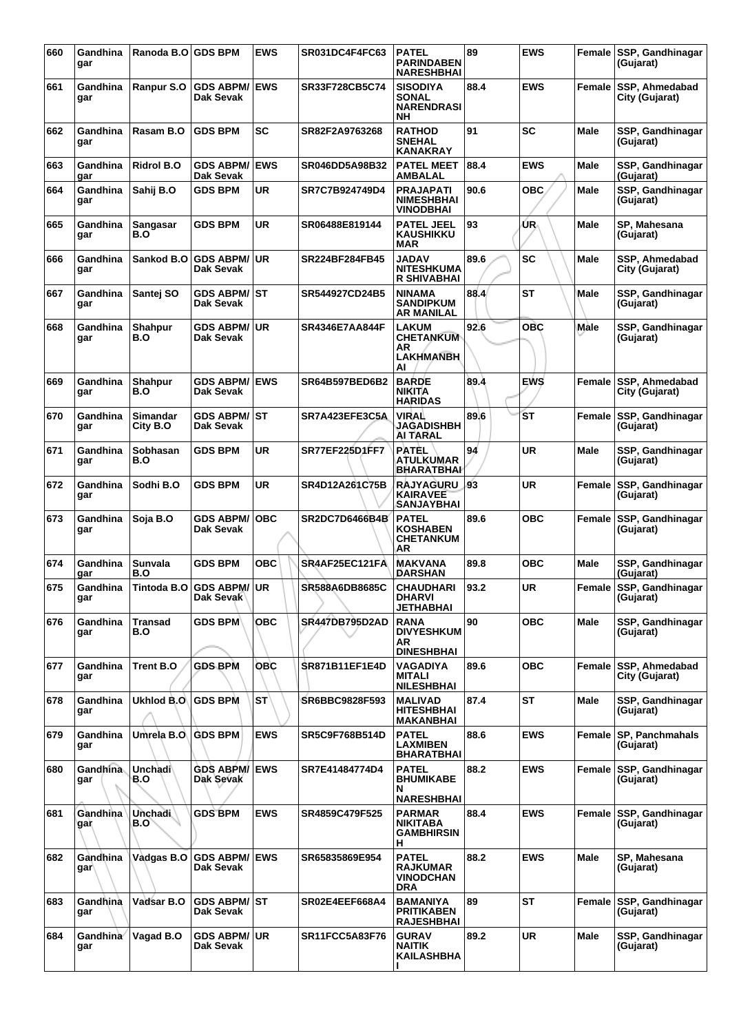| 660 | Gandhina<br>gar              | Ranoda B.O GDS BPM          |                                      | <b>EWS</b> | SR031DC4F4FC63        | <b>PATEL</b><br><b>PARINDABEN</b><br><b>NARESHBHAI</b>            | 89   | <b>EWS</b> |               | Female SSP, Gandhinagar<br>(Gujarat) |
|-----|------------------------------|-----------------------------|--------------------------------------|------------|-----------------------|-------------------------------------------------------------------|------|------------|---------------|--------------------------------------|
| 661 | Gandhina<br>gar              | Ranpur S.O                  | <b>GDS ABPM/ EWS</b><br>Dak Sevak    |            | SR33F728CB5C74        | <b>SISODIYA</b><br><b>SONAL</b><br><b>NARENDRASI</b><br><b>NH</b> | 88.4 | <b>EWS</b> | Female        | SSP, Ahmedabad<br>City (Gujarat)     |
| 662 | Gandhina<br>gar              | Rasam B.O                   | <b>GDS BPM</b>                       | <b>SC</b>  | SR82F2A9763268        | <b>RATHOD</b><br><b>SNEHAL</b><br><b>KANAKRAY</b>                 | 91   | SC         | <b>Male</b>   | SSP, Gandhinagar<br>(Gujarat)        |
| 663 | Gandhina<br>gar              | <b>Ridrol B.O</b>           | <b>GDS ABPM/ EWS</b><br>Dak Sevak    |            | SR046DD5A98B32        | <b>PATEL MEET</b><br><b>AMBALAL</b>                               | 88.4 | <b>EWS</b> | Male          | SSP, Gandhinagar<br>(Gujarat)        |
| 664 | Gandhina<br>gar              | Sahij B.O                   | <b>GDS BPM</b>                       | UR         | SR7C7B924749D4        | <b>PRAJAPATI</b><br><b>NIMESHBHAI</b><br><b>VINODBHAI</b>         | 90.6 | <b>OBC</b> | Male          | SSP, Gandhinagar<br>(Gujarat)        |
| 665 | Gandhina<br>gar              | Sangasar<br>B.O             | GDS BPM                              | UR         | SR06488E819144        | <b>PATEL JEEL</b><br><b>KAUSHIKKU</b><br>MAR                      | 93   | UR.        | Male          | SP. Mahesana<br>(Gujarat)            |
| 666 | Gandhina<br>gar              | Sankod B.O                  | GDS ABPM/UR<br>Dak Sevak             |            | SR224BF284FB45        | JADAV<br><b>NITESHKUMA</b><br><b>R SHIVABHAI</b>                  | 89.6 | <b>SC</b>  | Male          | SSP, Ahmedabad<br>City (Gujarat)     |
| 667 | Gandhina<br>gar              | Santej SO                   | <b>GDS ABPM/ST</b><br>Dak Sevak      |            | SR544927CD24B5        | <b>NINAMA</b><br><b>SANDIPKUM</b><br><b>AR MANILAL</b>            | 88.4 | ST         | Male          | SSP, Gandhinagar<br>(Gujarat)        |
| 668 | Gandhina<br>gar              | Shahpur<br>B.O              | GDS ABPM/∣UR<br>Dak Sevak            |            | SR4346E7AA844F        | <b>LAKUM</b><br><b>CHETANKUM</b><br>ΑR<br><b>LAKHMANBH</b><br>AI  | 92.6 | <b>OBC</b> | Male          | SSP, Gandhinagar<br>(Gujarat)        |
| 669 | Gandhina<br>gar              | <b>Shahpur</b><br>B.O       | <b>GDS ABPM/ EWS</b><br>Dak Sevak    |            | SR64B597BED6B2        | <b>BARDE</b><br><b>NIKITA</b><br><b>HARIDAS</b>                   | 89.4 | <b>EWS</b> | Female        | SSP, Ahmedabad<br>City (Gujarat)     |
| 670 | Gandhina<br>gar              | <b>Simandar</b><br>City B.O | <b>GDS ABPM/ ST</b><br>Dak Sevak     |            | SR7A423EFE3C5A        | <b>VIRAL</b><br><b>JAGADISHBH</b><br>AI TARAL                     | 89.6 | <b>ST</b>  | <b>Female</b> | SSP, Gandhinagar<br>(Gujarat)        |
| 671 | Gandhina<br>gar              | Sobhasan<br>B.O             | <b>GDS BPM</b>                       | <b>UR</b>  | SR77EF225D1FF7        | <b>PATEL</b><br><b>ATULKUMAR</b><br>BHARATBHAI                    | 94   | UR         | Male          | SSP, Gandhinagar<br>(Gujarat)        |
| 672 | Gandhina<br>gar              | Sodhi B.O                   | <b>GDS BPM</b>                       | <b>UR</b>  | SR4D12A261C75B        | <b>RAJYAGURU</b><br><b>KAIRAVEE</b><br>SANJAYBHAI                 | 93   | <b>UR</b>  | Female        | SSP, Gandhinagar<br>(Gujarat)        |
| 673 | Gandhina<br>gar              | Soja B.O                    | <b>GDS ABPM/</b><br>Dak Sevak        | <b>OBC</b> | <b>SR2DC7D6466B4B</b> | <b>PATEL</b><br><b>KOSHABEN</b><br><b>CHETANKUM</b><br>AR         | 89.6 | <b>OBC</b> | <b>Female</b> | SSP, Gandhinagar<br>(Gujarat)        |
| 674 | Gandhina<br>gar              | <b>Sunvala</b><br>B.O       | <b>GDS BPM</b>                       | овс        | SR4AF25EC121FA        | <b>MAKVANA</b><br>DARSHAN                                         | 89.8 | <b>OBC</b> | Male          | SSP, Gandhinagar<br>(Gujarat)        |
| 675 | Gandhina<br>gar              |                             | Tintoda B.O GDS ABPM/UR<br>рак эеvак |            | SR588A6DB8685C        | <b>CHAUDHARI</b><br>DHARVI<br><b>JETHABHAI</b>                    | 93.2 | UR         | Female        | SSP, Gandhinagar<br>(Gujarat)        |
| 676 | Gandhina<br>gar              | <b>Transad</b><br>B.O       | <b>GDS BPM</b>                       | ОВС        | <b>SR447DB795D2AD</b> | <b>RANA</b><br><b>DIVYESHKUM</b><br>AR<br><b>DINESHBHAI</b>       | 90   | <b>OBC</b> | Male          | SSP, Gandhinagar<br>(Gujarat)        |
| 677 | Gandhina<br>gar              | Trent B.O                   | <b>GDS BPM</b>                       | <b>OBC</b> | <b>SR871B11EF1E4D</b> | <b>VAGADIYA</b><br><b>MITALI</b><br><b>NILESHBHAI</b>             | 89.6 | <b>OBC</b> | Female        | SSP, Ahmedabad<br>City (Gujarat)     |
| 678 | Gandhina<br>gar              | Ukhlod B.O                  | <b>GDS BPM</b>                       | <b>ST</b>  | SR6BBC9828F593        | <b>MALIVAD</b><br><b>HITESHBHAI</b><br><b>MAKANBHAI</b>           | 87.4 | <b>ST</b>  | <b>Male</b>   | SSP, Gandhinagar<br>(Gujarat)        |
| 679 | Gandhina<br>gar              | Umrela B.O                  | <b>GDS BPM</b>                       | <b>EWS</b> | SR5C9F768B514D        | <b>PATEL</b><br><b>LAXMIBEN</b><br><b>BHARATBHAI</b>              | 88.6 | <b>EWS</b> | Female        | <b>SP. Panchmahals</b><br>(Gujarat)  |
| 680 | Gandhina<br>gar              | <b>Unchadi</b><br>B.O       | <b>GDS ABPM/ EWS</b><br>Dak Sevak    |            | SR7E41484774D4        | <b>PATEL</b><br><b>BHUMIKABE</b><br>N<br><b>NARESHBHAI</b>        | 88.2 | <b>EWS</b> | Female        | <b>SSP, Gandhinagar</b><br>(Gujarat) |
| 681 | Gandhina<br>gar              | <b>Unchadi</b><br>B.O       | <b>GDS BPM</b>                       | <b>EWS</b> | SR4859C479F525        | PARMAR<br><b>NIKITABA</b><br><b>GAMBHIRSIN</b><br>н               | 88.4 | <b>EWS</b> | Female        | <b>SSP, Gandhinagar</b><br>(Gujarat) |
| 682 | Gandhina<br>gar∖             | Vadgas B.O                  | <b>GDS ABPM/ EWS</b><br>Dak Sevak    |            | SR65835869E954        | <b>PATEL</b><br><b>RAJKUMAR</b><br><b>VINODCHAN</b><br><b>DRA</b> | 88.2 | <b>EWS</b> | Male          | SP, Mahesana<br>(Gujarat)            |
| 683 | Gandhina<br>gar              | Vadsar B.O                  | <b>GDS ABPM/ ST</b><br>Dak Sevak     |            | SR02E4EEF668A4        | <b>BAMANIYA</b><br><b>PRITIKABEN</b><br><b>RAJESHBHAI</b>         | 89   | ST         | Female        | SSP, Gandhinagar<br>(Gujarat)        |
| 684 | Gandhina <sup>®</sup><br>gar | Vagad B.O                   | <b>GDS ABPM/ UR</b><br>Dak Sevak     |            | <b>SR11FCC5A83F76</b> | <b>GURAV</b><br><b>NAITIK</b><br><b>KAILASHBHA</b>                | 89.2 | <b>UR</b>  | <b>Male</b>   | SSP, Gandhinagar<br>(Gujarat)        |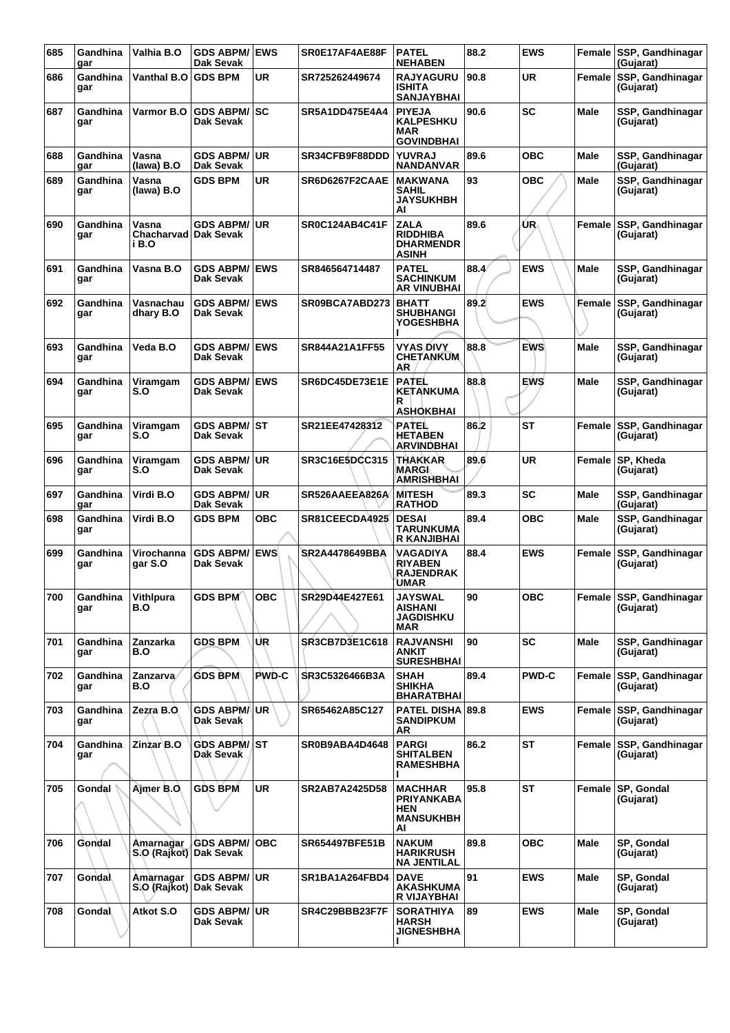| 685 | Gandhina<br>gar | Valhia B.O                               | <b>GDS ABPM/ EWS</b><br>Dak Sevak |            | SR0E17AF4AE88F | <b>PATEL</b><br><b>NEHABEN</b>                                              | 88.2 | <b>EWS</b>   |             | Female SSP, Gandhinagar<br>(Gujarat) |
|-----|-----------------|------------------------------------------|-----------------------------------|------------|----------------|-----------------------------------------------------------------------------|------|--------------|-------------|--------------------------------------|
| 686 | Gandhina<br>gar | Vanthal B.O                              | <b>GDS BPM</b>                    | UR         | SR725262449674 | <b>RAJYAGURU</b><br><b>ISHITA</b><br><b>SANJAYBHAI</b>                      | 90.8 | <b>UR</b>    | Female      | SSP, Gandhinagar<br>(Gujarat)        |
| 687 | Gandhina<br>gar | Varmor B.O                               | <b>GDS ABPM/SC</b><br>Dak Sevak   |            | SR5A1DD475E4A4 | <b>PIYEJA</b><br><b>KALPESHKU</b><br><b>MAR</b><br><b>GOVINDBHAI</b>        | 90.6 | <b>SC</b>    | Male        | SSP, Gandhinagar<br>(Gujarat)        |
| 688 | Gandhina<br>gar | Vasna<br>(lawa) B.O                      | <b>GDS ABPM/</b><br>Dak Sevak     | ∣UR        | SR34CFB9F88DDD | <b>YUVRAJ</b><br><b>NANDANVAR</b>                                           | 89.6 | <b>OBC</b>   | Male        | SSP, Gandhinagar<br>(Gujarat)        |
| 689 | Gandhina<br>gar | Vasna<br>(lawa) B.O                      | <b>GDS BPM</b>                    | UR         | SR6D6267F2CAAE | <b>MAKWANA</b><br>SAHIL<br><b>JAYSUKHBH</b><br>Al                           | 93   | <b>OBC</b>   | Male        | SSP, Gandhinagar<br>(Gujarat)        |
| 690 | Gandhina<br>gar | Vasna<br>Chacharvad   Dak Sevak<br>i B.O | <b>GDS ABPM/ UR</b>               |            | SR0C124AB4C41F | ZALA<br><b>RIDDHIBA</b><br><b>DHARMENDR</b><br><b>ASINH</b>                 | 89.6 | UR.          |             | Female SSP, Gandhinagar<br>(Gujarat) |
| 691 | Gandhina<br>gar | Vasna B.O                                | <b>GDS ABPM/ EWS</b><br>Dak Sevak |            | SR846564714487 | <b>PATEL</b><br><b>SACHINKUM</b><br><b>AR VINUBHAI</b>                      | 88.4 | <b>EWS</b>   | Male        | SSP, Gandhinagar<br>(Gujarat)        |
| 692 | Gandhina<br>gar | Vasnachau<br>dhary B.O                   | <b>GDS ABPM/ EWS</b><br>Dak Sevak |            | SR09BCA7ABD273 | <b>BHATT</b><br>SHUBHANGI<br>YOGESHBHA                                      | 89.2 | <b>EWS</b>   |             | Female SSP, Gandhinagar<br>(Gujarat) |
| 693 | Gandhina<br>gar | Veda B.O                                 | <b>GDS ABPM/ EWS</b><br>Dak Sevak |            | SR844A21A1FF55 | VYAS DIVY<br><b>CHETANKUM</b><br>AR                                         | 88.8 | <b>EWS</b>   | Male        | SSP, Gandhinagar<br>(Gujarat)        |
| 694 | Gandhina<br>gar | Viramgam<br>S.O                          | <b>GDS ABPM/ EWS</b><br>Dak Sevak |            | SR6DC45DE73E1E | <b>PATEL</b><br>KETANKUMA<br>R<br>ASHOKBHAI                                 | 88.8 | <b>EWS</b>   | Male        | SSP, Gandhinagar<br>(Gujarat)        |
| 695 | Gandhina<br>gar | Viramgam<br>S.O                          | <b>GDS ABPM/ ST</b><br>Dak Sevak  |            | SR21EE47428312 | PATEL<br><b>HETABEN</b><br><b>ARVINDBHAI</b>                                | 86.2 | <b>ST</b>    |             | Female SSP, Gandhinagar<br>(Gujarat) |
| 696 | Gandhina<br>gar | Viramgam<br>S.O                          | <b>GDS ABPM/ UR</b><br>Dak Sevak  |            | SR3C16E5DCC315 | THAKKAR<br><b>MARGI</b><br><b>AMRISHBHAI</b>                                | 89.6 | UR           | Female      | SP, Kheda<br>(Gujarat)               |
| 697 | Gandhina<br>gar | Virdi B.O                                | <b>GDS ABPM/ UR</b><br>Dak Sevak  |            | SR526AAEEA826A | <b>MITESH</b><br>RATHOD                                                     | 89.3 | <b>SC</b>    | Male        | SSP, Gandhinagar<br>(Gujarat)        |
| 698 | Gandhina<br>gar | Virdi B.O                                | <b>GDS BPM</b>                    | овс        | SR81CEECDA4925 | <b>DESAI</b><br>TARUNKUMA<br>R KANJIBHAI                                    | 89.4 | <b>OBC</b>   | Male        | SSP, Gandhinagar<br>(Gujarat)        |
| 699 | Gandhina<br>gar | Virochanna<br>gar S.O                    | <b>GDS ABPM/ EWS</b><br>Dak Sevak |            | SR2A4478649BBA | VAGADIYA<br><b>RIYABEN</b><br><b>RAJENDRAK</b><br>UMAR                      | 88.4 | <b>EWS</b>   |             | Female SSP, Gandhinagar<br>(Gujarat) |
| 700 | Gandhina<br>gar | Vithlpura<br>B.O                         | GDS BPM   OBC                     |            | SR29D44E427E61 | <b>JAYSWAL</b><br>AISHANI<br><b>JAGDISHKU</b><br>MAR                        | 90   | <b>OBC</b>   |             | Female SSP, Gandhinagar<br>(Gujarat) |
| 701 | Gandhina<br>gar | Zanzarka<br>B.O                          | <b>GDS BPM</b>                    | UR.        | SR3CB7D3E1C618 | <b>RAJVANSHI</b><br><b>ANKIT</b><br><b>SURESHBHAI</b>                       | 90   | <b>SC</b>    | Male        | SSP, Gandhinagar<br>(Gujarat)        |
| 702 | Gandhina<br>gar | Zanzarva/<br>B.O                         | <b>GDS BPM</b>                    | PWD-C      | SR3C5326466B3A | <b>SHAH</b><br><b>SHIKHA</b><br><b>BHARATBHAI</b>                           | 89.4 | <b>PWD-C</b> |             | Female SSP, Gandhinagar<br>(Gujarat) |
| 703 | Gandhina<br>gar | Zezra B.O.                               | <b>GDS ABPM/ UR</b><br>Dak Sevak  |            | SR65462A85C127 | <b>PATEL DISHA 89.8</b><br><b>SANDIPKUM</b><br>AR                           |      | <b>EWS</b>   |             | Female SSP, Gandhinagar<br>(Gujarat) |
| 704 | Gandhina<br>gar | Zinzar <sup>B.O</sup>                    | <b>GDS ABPM/ST</b><br>Dak Sevak   |            | SR0B9ABA4D4648 | <b>PARGI</b><br>SHITALBEN<br><b>RAMESHBHA</b>                               | 86.2 | <b>ST</b>    |             | Female SSP, Gandhinagar<br>(Gujarat) |
| 705 | Gondal          | Ajmer B.O.                               | <b>GDS BPM</b>                    | <b>UR</b>  | SR2AB7A2425D58 | <b>MACHHAR</b><br><b>PRIYANKABA</b><br><b>HEN</b><br><b>MANSUKHBH</b><br>AI | 95.8 | <b>ST</b>    |             | Female SP, Gondal<br>(Gujarat)       |
| 706 | Gondal          | Amarnagar<br>S.O (Rajkot) Dak Sevak      | <b>GDS ABPM/</b>                  | <b>OBC</b> | SR654497BFE51B | <b>NAKUM</b><br><b>HARIKRUSH</b><br><b>NA JENTILAL</b>                      | 89.8 | <b>OBC</b>   | Male        | SP, Gondal<br>(Gujarat)              |
| 707 | Gondal          | Amarnagar<br>S.O (Rajkot) Dak Sevak      | <b>GDS ABPM/ UR</b>               |            | SR1BA1A264FBD4 | <b>DAVE</b><br><b>AKASHKUMA</b><br>R VIJAYBHAI                              | 91   | <b>EWS</b>   | <b>Male</b> | SP, Gondal<br>(Gujarat)              |
| 708 | Gondal          | Atkot S.O                                | <b>GDS ABPM/ UR</b><br>Dak Sevak  |            | SR4C29BBB23F7F | <b>SORATHIYA</b><br>HARSH<br><b>JIGNESHBHA</b>                              | 89   | <b>EWS</b>   | <b>Male</b> | SP, Gondal<br>(Gujarat)              |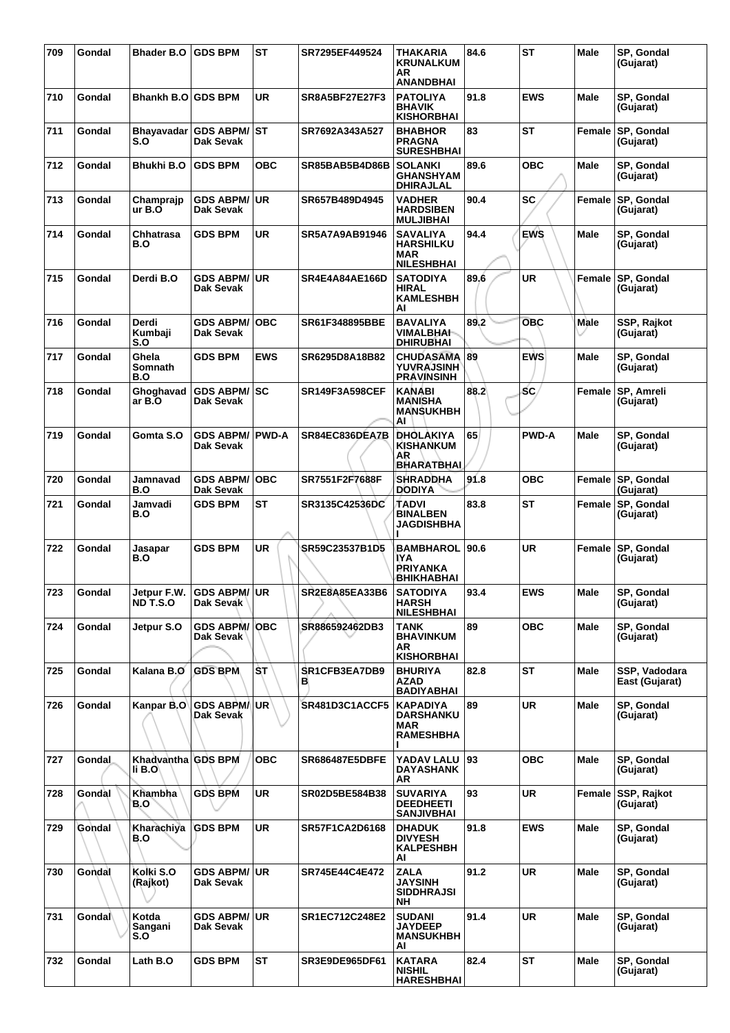| 709 | Gondal        | <b>Bhader B.O</b>            | <b>GDS BPM</b>                       | <b>ST</b>  | SR7295EF449524        | THAKARIA<br><b>KRUNALKUM</b><br>AR<br><b>ANANDBHAI</b>                 | 84.6 | <b>ST</b>    | Male        | SP, Gondal<br>(Gujarat)         |
|-----|---------------|------------------------------|--------------------------------------|------------|-----------------------|------------------------------------------------------------------------|------|--------------|-------------|---------------------------------|
| 710 | Gondal        | Bhankh B.O l                 | <b>GDS BPM</b>                       | <b>UR</b>  | <b>SR8A5BF27E27F3</b> | <b>PATOLIYA</b><br><b>BHAVIK</b><br><b>KISHORBHAI</b>                  | 91.8 | <b>EWS</b>   | <b>Male</b> | SP, Gondal<br>(Gujarat)         |
| 711 | Gondal        | Bhayavadar<br>S.O            | <b>GDS ABPM/ST</b><br>Dak Sevak      |            | SR7692A343A527        | <b>BHABHOR</b><br><b>PRAGNA</b><br><b>SURESHBHAI</b>                   | 83   | <b>ST</b>    | Female      | SP, Gondal<br>(Gujarat)         |
| 712 | Gondal        | Bhukhi B.O                   | <b>GDS BPM</b>                       | <b>OBC</b> | SR85BAB5B4D86B        | <b>SOLANKI</b><br><b>GHANSHYAM</b><br><b>DHIRAJLAL</b>                 | 89.6 | <b>OBC</b>   | Male        | SP, Gondal<br>(Gujarat)         |
| 713 | Gondal        | Champrajp<br>ur B.O          | <b>GDS ABPM/ UR</b><br>Dak Sevak     |            | SR657B489D4945        | <b>VADHER</b><br><b>HARDSIBEN</b><br><b>MULJIBHAI</b>                  | 90.4 | <b>SC</b>    | Female      | SP, Gondal<br>(Gujarat)         |
| 714 | Gondal        | Chhatrasa<br>B.O             | <b>GDS BPM</b>                       | UR         | SR5A7A9AB91946        | <b>SAVALIYA</b><br><b>HARSHILKU</b><br><b>MAR</b><br><b>NILESHBHAI</b> | 94.4 | <b>EWS</b>   | Male        | SP, Gondal<br>(Gujarat)         |
| 715 | Gondal        | Derdi B.O                    | <b>GDS ABPM/ UR</b><br>Dak Sevak     |            | <b>SR4E4A84AE166D</b> | <b>SATODIYA</b><br><b>HIRAL</b><br><b>KAMLESHBH</b><br>AI              | 89.6 | <b>UR</b>    | Female      | SP, Gondal<br>(Gujarat)         |
| 716 | Gondal        | Derdi<br>Kumbaji<br>S.O      | <b>GDS ABPM/</b><br>Dak Sevak        | ∣OBC       | SR61F348895BBE        | <b>BAVALIYA</b><br><b>VIMALBHAI-</b><br><b>DHIRUBHAI</b>               | 89.2 | <b>OBC</b>   | Male        | SSP, Rajkot<br>(Gujarat)        |
| 717 | Gondal        | Ghela<br>Somnath<br>B.O      | <b>GDS BPM</b>                       | <b>EWS</b> | SR6295D8A18B82        | <b>CHUDASAMA</b><br><b>YUVRAJSINH</b><br><b>PRAVINSINH</b>             | 89   | <b>EWS</b>   | Male        | SP, Gondal<br>(Gujarat)         |
| 718 | Gondal        | Ghoghavad<br>ar B.O          | <b>GDS ABPM/SC</b><br>Dak Sevak      |            | <b>SR149F3A598CEF</b> | <b>KANABI</b><br><b>MANISHA</b><br><b>MANSUKHBH</b><br>AI              | 88.2 | <b>SC</b>    | Female      | <b>SP, Amreli</b><br>(Gujarat)  |
| 719 | Gondal        | Gomta S.O                    | <b>GDS ABPM/ PWD-A</b><br>Dak Sevak  |            | SR84EC836DEA7B        | DHOLAKIYA<br><b>KISHANKUM</b><br>ΑR<br><b>BHARATBHAL</b>               | 65   | <b>PWD-A</b> | <b>Male</b> | SP, Gondal<br>(Gujarat)         |
| 720 | Gondal        | Jamnavad<br>B.O              | <b>GDS ABPM/</b><br><b>Dak Sevak</b> | ∣OBC       | SR7551F2F7688F        | <b>SHRADDHA</b><br><b>DODIYA</b>                                       | 91.8 | <b>OBC</b>   |             | Female SP, Gondal<br>(Gujarat)  |
| 721 | Gondal        | Jamvadi<br>B.O               | <b>GDS BPM</b>                       | ST         | SR3135C42536DC        | TADVI<br><b>BINALBEN</b><br>JAGDISHBHA                                 | 83.8 | ST           | Female      | SP, Gondal<br>(Gujarat)         |
| 722 | Gondal        | Jasapar<br>B.O               | <b>GDS BPM</b>                       | <b>UR</b>  | SR59C23537B1D5        | <b>BAMBHAROL</b><br>IYA<br>PRIYANKA<br>BHIKHABHAI                      | 90.6 | <b>UR</b>    | Female      | <b>SP, Gondal</b><br>(Gujarat)  |
| 723 | Gondal        | Jetpur F.W.<br>ND T.S.O      | GDS ABPM/UR<br>Dak Sevak             |            | SR2E8A85EA33B6        | <b>SATODIYA</b><br><b>HARSH</b><br><b>NILESHBHAI</b>                   | 93.4 | <b>EWS</b>   | Male        | SP, Gondal<br>(Gujarat)         |
| 724 | Gondal        | Jetpur S.O                   | <b>GDS ABPM/ OBC</b><br>Dak Sevak    |            | SR886592462DB3        | TANK<br><b>BHAVINKUM</b><br>AR<br><b>KISHORBHAI</b>                    | 89   | <b>OBC</b>   | <b>Male</b> | SP, Gondal<br>(Gujarat)         |
| 725 | Gondal        | Kalana B.O                   | <b>GDS BPM</b>                       | ŠТ         | SR1CFB3EA7DB9<br>в    | <b>BHURIYA</b><br><b>AZAD</b><br><b>BADIYABHAI</b>                     | 82.8 | <b>ST</b>    | <b>Male</b> | SSP, Vadodara<br>East (Gujarat) |
| 726 | Gondal        | Kanpar B.O                   | <b>GDS ABPM/</b><br>Dak Sevak        | UR.        | <b>SR481D3C1ACCF5</b> | <b>KAPADIYA</b><br><b>DARSHANKU</b><br><b>MAR</b><br><b>RAMESHBHA</b>  | 89   | <b>UR</b>    | Male        | SP, Gondal<br>(Gujarat)         |
| 727 | <b>Gondal</b> | Khadvantha GDS BPM<br>li B.O |                                      | <b>OBC</b> | <b>SR686487E5DBFE</b> | YADAV LALU<br><b>DAYASHANK</b><br>AR                                   | 93   | <b>OBC</b>   | <b>Male</b> | SP, Gondal<br>(Gujarat)         |
| 728 | Gondal        | Khambha<br>B.O               | <b>GDS BPM</b>                       | <b>UR</b>  | SR02D5BE584B38        | <b>SUVARIYA</b><br><b>DEEDHEETI</b><br><b>SANJIVBHAI</b>               | 93   | <b>UR</b>    | Female      | <b>SSP, Rajkot</b><br>(Gujarat) |
| 729 | Gondal        | Kharachiya<br>B.O            | <b>GDS BPM</b>                       | <b>UR</b>  | <b>SR57F1CA2D6168</b> | <b>DHADUK</b><br><b>DIVYESH</b><br><b>KALPESHBH</b><br>Al              | 91.8 | <b>EWS</b>   | Male        | SP, Gondal<br>(Gujarat)         |
| 730 | Gondal        | Kolki S.O<br>(Rajkot)        | <b>GDS ABPM/ UR</b><br>Dak Sevak     |            | SR745E44C4E472        | <b>ZALA</b><br><b>JAYSINH</b><br><b>SIDDHRAJSI</b><br>NΗ               | 91.2 | <b>UR</b>    | <b>Male</b> | SP, Gondal<br>(Gujarat)         |
| 731 | Gondal        | Kotda<br>Sangani<br>S.O      | GDS ABPM/UR<br>Dak Sevak             |            | SR1EC712C248E2        | <b>SUDANI</b><br><b>JAYDEEP</b><br><b>MANSUKHBH</b><br>Al              | 91.4 | <b>UR</b>    | Male        | SP, Gondal<br>(Gujarat)         |
| 732 | Gondal        | Lath B.O                     | <b>GDS BPM</b>                       | ST         | SR3E9DE965DF61        | <b>KATARA</b><br><b>NISHIL</b><br><b>HARESHBHAI</b>                    | 82.4 | <b>ST</b>    | <b>Male</b> | SP, Gondal<br>(Gujarat)         |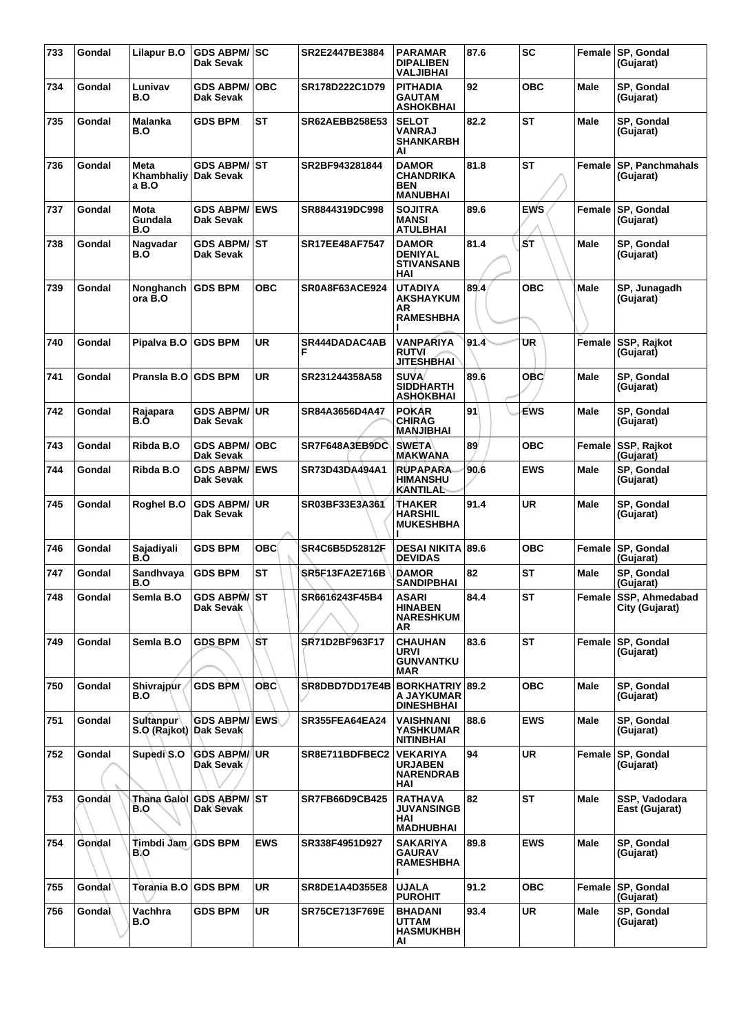| 733 | Gondal        | Lilapur B.O                                | <b>GDS ABPM/SC</b><br>Dak Sevak      |            | SR2E2447BE3884        | <b>PARAMAR</b><br><b>DIPALIBEN</b><br><b>VALJIBHAI</b>            | 87.6 | <b>SC</b>  |             | Female SP, Gondal<br>(Gujarat)          |
|-----|---------------|--------------------------------------------|--------------------------------------|------------|-----------------------|-------------------------------------------------------------------|------|------------|-------------|-----------------------------------------|
| 734 | Gondal        | Lunivav<br>B.O                             | <b>GDS ABPM/</b><br><b>Dak Sevak</b> | ∣OBC       | SR178D222C1D79        | <b>PITHADIA</b><br><b>GAUTAM</b><br><b>ASHOKBHAI</b>              | 92   | <b>OBC</b> | <b>Male</b> | SP, Gondal<br>(Gujarat)                 |
| 735 | Gondal        | Malanka<br>B.O                             | <b>GDS BPM</b>                       | ST         | <b>SR62AEBB258E53</b> | <b>SELOT</b><br><b>VANRAJ</b><br><b>SHANKARBH</b><br>AI           | 82.2 | ST         | Male        | SP, Gondal<br>(Gujarat)                 |
| 736 | Gondal        | Meta<br>Khambhaliy<br>a B.O                | <b>GDS ABPM/ST</b><br>Dak Sevak      |            | SR2BF943281844        | <b>DAMOR</b><br><b>CHANDRIKA</b><br><b>BEN</b><br><b>MANUBHAI</b> | 81.8 | ST         | Female      | <b>SP, Panchmahals</b><br>(Gujarat)     |
| 737 | Gondal        | Mota<br>Gundala<br>B.O                     | <b>GDS ABPM/ EWS</b><br>Dak Sevak    |            | SR8844319DC998        | <b>SOJITRA</b><br><b>MANSI</b><br><b>ATULBHAI</b>                 | 89.6 | <b>EWS</b> | Female      | <b>SP, Gondal</b><br>(Gujarat)          |
| 738 | Gondal        | Nagvadar<br>B.Ő                            | GDS ABPM/ST<br>Dak Sevak             |            | <b>SR17EE48AF7547</b> | <b>DAMOR</b><br><b>DENIYAL</b><br><b>STIVANSANB</b><br><b>HAI</b> | 81.4 | ŚТ         | Male        | SP, Gondal<br>(Gujarat)                 |
| 739 | Gondal        | Nonghanch<br>ora B.O                       | <b>GDS BPM</b>                       | <b>OBC</b> | SR0A8F63ACE924        | <b>UTADIYA</b><br><b>AKSHAYKUM</b><br>AR<br><b>RAMESHBHA</b>      | 89.4 | <b>OBC</b> | Male        | SP, Junagadh<br>(Gujarat)               |
| 740 | Gondal        | Pipalva B.O                                | <b>GDS BPM</b>                       | <b>UR</b>  | SR444DADAC4AB         | VANPARIYA<br><b>RUTVI</b><br><b>JITESHBHAI</b>                    | 91.4 | UR         | Female      | SSP, Rajkot<br>(Gujarat)                |
| 741 | Gondal        | Pransla B.O                                | <b>GDS BPM</b>                       | <b>UR</b>  | SR231244358A58        | <b>SUVA</b><br><b>SIDDHARTH</b><br><b>ASHOKBHAI</b>               | 89.6 | <b>OBC</b> | <b>Male</b> | SP, Gondal<br>(Gujarat)                 |
| 742 | Gondal        | Rajapara<br>B.O                            | <b>GDS ABPM/ UR</b><br>Dak Sevak     |            | SR84A3656D4A47        | <b>POKAR</b><br><b>CHIRAG</b><br><b>MANJIBHAI</b>                 | 91   | EWS        | <b>Male</b> | SP, Gondal<br>(Gujarat)                 |
| 743 | Gondal        | Ribda B.O                                  | <b>GDS ABPM/</b><br>Dak Sevak        | ∣OBC       | SR7F648A3EB9DC        | <b>SWETA</b><br><b>MAKWANA</b>                                    | 89   | <b>OBC</b> | Female      | <b>SSP, Rajkot</b><br>(Gujarat)         |
| 744 | Gondal        | Ribda B.O                                  | <b>GDS ABPM/ EWS</b><br>Dak Sevak    |            | SR73D43DA494A1        | <b>RUPAPARA</b><br><b>HIMANSHU</b><br><b>KANTILAL</b>             | 90.6 | <b>EWS</b> | <b>Male</b> | SP, Gondal<br>(Gujarat)                 |
| 745 | Gondal        | Roghel B.O                                 | GDS ABPM/UR<br>Dak Sevak             |            | SR03BF33E3A361        | <b>THAKER</b><br><b>HARSHIL</b><br><b>MUKESHBHA</b>               | 91.4 | <b>UR</b>  | Male        | SP, Gondal<br>(Gujarat)                 |
| 746 | Gondal        | Sajadiyali<br>B.O                          | <b>GDS BPM</b>                       | <b>OBC</b> | SR4C6B5D52812F        | <b>DESAI NIKITA 89.6</b><br><b>DEVIDAS</b>                        |      | <b>OBC</b> | Female      | <b>SP, Gondal</b><br>(Gujarat)          |
| 747 | Gondal        | Sandhvaya<br>B.O                           | <b>GDS BPM</b>                       | ST         | SR5F13FA2E716B        | <b>DAMOR</b><br><b>SANDIPBHAI</b>                                 | 82   | ST         | <b>Male</b> | SP, Gondal<br>(Gujarat)                 |
| 748 | Gondal        | Semla B.O                                  | GDS ABPM/ST<br>Dak Sevak             |            | SR6616243F45B4        | <b>ASARI</b><br><b>HINABEN</b><br><b>NARESHKUM</b><br>AR          | 84.4 | <b>ST</b>  |             | Female SSP, Ahmedabad<br>City (Gujarat) |
| 749 | Gondal        | Semla B.O                                  | <b>GDS BPM</b>                       | IST        | SR71D2BF963F17        | <b>CHAUHAN</b><br>URVI<br><b>GUNVANTKU</b><br><b>MAR</b>          | 83.6 | <b>ST</b>  |             | Female SP, Gondal<br>(Gujarat)          |
| 750 | Gondal        | Shivrajpur<br>B.O                          | <b>GDS BPM</b>                       | <b>OBC</b> | SR8DBD7DD17E4B        | <b>BORKHATRIY 89.2</b><br>A JAYKUMAR<br><b>DINESHBHAI</b>         |      | <b>OBC</b> | Male        | SP, Gondal<br>(Gujarat)                 |
| 751 | Gondal        | <b>Sultanpur</b><br>S.O (Rajkot) Dak Sevak | <b>GDS ABPM/ EWS</b>                 |            | SR355FEA64EA24        | <b>VAISHNANI</b><br><b>YASHKUMAR</b><br><b>NITINBHAI</b>          | 88.6 | <b>EWS</b> | <b>Male</b> | SP, Gondal<br>(Gujarat)                 |
| 752 | Gondal        | Supedi S.O                                 | <b>GDS ABPM/IUR</b><br>Dak Sevak     |            | SR8E711BDFBEC2        | <b>VEKARIYA</b><br><b>URJABEN</b><br><b>NARENDRAB</b><br>HAI      | 94   | UR.        | Female      | SP, Gondal<br>(Gujarat)                 |
| 753 | Gondal        | B.O                                        | Thana Galol GDS ABPM/ST<br>Dak Sevak |            | <b>SR7FB66D9CB425</b> | <b>RATHAVA</b><br><b>JUVANSINGB</b><br>HAI<br><b>MADHUBHAI</b>    | 82   | ST         | Male        | SSP, Vadodara<br>East (Gujarat)         |
| 754 | Gondal        | Timbdi Jam GDS BPM<br>B.O                  |                                      | <b>EWS</b> | SR338F4951D927        | <b>SAKARIYA</b><br><b>GAURAV</b><br><b>RAMESHBHA</b>              | 89.8 | <b>EWS</b> | Male        | SP, Gondal<br>(Gujarat)                 |
| 755 | <b>Gondal</b> | Torania B.O   GDS BPM                      |                                      | UR.        | SR8DE1A4D355E8        | <b>UJALA</b><br><b>PUROHIT</b>                                    | 91.2 | <b>OBC</b> |             | Female SP, Gondal<br>(Gujarat)          |
| 756 | Gondal        | Vachhra<br>B.O                             | <b>GDS BPM</b>                       | UR.        | <b>SR75CE713F769E</b> | <b>BHADANI</b><br><b>UTTAM</b><br><b>HASMUKHBH</b><br>Al          | 93.4 | <b>UR</b>  | Male        | SP, Gondal<br>(Gujarat)                 |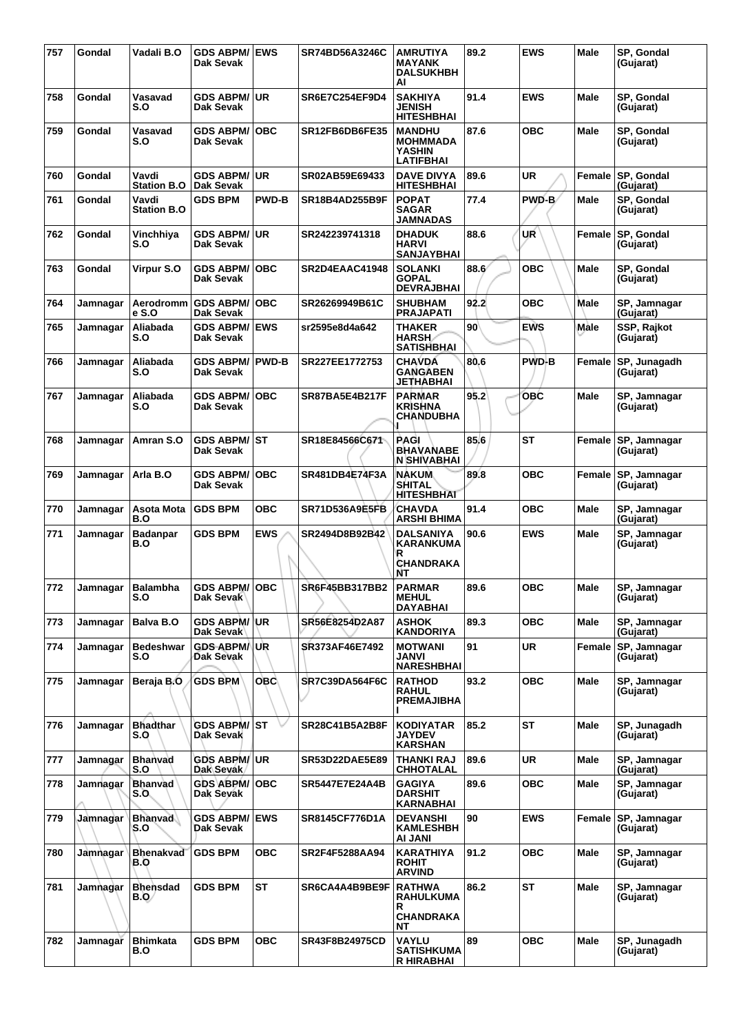| 757 | Gondal          | Vadali B.O                  | <b>GDS ABPM/ EWS</b><br>Dak Sevak |              | SR74BD56A3246C        | <b>AMRUTIYA</b><br><b>MAYANK</b><br><b>DALSUKHBH</b><br>AI            | 89.2            | <b>EWS</b>   | <b>Male</b> | SP, Gondal<br>(Gujarat)          |
|-----|-----------------|-----------------------------|-----------------------------------|--------------|-----------------------|-----------------------------------------------------------------------|-----------------|--------------|-------------|----------------------------------|
| 758 | Gondal          | Vasavad<br>S.O              | GDS ABPM/ UR<br>Dak Sevak         |              | <b>SR6E7C254EF9D4</b> | <b>SAKHIYA</b><br><b>JENISH</b><br><b>HITESHBHAI</b>                  | 91.4            | <b>EWS</b>   | <b>Male</b> | SP, Gondal<br>(Gujarat)          |
| 759 | Gondal          | Vasavad<br>S.O              | <b>GDS ABPM/ OBC</b><br>Dak Sevak |              | SR12FB6DB6FE35        | <b>MANDHU</b><br><b>MOHMMADA</b><br><b>YASHIN</b><br><b>LATIFBHAI</b> | 87.6            | овс          | Male        | SP, Gondal<br>(Gujarat)          |
| 760 | Gondal          | Vavdi<br><b>Station B.O</b> | GDS ABPM/∣UR<br>Dak Sevak         |              | SR02AB59E69433        | <b>DAVE DIVYA</b><br><b>HITESHBHAI</b>                                | 89.6            | UR           | Female      | SP, Gondal<br>(Gujarat)          |
| 761 | Gondal          | Vavdi<br><b>Station B.O</b> | <b>GDS BPM</b>                    | <b>PWD-B</b> | <b>SR18B4AD255B9F</b> | <b>POPAT</b><br><b>SAGAR</b><br><b>JAMNADAS</b>                       | 77.4            | PWD-B/       | <b>Male</b> | SP, Gondal<br>(Gujarat)          |
| 762 | Gondal          | Vinchhiya<br>S.O            | <b>GDS ABPM/ UR</b><br>Dak Sevak  |              | SR242239741318        | <b>DHADUK</b><br><b>HARVI</b><br><b>SANJAYBHAI</b>                    | 88.6            | UR           | Female      | SP, Gondal<br>(Gujarat)          |
| 763 | Gondal          | Virpur S.O                  | <b>GDS ABPM/</b><br>Dak Sevak     | <b>OBC</b>   | SR2D4EAAC41948        | <b>SOLANKI</b><br><b>GOPAL</b><br><b>DEVRAJBHAI</b>                   | 88.6            | <b>OBC</b>   | Male        | SP, Gondal<br>(Gujarat)          |
| 764 | Jamnagar        | Aerodromm<br>e S.O          | <b>GDS ABPM/</b><br>Dak Sevak     | <b>OBC</b>   | SR26269949B61C        | <b>SHUBHAM</b><br><b>PRAJAPATI</b>                                    | 92.2            | <b>OBC</b>   | Male        | SP, Jamnagar<br>(Gujarat)        |
| 765 | Jamnagar        | Aliabada<br>S.O             | <b>GDS ABPM/ EWS</b><br>Dak Sevak |              | sr2595e8d4a642        | <b>THAKER</b><br><b>HARSH</b><br><b>SATISHBHAI</b>                    | 90 <sup>°</sup> | <b>EWS</b>   | Male        | <b>SSP, Rajkot</b><br>(Gujarat)  |
| 766 | Jamnagar        | Aliabada<br>S.O             | <b>GDS ABPM/</b><br>Dak Sevak     | <b>PWD-B</b> | SR227EE1772753        | <b>CHAVDA</b><br><b>GANGABEN</b><br>JETHABHAI                         | 80.6            | <b>PWD-B</b> | Female      | SP, Junagadh<br>(Gujarat)        |
| 767 | Jamnagar        | Aliabada<br>S.O             | GDS ABPM/∣OBC<br>Dak Sevak        |              | <b>SR87BA5E4B217F</b> | <b>PARMAR</b><br><b>KRISHNA</b><br>CHANDUBHA                          | 95.2            | <b>OBC</b>   | Male        | SP, Jamnagar<br>(Gujarat)        |
| 768 | Jamnagar        | Amran S.O                   | <b>GDS ABPM/ ST</b><br>Dak Sevak  |              | SR18E84566C671        | PAGI<br><b>BHAVANABE</b><br><b>N SHIVABHAI</b>                        | 85.6            | <b>ST</b>    | Female      | <b>SP, Jamnagar</b><br>(Gujarat) |
| 769 | Jamnagar        | Arla B.O                    | <b>GDS ABPM/</b><br>Dak Sevak     | <b>OBC</b>   | SR481DB4E74F3A        | <b>NAKUM</b><br><b>SHITAL</b><br><b>HITESHBHAT</b>                    | 89.8            | <b>OBC</b>   | Female      | SP, Jamnagar<br>(Gujarat)        |
| 770 | Jamnagar        | Asota Mota<br>B.O           | <b>GDS BPM</b>                    | <b>OBC</b>   | <b>SR71D536A9E5FB</b> | <b>CHAVDA</b><br><b>ARSHI BHIMA</b>                                   | 91.4            | <b>OBC</b>   | <b>Male</b> | SP, Jamnagar<br>(Gujarat)        |
| 771 | Jamnagar        | <b>Badanpar</b><br>B.O      | <b>GDS BPM</b>                    | <b>EWS</b>   | SR2494D8B92B42        | <b>DALSANIYA</b><br>KARANKUMA<br>R<br><b>CHANDRAKA</b><br>NΤ          | 90.6            | <b>EWS</b>   | Male        | SP, Jamnagar<br>(Gujarat)        |
| 772 | Jamnagar        | Balambha<br>S.O             | <b>GDS ABPM/ OBC</b><br>Dak Sevak |              | SR6F45BB317BB2        | <b>PARMAR</b><br><b>MEHUL</b><br><b>DAYABHAI</b>                      | 89.6            | <b>OBC</b>   | Male        | SP, Jamnagar<br>(Gujarat)        |
| 773 | Jamnagar        | Balva B.O                   | <b>GDS ABPM/ UR</b><br>Dak Sevak  |              | SR56E8254D2A87        | <b>ASHOK</b><br><b>KANDORIYA</b>                                      | 89.3            | <b>OBC</b>   | Male        | SP. Jamnagar<br>(Gujarat)        |
| 774 | Jamnagar        | <b>Bedeshwar</b><br>S.O     | <b>GDS ABPM/ UR</b><br>Dak Sevak  |              | SR373AF46E7492        | <b>MOTWANI</b><br>JANVI<br><b>NARESHBHAI</b>                          | 91              | <b>UR</b>    | Female      | SP, Jamnagar<br>(Gujarat)        |
| 775 | Jamnagar        | Beraja B.O                  | <b>GDS BPM</b>                    | <b>OBC</b>   | <b>SR7C39DA564F6C</b> | <b>RATHOD</b><br><b>RAHUL</b><br><b>PREMAJIBHA</b>                    | 93.2            | <b>OBC</b>   | Male        | SP, Jamnagar<br>(Gujarat)        |
| 776 | Jamnagar        | <b>Bhadthar</b><br>S.O      | GDS ABPM/ ST<br>Dak Sevak         |              | SR28C41B5A2B8F        | <b>KODIYATAR</b><br><b>JAYDEV</b><br><b>KARSHAN</b>                   | 85.2            | <b>ST</b>    | Male        | SP, Junagadh<br>(Gujarat)        |
| 777 | Jamnagar        | Bhanvad<br>S.O              | <b>GDS ABPM/UR</b><br>Dak Sevak   |              | <b>SR53D22DAE5E89</b> | THANKI RAJ<br><b>CHHOTALAL</b>                                        | 89.6            | <b>UR</b>    | Male        | SP, Jamnagar<br>(Gujarat)        |
| 778 | Jamnagar        | <b>Bhanvad</b><br>S.O.      | <b>GDS ABPM/OBC</b><br>Dak Sevak  |              | SR5447E7E24A4B        | <b>GAGIYA</b><br><b>DARSHIT</b><br>KARNABHAI                          | 89.6            | <b>OBC</b>   | <b>Male</b> | SP, Jamnagar<br>(Gujarat)        |
| 779 | Jamnagar        | <b>Bhanvad</b><br>S.O       | <b>GDS ABPM/ EWS</b><br>Dak Sevak |              | SR8145CF776D1A        | <b>DEVANSHI</b><br><b>KAMLESHBH</b><br>AI JANI                        | 90              | <b>EWS</b>   | Female      | SP, Jamnagar<br>(Gujarat)        |
| 780 | <b>Jamnagar</b> | <b>Bhenakvad</b><br>B.O     | <b>GDS BPM</b>                    | <b>OBC</b>   | SR2F4F5288AA94        | KARATHIYA<br><b>ROHIT</b><br><b>ARVIND</b>                            | 91.2            | <b>OBC</b>   | Male        | SP, Jamnagar<br>(Gujarat)        |
| 781 | Jamnagar        | <b>Bhensdad</b><br>B.Q/     | <b>GDS BPM</b>                    | <b>ST</b>    | SR6CA4A4B9BE9F        | <b>RATHWA</b><br><b>RAHULKUMA</b><br>R<br><b>CHANDRAKA</b><br>NΤ      | 86.2            | ST           | <b>Male</b> | SP, Jamnagar<br>(Gujarat)        |
| 782 | Jamnagar        | <b>Bhimkata</b><br>B.O      | <b>GDS BPM</b>                    | <b>OBC</b>   | <b>SR43F8B24975CD</b> | <b>VAYLU</b><br><b>SATISHKUMA</b><br><b>R HIRABHAI</b>                | 89              | <b>OBC</b>   | Male        | SP, Junagadh<br>(Gujarat)        |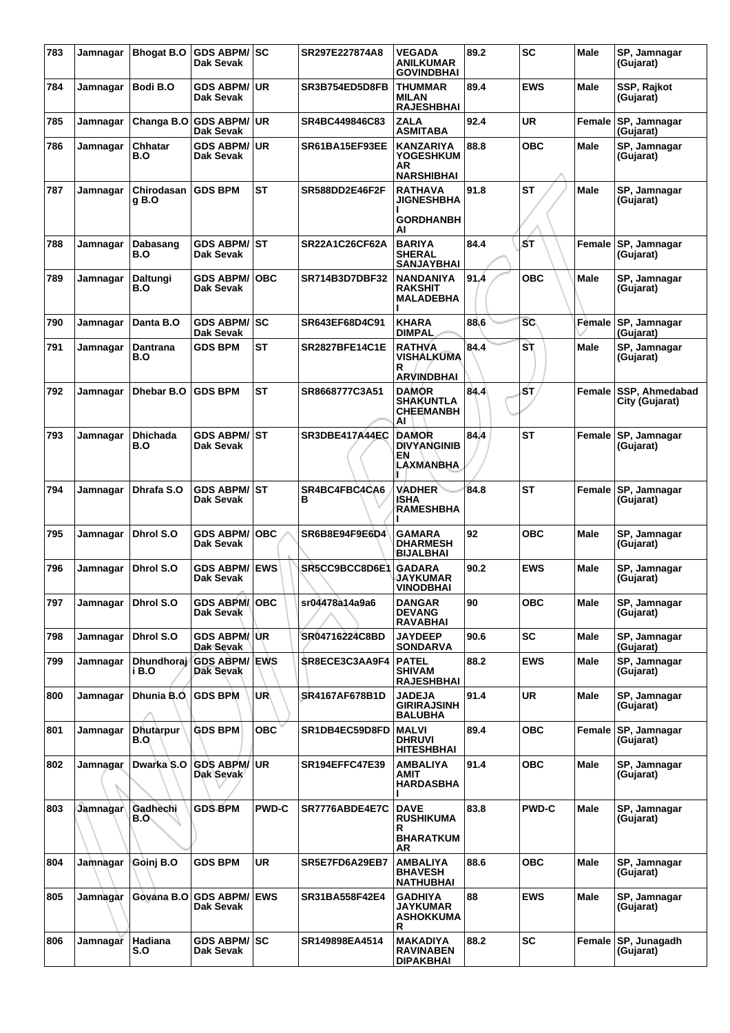| 783 | Jamnagar | <b>Bhogat B.O</b>       | <b>GDS ABPM/ SC</b><br>Dak Sevak        |              | SR297E227874A8        | <b>VEGADA</b><br><b>ANILKUMAR</b><br><b>GOVINDBHAI</b>          | 89.2 | <b>SC</b>    | Male        | SP, Jamnagar<br>(Gujarat)        |
|-----|----------|-------------------------|-----------------------------------------|--------------|-----------------------|-----------------------------------------------------------------|------|--------------|-------------|----------------------------------|
| 784 | Jamnagar | Bodi B.O                | <b>GDS ABPM/</b><br>Dak Sevak           | ∣UR          | <b>SR3B754ED5D8FB</b> | THUMMAR<br>MILAN<br><b>RAJESHBHAI</b>                           | 89.4 | <b>EWS</b>   | Male        | SSP, Rajkot<br>(Gujarat)         |
| 785 | Jamnagar | Changa B.O              | <b>GDS ABPM/ UR</b><br>Dak Sevak        |              | SR4BC449846C83        | ZALA<br><b>ASMITABA</b>                                         | 92.4 | UR           | Female      | <b>SP, Jamnagar</b><br>(Gujarat) |
| 786 | Jamnagar | Chhatar<br>B.O          | <b>GDS ABPM/ UR</b><br>Dak Sevak        |              | SR61BA15EF93EE        | <b>KANZARIYA</b><br><b>YOGESHKUM</b><br>AR<br><b>NARSHIBHAI</b> | 88.8 | <b>OBC</b>   | <b>Male</b> | SP, Jamnagar<br>(Gujarat)        |
| 787 | Jamnagar | Chirodasan<br>g B.O     | <b>GDS BPM</b>                          | <b>ST</b>    | <b>SR588DD2E46F2F</b> | <b>RATHAVA</b><br><b>JIGNESHBHA</b><br><b>GORDHANBH</b><br>AI   | 91.8 | ST           | Male        | SP, Jamnagar<br>(Gujarat)        |
| 788 | Jamnagar | Dabasang<br>B.O         | <b>GDS ABPM/ ST</b><br><b>Dak Sevak</b> |              | SR22A1C26CF62A        | <b>BARIYA</b><br><b>SHERAL</b><br>SANJAYBHAI                    | 84.4 | ŚТ           | Female      | SP, Jamnagar<br>(Gujarat)        |
| 789 | Jamnagar | Daltungi<br>B.O         | <b>GDS ABPM/</b><br>Dak Sevak           | ∣OBC         | SR714B3D7DBF32        | <b>NANDANIYA</b><br><b>RAKSHIT</b><br><b>MALADEBHA</b>          | 91.4 | овс          | Male        | SP, Jamnagar<br>(Gujarat)        |
| 790 | Jamnagar | Danta B.O               | GDS ABPM/SC<br>Dak Sevak                |              | SR643EF68D4C91        | <b>KHARA</b><br><b>DIMPAL</b>                                   | 88.6 | <b>SC</b>    | Female      | <b>SP, Jamnagar</b><br>(Gujarat) |
| 791 | Jamnagar | Dantrana<br>B.O         | <b>GDS BPM</b>                          | <b>ST</b>    | <b>SR2827BFE14C1E</b> | <b>RATHVA</b><br>VISHALKUMA<br>R<br><b>ARVINDBHAI</b>           | 84.4 | S٦           | <b>Male</b> | SP, Jamnagar<br>(Gujarat)        |
| 792 | Jamnagar | <b>Dhebar B.O</b>       | <b>GDS BPM</b>                          | <b>ST</b>    | SR8668777C3A51        | <b>DAMOR</b><br><b>SHAKUNTLA</b><br><b>CHEEMANBH</b><br>AI      | 84.4 | ŚΤ,          | Female      | SSP, Ahmedabad<br>City (Gujarat) |
| 793 | Jamnagar | Dhichada<br>B.O         | <b>GDS ABPM/ ST</b><br><b>Dak Sevak</b> |              | <b>SR3DBE417A44EC</b> | <b>DAMOR</b><br><b>DIVYANGINIB</b><br>ΕN<br>LAXMANBHA           | 84.4 | <b>ST</b>    | Female      | <b>SP, Jamnagar</b><br>(Gujarat) |
| 794 | Jamnagar | Dhrafa S.O              | GDS ABPM/⊺ST<br>Dak Sevak               |              | SR4BC4FBC4CA6<br>в    | <b>VADHER</b><br>ISHA<br><b>RAMESHBHA</b>                       | 84.8 | ST           | Female      | <b>SP, Jamnagar</b><br>(Gujarat) |
| 795 | Jamnagar | Dhrol S.O               | <b>GDS ABPM/</b><br>Dak Sevak           | <b>OBC</b>   | SR6B8E94F9E6D4        | <b>GAMARA</b><br><b>DHARMESH</b><br>BIJALBHAI                   | 92   | овс          | Male        | SP, Jamnagar<br>(Gujarat)        |
| 796 | Jamnagar | Dhrol S.O               | <b>GDS ABPM/</b><br>Dak Sevak           | <b>EWS</b>   | SR5CC9BCC8D6E1        | <b>GADARA</b><br>JAYKUMAR<br><b>VINODBHAI</b>                   | 90.2 | <b>EWS</b>   | Male        | SP, Jamnagar<br>(Gujarat)        |
| 797 | Jamnagar | Dhrol S.O               | <b>GDS ABPM/OBC</b><br>Dak Sevak        |              | sr04478a14a9a6        | <b>DANGAR</b><br><b>DEVANG</b><br><b>RAVABHAI</b>               | 90   | ОВС          | Male        | SP, Jamnagar<br>(Gujarat)        |
| 798 | Jamnagar | Dhrol S.O               | GDS ABPM/ UR<br>Dak Sevak               |              | SR04716224C8BD        | <b>JAYDEEP</b><br><b>SONDARVA</b>                               | 90.6 | SC           | Male        | SP, Jamnagar<br>(Gujarat)        |
| 799 | Jamnagar | Dhundhoraj<br>i B.O     | <b>GDS ABPM/ EWS</b><br>Dak Sevak       |              | SR8ECE3C3AA9F4        | <b>PATEL</b><br><b>SHIVAM</b><br><b>RAJESHBHAI</b>              | 88.2 | <b>EWS</b>   | Male        | SP, Jamnagar<br>(Gujarat)        |
| 800 | Jamnagar | Dhunia B.O.             | <b>GDS BPM</b>                          | UR.          | SR4167AF678B1D        | <b>JADEJA</b><br><b>GIRIRAJSINH</b><br><b>BALUBHA</b>           | 91.4 | UR           | Male        | SP, Jamnagar<br>(Gujarat)        |
| 801 | Jamnagar | <b>Dhutarpur</b><br>B.O | <b>GDS BPM</b>                          | <b>OBC</b>   | SR1DB4EC59D8FD        | <b>MALVI</b><br><b>DHRUVI</b><br><b>HITESHBHAI</b>              | 89.4 | <b>OBC</b>   | Female      | SP, Jamnagar<br>(Gujarat)        |
| 802 | Jamnagar | Dwarka S.O              | <b>GDS ABPM/</b><br>Dak Sevak           | ∣UR.         | <b>SR194EFFC47E39</b> | AMBALIYA<br>AMIT<br><b>HARDASBHA</b>                            | 91.4 | <b>OBC</b>   | Male        | SP, Jamnagar<br>(Gujarat)        |
| 803 | Jamnagar | Gadhechi<br>B.O.        | <b>GDS BPM</b>                          | <b>PWD-C</b> | SR7776ABDE4E7C        | <b>DAVE</b><br><b>RUSHIKUMA</b><br>R<br><b>BHARATKUM</b><br>AR. | 83.8 | <b>PWD-C</b> | Male        | SP, Jamnagar<br>(Gujarat)        |
| 804 | Jamnagar | Goini B.O               | <b>GDS BPM</b>                          | <b>UR</b>    | SR5E7FD6A29EB7        | <b>AMBALIYA</b><br><b>BHAVESH</b><br>NATHUBHAI                  | 88.6 | <b>OBC</b>   | <b>Male</b> | SP, Jamnagar<br>(Gujarat)        |
| 805 | Jamnagar | Gována B.O              | <b>GDS ABPM/ EWS</b><br>Dak Sevak       |              | SR31BA558F42E4        | GADHIYA<br><b>JAYKUMAR</b><br><b>ASHOKKUMA</b><br>R             | 88   | <b>EWS</b>   | Male        | SP, Jamnagar<br>(Gujarat)        |
| 806 | Jamnagar | Hadiana<br>S.O          | GDS ABPM/SC<br>Dak Sevak                |              | SR149898EA4514        | <b>MAKADIYA</b><br><b>RAVINABEN</b><br><b>DIPAKBHAI</b>         | 88.2 | <b>SC</b>    | Female      | SP, Junagadh<br>(Gujarat)        |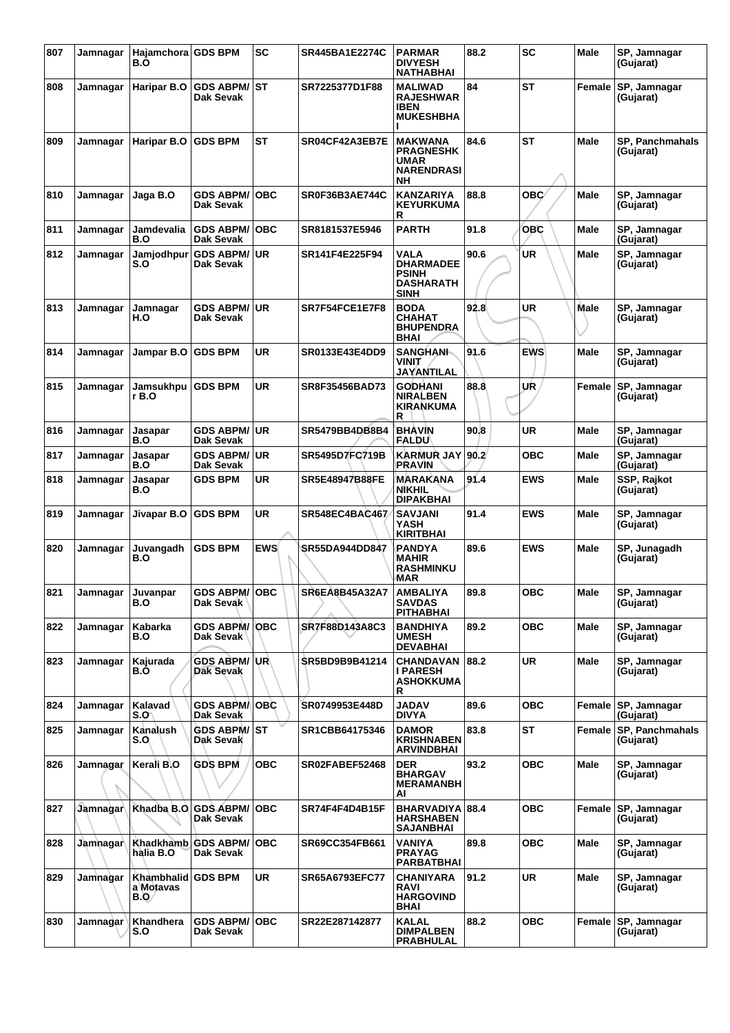| 807 | Jamnagar        | Hajamchora GDS BPM<br>B.O               |                                           | <b>SC</b>  | <b>SR445BA1E2274C</b> | <b>PARMAR</b><br><b>DIVYESH</b><br><b>NATHABHAI</b>                                 | 88.2 | <b>SC</b>  | Male        | SP, Jamnagar<br>(Gujarat)           |
|-----|-----------------|-----------------------------------------|-------------------------------------------|------------|-----------------------|-------------------------------------------------------------------------------------|------|------------|-------------|-------------------------------------|
| 808 | Jamnagar        | Haripar B.O                             | <b>GDS ABPM/ ST</b><br>Dak Sevak          |            | SR7225377D1F88        | <b>MALIWAD</b><br><b>RAJESHWAR</b><br><b>IBEN</b><br><b>MUKESHBHA</b>               | 84   | ST         | Female      | SP, Jamnagar<br>(Gujarat)           |
| 809 | Jamnagar        | Haripar B.O                             | <b>GDS BPM</b>                            | <b>ST</b>  | SR04CF42A3EB7E        | <b>MAKWANA</b><br><b>PRAGNESHK</b><br><b>UMAR</b><br><b>NARENDRASI</b><br><b>NH</b> | 84.6 | <b>ST</b>  | Male        | SP, Panchmahals<br>(Gujarat)        |
| 810 | Jamnagar        | Jaga B.O                                | <b>GDS ABPM/</b><br>Dak Sevak             | <b>OBC</b> | SR0F36B3AE744C        | <b>KANZARIYA</b><br><b>KEYURKUMA</b><br>R                                           | 88.8 | <b>OBC</b> | Male        | SP, Jamnagar<br>(Gujarat)           |
| 811 | Jamnagar        | Jamdevalia<br>B.O                       | <b>GDS ABPM/</b><br>Dak Sevak             | <b>OBC</b> | SR8181537E5946        | <b>PARTH</b>                                                                        | 91.8 | OBC        | Male        | SP, Jamnagar<br>(Gujarat)           |
| 812 | Jamnagar        | Jamjodhpur<br>S.O                       | <b>GDS ABPM/ UR</b><br>Dak Sevak          |            | SR141F4E225F94        | VALA<br><b>DHARMADEE</b><br><b>PSINH</b><br><b>DASHARATH</b><br><b>SINH</b>         | 90.6 | <b>UR</b>  | Male        | SP, Jamnagar<br>(Gujarat)           |
| 813 | Jamnagar        | Jamnagar<br>H.O                         | <b>GDS ABPM/ UR</b><br>Dak Sevak          |            | SR7F54FCE1E7F8        | <b>BODA</b><br>CHAHAT<br><b>BHUPENDRA</b><br>BHAI                                   | 92.8 | <b>UR</b>  | <b>Male</b> | SP, Jamnagar<br>(Gujarat)           |
| 814 | Jamnagar        | Jampar B.O                              | <b>GDS BPM</b>                            | UR         | SR0133E43E4DD9        | <b>SANGHANI-</b><br>VINIT<br>JAYANTILAL                                             | 91.6 | <b>EWS</b> | <b>Male</b> | SP, Jamnagar<br>(Gujarat)           |
| 815 | Jamnagar        | Jamsukhpu<br>r B.O                      | <b>GDS BPM</b>                            | UR         | SR8F35456BAD73        | <b>GODHANI</b><br><b>NIRALBEN</b><br><b>KIRANKUMA</b><br>R                          | 88.8 | UR         | Female      | SP, Jamnagar<br>(Gujarat)           |
| 816 | Jamnagar        | Jasapar<br>B.O                          | GDS ABPM/∣UR<br>Dak Sevak                 |            | SR5479BB4DB8B4        | <b>BHAVIN</b><br>FALDU                                                              | 90.8 | <b>UR</b>  | Male        | SP, Jamnagar<br>(Gujarat)           |
| 817 | Jamnagar        | Jasapar<br>B.O                          | <b>GDS ABPM/ UR</b><br>Dak Sevak          |            | SR5495D7FC719B        | <b>KARMUR JAY</b><br><b>PRAVIN</b>                                                  | 90.2 | <b>OBC</b> | Male        | SP, Jamnagar<br>(Gujarat)           |
| 818 | Jamnagar        | Jasapar<br>B.O                          | <b>GDS BPM</b>                            | <b>UR</b>  | <b>SR5E48947B88FE</b> | <b>MARAKANA</b><br><b>NIKHIL</b><br>DIPAKBHAI                                       | 91.4 | <b>EWS</b> | Male        | SSP, Rajkot<br>(Gujarat)            |
| 819 | Jamnagar        | Jivapar B.O                             | <b>GDS BPM</b>                            | UR         | SR548EC4BAC467        | <b>SAVJANI</b><br>YASH<br><b>KIRITBHAI</b>                                          | 91.4 | <b>EWS</b> | Male        | SP, Jamnagar<br>(Gujarat)           |
| 820 | Jamnagar        | Juvangadh<br>B.O                        | <b>GDS BPM</b>                            | <b>EWS</b> | <b>SR55DA944DD847</b> | PANDYA<br><b>MAHIR</b><br><b>RASHMINKU</b><br>MAR                                   | 89.6 | <b>EWS</b> | Male        | SP, Junagadh<br>(Gujarat)           |
| 821 | Jamnagar        | Juvanpar<br>B.O                         | <b>GDS ABPM/ OBC</b><br>Dak Sevak         |            | <b>SR6EA8B45A32A7</b> | <b>AMBALIYA</b><br><b>SAVDAS</b><br><b>PITHABHAI</b>                                | 89.8 | <b>OBC</b> | Male        | SP, Jamnagar<br>(Gujarat)           |
| 822 | Jamnagar        | Kabarka<br>B.O                          | <b>GDS ABPM/OBC</b><br>Dak Sevak <b> </b> |            | SR7F88D143A8C3        | <b>BANDHIYA</b><br><b>UMESH</b><br><b>DEVABHAI</b>                                  | 89.2 | <b>OBC</b> | Male        | SP, Jamnagar<br>(Gujarat)           |
| 823 | Jamnagar        | Kajurada<br>B.O                         | <b>GDS ABPM/UR</b><br>Dak Sevak           |            | <b>SR5BD9B9B41214</b> | <b>CHANDAVAN</b><br>I PARESH<br><b>ASHOKKUMA</b><br>R                               | 88.2 | <b>UR</b>  | <b>Male</b> | SP, Jamnagar<br>(Gujarat)           |
| 824 | Jamnagar        | Kalavad<br>S.O\                         | <b>GDS ABPM/OBC</b><br>Dak Sevak          |            | SR0749953E448D        | <b>JADAV</b><br><b>DIVYA</b>                                                        | 89.6 | <b>OBC</b> | Female      | SP, Jamnagar<br>(Gujarat)           |
| 825 | Jamnagar        | Kanalush<br>S.O                         | <b>GDS ABPM/ ST</b><br>Dak Sevak          |            | SR1CBB64175346        | <b>DAMOR</b><br><b>KRISHNABEN</b><br>ARVINDBHAI                                     | 83.8 | <b>ST</b>  |             | Female SP. Panchmahals<br>(Gujarat) |
| 826 | Jamnagar        | Kerali B.O                              | <b>GDS BPM</b>                            | <b>OBC</b> | SR02FABEF52468        | <b>DER</b><br><b>BHARGAV</b><br><b>MERAMANBH</b><br>ΑI                              | 93.2 | <b>OBC</b> | <b>Male</b> | SP, Jamnagar<br>(Gujarat)           |
| 827 | Jamnagar        | Khadba B.O.                             | <b>GDS ABPM/</b><br>Dak Sevak             | <b>OBC</b> | SR74F4F4D4B15F        | BHARVADIYA 88.4<br><b>HARSHABEN</b><br><b>SAJANBHAI</b>                             |      | <b>OBC</b> | Female      | SP, Jamnagar<br>(Gujarat)           |
| 828 | Jamnagar        | <b>Khadkhamb</b><br>hàlia B.O           | <b>GDS ABPM/ OBC</b><br>Dak Sevak         |            | SR69CC354FB661        | <b>VANIYA</b><br><b>PRAYAG</b><br><b>PARBATBHAI</b>                                 | 89.8 | <b>OBC</b> | Male        | SP, Jamnagar<br>(Gujarat)           |
| 829 | Jamnagar        | Khambhalid GDS BPM<br>a Motavas<br>B.O/ |                                           | UR         | SR65A6793EFC77        | <b>CHANIYARA</b><br><b>RAVI</b><br><b>HARGOVIND</b><br>BHAI                         | 91.2 | <b>UR</b>  | Male        | SP, Jamnagar<br>(Gujarat)           |
| 830 | <b>Jamnagar</b> | Khandhera<br>S.O                        | <b>GDS ABPM/OBC</b><br>Dak Sevak          |            | SR22E287142877        | <b>KALAL</b><br><b>DIMPALBEN</b><br>PRABHULAL                                       | 88.2 | <b>OBC</b> |             | Female SP, Jamnagar<br>(Gujarat)    |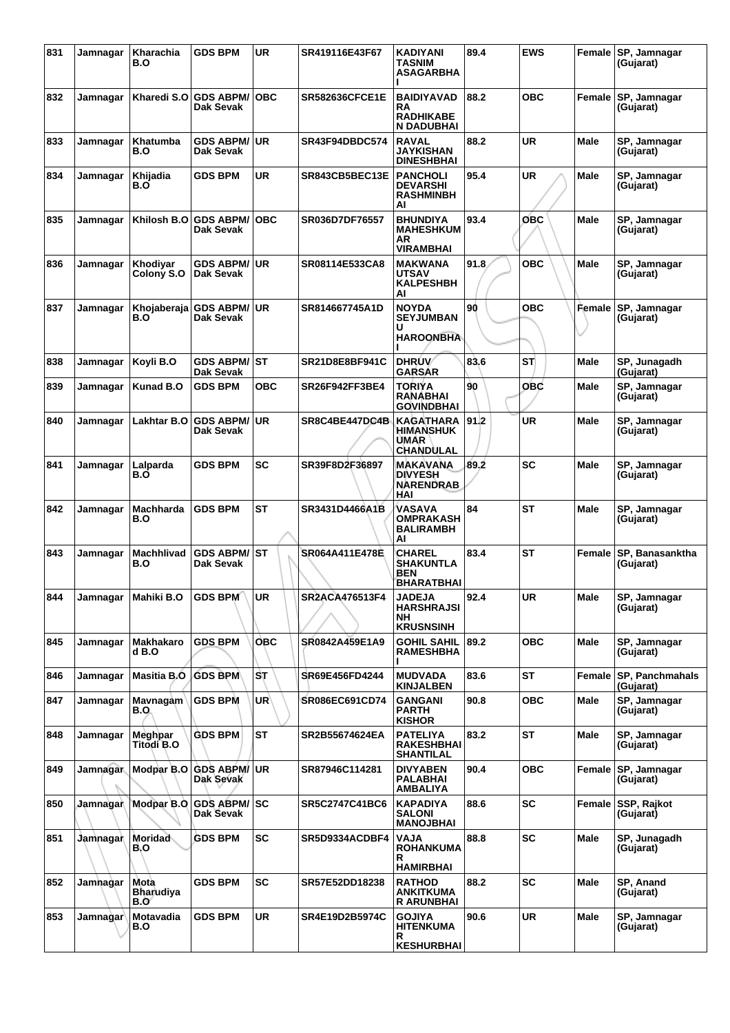| 831 | Jamnagar        | Kharachia<br>B.O                 | <b>GDS BPM</b>                      | <b>UR</b>       | SR419116E43F67        | <b>KADIYANI</b><br>TASNIM<br><b>ASAGARBHA</b>                           | 89.4 | <b>EWS</b> |             | Female SP, Jamnagar<br>(Gujarat) |
|-----|-----------------|----------------------------------|-------------------------------------|-----------------|-----------------------|-------------------------------------------------------------------------|------|------------|-------------|----------------------------------|
| 832 | Jamnagar        | Kharedi S.O                      | <b>GDS ABPM/</b><br>Dak Sevak       | <b>OBC</b>      | <b>SR582636CFCE1E</b> | <b>BAIDIYAVAD</b><br><b>RA</b><br><b>RADHIKABE</b><br>N DADUBHAI        | 88.2 | <b>OBC</b> | Female      | SP, Jamnagar<br>(Gujarat)        |
| 833 | Jamnagar        | Khatumba<br>B.O                  | <b>GDS ABPM/</b><br>Dak Sevak       | <b>UR</b>       | SR43F94DBDC574        | <b>RAVAL</b><br>JAYKISHAN<br><b>DINESHBHAI</b>                          | 88.2 | UR         | Male        | SP, Jamnagar<br>(Gujarat)        |
| 834 | Jamnagar        | Khijadia<br>B.O                  | <b>GDS BPM</b>                      | UR              | SR843CB5BEC13E        | <b>PANCHOLI</b><br><b>DEVARSHI</b><br><b>RASHMINBH</b><br>Al            | 95.4 | UR         | <b>Male</b> | SP, Jamnagar<br>(Gujarat)        |
| 835 | Jamnagar        | Khilosh B.O                      | <b>GDS ABPM/</b><br>Dak Sevak       | <b>OBC</b>      | SR036D7DF76557        | <b>BHUNDIYA</b><br><b>MAHESHKUM</b><br>AR<br><b>VIRAMBHAI</b>           | 93.4 | овс        | <b>Male</b> | SP, Jamnagar<br>(Gujarat)        |
| 836 | Jamnagar        | Khodiyar<br>Colony S.O           | GDS ABPM/∣UR<br>Dak Sevak           |                 | SR08114E533CA8        | MAKWANA<br><b>UTSAV</b><br><b>KALPESHBH</b><br>AI                       | 91.8 | овс        | Male        | SP, Jamnagar<br>(Gujarat)        |
| 837 | Jamnagar        | Khoiaberaia<br>B.O               | <b>GDS ABPM/ UR</b><br>Dak Sevak    |                 | SR814667745A1D        | <b>NOYDA</b><br><b>SEYJUMBAN</b><br>U<br><b>HAROONBHA</b>               | 90   | <b>OBC</b> | Female      | SP, Jamnagar<br>(Gujarat)        |
| 838 | Jamnagar        | Koyli B.O                        | <b>GDS ABPM/ ST</b><br>Dak Sevak    |                 | SR21D8E8BF941C        | <b>DHRUV</b><br><b>GARSAR</b>                                           | 83.6 | ST         | Male        | SP, Junagadh<br>(Gujarat)        |
| 839 | Jamnagar        | Kunad B.O                        | <b>GDS BPM</b>                      | ОВС             | SR26F942FF3BE4        | TORIYA<br><b>RANABHAI</b><br><b>GOVINDBHAI</b>                          | 90   | <b>OBC</b> | Male        | SP, Jamnagar<br>(Gujarat)        |
| 840 | Jamnagar        | Lakhtar B.O                      | <b>GDS ABPM/ UR</b><br>Dak Sevak    |                 | SR8C4BE447DC4B        | <b>KAGATHARA</b><br><b>HIMANSHUK</b><br><b>UMAR</b><br><b>CHANDULAL</b> | 91.2 | UR         | Male        | SP, Jamnagar<br>(Gujarat)        |
| 841 | Jamnagar        | Lalparda<br>B.O                  | <b>GDS BPM</b>                      | <b>SC</b>       | SR39F8D2F36897        | <b>MAKAVANA</b><br><b>DIVYESH</b><br><b>NARENDRAB</b><br>HAI            | 89.2 | <b>SC</b>  | Male        | SP, Jamnagar<br>(Gujarat)        |
| 842 | Jamnagar        | Machharda<br>B.O                 | <b>GDS BPM</b>                      | <b>ST</b>       | SR3431D4466A1B        | VASAVA<br><b>OMPRAKASH</b><br><b>BALIRAMBH</b><br>AI                    | 84   | <b>ST</b>  | Male        | SP, Jamnagar<br>(Gujarat)        |
| 843 | Jamnagar        | Machhlivad<br>B.O                | <b>GDS ABPM/ ST</b><br>Dak Sevak    |                 | SR064A411E478E        | <b>CHAREL</b><br><b>SHAKUNTLA</b><br>BEN<br><b>BHARATBHAI</b>           | 83.4 | <b>ST</b>  | Female      | SP, Banasanktha<br>(Gujarat)     |
| 844 |                 | Jamnagar Mahiki B.O GDS BPM UR   |                                     |                 | SR2ACA476513F4        | <b>JADEJA</b><br><b>HARSHRAJSI</b><br>NH.<br><b>KRUSNSINH</b>           | 92.4 | <b>UR</b>  | Male        | SP, Jamnagar<br>(Gujarat)        |
| 845 | Jamnagar        | Makhakaro<br>d B.O               | <b>GDS BPM</b>                      | <b>OBC</b>      | SR0842A459E1A9        | <b>GOHIL SAHIL</b><br><b>RAMESHBHA</b>                                  | 89.2 | <b>OBC</b> | <b>Male</b> | SP, Jamnagar<br>(Gujarat)        |
| 846 | Jamnagar        | <b>Masitia B.O</b>               | <b>GDS BPM</b>                      | SТ              | SR69E456FD4244        | <b>MUDVADA</b><br><b>KINJALBEN</b>                                      | 83.6 | <b>ST</b>  | Female      | SP, Panchmahals<br>(Gujarat)     |
| 847 | Jamnagar        | <b>Mavnagam</b><br>B.O.          | <b>GDS BPM</b>                      | UR <sup>\</sup> | SR086EC691CD74        | <b>GANGANI</b><br><b>PARTH</b><br><b>KISHOR</b>                         | 90.8 | <b>OBC</b> | <b>Male</b> | SP, Jamnagar<br>(Gujarat)        |
| 848 | Jamnagar        | Meghpar<br>Titodi B.O            | <b>GDS BPM</b>                      | <b>ST</b>       | SR2B55674624EA        | <b>PATELIYA</b><br><b>RAKESHBHAI</b><br><b>SHANTILAL</b>                | 83.2 | <b>ST</b>  | Male        | SP, Jamnagar<br>(Gujarat)        |
| 849 | Jamnagar        | Modpar B.O                       | <b>GDS ABPM/ UR</b><br>Dak Sevak    |                 | SR87946C114281        | <b>DIVYABEN</b><br><b>PALABHAI</b><br><b>AMBALIYA</b>                   | 90.4 | <b>OBC</b> | Female      | SP, Jamnagar<br>(Gujarat)        |
| 850 | Jamnagar        |                                  | Modpar B.O GDS ABPM/SC<br>Dak Sevak |                 | SR5C2747C41BC6        | <b>KAPADIYA</b><br><b>SALONI</b><br><b>MANOJBHAI</b>                    | 88.6 | <b>SC</b>  |             | Female SSP, Rajkot<br>(Gujarat)  |
| 851 | Jamnagar        | Moridad<br>B.O                   | <b>GDS BPM</b>                      | <b>SC</b>       | SR5D9334ACDBF4        | <b>NAJA</b><br><b>ROHANKUMA</b><br>R<br><b>HAMIRBHAI</b>                | 88.8 | <b>SC</b>  | Male        | SP, Junagadh<br>(Gujarat)        |
| 852 | Jamhagar        | Mota<br><b>Bharudiya</b><br>B.Oʻ | <b>GDS BPM</b>                      | <b>SC</b>       | SR57E52DD18238        | <b>RATHOD</b><br>ANKITKUMA<br><b>R ARUNBHAI</b>                         | 88.2 | <b>SC</b>  | Male        | SP, Anand<br>(Gujarat)           |
| 853 | <b>Jamnagar</b> | Motavadia<br>B.O                 | GDS BPM                             | <b>UR</b>       | SR4E19D2B5974C        | <b>GOJIYA</b><br><b>HITENKUMA</b><br>R.                                 | 90.6 | <b>UR</b>  | Male        | SP, Jamnagar<br>(Gujarat)        |
|     |                 |                                  |                                     |                 |                       | <b>KESHURBHAI</b>                                                       |      |            |             |                                  |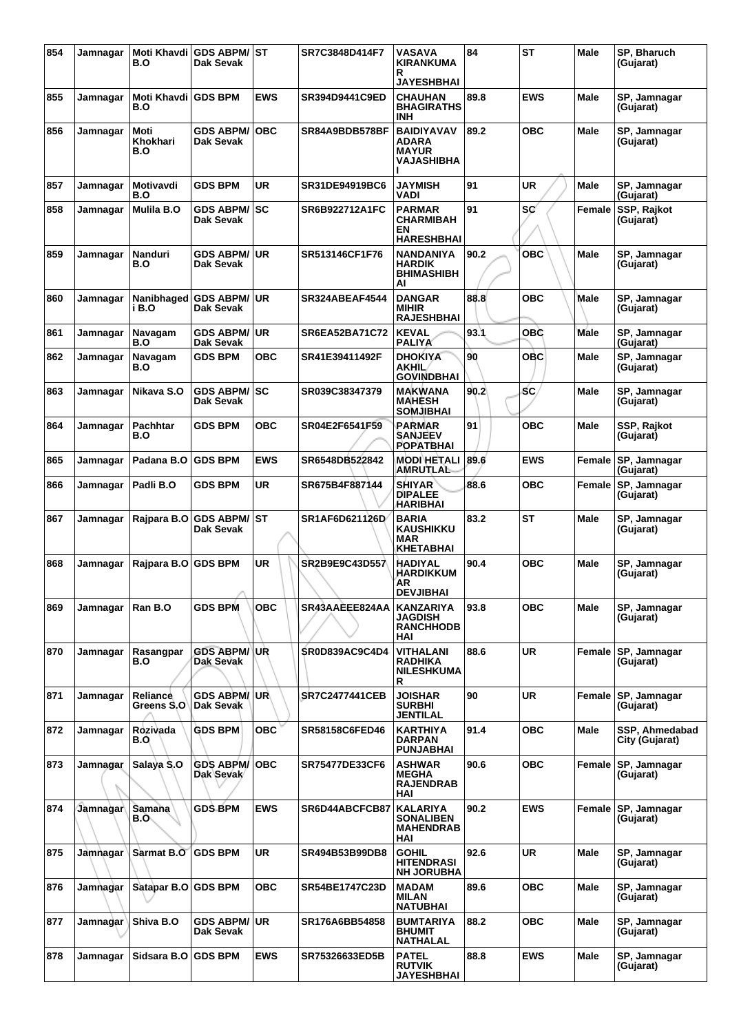| 854 | Jamnagar | Moti Khavdi<br>B.O            | <b>GDS ABPM/ST</b><br>Dak Sevak  |            | SR7C3848D414F7        | VASAVA<br><b>KIRANKUMA</b><br>R<br>JAYESHBHAI                  | 84   | <b>ST</b>  | Male        | SP, Bharuch<br>(Gujarat)         |
|-----|----------|-------------------------------|----------------------------------|------------|-----------------------|----------------------------------------------------------------|------|------------|-------------|----------------------------------|
| 855 | Jamnagar | Moti Khavdi GDS BPM<br>B.O    |                                  | <b>EWS</b> | SR394D9441C9ED        | <b>CHAUHAN</b><br><b>BHAGIRATHS</b><br><b>INH</b>              | 89.8 | <b>EWS</b> | <b>Male</b> | SP, Jamnagar<br>(Gujarat)        |
| 856 | Jamnagar | Moti<br>Khokhari<br>B.O       | <b>GDS ABPM/</b><br>Dak Sevak    | <b>OBC</b> | SR84A9BDB578BF        | <b>BAIDIYAVAV</b><br>ADARA<br><b>MAYUR</b><br>VAJASHIBHA       | 89.2 | ОВС        | Male        | SP, Jamnagar<br>(Gujarat)        |
| 857 | Jamnagar | <b>Motivavdi</b><br>B.O       | <b>GDS BPM</b>                   | <b>UR</b>  | SR31DE94919BC6        | <b>JAYMISH</b><br>VADI                                         | 91   | UR         | Male        | SP, Jamnagar<br>(Gujarat)        |
| 858 | Jamnagar | Mulila B.O                    | <b>GDS ABPM/</b><br>Dak Sevak    | l SC       | SR6B922712A1FC        | <b>PARMAR</b><br>CHARMIBAH<br>ΕN<br><b>HARESHBHAI</b>          | 91   | SC         | Female      | SSP, Rajkot<br>(Gujarat)         |
| 859 | Jamnagar | Nanduri<br>B.O                | <b>GDS ABPM/</b><br>Dak Sevak    | <b>UR</b>  | SR513146CF1F76        | <b>NANDANIYA</b><br><b>HARDIK</b><br><b>BHIMASHIBH</b><br>AI   | 90.2 | <b>OBC</b> | Male        | SP, Jamnagar<br>(Gujarat)        |
| 860 | Jamnagar | Nanibhaged<br>i B.O           | <b>GDS ABPM/</b><br>Dak Sevak    | <b>UR</b>  | <b>SR324ABEAF4544</b> | <b>DANGAR</b><br><b>MIHIR</b><br><b>RAJESHBHAI</b>             | 88.8 | овс        | Male        | SP, Jamnagar<br>(Gujarat)        |
| 861 | Jamnagar | Navagam<br>B.O                | <b>GDS ABPM/</b><br>Dak Sevak    | <b>UR</b>  | SR6EA52BA71C72        | <b>KEVAL</b><br><b>PALIYA</b>                                  | 93.1 | OBC        | <b>Male</b> | SP, Jamnagar<br>(Gujarat)        |
| 862 | Jamnagar | Navagam<br>B.O                | <b>GDS BPM</b>                   | овс        | SR41E39411492F        | <b>DHOKIYA</b><br><b>AKHIL</b><br><b>GOVINDBHAI</b>            | 90   | ОВС        | Male        | SP, Jamnagar<br>(Gujarat)        |
| 863 | Jamnagar | Nikava S.O                    | <b>GDS ABPM/ SC</b><br>Dak Sevak |            | SR039C38347379        | <b>MAKWANA</b><br><b>MAHESH</b><br><b>SOMJIBHAI</b>            | 90.2 | <b>SC</b>  | Male        | SP, Jamnagar<br>(Gujarat)        |
| 864 | Jamnagar | Pachhtar<br>B.O               | <b>GDS BPM</b>                   | овс        | SR04E2F6541F59        | <b>PARMAR</b><br><b>SANJEEV</b><br><b>POPATBHAI</b>            | 91   | овс        | Male        | SSP, Rajkot<br>(Gujarat)         |
| 865 | Jamnagar | Padana B.O                    | <b>GDS BPM</b>                   | <b>EWS</b> | SR6548DB522842        | <b>MODI HETALI</b><br><b>AMRUTLAL</b>                          | 89.6 | <b>EWS</b> | Female      | SP, Jamnagar<br>(Gujarat)        |
| 866 | Jamnagar | Padli B.O                     | GDS BPM                          | <b>UR</b>  | SR675B4F887144        | <b>SHIYAR</b><br><b>DIPALEE</b><br><b>HARIBHAI</b>             | 88.6 | овс        | Female      | SP, Jamnagar<br>(Gujarat)        |
| 867 | Jamnagar | Rajpara B.O                   | <b>GDS ABPM/ ST</b><br>Dak Sevak |            | SR1AF6D621126D        | <b>BARIA</b><br><b>KAUSHIKKU</b><br>MAR<br><b>KHETABHAI</b>    | 83.2 | <b>ST</b>  | Male        | SP, Jamnagar<br>(Gujarat)        |
| 868 | Jamnagar | Rajpara B.O                   | <b>GDS BPM</b>                   | UR         | SR2B9E9C43D557        | <b>HADIYAL</b><br><b>HARDIKKUM</b><br>AR<br><b>DEVJIBHAI</b>   | 90.4 | <b>OBC</b> | Male        | SP, Jamnagar<br>(Gujarat)        |
| 869 | Jamnagar | Ran B.O                       | <b>GDS BPM</b>                   | <b>OBC</b> | SR43AAEEE824AA        | <b>KANZARIYA</b><br><b>JAGDISH</b><br><b>RANCHHODB</b><br>HAI  | 93.8 | овс        | Male        | SP, Jamnagar<br>(Gujarat)        |
| 870 | Jamnagar | Rasangpar<br>B.O              | <b>GDS ABPM/ UR</b><br>Dak Sevak |            | <b>SR0D839AC9C4D4</b> | VITHALANI<br><b>RADHIKA</b><br><b>NILESHKUMA</b><br>R          | 88.6 | <b>UR</b>  | Female      | SP, Jamnagar<br>(Gujarat)        |
| 871 | Jamnagar | <b>Reliance</b><br>Greens S.O | <b>GDS ABPM/UR</b><br>Dak Sevak  |            | <b>SR7C2477441CEB</b> | <b>JOISHAR</b><br><b>SURBHI</b><br>JENTILAL                    | 90   | <b>UR</b>  | Female      | SP, Jamnagar<br>(Gujarat)        |
| 872 | Jamnagar | Rozivada<br>B.O               | <b>GDS BPM</b>                   | <b>OBC</b> | SR58158C6FED46        | <b>KARTHIYA</b><br><b>DARPAN</b><br>PUNJABHAI                  | 91.4 | OBC        | <b>Male</b> | SSP, Ahmedabad<br>City (Gujarat) |
| 873 | Jamnagar | Salaya S.O                    | <b>GDS ABPM/</b><br>Dak Sevak    | <b>OBC</b> | <b>SR75477DE33CF6</b> | <b>ASHWAR</b><br><b>MEGHA</b><br><b>RAJENDRAB</b><br>HAI       | 90.6 | OBC        | Female      | SP, Jamnagar<br>(Gujarat)        |
| 874 | Jamnagar | Samana<br>B.O.                | <b>GDS BPM</b>                   | <b>EWS</b> | SR6D44ABCFCB87        | <b>KALARIYA</b><br><b>SONALIBEN</b><br><b>MAHENDRAB</b><br>HAI | 90.2 | <b>EWS</b> | Female      | SP, Jamnagar<br>(Gujarat)        |
| 875 | Jamnagar | Sarmat B.O                    | <b>GDS BPM</b>                   | <b>UR</b>  | SR494B53B99DB8        | <b>GOHIL</b><br><b>HITENDRASI</b><br><b>NH JORUBHA</b>         | 92.6 | <b>UR</b>  | Male        | SP, Jamnagar<br>(Gujarat)        |
| 876 | Jamnagar | Satapar B.O                   | <b>GDS BPM</b>                   | <b>OBC</b> | SR54BE1747C23D        | <b>MADAM</b><br>MILAN<br><b>NATUBHAI</b>                       | 89.6 | OBC        | Male        | SP, Jamnagar<br>(Gujarat)        |
| 877 | Jamnagar | Shiva B.O                     | <b>GDS ABPM/ UR</b><br>Dak Sevak |            | SR176A6BB54858        | <b>BUMTARIYA</b><br><b>BHUMIT</b><br><b>NATHALAL</b>           | 88.2 | овс        | Male        | SP, Jamnagar<br>(Gujarat)        |
| 878 | Jamnagar | Sidsara B.O                   | <b>GDS BPM</b>                   | <b>EWS</b> | SR75326633ED5B        | <b>PATEL</b><br><b>RUTVIK</b><br><b>JAYESHBHAI</b>             | 88.8 | <b>EWS</b> | Male        | SP, Jamnagar<br>(Gujarat)        |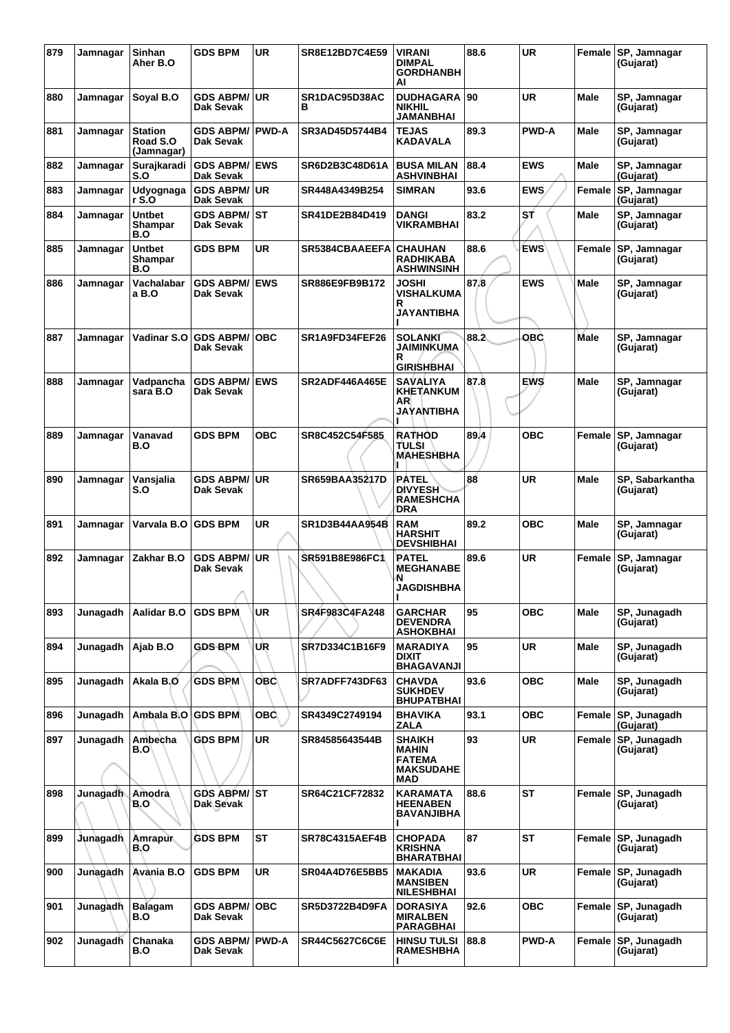| 879 | Jamnagar        | Sinhan<br>Aher B.O                | <b>GDS BPM</b>                       | <b>UR</b>    | SR8E12BD7C4E59        | <b>VIRANI</b><br><b>DIMPAL</b><br><b>GORDHANBH</b><br>AI           | 88.6 | <b>UR</b>    |             | Female SP, Jamnagar<br>(Gujarat) |
|-----|-----------------|-----------------------------------|--------------------------------------|--------------|-----------------------|--------------------------------------------------------------------|------|--------------|-------------|----------------------------------|
| 880 | Jamnagar        | Soyal B.O                         | <b>GDS ABPM/</b><br><b>Dak Sevak</b> | <b>UR</b>    | SR1DAC95D38AC<br>в    | <b>DUDHAGARA 90</b><br><b>NIKHIL</b><br><b>JAMANBHAI</b>           |      | <b>UR</b>    | <b>Male</b> | SP, Jamnagar<br>(Gujarat)        |
| 881 | Jamnagar        | Station<br>Road S.O<br>(Jamnagar) | <b>GDS ABPM/</b><br>Dak Sevak        | <b>PWD-A</b> | SR3AD45D5744B4        | <b>TEJAS</b><br><b>KADAVALA</b>                                    | 89.3 | <b>PWD-A</b> | Male        | SP, Jamnagar<br>(Gujarat)        |
| 882 | Jamnagar        | Surajkaradi<br>S.O                | <b>GDS ABPM/</b><br>Dak Sevak        | <b>EWS</b>   | SR6D2B3C48D61A        | <b>BUSA MILAN</b><br><b>ASHVINBHAI</b>                             | 88.4 | <b>EWS</b>   | Male        | SP, Jamnagar<br>(Gujarat)        |
| 883 | Jamnagar        | Udyognaga<br>r S.O                | <b>GDS ABPM/</b><br>Dak Sevak        | <b>UR</b>    | SR448A4349B254        | <b>SIMRAN</b>                                                      | 93.6 | <b>EWS</b>   | Female      | SP, Jamnagar<br>(Gujarat)        |
| 884 | Jamnagar        | <b>Untbet</b><br>Shampar<br>B.O   | <b>GDS ABPM/</b><br>Dak Sevak        | <b>ST</b>    | SR41DE2B84D419        | <b>DANGI</b><br>VIKRAMBHAI                                         | 83.2 | ST           | Male        | SP, Jamnagar<br>(Gujarat)        |
| 885 | Jamnagar        | <b>Untbet</b><br>Shampar<br>B.O   | <b>GDS BPM</b>                       | <b>UR</b>    | SR5384CBAAEEFA        | <b>CHAUHAN</b><br><b>RADHIKABA</b><br><b>ASHWINSINH</b>            | 88.6 | <b>EWS</b>   | Female      | SP, Jamnagar<br>(Gujarat)        |
| 886 | Jamnagar        | Vachalabar<br>a B.O               | <b>GDS ABPM/</b><br>Dak Sevak        | <b>EWS</b>   | SR886E9FB9B172        | <b>JOSHI</b><br>VISHALKUMA<br>R<br><b>JAYANTIBHA</b>               | 87.8 | <b>EWS</b>   | Male        | SP, Jamnagar<br>(Gujarat)        |
| 887 | Jamnagar        | Vadinar S.O                       | <b>GDS ABPM/</b><br>Dak Sevak        | <b>OBC</b>   | SR1A9FD34FEF26        | <b>SOLANKI</b><br>JAIMINKUMA<br>R<br><b>GIRISHBHAI</b>             | 88.2 | овс          | <b>Male</b> | SP, Jamnagar<br>(Gujarat)        |
| 888 | Jamnagar        | Vadpancha<br>sara B.O             | <b>GDS ABPM/</b><br>Dak Sevak        | <b>EWS</b>   | <b>SR2ADF446A465E</b> | <b>SAVALIYA</b><br><b>KHETANKUM</b><br>AR<br>JAYANTIBHA            | 87.8 | <b>EWS</b>   | Male        | SP, Jamnagar<br>(Gujarat)        |
| 889 | Jamnagar        | Vanavad<br>B.O                    | <b>GDS BPM</b>                       | <b>OBC</b>   | SR8C452C54F585        | <b>RATHOD</b><br>TULSI<br><b>MAHESHBHA</b>                         | 89.4 | <b>OBC</b>   | Female      | SP, Jamnagar<br>(Gujarat)        |
| 890 | Jamnagar        | Vansjalia<br>S.O                  | <b>GDS ABPM/</b><br>Dak Sevak        | <b>UR</b>    | <b>SR659BAA35217D</b> | <b>PATEL</b><br><b>DIVYESH</b><br><b>RAMESHCHA</b><br>DRA          | 88   | <b>UR</b>    | Male        | SP, Sabarkantha<br>(Gujarat)     |
| 891 | Jamnagar        | Varvala B.O                       | <b>GDS BPM</b>                       | <b>UR</b>    | <b>SR1D3B44AA954B</b> | <b>RAM</b><br><b>HARSHIT</b><br><b>DEVSHIBHAI</b>                  | 89.2 | <b>OBC</b>   | Male        | SP, Jamnagar<br>(Gujarat)        |
| 892 | Jamnagar        | Zakhar B.O                        | <b>GDS ABPM/</b><br>Dak Sevak        | <b>UR</b>    | SR591B8E986FC1        | PATEL<br><b>MEGHANABE</b><br>N<br><b>JAGDISHBHA</b>                | 89.6 | UR           | Female      | SP, Jamnagar<br>(Gujarat)        |
| 893 | Junagadh        | Aalidar B.O                       | <b>GDS BPM</b>                       | <b>UR</b>    | SR4F983C4FA248        | <b>GARCHAR</b><br><b>DEVENDRA</b><br>ASHOKBHAI                     | 95   | ОВС          | Male        | SP, Junagadh<br>(Gujarat)        |
| 894 | Junagadh        | Ajab B.O                          | <b>GDS BPM</b>                       | UR           | SR7D334C1B16F9        | <b>MARADIYA</b><br><b>DIXIT</b><br><b>BHAGAVANJI</b>               | 95   | UR           | Male        | SP, Junagadh<br>(Gujarat)        |
| 895 | Junagadh        | Akala B.O                         | <b>GDS BPM</b>                       | <b>OBC</b>   | SR7ADFF743DF63        | <b>CHAVDA</b><br><b>SUKHDEV</b><br><b>BHUPATBHAI</b>               | 93.6 | OBC          | Male        | SP, Junagadh<br>(Gujarat)        |
| 896 | Junagadh        | Ambala B.O GDS BPM                |                                      | <b>OBC</b>   | SR4349C2749194        | <b>BHAVIKA</b><br>ZALA                                             | 93.1 | <b>OBC</b>   | Female      | SP, Junagadh<br>(Gujarat)        |
| 897 | Junagadh        | Ambecha<br>B.O                    | <b>GDS BPM</b>                       | <b>UR</b>    | SR84585643544B        | <b>SHAIKH</b><br>MAHIN<br><b>FATEMA</b><br><b>MAKSUDAHE</b><br>MAD | 93   | <b>UR</b>    | Female      | SP, Junagadh<br>(Gujarat)        |
| 898 | Junagadh        | Amodra<br>B.O                     | GDS ABPM/ ST<br>Dak Sevak            |              | SR64C21CF72832        | <b>KARAMATA</b><br><b>HEENABEN</b><br><b>BAVANJIBHA</b>            | 88.6 | <b>ST</b>    | Female      | SP, Junagadh<br>(Gujarat)        |
| 899 | <b>Junagadh</b> | Amrapur<br>B.O                    | <b>GDS BPM</b>                       | <b>ST</b>    | <b>SR78C4315AEF4B</b> | <b>CHOPADA</b><br><b>KRISHNA</b><br><b>BHARATBHAI</b>              | 87   | <b>ST</b>    | Female      | SP, Junagadh<br>(Gujarat)        |
| 900 | Junagadh        | Avània B.O                        | <b>GDS BPM</b>                       | UR           | <b>SR04A4D76E5BB5</b> | <b>MAKADIA</b><br><b>MANSIBEN</b><br>NILESHBHAI                    | 93.6 | UR           | Female      | SP, Junagadh<br>(Gujarat)        |
| 901 | Junagadh        | <b>Balagam</b><br>B.O             | <b>GDS ABPM/</b><br>Dak Sevak        | <b>OBC</b>   | <b>SR5D3722B4D9FA</b> | <b>DORASIYA</b><br><b>MIRALBEN</b><br>PARAGBHAI                    | 92.6 | <b>OBC</b>   | Female      | SP, Junagadh<br>(Gujarat)        |
| 902 | Junagadh        | Chanaka<br>B.O                    | <b>GDS ABPM/</b><br>Dak Sevak        | <b>PWD-A</b> | <b>SR44C5627C6C6E</b> | <b>HINSU TULSI</b><br><b>RAMESHBHA</b>                             | 88.8 | <b>PWD-A</b> | Female      | SP, Junagadh<br>(Gujarat)        |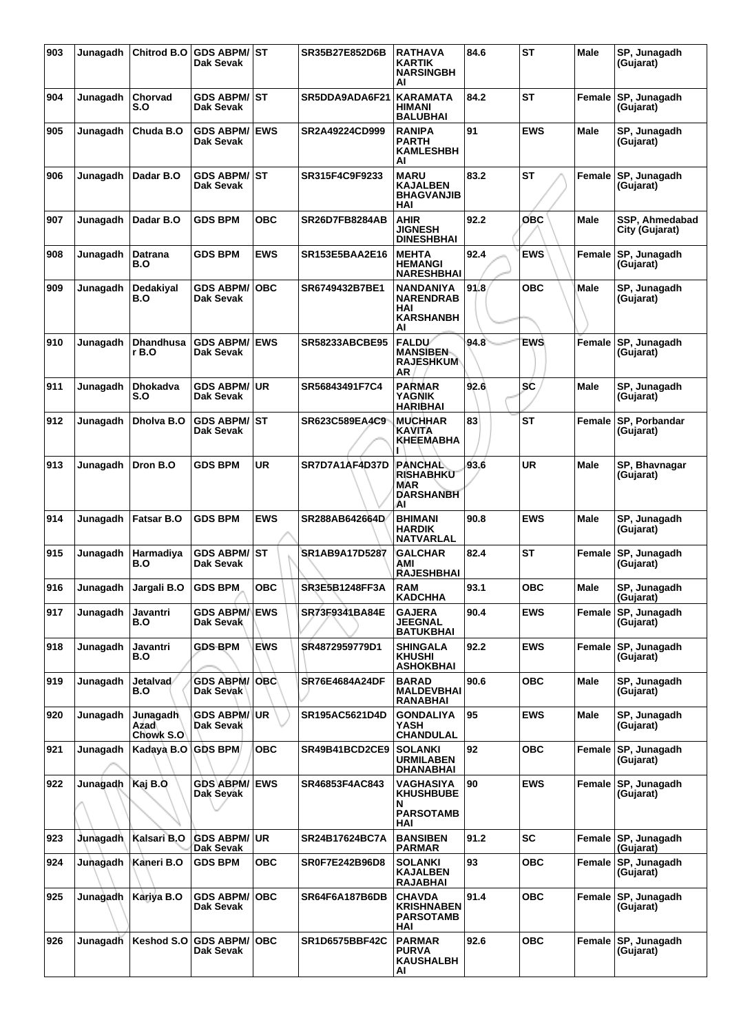| 903 | Junagadh | Chitrod B.O                   | <b>GDS ABPM/ST</b><br>Dak Sevak   |            | SR35B27E852D6B        | <b>RATHAVA</b><br><b>KARTIK</b><br><b>NARSINGBH</b><br>ΑI                        | 84.6 | <b>ST</b>  | Male   | SP, Junagadh<br>(Gujarat)                     |
|-----|----------|-------------------------------|-----------------------------------|------------|-----------------------|----------------------------------------------------------------------------------|------|------------|--------|-----------------------------------------------|
| 904 | Junagadh | Chorvad<br>S.O                | GDS ABPM/ ST<br>Dak Sevak         |            | SR5DDA9ADA6F21        | <b>KARAMATA</b><br><b>HIMANI</b><br><b>BALUBHAI</b>                              | 84.2 | <b>ST</b>  | Female | SP, Junagadh<br>(Gujarat)                     |
| 905 | Junaqadh | Chuda B.O                     | <b>GDS ABPM/</b><br>Dak Sevak     | <b>EWS</b> | SR2A49224CD999        | <b>RANIPA</b><br><b>PARTH</b><br><b>KAMLESHBH</b><br>AI                          | 91   | <b>EWS</b> | Male   | SP, Junagadh<br>(Gujarat)                     |
| 906 | Junagadh | Dadar B.O                     | GDS ABPM/ ∣ST<br>Dak Sevak        |            | SR315F4C9F9233        | <b>MARU</b><br><b>KAJALBEN</b><br><b>BHAGVANJIB</b><br>HAI                       | 83.2 | <b>ST</b>  | Female | SP, Junagadh<br>(Gujarat)                     |
| 907 | Junagadh | Dadar B.O                     | <b>GDS BPM</b>                    | ОВС        | <b>SR26D7FB8284AB</b> | <b>AHIR</b><br><b>JIGNESH</b><br><b>DINESHBHAI</b>                               | 92.2 | овс        | Male   | SSP, Ahmedabad<br>City (Gujarat)              |
| 908 | Junagadh | Datrana<br>B.O                | GDS BPM                           | <b>EWS</b> | <b>SR153E5BAA2E16</b> | <b>MEHTA</b><br><b>HEMANGI</b><br><b>NARESHBHAI</b>                              | 92.4 | <b>EWS</b> | Female | SP, Junagadh<br>(Gujarat)                     |
| 909 | Junagadh | Dedakiyal<br>B.O              | <b>GDS ABPM/</b><br>Dak Sevak     | <b>OBC</b> | SR6749432B7BE1        | <b>NANDANIYA</b><br><b>NARENDRAB</b><br>HAI<br><b>KARSHANBH</b><br>Al            | 91.8 | <b>OBC</b> | Male   | SP, Junagadh<br>(Gujarat)                     |
| 910 | Junagadh | Dhandhusa<br>r B.O            | <b>GDS ABPM/</b><br>Dak Sevak     | <b>EWS</b> | <b>SR58233ABCBE95</b> | <b>FALDU</b><br><b>MANSIBEN-</b><br><b>RAJESHKUM</b><br>AR                       | 94.8 | <b>EWS</b> | Female | SP, Junagadh<br>(Gujarat)                     |
| 911 | Junagadh | <b>Dhokadva</b><br>S.O        | <b>GDS ABPM/</b><br>Dak Sevak     | <b>UR</b>  | SR56843491F7C4        | <b>PARMAR</b><br><b>YAGNIK</b><br><b>HARIBHAI</b>                                | 92.6 | <b>SC</b>  | Male   | SP, Junagadh<br>(Gujarat)                     |
| 912 | Junagadh | Dholva B.O                    | <b>GDS ABPM/ ST</b><br>Dak Sevak  |            | SR623C589EA4C9        | <b>MUCHHAR</b><br><b>KAVITA</b><br>KHEEMABHA                                     | 83   | <b>ST</b>  | Female | SP, Porbandar<br>(Gujarat)                    |
| 913 | Junagadh | Dron B.O                      | <b>GDS BPM</b>                    | <b>UR</b>  | SR7D7A1AF4D37D        | PANCHAL<br><b>RISHABHKU</b><br>MAR<br><b>DARSHANBH</b><br>ΑI                     | 93.6 | UR         | Male   | SP, Bhavnagar<br>(Gujarat)                    |
| 914 | Junagadh | <b>Fatsar B.O</b>             | <b>GDS BPM</b>                    | <b>EWS</b> | SR288AB642664D        | <b>BHIMANI</b><br><b>HARDIK</b><br><b>NATVARLAL</b>                              | 90.8 | <b>EWS</b> | Male   | SP, Junagadh<br>(Gujarat)                     |
| 915 | Junagadh | Harmadiya<br>B.O              | GDS ABPM/ ST<br>Dak Sevak         |            | SR1AB9A17D5287        | <b>GALCHAR</b><br>AMI<br><b>RAJESHBHAI</b>                                       | 82.4 | <b>ST</b>  | Female | SP, Junagadh<br>(Gujarat)                     |
| 916 | Junagadh | Jargali B.O                   | <b>GDS BPM</b>                    | овс        | SR3E5B1248FF3A        | <b>RAM</b><br>KADCHHA                                                            | 93.1 | <b>OBC</b> | Male   | SP, Junagadh<br>(Gujarat)                     |
| 917 | Junagadh | Javantri<br>B.O               | <b>GDS ABPM/IEWS</b><br>Dak Sevak |            | SR73F9341BA84E        | <b>GAJERA</b><br><b>JEEGNAL</b><br>BATUKBHAI                                     | 90.4 | <b>EWS</b> | Female | SP, Junagadh<br>(Gujarat)                     |
| 918 | Junagadh | Javantri<br>B.O               | <b>GDS BPM</b>                    | <b>EWS</b> | SR4872959779D1        | <b>SHINGALA</b><br><b>KHUSHI</b><br><b>ASHOKBHAI</b>                             | 92.2 | <b>EWS</b> | Female | SP, Junagadh<br>(Gujarat)                     |
| 919 | Junagadh | Jetalvad<br>B.O               | <b>GDS ABPM/</b><br>Dak Sevak     | OBC.       | <b>SR76E4684A24DF</b> | <b>BARAD</b><br><b>MALDEVBHAI</b><br><b>RANABHAI</b>                             | 90.6 | <b>OBC</b> | Male   | SP, Junagadh<br>(Gujarat)                     |
| 920 | Junagadh | Junagadh<br>Azad<br>Chowk S.O | <b>GDS ABPM/ UR</b><br>Dak Sevak  |            | SR195AC5621D4D        | <b>GONDALIYA</b><br>YASH<br><b>CHANDULAL</b>                                     | 95   | <b>EWS</b> | Male   | SP, Junagadh<br>(Gujarat)                     |
| 921 | Junagadh | Kadaya B.O GDS BPM            |                                   | <b>OBC</b> | SR49B41BCD2CE9        | <b>SOLANKI</b><br><b>URMILABEN</b><br><b>DHANABHAI</b>                           | 92   | <b>OBC</b> | Female | SP, Junagadh<br>(Gujarat)                     |
| 922 | Junagadh | Kaj B.O                       | <b>GDS ABPM/ EWS</b><br>Dak Sevak |            | SR46853F4AC843        | VAGHASIYA<br><b>KHUSHBUBE</b><br>N<br><b>PARSOTAMB</b>                           | 90   | <b>EWS</b> | Female | SP, Junagadh<br>(Gujarat)                     |
| 923 | Junagadh | Kalsari B.O                   | <b>GDS ABPM/ UR</b>               |            | SR24B17624BC7A        | HAI<br><b>BANSIBEN</b>                                                           | 91.2 | <b>SC</b>  | Female | SP, Junagadh                                  |
| 924 | Junagadh | Kaneri B.O                    | Dak Sevak<br><b>GDS BPM</b>       | ОВС        | SR0F7E242B96D8        | <b>PARMAR</b><br><b>SOLANKI</b><br><b>KAJALBEN</b>                               | 93   | <b>OBC</b> |        | (Gujarat)<br>Female SP, Junagadh<br>(Gujarat) |
| 925 | Junagadh | Kariya B.O                    | <b>GDS ABPM/</b><br>Dak Sevak     | <b>OBC</b> | SR64F6A187B6DB        | <b>RAJABHAI</b><br><b>CHAVDA</b><br><b>KRISHNABEN</b><br><b>PARSOTAMB</b><br>HAI | 91.4 | <b>OBC</b> | Female | SP, Junagadh<br>(Gujarat) ˈ                   |
| 926 | Junagadh | Keshod S.O                    | <b>GDS ABPM/ OBC</b><br>Dak Sevak |            | SR1D6575BBF42C        | <b>PARMAR</b><br><b>PURVA</b><br><b>KAUSHALBH</b><br>AI                          | 92.6 | <b>OBC</b> |        | Female SP, Junagadh<br>(Gujarat)              |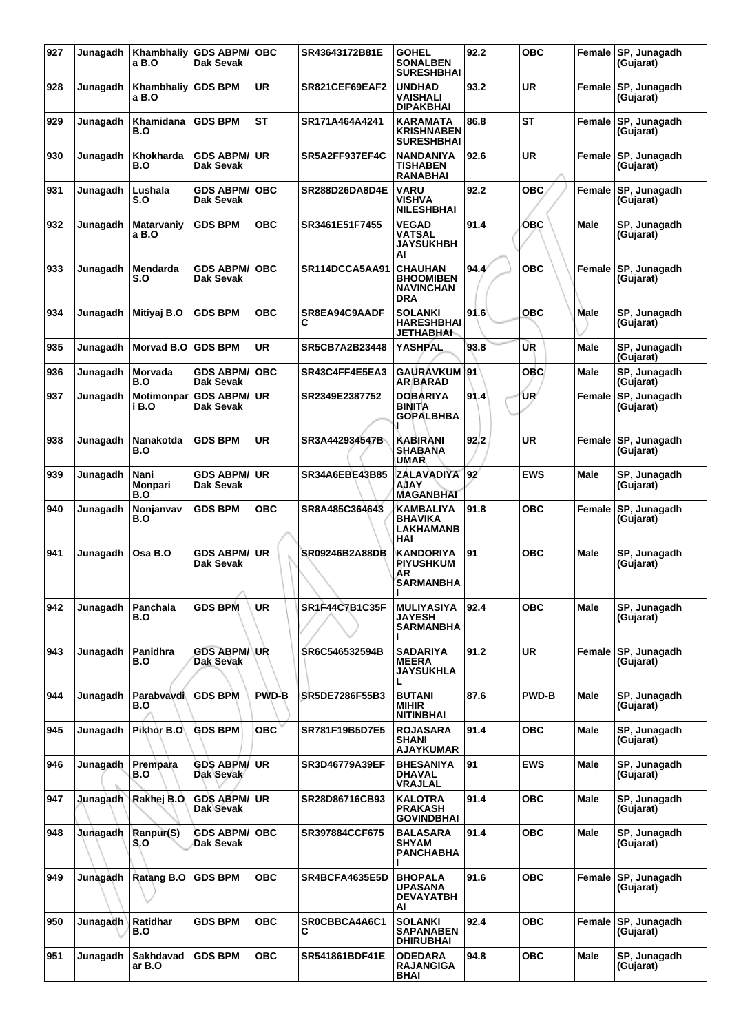| 927 | Junagadh              | Khambhaliy<br>a B.O    | <b>GDS ABPM/</b><br>Dak Sevak    | <b>OBC</b>   | SR43643172B81E        | <b>GOHEL</b><br><b>SONALBEN</b><br><b>SURESHBHAI</b>                 | 92.2 | <b>OBC</b>   | Female      | SP, Junagadh<br>(Gujarat) |
|-----|-----------------------|------------------------|----------------------------------|--------------|-----------------------|----------------------------------------------------------------------|------|--------------|-------------|---------------------------|
| 928 | Junagadh              | Khambhaliy<br>a B.O    | <b>GDS BPM</b>                   | UR           | SR821CEF69EAF2        | <b>UNDHAD</b><br>VAISHALI<br><b>DIPAKBHAI</b>                        | 93.2 | UR           | Female      | SP, Junagadh<br>(Gujarat) |
| 929 | Junagadh              | Khamidana<br>B.O       | <b>GDS BPM</b>                   | <b>ST</b>    | SR171A464A4241        | KARAMATA<br><b>KRISHNABEN</b><br><b>SURESHBHAI</b>                   | 86.8 | <b>ST</b>    | Female      | SP, Junagadh<br>(Gujarat) |
| 930 | Junagadh              | Khokharda<br>B.O       | <b>GDS ABPM/</b><br>Dak Sevak    | ∣UR          | SR5A2FF937EF4C        | <b>NANDANIYA</b><br><b>TISHABEN</b><br><b>RANABHAI</b>               | 92.6 | <b>UR</b>    | Female      | SP, Junagadh<br>(Gujarat) |
| 931 | Junagadh              | Lushala<br>S.O         | <b>GDS ABPM/</b><br>Dak Sevak    | <b>OBC</b>   | <b>SR288D26DA8D4E</b> | <b>VARU</b><br>VISHVA<br><b>NILESHBHAI</b>                           | 92.2 | <b>OBC</b>   | Female      | SP, Junagadh<br>(Gujarat) |
| 932 | Junagadh              | Matarvaniy<br>a B.O    | <b>GDS BPM</b>                   | <b>OBC</b>   | SR3461E51F7455        | VEGAD<br>VATSAL<br><b>JAYSUKHBH</b><br>Al                            | 91.4 | ОВС          | Male        | SP, Junagadh<br>(Gujarat) |
| 933 | Junagadh              | Mendarda<br>S.O        | <b>GDS ABPM/</b><br>Dak Sevak    | <b>OBC</b>   | SR114DCCA5AA91        | <b>CHAUHAN</b><br><b>BHOOMIBEN</b><br><b>NAVINCHAN</b><br><b>DRA</b> | 94.4 | <b>OBC</b>   | Female      | SP, Junagadh<br>(Gujarat) |
| 934 | Junagadh              | Mitiyaj B.O            | <b>GDS BPM</b>                   | <b>OBC</b>   | SR8EA94C9AADF<br>C    | <b>SOLANKI</b><br><b>HARESHBHAI</b><br><b>JETHABHAI</b>              | 91.6 | ОВС          | <b>Male</b> | SP, Junagadh<br>(Gujarat) |
| 935 | Junagadh              | Morvad B.O             | <b>GDS BPM</b>                   | <b>UR</b>    | <b>SR5CB7A2B23448</b> | <b>YASHPAL</b>                                                       | 93.8 | UR           | <b>Male</b> | SP, Junagadh<br>(Gujarat) |
| 936 | Junagadh              | <b>Morvada</b><br>B.O  | <b>GDS ABPM/</b><br>Dak Sevak    | <b>OBC</b>   | SR43C4FF4E5EA3        | <b>GAURAVKUM</b><br>AR BARAD                                         | 191  | <b>OBC</b>   | Male        | SP, Junagadh<br>(Gujarat) |
| 937 | Junagadh              | Motimonpar<br>i B.O    | <b>GDS ABPM/ UR</b><br>Dak Sevak |              | SR2349E2387752        | <b>DOBARIYA</b><br><b>BINITA</b><br>GOPALBHBA                        | 91.4 | ŨR∕          | Female      | SP, Junagadh<br>(Gujarat) |
| 938 | Junagadh              | Nanakotda<br>B.O       | <b>GDS BPM</b>                   | <b>UR</b>    | SR3A442934547B        | KABIRANI<br><b>SHABANA</b><br><b>UMAR</b>                            | 92.2 | UR           | Female      | SP, Junagadh<br>(Gujarat) |
| 939 | Junagadh              | Nani<br>Monpari<br>B.O | <b>GDS ABPM/</b><br>Dak Sevak    | ∣UR          | SR34A6EBE43B85        | <b>ZALAVADIYA</b><br>AJAY<br><b>MAGANBHAI</b>                        | 92   | <b>EWS</b>   | <b>Male</b> | SP, Junagadh<br>(Gujarat) |
| 940 | Junagadh              | Nonjanvav<br>B.O       | <b>GDS BPM</b>                   | <b>OBC</b>   | SR8A485C364643        | KAMBALIYA<br><b>BHAVIKA</b><br>LAKHAMANB<br>HAI                      | 91.8 | ОВС          | Female      | SP, Junagadh<br>(Gujarat) |
| 941 | Junagadh              | Osa B.O                | <b>GDS ABPM/</b><br>Dak Sevak    | UR.          | SR09246B2A88DB        | <b>KANDORIYA</b><br><b>PIYUSHKUM</b><br>ΑR<br><b>SARMANBHA</b>       | 91   | <b>OBC</b>   | <b>Male</b> | SP, Junagadh<br>(Gujarat) |
| 942 | Junagadh              | Panchala<br>B.O        | <b>GDS BPM</b>                   | <b>UR</b>    | SR1F44C7B1C35F        | <b>MULIYASIYA</b><br><b>JAYESH</b><br>SARMANBHA                      | 92.4 | <b>OBC</b>   | Male        | SP, Junagadh<br>(Gujarat) |
| 943 | Junagadh              | Panidhra<br>B.O        | <b>GDS ABPM/ UR</b><br>Dak Sevak |              | SR6C546532594B        | <b>SADARIYA</b><br><b>MEERA</b><br><b>JAYSUKHLA</b>                  | 91.2 | <b>UR</b>    | Female      | SP, Junagadh<br>(Gujarat) |
| 944 | Junagadh              | Parabvaydi<br>B.O      | <b>GDS BPM</b>                   | <b>PWD-B</b> | SR5DE7286F55B3        | <b>BUTANI</b><br><b>MIHIR</b><br><b>NITINBHAI</b>                    | 87.6 | <b>PWD-B</b> | <b>Male</b> | SP, Junagadh<br>(Gujarat) |
| 945 | Junagadh              | Pikhor B.O             | <b>GDS BPM</b>                   | <b>OBC</b>   | SR781F19B5D7E5        | <b>ROJASARA</b><br><b>SHANI</b><br><b>AJAYKUMAR</b>                  | 91.4 | <b>OBC</b>   | <b>Male</b> | SP, Junagadh<br>(Gujarat) |
| 946 | Junagadh              | Prempara<br>B.O        | <b>GDS ABPM/ UR</b><br>Dak Sevak |              | SR3D46779A39EF        | <b>BHESANIYA</b><br><b>DHAVAL</b><br><b>VRAJLAL</b>                  | 91   | <b>EWS</b>   | <b>Male</b> | SP, Junagadh<br>(Gujarat) |
| 947 | <b>Junagadh</b>       | Rakhej B.O             | <b>GDS ABPM/ UR</b><br>Dak Sevak |              | SR28D86716CB93        | KALOTRA<br><b>PRAKASH</b><br><b>GOVINDBHAI</b>                       | 91.4 | <b>OBC</b>   | Male        | SP, Junagadh<br>(Gujarat) |
| 948 | Junagadh              | Ranpur(S)<br>S.O       | <b>GDS ABPM/</b><br>Dak Sevak    | <b>OBC</b>   | SR397884CCF675        | <b>BALASARA</b><br><b>SHYAM</b><br><b>PANCHABHA</b>                  | 91.4 | <b>OBC</b>   | <b>Male</b> | SP, Junagadh<br>(Gujarat) |
| 949 | Junagadh              | Ratang B.O             | <b>GDS BPM</b>                   | <b>OBC</b>   | SR4BCFA4635E5D        | <b>BHOPALA</b><br><b>UPASANA</b><br><b>DEVAYATBH</b><br>AI           | 91.6 | <b>OBC</b>   | Female      | SP, Junagadh<br>(Gujarat) |
| 950 | Junagadh <sup>1</sup> | Ratidhar<br>B.O        | <b>GDS BPM</b>                   | <b>OBC</b>   | SR0CBBCA4A6C1<br>С    | <b>SOLANKI</b><br><b>SAPANABEN</b><br>DHIRUBHAI                      | 92.4 | <b>OBC</b>   | Female      | SP, Junagadh<br>(Gujarat) |
| 951 | Junagadh              | Sakhdavad<br>ar B.O    | <b>GDS BPM</b>                   | <b>OBC</b>   | SR541861BDF41E        | <b>ODEDARA</b><br><b>RAJANGIGA</b><br><b>BHAI</b>                    | 94.8 | <b>OBC</b>   | <b>Male</b> | SP, Junagadh<br>(Gujarat) |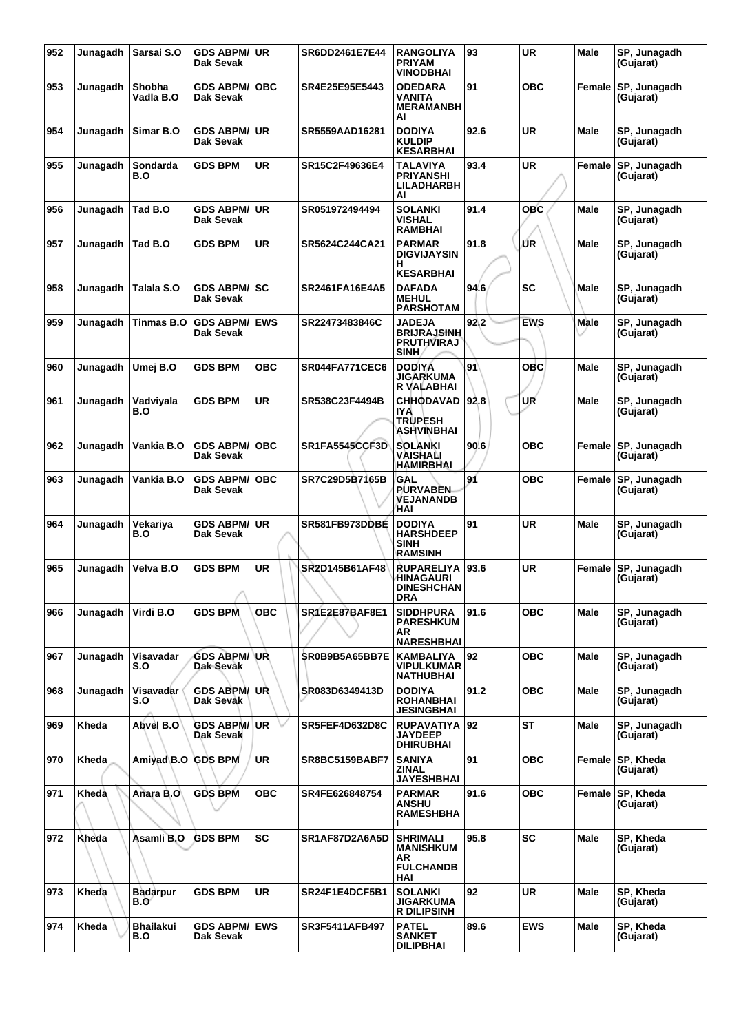| 952 | Junagadh | Sarsai S.O              | <b>GDS ABPM/ UR</b><br>Dak Sevak  |             | SR6DD2461E7E44 | <b>RANGOLIYA</b><br><b>PRIYAM</b><br><b>VINODBHAI</b>                | 93   | <b>UR</b>  | Male        | SP, Junagadh<br>(Gujarat) |
|-----|----------|-------------------------|-----------------------------------|-------------|----------------|----------------------------------------------------------------------|------|------------|-------------|---------------------------|
| 953 | Junagadh | Shobha<br>Vadla B.O     | <b>GDS ABPM/</b><br>Dak Sevak     | <b>OBC</b>  | SR4E25E95E5443 | <b>ODEDARA</b><br>VANITA<br><b>MERAMANBH</b><br>AI                   | 91   | <b>OBC</b> | Female      | SP, Junagadh<br>(Gujarat) |
| 954 | Junagadh | Simar B.O               | <b>GDS ABPM/ UR</b><br>Dak Sevak  |             | SR5559AAD16281 | <b>DODIYA</b><br><b>KULDIP</b><br><b>KESARBHAI</b>                   | 92.6 | <b>UR</b>  | <b>Male</b> | SP, Junagadh<br>(Gujarat) |
| 955 | Junagadh | Sondarda<br>B.O         | <b>GDS BPM</b>                    | UR          | SR15C2F49636E4 | TALAVIYA<br><b>PRIYANSHI</b><br>LILADHARBH<br>AI                     | 93.4 | UR         | Female      | SP, Junagadh<br>(Gujarat) |
| 956 | Junagadh | Tad B.O                 | <b>GDS ABPM/</b><br>Dak Sevak     | <b>UR</b>   | SR051972494494 | <b>SOLANKI</b><br><b>VISHAL</b><br><b>RAMBHAI</b>                    | 91.4 | <b>OBC</b> | <b>Male</b> | SP. Junagadh<br>(Gujarat) |
| 957 | Junagadh | Tad B.O                 | <b>GDS BPM</b>                    | UR          | SR5624C244CA21 | <b>PARMAR</b><br><b>DIGVIJAYSIN</b><br>н<br><b>KESARBHAI</b>         | 91.8 | ŰR         | Male        | SP, Junagadh<br>(Gujarat) |
| 958 | Junagadh | Talala S.O              | <b>GDS ABPM/ SC</b><br>Dak Sevak  |             | SR2461FA16E4A5 | <b>DAFADA</b><br><b>MEHUL</b><br><b>PARSHOTAM</b>                    | 94.6 | SC         | Male        | SP, Junagadh<br>(Gujarat) |
| 959 | Junagadh | Tinmas B.O              | <b>GDS ABPM/</b><br>Dak Sevak     | <b>IEWS</b> | SR22473483846C | <b>JADEJA</b><br><b>BRIJRAJSINH</b><br><b>PRUTHVIRAJ</b><br>SINH.    | 92.2 | <b>EWS</b> | Male        | SP, Junagadh<br>(Gujarat) |
| 960 | Junagadh | Umej B.O                | <b>GDS BPM</b>                    | ОВС         | SR044FA771CEC6 | <b>DODIYA</b><br>JIGARKUMA<br>R VALABHAI                             | 91   | овс        | Male        | SP, Junagadh<br>(Gujarat) |
| 961 | Junagadh | Vadviyala<br>B.O        | <b>GDS BPM</b>                    | UR          | SR538C23F4494B | <b>CHHODAVAD</b><br><b>IYA</b><br><b>TRUPESH</b><br>ASHVINBHAI       | 92.8 | UR         | Male        | SP, Junagadh<br>(Gujarat) |
| 962 | Junagadh | Vankia B.O              | <b>GDS ABPM/</b><br>Dak Sevak     | <b>OBC</b>  | SR1FA5545CCF3D | <b>SOLANKI</b><br>VAISHALI<br>HAMIRBHAI                              | 90.6 | <b>OBC</b> | Female      | SP, Junagadh<br>(Gujarat) |
| 963 | Junagadh | Vankia B.O              | <b>GDS ABPM/</b><br>Dak Sevak     | <b>OBC</b>  | SR7C29D5B7165B | GAL<br><b>PURVABEN</b><br><b>VEJANANDB</b><br>HAI                    | 91   | <b>OBC</b> | Female      | SP, Junagadh<br>(Gujarat) |
| 964 | Junagadh | Vekariya<br>B.O         | <b>GDS ABPM/ UR</b><br>Dak Sevak  |             | SR581FB973DDBE | <b>DODIYA</b><br><b>HARSHDEEP</b><br><b>SINH</b><br>RAMSINH          | 91   | <b>UR</b>  | Male        | SP, Junagadh<br>(Gujarat) |
| 965 | Junagadh | Velva B.O               | <b>GDS BPM</b>                    | UR          | SR2D145B61AF48 | <b>RUPARELIYA</b><br>HINAGAURI<br><b>DINESHCHAN</b><br>DRA           | 93.6 | <b>UR</b>  | Female      | SP, Junagadh<br>(Gujarat) |
| 966 | Junagadh | Virdi B.O               | <b>GDS BPM</b>                    | <b>OBC</b>  | SR1E2E87BAF8E1 | <b>SIDDHPURA</b><br><b>PARESHKUM</b><br>AR<br><b>NARESHBHAI</b>      | 91.6 | <b>OBC</b> | Male        | SP, Junagadh<br>(Gujarat) |
| 967 | Junagadh | Visavadar<br>S.O        | <b>GDS ABPM/UR</b><br>Dak Sevak   |             | SR0B9B5A65BB7E | <b>KAMBALIYA</b><br>VIPULKUMAR<br><b>NATHUBHAI</b>                   | 92   | <b>OBC</b> | Male        | SP, Junagadh<br>(Gujarat) |
| 968 | Junagadh | Visavadar<br>S.O        | <b>GDS ABPM/UR</b><br>Dak Sevak   |             | SR083D6349413D | <b>DODIYA</b><br><b>ROHANBHAI</b><br><b>JESINGBHAI</b>               | 91.2 | <b>OBC</b> | <b>Male</b> | SP, Junagadh<br>(Gujarat) |
| 969 | Kheda    | Abvel B.O               | <b>GDS ABPM/UR</b><br>Dak Sevak   |             | SR5FEF4D632D8C | <b>RUPAVATIYA 92</b><br><b>JAYDEEP</b><br><b>DHIRUBHAI</b>           |      | <b>ST</b>  | Male        | SP, Junagadh<br>(Gujarat) |
| 970 | Kheda    | Amiyad B.O GDS BPM      |                                   | <b>UR</b>   | SR8BC5159BABF7 | <b>SANIYA</b><br>ZINAL<br><b>JAYESHBHAI</b>                          | 91   | <b>OBC</b> | Female      | SP, Kheda<br>(Gujarat)    |
| 971 | Kheda    | Anara B.O               | <b>GDS BPM</b>                    | ОВС         | SR4FE626848754 | <b>PARMAR</b><br>ANSHU<br><b>RAMESHBHA</b>                           | 91.6 | <b>OBC</b> | Female      | SP, Kheda<br>(Gujarat)    |
| 972 | Kheda    | Asamli B.O              | <b>GDS BPM</b>                    | <b>SC</b>   | SR1AF87D2A6A5D | <b>SHRIMALI</b><br><b>MANISHKUM</b><br>AR<br><b>FULCHANDB</b><br>HAI | 95.8 | SC         | <b>Male</b> | SP, Kheda<br>(Gujarat)    |
| 973 | Kheda    | <b>Badarpur</b><br>B.Oʻ | <b>GDS BPM</b>                    | UR          | SR24F1E4DCF5B1 | <b>SOLANKI</b><br><b>JIGARKUMA</b><br><b>R DILIPSINH</b>             | 92   | <b>UR</b>  | <b>Male</b> | SP, Kheda<br>(Gujarat)    |
| 974 | Kheda    | <b>Bhailakui</b><br>B.O | <b>GDS ABPM/ EWS</b><br>Dak Sevak |             | SR3F5411AFB497 | <b>PATEL</b><br><b>SANKET</b><br><b>DILIPBHAI</b>                    | 89.6 | <b>EWS</b> | Male        | SP, Kheda<br>(Gujarat)    |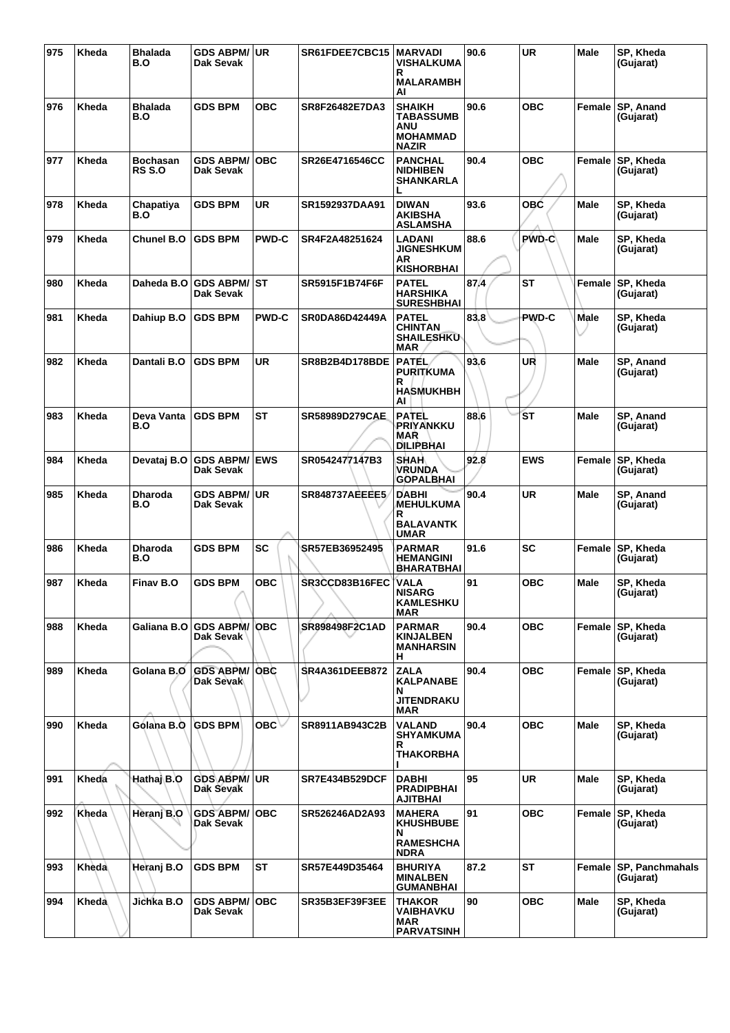| 975 | Kheda | Bhalada<br>B.O     | <b>GDS ABPM/ UR</b><br>Dak Sevak  |              | SR61FDEE7CBC15        | <b>MARVADI</b><br>VISHALKUMA<br>R<br><b>MALARAMBH</b><br>AI                 | 90.6 | <b>UR</b>    | <b>Male</b> | SP, Kheda<br>(Gujarat)              |
|-----|-------|--------------------|-----------------------------------|--------------|-----------------------|-----------------------------------------------------------------------------|------|--------------|-------------|-------------------------------------|
| 976 | Kheda | Bhalada<br>B.O     | <b>GDS BPM</b>                    | овс          | SR8F26482E7DA3        | <b>SHAIKH</b><br><b>TABASSUMB</b><br>ANU<br><b>MOHAMMAD</b><br><b>NAZIR</b> | 90.6 | <b>OBC</b>   | Female      | SP, Anand<br>(Gujarat)              |
| 977 | Kheda | Bochasan<br>RS S.O | <b>GDS ABPM/</b><br>Dak Sevak     | <b>OBC</b>   | SR26E4716546CC        | <b>PANCHAL</b><br><b>NIDHIBEN</b><br><b>SHANKARLA</b>                       | 90.4 | <b>OBC</b>   | Female      | SP, Kheda<br>(Gujarat)              |
| 978 | Kheda | Chapatiya<br>B.O   | <b>GDS BPM</b>                    | UR           | SR1592937DAA91        | <b>DIWAN</b><br><b>AKIBSHA</b><br><b>ASLAMSHA</b>                           | 93.6 | OBC          | <b>Male</b> | SP, Kheda<br>(Gujarat)              |
| 979 | Kheda | Chunel B.O         | <b>GDS BPM</b>                    | <b>PWD-C</b> | SR4F2A48251624        | LADANI<br><b>JIGNESHKUM</b><br>ΑR<br><b>KISHORBHAI</b>                      | 88.6 | <b>PWD-C</b> | Male        | SP, Kheda<br>(Gujarat)              |
| 980 | Kheda | Daheda B.O         | <b>GDS ABPM/ ST</b><br>Dak Sevak  |              | SR5915F1B74F6F        | <b>PATEL</b><br><b>HARSHIKA</b><br><b>SURESHBHAI</b>                        | 87.4 | <b>ST</b>    | Female      | SP, Kheda<br>(Gujarat)              |
| 981 | Kheda | Dahiup B.O         | <b>GDS BPM</b>                    | <b>PWD-C</b> | <b>SR0DA86D42449A</b> | <b>PATEL</b><br><b>CHINTAN</b><br><b>SHAILESHKU</b><br>MAR                  | 83.8 | PWD-C        | Male        | SP, Kheda<br>(Gujarat)              |
| 982 | Kheda | Dantali B.O        | <b>GDS BPM</b>                    | <b>UR</b>    | SR8B2B4D178BDE        | <b>PATÉL</b><br>PURITKUMA<br>R<br><b>HASMUKHBH</b><br>AI                    | 93.6 | UR           | Male        | SP, Anand<br>(Gujarat)              |
| 983 | Kheda | Deva Vanta<br>B.O  | <b>GDS BPM</b>                    | <b>ST</b>    | SR58989D279CAE        | <b>PATEL</b><br>PRIYANKKU<br>MAR<br><b>DILIRBHAI</b>                        | 88.6 | <b>ST</b>    | Male        | SP, Anand<br>(Gujarat)              |
| 984 | Kheda | Devataj B.O        | <b>GDS ABPM/ EWS</b><br>Dak Sevak |              | SR0542477147B3        | <b>SHAH</b><br><b>VRUNDA</b><br><b>GOPALBHAI</b>                            | 92.8 | <b>EWS</b>   | Female      | SP, Kheda<br>(Gujarat)              |
| 985 | Kheda | Dharoda<br>B.O     | GDS ABPM/UR<br>Dak Sevak          |              | <b>SR848737AEEEE5</b> | <b>DABHI</b><br><b>MEHULKUMA</b><br>R<br><b>BALAVANTK</b><br><b>UMAR</b>    | 90.4 | <b>UR</b>    | Male        | SP, Anand<br>(Gujarat)              |
| 986 | Kheda | Dharoda<br>B.O     | <b>GDS BPM</b>                    | SC           | SR57EB36952495        | PARMAR<br><b>HEMANGINI</b><br><b>BHARATBHAI</b>                             | 91.6 | SC           | Female      | SP, Kheda<br>(Gujarat)              |
| 987 | Kheda | Finav B.O          | <b>GDS BPM</b>                    | <b>OBC</b>   | SR3CCD83B16FEC        | VALA<br><b>NISARG</b><br><b>KAMLESHKU</b><br>MAR                            | 91   | <b>OBC</b>   | Male        | SP, Kheda<br>(Gujarat)              |
| 988 | Kheda | Galiana B.O        | <b>GDS ABPM/ OBC</b><br>Dak Sevak |              | SR898498F2C1AD        | <b>PARMAR</b><br><b>KINJALBEN</b><br><b>MANHARSIN</b><br>H.                 | 90.4 | <b>OBC</b>   |             | Female SP, Kheda<br>(Gujarat)       |
| 989 | Kheda | Golana B.O         | <b>GDS ABPM/OBC</b><br>Dak Sevak  |              | <b>SR4A361DEEB872</b> | <b>ZALA</b><br><b>KALPANABE</b><br>N<br><b>JITENDRAKU</b><br><b>MAR</b>     | 90.4 | <b>OBC</b>   |             | Female SP, Kheda<br>(Gujarat)       |
| 990 | Kheda | Gólana B.O         | <b>GDS BPM</b>                    | OBC          | SR8911AB943C2B        | <b>VALAND</b><br><b>SHYAMKUMA</b><br>R.<br><b>THAKORBHA</b>                 | 90.4 | <b>OBC</b>   | Male        | SP, Kheda<br>(Gujarat)              |
| 991 | Kheda | Hathaj B.O         | GDS ABPM/UR<br>Dak Sevak          |              | <b>SR7E434B529DCF</b> | <b>DABHI</b><br><b>PRADIPBHAI</b><br><b>AJITBHAI</b>                        | 95   | <b>UR</b>    | <b>Male</b> | SP, Kheda<br>(Gujarat)              |
| 992 | Kheda | Heranj B.O         | <b>GDS ABPM/</b><br>Dak Sevak     | <b>OBC</b>   | SR526246AD2A93        | <b>MAHERA</b><br><b>KHUSHBUBE</b><br>N<br><b>RAMESHCHA</b><br><b>NDRA</b>   | 91   | <b>OBC</b>   | Female      | SP, Kheda<br>(Gujarat)              |
| 993 | Kheda | Heranj B.O         | <b>GDS BPM</b>                    | <b>ST</b>    | SR57E449D35464        | <b>BHURIYA</b><br><b>MINALBEN</b><br><b>GUMANBHAI</b>                       | 87.2 | ST           | Female      | <b>SP, Panchmahals</b><br>(Gujarat) |
| 994 | Kheda | Jichka B.O         | GDS ABPM/   OBC<br>Dak Sevak      |              | SR35B3EF39F3EE        | <b>THAKOR</b><br>VAIBHAVKU<br>MAR<br><b>PARVATSINH</b>                      | 90   | <b>OBC</b>   | Male        | SP, Kheda<br>(Gujarat)              |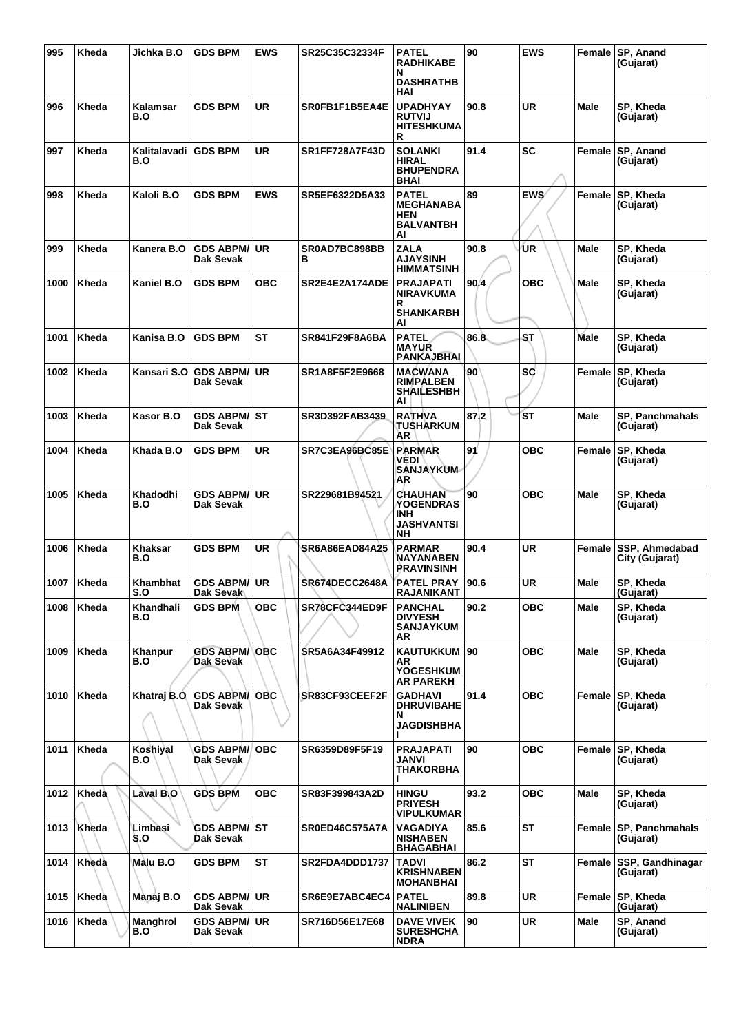| 995  | Kheda | Jichka B.O          | <b>GDS BPM</b>                    | <b>EWS</b> | SR25C35C32334F        | <b>PATEL</b><br><b>RADHIKABE</b><br>N<br><b>DASHRATHB</b><br>HAI                   | 90   | <b>EWS</b> |             | Female SP, Anand<br>(Gujarat)           |
|------|-------|---------------------|-----------------------------------|------------|-----------------------|------------------------------------------------------------------------------------|------|------------|-------------|-----------------------------------------|
| 996  | Kheda | Kalamsar<br>B.O     | <b>GDS BPM</b>                    | UR         | SR0FB1F1B5EA4E        | <b>UPADHYAY</b><br><b>RUTVIJ</b><br><b>HITESHKUMA</b><br>R                         | 90.8 | <b>UR</b>  | Male        | SP, Kheda<br>(Gujarat)                  |
| 997  | Kheda | Kalitalavadi<br>B.O | <b>IGDS BPM</b>                   | UR         | <b>SR1FF728A7F43D</b> | <b>SOLANKI</b><br><b>HIRAL</b><br><b>BHUPENDRA</b><br><b>BHAI</b>                  | 91.4 | SC         | Female      | SP, Anand<br>(Gujarat)                  |
| 998  | Kheda | Kaloli B.O          | <b>GDS BPM</b>                    | <b>EWS</b> | SR5EF6322D5A33        | <b>PATEL</b><br><b>MEGHANABA</b><br><b>HEN</b><br><b>BALVANTBH</b><br>Al           | 89   | <b>EWS</b> | Female      | SP, Kheda<br>(Gujarat)                  |
| 999  | Kheda | Kanera B.O          | GDS ABPM/UR<br>Dak Sevak          |            | SR0AD7BC898BB<br>в    | <b>ZALA</b><br><b>AJAYSINH</b><br><b>HIMMATSINH</b>                                | 90.8 | ÙR         | Male        | SP, Kheda<br>(Gujarat)                  |
| 1000 | Kheda | Kaniel B.O          | <b>GDS BPM</b>                    | овс        | SR2E4E2A174ADE        | <b>PRAJAPATI</b><br><b>NIRAVKUMA</b><br>R<br><b>SHANKARBH</b><br>Al                | 90.4 | <b>OBC</b> | Male        | SP, Kheda<br>(Gujarat)                  |
| 1001 | Kheda | Kanisa B.O          | <b>GDS BPM</b>                    | <b>ST</b>  | SR841F29F8A6BA        | <b>PATEL</b><br><b>MAYUR</b><br>PANKAJBHAI                                         | 86.8 | ST         | Male        | SP, Kheda<br>(Gujarat)                  |
| 1002 | Kheda | Kansari S.O         | <b>GDS ABPM/ UR</b><br>Dak Sevak  |            | SR1A8F5F2E9668        | MACWANA<br><b>RIMPALBEN</b><br><b>SHAILESHBH</b><br>Al                             | 90   | <b>SC</b>  | Female      | SP, Kheda<br>(Gujarat)                  |
| 1003 | Kheda | Kasor B.O           | GDS ABPM/ ST<br>Dak Sevak         |            | SR3D392FAB3439        | <b>RATHVA</b><br>TUSHARKUM<br>AR                                                   | 87.2 | <b>ST</b>  | Male        | SP, Panchmahals<br>(Gujarat)            |
| 1004 | Kheda | Khada B.O           | <b>GDS BPM</b>                    | <b>UR</b>  | SR7C3EA96BC85E        | <b>PARMAR</b><br><b>VEDI</b><br><b>SANJAYKUM</b><br>AR                             | 91   | <b>OBC</b> | Female      | SP, Kheda<br>(Gujarat)                  |
| 1005 | Kheda | Khadodhi<br>B.O     | <b>GDS ABPM/ UR</b><br>Dak Sevak  |            | SR229681B94521        | <b>CHAUHAN</b><br><b>YOGENDRAS</b><br><b>INH</b><br><b>JASHVANTSI</b><br><b>NH</b> | 90   | <b>OBC</b> | Male        | SP, Kheda<br>(Gujarat)                  |
| 1006 | Kheda | Khaksar<br>B.O      | <b>GDS BPM</b>                    | UR         | SR6A86EAD84A25        | PARMAR<br><b>NAYANABEN</b><br><b>PRAVINSINH</b>                                    | 90.4 | UR         | Female      | <b>SSP, Ahmedabad</b><br>City (Gujarat) |
| 1007 | Kheda | Khambhat<br>S.O     | GDS ABPM/UR<br>Dak Sevak          |            | SR674DECC2648A        | <b>PATEL PRAY</b><br><b>RAJANIKANT</b>                                             | 90.6 | <b>UR</b>  | Male        | SP, Kheda<br>(Gujarat)                  |
| 1008 | Kheda | Khandhali<br>B.O    | <b>GDS BPM</b>                    | <b>OBC</b> | SR78CFC344ED9F        | <b>PANCHAL</b><br><b>DIVYESH</b><br><b>SANJAYKUM</b><br>AR                         | 90.2 | овс        | Male        | SP, Kheda<br>(Gujarat)                  |
| 1009 | Kheda | Khanpur<br>B.O      | <b>GDS ABPM/ OBC</b><br>Dak Sevak |            | SR5A6A34F49912        | KAUTUKKUM 90<br>AR<br><b>YOGESHKUM</b><br><b>AR PAREKH</b>                         |      | <b>OBC</b> | Male        | SP, Kheda<br>(Gujarat)                  |
| 1010 | Kheda | Khatraj B.O         | <b>GDS ABPM/OBC</b><br>Dak Sevak  |            | SR83CF93CEEF2F        | <b>GADHAVI</b><br><b>DHRUVIBAHE</b><br>N<br><b>JAGDISHBHA</b>                      | 91.4 | <b>OBC</b> | Female      | SP, Kheda<br>(Gujarat)                  |
| 1011 | Kheda | Koshiyal<br>B.O     | <b>GDS ABPM/</b><br>Dak Sevak     | <b>OBC</b> | SR6359D89F5F19        | <b>PRAJAPATI</b><br>JANVI<br><b>THAKORBHA</b>                                      | 90   | <b>OBC</b> |             | Female SP, Kheda<br>(Gujarat)           |
| 1012 | Kheda | Laval B.O           | <b>GDS BPM</b>                    | <b>OBC</b> | SR83F399843A2D        | <b>HINGU</b><br><b>PRIYESH</b><br><b>VIPULKUMAR</b>                                | 93.2 | <b>OBC</b> | Male        | SP, Kheda<br>(Gujarat)                  |
| 1013 | Kheda | Limbasi<br>S.O      | GDS ABPM/│ST<br>Dak Sevak         |            | <b>SR0ED46C575A7A</b> | VAGADIYA<br><b>NISHABEN</b><br><b>BHAGABHAI</b>                                    | 85.6 | ST         | Female      | SP, Panchmahals<br>(Gujarat)            |
| 1014 | Kheda | Malu B.O            | <b>GDS BPM</b>                    | <b>ST</b>  | SR2FDA4DDD1737        | <b>TADVI</b><br><b>KRISHNABEN</b><br><b>MOHANBHAI</b>                              | 86.2 | <b>ST</b>  |             | Female SSP, Gandhinagar<br>(Gujarat)    |
| 1015 | Kheda | Mànaj B.O           | <b>GDS ABPM/ UR</b><br>Dak Sevak  |            | SR6E9E7ABC4EC4        | <b>PATEL</b><br><b>NALINIBEN</b>                                                   | 89.8 | <b>UR</b>  | Female      | SP, Kheda<br>(Gujarat)                  |
| 1016 | Kheda | Manghrol<br>B.O     | <b>GDS ABPM/ UR</b><br>Dak Sevak  |            | SR716D56E17E68        | <b>DAVE VIVEK</b><br><b>SURESHCHA</b><br><b>NDRA</b>                               | 90   | <b>UR</b>  | <b>Male</b> | SP, Anand<br>(Gujarat)                  |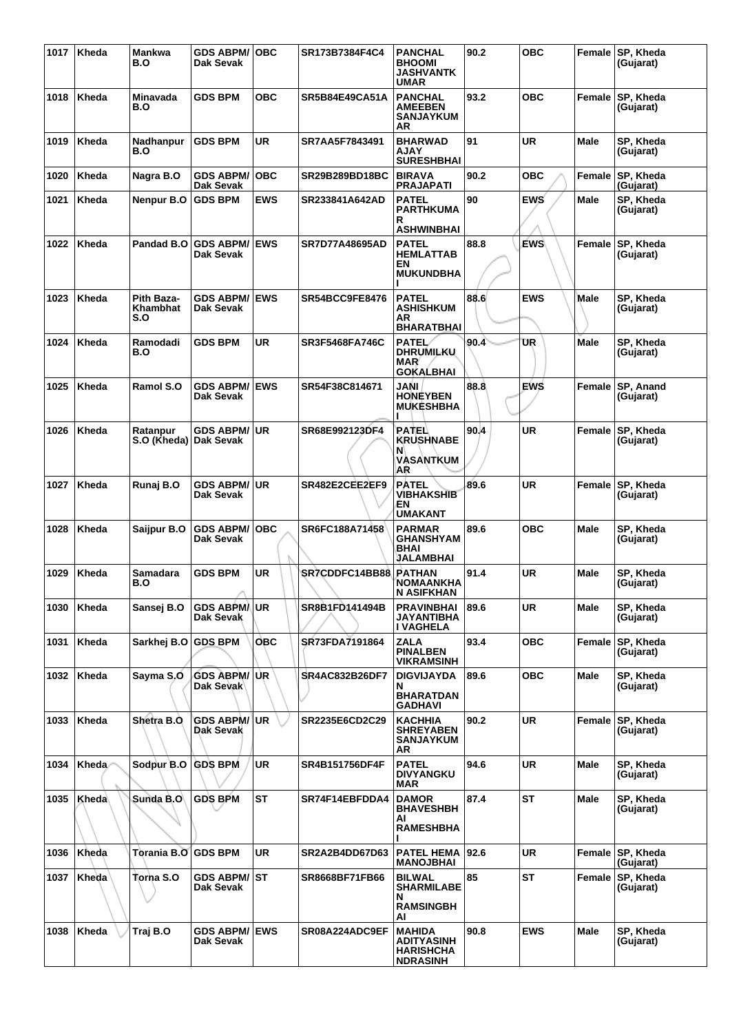| 1017 | Kheda        | Mankwa<br>B.O                     | <b>GDS ABPM/OBC</b><br>Dak Sevak  |             | SR173B7384F4C4        | <b>PANCHAL</b><br><b>BHOOMI</b><br><b>JASHVANTK</b><br><b>UMAR</b>              | 90.2  | <b>OBC</b> | Female      | SP, Kheda<br>(Gujarat)        |
|------|--------------|-----------------------------------|-----------------------------------|-------------|-----------------------|---------------------------------------------------------------------------------|-------|------------|-------------|-------------------------------|
| 1018 | Kheda        | Minavada<br>B.O                   | <b>GDS BPM</b>                    | <b>OBC</b>  | SR5B84E49CA51A        | <b>PANCHAL</b><br><b>AMEEBEN</b><br><b>SANJAYKUM</b><br>AR                      | 93.2  | <b>OBC</b> | Female      | SP, Kheda<br>(Gujarat)        |
| 1019 | Kheda        | Nadhanpur<br>B.O                  | <b>GDS BPM</b>                    | <b>UR</b>   | SR7AA5F7843491        | <b>BHARWAD</b><br><b>AJAY</b><br><b>SURESHBHAI</b>                              | 91    | UR         | <b>Male</b> | SP, Kheda<br>(Gujarat)        |
| 1020 | Kheda        | Nagra B.O                         | <b>GDS ABPM/</b><br>Dak Sevak     | ∣OBC        | SR29B289BD18BC        | <b>BIRAVA</b><br><b>PRAJAPATI</b>                                               | 90.2  | <b>OBC</b> | Female      | <b>SP, Kheda</b><br>(Gujarat) |
| 1021 | Kheda        | Nenpur B.O                        | <b>GDS BPM</b>                    | <b>EWS</b>  | SR233841A642AD        | <b>PATEL</b><br><b>PARTHKUMA</b><br>R<br><b>ASHWINBHAI</b>                      | 90    | <b>EWS</b> | Male        | SP, Kheda<br>(Gujarat)        |
| 1022 | Kheda        | Pandad B.O                        | <b>GDS ABPM/ EWS</b><br>Dak Sevak |             | <b>SR7D77A48695AD</b> | <b>PATEL</b><br><b>HEMLATTAB</b><br>EN<br><b>MUKUNDBHA</b>                      | 88.8  | <b>EWS</b> | Female      | SP, Kheda<br>(Gujarat)        |
| 1023 | Kheda        | Pith Baza-<br>Khambhat<br>S.O     | <b>GDS ABPM/ EWS</b><br>Dak Sevak |             | SR54BCC9FE8476        | <b>PATEL</b><br><b>ASHISHKUM</b><br>ΑR<br><b>BHARATBHAI</b>                     | 88.6  | <b>EWS</b> | Male        | SP, Kheda<br>(Gujarat)        |
| 1024 | Kheda        | Ramodadi<br>B.O                   | <b>GDS BPM</b>                    | <b>UR</b>   | <b>SR3F5468FA746C</b> | PATEL<br><b>DHRUMILKU</b><br><b>MAR</b><br><b>GOKALBHAI</b>                     | 90.4  | UR         | Male        | SP, Kheda<br>(Gujarat)        |
| 1025 | Kheda        | Ramol S.O                         | <b>GDS ABPM/</b><br>Dak Sevak     | <b>IEWS</b> | SR54F38C814671        | JANI<br><b>HONEYBEN</b><br><b>MUKESHBHA</b>                                     | 88.8  | EWS        | Female      | <b>SP, Anand</b><br>(Gujarat) |
| 1026 | Kheda        | Ratanpur<br>S.O (Kheda) Dak Sevak | <b>GDS ABPM/</b>                  | l UR        | SR68E992123DF4        | PATEL<br><b>KRUSHNABE</b><br>N<br><b>VASANTKUM</b><br>AR                        | 90.4  | UR         | Female      | <b>SP, Kheda</b><br>(Gujarat) |
| 1027 | Kheda        | Runaj B.O                         | GDS ABPM/∣UR<br>Dak Sevak         |             | SR482E2CEE2EF9        | <b>PATEL</b><br><b>VIBHAKSHIB</b><br>EΝ<br><b>UMAKANT</b>                       | 89.6  | <b>UR</b>  | Female      | SP, Kheda<br>(Gujarat)        |
| 1028 | Kheda        | Saijpur B.O                       | <b>GDS ABPM/ OBC</b><br>Dak Sevak |             | SR6FC188A71458        | PARMAR<br><b>GHANSHYAM</b><br>BHAI<br><b>JALAMBHAI</b>                          | 89.6  | <b>OBC</b> | Male        | SP, Kheda<br>(Gujarat)        |
| 1029 | Kheda        | Samadara<br>B.O                   | <b>GDS BPM</b>                    | UR          | SR7CDDFC14BB88        | <b>PATHAN</b><br>NOMAANKHA<br>N ASIFKHAN                                        | 91.4  | UR         | Male        | SP, Kheda<br>(Gujarat)        |
| 1030 | Kheda        | Sansej B.O                        | GDS ABPM/∖∣UR<br>Dak Sevak        |             | SR8B1FD141494B        | PRAVINBHAI<br>JAYANTIBHA<br>I VAGHELA                                           | 89.6  | UR         | Male        | SP, Kheda<br>(Gujarat)        |
| 1031 | Kheda        | Sarkhej B.O GDS BPM               |                                   | <b>OBC</b>  | SR73FDA7191864        | <b>ZALA</b><br><b>PINALBEN</b><br><b>VIKRAMSINH</b>                             | 93.4  | <b>OBC</b> | Female      | SP, Kheda<br>(Gujarat)        |
| 1032 | Kheda        | Sayma S.O                         | <b>GDS ABPM/ UR</b><br>Dak Sevak  |             | <b>SR4AC832B26DF7</b> | <b>DIGVIJAYDA</b><br>N<br><b>BHARATDAN</b><br><b>GADHAVI</b>                    | 89.6  | <b>OBC</b> | Male        | SP, Kheda<br>(Gujarat)        |
| 1033 | Kheda        | Shetra B.O                        | <b>GDS ABPM/</b><br>Dak Sevak     | lUR.        | SR2235E6CD2C29        | <b>KACHHIA</b><br><b>SHREYABEN</b><br><b>SANJAYKUM</b><br>AR                    | 90.2  | <b>UR</b>  | Female      | SP, Kheda<br>(Gujarat)        |
| 1034 | Kheda        | Sodpur B.O GDS BPM                |                                   | <b>UR</b>   | SR4B151756DF4F        | <b>PATEL</b><br><b>DIVYANGKU</b><br><b>MAR</b>                                  | 94.6  | <b>UR</b>  | Male        | SP, Kheda<br>(Gujarat)        |
| 1035 | Kheda        | Sunda B.O                         | <b>GDS BPM</b>                    | <b>ST</b>   | SR74F14EBFDDA4        | <b>DAMOR</b><br><b>BHAVESHBH</b><br>AI<br><b>RAMESHBHA</b>                      | 87.4  | <b>ST</b>  | Male        | SP, Kheda<br>(Gujarat)        |
| 1036 | Kheda        | Torania B.O GDS BPM               |                                   | <b>UR</b>   | SR2A2B4DD67D63        | <b>PATEL HEMA</b><br><b>MANOJBHAI</b>                                           | 192.6 | <b>UR</b>  | Female      | SP, Kheda<br>(Gujarat)        |
| 1037 | <b>Kheda</b> | Torna S.O                         | GDS ABPM/ST<br>Dak Sevak          |             | SR8668BF71FB66        | <b>BILWAL</b><br><b>SHARMILABE</b><br>N<br><b>RAMSINGBH</b>                     | 85    | <b>ST</b>  | Female      | SP, Kheda<br>(Gujarat)        |
| 1038 | Kheda        | Traj B.O                          | <b>GDS ABPM/ EWS</b><br>Dak Sevak |             | SR08A224ADC9EF        | AI<br><b>MAHIDA</b><br><b>ADITYASINH</b><br><b>HARISHCHA</b><br><b>NDRASINH</b> | 90.8  | <b>EWS</b> | Male        | SP, Kheda<br>(Gujarat)        |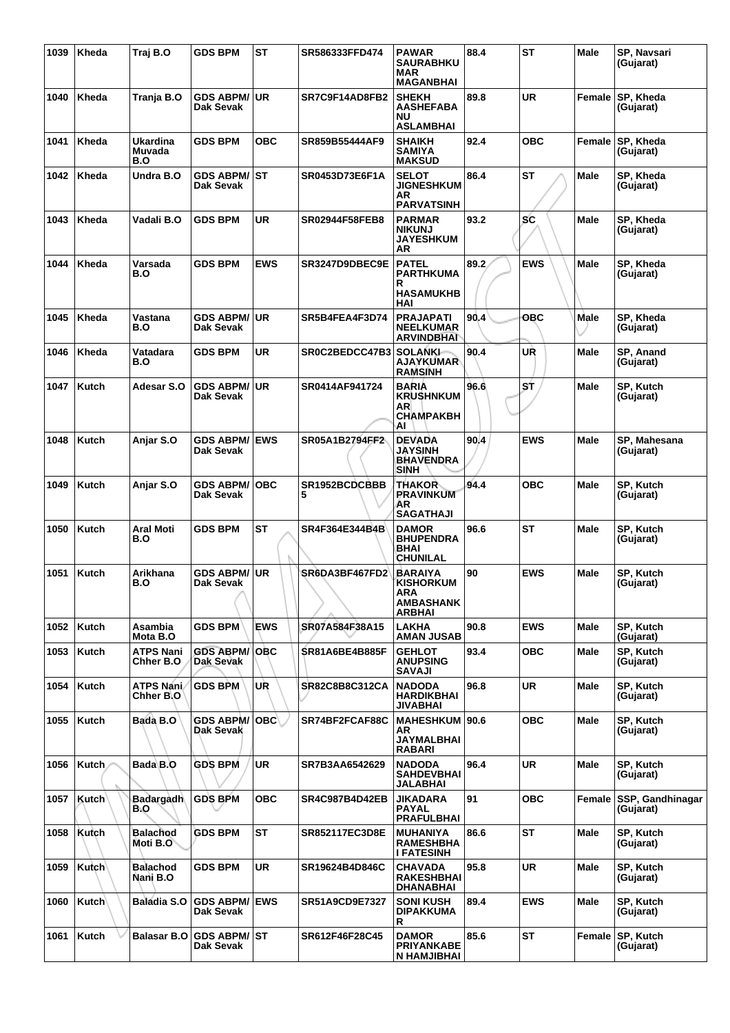| 1039 | Kheda        | Traj B.O                      | <b>GDS BPM</b>                    | <b>ST</b>  | SR586333FFD474        | <b>PAWAR</b><br><b>SAURABHKU</b><br><b>MAR</b><br><b>MAGANBHAI</b>             | 88.4 | <b>ST</b>  | Male        | SP, Navsari<br>(Gujarat)      |
|------|--------------|-------------------------------|-----------------------------------|------------|-----------------------|--------------------------------------------------------------------------------|------|------------|-------------|-------------------------------|
| 1040 | Kheda        | Tranja B.O                    | <b>GDS ABPM/ UR</b><br>Dak Sevak  |            | SR7C9F14AD8FB2        | <b>SHEKH</b><br><b>AASHEFABA</b><br><b>NU</b><br><b>ASLAMBHAI</b>              | 89.8 | <b>UR</b>  | Female      | SP, Kheda<br>(Gujarat)        |
| 1041 | Kheda        | Ukardina<br>Muvada<br>B.O     | GDS BPM                           | <b>OBC</b> | SR859B55444AF9        | <b>SHAIKH</b><br><b>SAMIYA</b><br><b>MAKSUD</b>                                | 92.4 | <b>OBC</b> | Female      | SP, Kheda<br>(Gujarat)        |
| 1042 | Kheda        | Undra B.O                     | <b>GDS ABPM/ ST</b><br>Dak Sevak  |            | SR0453D73E6F1A        | <b>SELOT</b><br><b>JIGNESHKUM</b><br>AR<br><b>PARVATSINH</b>                   | 86.4 | <b>ST</b>  | Male        | SP, Kheda<br>(Gujarat)        |
| 1043 | Kheda        | Vadali B.O                    | <b>GDS BPM</b>                    | UR         | <b>SR02944F58FEB8</b> | <b>PARMAR</b><br><b>NIKUNJ</b><br><b>JAYESHKUM</b><br>AR                       | 93.2 | SC         | Male        | SP. Kheda<br>(Gujarat)        |
| 1044 | Kheda        | Varsada<br>B.O                | <b>GDS BPM</b>                    | <b>EWS</b> | SR3247D9DBEC9E        | <b>PATEL</b><br><b>PARTHKUMA</b><br>R<br><b>HASAMUKHB</b><br>HAI               | 89.2 | <b>EWS</b> | Male        | SP, Kheda<br>(Gujarat)        |
| 1045 | Kheda        | Vastana<br>B.O                | GDS ABPM/∣UR<br>Dak Sevak         |            | SR5B4FEA4F3D74        | <b>PRAJAPATI</b><br><b>NEELKUMAR</b><br><b>ARVINDBHAI</b>                      | 90.4 | ОВС        | Male        | SP, Kheda<br>(Gujarat)        |
| 1046 | Kheda        | Vatadara<br>B.O               | <b>GDS BPM</b>                    | UR         | SR0C2BEDCC47B3        | <b>SOLANKI-</b><br>AJAYKUMAR<br><b>RAMSINH</b>                                 | 90.4 | UŔ         | Male        | SP, Anand<br>(Gujarat)        |
| 1047 | Kutch        | Adesar S.O                    | <b>GDS ABPM/</b><br>Dak Sevak     | <b>UR</b>  | SR0414AF941724        | <b>BARIA</b><br><b>KRUSHNKUM</b><br>AR<br><b>CHAMPAKBH</b><br>AI               | 96.6 | ST         | Male        | SP, Kutch<br>(Gujarat)        |
| 1048 | Kutch        | Anjar S.O                     | <b>GDS ABPM/ EWS</b><br>Dak Sevak |            | SR05A1B2794FF2        | <b>DEVADA</b><br><b>JAYSINH</b><br><b>BHAVENDRA</b><br><b>SINH</b>             | 90.4 | <b>EWS</b> | <b>Male</b> | SP, Mahesana<br>(Gujarat)     |
| 1049 | Kutch        | Anjar S.O                     | <b>GDS ABPM/</b><br>Dak Sevak     | <b>OBC</b> | SR1952BCDCBBB<br>5    | <b>THAKOR</b><br><b>PRAVINKUM</b><br>AR<br><b>SAGATHAJI</b>                    | 94.4 | <b>OBC</b> | <b>Male</b> | SP, Kutch<br>(Gujarat)        |
| 1050 | Kutch        | Aral Moti<br>B.O              | <b>GDS BPM</b>                    | ST         | SR4F364E344B4B        | <b>DAMOR</b><br><b>BHUPENDRA</b><br>BHAI<br><b>CHUNILAL</b>                    | 96.6 | <b>ST</b>  | Male        | SP, Kutch<br>(Gujarat)        |
| 1051 | Kutch        | Arikhana<br>B.O               | <b>GDS ABPM/</b><br>Dak Sevak     | UR         | SR6DA3BF467FD2        | <b>BARAIYA</b><br><b>KISHORKUM</b><br><b>ARA</b><br><b>AMBASHANK</b><br>ARBHAI | 90   | <b>EWS</b> | <b>Male</b> | SP, Kutch<br>(Gujarat)        |
| 1052 | Kutch        | Asambia<br>Mota B.O           | <b>GDS BPM</b>                    | <b>EWS</b> | SR07A584F38A15        | <b>LAKHA</b><br><b>AMAN JUSAB</b>                                              | 90.8 | <b>EWS</b> | <b>Male</b> | SP, Kutch<br>(Gujarat)        |
| 1053 | Kutch        | <b>ATPS Nani</b><br>Chher B.O | <b>GDS ABPM/</b><br>Dak Sevak     | ∣OBC       | <b>SR81A6BE4B885F</b> | <b>GEHLOT</b><br><b>ANUPSING</b><br><b>SAVAJI</b>                              | 93.4 | <b>OBC</b> | Male        | SP. Kutch<br>(Gujarat)        |
| 1054 | Kutch        | ATPS Nani<br>Chher B.O.       | <b>GDS BPM</b>                    | UŘ         | SR82C8B8C312CA        | <b>NADODA</b><br><b>HARDIKBHAI</b><br><b>JIVABHAI</b>                          | 96.8 | <b>UR</b>  | <b>Male</b> | SP. Kutch<br>(Gujarat)        |
| 1055 | Kutch        | Bada B.O                      | <b>GDS ABPM/</b><br>Dak Sevak     | ∣OBC∖.     | SR74BF2FCAF88C        | <b>MAHESHKUM</b><br>AR.<br><b>JAYMALBHAI</b><br><b>RABARI</b>                  | 90.6 | <b>OBC</b> | <b>Male</b> | SP, Kutch<br>(Gujarat)        |
| 1056 | Kutch        | Bada B.O                      | <b>GDS BPM</b>                    | <b>UR</b>  | SR7B3AA6542629        | <b>NADODA</b><br><b>SAHDEVBHAI</b><br><b>JALABHAI</b>                          | 96.4 | <b>UR</b>  | Male        | SP, Kutch<br>(Gujarat)        |
| 1057 | <b>Kutch</b> | Badargadh<br>B.O              | <b>GDS BPM</b>                    | ОВС        | SR4C987B4D42EB        | JIKADARA<br><b>PAYAL</b><br><b>PRAFULBHAI</b>                                  | 91   | <b>OBC</b> | Female      | SSP, Gandhinagar<br>(Gujarat) |
| 1058 | Kutch        | Balachod<br>Moti B.O          | <b>GDS BPM</b>                    | <b>ST</b>  | <b>SR852117EC3D8E</b> | <b>MUHANIYA</b><br><b>RAMESHBHA</b><br>I FATESINH                              | 86.6 | <b>ST</b>  | <b>Male</b> | SP, Kutch<br>(Gujarat)        |
| 1059 | ∣Kutch∖      | <b>Balachod</b><br>Nani B.O   | <b>GDS BPM</b>                    | UR         | SR19624B4D846C        | <b>CHAVADA</b><br><b>RAKESHBHAI</b><br><b>DHANABHAI</b>                        | 95.8 | <b>UR</b>  | Male        | SP, Kutch<br>(Gujarat)        |
| 1060 | <b>Kutch</b> | Baladia S.O                   | <b>GDS ABPM/ EWS</b><br>Dak Sevak |            | <b>SR51A9CD9E7327</b> | <b>SONI KUSH</b><br><b>DIPAKKUMA</b><br>R                                      | 89.4 | <b>EWS</b> | Male        | SP, Kutch<br>(Gujarat)        |
| 1061 | Kutch        | Balasar B.O                   | GDS ABPM/ST<br>Dak Sevak          |            | SR612F46F28C45        | <b>DAMOR</b><br><b>PRIYANKABE</b><br>N HAMJIBHAI                               | 85.6 | <b>ST</b>  | Female      | SP, Kutch<br>(Gujarat)        |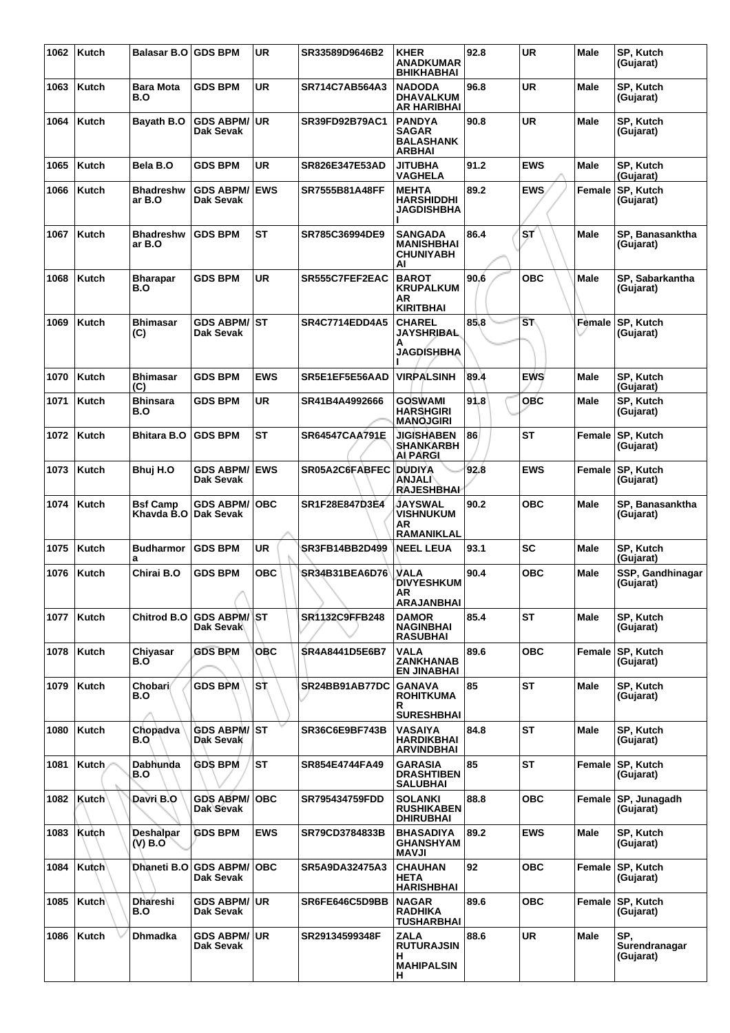| 1062 | Kutch        | <b>Balasar B.O</b>         | <b>GDS BPM</b>                    | <b>UR</b>  | SR33589D9646B2        | <b>KHER</b><br><b>ANADKUMAR</b><br><b>BHIKHABHAI</b>                          | 92.8 | <b>UR</b>              | Male        | SP, Kutch<br>(Gujarat)            |
|------|--------------|----------------------------|-----------------------------------|------------|-----------------------|-------------------------------------------------------------------------------|------|------------------------|-------------|-----------------------------------|
| 1063 | Kutch        | <b>Bara Mota</b><br>B.O    | <b>GDS BPM</b>                    | <b>UR</b>  | SR714C7AB564A3        | <b>NADODA</b><br><b>DHAVALKUM</b><br><b>AR HARIBHAI</b>                       | 96.8 | <b>UR</b>              | <b>Male</b> | SP, Kutch<br>(Gujarat)            |
| 1064 | Kutch        | Bayath B.O                 | <b>GDS ABPM/ UR</b><br>Dak Sevak  |            | <b>SR39FD92B79AC1</b> | <b>PANDYA</b><br><b>SAGAR</b><br><b>BALASHANK</b><br><b>ARBHAI</b>            | 90.8 | <b>UR</b>              | Male        | SP, Kutch<br>(Gujarat)            |
| 1065 | Kutch        | Bela B.O                   | <b>GDS BPM</b>                    | <b>UR</b>  | SR826E347E53AD        | JITUBHA<br><b>VAGHELA</b>                                                     | 91.2 | <b>EWS</b>             | Male        | SP, Kutch<br>(Gujarat)            |
| 1066 | Kutch        | <b>Bhadreshw</b><br>ar B.O | <b>GDS ABPM/</b><br>Dak Sevak     | <b>EWS</b> | SR7555B81A48FF        | <b>MEHTA</b><br><b>HARSHIDDHI</b><br>JAGDISHBHA                               | 89.2 | <b>EWS</b>             | Female      | SP, Kutch<br>(Gujarat)            |
| 1067 | Kutch        | <b>Bhadreshw</b><br>ar B.O | <b>GDS BPM</b>                    | <b>ST</b>  | SR785C36994DE9        | <b>SANGADA</b><br><b>MANISHBHAI</b><br><b>CHUNIYABH</b><br>Al                 | 86.4 | ST.                    | Male        | SP, Banasanktha<br>(Gujarat)      |
| 1068 | Kutch        | <b>Bharapar</b><br>B.O     | <b>GDS BPM</b>                    | UR         | SR555C7FEF2EAC        | <b>BAROT</b><br><b>KRUPALKUM</b><br>AR<br><b>KIRITBHAI</b>                    | 90.6 | <b>OBC</b>             | Male        | SP, Sabarkantha<br>(Gujarat)      |
| 1069 | Kutch        | <b>Bhimasar</b><br>(C)     | <b>GDS ABPM/ ST</b><br>Dak Sevak  |            | <b>SR4C7714EDD4A5</b> | <b>CHAREL</b><br><b>JAYSHRIBAL</b><br>А<br><b>JAGDISHBHA</b>                  | 85.8 | $\overline{\text{ST}}$ | Female      | SP, Kutch<br>(Gujarat)            |
| 1070 | Kutch        | <b>Bhimasar</b><br>(C)     | <b>GDS BPM</b>                    | <b>EWS</b> | SR5E1EF5E56AAD        | <b>VIRPALSINH</b>                                                             | 89.4 | <b>EWS</b>             | <b>Male</b> | SP, Kutch<br>(Gujarat)            |
| 1071 | Kutch        | <b>Bhinsara</b><br>B.O     | <b>GDS BPM</b>                    | <b>UR</b>  | SR41B4A4992666        | <b>GOSWAMI</b><br><b>HARSHGIRI</b><br><b>MANOJGIRI</b>                        | 91.8 | <b>OBC</b>             | Male        | SP, Kutch<br>(Gujarat)            |
| 1072 | Kutch        | <b>Bhitara B.O</b>         | <b>GDS BPM</b>                    | <b>ST</b>  | <b>SR64547CAA791E</b> | <b>JIGISHABEN</b><br><b>SHANKARBH</b><br><b>AI PARGI</b>                      | 86   | <b>ST</b>              | Female      | SP, Kutch<br>(Gujarat)            |
| 1073 | Kutch        | Bhuj H.O                   | <b>GDS ABPM/ EWS</b><br>Dak Sevak |            | SR05A2C6FABFEC        | <b>DUDIYA</b><br><b>ANJALI</b><br><b>RAJESHBHAI</b>                           | 92.8 | <b>EWS</b>             | Female      | SP, Kutch<br>(Gujarat)            |
| 1074 | Kutch        | Bsf Camp<br>Khavda B.O     | <b>GDS ABPM/</b><br>Dak Sevak     | <b>OBC</b> | SR1F28E847D3E4        | <b>JAYSWAL</b><br><b>VISHNUKUM</b><br>AR<br><b>RAMANIKLAL</b>                 | 90.2 | <b>OBC</b>             | Male        | SP, Banasanktha<br>(Gujarat)      |
| 1075 | <b>Kutch</b> | <b>Budharmor</b><br>a      | <b>GDS BPM</b>                    | UR         | SR3FB14BB2D499        | NEEL LEUA                                                                     | 93.1 | SC                     | <b>Male</b> | SP, Kutch<br>(Gujarat)            |
| 1076 | Kutch        | Chirai B.O                 | <b>GDS BPM</b>                    | <b>OBC</b> | SR34B31BEA6D76        | <b>VALA</b><br><b>DIVYESHKUM</b><br>AR<br><b>ARAJANBHAI</b>                   | 90.4 | ОВС                    | Male        | SSP, Gandhinagar<br>(Gujarat)     |
| 1077 | Kutch        | <b>Chitrod B.O</b>         | <b>GDS ABPM/ST</b><br>Dak Sevak   |            | SR1132C9FFB248        | <b>DAMOR</b><br><b>NAGINBHAI</b><br><b>RASUBHAI</b>                           | 85.4 | ST                     | <b>Male</b> | SP, Kutch<br>(Gujarat)            |
| 1078 | Kutch        | Chiyasar<br>B.O            | <b>GDS BPM</b>                    | OBC        | SR4A8441D5E6B7        | <b>VALA</b><br><b>ZANKHANAB</b><br><b>EN JINABHAI</b>                         | 89.6 | <b>OBC</b>             | Female      | <b>SP, Kutch</b><br>(Gujarat)     |
| 1079 | Kutch        | Chobari/<br>B.O            | <b>GDS BPM</b>                    | ۱s         | SR24BB91AB77DC        | <b>GANAVA</b><br><b>ROHITKUMA</b><br>R                                        | 85   | <b>ST</b>              | <b>Male</b> | SP, Kutch<br>(Gujarat)            |
| 1080 | Kutch        | Chopadva<br>B.O.           | <b>GDS ABPM/ ST</b><br>Dak Sevak  |            | SR36C6E9BF743B        | <b>SURESHBHAI</b><br><b>VASAIYA</b><br><b>HARDIKBHAI</b><br><b>ARVINDBHAI</b> | 84.8 | ST                     | <b>Male</b> | SP, Kutch<br>(Gujarat)            |
| 1081 | Kutch        | Dabhunda<br>B.O            | <b>GDS BPM</b>                    | <b>ST</b>  | SR854E4744FA49        | <b>GARASIA</b><br><b>DRASHTIBEN</b><br><b>SALUBHAI</b>                        | 85   | ST                     | Female      | SP, Kutch<br>(Gujarat)            |
| 1082 | <b>Kutch</b> | Davri B.O                  | <b>GDS ABPM/</b><br>Dak Sevak     | ∣OBC       | <b>SR795434759FDD</b> | SOLANKI<br><b>RUSHIKABEN</b><br><b>DHIRUBHAI</b>                              | 88.8 | <b>OBC</b>             | Female      | SP, Junagadh<br>(Gujarat)         |
| 1083 | Kutch        | Deshalpar<br>$(V)$ B.O     | <b>GDS BPM</b>                    | <b>EWS</b> | SR79CD3784833B        | <b>BHASADIYA</b><br><b>GHANSHYAM</b><br>MAVJI                                 | 89.2 | <b>EWS</b>             | <b>Male</b> | SP, Kutch<br>(Gujarat)            |
| 1084 | Kutch        | Dhaneti B.O                | <b>GDS ABPM/</b><br>Dak Sevak     | ∣OBC       | SR5A9DA32475A3        | <b>CHAUHAN</b><br><b>HETA</b><br><b>HARISHBHAI</b>                            | 92   | <b>OBC</b>             | Female      | <b>SP, Kutch</b><br>(Gujarat)     |
| 1085 | <b>Kutch</b> | Dhareshi<br>B.O            | GDS ABPM/∣UR<br>Dak Sevak         |            | SR6FE646C5D9BB        | <b>NAGAR</b><br><b>RADHIKA</b><br><b>TUSHARBHAI</b>                           | 89.6 | <b>OBC</b>             |             | Female SP, Kutch<br>(Gujarat)     |
| 1086 | Kutch        | Dhmadka                    | <b>GDS ABPM/ UR</b><br>Dak Sevak  |            | SR29134599348F        | <b>ZALA</b><br><b>RUTURAJSIN</b><br>н<br><b>MAHIPALSIN</b><br>н               | 88.6 | UR.                    | <b>Male</b> | SP.<br>Surendranagar<br>(Gujarat) |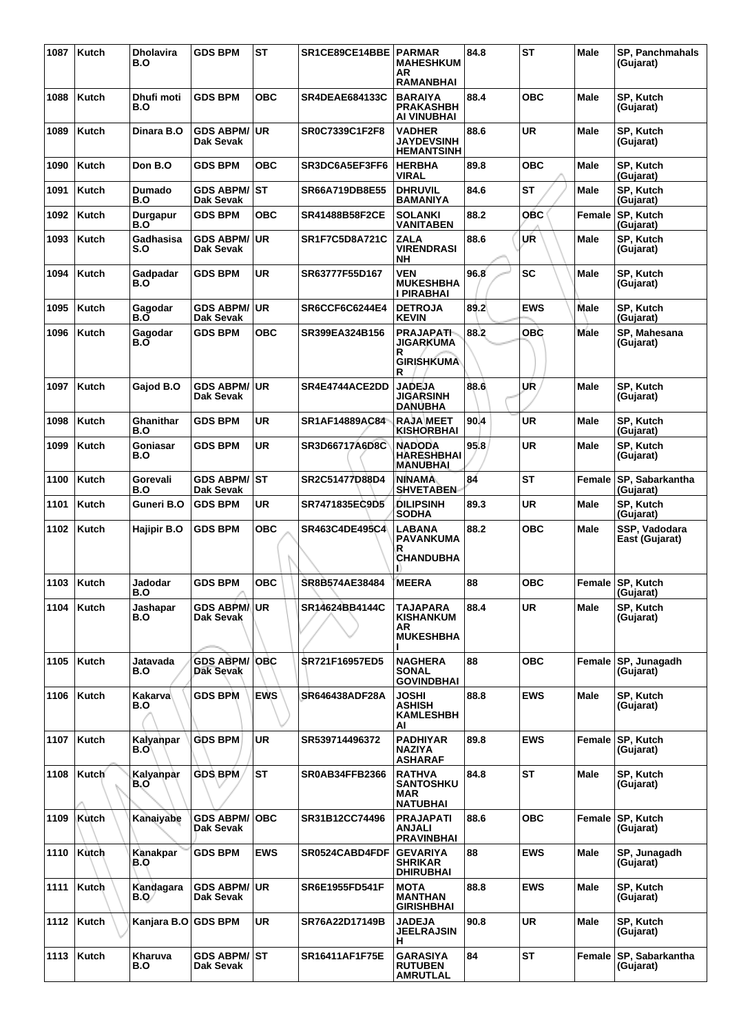| 1087 | Kutch | Dholavira<br>B.O     | <b>GDS BPM</b>                   | <b>ST</b>  | SR1CE89CE14BBE        | <b>PARMAR</b><br><b>MAHESHKUM</b><br>AR.<br><b>RAMANBHAI</b>       | 84.8 | <b>ST</b>  | Male        | <b>SP, Panchmahals</b><br>(Gujarat) |
|------|-------|----------------------|----------------------------------|------------|-----------------------|--------------------------------------------------------------------|------|------------|-------------|-------------------------------------|
| 1088 | Kutch | Dhufi moti<br>B.O    | <b>GDS BPM</b>                   | <b>OBC</b> | <b>SR4DEAE684133C</b> | <b>BARAIYA</b><br><b>PRAKASHBH</b><br>AI VINUBHAI                  | 88.4 | <b>OBC</b> | <b>Male</b> | SP, Kutch<br>(Gujarat)              |
| 1089 | Kutch | Dinara B.O           | <b>GDS ABPM/ UR</b><br>Dak Sevak |            | <b>SR0C7339C1F2F8</b> | <b>VADHER</b><br><b>JAYDEVSINH</b><br><b>HEMANTSINH</b>            | 88.6 | <b>UR</b>  | Male        | SP, Kutch<br>(Gujarat)              |
| 1090 | Kutch | Don B.O              | <b>GDS BPM</b>                   | овс        | SR3DC6A5EF3FF6        | <b>HERBHA</b><br><b>VIRAL</b>                                      | 89.8 | <b>OBC</b> | Male        | SP, Kutch<br>(Gujarat)              |
| 1091 | Kutch | <b>Dumado</b><br>B.O | GDS ABPM/⊺ST<br><b>Dak Sevak</b> |            | <b>SR66A719DB8E55</b> | <b>DHRUVIL</b><br><b>BAMANIYA</b>                                  | 84.6 | ST         | Male        | SP. Kutch<br>(Gujarat)              |
| 1092 | Kutch | Durgapur<br>B.O      | <b>GDS BPM</b>                   | <b>OBC</b> | SR41488B58F2CE        | <b>SOLANKI</b><br><b>VANITABEN</b>                                 | 88.2 | <b>OBC</b> | Female      | SP, Kutch<br>(Gujarat)              |
| 1093 | Kutch | Gadhasisa<br>S.O     | <b>GDS ABPM/</b><br>Dak Sevak    | ∣UR        | <b>SR1F7C5D8A721C</b> | <b>ZALA</b><br><b>VIRENDRASI</b><br>NΗ                             | 88.6 | UR         | Male        | SP, Kutch<br>(Gujarat)              |
| 1094 | Kutch | Gadpadar<br>B.O      | <b>GDS BPM</b>                   | <b>UR</b>  | SR63777F55D167        | <b>VEN</b><br><b>MUKESHBHA</b><br><b>I PIRABHAI</b>                | 96.8 | <b>SC</b>  | <b>Male</b> | SP, Kutch<br>(Gujarat)              |
| 1095 | Kutch | Gagodar<br>B.O       | <b>GDS ABPM/ UR</b><br>Dak Sevak |            | SR6CCF6C6244E4        | <b>DETROJA</b><br><b>KEVIN</b>                                     | 89.2 | <b>EWS</b> | Male        | SP, Kutch<br>(Gujarat)              |
| 1096 | Kutch | Gagodar<br>B.O       | <b>GDS BPM</b>                   | <b>OBC</b> | SR399EA324B156        | <b>PRAJAPATI-</b><br>JIGARKUMA<br>R<br><b>GIRISHKUMA</b><br>R      | 88.2 | OBC        | Male        | SP, Mahesana<br>(Gujarat)           |
| 1097 | Kutch | Gajod B.O            | <b>GDS ABPM/ UR</b><br>Dak Sevak |            | SR4E4744ACE2DD        | <b>JADEJA</b><br>JIGARSINH<br><b>DANUBHA</b>                       | 88.6 | UR         | Male        | SP. Kutch<br>(Gujarat)              |
| 1098 | Kutch | Ghanithar<br>B.O     | <b>GDS BPM</b>                   | <b>UR</b>  | SR1AF14889AC84        | <b>RAJA MEET</b><br><b>KISHORBHAI</b>                              | 90.4 | <b>UR</b>  | <b>Male</b> | SP, Kutch<br>(Gujarat)              |
| 1099 | Kutch | Goniasar<br>B.O      | <b>GDS BPM</b>                   | UR         | SR3D66717A6D8C        | <b>NADODA</b><br>HARESHBHAI<br><b>MANUBHAI</b>                     | 95.8 | <b>UR</b>  | Male        | SP, Kutch<br>(Gujarat)              |
| 1100 | Kutch | Gorevali<br>B.O      | <b>GDS ABPM/ST</b><br>Dak Sevak  |            | SR2C51477D88D4        | NINAMA<br><b>SHVETABEN</b>                                         | 84   | <b>ST</b>  | Female      | SP, Sabarkantha<br>(Gujarat)        |
| 1101 | Kutch | Guneri B.O           | <b>GDS BPM</b>                   | UR         | SR7471835EC9D5        | DILIPSINH<br><b>SODHA</b>                                          | 89.3 | <b>UR</b>  | Male        | SP, Kutch<br>(Gujarat)              |
| 1102 | Kutch | Hajipir B.O          | <b>GDS BPM</b>                   | <b>OBC</b> | SR463C4DE495C4        | <b>LABANA</b><br><b>PAVANKUMA</b><br>R<br><b>CHANDUBHA</b>         | 88.2 | <b>OBC</b> | Male        | SSP, Vadodara<br>East (Gujarat)     |
| 1103 | Kutch | Jadodar<br>B.O       | <b>GDS BPM</b>                   | <b>OBC</b> | SR8B574AE38484        | <b>MEERA</b>                                                       | 88   | <b>OBC</b> |             | Female SP, Kutch<br>(Gujarat)       |
| 1104 | Kutch | Jashapar<br>B.O      | <b>GDS ABPM/UR</b><br>Dak Sevak  |            | SR14624BB4144C        | TAJAPARA<br><b>KISHANKUM</b><br>AR<br><b>MUKESHBHA</b>             | 88.4 | <b>UR</b>  | Male        | SP. Kutch<br>(Gujarat)              |
| 1105 | Kutch | Jatavada<br>B.O      | <b>GDS ABPM/OBC</b><br>Dak Sevak |            | <b>SR721F16957ED5</b> | <b>NAGHERA</b><br><b>SONAL</b><br><b>GOVINDBHAI</b>                | 88   | <b>OBC</b> |             | Female SP, Junagadh<br>(Gujarat)    |
| 1106 | Kutch | Kakarva<br>B.O       | <b>GDS BPM</b>                   | <b>EWS</b> | SR646438ADF28A        | <b>JOSHI</b><br><b>ASHISH</b><br><b>KAMLESHBH</b><br>AI            | 88.8 | <b>EWS</b> | Male        | SP, Kutch<br>(Gujarat)              |
| 1107 | Kutch | Kalyanpar<br>B.O\    | <b>GDS BPM</b>                   | <b>UR</b>  | SR539714496372        | <b>PADHIYAR</b><br><b>NAZIYA</b><br><b>ASHARAF</b>                 | 89.8 | <b>EWS</b> |             | Female SP, Kutch<br>(Gujarat)       |
| 1108 | Kutch | Kalyanpar<br>B.O     | <b>GDS BPM</b>                   | <b>ST</b>  | <b>SR0AB34FFB2366</b> | <b>RATHVA</b><br><b>SANTOSHKU</b><br><b>MAR</b><br><b>NATUBHAI</b> | 84.8 | <b>ST</b>  | Male        | SP, Kutch<br>(Gujarat)              |
| 1109 | Kutch | Kanaiyabe            | <b>GDS ABPM/OBC</b><br>Dak Sevak |            | SR31B12CC74496        | <b>PRAJAPATI</b><br><b>ANJALI</b><br><b>PRAVINBHAI</b>             | 88.6 | <b>OBC</b> |             | Female SP, Kutch<br>(Gujarat)       |
| 1110 | Kutch | Kanakpar<br>B.O      | <b>GDS BPM</b>                   | <b>EWS</b> | SR0524CABD4FDF        | <b>GEVARIYA</b><br><b>SHRIKAR</b><br><b>DHIRUBHAI</b>              | 88   | <b>EWS</b> | Male        | SP, Junagadh<br>(Gujarat)           |
| 1111 | Kutch | Kandagara<br>B.O⁄    | <b>GDS ABPM/ UR</b><br>Dak Sevak |            | SR6E1955FD541F        | <b>MOTA</b><br><b>MANTHAN</b><br><b>GIRISHBHAI</b>                 | 88.8 | <b>EWS</b> | <b>Male</b> | SP, Kutch<br>(Gujarat)              |
| 1112 | Kutch | Kanjara B.O          | <b>GDS BPM</b>                   | UR         | SR76A22D17149B        | <b>JADEJA</b><br><b>JEELRAJSIN</b><br>Н,                           | 90.8 | <b>UR</b>  | Male        | SP, Kutch<br>(Gujarat)              |
| 1113 | Kutch | Kharuva<br>B.O       | <b>GDS ABPM/ ST</b><br>Dak Sevak |            | SR16411AF1F75E        | <b>GARASIYA</b><br><b>RUTUBEN</b><br><b>AMRUTLAL</b>               | 84   | <b>ST</b>  | Female      | SP, Sabarkantha<br>(Gujarat)        |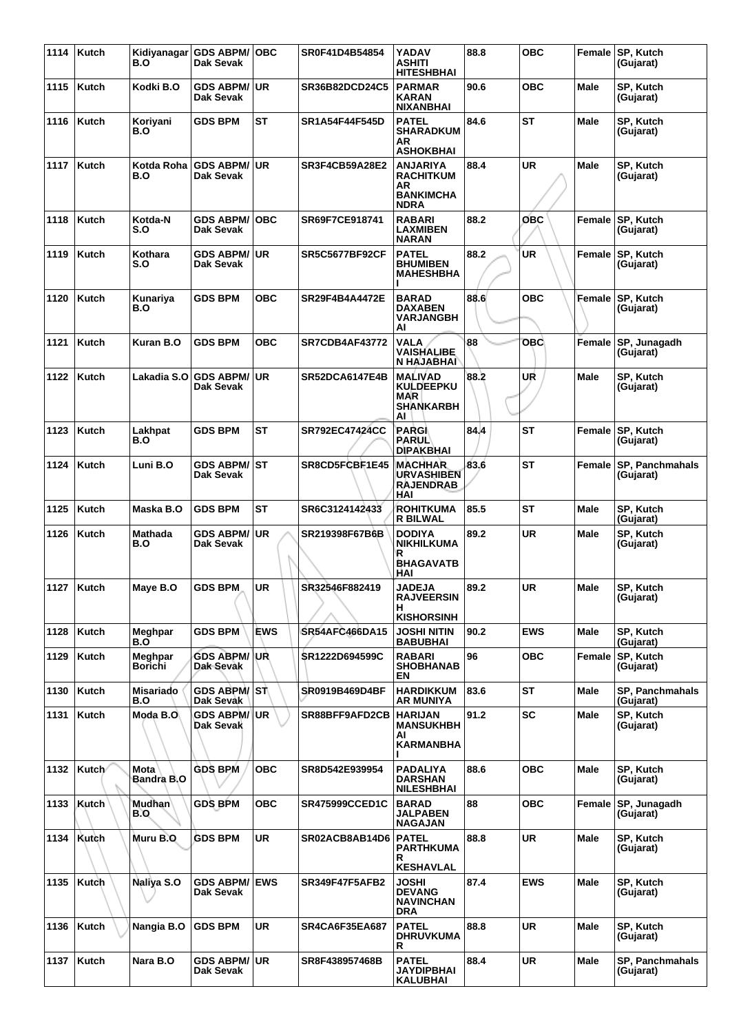| 1114 | <b>Kutch</b> | Kidiyanagar<br>B.O          | <b>GDS ABPM/ OBC</b><br>Dak Sevak      |            | SR0F41D4B54854        | YADAV<br><b>ASHITI</b><br><b>HITESHBHAI</b>                                  | 88.8 | <b>OBC</b> |             | Female SP, Kutch<br>(Gujarat)       |
|------|--------------|-----------------------------|----------------------------------------|------------|-----------------------|------------------------------------------------------------------------------|------|------------|-------------|-------------------------------------|
| 1115 | Kutch        | Kodki B.O                   | <b>GDS ABPM/</b><br>Dak Sevak          | <b>UR</b>  | SR36B82DCD24C5        | <b>PARMAR</b><br><b>KARAN</b><br><b>NIXANBHAI</b>                            | 90.6 | <b>OBC</b> | Male        | SP, Kutch<br>(Gujarat)              |
| 1116 | Kutch        | Koriyani<br>B.O             | <b>GDS BPM</b>                         | ST         | SR1A54F44F545D        | <b>PATEL</b><br><b>SHARADKUM</b><br>AR<br><b>ASHOKBHAI</b>                   | 84.6 | ST         | Male        | SP, Kutch<br>(Gujarat)              |
| 1117 | Kutch        | Kotda Roha<br>B.O           | <b>GDS ABPM/</b><br>Dak Sevak          | ∣UR        | <b>SR3F4CB59A28E2</b> | <b>ANJARIYA</b><br><b>RACHITKUM</b><br>AR<br><b>BANKIMCHA</b><br><b>NDRA</b> | 88.4 | <b>UR</b>  | Male        | SP, Kutch<br>(Gujarat)              |
| 1118 | <b>Kutch</b> | Kotda-N<br>S.O              | <b>GDS ABPM/ OBC</b><br>Dak Sevak      |            | SR69F7CE918741        | <b>RABARI</b><br><b>LAXMIBEN</b><br><b>NARAN</b>                             | 88.2 | OBC        | Female      | SP, Kutch<br>(Gujarat)              |
| 1119 | Kutch        | Kothara<br>S.O              | <b>GDS ABPM/</b><br>Dak Sevak          | <b>UR</b>  | <b>SR5C5677BF92CF</b> | <b>PATEL</b><br><b>BHUMIBEN</b><br><b>MAHESHBHA</b>                          | 88.2 | <b>UR</b>  | Female      | SP, Kutch<br>(Gujarat)              |
| 1120 | Kutch        | Kunariya<br>B.O             | <b>GDS BPM</b>                         | <b>OBC</b> | SR29F4B4A4472E        | BARAD<br>DAXABEN<br><b>VARJANGBH</b><br>Al                                   | 88.6 | <b>OBC</b> | Female      | <b>SP, Kutch</b><br>(Gujarat)       |
| 1121 | Kutch        | Kuran B.O                   | <b>GDS BPM</b>                         | <b>OBC</b> | <b>SR7CDB4AF43772</b> | <b>VALA</b><br>VAISHALIBE<br>N HAJABHAI                                      | 88   | <b>OBC</b> | Female      | SP, Junagadh<br>(Gujarat)           |
| 1122 | Kutch        | Lakadia S.O                 | <b>GDS ABPM/UR</b><br>Dak Sevak        |            | <b>SR52DCA6147E4B</b> | <b>MALIVAD</b><br><b>KULDEEPKU</b><br><b>MAR</b><br><b>SHANKARBH</b><br>AI   | 88.2 | UR         | <b>Male</b> | SP, Kutch<br>(Gujarat)              |
| 1123 | Kutch        | Lakhpat<br>B.O              | <b>GDS BPM</b>                         | ST         | <b>SR792EC47424CC</b> | PARGI<br><b>PARUL</b><br><b>DIPAKBHAI</b>                                    | 84.4 | ST         | Female      | SP, Kutch<br>(Gujarat)              |
| 1124 | Kutch        | Luni B.O                    | <b>GDS ABPM/ ST</b><br>Dak Sevak       |            | <b>SR8CD5FCBF1E45</b> | <b>MACHHAR</b><br><b>URVASHIBEN</b><br><b>RAJENDRAB</b><br>HAI               | 83.6 | ST         | Female      | <b>SP, Panchmahals</b><br>(Gujarat) |
| 1125 | <b>Kutch</b> | Maska B.O                   | <b>GDS BPM</b>                         | <b>ST</b>  | SR6C3124142433        | <b>ROHITKUMA</b><br><b>R BILWAL</b>                                          | 85.5 | <b>ST</b>  | <b>Male</b> | SP, Kutch<br>(Gujarat)              |
| 1126 | Kutch        | <b>Mathada</b><br>B.O       | <b>GDS ABPM/</b><br>Dak Sevak          | ∣UR        | SR219398F67B6B        | <b>DODIYA</b><br><b>NIKHILKUMA</b><br>R<br><b>BHAGAVATB</b><br>HAI           | 89.2 | <b>UR</b>  | Male        | SP, Kutch<br>(Gujarat)              |
| 1127 | Kutch        | Maye B.O                    | <b>GDS BPM</b>                         | UR         | SR32546F882419        | <b>JADEJA</b><br><b>RAJVEERSIN</b><br>H<br><b>KISHORSINH</b>                 | 89.2 | UR         | Male        | SP, Kutch<br>(Gujarat)              |
| 1128 | Kutch        | Meghpar<br>B.O              | <b>GDS BPM</b>                         | <b>EWS</b> | <b>SR54AFC466DA15</b> | JOSHI NITIN<br><b>BABUBHAI</b>                                               | 90.2 | <b>EWS</b> | <b>Male</b> | SP, Kutch<br>(Gujarat)              |
| 1129 | Kutch        | Meghpar<br>Borichi          | <b>GDS ABPM/ UR</b><br>Dak Sevak       |            | SR1222D694599C        | <b>RABARI</b><br><b>SHOBHANAB</b><br>EN                                      | 96   | <b>OBC</b> | Female      | SP, Kutch<br>(Gujarat)              |
| 1130 | Kutch        | Misariado<br>B.O            | GDS ABPM/ ST<br>Dak Sevak              |            | SR0919B469D4BF        | <b>HARDIKKUM</b><br>AR MUNIYA                                                | 83.6 | <b>ST</b>  | <b>Male</b> | SP, Panchmahals<br>(Gujarat)        |
| 1131 | Kutch        | Moda B.O                    | GDS ABPM/ <sup> </sup> UR<br>Dak Sevak |            | SR88BFF9AFD2CB        | <b>HARIJAN</b><br><b>MANSUKHBH</b><br>ΑI<br><b>KARMANBHA</b>                 | 91.2 | <b>SC</b>  | <b>Male</b> | SP. Kutch<br>(Gujarat)              |
| 1132 | Kutch/       | <b>Mota</b><br>Bandra B.O   | <b>GDS BPM</b>                         | <b>OBC</b> | SR8D542E939954        | PADALIYA<br><b>DARSHAN</b><br><b>NILESHBHAI</b>                              | 88.6 | <b>OBC</b> | <b>Male</b> | SP, Kutch<br>(Gujarat)              |
| 1133 | Kutch        | <b>Mudhan</b><br><b>B.O</b> | <b>GDS BPM</b>                         | <b>OBC</b> | <b>SR475999CCED1C</b> | <b>BARAD</b><br><b>JALPABEN</b><br><b>NAGAJAN</b>                            | 88   | <b>OBC</b> | Female      | SP, Junagadh<br>(Gujarat)           |
| 1134 | Kutch        | Muru B.O                    | <b>GDS BPM</b>                         | UR         | SR02ACB8AB14D6        | <b>PATEL</b><br>PARTHKUMA<br>R<br><b>KESHAVLAL</b>                           | 88.8 | <b>UR</b>  | <b>Male</b> | SP, Kutch<br>(Gujarat)              |
| 1135 | Kutch        | Naliya S.O                  | <b>GDS ABPM/ EWS</b><br>Dak Sevak      |            | <b>SR349F47F5AFB2</b> | JOSHI<br><b>DEVANG</b><br><b>NAVINCHAN</b><br>DRA                            | 87.4 | <b>EWS</b> | <b>Male</b> | SP, Kutch<br>(Gujarat)              |
| 1136 | Kutch        | Nangia B.O                  | <b>GDS BPM</b>                         | UR         | <b>SR4CA6F35EA687</b> | <b>PATEL</b><br><b>DHRUVKUMA</b><br>R                                        | 88.8 | <b>UR</b>  | <b>Male</b> | SP, Kutch<br>(Gujarat)              |
| 1137 | Kutch        | Nara B.O                    | <b>GDS ABPM/ UR</b><br>Dak Sevak       |            | SR8F438957468B        | <b>PATEL</b><br>JAYDIPBHAI<br><b>KALUBHAI</b>                                | 88.4 | <b>UR</b>  | <b>Male</b> | SP, Panchmahals<br>(Gujarat)        |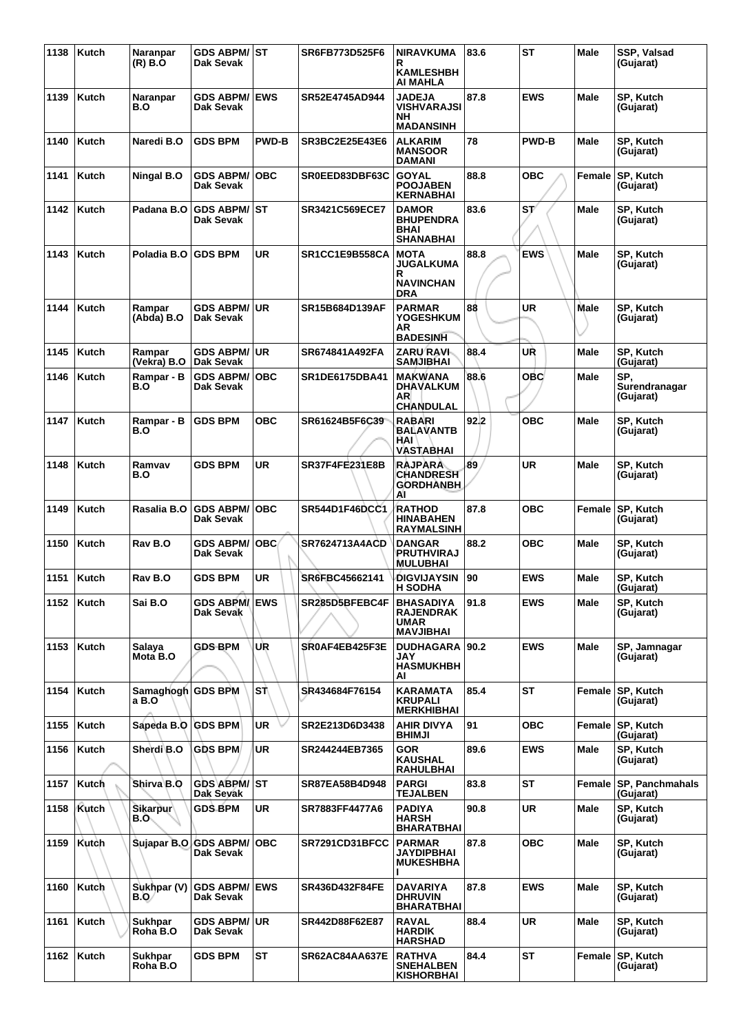| 1138 | Kutch        | Naranpar<br>$(R)$ $B.0$     | GDS ABPM/ST<br>Dak Sevak               |              | SR6FB773D525F6        | <b>NIRAVKUMA</b><br>R<br><b>KAMLESHBH</b><br>AI MAHLA                     | 83.6 | <b>ST</b>    | Male          | SSP, Valsad<br>(Gujarat)          |
|------|--------------|-----------------------------|----------------------------------------|--------------|-----------------------|---------------------------------------------------------------------------|------|--------------|---------------|-----------------------------------|
| 1139 | Kutch        | Naranpar<br>B.O             | <b>GDS ABPM/</b><br>Dak Sevak          | <b>EWS</b>   | SR52E4745AD944        | <b>JADEJA</b><br><b>VISHVARAJSI</b><br>NΗ<br><b>MADANSINH</b>             | 87.8 | <b>EWS</b>   | <b>Male</b>   | SP, Kutch<br>(Gujarat)            |
| 1140 | <b>Kutch</b> | Naredi B.O                  | <b>GDS BPM</b>                         | <b>PWD-B</b> | SR3BC2E25E43E6        | <b>ALKARIM</b><br><b>MANSOOR</b><br><b>DAMANI</b>                         | 78   | <b>PWD-B</b> | <b>Male</b>   | SP, Kutch<br>(Gujarat)            |
| 1141 | Kutch        | Ningal B.O                  | <b>GDS ABPM/</b><br>Dak Sevak          | <b>OBC</b>   | SR0EED83DBF63C        | <b>GOYAL</b><br><b>POOJABEN</b><br><b>KERNABHAI</b>                       | 88.8 | <b>OBC</b>   | Female        | SP, Kutch<br>(Gujarat)            |
| 1142 | <b>Kutch</b> | Padana B.O                  | <b>GDS ABPM/ ST</b><br>Dak Sevak       |              | SR3421C569ECE7        | <b>DAMOR</b><br><b>BHUPENDRA</b><br><b>BHAI</b><br><b>SHANABHAI</b>       | 83.6 | ST/          | Male          | SP, Kutch<br>(Gujarat)            |
| 1143 | <b>Kutch</b> | Poladia B.O                 | <b>GDS BPM</b>                         | UR           | SR1CC1E9B558CA        | <b>MOTA</b><br><b>JUGALKUMA</b><br>R<br><b>NAVINCHAN</b><br><b>DRA</b>    | 88.8 | <b>EWS</b>   | Male          | SP, Kutch<br>(Gujarat)            |
| 1144 | Kutch        | Rampar<br>(Abda) B.O        | <b>GDS ABPM/ UR</b><br>Dak Sevak       |              | SR15B684D139AF        | <b>PARMAR</b><br><b>YOGESHKUM</b><br>AR<br><b>BADESINH</b>                | 88   | <b>UR</b>    | Male          | SP, Kutch<br>(Gujarat)            |
| 1145 | Kutch        | Rampar<br>(Vekra) B.O       | GDS ABPM/∣UR<br>Dak Sevak              |              | SR674841A492FA        | ZARU RAVI<br><b>SAMJIBHAI</b>                                             | 88.4 | UŘ           | Male          | SP, Kutch<br>(Gujarat)            |
| 1146 | <b>Kutch</b> | Rampar - B<br>B.O           | <b>GDS ABPM/</b><br>Dak Sevak          | ∣OBC         | SR1DE6175DBA41        | <b>MAKWANA</b><br><b>DHAVALKUM</b><br>AR                                  | 88.6 | <b>OBC</b>   | Male          | SP.<br>Surendranagar<br>(Gujarat) |
| 1147 | Kutch        | Rampar - B<br>B.O           | <b>GDS BPM</b>                         | <b>OBC</b>   | SR61624B5F6C39        | <b>CHANDULAL</b><br><b>RABARI</b><br><b>BALAVANTB</b><br>HAI<br>VASTABHAI | 92.2 | <b>OBC</b>   | <b>Male</b>   | SP, Kutch<br>(Gujarat)            |
| 1148 | <b>Kutch</b> | Ramvav<br>B.O               | <b>GDS BPM</b>                         | <b>UR</b>    | <b>SR37F4FE231E8B</b> | <b>RAJPARA</b><br><b>CHANDRESH</b><br><b>GORDHANBH</b><br>ΑI              | 89   | <b>UR</b>    | Male          | SP, Kutch<br>(Gujarat)            |
| 1149 | <b>Kutch</b> | Rasalia B.O                 | <b>GDS ABPM/</b><br>Dak Sevak          | <b>OBC</b>   | <b>SR544D1F46DCC1</b> | <b>RATHOD</b><br><b>HINABAHEN</b><br><b>RAYMALSINH</b>                    | 87.8 | <b>OBC</b>   | <b>Female</b> | <b>SP, Kutch</b><br>(Gujarat)     |
| 1150 | Kutch        | Rav B.O                     | <b>GDS ABPM/</b><br>Dak Sevak          | <b>OBC</b>   | <b>SR7624713A4ACD</b> | <b>DANGAR</b><br><b>PRUTHVIRAJ</b><br><b>MULUBHAI</b>                     | 88.2 | <b>OBC</b>   | Male          | SP, Kutch<br>(Gujarat)            |
| 1151 | Kutch        | Rav B.O                     | GDS BPM                                | UR           | SR6FBC45662141        | <b>DIGVIJAYSIN</b><br><b>H SODHA</b>                                      | 90   | <b>EWS</b>   | Male          | SP, Kutch<br>(Gujarat)            |
|      | 1152   Kutch | Sai B.O                     | <b>GDS ABPM/ EWS</b><br>Dak Sevak      |              | SR285D5BFEBC4F        | <b>BHASADIYA</b><br><b>RAJENDRAK</b><br><b>UMAR</b><br><b>MAVJIBHAI</b>   | 91.8 | <b>EWS</b>   | Male          | SP, Kutch<br>(Gujarat)            |
| 1153 | Kutch        | Salaya<br>Mota B.O          | GDS BPM                                | UR           | SR0AF4EB425F3E        | <b>DUDHAGARA   90.2</b><br>JAY<br><b>HASMUKHBH</b><br>AI                  |      | <b>EWS</b>   | Male          | SP, Jamnagar<br>(Gujarat)         |
| 1154 | Kutch        | Samaghogh GDS BPM<br>a B.O` |                                        | l Sπ∖        | SR434684F76154        | <b>KARAMATA</b><br><b>KRUPALI</b><br><b>MERKHIBHAI</b>                    | 85.4 | <b>ST</b>    | Female        | SP, Kutch<br>(Gujarat)            |
| 1155 | Kutch        | Sapeda B.O GDS BPM          |                                        | <b>UR</b>    | SR2E213D6D3438        | <b>AHIR DIVYA</b><br><b>BHIMJI</b>                                        | 91   | <b>OBC</b>   | Female        | <b>SP, Kutch</b><br>(Gujarat)     |
| 1156 | Kutch        | Sherdi B.O                  | <b>GDS BPM</b>                         | <b>UR</b>    | SR244244EB7365        | <b>GOR</b><br><b>KAUSHAL</b><br><b>RAHULBHAI</b>                          | 89.6 | <b>EWS</b>   | Male          | SP, Kutch<br>(Gujarat)            |
| 1157 | Kutch        | Shirva B.O                  | GDS ABPM/ ST<br>Dak Sevak              |              | <b>SR87EA58B4D948</b> | <b>PARGI</b><br><b>TEJALBEN</b>                                           | 83.8 | <b>ST</b>    | Female        | SP, Panchmahals<br>(Gujarat)      |
| 1158 | Kutch        | Sikarpur<br>B.O.            | <b>GDS BPM</b>                         | UR           | SR7883FF4477A6        | <b>PADIYA</b><br><b>HARSH</b><br><b>BHARATBHAI</b>                        | 90.8 | <b>UR</b>    | Male          | SP, Kutch<br>(Gujarat)            |
| 1159 | Kutch        |                             | Sujapar B.O GDS ABPM/ OBC<br>Dak Sevak |              | SR7291CD31BFCC        | <b>PARMAR</b><br>JAYDIPBHAI<br><b>MUKESHBHA</b>                           | 87.8 | <b>OBC</b>   | Male          | SP, Kutch<br>(Gujarat)            |
| 1160 | Kutch        | Sukhpar (V)<br>B.O/         | <b>GDS ABPM/ EWS</b><br>Dak Sevak      |              | <b>SR436D432F84FE</b> | <b>DAVARIYA</b><br><b>DHRUVIN</b><br><b>BHARATBHAI</b>                    | 87.8 | <b>EWS</b>   | Male          | SP, Kutch<br>(Gujarat)            |
| 1161 | Kutch        | <b>Sukhpar</b><br>Roha B.O  | <b>GDS ABPM/ UR</b><br>Dak Sevak       |              | SR442D88F62E87        | <b>RAVAL</b><br><b>HARDIK</b><br>HARSHAD                                  | 88.4 | <b>UR</b>    | Male          | SP, Kutch<br>(Gujarat)            |
| 1162 | Kutch        | Sukhpar<br>Roha B.O         | <b>GDS BPM</b>                         | <b>ST</b>    | <b>SR62AC84AA637E</b> | <b>RATHVA</b><br><b>SNEHALBEN</b><br><b>KISHORBHAI</b>                    | 84.4 | <b>ST</b>    | Female        | <b>SP, Kutch</b><br>(Gujarat)     |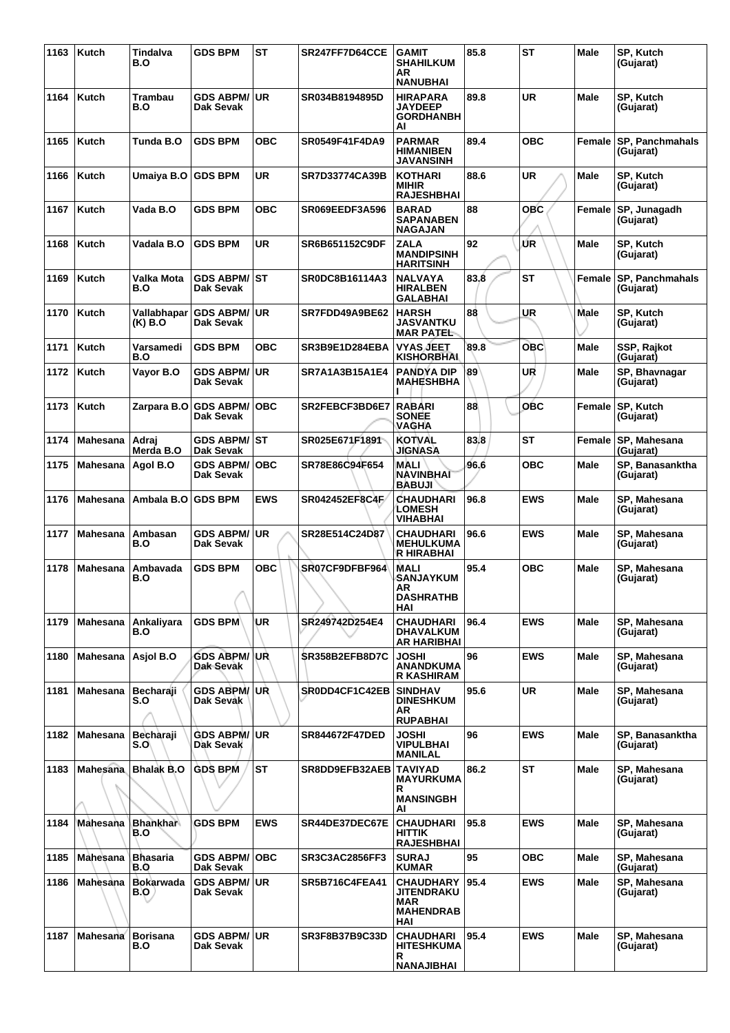| 1163 | Kutch           | Tindalva<br>B.O         | <b>GDS BPM</b>                    | <b>ST</b>  | SR247FF7D64CCE        | <b>GAMIT</b><br><b>SHAHILKUM</b><br>AR<br><b>NANUBHAI</b>                      | 85.8 | <b>ST</b>  | Male          | SP, Kutch<br>(Gujarat)              |
|------|-----------------|-------------------------|-----------------------------------|------------|-----------------------|--------------------------------------------------------------------------------|------|------------|---------------|-------------------------------------|
| 1164 | Kutch           | Trambau<br>B.O          | GDS ABPM/│UR<br>Dak Sevak         |            | SR034B8194895D        | <b>HIRAPARA</b><br><b>JAYDEEP</b><br><b>GORDHANBH</b><br>AI                    | 89.8 | <b>UR</b>  | <b>Male</b>   | SP, Kutch<br>(Gujarat)              |
| 1165 | Kutch           | Tunda B.O               | <b>GDS BPM</b>                    | <b>OBC</b> | SR0549F41F4DA9        | <b>PARMAR</b><br><b>HIMANIBEN</b><br><b>JAVANSINH</b>                          | 89.4 | <b>OBC</b> | Female        | SP, Panchmahals<br>(Gujarat)        |
| 1166 | Kutch           | Umaiya B.O              | <b>GDS BPM</b>                    | UR         | <b>SR7D33774CA39B</b> | <b>KOTHARI</b><br><b>MIHIR</b><br><b>RAJESHBHAI</b>                            | 88.6 | <b>UR</b>  | <b>Male</b>   | SP, Kutch<br>(Gujarat)              |
| 1167 | Kutch           | Vada B.O                | <b>GDS BPM</b>                    | <b>OBC</b> | SR069EEDF3A596        | <b>BARAD</b><br><b>SAPANABEN</b><br><b>NAGAJAN</b>                             | 88   | <b>OBC</b> | <b>Female</b> | SP, Junagadh<br>(Gujarat)           |
| 1168 | <b>Kutch</b>    | Vadala B.O              | <b>GDS BPM</b>                    | <b>UR</b>  | SR6B651152C9DF        | <b>ZALA</b><br><b>MANDIPSINH</b><br><b>HARITSINH</b>                           | 92   | ŰR         | Male          | SP, Kutch<br>(Gujarat)              |
| 1169 | Kutch           | Valka Mota<br>B.O       | <b>GDS ABPM/ ST</b><br>Dak Sevak  |            | SR0DC8B16114A3        | <b>NALVAYA</b><br><b>HIRALBEN</b><br><b>GALABHAI</b>                           | 83.8 | <b>ST</b>  | <b>Female</b> | <b>SP, Panchmahals</b><br>(Gujarat) |
| 1170 | Kutch           | Vallabhapar<br>(K) B.O  | <b>GDS ABPM/</b><br>Dak Sevak     | lUR.       | SR7FDD49A9BE62        | <b>HARSH</b><br><b>JASVANTKU</b><br><b>MAR PATEL</b>                           | 88   | <b>UR</b>  | <b>Male</b>   | SP, Kutch<br>(Gujarat)              |
| 1171 | Kutch           | Varsamedi<br>B.O        | <b>GDS BPM</b>                    | <b>OBC</b> | SR3B9E1D284EBA        | <b>VYAS JEET</b><br><b>KISHORBHAI</b>                                          | 89.8 | <b>OBC</b> | <b>Male</b>   | SSP, Rajkot<br>(Gujarat)            |
| 1172 | Kutch           | Vayor B.O               | <b>GDS ABPM/</b><br>Dak Sevak     | ∣UR.       | SR7A1A3B15A1E4        | <b>PANDYA DIP</b><br><b>MAHESHBHA</b>                                          | 89   | UR         | Male          | SP, Bhavnagar<br>(Gujarat)          |
| 1173 | <b>Kutch</b>    | Zarpara B.O             | <b>GDS ABPM/</b><br>Dak Sevak     | <b>OBC</b> | SR2FEBCF3BD6E7        | <b>RABARI</b><br><b>SONEE</b><br><b>VAGHA</b>                                  | 88   | <b>OBC</b> | Female        | SP, Kutch<br>(Gujarat)              |
| 1174 | <b>Mahesana</b> | Adraj<br>Merda B.O      | <b>GDS ABPM/ ST</b><br>Dak Sevak  |            | SR025E671F1891        | <b>KOTVAL</b><br><b>JIGNASA</b>                                                | 83.8 | <b>ST</b>  | Female        | SP, Mahesana<br>(Gujarat)           |
| 1175 | <b>Mahesana</b> | Agol B.O                | <b>GDS ABPM/</b><br>Dak Sevak     | <b>OBC</b> | SR78E86C94F654        | MALI<br><b>NAVINBHAT</b><br><b>BABUJI</b>                                      | 96.6 | <b>OBC</b> | <b>Male</b>   | SP, Banasanktha<br>(Gujarat)        |
| 1176 | Mahesana        | Ambala B.O              | <b>GDS BPM</b>                    | <b>EWS</b> | <b>SR042452EF8C4F</b> | CHAUDHARI<br><b>LOMESH</b><br><b>VIHABHAI</b>                                  | 96.8 | <b>EWS</b> | Male          | SP, Mahesana<br>(Gujarat)           |
| 1177 | Mahesana        | Ambasan<br>B.O          | <b>GDS ABPM/</b><br>Dak Sevak     | ∣UR        | SR28E514C24D87        | <b>CHAUDHARI</b><br><b>MEHULKUMA</b><br><b>R HIRABHAI</b>                      | 96.6 | <b>EWS</b> | Male          | SP, Mahesana<br>(Gujarat)           |
| 1178 | <b>Mahesana</b> | Ambavada<br>B.O         | <b>GDS BPM</b>                    | <b>OBC</b> | SR07CF9DFBF964        | <b>MALI</b><br>SANJAYKUM<br>AR<br><b>DASHRATHB</b><br>HAI                      | 95.4 | <b>OBC</b> | <b>Male</b>   | SP, Mahesana<br>(Gujarat)           |
| 1179 | Mahesana        | Ankaliyara<br>B.O       | <b>GDS BPM</b>                    | UR         | SR249742D254E4        | <b>CHAUDHARI</b><br><b>DHAVALKUM</b><br><b>AR HARIBHAI</b>                     | 96.4 | <b>EWS</b> | Male          | SP. Mahesana<br>(Gujarat)           |
| 1180 | Mahesana        | Asjol B.O               | <b>GDS ABPM/ UR</b><br>Dak Sevak  |            | SR358B2EFB8D7C        | <b>JOSHI</b><br><b>ANANDKUMA</b><br><b>R KASHIRAM</b>                          | 96   | <b>EWS</b> | <b>Male</b>   | SP, Mahesana<br>(Gujarat)           |
| 1181 | Mahesana        | <b>Becharaji</b><br>S.O | <b>GDS ABPM/ UR</b><br>Dak Sevak  |            | SR0DD4CF1C42EB        | <b>SINDHAV</b><br><b>DINESHKUM</b><br><b>AR</b><br><b>RUPABHAI</b>             | 95.6 | <b>UR</b>  | <b>Male</b>   | SP, Mahesana<br>(Gujarat)           |
| 1182 | Mahesana        | Becharaji<br>S.O\       | <b>GDS ABPM/ UR</b><br>Dak Sevak  |            | SR844672F47DED        | JOSHI<br><b>VIPULBHAI</b><br><b>MANILAL</b>                                    | 96   | <b>EWS</b> | Male          | SP. Banasanktha<br>(Gujarat)        |
| 1183 | Mahesana        | <b>Bhalak B.O</b>       | <b>GDS BPM</b>                    | <b>ST</b>  | SR8DD9EFB32AEB        | <b>TAVIYAD</b><br><b>MAYURKUMA</b><br>R.<br><b>MANSINGBH</b><br>AI             | 86.2 | <b>ST</b>  | Male          | SP, Mahesana<br>(Gujarat)           |
| 1184 | Mahesana        | <b>Bhankhar</b><br>B.O  | <b>GDS BPM</b>                    | <b>EWS</b> | SR44DE37DEC67E        | <b>CHAUDHARI</b><br><b>HITTIK</b><br><b>RAJESHBHAI</b>                         | 95.8 | <b>EWS</b> | Male          | SP, Mahesana<br>(Gujarat)           |
| 1185 | Mahesana        | <b>Bhasaria</b><br>B.O  | <b>GDS ABPM/ OBC</b><br>Dak Sevak |            | SR3C3AC2856FF3        | <b>SURAJ</b><br><b>KUMAR</b>                                                   | 95   | <b>OBC</b> | Male          | SP, Mahesana<br>(Gujarat)           |
| 1186 | Mahesana        | <b>Bokarwada</b><br>B.O | <b>GDS ABPM/ UR</b><br>Dak Sevak  |            | <b>SR5B716C4FEA41</b> | <b>CHAUDHARY</b><br><b>JITENDRAKU</b><br><b>MAR</b><br><b>MAHENDRAB</b><br>HAI | 95.4 | <b>EWS</b> | <b>Male</b>   | SP, Mahesana<br>(Gujarat)           |
| 1187 | Mahesana        | <b>Borisana</b><br>B.O  | <b>GDS ABPM/ UR</b><br>Dak Sevak  |            | <b>SR3F8B37B9C33D</b> | <b>CHAUDHARI</b><br><b>HITESHKUMA</b><br>R<br><b>NANAJIBHAI</b>                | 95.4 | <b>EWS</b> | Male          | SP, Mahesana<br>(Gujarat)           |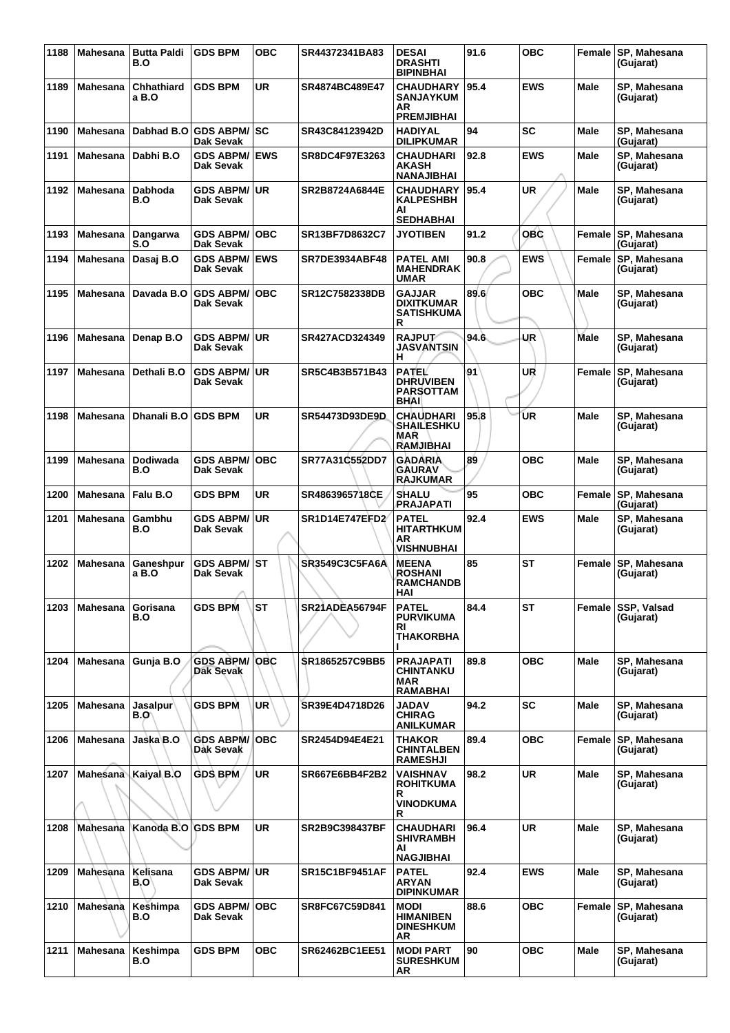| 1188 | <b>Mahesana</b> | <b>Butta Paldi</b><br>B.O | <b>GDS BPM</b>                       | <b>OBC</b> | SR44372341BA83        | <b>DESAI</b><br><b>DRASHTI</b><br><b>BIPINBHAI</b>                  | 91.6 | <b>OBC</b> |             | Female SP, Mahesana<br>(Gujarat) |
|------|-----------------|---------------------------|--------------------------------------|------------|-----------------------|---------------------------------------------------------------------|------|------------|-------------|----------------------------------|
| 1189 | Mahesana        | Chhathiard<br>a B.O       | <b>GDS BPM</b>                       | <b>UR</b>  | SR4874BC489E47        | <b>CHAUDHARY</b><br><b>SANJAYKUM</b><br>AR<br><b>PREMJIBHAI</b>     | 95.4 | <b>EWS</b> | Male        | SP, Mahesana<br>(Gujarat)        |
| 1190 | Mahesana        | Dabhad B.O                | <b>GDS ABPM/SC</b><br>Dak Sevak      |            | SR43C84123942D        | <b>HADIYAL</b><br><b>DILIPKUMAR</b>                                 | 94   | SC         | <b>Male</b> | SP, Mahesana<br>(Gujarat)        |
| 1191 | <b>Mahesana</b> | Dabhi B.O                 | <b>GDS ABPM/</b><br>Dak Sevak        | <b>EWS</b> | SR8DC4F97E3263        | <b>CHAUDHARI</b><br>AKASH<br><b>NANAJIBHAI</b>                      | 92.8 | <b>EWS</b> | <b>Male</b> | SP, Mahesana<br>(Gujarat)        |
| 1192 | Mahesana        | Dabhoda<br>B.O            | <b>GDS ABPM/</b><br>Dak Sevak        | <b>UR</b>  | SR2B8724A6844E        | <b>CHAUDHARY</b><br><b>KALPESHBH</b><br>AI<br><b>SEDHABHAI</b>      | 95.4 | UR         | Male        | SP, Mahesana<br>(Gujarat)        |
| 1193 | <b>Mahesana</b> | Dangarwa<br>S.O           | <b>GDS ABPM/</b><br>Dak Sevak        | <b>OBC</b> | SR13BF7D8632C7        | <b>JYOTIBEN</b>                                                     | 91.2 | OBC        | Female      | SP, Mahesana<br>(Gujarat)        |
| 1194 | Mahesana        | Dasaj B.O                 | <b>GDS ABPM/</b><br>Dak Sevak        | <b>EWS</b> | <b>SR7DE3934ABF48</b> | <b>PATEL AMI</b><br><b>MAHENDRAK</b><br>UMAR                        | 90.8 | <b>EWS</b> |             | Female SP, Mahesana<br>(Gujarat) |
| 1195 | Mahesana        | Davada B.O                | <b>GDS ABPM/</b><br>Dak Sevak        | <b>OBC</b> | SR12C7582338DB        | <b>GAJJAR</b><br><b>DIXITKUMAR</b><br>SATISHKUMA<br>R               | 89.6 | ОВС        | Male        | SP, Mahesana<br>(Gujarat)        |
| 1196 | <b>Mahesana</b> | Denap B.O                 | <b>GDS ABPM/</b><br>Dak Sevak        | <b>UR</b>  | SR427ACD324349        | <b>RAJPUT</b><br><b>JASVANTSIN</b><br>н                             | 94.6 | UR         | <b>Male</b> | SP, Mahesana<br>(Gujarat)        |
| 1197 | <b>Mahesana</b> | Dethali B.O               | <b>GDS ABPM/</b><br>Dak Sevak        | <b>UR</b>  | SR5C4B3B571B43        | <b>PATEL</b><br><b>DHRUVIBEN</b><br><b>PARSOTTAM</b><br><b>BHAI</b> | 91   | UR         | Female      | SP, Mahesana<br>(Gujarat)        |
| 1198 | <b>Mahesana</b> | Dhanali B.O               | <b>GDS BPM</b>                       | UR         | SR54473D93DE9D        | CHAUDHARI<br><b>SHAILESHKU</b><br>MAR<br><b>RAMJIBHAI</b>           | 95.8 | ŪR         | <b>Male</b> | SP, Mahesana<br>(Gujarat)        |
| 1199 | <b>Mahesana</b> | Dodiwada<br>B.O           | <b>GDS ABPM/</b><br>Dak Sevak        | <b>OBC</b> | SR77A31C552DD7        | GADARIA<br>GAURAV<br><b>RAJKUMAR</b>                                | 89   | <b>OBC</b> | <b>Male</b> | SP, Mahesana<br>(Gujarat)        |
| 1200 | <b>Mahesana</b> | Falu B.O                  | <b>GDS BPM</b>                       | <b>UR</b>  | SR4863965718CE        | <b>SHALU</b><br>PRAJAPATI                                           | 95   | <b>OBC</b> | Female      | SP, Mahesana<br>(Gujarat)        |
| 1201 | <b>Mahesana</b> | Gambhu<br>B.O             | <b>GDS ABPM/</b><br>Dak Sevak        | <b>UR</b>  | SR1D14E747EFD2        | <b>PATEL</b><br><b>HITARTHKUM</b><br>AR<br><b>VISHNUBHAI</b>        | 92.4 | <b>EWS</b> | <b>Male</b> | SP, Mahesana<br>(Gujarat)        |
| 1202 | <b>Mahesana</b> | Ganeshpur<br>a B.O        | <b>GDS ABPM/</b><br>Dak Sevak        | <b>ST</b>  | SR3549C3C5FA6A        | <b>MEENA</b><br><b>ROSHANI</b><br><b>RAMCHANDB</b><br><b>HAI</b>    | 85   | <b>ST</b>  | Female      | SP, Mahesana<br>(Gujarat)        |
| 1203 | <b>Mahesana</b> | Gorisana<br>B.O           | <b>GDS BPM</b>                       | <b>ST</b>  | SR21ADEA56794F        | <b>PATEL</b><br><b>PURVIKUMA</b><br>RI<br>THAKORBHA                 | 84.4 | ST         | Female      | SSP, Valsad<br>(Gujarat)         |
| 1204 | Mahesana        | Gunja B.O                 | <b>GDS ABPM/</b><br><b>Dak Sevak</b> | OBC        | SR1865257C9BB5        | <b>PRAJAPATI</b><br>CHINTANKU<br><b>MAR</b><br><b>RAMABHAI</b>      | 89.8 | ОВС        | Male        | SP, Mahesana<br>(Gujarat)        |
| 1205 | Mahesana        | Jasalpur∖<br>B.O\         | <b>GDS BPM</b>                       | UR         | SR39E4D4718D26        | JADAV<br><b>CHIRAG</b><br><b>ANILKUMAR</b>                          | 94.2 | <b>SC</b>  | Male        | SP, Mahesana<br>(Gujarat)        |
| 1206 | <b>Mahesana</b> | Jaska B.O                 | <b>GDS ABPM/</b><br>Dak Sevak        | <b>OBC</b> | SR2454D94E4E21        | THAKOR<br><b>CHINTALBEN</b><br><b>RAMESHJI</b>                      | 89.4 | OBC        | Female      | SP, Mahesana<br>(Gujarat)        |
| 1207 |                 | Mahesana Kaiyal B.O       | <b>GDS BPM</b>                       | <b>UR</b>  | SR667E6BB4F2B2        | VAISHNAV<br>ROHITKUMA<br>R<br>VINODKUMA<br>R                        | 98.2 | UR         | <b>Male</b> | SP, Mahesana<br>(Gujarat)        |
| 1208 | Mahesana        | Kanoda B.O                | <b>GDS BPM</b>                       | UR         | SR2B9C398437BF        | CHAUDHARI<br>SHIVRAMBH<br>ΑI<br><b>NAGJIBHAI</b>                    | 96.4 | UR         | Male        | SP, Mahesana<br>(Gujarat)        |
| 1209 | Mahesana        | Kelisana<br>B.O'          | <b>GDS ABPM/ UR</b><br>Dak Sevak     |            | <b>SR15C1BF9451AF</b> | <b>PATEL</b><br>ARYAN<br><b>DIPINKUMAR</b>                          | 92.4 | <b>EWS</b> | <b>Male</b> | SP, Mahesana<br>(Gujarat)        |
| 1210 | Mahesana        | Keshimpa<br>B.O           | <b>GDS ABPM/</b><br>Dak Sevak        | <b>OBC</b> | SR8FC67C59D841        | <b>MODI</b><br><b>HIMANIBEN</b><br><b>DINESHKUM</b><br>AR           | 88.6 | <b>OBC</b> | Female      | SP, Mahesana<br>(Gujarat)        |
| 1211 | Mahesana        | Keshimpa<br>B.O           | <b>GDS BPM</b>                       | <b>OBC</b> | SR62462BC1EE51        | <b>MODI PART</b><br><b>SURESHKUM</b><br>AR                          | 90   | <b>OBC</b> | Male        | SP, Mahesana<br>(Gujarat)        |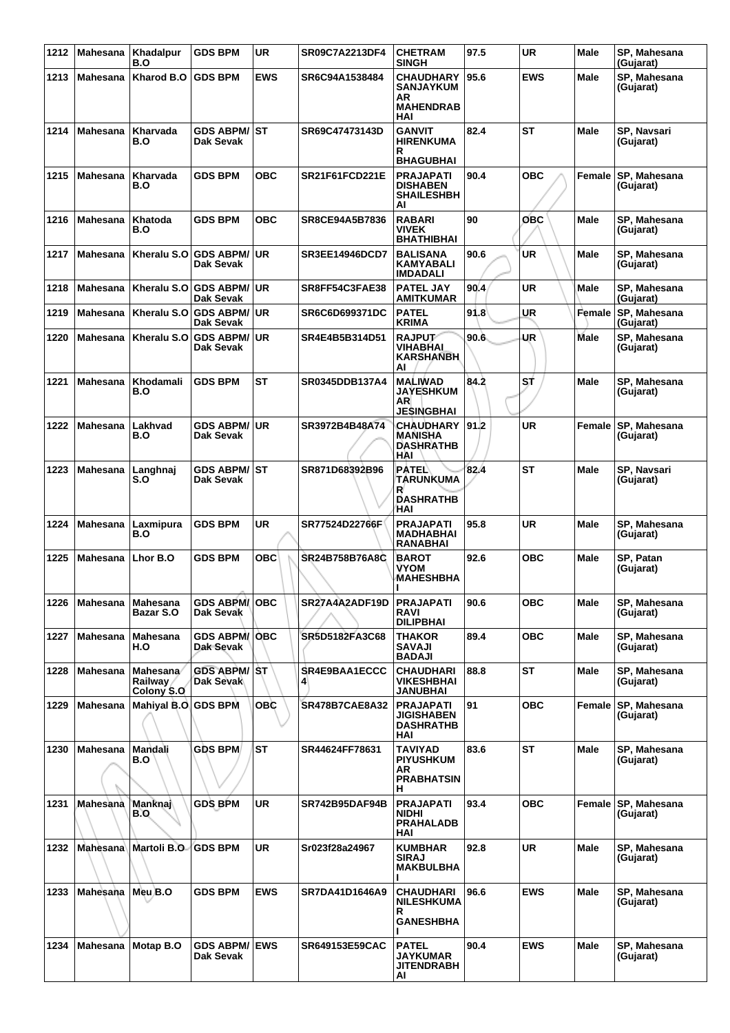| 1212 |                     | Mahesana   Khadalpur<br>B.O                      | <b>GDS BPM</b>                    | <b>UR</b>  | SR09C7A2213DF4        | <b>CHETRAM</b><br><b>SINGH</b>                                        | 97.5 | <b>UR</b>  | Male        | SP, Mahesana<br>(Gujarat)        |
|------|---------------------|--------------------------------------------------|-----------------------------------|------------|-----------------------|-----------------------------------------------------------------------|------|------------|-------------|----------------------------------|
| 1213 | <b>Mahesana</b>     | <b>Kharod B.O</b>                                | <b>GDS BPM</b>                    | <b>EWS</b> | SR6C94A1538484        | <b>CHAUDHARY</b><br><b>SANJAYKUM</b><br>AR<br><b>MAHENDRAB</b><br>HAI | 95.6 | <b>EWS</b> | Male        | SP, Mahesana<br>(Gujarat)        |
| 1214 | Mahesana            | Kharvada<br>B.O                                  | <b>GDS ABPM/ ST</b><br>Dak Sevak  |            | SR69C47473143D        | <b>GANVIT</b><br><b>HIRENKUMA</b><br>R<br><b>BHAGUBHAI</b>            | 82.4 | ST         | Male        | SP, Navsari<br>(Gujarat)         |
| 1215 | <b>Mahesana</b>     | Kharvada<br>B.O                                  | <b>GDS BPM</b>                    | <b>OBC</b> | SR21F61FCD221E        | <b>PRAJAPATI</b><br><b>DISHABEN</b><br><b>SHAILESHBH</b><br>ΑI        | 90.4 | <b>OBC</b> | Female      | SP, Mahesana<br>(Gujarat)        |
| 1216 | Mahesana            | Khatoda<br>B.O                                   | <b>GDS BPM</b>                    | <b>OBC</b> | SR8CE94A5B7836        | <b>RABARI</b><br>VIVEK<br><b>BHATHIBHAI</b>                           | 90   | OBC        | Male        | SP, Mahesana<br>(Gujarat)        |
| 1217 | <b>Mahesana</b>     | Kheralu S.O                                      | <b>GDS ABPM/</b><br>Dak Sevak     | ∣UR        | <b>SR3EE14946DCD7</b> | <b>BALISANA</b><br>KAMYABALI<br><b>IMDADALI</b>                       | 90.6 | <b>UR</b>  | Male        | SP, Mahesana<br>(Gujarat)        |
| 1218 | Mahesana            | Kheralu S.O                                      | <b>GDS ABPM/</b><br>Dak Sevak     | <b>UR</b>  | SR8FF54C3FAE38        | <b>PATEL JAY</b><br><b>AMITKUMAR</b>                                  | 90.4 | <b>UR</b>  | Male        | SP, Mahesana<br>(Gujarat)        |
| 1219 | <b>Mahesana</b>     | Kheralu S.O                                      | <b>GDS ABPM/UR</b><br>Dak Sevak   |            | <b>SR6C6D699371DC</b> | <b>PATEL</b><br><b>KRIMA</b>                                          | 91.8 | <b>UR</b>  | Female      | SP, Mahesana<br>(Gujarat)        |
| 1220 | Mahesana            | Kheralu S.O                                      | <b>GDS ABPM/</b><br>Dak Sevak     | <b>UR</b>  | SR4E4B5B314D51        | <b>RAJPUT</b><br>VIHABHAI<br><b>KARSHANBH</b><br>AI                   | 90.6 | <b>UR</b>  | Male        | SP, Mahesana<br>(Gujarat)        |
| 1221 | Mahesana            | Khodamali<br>B.O                                 | <b>GDS BPM</b>                    | <b>ST</b>  | SR0345DDB137A4        | <b>MALIWAD</b><br><b>JAYESHKUM</b><br>AR<br><b>JESINGBHAI</b>         | 84.2 | ST.        | Male        | SP, Mahesana<br>(Gujarat)        |
| 1222 | Mahesana            | Lakhvad<br>B.O                                   | <b>GDS ABPM/</b><br>Dak Sevak     | ∣UR        | SR3972B4B48A74        | CHAUDHARY   91.2<br><b>MANISHA</b><br><b>DASHRATHB</b><br>HAI         |      | <b>UR</b>  | Female      | SP, Mahesana<br>(Gujarat)        |
| 1223 | Mahesana            | Langhnaj<br>S.O                                  | <b>GDS ABPM/ ST</b><br>Dak Sevak  |            | SR871D68392B96        | <b>PATEL</b><br>TARUNKUMA<br>R<br><b>DASHRATHB</b><br>HAI             | 82.4 | <b>ST</b>  | Male        | SP, Navsari<br>(Gujarat)         |
| 1224 | Mahesana            | Laxmipura<br>B.O                                 | <b>GDS BPM</b>                    | <b>UR</b>  | SR77524D22766F        | <b>PRAJAPATI</b><br><b>MADHABHAI</b><br>RANABHAI                      | 95.8 | <b>UR</b>  | Male        | SP, Mahesana<br>(Gujarat)        |
| 1225 | Mahesana            | Lhor B.O                                         | <b>GDS BPM</b>                    | <b>OBC</b> | SR24B758B76A8C        | <b>BAROT</b><br>VYOM<br><b>MAHESHBHA</b>                              | 92.6 | <b>OBC</b> | Male        | SP, Patan<br>(Gujarat)           |
| 1226 | Mahesana   Mahesana | Bazar S.O                                        | <b>GDS ABPM/OBC</b><br>Dak Sevak  |            | SR27A4A2ADF19D        | <b>PRAJAPATI</b><br>RAVI<br><b>DILIPBHAI</b>                          | 90.6 | ОВС        | Male        | SP, Mahesana<br>(Gujarat)        |
| 1227 | Mahesana            | Mahesana<br>H.O                                  | <b>GDS ABPM/OBC</b><br>Dak Sevak  |            | SR5D5182FA3C68        | THAKOR<br>SAVAJI<br><b>BADAJI</b>                                     | 89.4 | <b>OBC</b> | Male        | SP, Mahesana<br>(Gujarat)        |
| 1228 | <b>Mahesana</b>     | <b>Mahesana</b><br><b>Railway</b><br>Colony \$.0 | <b>GDS ABPM/ ST</b><br>Dak Sevak  |            | SR4E9BAA1ECCC         | <b>CHAUDHARI</b><br><b>VIKESHBHAI</b><br>JANUBHAI                     | 88.8 | <b>ST</b>  | Male        | SP, Mahesana<br>(Gujarat)        |
| 1229 | Mahesana            | Mahiyal B.O GDS BPM                              |                                   | <b>OBC</b> | <b>SR478B7CAE8A32</b> | <b>PRAJAPATI</b><br><b>JIGISHABEN</b><br><b>DASHRATHB</b><br>HAI      | 91   | <b>OBC</b> | Female      | SP, Mahesana<br>(Gujarat)        |
| 1230 | Mahesana            | Mandali<br>B.O                                   | <b>GDS BPM</b>                    | <b>ST</b>  | SR44624FF78631        | TAVIYAD<br><b>PIYUSHKUM</b><br>AR<br><b>PRABHATSIN</b><br>н.          | 83.6 | <b>ST</b>  | <b>Male</b> | SP, Mahesana<br>(Gujarat)        |
| 1231 | Mahesana            | Manknaj<br><b>B.O</b>                            | <b>GDS BPM</b>                    | <b>UR</b>  | <b>SR742B95DAF94B</b> | <b>PRAJAPATI</b><br><b>NIDHI</b><br><b>PRAHALADB</b><br>HAI           | 93.4 | <b>OBC</b> |             | Female SP, Mahesana<br>(Gujarat) |
| 1232 |                     | Mahesana Martoli B.O.                            | <b>GDS BPM</b>                    | <b>UR</b>  | Sr023f28a24967        | <b>KUMBHAR</b><br><b>SIRAJ</b><br><b>MAKBULBHA</b>                    | 92.8 | <b>UR</b>  | Male        | SP, Mahesana<br>(Gujarat)        |
| 1233 | Mahesana            | Meu B.O                                          | <b>GDS BPM</b>                    | <b>EWS</b> | SR7DA41D1646A9        | CHAUDHARI<br><b>NILESHKUMA</b><br>R.<br><b>GANESHBHA</b>              | 96.6 | <b>EWS</b> | Male        | SP, Mahesana<br>(Gujarat)        |
| 1234 | Mahesana            | Motap B.O                                        | <b>GDS ABPM/ EWS</b><br>Dak Sevak |            | SR649153E59CAC        | <b>PATEL</b><br><b>JAYKUMAR</b><br><b>JITENDRABH</b><br>Al            | 90.4 | <b>EWS</b> | <b>Male</b> | SP, Mahesana<br>(Gujarat)        |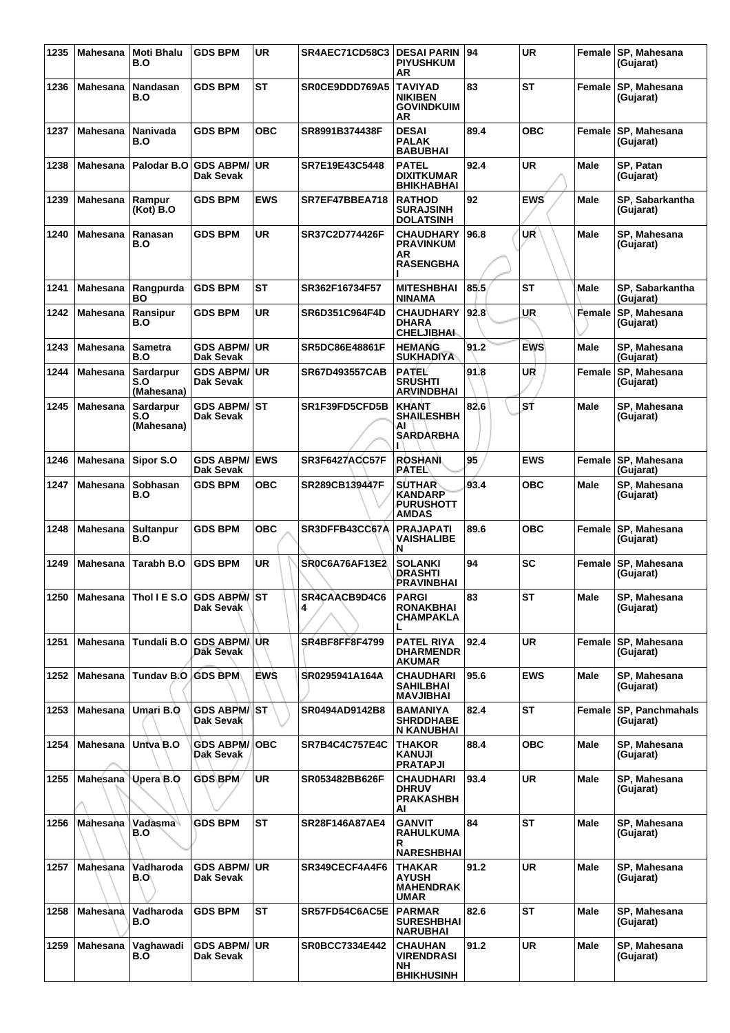| 1235 |                 | Mahesana Moti Bhalu<br>B.O             | <b>GDS BPM</b>                       | <b>UR</b>  | SR4AEC71CD58C3        | <b>DESAI PARIN</b><br><b>PIYUSHKUM</b><br>ΑR                     | 94   | <b>UR</b>  |             | Female SP, Mahesana<br>(Gujarat) |
|------|-----------------|----------------------------------------|--------------------------------------|------------|-----------------------|------------------------------------------------------------------|------|------------|-------------|----------------------------------|
| 1236 | <b>Mahesana</b> | Nandasan<br>B.O                        | <b>GDS BPM</b>                       | <b>ST</b>  | SR0CE9DDD769A5        | <b>TAVIYAD</b><br><b>NIKIBEN</b><br><b>GOVINDKUIM</b><br>AR      | 83   | <b>ST</b>  | Female      | SP. Mahesana<br>(Gujarat)        |
| 1237 | Mahesana        | Nanivada<br>B.O                        | <b>GDS BPM</b>                       | <b>OBC</b> | SR8991B374438F        | <b>DESAI</b><br><b>PALAK</b><br><b>BABUBHAI</b>                  | 89.4 | <b>OBC</b> | Female      | SP, Mahesana<br>(Gujarat)        |
| 1238 | Mahesana        | Palodar B.O                            | <b>GDS ABPM/</b><br>Dak Sevak        | <b>UR</b>  | SR7E19E43C5448        | PATEL<br><b>DIXITKUMAR</b><br><b>BHIKHABHAI</b>                  | 92.4 | UR         | Male        | SP, Patan<br>(Gujarat)           |
| 1239 | <b>Mahesana</b> | Rampur<br>(Kot) B.O                    | <b>GDS BPM</b>                       | <b>EWS</b> | SR7EF47BBEA718        | <b>RATHOD</b><br><b>SURAJSINH</b><br><b>DOLATSINH</b>            | 92   | <b>EWS</b> | Male        | SP, Sabarkantha<br>(Gujarat)     |
| 1240 | <b>Mahesana</b> | Ranasan<br>B.O                         | <b>GDS BPM</b>                       | <b>UR</b>  | <b>SR37C2D774426F</b> | <b>CHAUDHARY</b><br><b>PRAVINKUM</b><br>AR<br><b>RASENGBHA</b>   | 96.8 | UŔ         | Male        | SP, Mahesana<br>(Gujarat)        |
| 1241 | Mahesana        | Rangpurda<br><b>BO</b>                 | <b>GDS BPM</b>                       | <b>ST</b>  | SR362F16734F57        | <b>MITESHBHAI</b><br>NINAMA                                      | 85.5 | <b>ST</b>  | Male        | SP, Sabarkantha<br>(Gujarat)     |
| 1242 | Mahesana        | Ransipur<br>B.O                        | <b>GDS BPM</b>                       | <b>UR</b>  | SR6D351C964F4D        | CHAUDHARY 92.8<br><b>DHARA</b><br><b>CHELJIBHAI.</b>             |      | UR         | Female      | SP. Mahesana<br>(Gujarat)        |
| 1243 | <b>Mahesana</b> | <b>Sametra</b><br>B.O                  | <b>GDS ABPM/</b><br><b>Dak Sevak</b> | <b>UR</b>  | <b>SR5DC86E48861F</b> | <b>HEMANG</b><br><b>SUKHADIYA</b>                                | 91.2 | <b>EWS</b> | <b>Male</b> | SP, Mahesana<br>(Guiarat)        |
| 1244 | Mahesana        | Sardarpur<br>S.O<br>(Mahesana)         | <b>GDS ABPM/</b><br>Dak Sevak        | <b>UR</b>  | <b>SR67D493557CAB</b> | PATEL<br><b>SRUSHTI</b><br><b>ARVINDBHAI</b>                     | 91.8 | UR         | Female      | SP, Mahesana<br>(Gujarat)        |
| 1245 | <b>Mahesana</b> | Sardarpur<br>S.O<br>(Mahesana)         | <b>GDS ABPM/</b><br>Dak Sevak        | <b>ST</b>  | SR1F39FD5CFD5B        | <b>KHANT</b><br><b>SHAILESHBH</b><br>AI<br><b>SARDARBHA</b>      | 82.6 | SŤ         | <b>Male</b> | SP, Mahesana<br>(Gujarat)        |
| 1246 | Mahesana        | Sipor S.O                              | <b>GDS ABPM/</b><br>Dak Sevak        | <b>EWS</b> | SR3F6427ACC57F        | <b>ROSHANI</b><br>PATEL\                                         | 95   | <b>EWS</b> | Female      | SP, Mahesana<br>(Gujarat)        |
| 1247 | Mahesana        | <b>Sobhasan</b><br>B.O                 | <b>GDS BPM</b>                       | <b>OBC</b> | SR289CB139447F        | <b>SUTHAR</b><br><b>KANDARP</b><br>PURUSHOTT<br><b>AMDAS</b>     | 93.4 | <b>OBC</b> | <b>Male</b> | SP, Mahesana<br>(Gujarat)        |
| 1248 | Mahesana        | <b>Sultanpur</b><br>B.O                | <b>GDS BPM</b>                       | <b>OBC</b> | SR3DFFB43CC67A        | <b>PRAJAPATI</b><br><b>VAISHALIBE</b><br>N                       | 89.6 | <b>OBC</b> | Female      | SP, Mahesana<br>(Gujarat)        |
| 1249 | <b>Mahesana</b> | Tarabh B.O                             | <b>GDS BPM</b>                       | <b>UR</b>  | SR0C6A76AF13E2        | SOLANKI<br><b>DRASHTI</b><br>PRAVINBHAI                          | 94   | SC         | Female      | SP, Mahesana<br>(Gujarat)        |
|      |                 | 1250 Mahesana Thol I E S.O GDS ABPM/ST | Dak Sevak                            |            | SR4CAACB9D4C6<br>4    | <b>PARGI</b><br>RONAKBHAI<br>CHAMPAKLA<br>L                      | 83   | ST         | Male        | SP, Mahesana<br>(Gujarat)        |
| 1251 | Mahesana        | <b>Tundali B.O</b>                     | <b>GDS ABPM/UR</b><br>Dak Sevak      |            | <b>SR4BF8FF8F4799</b> | <b>PATEL RIYA</b><br><b>DHARMENDR</b><br><b>AKUMAR</b>           | 92.4 | <b>UR</b>  |             | Female SP, Mahesana<br>(Gujarat) |
| 1252 | Mahesana        | Tunday B.O                             | <b>GDS BPM</b>                       | <b>EWS</b> | SR0295941A164A        | <b>CHAUDHARI</b><br><b>SAHILBHAI</b><br><b>MAVJIBHAI</b>         | 95.6 | <b>EWS</b> | <b>Male</b> | SP, Mahesana<br>(Gujarat)        |
| 1253 | Mahesana        | Umari B.O                              | GDS ABPM/∜ST<br>Dak Sevak            |            | SR0494AD9142B8        | BAMANIYA<br><b>SHRDDHABE</b><br>N KANUBHAI                       | 82.4 | <b>ST</b>  | Female      | SP, Panchmahals<br>(Gujarat)     |
| 1254 | Mahesana        | Untva B.O                              | <b>GDS ABPM/</b><br>Dak Sevak        | <b>OBC</b> | <b>SR7B4C4C757E4C</b> | THAKOR<br>KANUJI<br><b>PRATAPJI</b>                              | 88.4 | <b>OBC</b> | Male        | SP, Mahesana<br>(Gujarat)        |
| 1255 | Mahesana        | Upera B.Q                              | <b>GDS BPM</b>                       | <b>UR</b>  | SR053482BB626F        | <b>CHAUDHARI</b><br><b>DHRUV</b><br>PRAKASHBH<br>AI              | 93.4 | <b>UR</b>  | <b>Male</b> | SP, Mahesana<br>(Gujarat)        |
| 1256 | Mahesana        | Vadāsma<br>B.O                         | <b>GDS BPM</b>                       | <b>ST</b>  | <b>SR28F146A87AE4</b> | <b>GANVIT</b><br>RAHULKUMA<br>R                                  | 84   | <b>ST</b>  | <b>Male</b> | SP, Mahesana<br>(Gujarat)        |
| 1257 | Mahesana        | Vadharoda<br>B.O\                      | <b>GDS ABPM/</b><br>Dak Sevak        | <b>UR</b>  | SR349CECF4A4F6        | <b>NARESHBHAI</b><br>THAKAR<br>AYUSH<br><b>MAHENDRAK</b><br>UMAR | 91.2 | <b>UR</b>  | Male        | SP, Mahesana<br>(Gujarat)        |
| 1258 | Mahesana        | Vadharoda<br>B.O                       | <b>GDS BPM</b>                       | <b>ST</b>  | SR57FD54C6AC5E        | <b>PARMAR</b><br><b>SURESHBHAI</b><br><b>NARUBHAI</b>            | 82.6 | <b>ST</b>  | <b>Male</b> | SP, Mahesana<br>(Gujarat)        |
| 1259 | Mahesana        | Vaghawadi<br>B.O                       | <b>GDS ABPM/</b><br>Dak Sevak        | <b>UR</b>  | <b>SR0BCC7334E442</b> | <b>CHAUHAN</b><br><b>VIRENDRASI</b><br>NH<br><b>BHIKHUSINH</b>   | 91.2 | UR         | Male        | SP, Mahesana<br>(Gujarat)        |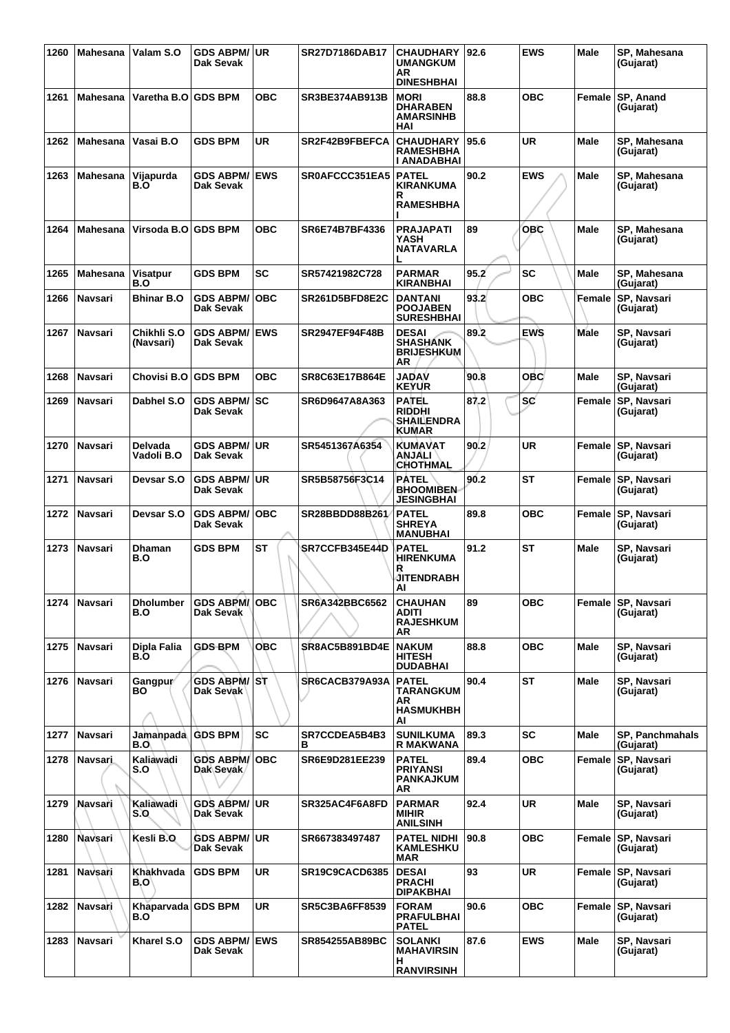| 1260 | <b>Mahesana</b> | Valam S.O                 | <b>GDS ABPM/ UR</b><br>Dak Sevak             |            | SR27D7186DAB17        | <b>CHAUDHARY</b><br><b>UMANGKUM</b><br>AR<br><b>DINESHBHAI</b>     | 92.6 | <b>EWS</b> | <b>Male</b> | SP, Mahesana<br>(Guiarat)           |
|------|-----------------|---------------------------|----------------------------------------------|------------|-----------------------|--------------------------------------------------------------------|------|------------|-------------|-------------------------------------|
| 1261 | <b>Mahesana</b> | Varetha B.O GDS BPM       |                                              | <b>OBC</b> | <b>SR3BE374AB913B</b> | <b>MORI</b><br><b>DHARABEN</b><br><b>AMARSINHB</b><br>HAI          | 88.8 | <b>OBC</b> | Female      | <b>SP, Anand</b><br>(Gujarat)       |
| 1262 | <b>Mahesana</b> | Vasai B.O                 | <b>GDS BPM</b>                               | <b>UR</b>  | SR2F42B9FBEFCA        | <b>CHAUDHARY</b><br><b>RAMESHBHA</b><br>I ANADABHAI                | 95.6 | <b>UR</b>  | <b>Male</b> | SP, Mahesana<br>(Gujarat)           |
| 1263 | Mahesana        | Vijapurda<br>B.O          | <b>GDS ABPM/ EWS</b><br>Dak Sevak            |            | SR0AFCCC351EA5        | <b>PATEL</b><br><b>KIRANKUMA</b><br>R<br><b>RAMESHBHA</b>          | 90.2 | <b>EWS</b> | Male        | SP, Mahesana<br>(Gujarat)           |
| 1264 | Mahesana        | Virsoda B.O GDS BPM       |                                              | <b>OBC</b> | SR6E74B7BF4336        | <b>PRAJAPATI</b><br>YASH<br><b>NATAVARLA</b><br>L                  | 89   | OBC        | <b>Male</b> | SP, Mahesana<br>(Gujarat)           |
| 1265 | <b>Mahesana</b> | Visatpur<br>B.O           | <b>GDS BPM</b>                               | <b>SC</b>  | SR57421982C728        | <b>PARMAR</b><br><b>KIRANBHAI</b>                                  | 95.2 | <b>SC</b>  | <b>Male</b> | SP, Mahesana<br>(Gujarat)           |
| 1266 | Navsari         | Bhinar B.O                | <b>GDS ABPM/</b><br>Dak Sevak                | <b>OBC</b> | SR261D5BFD8E2C        | <b>DANTANI</b><br><b>POOJABEN</b><br><b>SURESHBHAI</b>             | 93.2 | <b>OBC</b> | Female      | SP, Navsari<br>(Gujarat)            |
| 1267 | Navsari         | Chikhli S.O<br>(Navsari)  | <b>GDS ABPM/ EWS</b><br>Dak Sevak            |            | <b>SR2947EF94F48B</b> | <b>DESAI</b><br><b>SHASHANK</b><br><b>BRIJESHKUM</b><br>AR         | 89.2 | <b>EWS</b> | Male        | SP, Navsari<br>(Gujarat)            |
| 1268 | Navsari         | Chovisi B.O               | <b>GDS BPM</b>                               | <b>OBC</b> | SR8C63E17B864E        | <b>JADAV</b><br><b>KEYUR</b>                                       | 90.8 | <b>OBC</b> | <b>Male</b> | SP, Navsari<br>(Gujarat)            |
| 1269 | Navsari         | Dabhel S.O                | <b>GDS ABPM/ SC</b><br>Dak Sevak             |            | SR6D9647A8A363        | <b>PATEL</b><br><b>RIDDHI</b><br><b>SHAILENDRA</b><br><b>KUMAR</b> | 87.2 | <b>SC</b>  | Female      | <b>SP, Navsari</b><br>(Gujarat)     |
| 1270 | Navsari         | Delvada<br>Vadoli B.O     | <b>GDS ABPM/ UR</b><br>Dak Sevak             |            | SR5451367A6354        | <b>KUMAVAT</b><br>ANJALI<br><b>CHOTHMAL</b>                        | 90.2 | <b>UR</b>  |             | Female SP, Navsari<br>(Gujarat)     |
| 1271 | Navsari         | Devsar S.O                | <b>GDS ABPM/ UR</b><br>Dak Sevak             |            | SR5B58756F3C14        | <b>PATEL</b><br><b>BHOOMIBEN-</b><br><b>JESINGBHAI</b>             | 90.2 | <b>ST</b>  | Female      | <b>SP, Navsari</b><br>(Gujarat)     |
| 1272 | Navsari         | Devsar S.O                | <b>GDS ABPM/ OBC</b><br>Dak Sevak            |            | SR28BBDD88B261/       | <b>PATEL</b><br><b>SHREYA</b><br><b>MANUBHAI</b>                   | 89.8 | <b>OBC</b> | Female      | SP, Navsari<br>(Gujarat)            |
| 1273 | Navsari         | <b>Dhaman</b><br>B.O      | <b>GDS BPM</b>                               | <b>ST</b>  | SR7CCFB345E44D        | <b>PATEL</b><br><b>HIRENKUMA</b><br>R<br><b>JITENDRABH</b><br>AI   | 91.2 | <b>ST</b>  | <b>Male</b> | SP, Navsari<br>(Gujarat)            |
| 1274 | Navsari         | <b>Dholumber</b><br>B.O   | <b>GDS ABPM/OBC</b><br>Dak Sevak             |            | SR6A342BBC6562        | <b>CHAUHAN</b><br>ADITI<br><b>RAJESHKUM</b><br>AR                  | 89   | <b>OBC</b> |             | Female SP, Navsari<br>(Gujarat)     |
| 1275 | Navsari         | Dipla Falia<br>B.O        | <b>GDS BPM</b>                               | ОВС        | SR8AC5B891BD4E        | <b>NAKUM</b><br><b>HITESH</b><br><b>DUDABHAI</b>                   | 88.8 | <b>OBC</b> | Male        | SP, Navsari<br>(Gujarat)            |
| 1276 | Navsari         | Gangpur<br>BO             | <b>GDS ABPM/ST</b><br>Dak Sevak <sup>1</sup> |            | SR6CACB379A93A        | <b>PATEL</b><br>TARANGKUM<br>AR<br><b>HASMUKHBH</b><br>AI          | 90.4 | <b>ST</b>  | Male        | SP, Navsari<br>(Gujarat)            |
| 1277 | Navsari         | Jamanpada GDS BPM<br>B.O  |                                              | <b>SC</b>  | SR7CCDEA5B4B3<br>в    | <b>SUNILKUMA</b><br>R MAKWANA                                      | 89.3 | <b>SC</b>  | Male        | <b>SP. Panchmahals</b><br>(Gujarat) |
| 1278 | <b>Navsari</b>  | Kaliawadi<br>S.O          | <b>GDS ABPM/ OBC</b><br>Dak Sevak            |            | SR6E9D281EE239        | <b>PATEL</b><br><b>PRIYANSI</b><br><b>PANKAJKUM</b><br>AR          | 89.4 | <b>OBC</b> | Female      | SP, Navsari<br>(Gujarat)            |
| 1279 | Navsari         | Kaliawadi<br>S.O          | <b>GDS ABPM/ UR</b><br>Dak Sevak             |            | SR325AC4F6A8FD        | <b>PARMAR</b><br><b>MIHIR</b><br><b>ANILSINH</b>                   | 92.4 | <b>UR</b>  | <b>Male</b> | SP, Navsari<br>(Gujarat)            |
| 1280 | Navsari         | Kesli B.O                 | <b>GDS ABPM/ UR</b><br>Dak Sevak             |            | SR667383497487        | <b>PATEL NIDHI</b><br><b>KAMLESHKU</b><br>MAR                      | 90.8 | <b>OBC</b> | Female      | <b>SP, Navsari</b><br>(Gujarat)     |
| 1281 | Navsari         | Khakhvada<br>B.O'         | <b>GDS BPM</b>                               | UR         | <b>SR19C9CACD6385</b> | <b>DESAI</b><br><b>PRACHI</b><br><b>DIPAKBHAI</b>                  | 93   | <b>UR</b>  | Female      | <b>SP, Navsari</b><br>(Gujarat)     |
| 1282 | Navsari         | Khaparvada GDS BPM<br>B.O |                                              | <b>UR</b>  | <b>SR5C3BA6FF8539</b> | <b>FORAM</b><br><b>PRAFULBHAI</b><br><b>PATEL</b>                  | 90.6 | <b>OBC</b> | Female      | <b>SP, Navsari</b><br>(Gujarat)     |
| 1283 | Navsari         | Kharel S.O                | <b>GDS ABPM/ EWS</b><br>Dak Sevak            |            | <b>SR854255AB89BC</b> | <b>SOLANKI</b><br><b>MAHAVIRSIN</b><br>н<br><b>RANVIRSINH</b>      | 87.6 | <b>EWS</b> | Male        | SP, Navsari<br>(Gujarat)            |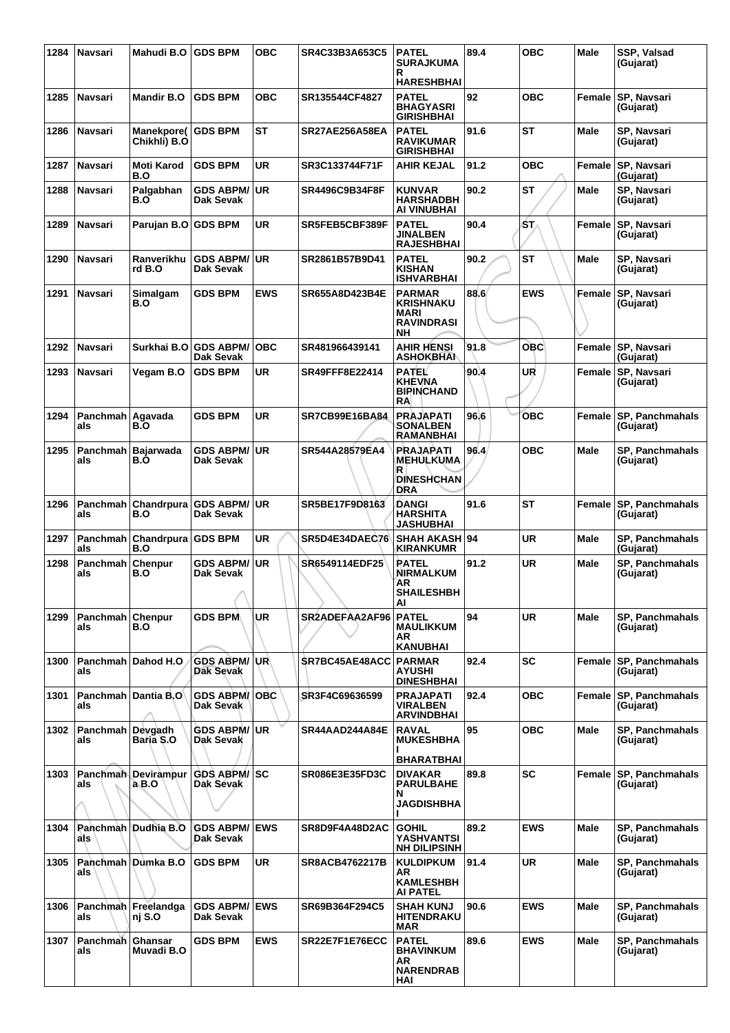| 1284 | Navsari                      | Mahudi B.O                         | <b>GDS BPM</b>                       | <b>OBC</b> | SR4C33B3A653C5        | <b>PATEL</b><br><b>SURAJKUMA</b><br>R                                              | 89.4 | <b>OBC</b> | <b>Male</b> | SSP, Valsad<br>(Gujarat)            |
|------|------------------------------|------------------------------------|--------------------------------------|------------|-----------------------|------------------------------------------------------------------------------------|------|------------|-------------|-------------------------------------|
|      |                              |                                    |                                      |            |                       | <b>HARESHBHAI</b>                                                                  |      |            |             |                                     |
| 1285 | <b>Navsari</b>               | <b>Mandir B.O</b>                  | <b>GDS BPM</b>                       | <b>OBC</b> | SR135544CF4827        | <b>PATEL</b><br><b>BHAGYASRI</b><br><b>GIRISHBHAI</b>                              | 92   | <b>OBC</b> | Female      | <b>SP, Navsari</b><br>(Gujarat)     |
| 1286 | Navsari                      | Manekpore(<br>Chikhli) B.O         | <b>IGDS BPM</b>                      | <b>ST</b>  | <b>SR27AE256A58EA</b> | <b>PATEL</b><br><b>RAVIKUMAR</b><br><b>GIRISHBHAI</b>                              | 91.6 | <b>ST</b>  | Male        | SP, Navsari<br>(Gujarat)            |
| 1287 | Navsari                      | <b>Moti Karod</b><br>B.O           | <b>GDS BPM</b>                       | <b>UR</b>  | SR3C133744F71F        | <b>AHIR KEJAL</b>                                                                  | 91.2 | <b>OBC</b> | Female      | SP, Navsari<br>(Gujarat)            |
| 1288 | Navsari                      | Palgabhan<br>B.O                   | <b>GDS ABPM/</b><br>Dak Sevak        | <b>UR</b>  | SR4496C9B34F8F        | <b>KUNVAR</b><br><b>HARSHADBH</b><br>AI VINUBHAI                                   | 90.2 | <b>ST</b>  | Male        | SP, Navsari<br>(Gujarat)            |
| 1289 | Navsari                      | Parujan B.O                        | <b>GDS BPM</b>                       | <b>UR</b>  | SR5FEB5CBF389F        | <b>PATEL</b><br><b>JINALBEN</b><br><b>RAJESHBHAI</b>                               | 90.4 | ŚΤ,        | Female      | SP, Navsari<br>(Gujarat)            |
| 1290 | <b>Navsari</b>               | Ranverikhu<br>rd B.O               | <b>GDS ABPM/</b><br>Dak Sevak        | <b>UR</b>  | SR2861B57B9D41        | <b>PATEL</b><br><b>KISHAN</b><br><b>ISHVARBHAI</b>                                 | 90.2 | <b>ST</b>  | <b>Male</b> | SP, Navsari<br>(Gujarat)            |
| 1291 | Navsari                      | Simalgam<br>B.O                    | <b>GDS BPM</b>                       | <b>EWS</b> | SR655A8D423B4E        | <b>PARMAR</b><br><b>KRISHNAKU</b><br><b>MARI</b><br><b>RAVINDRASI</b><br><b>NH</b> | 88.6 | <b>EWS</b> | Female      | SP, Navsari<br>(Gujarat)            |
| 1292 | <b>Navsari</b>               | Surkhai B.O                        | <b>GDS ABPM/</b><br><b>Dak Sevak</b> | <b>OBC</b> | SR481966439141        | AHIR HENSI<br><b>ASHOKBHAI</b>                                                     | 91.8 | <b>OBC</b> | Female      | SP, Navsari<br>(Gujarat)            |
| 1293 | Navsari                      | Vegam B.O                          | <b>GDS BPM</b>                       | <b>UR</b>  | SR49FFF8E22414        | PATEL<br><b>KHEVNA</b><br><b>BIPINCHAND</b><br>RA                                  | 90.4 | UR         | Female      | <b>SP, Navsari</b><br>(Gujarat)     |
| 1294 | Panchmah<br>als              | Agavada<br>B.O                     | <b>GDS BPM</b>                       | <b>UR</b>  | SR7CB99E16BA84        | <b>PRAJAPATI</b><br><b>SONALBEN</b><br>RAMANBHAI                                   | 96.6 | <b>OBC</b> | Female      | <b>SP, Panchmahals</b><br>(Gujarat) |
| 1295 | Panchmah   Bajarwada<br>als  | B.Ó                                | <b>GDS ABPM/</b><br><b>Dak Sevak</b> | <b>UR</b>  | SR544A28579EA4        | <b>PRAJAPATI</b><br>MEHULKUMA<br>R<br><b>DINESHCHAN</b><br><b>DRA</b>              | 96.4 | <b>OBC</b> | <b>Male</b> | <b>SP, Panchmahals</b><br>(Gujarat) |
| 1296 | Panchmah<br>als              | Chandrpura<br>B.O                  | <b>GDS ABPM/</b><br>Dak Sevak        | <b>UR</b>  | SR5BE17F9D8163        | DANGI<br><b>HARSHITA</b><br><b>JASHUBHAI</b>                                       | 91.6 | <b>ST</b>  | Female      | <b>SP, Panchmahals</b><br>(Gujarat) |
| 1297 | als                          | Panchmah Chandrpura GDS BPM<br>B.O |                                      | <b>UR</b>  | <b>SR5D4E34DAEC76</b> | <b>SHAH AKASH 94</b><br><b>KIRANKUMR</b>                                           |      | <b>UR</b>  | <b>Male</b> | SP, Panchmahals<br>(Guiarat)        |
| 1298 | Panchmah<br>als              | <b>Chenpur</b><br>B.O              | <b>GDS ABPM/</b><br>Dak Sevak        | <b>UR</b>  | SR6549114EDF25        | <b>RATEL</b><br><b>NIRMALKUM</b><br>ΆR<br><b>SHAILESHBH</b><br>Al                  | 91.2 | <b>UR</b>  | Male        | <b>SP, Panchmahals</b><br>(Gujarat) |
| 1299 | Panchmah Chenpur<br>als      | B.O                                | <b>GDS BPM</b>                       | UR         | SR2ADEFAA2AF96        | <b>PATEL</b><br><b>MAULIKKUM</b><br>AR.<br><b>KANUBHAI</b>                         | 94   | <b>UR</b>  | Male        | <b>SP. Panchmahals</b><br>(Gujarat) |
| 1300 | Panchmah <sup>1</sup><br>als | Dahod H.O                          | <b>GDS ABPM/</b><br><b>Dak Sevak</b> | UR\        | SR7BC45AE48ACC        | <b>PARMAR</b><br><b>AYUSHI</b><br><b>DINESHBHAI</b>                                | 92.4 | SC         | Female      | <b>SP, Panchmahals</b><br>(Gujarat) |
| 1301 | als                          | Panchmah Dantia B.O                | <b>GDS ABPM/</b><br>Dak Sevak        | <b>OBC</b> | SR3F4C69636599        | <b>PRAJAPATI</b><br><b>VIRALBEN</b><br><b>ARVINDBHAI</b>                           | 92.4 | <b>OBC</b> | Female      | <b>SP, Panchmahals</b><br>(Gujarat) |
| 1302 | Panchmah Devgadh<br>als      | Baria S.O                          | <b>GDS ABPM/</b><br>Dak Sevak        | <b>UR</b>  | <b>SR44AAD244A84E</b> | <b>RAVAL</b><br><b>MUKESHBHA</b><br><b>BHARATBHAI</b>                              | 95   | <b>OBC</b> | <b>Male</b> | <b>SP, Panchmahals</b><br>(Gujarat) |
| 1303 | als                          | Panchmah Devirampur<br>a B.O       | <b>GDS ABPM/ SC</b><br>Dak Sevak     |            | <b>SR086E3E35FD3C</b> | <b>DIVAKAR</b><br><b>PARULBAHE</b><br>N<br><b>JAGDISHBHA</b>                       | 89.8 | SC         | Female      | <b>SP, Panchmahals</b><br>(Gujarat) |
| 1304 | als                          | Panchmah Dudhia B.O                | <b>GDS ABPM/</b><br>Dak Sevak        | <b>EWS</b> | SR8D9F4A48D2AC        | <b>GOHIL</b><br>YASHVANTSI<br><b>NH DILIPSINH</b>                                  | 89.2 | <b>EWS</b> | Male        | <b>SP, Panchmahals</b><br>(Gujarat) |
| 1305 | als                          | Panchmah Dumka B.O                 | <b>GDS BPM</b>                       | <b>UR</b>  | <b>SR8ACB4762217B</b> | <b>KULDIPKUM</b><br>AR<br><b>KAMLESHBH</b><br>AI PATEL                             | 91.4 | <b>UR</b>  | Male        | <b>SP, Panchmahals</b><br>(Gujarat) |
| 1306 | als                          | Panchmah Freelandga<br>nj S.O      | <b>GDS ABPM/</b><br>Dak Sevak        | <b>EWS</b> | SR69B364F294C5        | <b>SHAH KUNJ</b><br><b>HITENDRAKU</b><br>MAR                                       | 90.6 | <b>EWS</b> | <b>Male</b> | <b>SP, Panchmahals</b><br>(Gujarat) |
| 1307 | Panchmah   Ghansar<br>als    | Muvadi B.O                         | <b>GDS BPM</b>                       | <b>EWS</b> | SR22E7F1E76ECC        | <b>PATEL</b><br><b>BHAVINKUM</b><br>AR.<br><b>NARENDRAB</b><br>HAI                 | 89.6 | <b>EWS</b> | Male        | SP, Panchmahals<br>(Gujarat)        |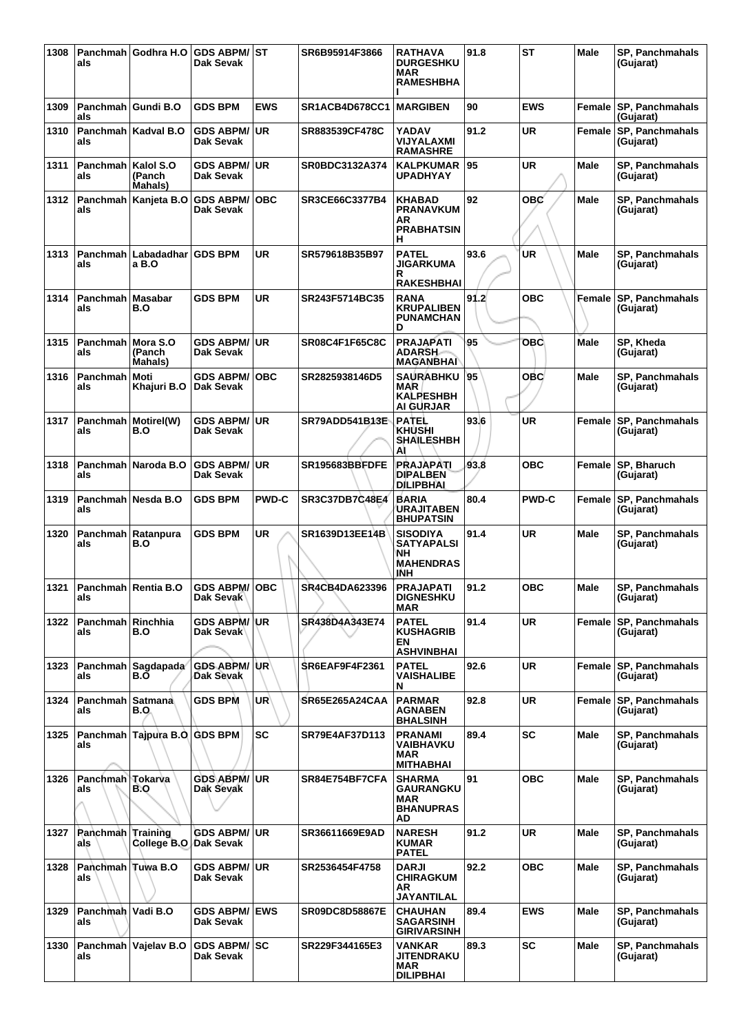| 1308 | als                             | Panchmah Godhra H.O           | <b>GDS ABPM/</b><br>Dak Sevak              | lst          | SR6B95914F3866        | <b>RATHAVA</b><br><b>DURGESHKU</b><br><b>MAR</b><br><b>RAMESHBHA</b>         | 91.8 | <b>ST</b>    | <b>Male</b> | <b>SP, Panchmahals</b><br>(Gujarat) |
|------|---------------------------------|-------------------------------|--------------------------------------------|--------------|-----------------------|------------------------------------------------------------------------------|------|--------------|-------------|-------------------------------------|
| 1309 | als                             | Panchmah   Gundi B.O          | <b>GDS BPM</b>                             | <b>EWS</b>   | SR1ACB4D678CC1        | <b>MARGIBEN</b>                                                              | 90   | <b>EWS</b>   | Female      | <b>SP, Panchmahals</b><br>(Gujarat) |
| 1310 | als                             | Panchmah   Kadval B.O         | <b>GDS ABPM/</b><br>Dak Sevak              | <b>UR</b>    | SR883539CF478C        | <b>YADAV</b><br><b>VIJYALAXMI</b><br><b>RAMASHRE</b>                         | 91.2 | <b>UR</b>    | Female      | <b>SP, Panchmahals</b><br>(Gujarat) |
| 1311 | Panchmah   Kalol S.O<br>als     | (Panch<br>Mahals)             | <b>GDS ABPM/</b><br>Dak Sevak              | <b>UR</b>    | SR0BDC3132A374        | <b>KALPKUMAR</b><br>UPADHYAY                                                 | 95   | <b>UR</b>    | Male        | SP, Panchmahals<br>(Gujarat)        |
| 1312 | als                             | Panchmah Kanjeta B.O          | <b>GDS ABPM/</b><br>Dak Sevak              | <b>OBC</b>   | SR3CE66C3377B4        | <b>KHABAD</b><br><b>PRANAVKUM</b><br>AR<br><b>PRABHATSIN</b><br>н            | 92   | овс'         | Male        | SP, Panchmahals<br>(Gujarat)        |
| 1313 | Panchmah I<br>als               | Labadadhar<br>a B.O           | <b>GDS BPM</b>                             | <b>UR</b>    | SR579618B35B97        | <b>PATEL</b><br><b>JIGARKUMA</b><br>R<br><b>RAKESHBHAI</b>                   | 93.6 | <b>UR</b>    | Male        | <b>SP, Panchmahals</b><br>(Gujarat) |
| 1314 | Panchmah<br>als                 | <b>Masabar</b><br>B.O         | <b>GDS BPM</b>                             | <b>UR</b>    | SR243F5714BC35        | <b>RANA</b><br><b>KRUPALIBEN</b><br><b>PUNAMCHAN</b><br>D                    | 91.2 | <b>OBC</b>   | Female      | SP, Panchmahals<br>(Gujarat)        |
| 1315 | Panchmah<br>als                 | Mora S.O<br>(Panch<br>Mahals) | <b>GDS ABPM/</b><br>Dak Sevak              | <b>UR</b>    | <b>SR08C4F1F65C8C</b> | <b>PRAJAPATI</b><br><b>ADARSH</b><br><b>MAGANBHAI</b>                        | 95   | <b>OBC</b>   | <b>Male</b> | SP, Kheda<br>(Gujarat)              |
| 1316 | Panchmah   Moti<br>als          | Khajuri B.O                   | <b>GDS ABPM/</b><br>Dak Sevak              | <b>OBC</b>   | SR2825938146D5        | <b>SAURABHKU</b><br>MAR<br><b>KALPESHBH</b><br><b>AI GURJAR</b>              | 95   | <b>OBC</b>   | Male        | SP, Panchmahals<br>(Gujarat)        |
| 1317 | als                             | Panchmah   Motirel(W)<br>B.O  | <b>GDS ABPM/</b><br><b>Dak Sevak</b>       | <b>UR</b>    | SR79ADD541B13E        | <b>PATEL</b><br><b>KHUSHI</b><br><b>SHAILESHBH</b><br>AI                     | 93.6 | <b>UR</b>    |             | Female SP, Panchmahals<br>(Gujarat) |
| 1318 | als                             | Panchmah   Naroda B.O         | <b>GDS ABPM/</b><br>Dak Sevak              | <b>UR</b>    | SR195683BBFDFE        | <b>PRAJAPATI</b><br><b>DIPALBEN</b><br>DILIPBHAI                             | 93.8 | <b>OBC</b>   |             | Female SP, Bharuch<br>(Gujarat)     |
| 1319 | als                             | Panchmah   Nesda B.O          | <b>GDS BPM</b>                             | <b>PWD-C</b> | SR3C37DB7C48E4        | <b>BARIA</b><br>URAJITABEN<br><b>BHUPATSIN</b>                               | 80.4 | <b>PWD-C</b> | Female      | SP, Panchmahals<br>(Gujarat)        |
| 1320 | Panchmah  <br>als               | Ratanpura<br>B.O              | <b>GDS BPM</b>                             | <b>UR</b>    | SR1639D13EE14B        | <b>SISODIYA</b><br><b>SATYAPALSI</b><br>NΗ<br><b>MAHENDRAS</b><br><b>JNH</b> | 91.4 | <b>UR</b>    | Male        | SP, Panchmahals<br>(Gujarat)        |
| 1321 | ais                             | Panchmah Rentia B.O           | <b>GDS ABPM/</b><br>рак эеvак              | <b>OBC</b>   | SR4CB4DA623396        | <b>PRAJAPATI</b><br><b>DIGNESHKU</b><br>MAR                                  | 91.2 | <b>OBC</b>   | Male        | <b>SP, Panchmahals</b><br>(Gujarat) |
| 1322 | Panchmah   Rinchhia<br>als      | B.O                           | <b>GDS ABPM/</b><br>Dak Sevak <sup>ı</sup> | UR           | SR438D4A343E74        | <b>PATEL</b><br><b>KUSHAGRIB</b><br>EN<br><b>ASHVINBHAI</b>                  | 91.4 | <b>UR</b>    | Female      | <b>SP, Panchmahals</b><br>(Gujarat) |
| 1323 | als                             | Panchmah Sagdapada<br>B.O     | <b>GDS ABPM/</b><br>Dak Sevak              | <b>UR</b>    | <b>SR6EAF9F4F2361</b> | <b>PATEL</b><br><b>VAISHALIBE</b><br>N                                       | 92.6 | <b>UR</b>    | Female      | <b>SP, Panchmahals</b><br>(Gujarat) |
| 1324 | Panchmah Satmana<br>als         | B.O                           | <b>GDS BPM</b>                             | <b>UR</b>    | <b>SR65E265A24CAA</b> | <b>PARMAR</b><br><b>AGNABEN</b><br><b>BHALSINH</b>                           | 92.8 | <b>UR</b>    | Female      | <b>SP. Panchmahals</b><br>(Gujarat) |
| 1325 | als                             | Panchmah Tajpura B.O GDS BPM  |                                            | <b>SC</b>    | SR79E4AF37D113        | <b>PRANAMI</b><br>VAIBHAVKU<br><b>MAR</b><br><b>MITHABHAI</b>                | 89.4 | <b>SC</b>    | <b>Male</b> | <b>SP. Panchmahals</b><br>(Gujarat) |
| 1326 | Panchmah Tokarva<br>als         | B.O                           | <b>GDS ABPM/</b><br><b>Dak Sevak</b>       | <b>UR</b>    | SR84E754BF7CFA        | <b>SHARMA</b><br><b>GAURANGKU</b><br>MAR<br><b>BHANUPRAS</b><br>AD           | 91   | <b>OBC</b>   | <b>Male</b> | <b>SP, Panchmahals</b><br>(Gujarat) |
| 1327 | <b>Panchmah Training</b><br>als | College B.O.                  | <b>GDS ABPM/</b><br>Dak Sevak              | <b>UR</b>    | SR36611669E9AD        | <b>NARESH</b><br><b>KUMAR</b><br><b>PATEL</b>                                | 91.2 | <b>UR</b>    | Male        | SP, Panchmahals<br>(Gujarat)        |
| 1328 | Panchmah Tuwa B.O<br>als        |                               | <b>GDS ABPM/</b><br>Dak Sevak              | <b>UR</b>    | SR2536454F4758        | <b>DARJI</b><br><b>CHIRAGKUM</b><br>AR<br><b>JAYANTILAL</b>                  | 92.2 | <b>OBC</b>   | <b>Male</b> | <b>SP, Panchmahals</b><br>(Gujarat) |
| 1329 | Panchmah Vadi B.O<br>als        |                               | <b>GDS ABPM/</b><br>Dak Sevak              | <b>EWS</b>   | SR09DC8D58867E        | <b>CHAUHAN</b><br><b>SAGARSINH</b><br><b>GIRIVARSINH</b>                     | 89.4 | <b>EWS</b>   | <b>Male</b> | <b>SP, Panchmahals</b><br>(Gujarat) |
| 1330 | als                             | Panchmah Vajelav B.O          | <b>GDS ABPM/ SC</b><br>Dak Sevak           |              | SR229F344165E3        | VANKAR<br>JITENDRAKU<br>MAR<br><b>DILIPBHAI</b>                              | 89.3 | <b>SC</b>    | Male        | <b>SP, Panchmahals</b><br>(Gujarat) |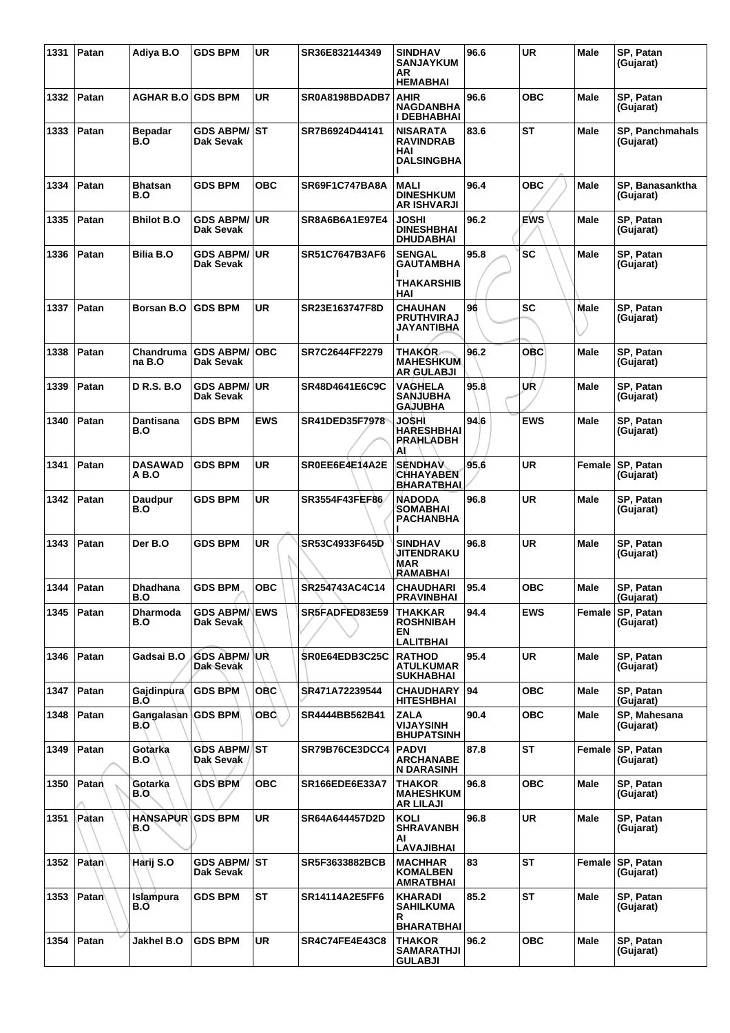| 1331 | Patan | Adiya B.O                      | <b>GDS BPM</b>                    | <b>UR</b>  | SR36E832144349        | <b>SINDHAV</b><br><b>SANJAYKUM</b><br>AR<br><b>HEMABHAI</b>     | 96.6 | <b>UR</b>  | <b>Male</b> | SP, Patan<br>(Gujarat)        |
|------|-------|--------------------------------|-----------------------------------|------------|-----------------------|-----------------------------------------------------------------|------|------------|-------------|-------------------------------|
| 1332 | Patan | <b>AGHAR B.O GDS BPM</b>       |                                   | <b>UR</b>  | SR0A8198BDADB7        | <b>AHIR</b><br><b>NAGDANBHA</b><br>I DEBHABHAI                  | 96.6 | <b>OBC</b> | <b>Male</b> | SP, Patan<br>(Gujarat)        |
| 1333 | Patan | <b>Bepadar</b><br>B.O          | GDS ABPM/ST<br>Dak Sevak          |            | SR7B6924D44141        | <b>NISARATA</b><br><b>RAVINDRAB</b><br>HAI<br><b>DALSINGBHA</b> | 83.6 | ST         | Male        | SP, Panchmahals<br>(Gujarat)  |
| 1334 | Patan | <b>Bhatsan</b><br>B.O          | <b>GDS BPM</b>                    | <b>OBC</b> | SR69F1C747BA8A        | <b>MALI</b><br><b>DINESHKUM</b><br><b>AR ISHVARJI</b>           | 96.4 | <b>OBC</b> | <b>Male</b> | SP, Banasanktha<br>(Gujarat)  |
| 1335 | Patan | <b>Bhilot B.O</b>              | GDS ABPM/UR<br>Dak Sevak          |            | SR8A6B6A1E97E4        | JOSHI<br><b>DINESHBHAI</b><br><b>DHUDABHAI</b>                  | 96.2 | <b>EWS</b> | Male        | SP, Patan<br>(Gujarat)        |
| 1336 | Patan | <b>Bilia B.O</b>               | <b>GDS ABPM/</b><br>Dak Sevak     | UR.        | SR51C7647B3AF6        | <b>SENGAL</b><br><b>GAUTAMBHA</b><br><b>THAKARSHIB</b><br>HAI   | 95.8 | <b>SC</b>  | <b>Male</b> | SP, Patan<br>(Gujarat)        |
| 1337 | Patan | <b>Borsan B.O</b>              | <b>GDS BPM</b>                    | <b>UR</b>  | SR23E163747F8D        | <b>CHAUHAN</b><br><b>PRUTHVIRAJ</b><br>JAYANTIBHA               | 96   | SC         | Male        | SP, Patan<br>(Gujarat)        |
| 1338 | Patan | Chandruma<br>na B.O            | <b>GDS ABPM/ OBC</b><br>Dak Sevak |            | SR7C2644FF2279        | <b>THAKOR</b><br><b>MAHESHKUM</b><br><b>AR GULABJI</b>          | 96.2 | <b>OBC</b> | Male        | SP, Patan<br>(Gujarat)        |
| 1339 | Patan | D R.S. B.O                     | <b>GDS ABPM/</b><br>Dak Sevak     | UR.        | SR48D4641E6C9C        | <b>VAGHELA</b><br><b>SANJUBHA</b><br><b>GAJUBHA</b>             | 95.8 | UR         | Male        | SP, Patan<br>(Gujarat)        |
| 1340 | Patan | Dantisana<br>B.O               | <b>GDS BPM</b>                    | <b>EWS</b> | <b>SR41DED35F7978</b> | JOSHI<br><b>HARESHBHAI</b><br>PRAHLADBH<br>Al                   | 94.6 | <b>EWS</b> | <b>Male</b> | SP, Patan<br>(Gujarat)        |
| 1341 | Patan | <b>DASAWAD</b><br>A B.O        | <b>GDS BPM</b>                    | <b>UR</b>  | SR0EE6E4E14A2E        | <b>SENDHAV</b><br><b>CHHAYABEN</b><br><b>BHARATBHAI</b>         | 95.6 | <b>UR</b>  |             | Female SP, Patan<br>(Gujarat) |
| 1342 | Patan | Daudpur<br>B.O                 | <b>GDS BPM</b>                    | <b>UR</b>  | <b>SR3554F43FEF86</b> | <b>NADODA</b><br><b>SOMABHAI</b><br><b>PACHANBHA</b>            | 96.8 | UR         | Male        | SP, Patan<br>(Gujarat)        |
| 1343 | Patan | Der B.O                        | <b>GDS BPM</b>                    | <b>UR</b>  | SR53C4933F645D        | <b>SINDHAV</b><br><b>JITENDRAKU</b><br><b>MAR</b><br>RAMABHAI   | 96.8 | <b>UR</b>  | Male        | SP, Patan<br>(Gujarat)        |
| 1344 | Patan | <b>Dhadhana</b><br>B.O         | <b>GDS BPM</b>                    | <b>OBC</b> | SR254743AC4C14        | <b>CHAUDHARI</b><br><b>PRAVINBHAI</b>                           | 95.4 | <b>OBC</b> | Male        | SP, Patan<br>(Gujarat)        |
| 1345 | Patan | <b>Dharmoda</b><br>B.O         | <b>GDS ABPM/ EWS</b><br>Dak Sevak |            | SR5FADFED83E59        | <b>THAKKAR</b><br><b>ROSHNIBAH</b><br>EN<br><b>LALITBHAI</b>    | 94.4 | <b>EWS</b> | Female      | SP, Patan<br>(Gujarat)        |
| 1346 | Patan | Gadsai B.O                     | <b>GDS ABPM/ UR</b><br>Dak Sevak  |            | SR0E64EDB3C25C        | <b>RATHOD</b><br><b>ATULKUMAR</b><br><b>SUKHABHAI</b>           | 95.4 | UR.        | <b>Male</b> | SP, Patan<br>(Gujarat)        |
| 1347 | Patan | Gajdinpura<br>B.Ó              | <b>GDS BPM</b>                    | <b>OBC</b> | SR471A72239544        | <b>CHAUDHARY</b><br><b>HITESHBHAI</b>                           | 94   | <b>OBC</b> | Male        | SP, Patan<br>(Gujarat)        |
| 1348 | Patan | Gangalasan GDS BPM<br>B.O      |                                   | <b>OBC</b> | SR4444BB562B41        | <b>ZALA</b><br><b>VIJAYSINH</b><br><b>BHUPATSINH</b>            | 90.4 | <b>OBC</b> | <b>Male</b> | SP, Mahesana<br>(Gujarat)     |
| 1349 | Patan | Gotarka<br>B.O                 | <b>GDS ABPM/ ST</b><br>Dak Sevak  |            | SR79B76CE3DCC4        | <b>PADVI</b><br><b>ARCHANABE</b><br><b>N DARASINH</b>           | 87.8 | ST         | Female      | <b>SP, Patan</b><br>(Gujarat) |
| 1350 | Patan | Gotarka<br>B.O.                | <b>GDS BPM</b>                    | овс        | <b>SR166EDE6E33A7</b> | <b>THAKOR</b><br><b>MAHESHKUM</b><br><b>AR LILAJI</b>           | 96.8 | <b>OBC</b> | Male        | SP, Patan<br>(Gujarat)        |
| 1351 | Patan | <b>HANSAPUR GDS BPM</b><br>B.O |                                   | <b>UR</b>  | SR64A644457D2D        | KOLI<br><b>SHRAVANBH</b><br>AI<br><b>LAVAJIBHAI</b>             | 96.8 | UR.        | Male        | SP, Patan<br>(Gujarat)        |
| 1352 | Patan | Harij S.O                      | <b>GDS ABPM/ST</b><br>Dak Sevak   |            | SR5F3633882BCB        | <b>MACHHAR</b><br><b>KOMALBEN</b><br>AMRATBHAI                  | 83   | ST         |             | Female SP, Patan<br>(Gujarat) |
| 1353 | Patan | Islampura<br>B.O               | <b>GDS BPM</b>                    | <b>ST</b>  | SR14114A2E5FF6        | <b>KHARADI</b><br><b>SAHILKUMA</b><br>R<br><b>BHARATBHAI</b>    | 85.2 | ST         | Male        | SP, Patan<br>(Gujarat)        |
| 1354 | Patan | Jakhel B.O                     | <b>GDS BPM</b>                    | UR.        | <b>SR4C74FE4E43C8</b> | <b>THAKOR</b><br><b>SAMARATHJI</b><br><b>GULABJI</b>            | 96.2 | <b>OBC</b> | Male        | SP, Patan<br>(Gujarat)        |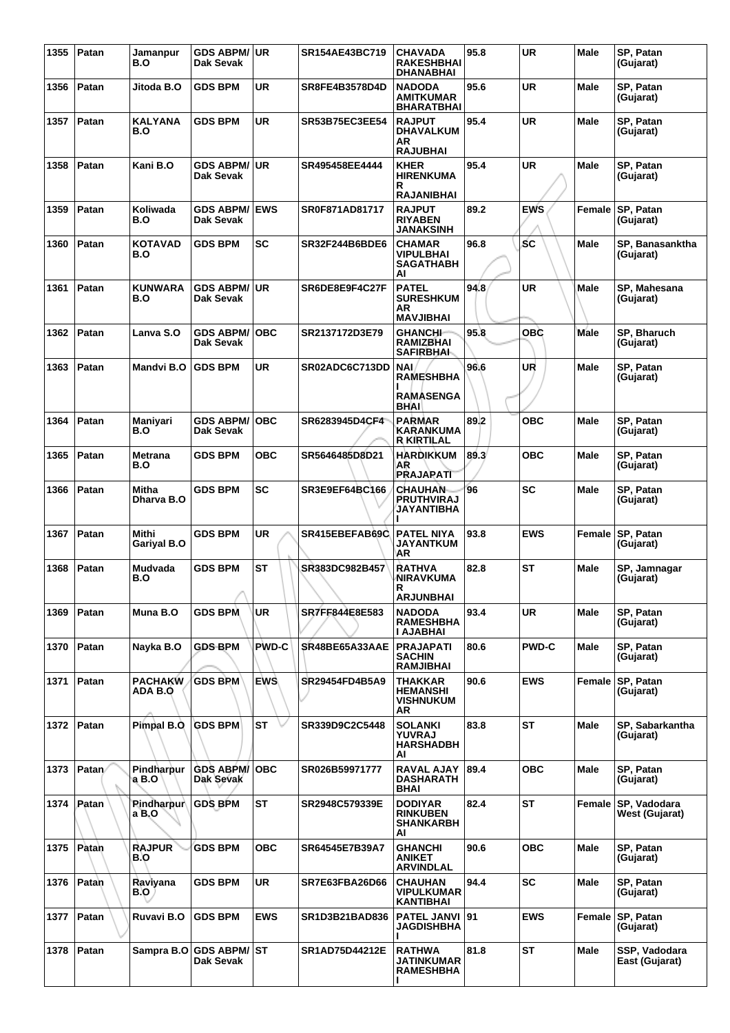| 1355 | Patan | Jamanpur<br>B.O      | GDS ABPM/UR<br>Dak Sevak          |              | SR154AE43BC719        | <b>CHAVADA</b><br><b>RAKESHBHAI</b><br><b>DHANABHAI</b>        | 95.8 | <b>UR</b>    | Male        | SP, Patan<br>(Gujarat)                |
|------|-------|----------------------|-----------------------------------|--------------|-----------------------|----------------------------------------------------------------|------|--------------|-------------|---------------------------------------|
| 1356 | Patan | Jitoda B.O           | <b>GDS BPM</b>                    | UR           | <b>SR8FE4B3578D4D</b> | <b>NADODA</b><br><b>AMITKUMAR</b><br><b>BHARATBHAI</b>         | 95.6 | <b>UR</b>    | Male        | SP, Patan<br>(Gujarat)                |
| 1357 | Patan | KALYANA<br>B.O       | <b>GDS BPM</b>                    | <b>UR</b>    | <b>SR53B75EC3EE54</b> | <b>RAJPUT</b><br><b>DHAVALKUM</b><br>ΑR<br><b>RAJUBHAI</b>     | 95.4 | UR           | Male        | SP, Patan<br>(Gujarat)                |
| 1358 | Patan | Kani B.O             | GDS ABPM/∣UR<br>Dak Sevak         |              | SR495458EE4444        | <b>KHER</b><br><b>HIRENKUMA</b><br>R<br><b>RAJANIBHAI</b>      | 95.4 | UR           | Male        | SP, Patan<br>(Gujarat)                |
| 1359 | Patan | Koliwada<br>B.O      | <b>GDS ABPM/ EWS</b><br>Dak Sevak |              | SR0F871AD81717        | <b>RAJPUT</b><br><b>RIYABEN</b><br><b>JANAKSINH</b>            | 89.2 | <b>EWS</b>   | Female      | <b>SP, Patan</b><br>(Gujarat)         |
| 1360 | Patan | KOTAVAD<br>B.O       | <b>GDS BPM</b>                    | <b>SC</b>    | <b>SR32F244B6BDE6</b> | <b>CHAMAR</b><br><b>VIPULBHAI</b><br><b>SAGATHABH</b><br>AI    | 96.8 | <b>SC</b>    | <b>Male</b> | SP, Banasanktha<br>(Gujarat)          |
| 1361 | Patan | KUNWARA<br>B.O       | <b>GDS ABPM/ UR</b><br>Dak Sevak  |              | SR6DE8E9F4C27F        | <b>PATEL</b><br><b>SURESHKUM</b><br>AR<br><b>MAVJIBHAI</b>     | 94.8 | <b>UR</b>    | Male        | SP, Mahesana<br>(Gujarat)             |
| 1362 | Patan | Lanva S.O            | <b>GDS ABPM/</b><br>Dak Sevak     | ∣OBC         | SR2137172D3E79        | <b>GHANCHI-</b><br><b>RAMIZBHAI</b><br><b>SAFIRBHAL</b>        | 95.8 | OBC          | Male        | SP, Bharuch<br>(Gujarat)              |
| 1363 | Patan | Mandvi B.O           | <b>GDS BPM</b>                    | UR           | SR02ADC6C713DD        | <b>NAI</b><br><b>RAMESHBHA</b><br><b>RAMASENGA</b>             | 96.6 | UR           | Male        | SP, Patan<br>(Gujarat)                |
| 1364 | Patan | Maniyari<br>B.O      | <b>GDS ABPM/ OBC</b><br>Dak Sevak |              | SR6283945D4CF4        | <b>BHAI</b><br><b>PARMAR</b><br>KARANKUMA<br><b>R KIRTILAL</b> | 89.2 | <b>OBC</b>   | <b>Male</b> | SP, Patan<br>(Gujarat)                |
| 1365 | Patan | Metrana<br>B.O       | <b>GDS BPM</b>                    | <b>OBC</b>   | SR5646485D8D21        | <b>HARDIKKUM</b><br>AR<br><b>PRAJAPATI</b>                     | 89.3 | <b>OBC</b>   | Male        | SP, Patan<br>(Gujarat)                |
| 1366 | Patan | Mitha<br>Dharva B.O  | <b>GDS BPM</b>                    | <b>SC</b>    | SR3E9EF64BC166        | <b>CHAUHAN</b><br>PRUTHVIRAJ<br>JAYANTIBHA                     | 96   | SC           | Male        | SP, Patan<br>(Gujarat)                |
| 1367 | Patan | Mithi<br>Gariyal B.O | <b>GDS BPM</b>                    | <b>UR</b>    | <b>SR415EBEFAB69C</b> | <b>PATEL NIYA</b><br><b>JAYANTKUM</b><br>AR                    | 93.8 | <b>EWS</b>   | Female      | <b>SP, Patan</b><br>(Gujarat)         |
| 1368 | Patan | Mudvada<br>B.O       | <b>GDS BPM</b>                    | <b>ST</b>    | <b>SR383DC982B457</b> | <b>RATHVA</b><br>NIRAVKUMA<br>R<br><b>ARJUNBHAI</b>            | 82.8 | <b>ST</b>    | <b>Male</b> | SP, Jamnagar<br>(Gujarat)             |
| 1369 | Patan | Muna B.O             | GDS BPM                           | <b>UR</b>    | SR7FF844E8E583        | <b>NADODA</b><br><b>RAMESHBHA</b><br>I AJABHAI                 | 93.4 | UR           | Male        | SP, Patan<br>(Gujarat)                |
| 1370 | Patan | Nayka B.O            | <b>GDS BPM</b>                    | <b>PWD-C</b> | SR48BE65A33AAE        | <b>PRAJAPATI</b><br><b>SACHIN</b><br><b>RAMJIBHAI</b>          | 80.6 | <b>PWD-C</b> | Male        | SP, Patan<br>(Gujarat)                |
| 1371 | Patan | PACHAKW<br>ADA B.O   | <b>GDS BPM</b>                    | <b>EWS</b>   | SR29454FD4B5A9        | THAKKAR<br><b>HEMANSHI</b><br><b>VISHNUKUM</b><br>AR           | 90.6 | <b>EWS</b>   | Female      | <b>SP, Patan</b><br>(Gujarat)         |
| 1372 | Patan | Pimpal B.O           | <b>GDS BPM</b>                    | <b>ST</b>    | SR339D9C2C5448        | <b>SOLANKI</b><br>YUVRAJ<br><b>HARSHADBH</b><br>AI             | 83.8 | ST           | Male        | SP, Sabarkantha<br>(Gujarat)          |
| 1373 | Patan | Pindharpur<br>a B.O  | <b>GDS ABPM/OBC</b><br>Dak Sevak  |              | SR026B59971777        | <b>RAVAL AJAY</b><br>DASHARATH<br>BHAI                         | 89.4 | <b>OBC</b>   | Male        | SP, Patan<br>(Gujarat)                |
| 1374 | Patan | Pindharpur<br>a B.O  | <b>GDS BPM</b>                    | <b>ST</b>    | SR2948C579339E        | <b>DODIYAR</b><br><b>RINKUBEN</b><br><b>SHANKARBH</b><br>AI    | 82.4 | <b>ST</b>    | Female      | SP, Vadodara<br><b>West (Gujarat)</b> |
| 1375 | Patan | <b>RAJPUR</b><br>B.O | <b>GDS BPM</b>                    | <b>OBC</b>   | SR64545E7B39A7        | <b>GHANCHI</b><br><b>ANIKET</b><br><b>ARVINDLAL</b>            | 90.6 | <b>OBC</b>   | <b>Male</b> | SP, Patan<br>(Gujarat)                |
| 1376 | Patan | Raviyana<br>B.O.     | <b>GDS BPM</b>                    | <b>UR</b>    | SR7E63FBA26D66        | <b>CHAUHAN</b><br><b>VIPULKUMAR</b><br><b>KANTIBHAI</b>        | 94.4 | <b>SC</b>    | Male        | SP, Patan<br>(Gujarat)                |
| 1377 | Patan | Ruvavi B.O           | <b>GDS BPM</b>                    | <b>EWS</b>   | SR1D3B21BAD836        | <b>PATEL JANVI 91</b><br>JAGDISHBHA                            |      | <b>EWS</b>   | Female      | <b>SP, Patan</b><br>(Gujarat)         |
| 1378 | Patan | Sampra B.O           | <b>GDS ABPM/ ST</b><br>Dak Sevak  |              | SR1AD75D44212E        | <b>RATHWA</b><br>JATINKUMAR<br><b>RAMESHBHA</b>                | 81.8 | <b>ST</b>    | <b>Male</b> | SSP, Vadodara<br>East (Gujarat)       |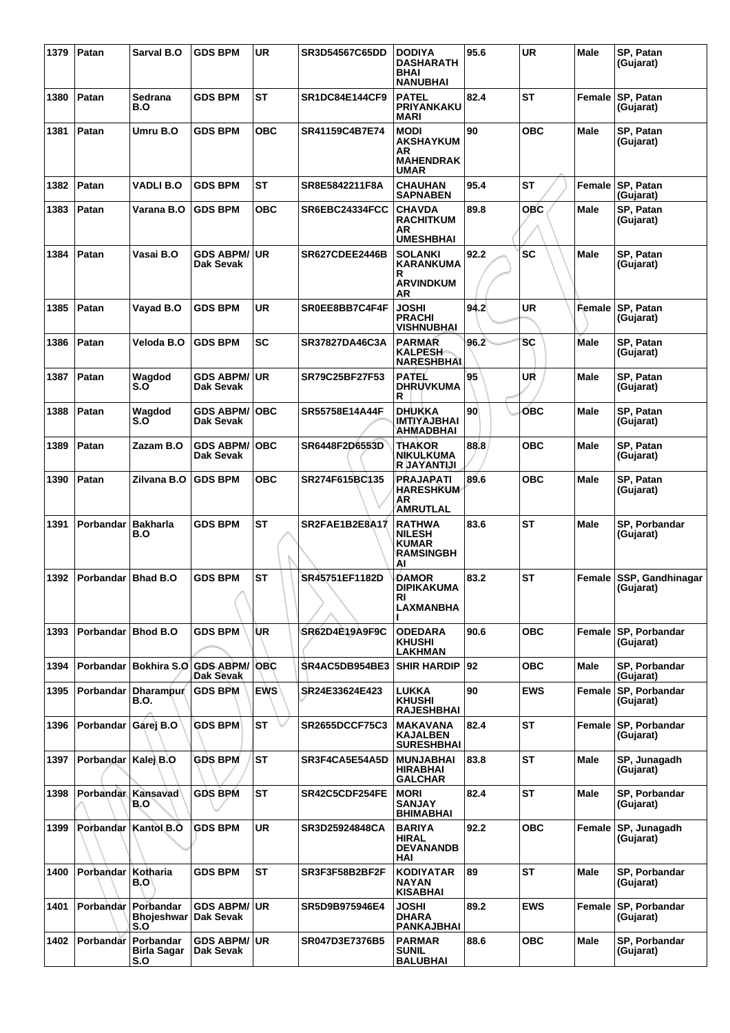| 1379 | Patan              | Sarval B.O                                        | <b>GDS BPM</b>                    | <b>UR</b>  | <b>SR3D54567C65DD</b> | <b>DODIYA</b><br><b>DASHARATH</b><br><b>BHAI</b><br><b>NANUBHAI</b>      | 95.6            | <b>UR</b>  | Male        | SP, Patan<br>(Gujarat)            |
|------|--------------------|---------------------------------------------------|-----------------------------------|------------|-----------------------|--------------------------------------------------------------------------|-----------------|------------|-------------|-----------------------------------|
| 1380 | Patan              | Sedrana<br>B.O                                    | <b>GDS BPM</b>                    | <b>ST</b>  | <b>SR1DC84E144CF9</b> | <b>PATEL</b><br>PRIYANKAKU<br><b>MARI</b>                                | 82.4            | <b>ST</b>  | Female      | SP, Patan<br>(Gujarat)            |
| 1381 | Patan              | Umru B.O                                          | <b>GDS BPM</b>                    | <b>OBC</b> | <b>SR41159C4B7E74</b> | <b>MODI</b><br><b>AKSHAYKUM</b><br>AR<br><b>MAHENDRAK</b><br><b>UMAR</b> | 90              | <b>OBC</b> | <b>Male</b> | SP, Patan<br>(Gujarat)            |
| 1382 | Patan              | <b>VADLI B.O</b>                                  | <b>GDS BPM</b>                    | <b>ST</b>  | SR8E5842211F8A        | <b>CHAUHAN</b><br><b>SAPNABEN</b>                                        | 95.4            | <b>ST</b>  | Female      | SP, Patan<br>(Gujarat)            |
| 1383 | Patan              | Varana B.O                                        | <b>GDS BPM</b>                    | <b>OBC</b> | SR6EBC24334FCC        | <b>CHAVDA</b><br><b>RACHITKUM</b><br>ΑR<br><b>UMESHBHAI</b>              | 89.8            | <b>OBC</b> | Male        | SP, Patan<br>(Gujarat)            |
| 1384 | Patan              | Vasai B.O                                         | GDS ABPM/∣UR<br>Dak Sevak         |            | SR627CDEE2446B        | <b>SOLANKI</b><br>KARANKUMA<br>R<br><b>ARVINDKUM</b><br>AR               | 92.2            | <b>SC</b>  | Male        | SP, Patan<br>(Gujarat)            |
| 1385 | Patan              | Vayad B.O                                         | <b>GDS BPM</b>                    | <b>UR</b>  | SR0EE8BB7C4F4F        | <b>JOSHI</b><br><b>PRACHI</b><br><b>VISHNUBHAI</b>                       | 94.2            | <b>UR</b>  | Female      | <b>SP, Patan</b><br>(Gujarat)     |
| 1386 | Patan              | Veloda B.O                                        | <b>GDS BPM</b>                    | <b>SC</b>  | SR37827DA46C3A        | <b>PARMAR</b><br><b>KALPESH</b><br><b>NARESHBHAI</b>                     | 96.2            | SC         | <b>Male</b> | SP, Patan<br>(Gujarat)            |
| 1387 | Patan              | Wagdod<br>S.O                                     | <b>GDS ABPM/ UR</b><br>Dak Sevak  |            | <b>SR79C25BF27F53</b> | <b>PATEL</b><br><b>DHRUVKUMA</b><br>R                                    | 95              | UR         | <b>Male</b> | SP, Patan<br>(Gujarat)            |
| 1388 | Patan              | Wagdod<br>S.O                                     | <b>GDS ABPM/ OBC</b><br>Dak Sevak |            | SR55758E14A44F        | <b>DHUKKA</b><br>IMTIYAJBHAI<br>AHMADBHAI                                | 90 <sup>°</sup> | OBC        | Male        | SP, Patan<br>(Gujarat)            |
| 1389 | Patan              | Zazam B.O                                         | <b>GDS ABPM/</b><br>Dak Sevak     | <b>OBC</b> | SR6448F2D6553D        | THAKOR<br>NIKULKUMA<br>R JAYANTIJI                                       | 88.8            | <b>OBC</b> | Male        | SP, Patan<br>(Gujarat)            |
| 1390 | Patan              | Zilvana B.O                                       | <b>GDS BPM</b>                    | <b>OBC</b> | SR274F615BC135        | PRAJAPATI<br><b>HARESHKUM</b><br>ÁR<br><b>AMRUTLAL</b>                   | 89.6            | <b>OBC</b> | <b>Male</b> | SP, Patan<br>(Gujarat)            |
| 1391 | Porbandar          | <b>Bakharla</b><br>B.O                            | <b>GDS BPM</b>                    | <b>ST</b>  | <b>SR2FAE1B2E8A17</b> | <b>RATHWA</b><br><b>NILESH</b><br><b>KUMAR</b><br><b>RAMSINGBH</b><br>ΑI | 83.6            | <b>ST</b>  | <b>Male</b> | SP, Porbandar<br>(Gujarat)        |
| 1392 | Porbandar          | Bhad B.O                                          | <b>GDS BPM</b>                    | ST         | <b>SR45751EF1182D</b> | <b>DAMOR</b><br>DIPIKAKUMA<br>κı<br><b>LAXMANBHA</b>                     | 83.2            | ST         | Female      | SSP, Gandhinagar<br>(Gujarat)     |
| 1393 | Porbandar Bhod B.O |                                                   | <b>GDS BPM</b>                    | UR         | SR62D4E19A9F9C        | <b>ODEDARA</b><br><b>KHUSHI</b><br><b>LAKHMAN</b>                        | 90.6            | <b>OBC</b> | Female      | SP, Porbandar<br>(Gujarat)        |
| 1394 | Porbandar          | Bokhira S.O                                       | <b>GDS ABPM/</b><br>Dak Sevak     | OBC        | SR4AC5DB954BE3        | <b>SHIR HARDIP</b>                                                       | 92              | <b>OBC</b> | Male        | SP, Porbandar<br>(Gujarat)        |
| 1395 | Porbandar          | Dharampur<br>B.O.                                 | <b>GDS BPM</b>                    | <b>EWS</b> | SR24E33624E423        | LUKKA<br><b>KHUSHI</b><br><b>RAJESHBHAI</b>                              | 90              | <b>EWS</b> | Female      | <b>SP, Porbandar</b><br>(Gujarat) |
| 1396 | Porbandar          | Garej B.O                                         | <b>GDS BPM</b>                    | <b>ST</b>  | <b>SR2655DCCF75C3</b> | <b>MAKAVANA</b><br><b>KAJALBEN</b><br><b>SURESHBHAI</b>                  | 82.4            | ST         | Female      | <b>SP, Porbandar</b><br>(Gujarat) |
| 1397 | Porbandar          | Kalej B.O                                         | <b>GDS BPM</b>                    | <b>ST</b>  | SR3F4CA5E54A5D        | <b>MUNJABHAI</b><br><b>HIRABHAI</b><br><b>GALCHAR</b>                    | 83.8            | <b>ST</b>  | <b>Male</b> | SP, Junagadh<br>(Gujarat)         |
| 1398 | <b>Porbandar</b>   | Kansavad<br>B.O                                   | <b>GDS BPM</b>                    | <b>ST</b>  | SR42C5CDF254FE        | <b>MORI</b><br><b>SANJAY</b><br><b>BHIMABHAI</b>                         | 82.4            | ST         | Male        | SP, Porbandar<br>(Gujarat)        |
| 1399 | <b>Porbandar</b>   | Kantol B.O                                        | <b>GDS BPM</b>                    | <b>UR</b>  | SR3D25924848CA        | <b>BARIYA</b><br><b>HIRAL</b><br><b>DEVANANDB</b><br>HAI                 | 92.2            | <b>OBC</b> | Female      | SP, Junagadh<br>(Gujarat)         |
| 1400 | Porbandar          | Kotharia<br>B.O'                                  | <b>GDS BPM</b>                    | <b>ST</b>  | SR3F3F58B2BF2F        | <b>KODIYATAR</b><br>NAYAN<br><b>KISABHAI</b>                             | 89              | <b>ST</b>  | Male        | SP, Porbandar<br>(Gujarat)        |
| 1401 | Porbandar          | Porbandar<br><b>Bhojeshwar   Dak Sevak</b><br>S.O | <b>GDS ABPM/ UR</b>               |            | SR5D9B975946E4        | JOSHI<br><b>DHARA</b><br><b>PANKAJBHAI</b>                               | 89.2            | <b>EWS</b> | Female      | <b>SP, Porbandar</b><br>(Gujarat) |
| 1402 | Porbandar          | Porbandar<br>Birla Sagar<br>S.O                   | <b>GDS ABPM/ UR</b><br>Dak Sevak  |            | SR047D3E7376B5        | <b>PARMAR</b><br><b>SUNIL</b><br><b>BALUBHAI</b>                         | 88.6            | <b>OBC</b> | Male        | SP, Porbandar<br>(Gujarat)        |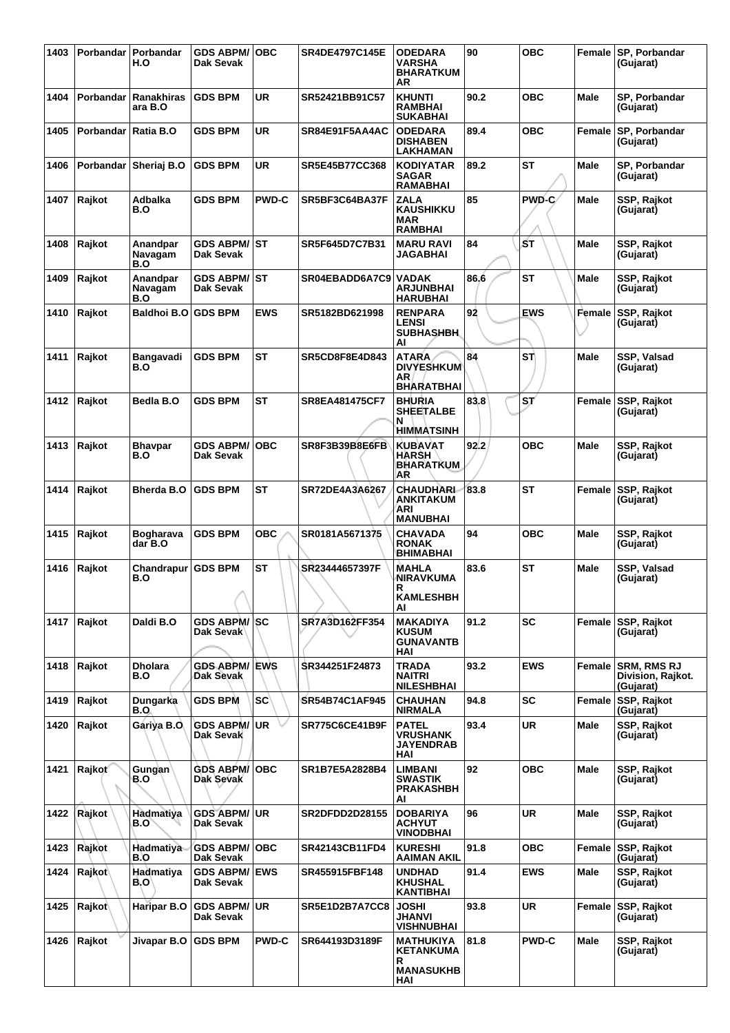| 1403 | Porbandar I | Porbandar<br>H.O            | <b>GDS ABPM/</b><br>Dak Sevak     | <b>OBC</b>   | <b>SR4DE4797C145E</b> | <b>ODEDARA</b><br>VARSHA<br><b>BHARATKUM</b><br>ΑR              | 90   | <b>OBC</b>      | Female      | <b>SP, Porbandar</b><br>(Gujarat)                    |
|------|-------------|-----------------------------|-----------------------------------|--------------|-----------------------|-----------------------------------------------------------------|------|-----------------|-------------|------------------------------------------------------|
| 1404 | Porbandar   | Ranakhiras<br>ara B.O       | <b>GDS BPM</b>                    | <b>UR</b>    | SR52421BB91C57        | <b>KHUNTI</b><br><b>RAMBHAI</b><br>SUKABHAI                     | 90.2 | <b>OBC</b>      | <b>Male</b> | SP, Porbandar<br>(Gujarat)                           |
| 1405 | Porbandar   | Ratia B.O                   | <b>GDS BPM</b>                    | UR           | SR84E91F5AA4AC        | <b>ODEDARA</b><br><b>DISHABEN</b><br>LAKHAMAN                   | 89.4 | ОВС             | Female      | SP, Porbandar<br>(Gujarat)                           |
| 1406 | Porbandar   | Sheriaj B.O                 | <b>GDS BPM</b>                    | UR           | SR5E45B77CC368        | <b>KODIYATAR</b><br><b>SAGAR</b><br>RAMABHAI                    | 89.2 | <b>ST</b>       | Male        | SP, Porbandar<br>(Gujarat)                           |
| 1407 | Rajkot      | Adbalka<br>B.O              | <b>GDS BPM</b>                    | <b>PWD-C</b> | SR5BF3C64BA37F        | ZALA<br>KAUSHIKKU<br><b>MAR</b><br><b>RAMBHAI</b>               | 85   | PWD-C/          | <b>Male</b> | SSP, Rajkot<br>(Gujarat)                             |
| 1408 | Rajkot      | Anandpar<br>Navagam<br>B.O  | <b>GDS ABPM/ ST</b><br>Dak Sevak  |              | SR5F645D7C7B31        | <b>MARU RAVI</b><br>JAGABHAI                                    | 84   | ۱ŚТ             | <b>Male</b> | SSP, Rajkot<br>(Gujarat)                             |
| 1409 | Rajkot      | Anandpar<br>Navagam<br>B.O  | <b>GDS ABPM/ ST</b><br>Dak Sevak  |              | SR04EBADD6A7C9        | <b>VADAK</b><br>ARJUNBHAI<br><b>HARUBHAI</b>                    | 86.6 | <b>ST</b>       | <b>Male</b> | SSP, Rajkot<br>(Gujarat)                             |
| 1410 | Rajkot      | Baldhoi B.O                 | <b>GDS BPM</b>                    | <b>EWS</b>   | SR5182BD621998        | <b>RENPARA</b><br><b>LENSI</b><br><b>SUBHASHBH</b><br>Al        | 92   | <b>EWS</b>      | Female      | SSP, Rajkot<br>(Gujarat)                             |
| 1411 | Rajkot      | Bangavadi<br>B.O            | <b>GDS BPM</b>                    | <b>ST</b>    | <b>SR5CD8F8E4D843</b> | <b>ATARA</b><br><b>DIVYESHKUM</b><br>ΑR<br><b>BHARATBHAI</b>    | 84   | <b>ST</b>       | Male        | SSP, Valsad<br>(Gujarat)                             |
| 1412 | Rajkot      | Bedla B.O                   | <b>GDS BPM</b>                    | <b>ST</b>    | <b>SR8EA481475CF7</b> | <b>BHURIA</b><br><b>SHEETALBE</b><br>N<br>HIMMATSINH            | 83.8 | ST <sup>/</sup> | Female      | SSP, Rajkot<br>(Gujarat)                             |
| 1413 | Rajkot      | <b>Bhavpar</b><br>B.O       | <b>GDS ABPM/</b><br>Dak Sevak     | <b>OBC</b>   | SR8F3B39B8E6FB        | <b>KUBAVAT</b><br>HARSH<br><b>BHARATKUM</b><br><b>AR</b>        | 92.2 | ОВС             | Male        | SSP, Rajkot<br>(Gujarat)                             |
| 1414 | Rajkot      | <b>Bherda B.O</b>           | <b>GDS BPM</b>                    | <b>ST</b>    | SR72DE4A3A6267        | CHAUDHARL<br>ANKITAKUM<br>ARI<br><b>MANUBHAI</b>                | 83.8 | ST              | Female      | SSP, Rajkot<br>(Gujarat)                             |
| 1415 | Rajkot      | <b>Bogharava</b><br>dar B.O | <b>GDS BPM</b>                    | овс          | SR0181A5671375        | <b>CHAVADA</b><br><b>RONAK</b><br><b>BHIMABHAI</b>              | 94   | ОВС             | Male        | SSP, Rajkot<br>(Gujarat)                             |
| 1416 | Rajkot      | Chandrapur<br>B.O           | <b>GDS BPM</b>                    | <b>ST</b>    | SR23444657397F        | <b>MAHLA</b><br><b>NIRAVKUMA</b><br>R<br><b>KAMLESHBH</b><br>AI | 83.6 | <b>ST</b>       | Male        | SSP, Valsad<br>(Gujarat)                             |
| 1417 | Rajkot      | Daldi B.O                   | <b>GDS ABPM/ SC</b><br>Dak Sevak  |              | SR7A3D162FF354        | MAKADIYA<br><b>KUSUM</b><br><b>GUNAVANTB</b><br>HAI             | 91.2 | <b>SC</b>       |             | Female SSP, Rajkot<br>(Gujarat)                      |
| 1418 | Rajkot      | <b>Dholara</b><br>B.O       | <b>GDS ABPM/</b><br>Dak Sevak     | <b>EWS</b>   | SR344251F24873        | TRADA<br>NAITRI<br><b>NILESHBHAI</b>                            | 93.2 | <b>EWS</b>      | Female      | <b>SRM. RMS RJ</b><br>Division, Rajkot.<br>(Gujarat) |
| 1419 | Rajkot      | Dungarka<br>B.O             | <b>GDS BPM</b>                    | <b>SC</b>    | SR54B74C1AF945        | <b>CHAUHAN</b><br><b>NIRMALA</b>                                | 94.8 | <b>SC</b>       | Female      | <b>SSP, Rajkot</b><br>(Gujarat)                      |
| 1420 | Rajkot      | Gáriya B.O.                 | <b>GDS ABPM/</b><br>Dak Sevak     | <b>UR</b>    | <b>SR775C6CE41B9F</b> | <b>PATEL</b><br><b>VRUSHANK</b><br><b>JAYENDRAB</b><br>HAI      | 93.4 | <b>UR</b>       | Male        | SSP, Rajkot<br>(Gujarat)                             |
| 1421 | Rajkot      | Gungan<br>B.O               | <b>GDS ABPM/</b><br>Dak Sevak     | <b>OBC</b>   | SR1B7E5A2828B4        | LIMBANI<br>SWASTIK<br>PRAKASHBH<br>AI                           | 92   | <b>OBC</b>      | Male        | SSP, Rajkot<br>(Gujarat)                             |
| 1422 | Rajkot      | Hadmatiya<br>B.O`           | <b>GDS ABPM/ UR</b><br>Dak Sevak  |              | <b>SR2DFDD2D28155</b> | <b>DOBARIYA</b><br><b>ACHYUT</b><br><b>VINODBHAI</b>            | 96   | UR.             | Male        | SSP, Rajkot<br>(Gujarat)                             |
| 1423 | Rajkot      | Hadmatiya<br>B.O            | <b>GDS ABPM/</b><br>Dak Sevak     | <b>OBC</b>   | SR42143CB11FD4        | <b>KURESHI</b><br>AAIMAN AKIL                                   | 91.8 | <b>OBC</b>      | Female      | SSP, Rajkot<br>(Gujarat)                             |
| 1424 | Rajkot      | Hadmatiya<br>B.O'           | <b>GDS ABPM/ EWS</b><br>Dak Sevak |              | SR455915FBF148        | <b>UNDHAD</b><br><b>KHUSHAL</b><br>KANTIBHAI                    | 91.4 | <b>EWS</b>      | Male        | SSP, Rajkot<br>(Gujarat)                             |
| 1425 | Rajkot      | Haripar B.O                 | <b>GDS ABPM/</b><br>Dak Sevak     | UR.          | SR5E1D2B7A7CC8        | <b>JOSHI</b><br>JHANVI<br><b>VISHNUBHAI</b>                     | 93.8 | <b>UR</b>       | Female      | SSP, Rajkot<br>(Gujarat)                             |
| 1426 | Rajkot      | Jivapar B.O                 | <b>GDS BPM</b>                    | <b>PWD-C</b> | SR644193D3189F        | MATHUKIYA<br><b>KETANKUMA</b><br>R<br><b>MANASUKHB</b><br>HAI   | 81.8 | <b>PWD-C</b>    | Male        | SSP, Rajkot<br>(Gujarat)                             |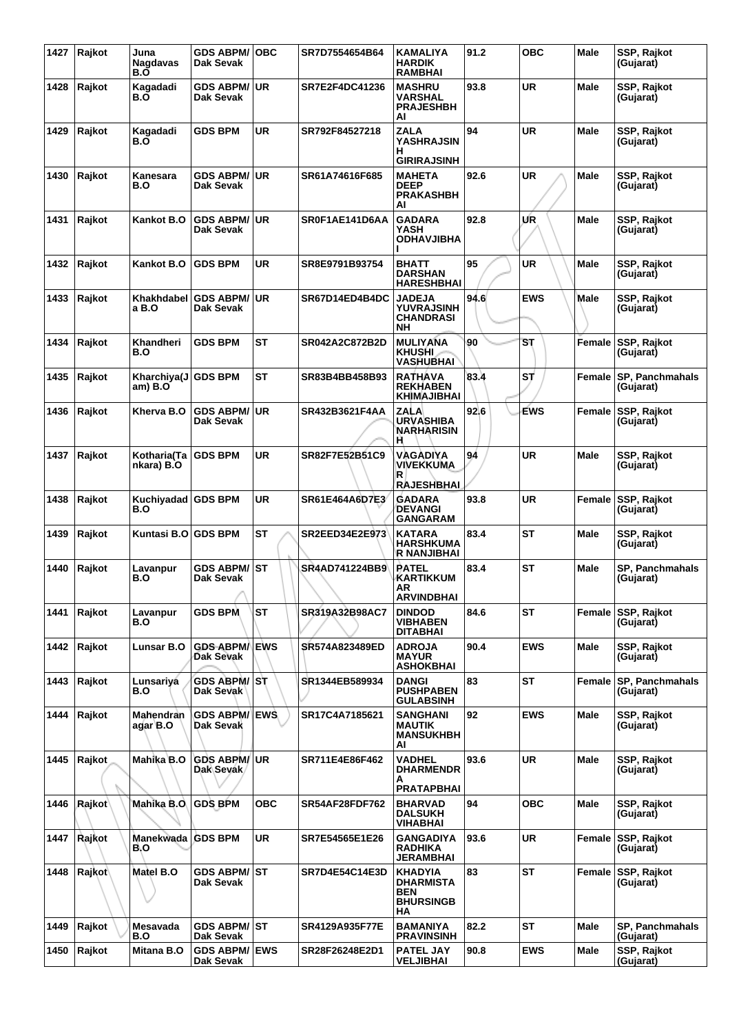| 1427 | Rajkot | Juna<br><b>Nagdavas</b><br>B.Õ | <b>GDS ABPM/</b><br>Dak Sevak     | ∣OBC       | SR7D7554654B64        | <b>KAMALIYA</b><br><b>HARDIK</b><br><b>RAMBHAI</b>                  | 91.2 | <b>OBC</b> | Male        | SSP, Rajkot<br>(Gujarat)            |
|------|--------|--------------------------------|-----------------------------------|------------|-----------------------|---------------------------------------------------------------------|------|------------|-------------|-------------------------------------|
| 1428 | Rajkot | Kagadadi<br>B.O                | <b>GDS ABPM/</b><br>Dak Sevak     | ∣UR        | SR7E2F4DC41236        | <b>MASHRU</b><br><b>VARSHAL</b><br><b>PRAJESHBH</b><br>AI           | 93.8 | <b>UR</b>  | Male        | SSP, Rajkot<br>(Gujarat)            |
| 1429 | Rajkot | Kagadadi<br>B.O                | <b>GDS BPM</b>                    | <b>UR</b>  | SR792F84527218        | <b>ZALA</b><br><b>YASHRAJSIN</b><br>н<br><b>GIRIRAJSINH</b>         | 94   | <b>UR</b>  | Male        | SSP, Rajkot<br>(Gujarat)            |
| 1430 | Rajkot | Kanesara<br>B.O                | <b>GDS ABPM/UR</b><br>Dak Sevak   |            | SR61A74616F685        | <b>MAHETA</b><br><b>DEEP</b><br><b>PRAKASHBH</b><br>Al              | 92.6 | <b>UR</b>  | Male        | SSP, Rajkot<br>(Gujarat)            |
| 1431 | Rajkot | Kankot B.O                     | <b>GDS ABPM/</b><br>Dak Sevak     | UR         | SR0F1AE141D6AA        | <b>GADARA</b><br>YASH<br><b>ODHAVJIBHA</b>                          | 92.8 | UR         | Male        | SSP, Rajkot<br>(Gujarat)            |
| 1432 | Rajkot | Kankot B.O                     | <b>GDS BPM</b>                    | UR         | SR8E9791B93754        | <b>BHATT</b><br><b>DARSHAN</b><br><b>HARESHBHAI</b>                 | 95   | UR         | <b>Male</b> | SSP, Rajkot<br>(Gujarat)            |
| 1433 | Rajkot | Khakhdabel<br>a B.O            | <b>GDS ABPM/</b><br>Dak Sevak     | UR.        | SR67D14ED4B4DC        | <b>JADEJA</b><br><b>YUVRAJSINH</b><br><b>CHANDRASI</b><br><b>NH</b> | 94.6 | <b>EWS</b> | Male        | SSP, Rajkot<br>(Gujarat)            |
| 1434 | Rajkot | Khandheri<br>B.O               | <b>GDS BPM</b>                    | <b>ST</b>  | <b>SR042A2C872B2D</b> | <b>MULIYANA</b><br><b>KHUSHI</b><br><b>VASHUBHAI</b>                | 90   | SТ         | Female      | <b>SSP, Rajkot</b><br>(Gujarat)     |
| 1435 | Rajkot | Kharchiya(J<br>am) B.O         | <b>GDS BPM</b>                    | <b>ST</b>  | SR83B4BB458B93        | <b>RATHAVA</b><br><b>REKHABEN</b><br><b>KHIMAJIBHAI</b>             | 83.4 | ST         | Female      | <b>SP, Panchmahals</b><br>(Gujarat) |
| 1436 | Rajkot | Kherva B.O                     | <b>GDS ABPM/</b><br>Dak Sevak     | ∣UR        | SR432B3621F4AA        | <b>ZALA</b><br><b>URVASHIBA</b><br><b>NARHARISIN</b><br>н           | 92.6 | EWS        | Female      | <b>SSP, Rajkot</b><br>(Gujarat)     |
| 1437 | Rajkot | Kotharia(Ta  <br>nkara) B.O    | <b>GDS BPM</b>                    | <b>UR</b>  | SR82F7E52B51C9        | VAGADIYA<br><b>VIVEKKUMA</b><br>R<br><b>RAJESHBHAI</b>              | 94   | <b>UR</b>  | Male        | SSP, Rajkot<br>(Gujarat)            |
| 1438 | Rajkot | Kuchiyadad GDS BPM<br>B.O      |                                   | UR         | SR61E464A6D7E3        | <b>GADARA</b><br><b>DEVANGI</b><br><b>GANGARAM</b>                  | 93.8 | <b>UR</b>  | Female      | <b>SSP, Rajkot</b><br>(Gujarat)     |
| 1439 | Rajkot | Kuntasi B.O                    | <b>GDS BPM</b>                    | <b>ST</b>  | SR2EED34E2E973        | <b>KATARA</b><br><b>HARSHKUMA</b><br><b>R NANJIBHAI</b>             | 83.4 | <b>ST</b>  | Male        | SSP, Rajkot<br>(Gujarat)            |
| 1440 | Rajkot | Lavanpur<br>B.O                | GDS ABPM/│ST<br>Dak Sevak         |            | <b>SR4AD741224BB9</b> | <b>PATEL</b><br>KARTIKKUM<br>AR<br><b>ARVINDBHAI</b>                | 83.4 | <b>ST</b>  | Male        | SP, Panchmahals<br>(Gujarat)        |
| 1441 | Rajkot | Lavanpur<br>B.O                | <b>GDS BPM</b>                    | <b>ST</b>  | SR319A32B98AC7        | <b>DINDOD</b><br><b>VIBHABEN</b><br><b>DITABHAI</b>                 | 84.6 | ST         | Female      | <b>SSP, Rajkot</b><br>(Gujarat)     |
| 1442 | Rajkot | <b>Lunsar B.O</b>              | <b>GDS ABPM/ EWS</b><br>Dak Sevak |            | SR574A823489ED        | <b>ADROJA</b><br><b>MAYUR</b><br><b>ASHOKBHAI</b>                   | 90.4 | <b>EWS</b> | Male        | SSP, Rajkot<br>(Gujarat)            |
| 1443 | Rajkot | Lunsariya<br>B.O               | GDS ABPM/ST<br>Dak Sevak          |            | SR1344EB589934        | <b>DANGI</b><br><b>PUSHPABEN</b><br><b>GULABSINH</b>                | 83   | <b>ST</b>  | Female      | <b>SP, Panchmahals</b><br>(Gujarat) |
| 1444 | Rajkot | Mahendran<br>agar B.O          | <b>GDS ABPM/ EWS</b><br>Dak Sevak |            | SR17C4A7185621        | <b>SANGHANI</b><br><b>MAUTIK</b><br><b>MANSUKHBH</b><br>AI          | 92   | <b>EWS</b> | <b>Male</b> | <b>SSP, Rajkot</b><br>(Gujarat)     |
| 1445 | Rajkot | Mahika B.O                     | <b>GDS ABPM/ UR</b><br>Dak Sevak  |            | SR711E4E86F462        | <b>VADHEL</b><br><b>DHARMENDR</b><br>А<br><b>PRATAPBHAI</b>         | 93.6 | <b>UR</b>  | Male        | SSP, Rajkot<br>(Gujarat)            |
| 1446 | Rajkot | Mahika B.O                     | <b>GDS BPM</b>                    | <b>OBC</b> | <b>SR54AF28FDF762</b> | <b>BHARVAD</b><br><b>DALSUKH</b><br>VIHABHAI                        | 94   | <b>OBC</b> | <b>Male</b> | SSP, Rajkot<br>(Gujarat)            |
| 1447 | Rajkot | Manekwada<br>B.O               | <b>GDS BPM</b>                    | <b>UR</b>  | SR7E54565E1E26        | <b>GANGADIYA</b><br><b>RADHIKA</b><br><b>JERAMBHAI</b>              | 93.6 | <b>UR</b>  | Female      | <b>SSP, Rajkot</b><br>(Gujarat)     |
| 1448 | Rajkot | Matel B.O                      | GDS ABPM/ST<br>Dak Sevak          |            | <b>SR7D4E54C14E3D</b> | KHADYIA<br><b>DHARMISTA</b><br><b>BEN</b><br><b>BHURSINGB</b><br>НA | 83   | <b>ST</b>  |             | Female SSP, Rajkot<br>(Gujarat)     |
| 1449 | Rajkot | Mesavada<br>B.O                | <b>GDS ABPM/ ST</b><br>Dak Sevak  |            | SR4129A935F77E        | <b>BAMANIYA</b><br><b>PRAVINSINH</b>                                | 82.2 | <b>ST</b>  | Male        | SP, Panchmahals<br>(Gujarat)        |
| 1450 | Rajkot | Mitana B.O                     | <b>GDS ABPM/ EWS</b><br>Dak Sevak |            | SR28F26248E2D1        | <b>PATEL JAY</b><br><b>VELJIBHAI</b>                                | 90.8 | <b>EWS</b> | <b>Male</b> | SSP, Rajkot<br>(Gujarat)            |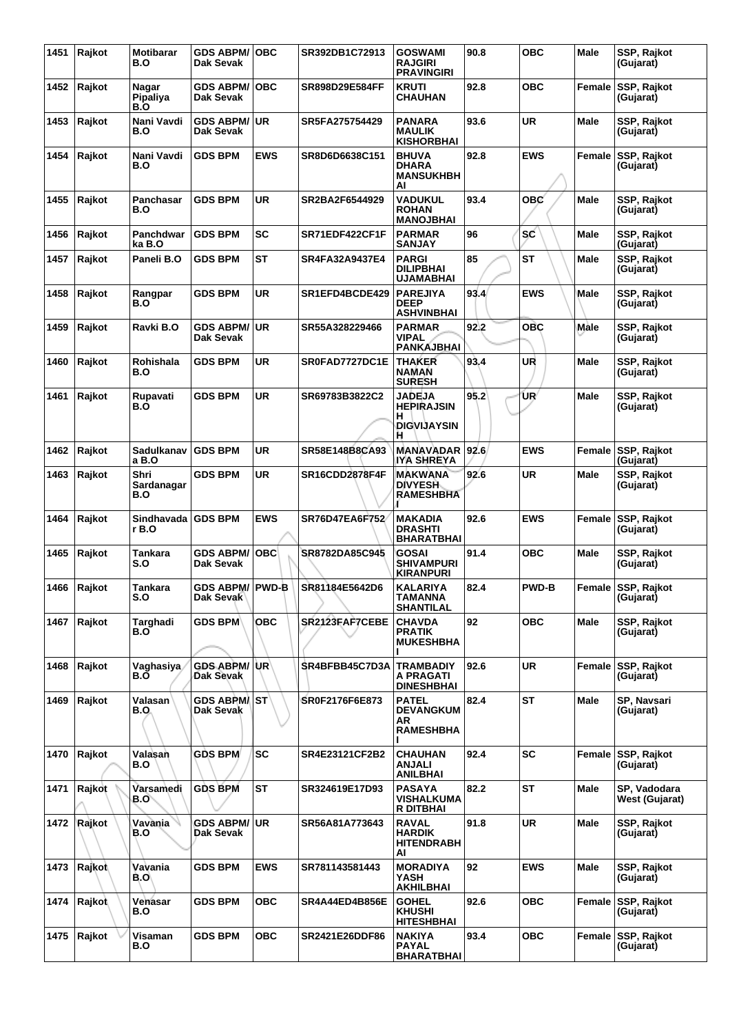| 1451 | Rajkot | Motibarar<br>B.O          | <b>GDS ABPM/</b><br>Dak Sevak    | ∣OBC       | SR392DB1C72913        | <b>GOSWAMI</b><br><b>RAJGIRI</b><br><b>PRAVINGIRI</b>       | 90.8 | <b>OBC</b>   | Male        | SSP, Rajkot<br>(Gujarat)              |
|------|--------|---------------------------|----------------------------------|------------|-----------------------|-------------------------------------------------------------|------|--------------|-------------|---------------------------------------|
| 1452 | Rajkot | Nagar<br>Pipaliya<br>B.O  | <b>GDS ABPM/</b><br>Dak Sevak    | <b>OBC</b> | SR898D29E584FF        | <b>KRUTI</b><br>CHAUHAN                                     | 92.8 | ОВС          | Female      | <b>SSP, Rajkot</b><br>(Gujarat)       |
| 1453 | Rajkot | Nani Vavdi<br>B.O         | <b>GDS ABPM/ UR</b><br>Dak Sevak |            | SR5FA275754429        | <b>PANARA</b><br><b>MAULIK</b><br><b>KISHORBHAI</b>         | 93.6 | UR           | Male        | SSP, Rajkot<br>(Gujarat)              |
| 1454 | Rajkot | Nani Vavdi<br>B.O         | <b>GDS BPM</b>                   | <b>EWS</b> | SR8D6D6638C151        | <b>BHUVA</b><br><b>DHARA</b><br><b>MANSUKHBH</b><br>Al      | 92.8 | <b>EWS</b>   |             | Female SSP, Rajkot<br>(Gujarat)       |
| 1455 | Rajkot | Panchasar<br>B.O          | <b>GDS BPM</b>                   | <b>UR</b>  | SR2BA2F6544929        | <b>VADUKUL</b><br><b>ROHAN</b><br><b>MANOJBHAI</b>          | 93.4 | овс          | Male        | SSP, Rajkot<br>(Gujarat)              |
| 1456 | Rajkot | Panchdwar<br>ka B.O       | <b>GDS BPM</b>                   | SC         | SR71EDF422CF1F        | <b>PARMAR</b><br>SANJAY                                     | 96   | <b>SC</b>    | Male        | SSP, Rajkot<br>(Gujarat)              |
| 1457 | Rajkot | Paneli B.O                | <b>GDS BPM</b>                   | <b>ST</b>  | <b>SR4FA32A9437E4</b> | <b>PARGI</b><br><b>DILIPBHAI</b><br>UJAMABHAI               | 85   | <b>ST</b>    | Male        | SSP, Rajkot<br>(Gujarat)              |
| 1458 | Rajkot | Rangpar<br>B.O            | <b>GDS BPM</b>                   | <b>UR</b>  | SR1EFD4BCDE429        | <b>PAREJIYA</b><br><b>DEEP</b><br><b>ASHVINBHAI</b>         | 93.4 | <b>EWS</b>   | Male        | SSP, Rajkot<br>(Gujarat)              |
| 1459 | Rajkot | Ravki B.O                 | <b>GDS ABPM/</b><br>Dak Sevak    | ∣UR        | SR55A328229466        | <b>PARMAR</b><br><b>VIPAL</b><br><b>PANKAJBHAI</b>          | 92.2 | <b>OBC</b>   | Male        | SSP, Rajkot<br>(Gujarat)              |
| 1460 | Rajkot | Rohishala<br>B.O          | <b>GDS BPM</b>                   | <b>UR</b>  | SR0FAD7727DC1E        | <b>THAKER</b><br><b>NAMAN</b><br><b>SURESH</b>              | 93.4 | UR           | Male        | SSP, Rajkot<br>(Gujarat)              |
| 1461 | Rajkot | Rupavati<br>B.O           | <b>GDS BPM</b>                   | <b>UR</b>  | SR69783B3822C2        | JADEJA<br><b>HEPIRAJSIN</b><br>н<br><b>DIGVIJAYSIN</b><br>н | 95.2 | ŪR           | Male        | SSP, Rajkot<br>(Gujarat)              |
| 1462 | Rajkot | Sadulkanav<br>a B.O       | <b>GDS BPM</b>                   | UR         | SR58E148B8CA93        | <b>MANAVADAR</b><br>IYA SHREYA                              | 92.6 | <b>EWS</b>   |             | Female SSP, Rajkot<br>(Gujarat)       |
| 1463 | Rajkot | Shri<br>Sardanagar<br>B.O | <b>GDS BPM</b>                   | UR         | <b>SR16CDD2878F4F</b> | <b>MAKWANA</b><br><b>DIVYESH</b><br><b>RAMESHBHA</b>        | 92.6 | UR           | Male        | SSP, Rajkot<br>(Gujarat)              |
| 1464 | Rajkot | Sindhavada<br>r B.O       | <b>GDS BPM</b>                   | <b>EWS</b> | SR76D47EA6F752        | MAKADIA<br><b>DRASHTI</b><br><b>BHARATBHAI</b>              | 92.6 | <b>EWS</b>   | Female      | <b>SSP, Rajkot</b><br>(Gujarat)       |
| 1465 | Rajkot | Tankara<br>S.O            | <b>GDS ABPM/</b><br>Dak Sevak    | <b>OBC</b> | SR8782DA85C945        | <b>GOSAI</b><br><b>SHIVAMPURI</b><br>KIRANPURI              | 91.4 | <b>OBC</b>   | Male        | SSP, Rajkot<br>(Gujarat)              |
| 1466 | Rajkot | Tankara<br>ວ.ບ            | GDS ABPM/ PWD-B<br>рак эеvак     |            | SR81184E5642D6        | KALARIYA<br><b>I AMANNA</b><br><b>SHANTILAL</b>             | 82.4 | <b>PWD-B</b> |             | Female SSP, Rajkot<br>(Gujarat)       |
| 1467 | Rajkot | Targhadi<br>B.O           | <b>GDS BPM</b>                   | ОВС        | SR2123FAF7CEBE        | <b>CHAVDA</b><br><b>PRATIK</b><br><b>MUKESHBHA</b>          | 92   | <b>OBC</b>   | Male        | SSP, Rajkot<br>(Gujarat)              |
| 1468 | Rajkot | Vaghasiya<br>B.O          | <b>GDS ABPM/ UR</b><br>Dak Sevak |            | SR4BFBB45C7D3A        | <b>TRAMBADIY</b><br>A PRAGATI<br><b>DINESHBHAI</b>          | 92.6 | <b>UR</b>    |             | Female SSP, Rajkot<br>(Gujarat)       |
| 1469 | Rajkot | Valasan ˈ<br>B.O          | GDS ABPM/ST<br>Dak Sevak         |            | SR0F2176F6E873        | <b>PATEL</b><br><b>DEVANGKUM</b><br>AR<br><b>RAMESHBHA</b>  | 82.4 | <b>ST</b>    | Male        | SP, Navsari<br>(Gujarat)              |
| 1470 | Rajkot | Valasan<br>B.O            | <b>GDS BPM</b>                   | <b>SC</b>  | SR4E23121CF2B2        | <b>CHAUHAN</b><br>ANJALI<br><b>ANILBHAI</b>                 | 92.4 | <b>SC</b>    |             | Female SSP, Rajkot<br>(Gujarat)       |
| 1471 | Rajkot | Varsamedi<br>B.O`         | <b>GDS BPM</b>                   | <b>ST</b>  | SR324619E17D93        | <b>PASAYA</b><br>VISHALKUMA<br>R DITBHAI                    | 82.2 | <b>ST</b>    | Male        | SP, Vadodara<br><b>West (Gujarat)</b> |
| 1472 | Rajkot | Vavānia<br>B.O            | <b>GDS ABPM/UR</b><br>Dak Sevak  |            | SR56A81A773643        | <b>RAVAL</b><br><b>HARDIK</b><br><b>HITENDRABH</b><br>AI    | 91.8 | <b>UR</b>    | <b>Male</b> | SSP, Rajkot<br>(Gujarat)              |
| 1473 | Rajkot | Vavania<br>B.O\           | <b>GDS BPM</b>                   | <b>EWS</b> | SR781143581443        | <b>MORADIYA</b><br>YASH<br><b>AKHILBHAI</b>                 | 92   | <b>EWS</b>   | Male        | SSP, Rajkot<br>(Gujarat)              |
| 1474 | Rajkot | Venasar<br>B.O            | <b>GDS BPM</b>                   | <b>OBC</b> | SR4A44ED4B856E        | <b>GOHEL</b><br><b>KHUSHI</b><br><b>HITESHBHAI</b>          | 92.6 | <b>OBC</b>   |             | Female SSP, Rajkot<br>(Gujarat)       |
| 1475 | Rajkot | Visaman<br>B.O            | <b>GDS BPM</b>                   | <b>OBC</b> | SR2421E26DDF86        | <b>NAKIYA</b><br><b>PAYAL</b><br><b>BHARATBHAI</b>          | 93.4 | <b>OBC</b>   |             | Female SSP, Rajkot<br>(Gujarat)       |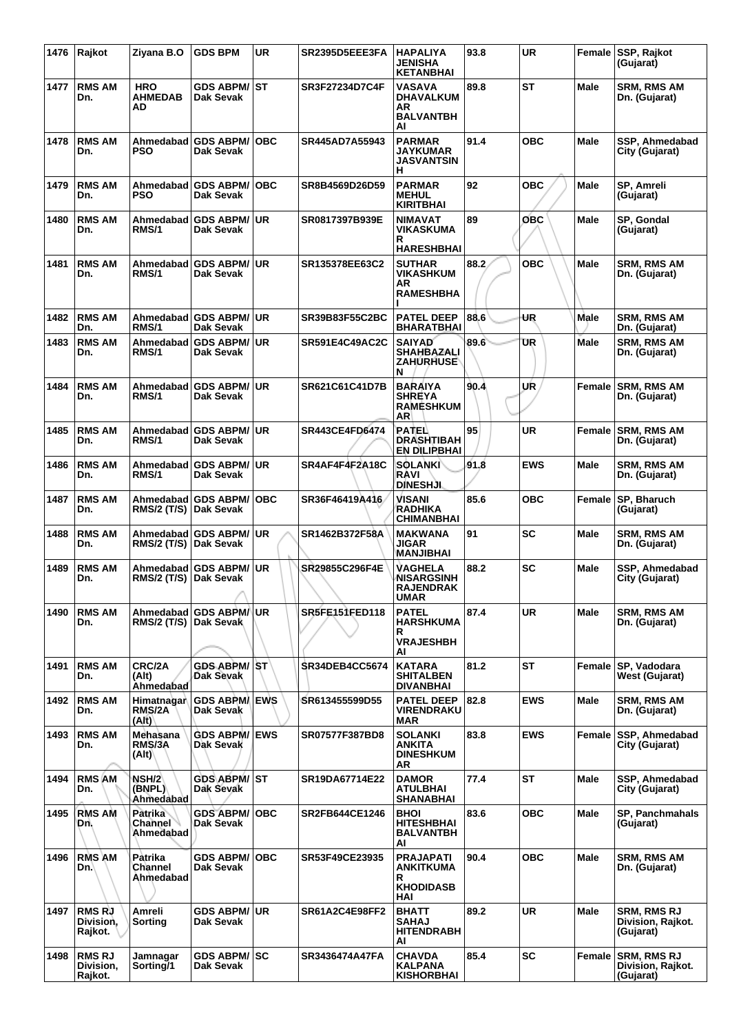| 1476 | Rajkot                                | Ziyana B.O                         | <b>GDS BPM</b>                       | <b>UR</b>  | SR2395D5EEE3FA        | <b>HAPALIYA</b><br><b>JENISHA</b><br><b>KETANBHAI</b>            | 93.8 | <b>UR</b>  |             | Female SSP, Rajkot<br>(Gujarat)                      |
|------|---------------------------------------|------------------------------------|--------------------------------------|------------|-----------------------|------------------------------------------------------------------|------|------------|-------------|------------------------------------------------------|
| 1477 | <b>RMS AM</b><br>Dn.                  | <b>HRO</b><br><b>AHMEDAB</b><br>AD | <b>GDS ABPM/ ST</b><br>Dak Sevak     |            | SR3F27234D7C4F        | <b>VASAVA</b><br>DHAVALKUM<br>AR<br><b>BALVANTBH</b><br>AI       | 89.8 | ST         | <b>Male</b> | <b>SRM, RMS AM</b><br>Dn. (Gujarat)                  |
| 1478 | <b>RMS AM</b><br>Dn.                  | Ahmedabad<br>PSO                   | <b>GDS ABPM/</b><br>Dak Sevak        | <b>OBC</b> | SR445AD7A55943        | <b>PARMAR</b><br><b>JAYKUMAR</b><br><b>JASVANTSIN</b><br>н       | 91.4 | <b>OBC</b> | <b>Male</b> | SSP, Ahmedabad<br>City (Gujarat)                     |
| 1479 | <b>RMS AM</b><br>Dn.                  | PSO                                | Ahmedabad GDS ABPM/<br>Dak Sevak     | <b>OBC</b> | SR8B4569D26D59        | <b>PARMAR</b><br><b>MEHUL</b><br><b>KIRITBHAI</b>                | 92   | <b>OBC</b> | <b>Male</b> | SP, Amreli<br>(Gujarat)                              |
| 1480 | <b>RMS AM</b><br>Dn.                  | Ahmedabad<br>RMS/1                 | <b>GDS ABPM/</b><br>Dak Sevak        | ∣UR        | SR0817397B939E        | <b>NIMAVAT</b><br>VIKASKUMA<br>R<br><b>HARESHBHAI</b>            | 89   | овс        | <b>Male</b> | SP, Gondal<br>(Gujarat)                              |
| 1481 | <b>RMS AM</b><br>Dn.                  | Ahmedabad<br>RMS/1                 | <b>GDS ABPM/ UR</b><br>Dak Sevak     |            | SR135378EE63C2        | <b>SUTHAR</b><br><b>VIKASHKUM</b><br>AR<br><b>RAMESHBHA</b>      | 88.2 | <b>OBC</b> | <b>Male</b> | <b>SRM, RMS AM</b><br>Dn. (Gujarat)                  |
| 1482 | <b>RMS AM</b><br>Dn.                  | RMS/1                              | Ahmedabad GDS ABPM/UR<br>Dak Sevak   |            | SR39B83F55C2BC        | <b>PATEL DEEP</b><br><b>BHARATBHAI</b>                           | 88.6 | UR         | <b>Male</b> | <b>SRM, RMS AM</b><br>Dn. (Gujarat)                  |
| 1483 | <b>RMS AM</b><br>Dn.                  | Ahmedabad<br>RMS/1                 | <b>GDS ABPM/ UR</b><br>Dak Sevak     |            | <b>SR591E4C49AC2C</b> | <b>SAIYAD</b><br><b>SHAHBAZALI</b><br><b>ZAHURHUSE</b><br>N      | 89.6 | UR         | Male        | <b>SRM, RMS AM</b><br>Dn. (Gujarat)                  |
| 1484 | <b>RMS AM</b><br>Dn.                  | Ahmedabad<br>RMS/1                 | <b>GDS ABPM/ UR</b><br>Dak Sevak     |            | SR621C61C41D7B        | <b>BARAIYA</b><br><b>SHREYA</b><br><b>RAMESHKUM</b><br><b>AR</b> | 90.4 | UR         | Female      | <b>SRM. RMS AM</b><br>Dn. (Gujarat)                  |
| 1485 | <b>RMS AM</b><br>Dn.                  | Ahmedabad<br>RMS/1                 | <b>GDS ABPM/ UR</b><br>Dak Sevak     |            | <b>SR443CE4FD6474</b> | PATEL<br><b>DRASHTIBAH</b><br><b>EN DILIPBHAI</b>                | 95   | <b>UR</b>  | Female      | <b>SRM, RMS AM</b><br>Dn. (Gujarat)                  |
| 1486 | <b>RMS AM</b><br>Dn.                  | RMS/1                              | Ahmedabad GDS ABPM/UR<br>Dak Sevak   |            | SR4AF4F4F2A18C        | <b>SOLANKI</b><br>RAVI<br><b>DINESHJI</b>                        | 91.8 | <b>EWS</b> | <b>Male</b> | <b>SRM, RMS AM</b><br>Dn. (Gujarat)                  |
| 1487 | <b>RMS AM</b><br>Dn.                  | Ahmedabad<br>RMS/2 (T/S)           | <b>GDS ABPM/</b><br>Dak Sevak        | <b>OBC</b> | SR36F46419A416        | <b>VISANI</b><br><b>RADHIKA</b><br><b>CHIMANBHAI</b>             | 85.6 | <b>OBC</b> | Female      | SP, Bharuch<br>(Gujarat)                             |
| 1488 | <b>RMS AM</b><br>Dn.                  | Ahmedabad<br><b>RMS/2 (T/S)</b>    | <b>GDS ABPM/ UR</b><br>Dak Sevak     |            | SR1462B372F58A        | <b>MAKWANA</b><br>JIGAR<br>MANJIBHAI                             | 91   | <b>SC</b>  | Male        | SRM, RMS AM<br>Dn. (Gujarat)                         |
| 1489 | <b>RMS AM</b><br>Dn.                  | RMS/2 (T/S)  Dak Sevak             | Ahmedabad GDS ABPM/ UR               |            | SR29855C296F4E        | VAGHELA<br><b>NISARGSINH</b><br><b>RAJENDRAK</b><br>UMAR         | 88.2 | <b>SC</b>  | Male        | SSP, Ahmedabad<br>City (Gujarat)                     |
| 1490 | <b>RMS AM</b><br>Dn.                  | <b>RMS/2 (T/S)</b>                 | Ahmedabad GDS ABPM/UR<br>Dak Sevak   |            | <b>SR5FE151FED118</b> | <b>PATEL</b><br><b>HARSHKUMA</b><br>R<br><b>VRAJESHBH</b><br>AI  | 87.4 | <b>UR</b>  | Male        | SRM, RMS AM<br>Dn. (Gujarat)                         |
| 1491 | <b>RMS AM</b><br>Dn.                  | CRC/2A<br>(Alt)<br>Ahmedabad       | GDS ABPM/ ST<br>Dak Sevak            |            | <b>SR34DEB4CC5674</b> | <b>KATARA</b><br><b>SHITALBEN</b><br>DIVANBHAI                   | 81.2 | <b>ST</b>  | Female      | <b>SP, Vadodara</b><br>West (Gujarat)                |
| 1492 | <b>RMS AM</b><br>Dn.                  | RMS/2A<br>(Alt)                    | Himatnagar GDS ABPM/EWS<br>Dak Sevak |            | SR613455599D55        | <b>PATEL DEEP</b><br>VIRENDRAKU<br><b>MAR</b>                    | 82.8 | <b>EWS</b> | Male        | <b>SRM, RMS AM</b><br>Dn. (Gujarat)                  |
| 1493 | <b>RMS AM</b><br>Dn.                  | Mehasana<br>RMS/3A<br>(Alt)        | <b>GDS ABPM/ EWS</b><br>Dak Sevak    |            | SR07577F387BD8        | <b>SOLANKI</b><br>ANKITA<br><b>DINESHKUM</b><br>AR               | 83.8 | <b>EWS</b> | Female      | SSP, Ahmedabad<br>City (Gujarat)                     |
| 1494 | <b>RMS AM</b><br>Dn.                  | NSH/2<br>(BNPL)\<br>Ahmedabad      | GDS ABPM/ST<br>Dak Sevak             |            | SR19DA67714E22        | <b>DAMOR</b><br>ATULBHAI<br><b>SHANABHAI</b>                     | 77.4 | ST         | Male        | SSP, Ahmedabad<br>City (Gujarat)                     |
| 1495 | <b>RMS AM</b><br>Dn.                  | Patrika<br>Channel<br>Ahmedabad    | <b>GDS ABPM/ OBC</b><br>Dak Sevak    |            | SR2FB644CE1246        | <b>BHOI</b><br><b>HITESHBHAI</b><br><b>BALVANTBH</b><br>AI       | 83.6 | <b>OBC</b> | Male        | <b>SP, Panchmahals</b><br>(Gujarat)                  |
| 1496 | <b>RMS AM</b><br>Dn.∖                 | Patrika<br>Channel<br>Ahmedabad    | <b>GDS ABPM/ OBC</b><br>Dak Sevak    |            | SR53F49CE23935        | <b>PRAJAPATI</b><br>ANKITKUMA<br>R.<br><b>KHODIDASB</b><br>HAI   | 90.4 | <b>OBC</b> | Male        | <b>SRM, RMS AM</b><br>Dn. (Gujarat)                  |
| 1497 | <b>RMSRJ</b><br>Division.<br>Rajkot.  | Amreli<br>Sorting                  | <b>GDS ABPM/ UR</b><br>Dak Sevak     |            | SR61A2C4E98FF2        | <b>BHATT</b><br><b>SAHAJ</b><br><b>HITENDRABH</b><br>AI          | 89.2 | <b>UR</b>  | Male        | <b>SRM, RMS RJ</b><br>Division, Rajkot.<br>(Gujarat) |
| 1498 | <b>RMS RJ</b><br>Division,<br>Rajkot. | Jamnagar<br>Sorting/1              | <b>GDS ABPM/ SC</b><br>Dak Sevak     |            | SR3436474A47FA        | <b>CHAVDA</b><br>KALPANA<br><b>KISHORBHAI</b>                    | 85.4 | <b>SC</b>  | Female      | <b>SRM, RMS RJ</b><br>Division, Rajkot.<br>(Gujarat) |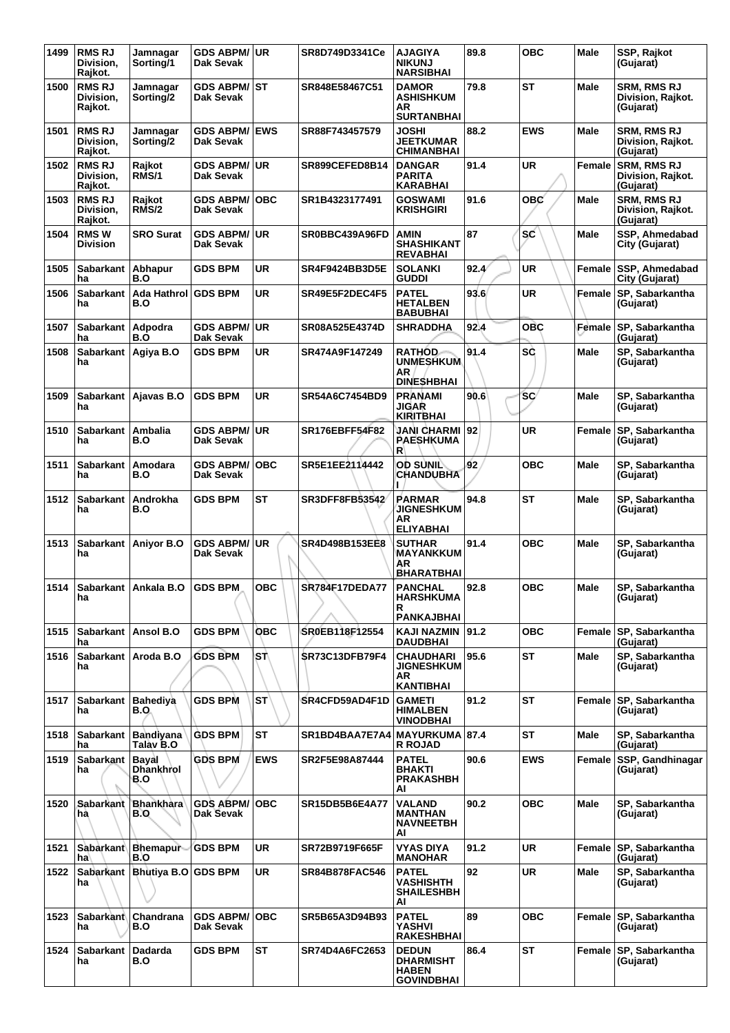| 1499 | <b>RMS RJ</b><br>Division,<br>Rajkot. | Jamnagar<br>Sorting/1            | <b>GDS ABPM/ UR</b><br><b>Dak Sevak</b> |            | SR8D749D3341Ce        | <b>AJAGIYA</b><br><b>NIKUNJ</b><br><b>NARSIBHAI</b>             | 89.8  | <b>OBC</b> | Male        | SSP, Rajkot<br>(Gujarat)                             |
|------|---------------------------------------|----------------------------------|-----------------------------------------|------------|-----------------------|-----------------------------------------------------------------|-------|------------|-------------|------------------------------------------------------|
| 1500 | <b>RMS RJ</b><br>Division,<br>Rajkot. | Jamnagar<br>Sorting/2            | <b>GDS ABPM/ ST</b><br>Dak Sevak        |            | SR848E58467C51        | <b>DAMOR</b><br><b>ASHISHKUM</b><br>AR<br><b>SURTANBHAI</b>     | 79.8  | <b>ST</b>  | Male        | <b>SRM. RMS RJ</b><br>Division, Rajkot.<br>(Gujarat) |
| 1501 | <b>RMS RJ</b><br>Division.<br>Rajkot. | Jamnagar<br>Sorting/2            | <b>GDS ABPM/</b><br><b>Dak Sevak</b>    | <b>EWS</b> | SR88F743457579        | JOSHI<br><b>JEETKUMAR</b><br><b>CHIMANBHAI</b>                  | 88.2  | <b>EWS</b> | Male        | SRM, RMS RJ<br>Division, Rajkot.<br>(Gujarat)        |
| 1502 | <b>RMS RJ</b><br>Division.<br>Rajkot. | Rajkot<br>RMS/1                  | <b>GDS ABPM/</b><br>Dak Sevak           | <b>UR</b>  | SR899CEFED8B14        | <b>DANGAR</b><br><b>PARITA</b><br><b>KARABHAI</b>               | 91.4  | <b>UR</b>  | Female      | <b>SRM, RMS RJ</b><br>Division, Rajkot.<br>(Gujarat) |
| 1503 | <b>RMS RJ</b><br>Division,<br>Rajkot. | Rajkot<br>RMS/2                  | <b>GDS ABPM/</b><br>Dak Sevak           | <b>OBC</b> | SR1B4323177491        | <b>GOSWAMI</b><br><b>KRISHGIRI</b>                              | 91.6  | <b>OBC</b> | Male        | <b>SRM, RMS RJ</b><br>Division, Rajkot.<br>(Gujarat) |
| 1504 | <b>RMSW</b><br><b>Division</b>        | <b>SRO Surat</b>                 | <b>GDS ABPM/</b><br>Dak Sevak           | <b>UR</b>  | SR0BBC439A96FD        | AMIN<br><b>SHASHIKANT</b><br><b>REVABHAI</b>                    | 87    | sc         | Male        | SSP, Ahmedabad<br>City (Gujarat)                     |
| 1505 | <b>Sabarkant</b><br>ha                | Abhapur<br>B.O                   | <b>GDS BPM</b>                          | <b>UR</b>  | SR4F9424BB3D5E        | <b>SOLANKI</b><br><b>GUDDI</b>                                  | 92.4' | <b>UR</b>  | Female      | SSP, Ahmedabad<br>City (Gujarat)                     |
| 1506 | <b>Sabarkant</b><br>ha                | Ada Hathrol<br>B.O               | <b>GDS BPM</b>                          | <b>UR</b>  | SR49E5F2DEC4F5        | <b>PATEL</b><br><b>HETALBEN</b><br><b>BABUBHAI</b>              | 93.6  | <b>UR</b>  | Female      | SP, Sabarkantha<br>(Gujarat)                         |
| 1507 | <b>Sabarkant</b><br>ha                | Adpodra<br>B.O                   | <b>GDS ABPM/</b><br><b>Dak Sevak</b>    | <b>UR</b>  | SR08A525E4374D        | <b>SHRADDHA</b>                                                 | 92.4  | <b>OBC</b> | Female      | SP. Sabarkantha<br>(Gujarat)                         |
| 1508 | Sabarkant Aqiya B.O<br>ha             |                                  | <b>GDS BPM</b>                          | UR         | SR474A9F147249        | <b>RATHOD</b><br><b>UNMESHKUM</b><br>ΑR<br><b>DINESHBHAI</b>    | 91.4  | SĊ         | <b>Male</b> | SP, Sabarkantha<br>(Gujarat)                         |
| 1509 | ha                                    | Sabarkant   Ajavas B.O           | <b>GDS BPM</b>                          | UR         | SR54A6C7454BD9        | <b>PRANAMI</b><br>JIGAR<br><b>KIRITBHAI</b>                     | 90.6  | <b>SC</b>  | Male        | SP, Sabarkantha<br>(Gujarat)                         |
| 1510 | <b>Sabarkant</b><br>ha                | Ambalia<br>B.O                   | <b>GDS ABPM/</b><br>Dak Sevak           | <b>UR</b>  | <b>SR176EBFF54F82</b> | JANI CHARMI<br>PAESHKUMA<br>R                                   | 92    | <b>UR</b>  | Female      | SP, Sabarkantha<br>(Gujarat)                         |
| 1511 | <b>Sabarkant</b><br>ha                | <b>Amodara</b><br>B.O            | <b>GDS ABPM/</b><br>Dak Sevak           | <b>OBC</b> | SR5E1EE2114442        | <b>OD SUNIL</b><br><b>CHANDUBHA</b>                             | 92    | <b>OBC</b> | Male        | SP, Sabarkantha<br>(Gujarat)                         |
| 1512 | <b>Sabarkant</b><br>ha                | Androkha<br>B.O                  | <b>GDS BPM</b>                          | <b>ST</b>  | <b>SR3DFF8FB53542</b> | <b>PARMAR</b><br><b>JIGNESHKUM</b><br>AR<br><b>ELIYABHAI</b>    | 94.8  | ST         | Male        | SP, Sabarkantha<br>(Gujarat)                         |
| 1513 | ha                                    | Sabarkant Anivor B.O             | <b>GDS ABPM/</b><br>Dak Sevak           | <b>UR</b>  | SR4D498B153EE8        | <b>SUTHAR</b><br><b>MAYANKKUM</b><br>AR<br><b>BHARATBHAI</b>    | 91.4  | <b>OBC</b> | Male        | SP. Sabarkantha<br>(Gujarat)                         |
| 1514 | na                                    | Sabarkant Ankala B.O.            | <b>GDS BPM</b>                          | <b>OBC</b> | SR784F17DEDA77        | <b>PANCHAL</b><br><b>HARSHKUMA</b><br>R<br><b>PANKAJBHAI</b>    | 92.8  | OBC        | Male        | SP, Sabarkantha<br>(Gujarat)                         |
| 1515 | Sabarkant   Ansol B.O<br>ha           |                                  | <b>GDS BPM</b>                          | <b>OBC</b> | SR0EB118F12554        | KAJI NAZMIN 191.2<br><b>DAUDBHAI</b>                            |       | <b>OBC</b> | Female      | SP, Sabarkantha<br>(Gujarat)                         |
| 1516 | ha                                    | Sabarkant   Aroda B.O            | <b>GDS BPM</b>                          | ∖sτ∖       | SR73C13DFB79F4        | <b>CHAUDHARI</b><br><b>JIGNESHKUM</b><br>AR<br><b>KANTIBHAI</b> | 95.6  | ST         | Male        | SP, Sabarkantha<br>(Gujarat)                         |
| 1517 | Sabarkant   Bahediya<br>ha            | B.O                              | <b>GDS BPM</b>                          | <b>ST</b>  | SR4CFD59AD4F1D        | <b>GAMETI</b><br><b>HIMALBEN</b><br><b>VINODBHAI</b>            | 91.2  | ST         | Female      | SP, Sabarkantha<br>(Gujarat)                         |
| 1518 | <b>Sabarkant</b><br>ha                | Bandiyana<br>Talàv B.O           | <b>GDS BPM</b>                          | <b>ST</b>  | SR1BD4BAA7E7A4        | <b>MAYURKUMA</b><br><b>R ROJAD</b>                              | 87.4  | ST         | <b>Male</b> | SP, Sabarkantha<br>(Gujarat)                         |
| 1519 | <b>Sabarkant</b><br>ha                | Bayal<br><b>Dhankhrol</b><br>B.O | <b>GDS BPM</b>                          | <b>EWS</b> | SR2F5E98A87444        | <b>PATEL</b><br><b>BHAKTI</b><br><b>PRAKASHBH</b><br>ΑI         | 90.6  | <b>EWS</b> | Female      | SSP, Gandhinagar<br>(Gujarat)                        |
| 1520 | Sabarkant<br>hà                       | Bhankhara<br><b>B.O</b>          | <b>GDS ABPM/</b><br>Dak Sevak           | <b>OBC</b> | SR15DB5B6E4A77        | VALAND<br><b>MANTHAN</b><br><b>NAVNEETBH</b><br>ΑI              | 90.2  | <b>OBC</b> | Male        | SP, Sabarkantha<br>(Gujarat)                         |
| 1521 | ha                                    | Sabarkant Bhemapur<br>B.O        | <b>GDS BPM</b>                          | <b>UR</b>  | SR72B9719F665F        | VYAS DIYA<br><b>MANOHAR</b>                                     | 91.2  | <b>UR</b>  | Female      | SP, Sabarkantha<br>(Gujarat)                         |
| 1522 | ha                                    | Sabarkant   Bhutiya B.O          | <b>GDS BPM</b>                          | <b>UR</b>  | SR84B878FAC546        | PATEL<br><b>VASHISHTH</b><br><b>SHAILESHBH</b><br>AI            | 92    | <b>UR</b>  | Male        | SP, Sabarkantha<br>(Gujarat)                         |
| 1523 | <b>Sabarkant</b><br>ha                | Chandrana<br>B.O                 | <b>GDS ABPM/</b><br>Dak Sevak           | <b>OBC</b> | SR5B65A3D94B93        | <b>PATEL</b><br>YASHVI<br><b>RAKESHBHAI</b>                     | 89    | <b>OBC</b> |             | Female SP, Sabarkantha<br>(Gujarat)                  |
| 1524 | <b>Sabarkant</b><br>ha                | <b>Dadarda</b><br>B.O            | <b>GDS BPM</b>                          | <b>ST</b>  | SR74D4A6FC2653        | <b>DEDUN</b><br><b>DHARMISHT</b><br><b>HABEN</b><br>GOVINDBHAI  | 86.4  | ST         | Female      | SP, Sabarkantha<br>(Gujarat)                         |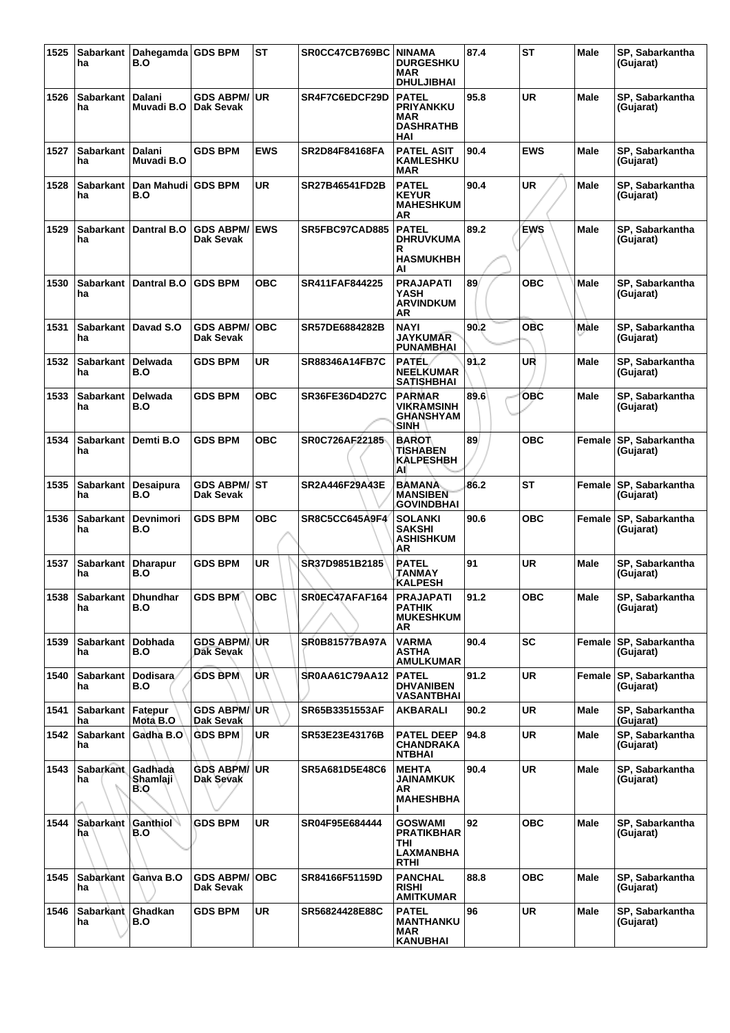| 1525 | ha                        | Sabarkant   Dahegamda   GDS BPM<br>B.O |                                         | <b>ST</b>  | SR0CC47CB769BC        | <b>NINAMA</b><br><b>DURGESHKU</b><br>MAR<br><b>DHULJIBHAI</b>          | 87.4 | <b>ST</b>  | Male        | SP, Sabarkantha<br>(Gujarat)        |
|------|---------------------------|----------------------------------------|-----------------------------------------|------------|-----------------------|------------------------------------------------------------------------|------|------------|-------------|-------------------------------------|
| 1526 | <b>Sabarkant</b><br>ha    | Dalani<br>Muvadi B.O                   | <b>GDS ABPM/ UR</b><br><b>Dak Sevak</b> |            | SR4F7C6EDCF29D        | <b>PATEL</b><br><b>PRIYANKKU</b><br>MAR<br><b>DASHRATHB</b><br>HAI     | 95.8 | UR         | <b>Male</b> | SP, Sabarkantha<br>(Gujarat)        |
| 1527 | Sabarkant<br>ha           | Dalani<br>Muvadi B.O                   | <b>GDS BPM</b>                          | <b>EWS</b> | <b>SR2D84F84168FA</b> | <b>PATEL ASIT</b><br><b>KAMLESHKU</b><br>MAR                           | 90.4 | <b>EWS</b> | Male        | SP, Sabarkantha<br>(Gujarat)        |
| 1528 | Sabarkant<br>ha           | Dan Mahudi GDS BPM<br>B.O              |                                         | <b>UR</b>  | SR27B46541FD2B        | <b>PATEL</b><br><b>KEYUR</b><br><b>MAHESHKUM</b><br>AR                 | 90.4 | <b>UR</b>  | Male        | SP, Sabarkantha<br>(Gujarat)        |
| 1529 | <b>Sabarkant</b><br>ha    | Dantral B.O                            | <b>GDS ABPM/ EWS</b><br>Dak Sevak       |            | SR5FBC97CAD885        | <b>PATEL</b><br><b>DHRUVKUMA</b><br>R<br><b>HASMUKHBH</b><br>AI        | 89.2 | <b>EWS</b> | <b>Male</b> | SP, Sabarkantha<br>(Gujarat)        |
| 1530 | <b>Sabarkant</b><br>ha    | <b>Dantral B.O</b>                     | <b>GDS BPM</b>                          | овс        | SR411FAF844225        | <b>PRAJAPATI</b><br>YASH<br><b>ARVINDKUM</b><br>AR                     | 89   | <b>OBC</b> | Male        | SP, Sabarkantha<br>(Gujarat)        |
| 1531 | <b>Sabarkant</b><br>ha    | Davad S.O                              | <b>GDS ABPM/</b><br>Dak Sevak           | <b>OBC</b> | SR57DE6884282B        | <b>NAYI</b><br><b>JAYKUMAR</b><br><b>PUNAMBHAI</b>                     | 90.2 | <b>OBC</b> | Male        | SP, Sabarkantha<br>(Gujarat)        |
| 1532 | Sabarkant<br>ha           | Delwada<br>B.O                         | <b>GDS BPM</b>                          | <b>UR</b>  | SR88346A14FB7C        | <b>PATEL</b><br><b>NEELKUMAR</b><br><b>SATISHBHAI</b>                  | 91.2 | UR         | <b>Male</b> | SP, Sabarkantha<br>(Gujarat)        |
| 1533 | <b>Sabarkant</b><br>ha    | <b>Delwada</b><br>B.O                  | <b>GDS BPM</b>                          | <b>OBC</b> | SR36FE36D4D27C        | <b>PARMAR</b><br><b>VIKRAMSINH</b><br><b>GHANSHYAM</b><br>SINH         | 89.6 | OBC        | <b>Male</b> | SP, Sabarkantha<br>(Gujarat)        |
| 1534 | Sabarkant<br>ha           | Demti B.O                              | <b>GDS BPM</b>                          | <b>OBC</b> | SR0C726AF22185        | <b>BAROT</b><br><b>TISHABEN</b><br><b>KALPESHBH</b><br>AI              | 89   | <b>OBC</b> | Female      | SP, Sabarkantha<br>(Gujarat)        |
| 1535 | <b>Sabarkant</b><br>ha    | Desaipura<br>B.O                       | <b>GDS ABPM/ST</b><br>Dak Sevak         |            | SR2A446F29A43E        | BAMANA<br><b>MANSIBEN</b><br><b>GOVINDBHAI</b>                         | 86.2 | <b>ST</b>  | Female      | SP, Sabarkantha<br>(Gujarat)        |
| 1536 | <b>Sabarkant</b><br>ha    | Devnimori<br>B.O                       | <b>GDS BPM</b>                          | <b>OBC</b> | <b>SR8C5CC645A9F4</b> | <b>SOLANKI</b><br><b>SAKSHI</b><br><b>ASHISHKUM</b><br>AR              | 90.6 | овс        | Female      | SP, Sabarkantha<br>(Gujarat)        |
| 1537 | <b>Sabarkant</b><br>ha    | <b>Dharapur</b><br>B.O                 | <b>GDS BPM</b>                          | <b>UR</b>  | SR37D9851B2185        | <b>RATEL</b><br>TANMAY<br><b>KALPESH</b>                               | 91   | UR         | Male        | SP, Sabarkantha<br>(Gujarat)        |
| 1538 | Sabarkant Dhundhar<br>ha  | B.O                                    | GDS BPM                                 | OBC        | SR0EC47AFAF164        | <b>PRAJAPATI</b><br><b>PATHIK</b><br><b>MUKESHKUM</b><br>AR            | 91.2 | <b>OBC</b> | <b>Male</b> | SP, Sabarkantha<br>(Gujarat)        |
| 1539 | Sabarkant<br>ha           | Dobhada<br>B.O                         | GDS ABPM/UR<br>Dak Sevak                |            | <b>SR0B81577BA97A</b> | <b>VARMA</b><br><b>ASTHA</b><br><b>AMULKUMAR</b>                       | 90.4 | <b>SC</b>  |             | Female SP, Sabarkantha<br>(Gujarat) |
| 1540 | Sabarkant<br>ha           | Dodisara<br>B.O                        | <b>GDS BPM</b>                          | UR.        | SR0AA61C79AA12        | <b>PATEL</b><br><b>DHVANIBEN</b><br><b>VASANTBHAI</b>                  | 91.2 | <b>UR</b>  | Female      | SP, Sabarkantha<br>(Gujarat)        |
| 1541 | Sabarkant   Fatepur<br>ha | Mota B.O                               | <b>GDS ABPM/ UR</b><br>'Dak Sevak       |            | SR65B3351553AF        | AKBARALI                                                               | 90.2 | <b>UR</b>  | Male        | SP, Sabarkantha<br>(Gujarat)        |
| 1542 | Sabarkant<br>ha           | Gadha B.O                              | <b>GDS BPM</b>                          | <b>UR</b>  | SR53E23E43176B        | <b>PATEL DEEP</b><br><b>CHANDRAKA</b><br><b>NTBHAI</b>                 | 94.8 | <b>UR</b>  | Male        | SP, Sabarkantha<br>(Gujarat)        |
| 1543 | <b>Sabarkant</b><br>ha    | Gadhada<br>Shamlaji ˈ<br>B.O           | <b>GDS ABPM/ UR</b><br>Dak Sevak        |            | SR5A681D5E48C6        | <b>MEHTA</b><br>JAINAMKUK<br>AR.<br><b>MAHESHBHA</b>                   | 90.4 | <b>UR</b>  | Male        | SP, Sabarkantha<br>(Gujarat)        |
| 1544 | <b>Sabarkant</b><br>ha    | Ganthiol<br>B.O                        | <b>GDS BPM</b>                          | <b>UR</b>  | SR04F95E684444        | <b>GOSWAMI</b><br><b>PRATIKBHAR</b><br>THI<br>LAXMANBHA<br><b>RTHI</b> | 92   | <b>OBC</b> | Male        | SP, Sabarkantha<br>(Gujarat)        |
| 1545 | Sabarkant<br>ha           | Ganva B.O                              | <b>GDS ABPM/OBC</b><br>Dak Sevak        |            | SR84166F51159D        | <b>PANCHAL</b><br><b>RISHI</b><br><b>AMITKUMAR</b>                     | 88.8 | <b>OBC</b> | Male        | SP, Sabarkantha<br>(Gujarat)        |
| 1546 | Sabarkant<br>ha           | Ghadkan<br>B.O                         | <b>GDS BPM</b>                          | <b>UR</b>  | SR56824428E88C        | <b>PATEL</b><br><b>MANTHANKU</b><br><b>MAR</b><br><b>KANUBHAI</b>      | 96   | <b>UR</b>  | Male        | SP, Sabarkantha<br>(Gujarat)        |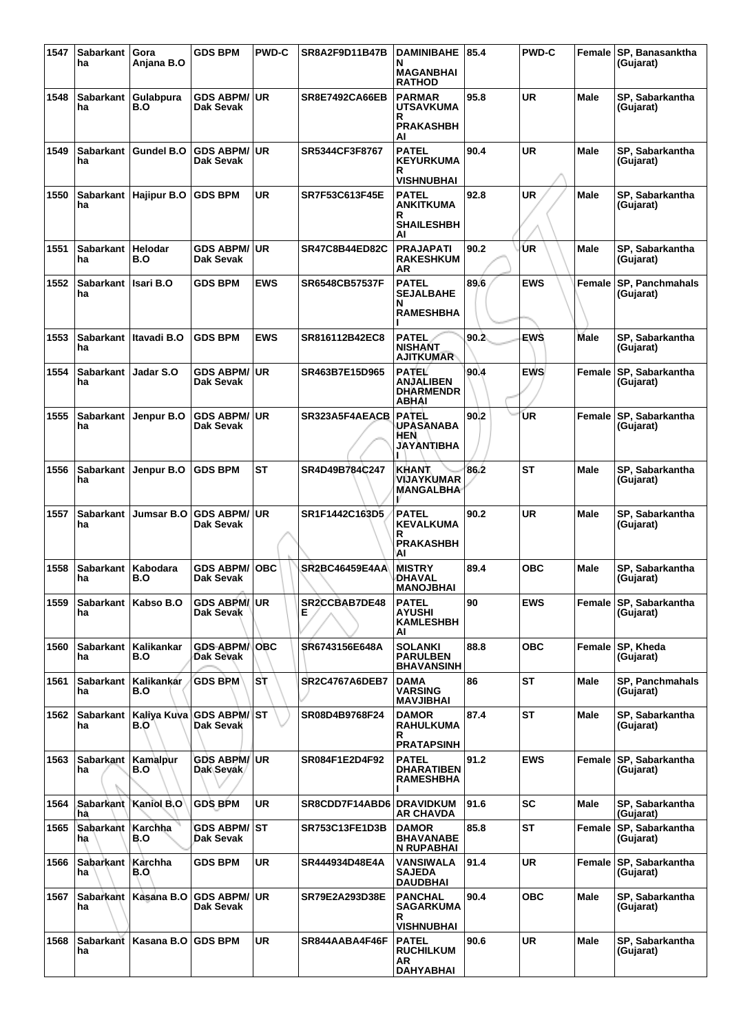| 1547 | <b>Sabarkant</b>       | Gora                  | <b>GDS BPM</b>                       | <b>PWD-C</b> | SR8A2F9D11B47B           | <b>DAMINIBAHE</b>                                               | 85.4 | <b>PWD-C</b> | Female      | SP, Banasanktha                     |
|------|------------------------|-----------------------|--------------------------------------|--------------|--------------------------|-----------------------------------------------------------------|------|--------------|-------------|-------------------------------------|
|      | ha                     | Anjana B.O            |                                      |              |                          | N<br><b>MAGANBHAI</b><br><b>RATHOD</b>                          |      |              |             | (Gujarat)                           |
| 1548 | Sabarkant<br>ha        | Gulabpura<br>B.O      | <b>GDS ABPM/</b><br><b>Dak Sevak</b> | <b>UR</b>    | <b>SR8E7492CA66EB</b>    | <b>PARMAR</b><br><b>UTSAVKUMA</b>                               | 95.8 | <b>UR</b>    | <b>Male</b> | SP, Sabarkantha<br>(Gujarat)        |
|      |                        |                       |                                      |              |                          | <b>PRAKASHBH</b><br>Al                                          |      |              |             |                                     |
| 1549 | <b>Sabarkant</b><br>ha | <b>Gundel B.O</b>     | <b>GDS ABPM/</b><br>Dak Sevak        | <b>UR</b>    | SR5344CF3F8767           | <b>PATEL</b><br><b>KEYURKUMA</b>                                | 90.4 | <b>UR</b>    | <b>Male</b> | SP, Sabarkantha<br>(Gujarat)        |
|      |                        |                       |                                      |              |                          | R<br><b>VISHNUBHAI</b>                                          |      |              |             |                                     |
| 1550 | <b>Sabarkant</b><br>ha | <b>Hajipur B.O</b>    | <b>GDS BPM</b>                       | UR           | SR7F53C613F45E           | <b>PATEL</b><br><b>ANKITKUMA</b>                                | 92.8 | <b>UR</b>    | <b>Male</b> | SP, Sabarkantha<br>(Gujarat)        |
|      |                        |                       |                                      |              |                          | R<br><b>SHAILESHBH</b><br>Al                                    |      |              |             |                                     |
| 1551 | Sabarkant  <br>ha      | Helodar<br>B.O        | <b>GDS ABPM/</b><br>Dak Sevak        | <b>UR</b>    | <b>SR47C8B44ED82C</b>    | <b>PRAJAPATI</b><br><b>RAKESHKUM</b><br>ΑR                      | 90.2 | UR           | Male        | SP, Sabarkantha<br>(Gujarat)        |
| 1552 | <b>Sabarkant</b><br>ha | <b>Isari B.O</b>      | <b>GDS BPM</b>                       | <b>EWS</b>   | <b>SR6548CB57537F</b>    | <b>PATEL</b><br><b>SEJALBAHE</b><br>N                           | 89.6 | <b>EWS</b>   | Female      | <b>SP, Panchmahals</b><br>(Gujarat) |
|      |                        |                       |                                      |              |                          | <b>RAMESHBHA</b>                                                |      |              |             |                                     |
| 1553 | ha                     | Sabarkant Itavadi B.O | <b>GDS BPM</b>                       | <b>EWS</b>   | SR816112B42EC8           | <b>PATEL</b><br><b>NISHANT</b><br><b>AJITKUMAR</b>              | 90.2 | <b>EWS</b>   | <b>Male</b> | SP, Sabarkantha<br>(Gujarat)        |
| 1554 | <b>Sabarkant</b><br>ha | Jadar S.O             | <b>GDS ABPM/</b><br>Dak Sevak        | <b>UR</b>    | SR463B7E15D965           | <b>PATEL</b><br><b>ANJALIBEN</b><br><b>DHARMENDR</b><br>ABHAI   | 90.4 | <b>EWS</b>   | Female      | SP, Sabarkantha<br>(Gujarat)        |
| 1555 | <b>Sabarkant</b><br>ha | Jenpur B.O            | <b>GDS ABPM/</b><br>Dak Sevak        | <b>UR</b>    | SR323A5F4AEACB           | <b>PATEL</b><br><b>UPASANABA</b><br>HEN<br>JAYANTIBHA           | 90.2 | ŪR           | Female      | SP, Sabarkantha<br>(Gujarat)        |
| 1556 | Sabarkant  <br>ha      | Jenpur B.O            | <b>GDS BPM</b>                       | <b>ST</b>    | SR4D49B784C247           | KHANT<br>VIJAYKUMAR<br>MANGALBHA                                | 86.2 | <b>ST</b>    | Male        | SP, Sabarkantha<br>(Gujarat)        |
| 1557 | <b>Sabarkant</b><br>ha | Jumsar B.O            | <b>GDS ABPM/</b><br>Dak Sevak        | UR.          | SR1F1442C163D5           | <b>PATEL</b><br><b>KEVALKUMA</b><br>R<br><b>PRAKASHBH</b><br>ΆI | 90.2 | <b>UR</b>    | Male        | SP, Sabarkantha<br>(Gujarat)        |
| 1558 | <b>Sabarkant</b><br>ha | Kabodara<br>B.O       | <b>GDS ABPM/</b><br><b>Dak Sevak</b> | <b>OBC</b>   | <b>SR2BC46459E4AA</b>    | <b>MISTRY</b><br>DHAVAL<br><b>MANOJBHAI</b>                     | 89.4 | ОВС          | <b>Male</b> | SP, Sabarkantha<br>(Gujarat)        |
| 1559 | ha                     | Sabarkant Kabso B.O   | GDS ABPM/UR<br>Dak Sevak             |              | SR2CCBAB7DE48<br>Е       | <b>PATEL</b><br><b>AYUSHI</b><br><b>KAMLESHBH</b><br>AI         | 90   | <b>EWS</b>   |             | Female SP, Sabarkantha<br>(Gujarat) |
| 1560 | Sabarkant<br>ha        | Kalikankar<br>B.O     | <b>GDS ABPM</b><br>Dak Sevak         | <b>OBC</b>   | SR6743156E648A           | <b>SOLANKI</b><br><b>PARULBEN</b><br><b>BHAVANSINH</b>          | 88.8 | <b>OBC</b>   | Female      | SP, Kheda<br>(Gujarat)              |
| 1561 | <b>Sabarkant</b><br>ha | Kalikankar<br>B.O     | <b>GDS BPM</b>                       | Sτ           | <b>SR2C4767A6DEB7</b>    | DAMA<br><b>VARSING</b><br>MAVJIBHAI                             | 86   | ST           | Male        | <b>SP, Panchmahals</b><br>(Gujarat) |
| 1562 | <b>Sabarkant</b><br>ha | Kaliva Kuva<br>B.O    | GDS ABPM/ST<br>Dak Sevak             |              | SR08D4B9768F24           | <b>DAMOR</b><br><b>RAHULKUMA</b><br>R<br><b>PRATAPSINH</b>      | 87.4 | <b>ST</b>    | Male        | SP, Sabarkantha<br>(Gujarat)        |
| 1563 | <b>Sabarkant</b><br>ha | Kamalpur<br>B.O       | <b>GDS ABPM/</b><br>Dak Sevák        | ∣UR          | SR084F1E2D4F92           | <b>PATEL</b><br><b>DHARATIBEN</b><br><b>RAMESHBHA</b>           | 91.2 | <b>EWS</b>   | Female      | SP, Sabarkantha<br>(Gujarat)        |
| 1564 | <b>Sabarkant</b><br>hà | Kaniol B.O            | <b>GDS BPM</b>                       | <b>UR</b>    | SR8CDD7F14ABD6 DRAVIDKUM | <b>AR CHAVDA</b>                                                | 91.6 | SC           | <b>Male</b> | SP, Sabarkantha<br>(Gujarat)        |
| 1565 | Sabarkant<br>ha        | Karchha<br>B.O        | <b>GDS ABPM/ ST</b><br>Dak Sevak     |              | <b>SR753C13FE1D3B</b>    | <b>DAMOR</b><br><b>BHAVANABE</b><br>N RUPABHAI                  | 85.8 | <b>ST</b>    | Female      | SP, Sabarkantha<br>(Gujarat)        |
| 1566 | <b>Sabarkant</b><br>ha | Karchha<br>B.O        | <b>GDS BPM</b>                       | <b>UR</b>    | SR444934D48E4A           | VANSIWALA<br><b>SAJEDA</b><br><b>DAUDBHAI</b>                   | 91.4 | <b>UR</b>    | Female      | SP, Sabarkantha<br>(Gujarat)        |
| 1567 | <b>Sabarkant</b><br>ha | Kasana B.O            | <b>GDS ABPM/</b><br>Dak Sevak        | <b>UR</b>    | SR79E2A293D38E           | <b>PANCHAL</b><br>SAGARKUMA<br>R<br><b>VISHNUBHAI</b>           | 90.4 | <b>OBC</b>   | <b>Male</b> | SP, Sabarkantha<br>(Gujarat)        |
| 1568 | <b>Sabarkant</b><br>ha | Kasana B.O            | <b>GDS BPM</b>                       | <b>UR</b>    | SR844AABA4F46F           | <b>PATEL</b><br><b>RUCHILKUM</b><br>AR<br><b>DAHYABHAI</b>      | 90.6 | <b>UR</b>    | Male        | SP, Sabarkantha<br>(Gujarat)        |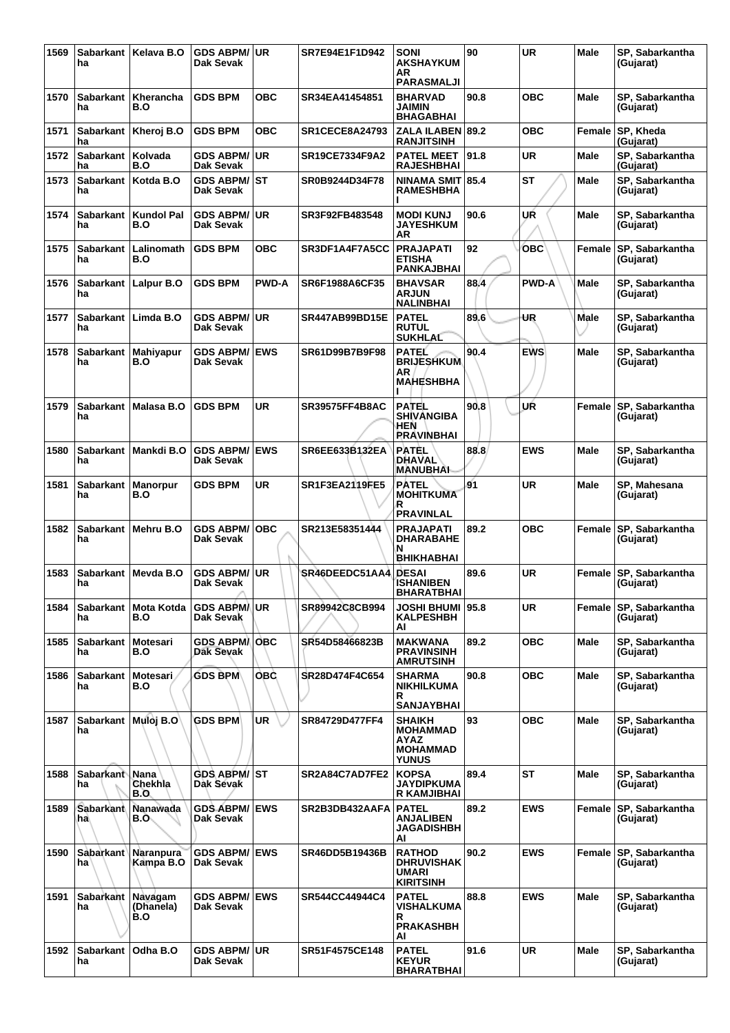| 1569 | <b>Sabarkant</b><br>ha    | Kelava B.O               | <b>GDS ABPM/</b><br>Dak Sevak     | <b>UR</b>    | SR7E94E1F1D942        | <b>SONI</b><br><b>AKSHAYKUM</b><br>AR.<br><b>PARASMALJI</b>                 | 90   | <b>UR</b>    | <b>Male</b> | SP. Sabarkantha<br>(Gujarat) |
|------|---------------------------|--------------------------|-----------------------------------|--------------|-----------------------|-----------------------------------------------------------------------------|------|--------------|-------------|------------------------------|
| 1570 | <b>Sabarkant</b><br>ha    | Kherancha<br>B.O         | <b>GDS BPM</b>                    | <b>OBC</b>   | SR34EA41454851        | BHARVAD<br>JAIMIN<br><b>BHAGABHAI</b>                                       | 90.8 | OBC          | <b>Male</b> | SP, Sabarkantha<br>(Gujarat) |
| 1571 | ha                        | Sabarkant   Kheroj B.O   | <b>GDS BPM</b>                    | <b>OBC</b>   | <b>SR1CECE8A24793</b> | ZALA ILABEN 89.2<br><b>RANJITSINH</b>                                       |      | <b>OBC</b>   | Female      | SP, Kheda<br>(Gujarat)       |
| 1572 | Sabarkant<br>ha           | Kolvada<br>B.O           | <b>GDS ABPM/</b><br>Dak Sevak     | UR           | SR19CE7334F9A2        | <b>PATEL MEET</b><br><b>RAJESHBHAI</b>                                      | 91.8 | <b>UR</b>    | <b>Male</b> | SP, Sabarkantha<br>(Gujarat) |
| 1573 | <b>Sabarkant</b><br>ha    | Kotda B.O                | <b>GDS ABPM/</b><br>Dak Sevak     | IST          | SR0B9244D34F78        | <b>NINAMA SMIT</b><br><b>RAMESHBHA</b>                                      | 85.4 | <b>ST</b>    | Male        | SP, Sabarkantha<br>(Gujarat) |
| 1574 | <b>Sabarkant</b><br>ha    | <b>Kundol Pal</b><br>B.O | <b>GDS ABPM/</b><br>Dak Sevak     | <b>UR</b>    | SR3F92FB483548        | <b>MODI KUNJ</b><br><b>JAYESHKUM</b><br>ΑR                                  | 90.6 | UR           | Male        | SP, Sabarkantha<br>(Gujarat) |
| 1575 | Sabarkant<br>ha           | Lalinomath<br>B.O        | <b>GDS BPM</b>                    | <b>OBC</b>   | SR3DF1A4F7A5CC        | <b>PRAJAPATI</b><br><b>ETISHA</b><br><b>PANKAJBHAI</b>                      | 92   | овс          | Female      | SP, Sabarkantha<br>(Gujarat) |
| 1576 | <b>Sabarkant</b><br>ha    | Lalpur B.O               | <b>GDS BPM</b>                    | <b>PWD-A</b> | SR6F1988A6CF35        | <b>BHAVSAR</b><br><b>ARJUN</b><br><b>NALINBHAI</b>                          | 88.4 | <b>PWD-A</b> | Male        | SP, Sabarkantha<br>(Gujarat) |
| 1577 | <b>Sabarkant</b><br>ha    | Limda B.O                | <b>GDS ABPM/</b><br>Dak Sevak     | <b>UR</b>    | SR447AB99BD15E        | <b>PATEL</b><br><b>RUTUL</b><br><b>SUKHLAL</b>                              | 89.6 | UR           | <b>Male</b> | SP, Sabarkantha<br>(Gujarat) |
| 1578 | <b>Sabarkant</b><br>ha    | Mahiyapur<br>B.O         | <b>GDS ABPM/</b><br>Dak Sevak     | <b>EWS</b>   | SR61D99B7B9F98        | PATEL<br><b>BRIJESHKUM</b><br>ΑR<br><b>MAHESHBHA</b>                        | 90.4 | <b>EWS</b>   | Male        | SP, Sabarkantha<br>(Gujarat) |
| 1579 | <b>Sabarkant</b><br>ha    | Malasa B.O               | <b>GDS BPM</b>                    | <b>UR</b>    | <b>SR39575FF4B8AC</b> | PATEL<br>SHIVANGIBA<br>HEN<br><b><i>RRAVINBHAI</i></b>                      | 90.8 | UŔ           | Female      | SP, Sabarkantha<br>(Gujarat) |
| 1580 | <b>Sabarkant</b><br>ha    | Mankdi B.O               | <b>GDS ABPM/</b><br>Dak Sevak     | <b>EWS</b>   | <b>SR6EE633B132EA</b> | <b>PATEL</b><br><b>DHAVAL</b><br>MANUBHAI                                   | 88.8 | <b>EWS</b>   | <b>Male</b> | SP, Sabarkantha<br>(Gujarat) |
| 1581 | Sabarkant  <br>ha         | <b>Manorpur</b><br>B.O   | <b>GDS BPM</b>                    | <b>UR</b>    | <b>SR1F3EA2119FE5</b> | <b>PATEL</b><br><b>MOHITKUMA</b><br>R<br><b>PRAVINLAL</b>                   | 91   | <b>UR</b>    | Male        | SP, Mahesana<br>(Gujarat)    |
| 1582 | Sabarkant<br>ha           | Mehru B.O                | <b>GDS ABPM/</b><br>Dak Sevak     | <b>OBC</b>   | SR213E58351444        | <b>PRAJAPATI</b><br>DHARABAHE<br>N                                          | 89.2 | <b>OBC</b>   | Female      | SP, Sabarkantha<br>(Gujarat) |
| 1583 | <b>Sabarkant</b><br>ha    | Mevda B.O                | <b>GDS ABPM/</b><br>Dak Sevak     | <b>UR</b>    | SR46DEEDC51AA4        | <b>BHIKHABHAI</b><br><b>DESAI</b><br>ISHANIBEN<br><b>BHARATBHAI</b>         | 89.6 | <b>UR</b>    | Female      | SP, Sabarkantha<br>(Gujarat) |
| 1584 | Sabarkant<br>ha           | <b>Mota Kotda</b><br>B.O | <b>GDS ABRMAUR</b><br>Dak Sevak   |              | SR89942C8CB994        | JOSHI BHUMI ∣95.8<br><b>KALPESHBH</b><br>AI                                 |      | <b>UR</b>    | Female      | SP, Sabarkantha<br>(Gujarat) |
| 1585 | <b>Sabarkant</b><br>ha    | Motesari<br>B.O          | <b>GDS ABPM</b><br>Dak Sevak      | <b>OBC</b>   | SR54D58466823B        | MAKWANA<br><b>PRAVINSINH</b><br><b>AMRUTSINH</b>                            | 89.2 | <b>OBC</b>   | Male        | SP, Sabarkantha<br>(Gujarat) |
| 1586 | <b>Sabarkant</b><br>ha    | Motesari.<br>B.O         | <b>GDS BPM</b>                    | <b>OBC</b>   | SR28D474F4C654        | <b>SHARMA</b><br>NIKHILKUMA<br>R<br><b>SANJAYBHAI</b>                       | 90.8 | OBC          | Male        | SP, Sabarkantha<br>(Gujarat) |
| 1587 | Sabarkant Muloj B.O<br>ha |                          | <b>GDS BPM</b>                    | UR           | SR84729D477FF4        | <b>SHAIKH</b><br><b>MOHAMMAD</b><br>AYAZ<br><b>MOHAMMAD</b><br><b>YUNUS</b> | 93   | <b>OBC</b>   | <b>Male</b> | SP, Sabarkantha<br>(Gujarat) |
| 1588 | <b>Sabarkant</b><br>ha    | Nana<br>Chekhla<br>B.O.  | <b>GDS ABPM/ ST</b><br>Dak Sevak  |              | SR2A84C7AD7FE2        | <b>KOPSA</b><br><b>JAYDIPKUMA</b><br>R KAMJIBHAI                            | 89.4 | ST           | <b>Male</b> | SP, Sabarkantha<br>(Gujarat) |
| 1589 | <b>Sabarkant</b><br>ha    | Nanawada<br>B.O.         | <b>GDS ABPM/</b><br>Dak Sevak     | <b>EWS</b>   | SR2B3DB432AAFA        | <b>PATEL</b><br>ANJALIBEN<br><b>JAGADISHBH</b><br>AI                        | 89.2 | <b>EWS</b>   | Female      | SP, Sabarkantha<br>(Gujarat) |
| 1590 | Sabarkant<br>ha           | Naranpura<br>Kampa B.O   | <b>GDS ABPM/</b><br>Dak Sevak     | <b>IEWS</b>  | SR46DD5B19436B        | <b>RATHOD</b><br><b>DHRUVISHAK</b><br><b>UMARI</b><br><b>KIRITSINH</b>      | 90.2 | <b>EWS</b>   | Female      | SP, Sabarkantha<br>(Gujarat) |
| 1591 | Sabarkant Navagam<br>ha   | (Dhanela)<br>B.O         | <b>GDS ABPM/ EWS</b><br>Dak Sevak |              | SR544CC44944C4        | <b>PATEL</b><br>VISHALKUMA<br>R<br><b>PRAKASHBH</b><br>AI                   | 88.8 | <b>EWS</b>   | <b>Male</b> | SP, Sabarkantha<br>(Gujarat) |
| 1592 | <b>Sabarkant</b><br>ha    | Odha B.O                 | <b>GDS ABPM/ UR</b><br>Dak Sevak  |              | SR51F4575CE148        | <b>PATEL</b><br><b>KEYUR</b><br>BHARATBHAI                                  | 91.6 | <b>UR</b>    | <b>Male</b> | SP, Sabarkantha<br>(Gujarat) |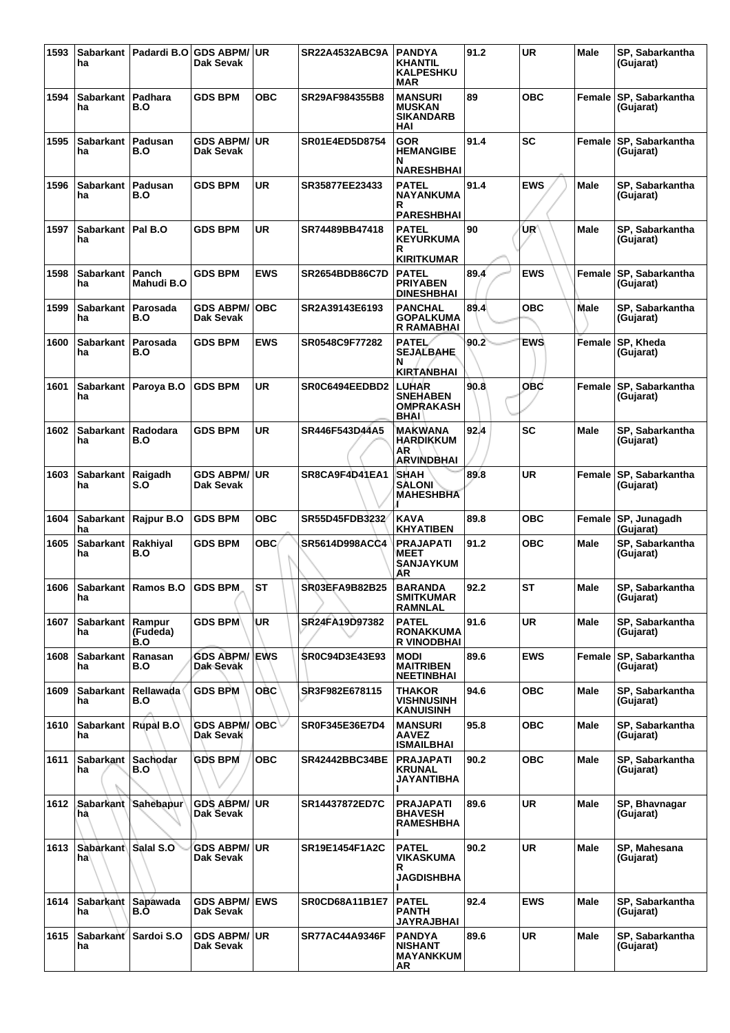| 1593 | ha                          | Sabarkant   Padardi B.O   | <b>GDS ABPM/</b><br>Dak Sevak     | <b>UR</b>  | <b>SR22A4532ABC9A</b> | <b>PANDYA</b><br><b>KHANTIL</b><br><b>KALPESHKU</b><br><b>MAR</b> | 91.2 | <b>UR</b>  | Male        | SP. Sabarkantha<br>(Gujarat)        |
|------|-----------------------------|---------------------------|-----------------------------------|------------|-----------------------|-------------------------------------------------------------------|------|------------|-------------|-------------------------------------|
| 1594 | <b>Sabarkant</b><br>ha      | Padhara<br>B.O            | <b>GDS BPM</b>                    | <b>OBC</b> | SR29AF984355B8        | <b>MANSURI</b><br><b>MUSKAN</b><br><b>SIKANDARB</b><br>HAI        | 89   | <b>OBC</b> | Female      | SP, Sabarkantha<br>(Gujarat)        |
| 1595 | <b>Sabarkant</b><br>ha      | Padusan<br>B.O            | <b>GDS ABPM/</b><br>Dak Sevak     | <b>UR</b>  | SR01E4ED5D8754        | <b>GOR</b><br><b>HEMANGIBE</b><br>N<br><b>NARESHBHAI</b>          | 91.4 | <b>SC</b>  | Female      | SP, Sabarkantha<br>(Gujarat)        |
| 1596 | <b>Sabarkant</b><br>ha      | Padusan<br>B.O            | <b>GDS BPM</b>                    | <b>UR</b>  | SR35877EE23433        | <b>PATEL</b><br><b>NAYANKUMA</b><br>R<br><b>PARESHBHAI</b>        | 91.4 | <b>EWS</b> | Male        | SP, Sabarkantha<br>(Gujarat)        |
| 1597 | <b>Sabarkant</b><br>ha      | Pal B.O                   | <b>GDS BPM</b>                    | <b>UR</b>  | SR74489BB47418        | <b>PATEL</b><br><b>KEYURKUMA</b><br>R<br><b>KIRITKUMAR</b>        | 90   | UR′        | Male        | SP, Sabarkantha<br>(Gujarat)        |
| 1598 | <b>Sabarkant</b><br>ha      | Panch<br>Mahudi B.O       | <b>GDS BPM</b>                    | <b>EWS</b> | <b>SR2654BDB86C7D</b> | <b>PATEL</b><br><b>PRIYABEN</b><br><b>DINESHBHAI</b>              | 89.4 | <b>EWS</b> | Female      | SP, Sabarkantha<br>(Gujarat)        |
| 1599 | <b>Sabarkant</b><br>ha      | Parosada<br>B.O           | <b>GDS ABPM/</b><br>Dak Sevak     | <b>OBC</b> | SR2A39143E6193        | <b>PANCHAL</b><br><b>GOPALKUMA</b><br><b>R RAMABHAI</b>           | 89.4 | <b>OBC</b> | Male        | SP, Sabarkantha<br>(Gujarat)        |
| 1600 | <b>Sabarkant</b><br>ha      | Parosada<br>B.O           | <b>GDS BPM</b>                    | <b>EWS</b> | SR0548C9F77282        | <b>PATEL</b><br><b>SEJALBAHE</b><br>N<br><b>KIRTANBHAI</b>        | 90.2 | <b>EWS</b> | Female      | SP, Kheda<br>(Gujarat)              |
| 1601 | <b>Sabarkant</b><br>ha      | Paroya B.O                | <b>GDS BPM</b>                    | <b>UR</b>  | SR0C6494EEDBD2        | <b>LUHAR</b><br><b>SNEHABEN</b><br><b>OMPRAKASH</b><br>BHAI       | 90.8 | OBC        | Female      | SP, Sabarkantha<br>(Gujarat)        |
| 1602 | <b>Sabarkant</b><br>ha      | Radodara<br>B.O           | <b>GDS BPM</b>                    | UR         | SR446F543D44A5        | MAKWANA<br><b>HARDIKKUM</b><br>AR<br><b>ARVINDBHAI</b>            | 92.4 | SC         | Male        | SP, Sabarkantha<br>(Gujarat)        |
| 1603 | <b>Sabarkant</b><br>ha      | Raigadh<br>S.O            | <b>GDS ABPM/</b><br>Dak Sevak     | <b>UR</b>  | SR8CA9F4D41EA1        | <b>SHAH</b><br><b>SALONI</b><br><b>MAHESHBHA</b>                  | 89.8 | <b>UR</b>  | Female      | SP, Sabarkantha<br>(Gujarat)        |
| 1604 | <b>Sabarkant</b><br>ha      | Rajpur B.O                | <b>GDS BPM</b>                    | <b>OBC</b> | SR55D45FDB3232        | <b>KAVA</b><br><b>KHYATIBEN</b>                                   | 89.8 | <b>OBC</b> | Female      | SP, Junagadh<br>(Gujarat)           |
| 1605 | <b>Sabarkant</b><br>ha      | Rakhiyal<br>B.O           | <b>GDS BPM</b>                    | OBC.       | SR5614D998ACC4        | <b>PRAJAPATI</b><br><b>MEET</b><br><b>SANJAYKUM</b><br>AR         | 91.2 | <b>OBC</b> | <b>Male</b> | SP, Sabarkantha<br>(Gujarat)        |
| 1606 | na                          | Sabarkant   Ramos B.O     | <b>GDS BPM</b>                    | <b>ST</b>  | <b>SR03EFA9B82B25</b> | <b>BARANDA</b><br>SMIIKUMAR<br><b>RAMNLAL</b>                     | 92.2 | <b>ST</b>  | Male        | SP, Sabarkantha<br>(Gujarat)        |
| 1607 | Sabarkant<br>ha             | Rampur<br>(Fudeda)<br>B.O | <b>GDS BPM</b>                    | UR         | SR24FA19D97382        | <b>PATEL</b><br><b>RONAKKUMA</b><br><b>R VINODBHAI</b>            | 91.6 | <b>UR</b>  | Male        | SP, Sabarkantha<br>(Gujarat)        |
| 1608 | <b>Sabarkant</b><br>ha      | Ranasan<br>B.O            | <b>GDS ABPM/ EWS</b><br>Dak Sevak |            | <b>SR0C94D3E43E93</b> | <b>MODI</b><br><b>MAITRIBEN</b><br><b>NEETINBHAI</b>              | 89.6 | <b>EWS</b> | Female      | <b>SP, Sabarkantha</b><br>(Gujarat) |
| 1609 | <b>Sabarkant</b><br>ha      | Rellawada<br>B.O          | <b>GDS BPM</b>                    | <b>OBC</b> | SR3F982E678115        | <b>THAKOR</b><br>VISHNUSINH<br><b>KANUISINH</b>                   | 94.6 | <b>OBC</b> | Male        | SP, Sabarkantha<br>(Gujarat)        |
| 1610 | Sabarkant   Rupal B.O<br>ha |                           | <b>GDS ABPM/</b><br>Dak Sevak     | OBC∀       | SR0F345E36E7D4        | <b>MANSURI</b><br><b>AAVEZ</b><br><b>ISMAILBHAI</b>               | 95.8 | ОВС        | Male        | SP, Sabarkantha<br>(Gujarat)        |
| 1611 | <b>Sabarkant</b><br>ha      | <b>Sachodar</b><br>B.O    | <b>GDS BPM</b>                    | <b>OBC</b> | <b>SR42442BBC34BE</b> | <b>PRAJAPATI</b><br><b>KRUNAL</b><br>JAYANTIBHA                   | 90.2 | <b>OBC</b> | Male        | SP, Sabarkantha<br>(Gujarat)        |
| 1612 | hà                          | Sabarkant Sahebapur       | <b>GDS ABPM/</b><br>Dak Sevak     | <b>UR</b>  | SR14437872ED7C        | <b>PRAJAPATI</b><br><b>BHAVESH</b><br><b>RAMESHBHA</b>            | 89.6 | <b>UR</b>  | <b>Male</b> | SP, Bhavnagar<br>(Gujarat)          |
| 1613 | Sabarkant Salal S.O<br>ha   |                           | <b>GDS ABPM/</b><br>Dak Sevak     | <b>UR</b>  | SR19E1454F1A2C        | <b>PATEL</b><br><b>VIKASKUMA</b><br>R<br><b>JAGDISHBHA</b>        | 90.2 | <b>UR</b>  | Male        | SP, Mahesana<br>(Gujarat)           |
| 1614 | Sabarkant<br>ha             | Sapawada<br>B.O           | <b>GDS ABPM/ EWS</b><br>Dak Sevak |            | <b>SR0CD68A11B1E7</b> | <b>PATEL</b><br><b>PANTH</b><br><b>JAYRAJBHAI</b>                 | 92.4 | <b>EWS</b> | Male        | SP, Sabarkantha<br>(Gujarat)        |
| 1615 | ha                          | Sabarkant Sardoi S.O      | <b>GDS ABPM/</b><br>Dak Sevak     | <b>UR</b>  | <b>SR77AC44A9346F</b> | <b>PANDYA</b><br><b>NISHANT</b><br><b>MAYANKKUM</b><br>AR         | 89.6 | <b>UR</b>  | <b>Male</b> | SP, Sabarkantha<br>(Gujarat)        |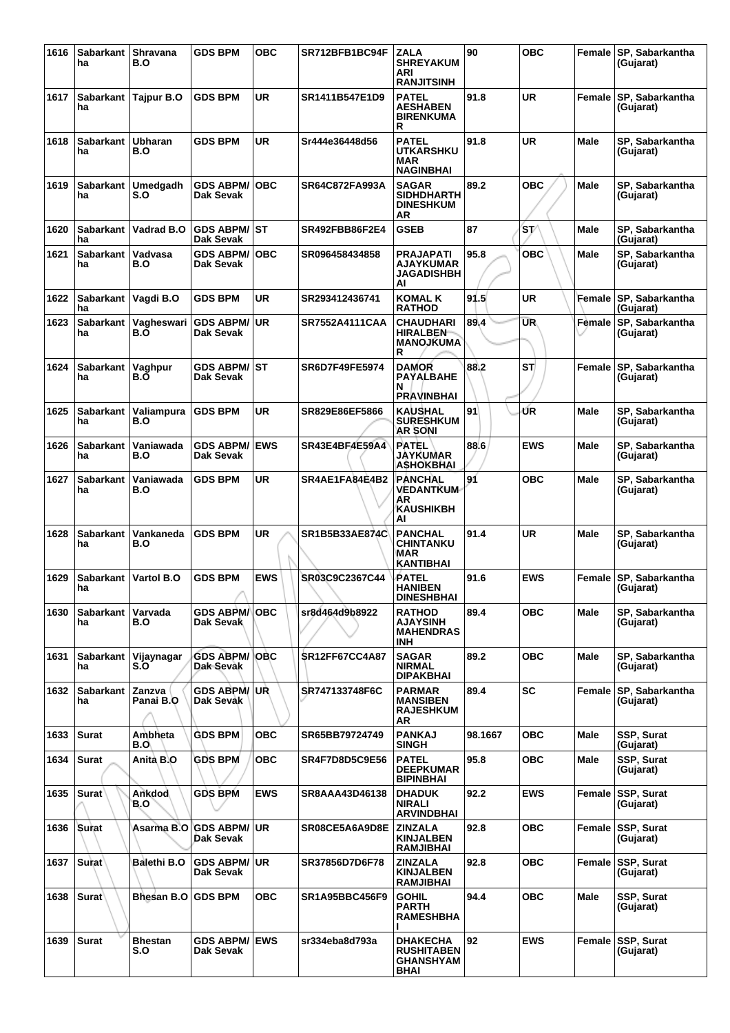| 1616 | Sabarkant<br>ha        | Shravana<br>B.O        | <b>GDS BPM</b>                    | <b>OBC</b> | SR712BFB1BC94F        | <b>ZALA</b><br><b>SHREYAKUM</b><br>ARI<br><b>RANJITSINH</b>        | 90      | <b>OBC</b> | Female      | SP, Sabarkantha<br>(Gujarat)   |
|------|------------------------|------------------------|-----------------------------------|------------|-----------------------|--------------------------------------------------------------------|---------|------------|-------------|--------------------------------|
| 1617 | Sabarkant<br>ha        | Tajpur B.O             | <b>GDS BPM</b>                    | <b>UR</b>  | <b>SR1411B547E1D9</b> | <b>PATEL</b><br><b>AESHABEN</b><br><b>BIRENKUMA</b><br>R           | 91.8    | UR         | Female      | SP, Sabarkantha<br>(Gujarat)   |
| 1618 | <b>Sabarkant</b><br>ha | <b>Ubharan</b><br>B.O  | <b>GDS BPM</b>                    | <b>UR</b>  | Sr444e36448d56        | <b>PATEL</b><br><b>UTKARSHKU</b><br><b>MAR</b><br><b>NAGINBHAI</b> | 91.8    | UR         | <b>Male</b> | SP, Sabarkantha<br>(Gujarat)   |
| 1619 | Sabarkant<br>ha        | <b>Umedgadh</b><br>S.O | <b>GDS ABPM/</b><br>Dak Sevak     | ∣OBC       | SR64C872FA993A        | <b>SAGAR</b><br><b>SIDHDHARTH</b><br><b>DINESHKUM</b><br>AR        | 89.2    | <b>OBC</b> | <b>Male</b> | SP, Sabarkantha<br>(Gujarat)   |
| 1620 | <b>Sabarkant</b><br>ha | Vadrad B.O             | GDS ABPM/ST<br><b>Dak Sevak</b>   |            | SR492FBB86F2E4        | <b>GSEB</b>                                                        | 87      | 'sv        | Male        | SP, Sabarkantha<br>(Gujarat)   |
| 1621 | <b>Sabarkant</b><br>ha | Vadvasa<br>B.O         | <b>GDS ABPM/</b><br>Dak Sevak     | <b>OBC</b> | SR096458434858        | <b>PRAJAPATI</b><br>AJAYKUMAR<br><b>JAGADISHBH</b><br>AI           | 95.8    | <b>OBC</b> | Male        | SP, Sabarkantha<br>(Gujarat)   |
| 1622 | Sabarkant<br>ha        | Vagdi B.O              | <b>GDS BPM</b>                    | <b>UR</b>  | SR293412436741        | KOMAL K<br><b>RATHOD</b>                                           | 91.5    | UR         | Female      | SP, Sabarkantha<br>(Gujarat)   |
| 1623 | Sabarkant<br>ha        | Vagheswari<br>B.O      | GDS ABPM/∣UR<br>Dak Sevak         |            | <b>SR7552A4111CAA</b> | <b>CHAUDHARI</b><br><b>HIRALBEN</b><br><b>MANOJKUMA</b><br>R       | 89.4    | <b>UR</b>  | Female      | SP, Sabarkantha<br>(Gujarat)   |
| 1624 | Sabarkant<br>ha        | Vaghpur<br>B.O         | <b>GDS ABPM/ ST</b><br>Dak Sevak  |            | <b>SR6D7F49FE5974</b> | <b>DAMOR</b><br><b>PAYALBAHE</b><br>N<br><b>PRAVINBHAI</b>         | 88.2    | ST         | Female      | SP, Sabarkantha<br>(Gujarat)   |
| 1625 | <b>Sabarkant</b><br>ha | Valiampura<br>B.O      | <b>GDS BPM</b>                    | <b>UR</b>  | SR829E86EF5866        | KAUSHAL<br><b>SURESHKUM</b><br><b>AR SONI</b>                      | 91      | ŰR         | Male        | SP, Sabarkantha<br>(Gujarat)   |
| 1626 | <b>Sabarkant</b><br>ha | Vaniawada<br>B.O       | <b>GDS ABPM/</b><br>Dak Sevak     | <b>EWS</b> | SR43E4BF4E59A4        | <b>PATEL</b><br><b>JAYKUMAR</b><br><b>ASHOKBHAI</b>                | 88.6    | <b>EWS</b> | Male        | SP, Sabarkantha<br>(Gujarat)   |
| 1627 | <b>Sabarkant</b><br>ha | Vaniawada<br>B.O       | <b>GDS BPM</b>                    | <b>UR</b>  | SR4AE1FA84E4B2        | <b>PANCHAL</b><br><b>VEDANTKUM</b><br>AR<br>KAUSHIKBH<br>AI        | 91      | <b>OBC</b> | <b>Male</b> | SP, Sabarkantha<br>(Gujarat)   |
| 1628 | <b>Sabarkant</b><br>ha | Vankaneda<br>B.O       | <b>GDS BPM</b>                    | <b>UR</b>  | <b>SR1B5B33AE874C</b> | <b>PANCHAL</b><br>CHINTANKU<br>MAR<br><b>KANTIBHAI</b>             | 91.4    | UR         | Male        | SP, Sabarkantha<br>(Gujarat)   |
| 1629 | <b>Sabarkant</b><br>ha | Vartol B.O             | <b>GDS BPM</b>                    | <b>EWS</b> | SR03C9C2367C44        | PATEL<br><b>HANIBEN</b><br><b>DINESHBHAI</b>                       | 91.6    | <b>EWS</b> | Female      | SP, Sabarkantha<br>(Gujarat)   |
| 1630 | Sabarkant<br>ha        | Varvada<br>B.O         | <b>GDS ABPM/IOBC</b><br>Dak Sevak |            | sr8d464d9b8922        | <b>RATHOD</b><br><b>AJAYSINH</b><br><b>MAHENDRAS</b><br>INH        | 89.4    | овс        | Male        | SP. Sabarkantha<br>(Gujarat)   |
| 1631 | Sabarkant<br>ha        | Vijaynagar<br>S.O      | <b>GDS ABPM/ OBC</b><br>Dak Sevak |            | <b>SR12FF67CC4A87</b> | <b>SAGAR</b><br><b>NIRMAL</b><br><b>DIPAKBHAI</b>                  | 89.2    | <b>OBC</b> | <b>Male</b> | SP. Sabarkantha<br>(Gujarat)   |
| 1632 | Sabarkant<br>ha        | Zanzva<br>Panai B.O    | <b>GDS ABPM/UR</b><br>Dak Sevak   |            | SR747133748F6C        | <b>PARMAR</b><br><b>MANSIBEN</b><br><b>RAJESHKUM</b><br>AR         | 89.4    | <b>SC</b>  | Female      | SP, Sabarkantha<br>(Gujarat)   |
| 1633 | <b>Surat</b>           | Ambheta<br>B.O\        | <b>GDS BPM</b>                    | ОВС        | SR65BB79724749        | <b>PANKAJ</b><br><b>SINGH</b>                                      | 98.1667 | ОВС        | Male        | SSP, Surat<br>(Gujarat)        |
| 1634 | <b>Surat</b>           | Anità B.O              | <b>GDS BPM</b>                    | <b>OBC</b> | <b>SR4F7D8D5C9E56</b> | <b>PATEL</b><br><b>DEEPKUMAR</b><br><b>BIPINBHAI</b>               | 95.8    | <b>OBC</b> | Male        | SSP, Surat<br>(Gujarat)        |
| 1635 | <b>Surat</b>           | Ankdod<br>B.O          | GDS BPM                           | <b>EWS</b> | SR8AAA43D46138        | <b>DHADUK</b><br><b>NIRALI</b><br><b>ARVINDBHAI</b>                | 92.2    | <b>EWS</b> | Female      | <b>SSP, Surat</b><br>(Gujarat) |
| 1636 | Surat                  | Asarma B.O             | I'GDS ABPM/ I UR<br>Dak Sevak     |            | SR08CE5A6A9D8E        | <b>ZINZALA</b><br><b>KINJALBEN</b><br>RAMJIBHAI                    | 92.8    | <b>OBC</b> |             | Female SSP, Surat<br>(Gujarat) |
| 1637 | Surat <sup>\</sup>     | Balethi B.O            | <b>GDS ABPM/ UR</b><br>Dak Sevak  |            | SR37856D7D6F78        | <b>ZINZALA</b><br><b>KINJALBEN</b><br><b>RAMJIBHAI</b>             | 92.8    | овс        |             | Female SSP, Surat<br>(Gujarat) |
| 1638 | <b>Surat</b>           | Bhesan B.O   GDS BPM   |                                   | ОВС        | <b>SR1A95BBC456F9</b> | <b>GOHIL</b><br><b>PARTH</b><br><b>RAMESHBHA</b>                   | 94.4    | <b>OBC</b> | Male        | SSP, Surat<br>(Gujarat)        |
| 1639 | <b>Surat</b>           | Bhestan<br>S.O         | <b>GDS ABPM/ EWS</b><br>Dak Sevak |            | sr334eba8d793a        | <b>DHAKECHA</b><br><b>RUSHITABEN</b><br><b>GHANSHYAM</b><br>BHAI   | 92      | <b>EWS</b> | Female      | <b>SSP, Surat</b><br>(Gujarat) |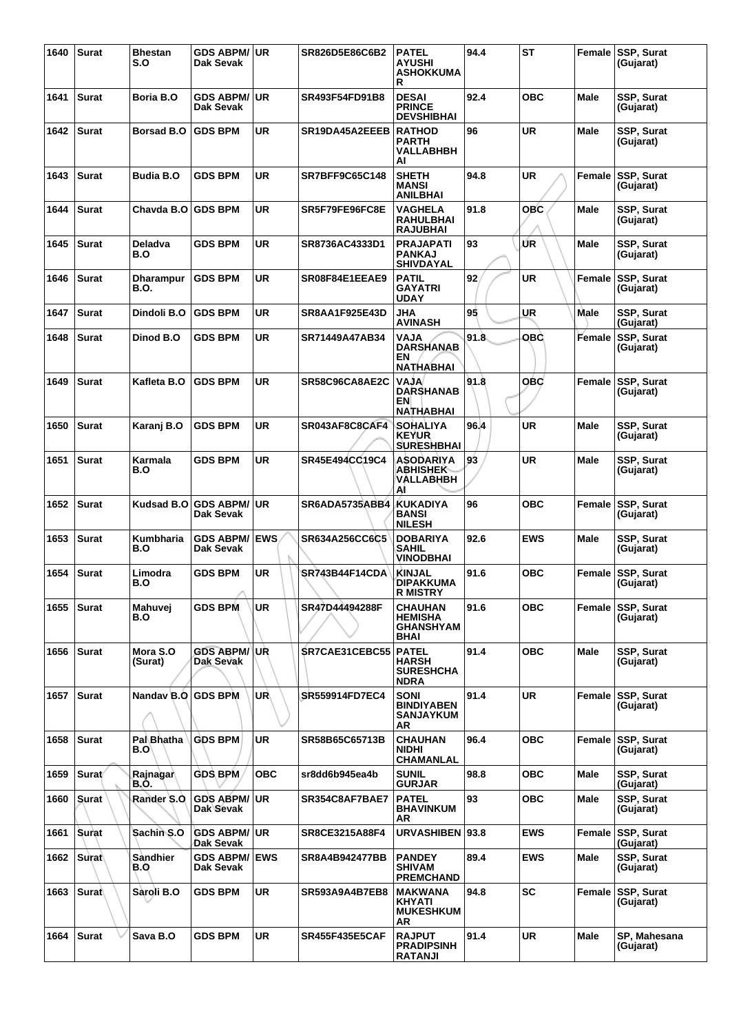| 1640 | <b>Surat</b> | <b>Bhestan</b><br>S.O    | <b>GDS ABPM/ UR</b><br>Dak Sevak  |            | SR826D5E86C6B2        | <b>PATEL</b><br>AYUSHI<br><b>ASHOKKUMA</b><br>R                 | 94.4 | <b>ST</b>  |             | Female SSP, Surat<br>(Gujarat) |
|------|--------------|--------------------------|-----------------------------------|------------|-----------------------|-----------------------------------------------------------------|------|------------|-------------|--------------------------------|
| 1641 | <b>Surat</b> | Boria B.O                | <b>GDS ABPM/</b><br>Dak Sevak     | ∣UR.       | SR493F54FD91B8        | <b>DESAI</b><br><b>PRINCE</b><br><b>DEVSHIBHAI</b>              | 92.4 | <b>OBC</b> | Male        | SSP, Surat<br>(Gujarat)        |
| 1642 | <b>Surat</b> | <b>Borsad B.O</b>        | <b>GDS BPM</b>                    | <b>UR</b>  | SR19DA45A2EEEB        | <b>RATHOD</b><br><b>PARTH</b><br>VALLABHBH<br>AI                | 96   | <b>UR</b>  | Male        | <b>SSP, Surat</b><br>(Gujarat) |
| 1643 | <b>Surat</b> | <b>Budia B.O</b>         | <b>GDS BPM</b>                    | UR         | SR7BFF9C65C148        | <b>SHETH</b><br><b>MANSI</b><br><b>ANILBHAI</b>                 | 94.8 | <b>UR</b>  | Female      | <b>SSP, Surat</b><br>(Gujarat) |
| 1644 | <b>Surat</b> | Chavda B.O               | <b>GDS BPM</b>                    | UR         | SR5F79FE96FC8E        | VAGHELA<br><b>RAHULBHAI</b><br><b>RAJUBHAI</b>                  | 91.8 | <b>OBC</b> | Male        | <b>SSP, Surat</b><br>(Gujarat) |
| 1645 | <b>Surat</b> | Deladva<br>B.O           | <b>GDS BPM</b>                    | <b>UR</b>  | SR8736AC4333D1        | <b>PRAJAPATI</b><br><b>PANKAJ</b><br><b>SHIVDAYAL</b>           | 93   | ŰR         | Male        | SSP, Surat<br>(Gujarat)        |
| 1646 | <b>Surat</b> | Dharampur<br>B.O.        | <b>GDS BPM</b>                    | UR         | SR08F84E1EEAE9        | <b>PATIL</b><br>GAYATRI<br><b>UDAY</b>                          | 92   | <b>UR</b>  | Female      | SSP, Surat<br>(Gujarat)        |
| 1647 | <b>Surat</b> | Dindoli B.O              | <b>GDS BPM</b>                    | UR         | SR8AA1F925E43D        | JHA<br><b>AVINASH</b>                                           | 95   | <b>UR</b>  | <b>Male</b> | <b>SSP, Surat</b><br>(Gujarat) |
| 1648 | <b>Surat</b> | Dinod B.O                | <b>GDS BPM</b>                    | <b>UR</b>  | SR71449A47AB34        | <b>NLAV</b><br><b>DARSHANAB</b><br>ΕN<br><b>NATHABHAI</b>       | 91.8 | <b>OBC</b> | Female      | SSP, Surat<br>(Gujarat)        |
| 1649 | <b>Surat</b> | Kafleta B.O              | <b>GDS BPM</b>                    | <b>UR</b>  | SR58C96CA8AE2C        | <b>NLAV</b><br><b>DARSHANAB</b><br>EN<br>NATHABHAI              | 91.8 | <b>OBC</b> | Female      | SSP, Surat<br>(Gujarat)        |
| 1650 | <b>Surat</b> | Karanj B.O               | <b>GDS BPM</b>                    | UR         | SR043AF8C8CAF4        | <b>SOHALIYA</b><br><b>KEYUR</b><br><b>SURESHBHAI</b>            | 96.4 | <b>UR</b>  | Male        | SSP, Surat<br>(Gujarat)        |
| 1651 | <b>Surat</b> | Karmala<br>B.O           | <b>GDS BPM</b>                    | UR         | SR45E494CC19C4        | ASODARIYA<br>ABHISHEK<br>VALLABHBH<br>Al                        | 93   | UR         | <b>Male</b> | <b>SSP, Surat</b><br>(Gujarat) |
| 1652 | <b>Surat</b> | Kudsad B.O               | <b>GDS ABPM/</b><br>Dak Sevak     | ∣UR        | SR6ADA5735ABB4        | <b>KUKADIYA</b><br><b>BANSI</b><br><b>NILESH</b>                | 96   | <b>OBC</b> | Female      | <b>SSP, Surat</b><br>(Gujarat) |
| 1653 | <b>Surat</b> | Kumbharia<br>B.O         | <b>GDS ABPM/</b><br>Dak Sevak     | <b>EWS</b> | <b>SR634A256CC6C5</b> | <b>DOBARIYA</b><br>SAHIL<br><b>VINODBHAI</b>                    | 92.6 | <b>EWS</b> | Male        | SSP, Surat<br>(Gujarat)        |
| 1654 | <b>Surat</b> | Limodra<br>B.O           | <b>GDS BPM</b>                    | UR         | SR743B44F14CDA        | <b>KINJAL</b><br><b>DIPAKKUMA</b><br><b>R MISTRY</b>            | 91.6 | <b>OBC</b> | Female      | <b>SSP, Surat</b><br>(Gujarat) |
| 1655 | <b>Surat</b> | Mahuvej<br>B.O           | <b>GDS BPM</b>                    | <b>UR</b>  | SR47D44494288F        | CHAUHAN<br><b>HEMISHA</b><br><b>GHANSHYAM</b><br>BHAI           | 91.6 | ОВС        |             | Female SSP, Surat<br>(Gujarat) |
| 1656 | <b>Surat</b> | Mora S.O<br>(Surat)      | <b>GDS ABPM/ UR</b><br>Dak Sevak  |            | SR7CAE31CEBC55        | <b>PATEL</b><br><b>HARSH</b><br><b>SURESHCHA</b><br><b>NDRA</b> | 91.4 | <b>OBC</b> | Male        | <b>SSP, Surat</b><br>(Gujarat) |
| 1657 | <b>Surat</b> | Nandav B.O               | <b>GDS BPM</b>                    | UR         | <b>SR559914FD7EC4</b> | <b>SONI</b><br><b>BINDIYABEN</b><br><b>SANJAYKUM</b><br>AR      | 91.4 | <b>UR</b>  |             | Female SSP, Surat<br>(Gujarat) |
| 1658 | <b>Surat</b> | <b>Pal Bhatha</b><br>B.O | <b>GDS BPM</b>                    | <b>UR</b>  | SR58B65C65713B        | CHAUHAN<br><b>NIDHI</b><br>CHAMANLAL                            | 96.4 | <b>OBC</b> |             | Female SSP, Surat<br>(Gujarat) |
| 1659 | Surat/       | Rajnagar<br>B.O.         | <b>GDS BPM</b>                    | <b>OBC</b> | sr8dd6b945ea4b        | <b>SUNIL</b><br><b>GURJAR</b>                                   | 98.8 | <b>OBC</b> | Male        | SSP, Surat<br>(Gujarat)        |
| 1660 | <b>Surat</b> | Rander S.O               | <b>GDS ABPM/ UR</b><br>Dak Sevak  |            | SR354C8AF7BAE7        | <b>PATEL</b><br><b>BHAVINKUM</b><br>AR                          | 93   | <b>OBC</b> | Male        | SSP, Surat<br>(Gujarat)        |
| 1661 | Surat        | Sachin S.O               | <b>GDS ABPM/ UR</b><br>Dak Sevak  |            | SR8CE3215A88F4        | <b>URVASHIBEN</b>                                               | 93.8 | <b>EWS</b> |             | Female SSP, Surat<br>(Gujarat) |
| 1662 | Surat        | Sandhier<br>B.Q          | <b>GDS ABPM/ EWS</b><br>Dak Sevak |            | SR8A4B942477BB        | <b>PANDEY</b><br><b>SHIVAM</b><br><b>PREMCHAND</b>              | 89.4 | <b>EWS</b> | Male        | SSP, Surat<br>(Gujarat)        |
| 1663 | <b>Surat</b> | Sàroli B.O               | <b>GDS BPM</b>                    | UR.        | <b>SR593A9A4B7EB8</b> | <b>MAKWANA</b><br><b>KHYATI</b><br><b>MUKESHKUM</b><br>AR       | 94.8 | <b>SC</b>  |             | Female SSP, Surat<br>(Gujarat) |
| 1664 | <b>Surat</b> | Sava B.O                 | <b>GDS BPM</b>                    | UR.        | <b>SR455F435E5CAF</b> | <b>RAJPUT</b><br><b>PRADIPSINH</b><br><b>RATANJI</b>            | 91.4 | <b>UR</b>  | <b>Male</b> | SP, Mahesana<br>(Gujarat)      |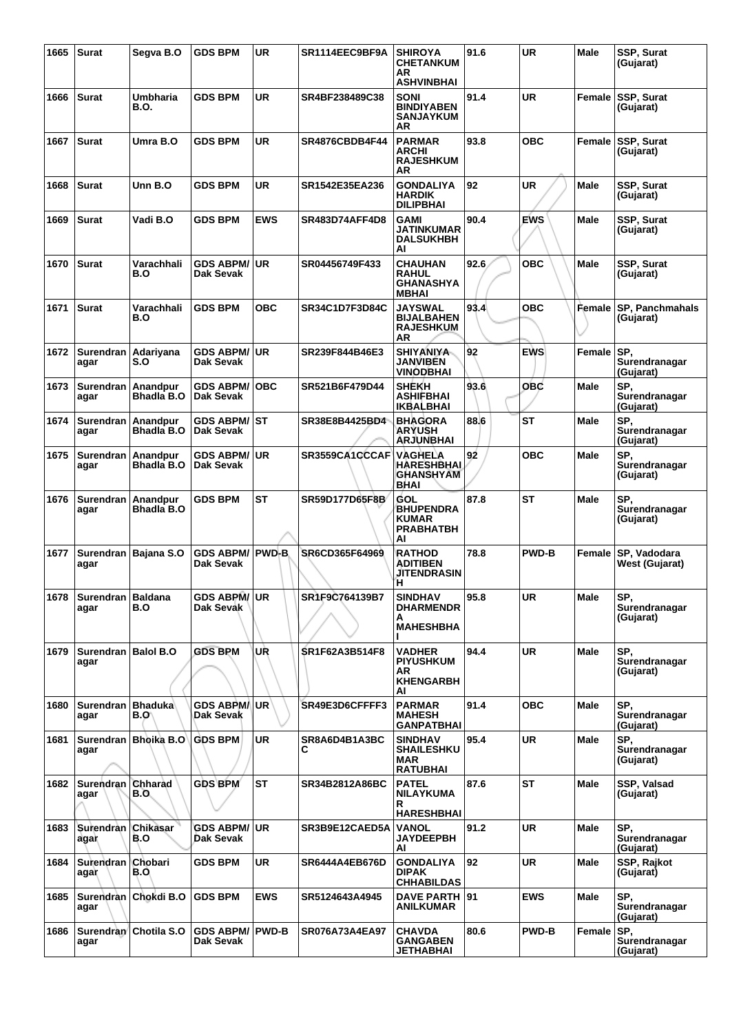| 1665 | <b>Surat</b>                   | Segva B.O                      | <b>GDS BPM</b>                      | <b>UR</b>    | SR1114EEC9BF9A        | <b>SHIROYA</b><br><b>CHETANKUM</b><br>AR<br><b>ASHVINBHAI</b>      | 91.6 | <b>UR</b>    | Male        | SSP, Surat<br>(Gujarat)               |
|------|--------------------------------|--------------------------------|-------------------------------------|--------------|-----------------------|--------------------------------------------------------------------|------|--------------|-------------|---------------------------------------|
| 1666 | <b>Surat</b>                   | <b>Umbharia</b><br><b>B.O.</b> | <b>GDS BPM</b>                      | <b>UR</b>    | SR4BF238489C38        | <b>SONI</b><br><b>BINDIYABEN</b><br><b>SANJAYKUM</b><br>AR         | 91.4 | <b>UR</b>    |             | Female SSP, Surat<br>(Gujarat)        |
| 1667 | <b>Surat</b>                   | Umra B.O                       | <b>GDS BPM</b>                      | <b>UR</b>    | SR4876CBDB4F44        | <b>PARMAR</b><br><b>ARCHI</b><br><b>RAJESHKUM</b><br>AR            | 93.8 | <b>OBC</b>   |             | Female SSP, Surat<br>(Gujarat)        |
| 1668 | <b>Surat</b>                   | Unn B.O                        | <b>GDS BPM</b>                      | <b>UR</b>    | SR1542E35EA236        | <b>GONDALIYA</b><br><b>HARDIK</b><br><b>DILIPBHAI</b>              | 92   | <b>UR</b>    | Male        | SSP, Surat<br>(Gujarat)               |
| 1669 | <b>Surat</b>                   | Vadi B.O                       | <b>GDS BPM</b>                      | <b>EWS</b>   | <b>SR483D74AFF4D8</b> | <b>GAMI</b><br>JATINKUMAR<br><b>DALSUKHBH</b><br>Al                | 90.4 | <b>EWS</b>   | Male        | SSP, Surat<br>(Gujarat)               |
| 1670 | <b>Surat</b>                   | Varachhali<br>B.O              | <b>GDS ABPM/</b><br>Dak Sevak       | <b>UR</b>    | SR04456749F433        | <b>CHAUHAN</b><br><b>RAHUL</b><br><b>GHANASHYA</b><br><b>MBHAI</b> | 92.6 | <b>OBC</b>   | Male        | SSP, Surat<br>(Gujarat)               |
| 1671 | <b>Surat</b>                   | Varachhali<br>B.O              | <b>GDS BPM</b>                      | OBC          | SR34C1D7F3D84C        | <b>JAYSWAL</b><br><b>BIJALBAHEN</b><br><b>RAJESHKUM</b><br>AR      | 93.4 | <b>OBC</b>   | Female      | SP, Panchmahals<br>(Gujarat)          |
| 1672 | Surendran   Adariyana<br>agar  | S.O                            | <b>GDS ABPM/</b><br>Dak Sevak       | <b>UR</b>    | SR239F844B46E3        | <b>SHIYANIYA</b><br>JANVIBEN<br><b>VINODBHAI</b>                   | 92   | <b>EWS</b>   | Female      | SP.<br>Surendranagar<br>(Gujarat)     |
| 1673 | Surendran<br>agar              | Anandpur<br>Bhadla B.O         | <b>GDS ABPM/</b><br>Dak Sevak       | <b>OBC</b>   | SR521B6F479D44        | <b>SHEKH</b><br><b>ASHIFBHAI</b><br><b>IKBALBHAI</b>               | 93.6 | <b>OBC</b>   | Male        | SP,<br>Surendranagar<br>(Gujarat)     |
| 1674 | Surendran   Anandpur<br>agar   | <b>Bhadla B.O</b>              | <b>GDS ABPM/</b><br>Dak Sevak       | <b>ST</b>    | SR38E8B4425BD4        | <b>BHAGORA</b><br><b>ARYUSH</b><br><b>ARJUNBHAI</b>                | 88.6 | <b>ST</b>    | Male        | SP,<br>Surendranagar<br>(Gujarat)     |
| 1675 | Surendran   Anandpur<br>agar   | Bhadla B.O                     | <b>GDS ABPM/</b><br>Dak Sevak       | <b>UR</b>    | SR3559CA1CCCAF        | VAGHELA<br><b>HARESHBHAI</b><br><b>GHANSHYAM</b><br>BHAI           | 92   | <b>OBC</b>   | <b>Male</b> | SP.<br>Surendranagar<br>(Gujarat)     |
| 1676 | Surendran   Anandpur<br>agar   | Bhadla B.O                     | <b>GDS BPM</b>                      | ST           | SR59D177D65F8B        | GOL<br><b>BHUPENDRA</b><br><b>KUMAR</b><br><b>PRABHATBH</b><br>AI  | 87.8 | <b>ST</b>    | <b>Male</b> | SP,<br>Surendranagar<br>(Gujarat)     |
| 1677 | agar                           | Surendran   Bajana S.O         | <b>GDS ABPM/</b><br>Dak Sevak       | <b>PWD-B</b> | SR6CD365F64969        | <b>RATHOD</b><br><b>ADITIBEN</b><br><b>JITENDRASIN</b><br>н,       | 78.8 | <b>PWD-B</b> |             | Female SP, Vadodara<br>West (Gujarat) |
|      | 1678 Surendran Baldana<br>agar | B.O                            | GDS ABPM/UR<br>Dak Sevak            |              | SR1F9C764139B7        | <b>SINDHAV</b><br><b>DHARMENDR</b><br>A<br><b>MAHESHBHA</b>        | 95.8 | <b>UR</b>    | <b>Male</b> | SP,<br>Surendranagar<br>(Gujarat)     |
| 1679 | Surendran   Balol B.O<br>agar  |                                | <b>GDS BPM</b>                      | UŘ           | SR1F62A3B514F8        | <b>VADHER</b><br><b>PIYUSHKUM</b><br>AR.<br><b>KHENGARBH</b><br>ΑI | 94.4 | <b>UR</b>    | Male        | SP.<br>Surendranagar<br>(Gujarat)     |
| 1680 | Surendran   Bhaduka<br>agar    | B.O\                           | <b>GDS ABPM</b><br>Dak Sevak        | <b>UR</b>    | SR49E3D6CFFFF3        | <b>PARMAR</b><br><b>MAHESH</b><br><b>GANPATBHAI</b>                | 91.4 | <b>OBC</b>   | <b>Male</b> | SP.<br>Surendranagar<br>(Gujarat)     |
| 1681 | agar                           | Surendran   Bhoika B.O         | <b>GDS BPM</b>                      | UR           | SR8A6D4B1A3BC<br>C    | <b>SINDHAV</b><br><b>SHAILESHKU</b><br>MAR<br><b>RATUBHAI</b>      | 95.4 | UR           | Male        | SP,<br>Surendranagar<br>(Gujarat)     |
| 1682 | Surendran Chharad<br>agar      | B.O.                           | <b>GDS BPM</b>                      | <b>ST</b>    | SR34B2812A86BC        | <b>PATEL</b><br><b>NILAYKUMA</b><br>R.<br><b>HARESHBHAI</b>        | 87.6 | <b>ST</b>    | Male        | SSP, Valsad<br>(Gujarat)              |
| 1683 | Surendran Chikasar<br>agar     | B.O                            | <b>GDS ABPM/</b><br>Dak Sevak       | <b>UR</b>    | SR3B9E12CAED5A        | <b>VANOL</b><br><b>JAYDEEPBH</b><br>ΑI                             | 91.2 | UR           | Male        | SP.<br>Surendranagar<br>(Gujarat)     |
| 1684 | Surendran Chobari<br>agar      | B.O.                           | GDS BPM                             | <b>UR</b>    | <b>SR6444A4EB676D</b> | <b>GONDALIYA</b><br><b>DIPAK</b><br><b>CHHABILDAS</b>              | 92   | <b>UR</b>    | Male        | SSP, Rajkot<br>(Gujarat)              |
| 1685 | agar                           | Surendran   Chokdi B.O         | <b>GDS BPM</b>                      | <b>EWS</b>   | SR5124643A4945        | DAVE PARTH 91<br><b>ANILKUMAR</b>                                  |      | <b>EWS</b>   | <b>Male</b> | SP,<br>Surendranagar<br>(Gujarat)     |
| 1686 | agar                           | Surendran Chotila S.O          | <b>GDS ABPM/ PWD-B</b><br>Dak Sevak |              | <b>SR076A73A4EA97</b> | <b>CHAVDA</b><br><b>GANGABEN</b><br>JETHABHAI                      | 80.6 | <b>PWD-B</b> | Female      | SP,<br>Surendranagar<br>(Gujarat)     |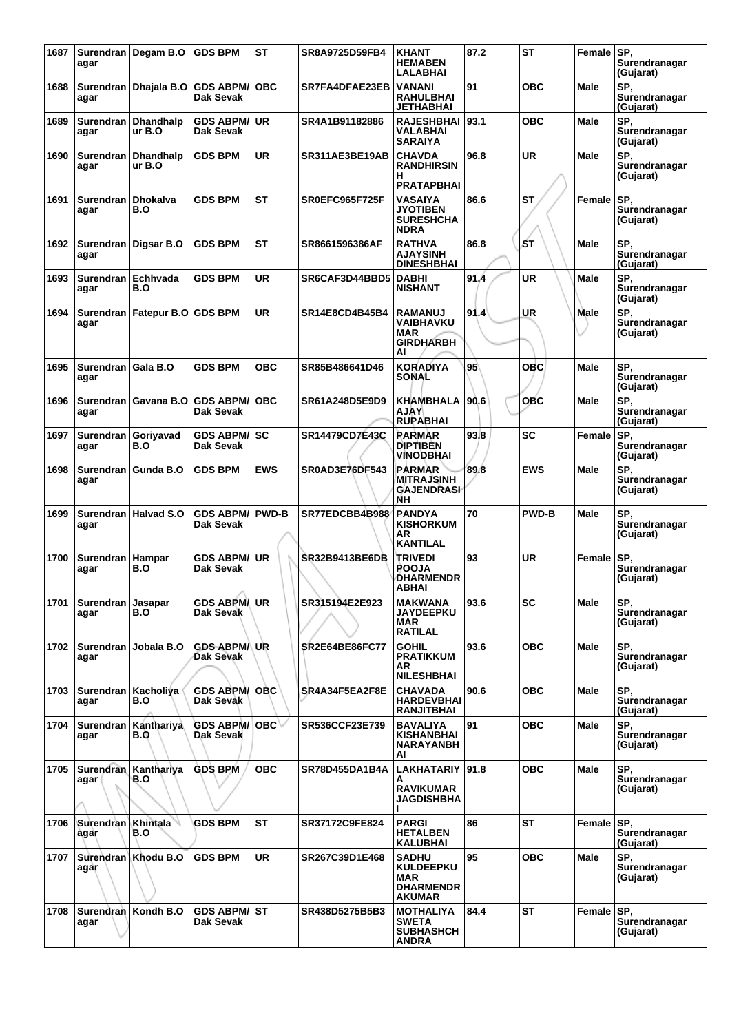| 1687 | agar                          | Surendran Degam B.O        | <b>GDS BPM</b>                   | <b>ST</b>    | SR8A9725D59FB4        | <b>KHANT</b><br><b>HEMABEN</b><br>LALABHAI                                                | 87.2 | <b>ST</b>    | Female SP,  | Surendranagar<br>(Gujarat)         |
|------|-------------------------------|----------------------------|----------------------------------|--------------|-----------------------|-------------------------------------------------------------------------------------------|------|--------------|-------------|------------------------------------|
| 1688 | agar                          | Surendran Dhaiala B.O      | <b>GDS ABPM/</b><br>Dak Sevak    | <b>OBC</b>   | SR7FA4DFAE23EB        | <b>VANANI</b><br><b>RAHULBHAI</b><br>JETHABHAI                                            | 91   | овс          | <b>Male</b> | SP.<br>Surendranagar<br>(Gujarat)  |
| 1689 | Surendran<br>agar             | <b>Dhandhalp</b><br>ur B.O | <b>GDS ABPM/</b><br>Dak Sevak    | <b>UR</b>    | SR4A1B91182886        | <b>RAJESHBHAI</b><br>VALABHAI<br><b>SARAIYA</b>                                           | 93.1 | <b>OBC</b>   | Male        | SP.<br>Surendranagar<br>(Gujarat)  |
| 1690 | <b>Surendran</b><br>agar      | <b>Dhandhalp</b><br>ur B.O | <b>GDS BPM</b>                   | <b>UR</b>    | SR311AE3BE19AB        | <b>CHAVDA</b><br><b>RANDHIRSIN</b><br>н                                                   | 96.8 | <b>UR</b>    | Male        | SP,<br>Surendranagar<br>(Gujarat)  |
| 1691 | <b>Surendran</b><br>agar      | <b>Dhokalva</b><br>B.O     | <b>GDS BPM</b>                   | <b>ST</b>    | <b>SR0EFC965F725F</b> | <b>PRATAPBHAI</b><br><b>VASAIYA</b><br><b>JYOTIBEN</b><br><b>SURESHCHA</b><br><b>NDRA</b> | 86.6 | <b>ST</b>    | Female      | SP.<br>Surendranagar<br>(Gujarat)  |
| 1692 | Surendran<br>agar             | Digsar B.O                 | <b>GDS BPM</b>                   | <b>ST</b>    | SR8661596386AF        | <b>RATHVA</b><br><b>AJAYSINH</b><br><b>DINESHBHAI</b>                                     | 86.8 | ŚΤ           | Male        | SP,<br>Surendranagar<br>(Gujarat)  |
| 1693 | Surendran   Echhvada<br>agar  | B.O                        | <b>GDS BPM</b>                   | UR           | SR6CAF3D44BBD5        | <b>DABHI</b><br><b>NISHANT</b>                                                            | 91.4 | <b>UR</b>    | Male        | SP.<br>Surendranagar<br>(Gujarat)  |
| 1694 | Surendran  <br>agar           | <b>Fatepur B.O</b>         | <b>GDS BPM</b>                   | UR           | SR14E8CD4B45B4        | <b>RAMANUJ</b><br><b>VAIBHAVKU</b><br><b>MAR</b><br><b>GIRDHARBH</b><br>Al                | 91.4 | UR           | <b>Male</b> | SP.<br>Surendranagar<br>(Gujarat)  |
| 1695 | Surendran   Gala B.O<br>agar  |                            | <b>GDS BPM</b>                   | ОВС          | SR85B486641D46        | <b>KORADIYA</b><br><b>SONAL</b>                                                           | 95   | ОВС          | <b>Male</b> | SP.<br>Surendranagar<br>(Gujarat)  |
| 1696 | <b>Surendran</b><br>agar      | Gavana B.O                 | <b>GDS ABPM/</b><br>Dak Sevak    | <b>OBC</b>   | SR61A248D5E9D9        | KHAMBHALA<br><b>AJAY</b><br><b>RUPABHAI</b>                                               | 90.6 | <b>OBC</b>   | Male        | SP.<br>Surendranagar<br>(Gujarat)  |
| 1697 | Surendran   Goriyavad<br>agar | B.O                        | <b>GDS ABPM/</b><br>Dak Sevak    | <b>SC</b>    | SR14479CD7E43C        | <b>RARMAR</b><br><b>DIPTIBEN</b><br>VINODBHAI                                             | 93.8 | SC           | Female      | SP.<br>Surendranagar<br>(Gujarat)  |
| 1698 | agar                          | Surendran   Gunda B.O      | <b>GDS BPM</b>                   | <b>EWS</b>   | SR0AD3E76DF543        | <b>PARMAR</b><br><b>MITRAJSINH</b><br><b>GAJENDRASI</b><br>NΗ                             | 89.8 | <b>EWS</b>   | Male        | SP.<br>Surendranagar<br>(Gujarat)  |
| 1699 | agar                          | Surendran   Halvad S.O     | <b>GDS ABPM/</b><br>Dak Sevak    | <b>PWD-B</b> | SR77EDCBB4B988        | <b>PANDYA</b><br><b>KISHORKUM</b><br>AR<br><b>KANTILAL</b>                                | 70   | <b>PWD-B</b> | Male        | SP.<br>Surendranagar<br>(Gujarat)  |
| 1700 | <b>Surendran</b><br>agar      | Hampar<br>B.O              | <b>GDS ABPM/</b><br>Dak Sevak    | <b>UR</b>    | <b>SR32B9413BE6DB</b> | <b>TRIVEDI</b><br><b>POOJA</b><br><b>DHARMENDR</b><br><b>ABHAI</b>                        | 93   | <b>UR</b>    | Female      | SP.<br>Surendranagar<br>(Gujarat)  |
| 1701 | Surendran Jasapar<br>agar     | B.O                        | <b>GDS ABPM/UR</b><br>Dak Sevak  |              | SR315194E2E923        | <b>MAKWANA</b><br><b>JAYDEEPKU</b><br>MAR<br><b>RATILAL</b>                               | 93.6 | <b>SC</b>    | Male        | SP,<br>Surendranagar<br>(Gujarat)  |
| 1702 | agar                          | Surendran   Jobala B.O     | <b>GDS ABPM/UR</b><br>Dak Sevak  |              | <b>SR2E64BE86FC77</b> | <b>GOHIL</b><br><b>PRATIKKUM</b><br>AR<br><b>NILESHBHAI</b>                               | 93.6 | <b>OBC</b>   | <b>Male</b> | SP.<br>Surendranagar<br>(Gujarat)  |
| 1703 | Surendran   Kacholiya<br>agar | B.O                        | <b>GDS ABPM/</b><br>Dak Sevak    | <b>OBC</b>   | SR4A34F5EA2F8E        | <b>CHAVADA</b><br><b>HARDEVBHAI</b><br><b>RANJITBHAI</b>                                  | 90.6 | <b>OBC</b>   | <b>Male</b> | SP.<br>Surendranagar<br>(Gujarat)  |
| 1704 | Surendran<br>agar             | Kanthariya<br><b>B.O</b>   | <b>GDS ABPM/</b><br>Dak Sevak    | OBC ⊌        | SR536CCF23E739        | <b>BAVALIYA</b><br><b>KISHANBHAI</b><br><b>NARAYANBH</b><br>Al                            | 91   | овс          | Male        | SP.<br>Surendranagar<br>(Gujarat)  |
| 1705 | Surendran<br>agar             | Kanthariya<br>B.O          | <b>GDS BPM</b>                   | <b>OBC</b>   | <b>SR78D455DA1B4A</b> | LAKHATARIY   91.8<br>A<br><b>RAVIKUMAR</b><br>JAGDISHBHA                                  |      | <b>OBC</b>   | Male        | SP.<br>Surendranagar<br>(Gujarat)  |
| 1706 | Surendran Khintala<br>agar    | B.O                        | <b>GDS BPM</b>                   | <b>ST</b>    | SR37172C9FE824        | <b>PARGI</b><br><b>HETALBEN</b><br><b>KALUBHAI</b>                                        | 86   | ST           | Female      | ISP.<br>Surendranagar<br>(Gujarat) |
| 1707 | agar                          | Surendran Khodu B.O        | <b>GDS BPM</b>                   | UR           | SR267C39D1E468        | <b>SADHU</b><br><b>KULDEEPKU</b><br>MAR<br><b>DHARMENDR</b><br><b>AKUMAR</b>              | 95   | ОВС          | Male        | SP.<br>Surendranagar<br>(Gujarat)  |
| 1708 | agar                          | Surendran Kondh B.O        | <b>GDS ABPM/ ST</b><br>Dak Sevak |              | SR438D5275B5B3        | <b>MOTHALIYA</b><br><b>SWETA</b><br><b>SUBHASHCH</b><br><b>ANDRA</b>                      | 84.4 | ST           | Female      | ISP.<br>Surendranagar<br>(Gujarat) |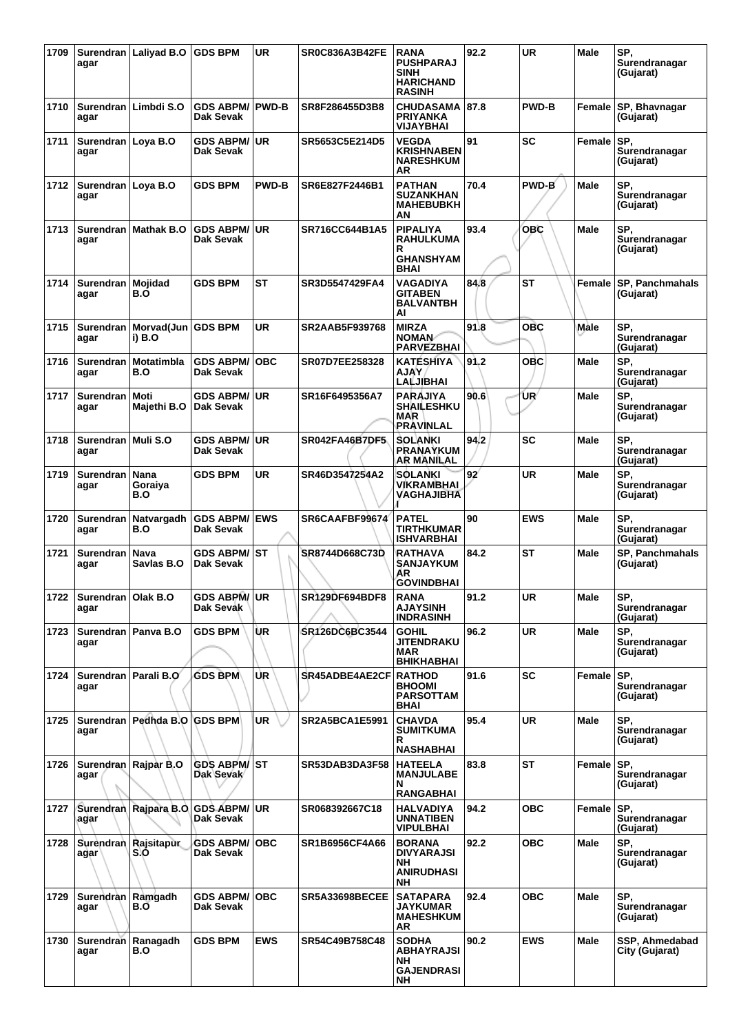| 1709 | agar                            | Surendran   Laliyad B.O            | <b>GDS BPM</b>                       | <b>UR</b>    | <b>SR0C836A3B42FE</b> | <b>RANA</b><br><b>PUSHPARAJ</b><br><b>SINH</b><br><b>HARICHAND</b><br><b>RASINH</b> | 92.2 | <b>UR</b>    | Male        | SP,<br>Surendranagar<br>(Gujarat) |
|------|---------------------------------|------------------------------------|--------------------------------------|--------------|-----------------------|-------------------------------------------------------------------------------------|------|--------------|-------------|-----------------------------------|
| 1710 | agar                            | Surendran   Limbdi S.O             | <b>GDS ABPM/</b><br>Dak Sevak        | <b>PWD-B</b> | SR8F286455D3B8        | <b>CHUDASAMA</b><br><b>PRIYANKA</b><br>VIJAYBHAI                                    | 87.8 | <b>PWD-B</b> | Female      | SP, Bhavnagar<br>(Gujarat)        |
| 1711 | Surendran   Loya B.O<br>agar    |                                    | <b>GDS ABPM/</b><br>Dak Sevak        | <b>UR</b>    | SR5653C5E214D5        | VEGDA<br><b>KRISHNABEN</b><br><b>NARESHKUM</b><br>AR                                | 91   | <b>SC</b>    | Female      | SP.<br>Surendranagar<br>(Gujarat) |
| 1712 | Surendran   Loya B.O<br>agar    |                                    | <b>GDS BPM</b>                       | <b>PWD-B</b> | SR6E827F2446B1        | <b>PATHAN</b><br><b>SUZANKHAN</b><br><b>MAHEBUBKH</b><br>ΑN                         | 70.4 | PWD-B        | Male        | SP.<br>Surendranagar<br>(Gujarat) |
| 1713 | agar                            | Surendran   Mathak B.O.            | <b>GDS ABPM/</b><br>Dak Sevak        | <b>UR</b>    | SR716CC644B1A5        | <b>PIPALIYA</b><br><b>RAHULKUMA</b><br>R<br><b>GHANSHYAM</b><br><b>BHAI</b>         | 93.4 | <b>OBC</b>   | <b>Male</b> | SP.<br>Surendranagar<br>(Gujarat) |
| 1714 | <b>Surendran</b><br>agar        | Mojidad<br>B.O                     | <b>GDS BPM</b>                       | ST           | SR3D5547429FA4        | VAGADIYA<br><b>GITABEN</b><br><b>BALVANTBH</b><br>Al                                | 84.8 | ST           | Female      | SP, Panchmahals<br>(Gujarat)      |
| 1715 | Surendran<br>agar               | Morvad(Jun<br>i) B.O               | <b>GDS BPM</b>                       | UR           | SR2AAB5F939768        | <b>MIRZA</b><br><b>NOMAN</b><br><b>PARVEZBHAI</b>                                   | 91.8 | <b>OBC</b>   | Male        | SP.<br>Surendranagar<br>(Gujarat) |
| 1716 | agar                            | Surendran   Motatimbla<br>B.O      | <b>GDS ABPM/</b><br><b>Dak Sevak</b> | <b>OBC</b>   | SR07D7EE258328        | <b>KATÉSHIYA</b><br><b>AJAY</b><br>LALJIBHAI                                        | 91.2 | ОВС          | Male        | SP.<br>Surendranagar<br>(Gujarat) |
| 1717 | Surendran   Moti<br>agar        | Majethi B.O                        | <b>GDS ABPM/</b><br><b>Dak Sevak</b> | <b>UR</b>    | SR16F6495356A7        | <b>PARAJIYA</b><br><b>SHAILESHKU</b><br>MAR<br>PRAVINLAL                            | 90.6 | ŪR∕          | Male        | SP.<br>Surendranagar<br>(Gujarat) |
| 1718 | Surendran   Muli S.O<br>agar    |                                    | <b>GDS ABPM/</b><br>Dak Sevak        | <b>UR</b>    | SR042FA46B7DF5        | <b>SOLANKI</b><br><b>PRANAYKUM</b><br>AR MANILAL                                    | 94.2 | SC           | Male        | SP.<br>Surendranagar<br>(Gujarat) |
| 1719 | <b>Surendran</b><br>agar        | Nana<br>Goraiya<br>B.O             | <b>GDS BPM</b>                       | <b>UR</b>    | SR46D3547254A2        | SOLANKI<br>VIKRAMBHAI<br>VAGHAJIBHA                                                 | 92'  | UR           | Male        | SP,<br>Surendranagar<br>(Gujarat) |
| 1720 | Surendran<br>agar               | Natvargadh<br>B.O                  | <b>GDS ABPM/</b><br><b>Dak Sevak</b> | <b>EWS</b>   | SR6CAAFBF99674        | <b>PATEL</b><br>TIRTHKUMAR<br><b>ISHVARBHAI</b>                                     | 90   | <b>EWS</b>   | <b>Male</b> | SP.<br>Surendranagar<br>(Gujarat) |
| 1721 | Surendran   Nava<br>agar        | Savlas B.O                         | <b>GDS ABPM/</b><br><b>Dak Sevak</b> | <b>ST</b>    | SR8744D668C73D        | <b>RATHAVA</b><br><b>SANJAYKUM</b><br>ΑR<br>GOVINDBHAI                              | 84.2 | <b>ST</b>    | Male        | SP, Panchmahals<br>(Gujarat)      |
|      | 1722 Surendran Olak B.O<br>agar |                                    | GDS ABPM/UR<br>Dak Sevak             |              | SR129DF694BDF8        | <b>RANA</b><br><b>AJAYSINH</b><br>INDRASINH                                         | 91.2 | <b>UR</b>    | Male        | SP,<br>Surendranagar<br>(Gujarat) |
| 1723 | agar                            | Surendran   Panva B.O              | <b>GDS BPM</b>                       | ÙR           | SR126DC6BC3544        | <b>GOHIL</b><br><b>JITENDRAKU</b><br>MAR<br><b>BHIKHABHAI</b>                       | 96.2 | <b>UR</b>    | Male        | SP.<br>Surendranagar<br>(Gujarat) |
| 1724 | Surendran   Parali B.O<br>agar  |                                    | <b>GDS BPM</b>                       | UR.          | SR45ADBE4AE2CF        | <b>RATHOD</b><br><b>BHOOMI</b><br><b>PARSOTTAM</b><br>BHAI                          | 91.6 | <b>SC</b>    | Female      | SP.<br>Surendranagar<br>(Gujarat) |
| 1725 | agar                            | Surendran   Pedhda B.O   GDS BPM   |                                      | UR           | <b>SR2A5BCA1E5991</b> | <b>CHAVDA</b><br><b>SUMITKUMA</b><br>R<br>NASHABHAI                                 | 95.4 | <b>UR</b>    | Male        | SP.<br>Surendranagar<br>(Gujarat) |
| 1726 | agar                            | Surendran Rajpar B.O               | <b>GDS ABPM/ST</b><br>Dak Sevak      |              | SR53DAB3DA3F58        | <b>HATEELA</b><br><b>MANJULABE</b><br>N<br>RANGABHAI                                | 83.8 | ST           | Female      | SP.<br>Surendranagar<br>(Gujarat) |
| 1727 | agar                            | Surendran Rajpara B.O GDS ABPM/ UR | Dak Sevak                            |              | SR068392667C18        | HALVADIYA<br><b>UNNATIBEN</b><br><b>VIPULBHAI</b>                                   | 94.2 | ОВС          | Female      | SP.<br>Surendranagar<br>(Gujarat) |
| 1728 | agar                            | Surendran Rajsitapur<br>S.O        | <b>GDS ABPM/</b><br>Dak Sevak        | <b>OBC</b>   | <b>SR1B6956CF4A66</b> | <b>BORANA</b><br><b>DIVYARAJSI</b><br>NH<br>ANIRUDHASI<br>NΗ                        | 92.2 | <b>OBC</b>   | Male        | SP.<br>Surendranagar<br>(Gujarat) |
| 1729 | Surendran Ramgadh<br>agar       | B.O                                | <b>GDS ABPM/</b><br>Dak Sevak        | <b>OBC</b>   | SR5A33698BECEE        | <b>SATAPARA</b><br><b>JAYKUMAR</b><br><b>MAHESHKUM</b><br>AR                        | 92.4 | ОВС          | Male        | SP.<br>Surendranagar<br>(Gujarat) |
| 1730 | Surendran   Ranagadh<br>agar    | B.O                                | <b>GDS BPM</b>                       | <b>EWS</b>   | SR54C49B758C48        | <b>SODHA</b><br><b>ABHAYRAJSI</b><br>NΗ<br><b>GAJENDRASI</b><br>NΗ                  | 90.2 | <b>EWS</b>   | Male        | SSP, Ahmedabad<br>City (Gujarat)  |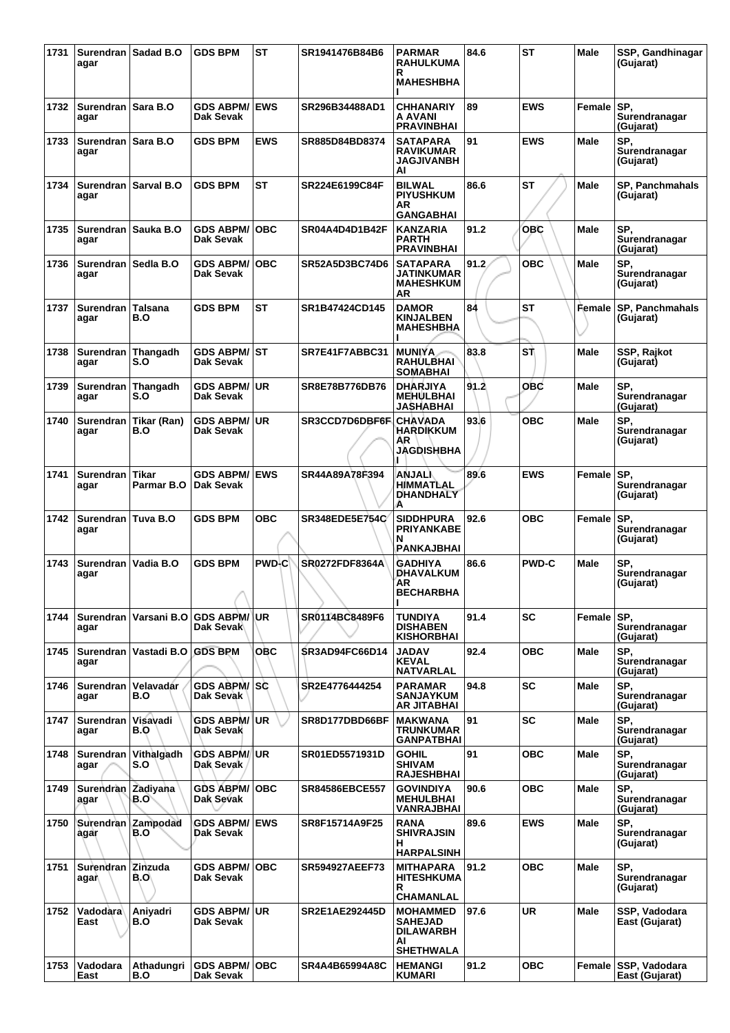| 1731 | agar                          | Surendran   Sadad B.O          | <b>GDS BPM</b>                       | <b>ST</b>    | SR1941476B84B6        | <b>PARMAR</b><br><b>RAHULKUMA</b><br>R<br><b>MAHESHBHA</b>                      | 84.6 | <b>ST</b>    | Male        | SSP, Gandhinagar<br>(Gujarat)          |
|------|-------------------------------|--------------------------------|--------------------------------------|--------------|-----------------------|---------------------------------------------------------------------------------|------|--------------|-------------|----------------------------------------|
| 1732 | Surendran   Sara B.O<br>agar  |                                | <b>GDS ABPM/</b><br>Dak Sevak        | <b>EWS</b>   | SR296B34488AD1        | <b>CHHANARIY</b><br>A AVANI<br><b>PRAVINBHAI</b>                                | 89   | <b>EWS</b>   | Female      | SP.<br>Surendranagar<br>(Gujarat)      |
| 1733 | Surendran   Sara B.O<br>agar  |                                | <b>GDS BPM</b>                       | <b>EWS</b>   | SR885D84BD8374        | SATAPARA<br><b>RAVIKUMAR</b><br><b>JAGJIVANBH</b><br>AI                         | 91   | <b>EWS</b>   | <b>Male</b> | SP.<br>Surendranagar<br>(Gujarat)      |
| 1734 | agar                          | Surendran Sarval B.O           | <b>GDS BPM</b>                       | <b>ST</b>    | SR224E6199C84F        | <b>BILWAL</b><br><b>PIYUSHKUM</b><br>AR<br><b>GANGABHAI</b>                     | 86.6 | <b>ST</b>    | Male        | <b>SP. Panchmahals</b><br>(Gujarat)    |
| 1735 | agar                          | Surendran   Sauka B.O          | <b>GDS ABPM/</b><br><b>Dak Sevak</b> | <b>OBC</b>   | SR04A4D4D1B42F        | <b>KANZARIA</b><br><b>PARTH</b><br><b>PRAVINBHAI</b>                            | 91.2 | OBC          | Male        | SP.<br>Surendranagar<br>(Gujarat)      |
| 1736 | Surendran Sedla B.O<br>agar   |                                | <b>GDS ABPM/</b><br>Dak Sevak        | <b>OBC</b>   | SR52A5D3BC74D6        | <b>SATAPARA</b><br>JATINKUMAR<br><b>MAHESHKUM</b><br>AR                         | 91.2 | OBC          | Male        | SP.<br>Surendranagar<br>(Gujarat)      |
| 1737 | Surendran   Talsana<br>agar   | B.O                            | <b>GDS BPM</b>                       | <b>ST</b>    | SR1B47424CD145        | <b>DAMOR</b><br><b>KINJALBEN</b><br><b>MAHESHBHA</b>                            | 84   | <b>ST</b>    | Female      | <b>SP, Panchmahals</b><br>(Gujarat)    |
| 1738 | Surendran Thangadh<br>agar    | S.O                            | GDS ABPM/│ST<br>Dak Sevak            |              | SR7E41F7ABBC31        | <b>MUNIYA</b><br><b>RAHULBHAI</b><br><b>SOMABHAI</b>                            | 83.8 | ST           | <b>Male</b> | SSP, Rajkot<br>(Gujarat)               |
| 1739 | Surendran<br>agar             | Thangadh<br>S.O                | <b>GDS ABPM/</b><br>Dak Sevak        | <b>UR</b>    | SR8E78B776DB76        | <b>DHARJIYA</b><br><b>MEHULBHAI</b><br>JASHABHAI                                | 91.2 | OBC          | Male        | SP.<br>Surendranagar<br>(Gujarat)      |
| 1740 | agar                          | Surendran   Tikar (Ran)<br>B.O | <b>GDS ABPM/</b><br><b>Dak Sevak</b> | <b>UR</b>    | SR3CCD7D6DBF6F        | <b>CHAVADA</b><br><b>HARDIKKUM</b><br>AR<br>JAGDISHBHA                          | 93.6 | <b>OBC</b>   | Male        | SP.<br>Surendranagar<br>(Gujarat)      |
| 1741 | Surendran I<br>agar           | Tikar<br>Parmar B.O            | <b>GDS ABPM/</b><br>Dak Sevak        | <b>EWS</b>   | SR44A89A78F394        | <b>ANJALI</b><br>HIMMATLAL<br>DHANDHALY<br>А                                    | 89.6 | <b>EWS</b>   | Female      | SP.<br>Surendranagar<br>(Gujarat)      |
| 1742 | <b>Surendran</b><br>agar      | Tuva B.O                       | <b>GDS BPM</b>                       | <b>OBC</b>   | <b>SR348EDE5E754C</b> | <b>SIDDHPURA</b><br><b>PRIYANKABE</b><br>N<br><b>PANKAJBHAI</b>                 | 92.6 | овс          | Female      | SP.<br>Surendranagar<br>(Gujarat)      |
| 1743 | Surendran<br>agar             | Vadia B.O                      | <b>GDS BPM</b>                       | <b>PWD-C</b> | <b>SR0272FDF8364A</b> | <b>GADHIYA</b><br>DHAVALKUM<br>AR<br><b>BECHARBHA</b><br>ı                      | 86.6 | <b>PWD-C</b> | Male        | SP.<br>Surendranagar<br>(Gujarat)      |
| 1744 | agar                          | Surendran   Varsani B.O        | <b>GDS ABPM/</b><br>Dak Sevak        | <b>UR</b>    | SR0114BC8489F6        | <b>TUNDIYA</b><br><b>DISHABEN</b><br><b>KISHORBHAI</b>                          | 91.4 | <b>SC</b>    | Female      | SP.<br>Surendranagar<br>(Gujarat)      |
| 1745 | agar                          | Surendran   Vastadi B.O        | <b>GDS BPM</b>                       | OBC          | <b>SR3AD94FC66D14</b> | <b>JADAV</b><br><b>KEVAL</b><br>NATVARLAL                                       | 92.4 | овс          | Male        | SP,<br>Surendranagar<br>(Gujarat)      |
| 1746 | Surendran   Velavadar<br>agar | B.O                            | <b>GDS ABPM/</b><br>Dak Sevak        | lsc.         | SR2E4776444254        | <b>PARAMAR</b><br><b>SANJAYKUM</b><br>AR JITABHAI                               | 94.8 | <b>SC</b>    | Male        | SP.<br>Surendranagar<br>(Gujarat)      |
| 1747 | Surendran Visavadi<br>agar    | B.O                            | <b>GDS ABPM/</b><br>Dak Sevak        | <b>UR</b>    | SR8D177DBD66BF        | MAKWANA<br>TRUNKUMAR<br><b>GANPATBHAI</b>                                       | 91   | <b>SC</b>    | <b>Male</b> | SP.<br>Surendranagar<br>(Gujarat)      |
| 1748 | agar                          | Surendran Vithalgadh<br>S.O    | <b>GDS ABPM/</b><br>Dak Sevak        | UR.          | <b>SR01ED5571931D</b> | <b>GOHIL</b><br><b>SHIVAM</b><br><b>RAJESHBHAI</b>                              | 91   | овс          | Male        | SP.<br>Surendranagar<br>(Gujarat)      |
| 1749 | Surendran Zadiyana<br>agar    | B.O                            | <b>GDS ABPM/</b><br>Dak Sevak        | <b>OBC</b>   | <b>SR84586EBCE557</b> | <b>GOVINDIYA</b><br><b>MEHULBHAI</b><br>VANRAJBHAI                              | 90.6 | <b>OBC</b>   | Male        | SP.<br>Surendranagar<br>(Gujarat)      |
| 1750 | agar                          | Surendran Zampodad<br>B.O      | <b>GDS ABPM/</b><br>Dak Sevak        | <b>EWS</b>   | SR8F15714A9F25        | <b>RANA</b><br><b>SHIVRAJSIN</b><br>н<br><b>HARPALSINH</b>                      | 89.6 | <b>EWS</b>   | <b>Male</b> | SP.<br>Surendranagar<br>(Gujarat)      |
| 1751 | Surendran Zinzuda<br>agar∖    | B.O                            | <b>GDS ABPM/</b><br>Dak Sevak        | <b>OBC</b>   | <b>SR594927AEEF73</b> | <b>MITHAPARA</b><br><b>HITESHKUMA</b><br>R<br>CHAMANLAL                         | 91.2 | <b>OBC</b>   | <b>Male</b> | SP.<br>Surendranagar<br>(Gujarat)      |
| 1752 | Vadodara<br>East              | Anivadri<br>B.O                | <b>GDS ABPM/</b><br>Dak Sevak        | <b>UR</b>    | SR2E1AE292445D        | <b>MOHAMMED</b><br><b>SAHEJAD</b><br><b>DILAWARBH</b><br>AI<br><b>SHETHWALA</b> | 97.6 | <b>UR</b>    | <b>Male</b> | SSP, Vadodara<br>East (Gujarat)        |
| 1753 | Vadodara<br>East              | Athadungri<br>B.O              | <b>GDS ABPM/</b><br>Dak Sevak        | <b>OBC</b>   | SR4A4B65994A8C        | <b>HEMANGI</b><br><b>KUMARI</b>                                                 | 91.2 | <b>OBC</b>   |             | Female SSP, Vadodara<br>East (Gujarat) |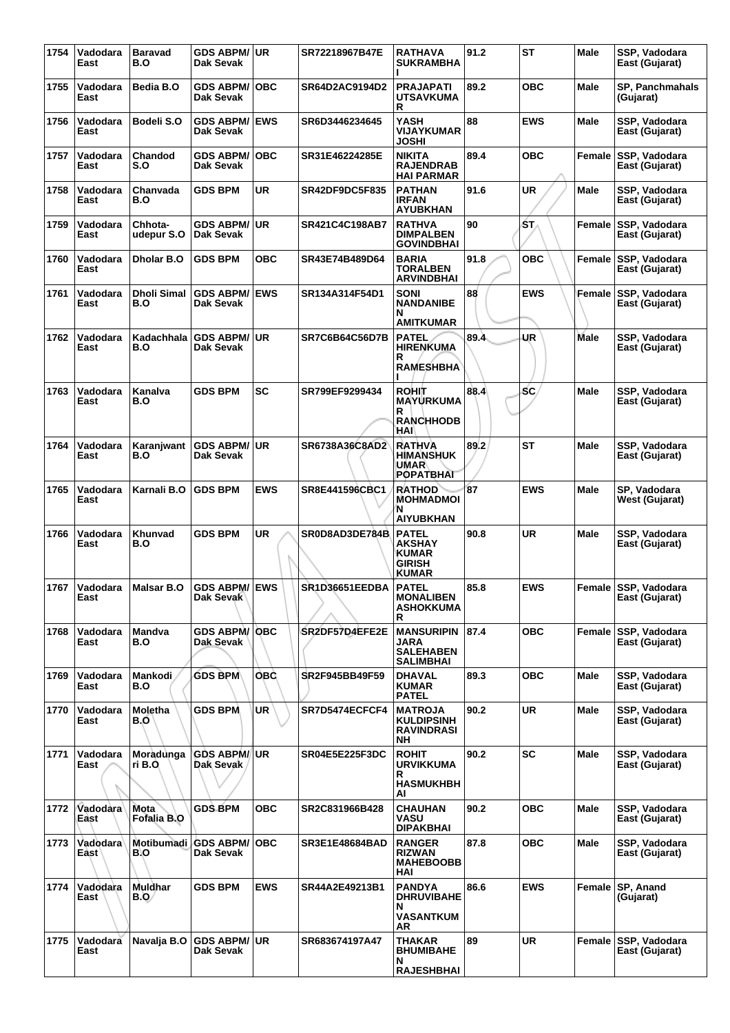| 1754 | Vadodara<br>East | <b>Baravad</b><br>B.O      | <b>GDS ABPM/</b><br>Dak Sevak            | <b>UR</b>  | SR72218967B47E        | <b>RATHAVA</b><br><b>SUKRAMBHA</b>                                             | 91.2 | <b>ST</b>  | <b>Male</b> | SSP. Vadodara<br>East (Gujarat)        |
|------|------------------|----------------------------|------------------------------------------|------------|-----------------------|--------------------------------------------------------------------------------|------|------------|-------------|----------------------------------------|
| 1755 | Vadodara<br>East | Bedia B.O                  | <b>GDS ABPM/</b><br>Dak Sevak            | <b>OBC</b> | SR64D2AC9194D2        | <b>PRAJAPATI</b><br><b>UTSAVKUMA</b><br>R                                      | 89.2 | ОВС        | Male        | <b>SP, Panchmahals</b><br>(Gujarat)    |
| 1756 | Vadodara<br>East | Bodeli S.O                 | <b>GDS ABPM/</b><br>Dak Sevak            | <b>EWS</b> | SR6D3446234645        | YASH<br><b>VIJAYKUMAR</b><br>JOSHI                                             | 88   | <b>EWS</b> | Male        | SSP, Vadodara<br>East (Gujarat)        |
| 1757 | Vadodara<br>East | Chandod<br>S.O             | <b>GDS ABPM/</b><br>Dak Sevak            | <b>OBC</b> | SR31E46224285E        | <b>NIKITA</b><br><b>RAJENDRAB</b><br><b>HAI PARMAR</b>                         | 89.4 | <b>OBC</b> | Female      | SSP, Vadodara<br>East (Gujarat)        |
| 1758 | Vadodara<br>East | Chanvada<br>B.O            | <b>GDS BPM</b>                           | <b>UR</b>  | <b>SR42DF9DC5F835</b> | <b>PATHAN</b><br><b>IRFAN</b><br><b>AYUBKHAN</b>                               | 91.6 | UR         | <b>Male</b> | SSP, Vadodara<br>East (Gujarat)        |
| 1759 | Vadodara<br>East | Chhota-<br>udepur S.O      | <b>GDS ABPM/</b><br>Dak Sevak            | <b>UR</b>  | SR421C4C198AB7        | <b>RATHVA</b><br><b>DIMPALBEN</b><br><b>GOVINDBHAI</b>                         | 90   | ST.        | Female      | SSP, Vadodara<br>East (Gujarat)        |
| 1760 | Vadodara<br>East | <b>Dholar B.O</b>          | <b>GDS BPM</b>                           | <b>OBC</b> | SR43E74B489D64        | <b>BARIA</b><br><b>TORALBEN</b><br>ARVINDBHAI                                  | 91.8 | <b>OBC</b> | Female      | SSP, Vadodara<br>East (Gujarat)        |
| 1761 | Vadodara<br>East | Dholi Simal<br>B.O         | <b>GDS ABPM/</b><br>Dak Sevak            | <b>EWS</b> | SR134A314F54D1        | SONI<br>NANDANIBE<br>N<br>AMITKUMAR                                            | 88   | EWS        | Female      | SSP, Vadodara<br>East (Gujarat)        |
| 1762 | Vadodara<br>East | Kadachhala<br>B.O          | <b>GDS ABPM/</b><br>Dak Sevak            | <b>UR</b>  | <b>SR7C6B64C56D7B</b> | <b>PATEL</b><br><b>HIRENKUMA</b><br>R<br><b>RAMESHBHA</b>                      | 89.4 | UR         | <b>Male</b> | SSP, Vadodara<br>East (Gujarat)        |
| 1763 | Vadodara<br>East | Kanalva<br>B.O             | <b>GDS BPM</b>                           | <b>SC</b>  | SR799EF9299434        | <b>ROHIT</b><br><b>MAYURKUMA</b><br>R<br><b>RANCHHODB</b><br>HAI               | 88.4 | SC         | Male        | SSP, Vadodara<br>East (Gujarat)        |
| 1764 | Vadodara<br>East | Karanjwant<br>B.O          | <b>GDS ABPM/</b><br>Dak Sevak            | <b>UR</b>  | SR6738A36C8AD2        | <b>RATHVA</b><br><b>HIMANSHUK</b><br>UMAR<br><b>POPATBHAT</b>                  | 89.2 | <b>ST</b>  | Male        | SSP, Vadodara<br>East (Gujarat)        |
| 1765 | Vadodara<br>East | Karnali B.O                | <b>GDS BPM</b>                           | <b>EWS</b> | SR8E441596CBC1        | <b>RATHOD</b><br><b>MOHMADMOI</b><br>N<br><b>AIYUBKHAN</b>                     | 87   | <b>EWS</b> | <b>Male</b> | SP, Vadodara<br>West (Gujarat)         |
| 1766 | Vadodara<br>East | Khunvad<br>B.O             | <b>GDS BPM</b>                           | UR         | SR0D8AD3DE784B        | <b>PATEL</b><br><b>AKSHAY</b><br><b>KUMAR</b><br><b>GIRISH</b><br><b>KUMAR</b> | 90.8 | <b>UR</b>  | Male        | SSP, Vadodara<br>East (Gujarat)        |
| 1767 | Vadodara<br>⊵ast | Malsar B.O                 | <b>GDS ABPM/ EWS</b><br><b>Dak Sevak</b> |            | SR1D36651EEDBA        | <b>PATEL</b><br><b>MONALIBEN</b><br><b>ASHOKKUMA</b><br>R                      | 85.8 | <b>EWS</b> |             | Female SSP, Vadodara<br>East (Gujarat) |
| 1768 | Vadodara<br>East | Mandva<br>B.O              | <b>GDS ABPM/</b><br>Dak Sevak            | <b>OBC</b> | SR2DF57D4EFE2E        | <b>MANSURIPIN</b><br>JARA<br><b>SALEHABEN</b><br>SALIMBHAI                     | 87.4 | <b>OBC</b> | Female      | SSP, Vadodara<br>East (Gujarat)        |
| 1769 | Vadodara<br>East | Mankodi<br>B.O             | <b>GDS BPM</b>                           | <b>OBC</b> | SR2F945BB49F59        | <b>DHAVAL</b><br><b>KUMAR</b><br><b>PATEL</b>                                  | 89.3 | ОВС        | Male        | SSP, Vadodara<br>East (Gujarat)        |
| 1770 | Vadodara<br>East | <b>Moletha</b><br>B.O      | <b>GDS BPM</b>                           | <b>UR</b>  | SR7D5474ECFCF4        | <b>MATROJA</b><br><b>KULDIPSINH</b><br><b>RAVINDRASI</b><br>NΗ                 | 90.2 | <b>UR</b>  | Male        | SSP, Vadodara<br>East (Gujarat)        |
| 1771 | Vadodara<br>East | Moradunga<br>ri B.O.       | <b>GDS ABPM/</b><br>Dak Sevak            | UR.        | <b>SR04E5E225F3DC</b> | <b>ROHIT</b><br><b>URVIKKUMA</b><br>R<br><b>HASMUKHBH</b><br>ΑI                | 90.2 | SC         | Male        | SSP, Vadodara<br>East (Gujarat)        |
| 1772 | Vadodara<br>East | <b>Mota</b><br>Fofalia B.O | <b>GDS BPM</b>                           | <b>OBC</b> | SR2C831966B428        | CHAUHAN<br>VASU<br><b>DIPAKBHAI</b>                                            | 90.2 | <b>OBC</b> | Male        | SSP, Vadodara<br>East (Gujarat)        |
| 1773 | Vadodara<br>East | Motibumadi<br>B.O          | <b>GDS ABPM/</b><br>Dak Sevak            | <b>OBC</b> | SR3E1E48684BAD        | <b>RANGER</b><br><b>RIZWAN</b><br><b>MAHEBOOBB</b><br>HAI                      | 87.8 | <b>OBC</b> | Male        | SSP, Vadodara<br>East (Gujarat)        |
| 1774 | Vadodara<br>East | Muldhar<br>B.Q/            | <b>GDS BPM</b>                           | <b>EWS</b> | SR44A2E49213B1        | <b>PANDYA</b><br><b>DHRUVIBAHE</b><br>N.<br><b>VASANTKUM</b>                   | 86.6 | <b>EWS</b> | Female      | SP, Anand<br>(Gujarat)                 |
| 1775 | Vadodara<br>East | Navalja B.O                | <b>GDS ABPM/</b><br>Dak Sevak            | UR.        | SR683674197A47        | AR<br>THAKAR<br><b>BHUMIBAHE</b><br>N<br><b>RAJESHBHAI</b>                     | 89   | <b>UR</b>  | Female      | <b>SSP, Vadodara</b><br>East (Gujarat) |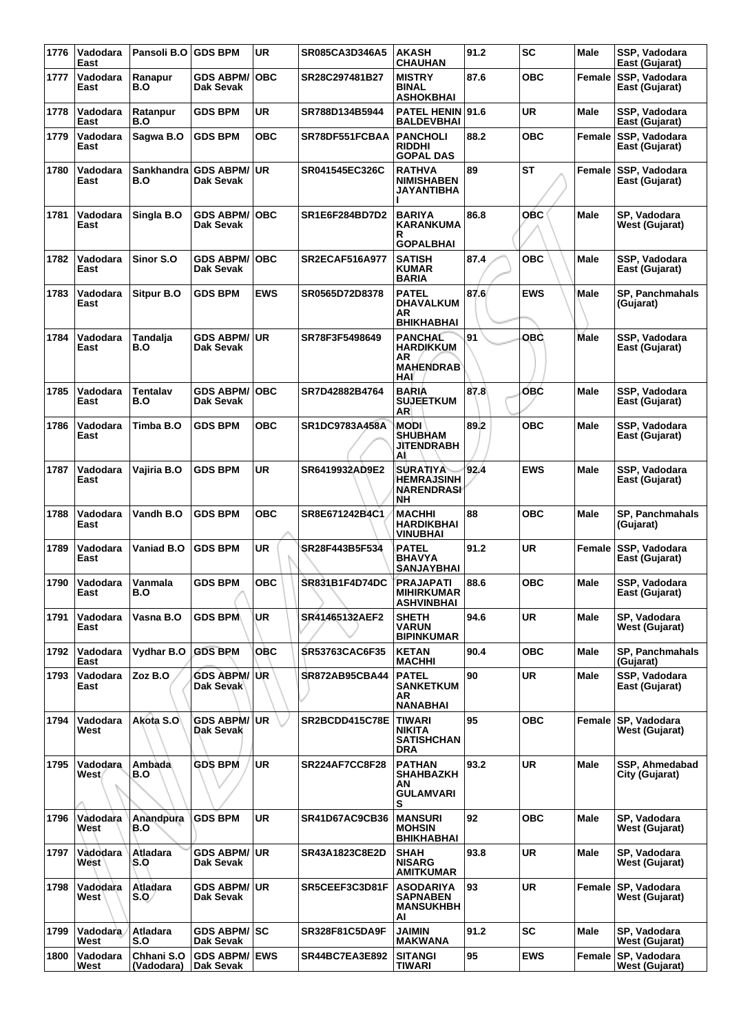| 1776 | Vadodara<br>East  | Pansoli B.O              | <b>GDS BPM</b>                       | <b>UR</b>  | SR085CA3D346A5        | <b>AKASH</b><br><b>CHAUHAN</b>                                      | 91.2 | <b>SC</b>  | Male        | SSP, Vadodara<br>East (Gujarat)       |
|------|-------------------|--------------------------|--------------------------------------|------------|-----------------------|---------------------------------------------------------------------|------|------------|-------------|---------------------------------------|
| 1777 | Vadodara<br>East  | Ranapur<br>B.O           | <b>GDS ABPM/</b><br>Dak Sevak        | <b>OBC</b> | SR28C297481B27        | <b>MISTRY</b><br><b>BINAL</b><br><b>ASHOKBHAI</b>                   | 87.6 | ОВС        | Female      | SSP, Vadodara<br>East (Gujarat)       |
| 1778 | Vadodara<br>East  | Ratanpur<br>B.O          | <b>GDS BPM</b>                       | <b>UR</b>  | SR788D134B5944        | <b>PATEL HENIN 91.6</b><br><b>BALDEVBHAI</b>                        |      | <b>UR</b>  | Male        | SSP, Vadodara<br>East (Gujarat)       |
| 1779 | Vadodara<br>East  | Sagwa B.O                | <b>GDS BPM</b>                       | <b>OBC</b> | SR78DF551FCBAA        | <b>PANCHOLI</b><br><b>RIDDHI</b><br><b>GOPAL DAS</b>                | 88.2 | ОВС        | Female      | SSP, Vadodara<br>East (Gujarat)       |
| 1780 | Vadodara<br>East  | B.O                      | Sankhandra GDS ABPM/<br>Dak Sevak    | <b>UR</b>  | SR041545EC326C        | RATHVA<br><b>NIMISHABEN</b><br>JAYANTIBHA                           | 89   | <b>ST</b>  | Female      | SSP, Vadodara<br>East (Gujarat)       |
| 1781 | Vadodara<br>East  | Singla B.O               | <b>GDS ABPM/</b><br><b>Dak Sevak</b> | <b>OBC</b> | SR1E6F284BD7D2        | <b>BARIYA</b><br><b>KARANKUMA</b><br>R<br><b>GOPALBHAI</b>          | 86.8 | <b>OBC</b> | Male        | SP, Vadodara<br>West (Gujarat)        |
| 1782 | Vadodara<br>East  | Sinor S.O                | <b>GDS ABPM/</b><br><b>Dak Sevak</b> | <b>OBC</b> | <b>SR2ECAF516A977</b> | <b>SATISH</b><br><b>KUMAR</b><br><b>BARIA</b>                       | 87.4 | <b>OBC</b> | Male        | SSP, Vadodara<br>East (Gujarat)       |
| 1783 | Vadodara<br>East  | <b>Sitpur B.O</b>        | <b>GDS BPM</b>                       | <b>EWS</b> | SR0565D72D8378        | <b>PATEL</b><br><b>DHAVALKUM</b><br>AR<br><b>BHIKHABHAI</b>         | 87.6 | <b>EWS</b> | Male        | <b>SP, Panchmahals</b><br>(Gujarat)   |
| 1784 | Vadodara<br>East  | Tandalja<br>B.O          | <b>GDS ABPM/</b><br>Dak Sevak        | <b>UR</b>  | SR78F3F5498649        | <b>PANCHAL</b><br><b>HARDIKKUM</b><br>AR<br><b>MAHENDRAB</b><br>HAI | 91   | овс        | <b>Male</b> | SSP, Vadodara<br>East (Gujarat)       |
| 1785 | Vadodara<br>East  | <b>Tentalav</b><br>B.O   | <b>GDS ABPM/</b><br><b>Dak Sevak</b> | <b>OBC</b> | SR7D42882B4764        | <b>BARIA</b><br><b>SUJEETKUM</b><br>AR                              | 87.8 | OBC        | Male        | SSP, Vadodara<br>East (Gujarat)       |
| 1786 | Vadodara<br>East  | Timba B.O                | <b>GDS BPM</b>                       | <b>OBC</b> | SR1DC9783A458A        | MODI<br><b>SHUBHAM</b><br><b>JITENDRABH</b><br>ΑI                   | 89.2 | OBC        | Male        | SSP, Vadodara<br>East (Gujarat)       |
| 1787 | Vadodara<br>East  | Vajiria B.O              | <b>GDS BPM</b>                       | <b>UR</b>  | SR6419932AD9E2        | <b>SURATIYA</b><br><b>HEMRAJSINH</b><br><b>NARENDRASI</b><br>NΗ     | 92.4 | <b>EWS</b> | Male        | SSP, Vadodara<br>East (Gujarat)       |
| 1788 | Vadodara<br>East  | Vandh B.O                | <b>GDS BPM</b>                       | <b>OBC</b> | SR8E671242B4C1        | <b>MACHHI</b><br>HARDIKBHAI<br><b>VINUBHAI</b>                      | 88   | <b>OBC</b> | <b>Male</b> | <b>SP, Panchmahals</b><br>(Gujarat)   |
| 1789 | Vadodara<br>East  | Vaniad B.O               | <b>GDS BPM</b>                       | UR         | SR28F443B5F534        | PATEL<br><b>BHAVYA</b><br><b><i>SANJAYBHAI</i></b>                  | 91.2 | UR         | Female      | SSP. Vadodara<br>East (Gujarat)       |
| 1790 | Vadodara<br>East  | Vanmala<br>B.O           | <b>GDS BPM</b>                       | <b>OBC</b> | SR831B1F4D74DC        | PRAJAPATI<br><b>MIHIRKUMAR</b><br><b>ASHVINBHAI</b>                 | 88.6 | <b>OBC</b> | Male        | SSP, Vadodara<br>East (Gujarat)       |
| 1791 | Vadodara<br>East  | Vasna B.O                | <b>GDS BPM</b>                       | <b>UR</b>  | SR41465132AEF2        | <b>SHETH</b><br><b>VARUN</b><br><b>BIPINKUMAR</b>                   | 94.6 | UR         | <b>Male</b> | SP, Vadodara<br>West (Gujarat)        |
| 1792 | Vadodara<br>East  | <b>Vydhar B.O</b>        | <b>GDS BPM</b>                       | OBC        | <b>SR53763CAC6F35</b> | <b>KETAN</b><br>MACHHI                                              | 90.4 | ОВС        | Male        | SP, Panchmahals<br>(Gujarat)          |
| 1793 | Vadodara<br>East  | Zoz B.O                  | <b>GDS ABPM/</b><br>Dak Sevak        | UR         | <b>SR872AB95CBA44</b> | <b>PATEL</b><br><b>SANKETKUM</b><br>AR<br><b>NANABHAI</b>           | 90   | <b>UR</b>  | <b>Male</b> | SSP, Vadodara<br>East (Gujarat)       |
| 1794 | Vadodara<br>West  | Akota S.O                | <b>GDS ABPM/</b><br>Dak Sevak        | <b>UR</b>  | SR2BCDD415C78E        | <b>TIWARI</b><br>NIKITA<br><b>SATISHCHAN</b><br><b>DRA</b>          | 95   | <b>OBC</b> | Female      | SP, Vadodara<br>West (Gujarat)        |
| 1795 | Vadodara<br>West∤ | Ambada<br>B.O            | <b>GDS BPM</b>                       | <b>UR</b>  | <b>SR224AF7CC8F28</b> | <b>PATHAN</b><br><b>SHAHBAZKH</b><br>ΑN<br><b>GULAMVARI</b><br>s    | 93.2 | UR         | <b>Male</b> | SSP, Ahmedabad<br>City (Gujarat)      |
| 1796 | Vadodara<br>West  | Anandpura<br>B.O         | <b>GDS BPM</b>                       | <b>UR</b>  | SR41D67AC9CB36        | <b>MANSURI</b><br><b>MOHSIN</b><br><b>BHIKHABHAI</b>                | 92   | <b>OBC</b> | Male        | SP, Vadodara<br><b>West (Gujarat)</b> |
| 1797 | Vadodara<br>West  | Atladara<br>S.O          | <b>GDS ABPM/</b><br>Dak Sevak        | <b>UR</b>  | SR43A1823C8E2D        | <b>SHAH</b><br>NISARG<br><b>AMITKUMAR</b>                           | 93.8 | <b>UR</b>  | <b>Male</b> | SP, Vadodara<br>West (Gujarat)        |
| 1798 | Vadodara<br>West  | Atladara<br>S.O          | <b>GDS ABPM/</b><br>Dak Sevak        | UR.        | SR5CEEF3C3D81F        | <b>ASODARIYA</b><br><b>SAPNABEN</b><br><b>MANSUKHBH</b><br>AI       | 93   | <b>UR</b>  | Female      | SP, Vadodara<br>West (Gujarat)        |
| 1799 | Vadodara<br>West  | Atladara<br>S.O          | GDS ABPM/ SC<br>Dak Sevak            |            | <b>SR328F81C5DA9F</b> | <b>JAIMIN</b><br><b>MAKWANA</b>                                     | 91.2 | <b>SC</b>  | Male        | SP, Vadodara<br>West (Gujarat)        |
| 1800 | Vadodara<br>West  | Chhani S.O<br>(Vadodara) | <b>GDS ABPM/</b><br>Dak Sevak        | <b>EWS</b> | <b>SR44BC7EA3E892</b> | <b>SITANGI</b><br>TIWARI                                            | 95   | <b>EWS</b> | Female      | SP, Vadodara<br>West (Gujarat)        |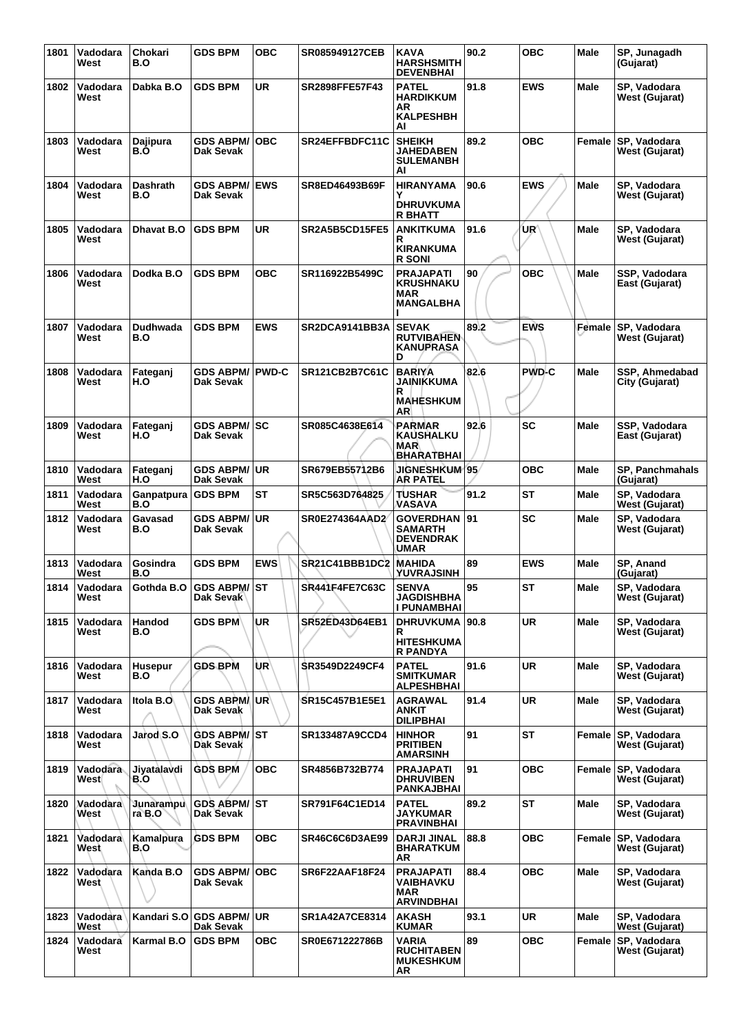| 1801 | Vadodara<br>West | Chokari<br>B.O      | <b>GDS BPM</b>                   | <b>OBC</b>      | <b>SR085949127CEB</b> | KAVA<br><b>HARSHSMITH</b><br><b>DEVENBHAI</b>                    | 90.2 | <b>OBC</b>   | Male   | SP, Junagadh<br>(Gujarat)                    |
|------|------------------|---------------------|----------------------------------|-----------------|-----------------------|------------------------------------------------------------------|------|--------------|--------|----------------------------------------------|
| 1802 | Vadodara<br>West | Dabka B.O           | <b>GDS BPM</b>                   | UR              | SR2898FFE57F43        | <b>PATEL</b><br><b>HARDIKKUM</b><br>AR<br><b>KALPESHBH</b><br>Al | 91.8 | <b>EWS</b>   | Male   | SP, Vadodara<br>West (Gujarat)               |
| 1803 | Vadodara<br>West | Dajipura<br>B.O     | <b>GDS ABPM/</b><br>Dak Sevak    | ∣OBC            | SR24EFFBDFC11C        | <b>SHEIKH</b><br>JAHEDABEN<br><b>SULEMANBH</b><br>Al             | 89.2 | <b>OBC</b>   |        | Female SP, Vadodara<br>West (Gujarat)        |
| 1804 | Vadodara<br>West | Dashrath<br>B.O     | <b>GDS ABPM/</b><br>Dak Sevak    | <b>IEWS</b>     | SR8ED46493B69F        | <b>HIRANYAMA</b><br><b>DHRUVKUMA</b><br><b>R BHATT</b>           | 90.6 | <b>EWS</b>   | Male   | SP, Vadodara<br>West (Gujarat)               |
| 1805 | Vadodara<br>West | Dhavat B.O          | <b>GDS BPM</b>                   | <b>UR</b>       | SR2A5B5CD15FE5        | ANKITKUMA<br>R<br>KIRANKUMA<br><b>R SONI</b>                     | 91.6 | UR′          | Male   | SP, Vadodara<br>West (Gujarat)               |
| 1806 | Vadodara<br>West | Dodka B.O           | <b>GDS BPM</b>                   | <b>OBC</b>      | SR116922B5499C        | PRAJAPATI<br>KRUSHNAKU<br>MAR<br><b>MANGALBHA</b>                | 90   | <b>OBC</b>   | Male   | SSP, Vadodara<br>East (Gujarat)              |
| 1807 | Vadodara<br>West | Dudhwada<br>B.O     | <b>GDS BPM</b>                   | <b>EWS</b>      | SR2DCA9141BB3A        | <b>SEVAK</b><br><b>RUTVIBAHEN</b><br>KANUPRASA<br>D              | 89.2 | <b>EWS</b>   | Female | SP, Vadodara<br>West (Gujarat)               |
| 1808 | Vadodara<br>West | Fateganj<br>H.O     | <b>GDS ABPM/</b><br>Dak Sevak    | <b>PWD-C</b>    | SR121CB2B7C61C        | BARIYA<br>JAINIKKUMA<br>R<br><b>MAHESHKUM</b><br>AR              | 82.6 | <b>PWD-C</b> | Male   | SSP. Ahmedabad<br>City (Gujarat)             |
| 1809 | Vadodara<br>West | Fateganj<br>H.O     | <b>GDS ABPM/ SC</b><br>Dak Sevak |                 | SR085C4638E614        | <b>PARMAR</b><br>KAUSHALKU<br>MAR<br>BHARATBHAI                  | 92.6 | <b>SC</b>    | Male   | SSP, Vadodara<br>East (Gujarat)              |
| 1810 | Vadodara<br>West | Fateganj<br>H.O     | GDS ABPM/⊺UR<br>Dak Sevak        |                 | SR679EB55712B6        | <b>JIGNESHKUM 95</b><br>AR PATEL                                 |      | <b>OBC</b>   | Male   | SP, Panchmahals<br>(Gujarat)                 |
| 1811 | Vadodara<br>West | Ganpatpura<br>B.O   | <b>GDS BPM</b>                   | <b>ST</b>       | SR5C563D764825        | TUSHAR<br>VASAVA                                                 | 91.2 | <b>ST</b>    | Male   | SP, Vadodara<br>West (Gujarat)               |
| 1812 | Vadodara<br>West | Gavasad<br>B.O      | GDS ABPM/<br>Dak Sevak           | ∣UR             | SR0E274364AAD2        | <b>GOVERDHAN</b><br>SAMARTH<br><b>DEVENDRAK</b><br>UMAR          | 91   | SC           | Male   | SP, Vadodara<br>West (Gujarat)               |
| 1813 | Vadodara<br>West | Gosindra<br>B.O     | <b>GDS BPM</b>                   | <b>EWS</b>      | SR21C41BBB1DC2        | MAHIDA<br>YUVRAJSINH                                             | 89   | <b>EWS</b>   | Male   | SP, Anand<br>(Gujarat)                       |
| 1814 | Vadodara<br>West | Gothda B.O          | <b>GDS ABPM/ST</b><br>Dak Sevak  |                 | <b>SR441F4FE7C63C</b> | SENVA<br>JAGDISHBHA<br>I PUNAMBHAI                               | 95   | ST           | Male   | SP, Vadodara<br>vvest (Gujarat)              |
| 1815 | Vadodara<br>West | Handod<br>B.O       | GDS BPM'                         | <b>UR</b>       | SR52ED43D64EB1        | DHRUVKUMA   90.8<br>R<br><b>HITESHKUMA</b><br>R PANDYA           |      | UR           | Male   | SP. Vadodara<br>West (Gujarat)               |
| 1816 | Vadodara<br>West | Husepur<br>B.O      | GDS BPM                          | UR <sup>1</sup> | SR3549D2249CF4        | PATEL<br>SMITKUMAR<br>ALPESHBHAI                                 | 91.6 | UR           | Male   | SP, Vadodara<br>West (Gujarat)               |
| 1817 | Vadodara<br>West | Itola B.O           | <b>GDS ABPM/UR</b><br>Dak Sevak  |                 | <b>SR15C457B1E5E1</b> | AGRAWAL<br>ANKIT<br><b>DILIPBHAI</b>                             | 91.4 | <b>UR</b>    | Male   | SP. Vadodara<br>West (Gujarat)               |
| 1818 | Vadodara<br>West | Jarod S.O           | GDS ABPM/ ST<br>Dak Sevak        |                 | SR133487A9CCD4        | <b>HINHOR</b><br>PRITIBEN<br>AMARSINH                            | 91   | <b>ST</b>    | Female | <b>SP, Vadodara</b><br>West (Gujarat)        |
| 1819 | Vadodara<br>West | Jiyatalavdi<br>B.O  | GDS BPM                          | ОВС             | SR4856B732B774        | PRAJAPATI<br><b>DHRUVIBEN</b><br>PANKAJBHAI                      | 91   | ОВС          | Female | <b>SP, Vadodara</b><br><b>West (Gujarat)</b> |
| 1820 | Vadodara<br>West | Junarampu<br>ra B.O | <b>GDS ABPM/ST</b><br>Dak Sevak  |                 | SR791F64C1ED14        | <b>PATEL</b><br><b>JAYKUMAR</b><br><b>PRAVINBHAI</b>             | 89.2 | <b>ST</b>    | Male   | SP, Vadodara<br><b>West (Gujarat)</b>        |
| 1821 | Vadodara<br>West | Kamalpura<br>B.O    | <b>GDS BPM</b>                   | <b>OBC</b>      | SR46C6C6D3AE99        | <b>DARJI JINAL</b><br><b>BHARATKUM</b><br>AR                     | 88.8 | ОВС          | Female | SP, Vadodara<br>West (Gujarat)               |
| 1822 | Vadodara<br>West | Kanda B.O           | <b>GDS ABPM/OBC</b><br>Dak Sevak |                 | SR6F22AAF18F24        | PRAJAPATI<br>VAIBHAVKU<br>MAR<br>ARVINDBHAI                      | 88.4 | <b>OBC</b>   | Male   | SP, Vadodara<br>West (Gujarat)               |
| 1823 | Vadodara<br>West | Kandari S.O         | <b>GDS ABPM/ UR</b><br>Dak Sevak |                 | SR1A42A7CE8314        | AKASH<br><b>KUMAR</b>                                            | 93.1 | UR           | Male   | SP, Vadodara<br>West (Gujarat)               |
| 1824 | Vadodara<br>West | Karmal B.O          | <b>GDS BPM</b>                   | <b>OBC</b>      | SR0E671222786B        | VARIA<br><b>RUCHITABEN</b><br><b>MUKESHKUM</b><br>AR             | 89   | <b>OBC</b>   | Female | SP, Vadodara<br>West (Gujarat)               |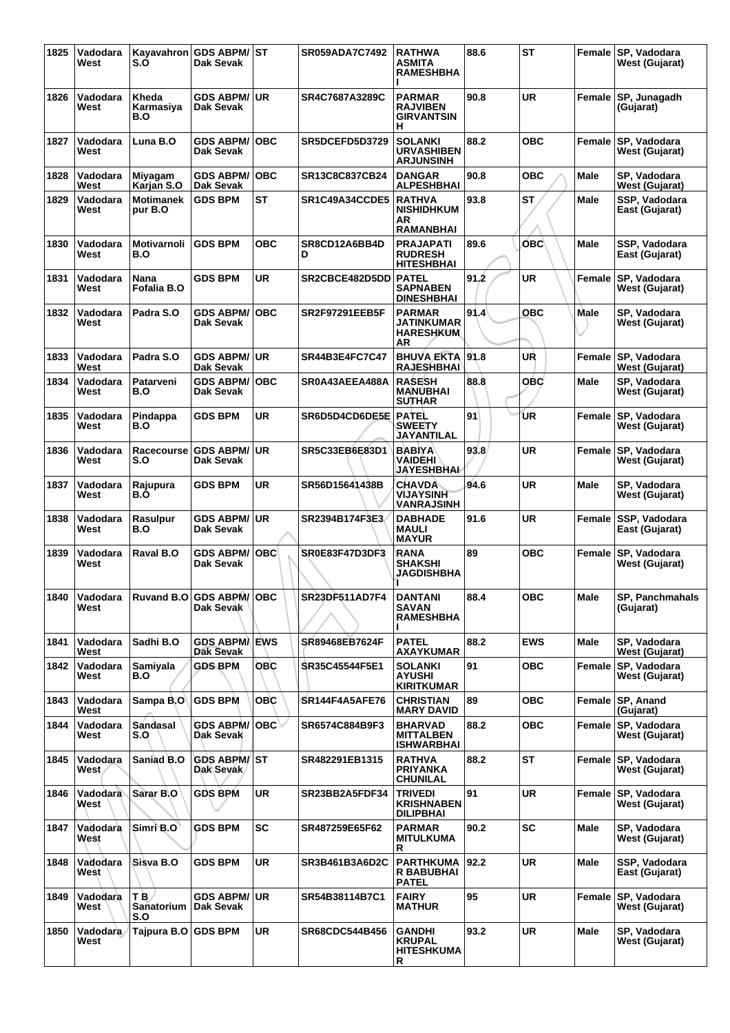| 1825 | Vadodara<br>West      | S.O                              | Kayavahron GDS ABPM/ST<br><b>Dak Sevak</b> |            | <b>SR059ADA7C7492</b> | <b>RATHWA</b><br>ASMITA<br><b>RAMESHBHA</b>                | 88.6 | <b>ST</b>  |             | Female SP, Vadodara<br><b>West (Gujarat)</b> |
|------|-----------------------|----------------------------------|--------------------------------------------|------------|-----------------------|------------------------------------------------------------|------|------------|-------------|----------------------------------------------|
| 1826 | Vadodara<br>West      | Kheda<br>Karmasiya<br>B.O        | <b>GDS ABPM/</b><br><b>Dak Sevak</b>       | <b>UR</b>  | SR4C7687A3289C        | <b>PARMAR</b><br><b>RAJVIBEN</b><br><b>GIRVANTSIN</b><br>н | 90.8 | <b>UR</b>  |             | Female SP, Junagadh<br>(Gujarat)             |
| 1827 | Vadodara<br>West      | Luna B.O                         | <b>GDS ABPM/</b><br><b>Dak Sevak</b>       | <b>OBC</b> | SR5DCEFD5D3729        | <b>SOLANKI</b><br><b>URVASHIBEN</b><br><b>ARJUNSINH</b>    | 88.2 | <b>OBC</b> |             | Female SP, Vadodara<br><b>West (Gujarat)</b> |
| 1828 | Vadodara<br>West      | Miyagam<br>Karjan S.O            | <b>GDS ABPM/</b><br><b>Dak Sevak</b>       | <b>OBC</b> | SR13C8C837CB24        | <b>DANGAR</b><br><b>ALPESHBHAI</b>                         | 90.8 | <b>OBC</b> | <b>Male</b> | SP, Vadodara<br>West (Gujarat)               |
| 1829 | Vadodara<br>West      | <b>Motimanek</b><br>pur B.O      | <b>GDS BPM</b>                             | <b>ST</b>  | SR1C49A34CCDE5        | <b>RATHVA</b><br><b>NISHIDHKUM</b><br>AR                   | 93.8 | <b>ST</b>  | Male        | SSP, Vadodara<br>East (Gujarat)              |
| 1830 | Vadodara              | Motivarnoli                      | <b>GDS BPM</b>                             | <b>OBC</b> | SR8CD12A6BB4D         | RAMANBHAI<br><b>PRAJAPATI</b>                              | 89.6 | овс        | Male        | SSP, Vadodara                                |
|      | West                  | B.O                              |                                            |            | D                     | <b>RUDRESH</b><br><b>HITESHBHAI</b>                        |      |            |             | East (Gujarat)                               |
| 1831 | Vadodara<br>West      | Nana<br>Fofalia B.O              | <b>GDS BPM</b>                             | <b>UR</b>  | SR2CBCE482D5DD        | <b>PATEL</b><br><b>SAPNABEN</b><br><b>DINESHBHAI</b>       | 91.2 | <b>UR</b>  | Female      | SP, Vadodara<br>West (Gujarat)               |
| 1832 | Vadodara<br>West      | Padra S.O                        | <b>GDS ABPM/</b><br>Dak Sevak              | <b>OBC</b> | <b>SR2F97291EEB5F</b> | <b>PARMAR</b><br>JATINKUMAR<br><b>HARESHKUM</b><br>AR      | 91.4 | <b>OBC</b> | Male        | SP, Vadodara<br><b>West (Gujarat)</b>        |
| 1833 | Vadodara<br>West      | Padra S.O                        | <b>GDS ABPM/ UR</b><br>Dak Sevak           |            | SR44B3E4FC7C47        | <b>BHUVA EKTA</b><br><b>RAJESHBHAI</b>                     | 91.8 | UR         | Female      | SP, Vadodara<br><b>West (Gujarat)</b>        |
| 1834 | Vadodara<br>West      | Patarveni<br>B.O                 | <b>GDS ABPM/</b><br>Dak Sevak              | <b>OBC</b> | SR0A43AEEA488A        | <b>RASESH</b><br><b>MANUBHAI</b><br><b>SUTHAR</b>          | 88.8 | <b>OBC</b> | Male        | SP, Vadodara<br>West (Gujarat)               |
| 1835 | Vadodara<br>West      | Pindappa<br>B.O                  | <b>GDS BPM</b>                             | <b>UR</b>  | SR6D5D4CD6DE5E        | <b>PATEL</b><br><b>SWEETY</b><br>JAYANTILAL                | 91   | UR         | Female      | SP, Vadodara<br><b>West (Gujarat)</b>        |
| 1836 | Vadodara<br>West      | Racecourse<br>S.O                | <b>GDS ABPM/</b><br><b>Dak Sevak</b>       | <b>UR</b>  | SR5C33EB6E83D1        | <b>BABIYA</b><br>VAIDĒHI`<br><b>JAYESHBHAI</b>             | 93.8 | <b>UR</b>  | Female      | SP, Vadodara<br><b>West (Gujarat)</b>        |
| 1837 | Vadodara<br>West      | Rajupura<br>B.O                  | GDS BPM                                    | <b>UR</b>  | SR56D15641438B        | <b>CHAVDA</b><br><b>VIJAYSINH</b><br>VANRAJSINH            | 94.6 | UR         | Male        | SP, Vadodara<br>West (Gujarat)               |
| 1838 | Vadodara<br>West      | Rasulpur<br>B.O                  | <b>GDS ABPM/ UR</b><br>Dak Sevak           |            | SR2394B174F3E3        | <b>DABHADE</b><br><b>MAULI</b><br><b>MAYUR</b>             | 91.6 | UR         | Female      | SSP, Vadodara<br>East (Gujarat)              |
| 1839 | Vadodara<br>West      | Raval B.O                        | <b>GDS ABPM/</b><br><b>Dak Sevak</b>       | <b>OBC</b> | SR0E83F47D3DF3        | RANA<br><b>SHAKSHI</b><br>JAGDISHBHA                       | 89   | <b>OBC</b> |             | Female SP, Vadodara<br>West (Gujarat)        |
|      | 1840 Vadodara<br>West | <b>Ruvand B.O</b>                | <b>GDS ABPM/OBC</b><br>Dak Sevak           |            | SR23DF511AD7F4        | DANTANI<br><b>SAVAN</b><br><b>RAMESHBHA</b>                | 88.4 | <b>OBC</b> | Male        | SP, Panchmahals<br>(Gujarat)                 |
| 1841 | Vadodara<br>West      | Sadhi B.O                        | <b>GDS ABPMA EWS</b><br>Dak Sevak          |            | SR89468EB7624F        | <b>PATEL</b><br><b>AXAYKUMAR</b>                           | 88.2 | <b>EWS</b> | Male        | SP. Vadodara<br><b>West (Gujarat)</b>        |
| 1842 | Vadodara<br>West      | Samiyala<br>B.O                  | <b>GDS BPM</b>                             | <b>OBC</b> | SR35C45544F5E1        | <b>SOLANKI</b><br><b>AYUSHI</b><br><b>KIRITKUMAR</b>       | 91   | <b>OBC</b> | Female      | SP, Vadodara<br>West (Gujarat)               |
| 1843 | Vadodara<br>West      | Sampa B.O                        | <b>GDS BPM</b>                             | <b>OBC</b> | SR144F4A5AFE76        | <b>CHRISTIAN</b><br><b>MARY DAVID</b>                      | 89   | <b>OBC</b> |             | Female SP, Anand<br>(Gujarat)                |
| 1844 | Vadodara<br>West      | Sandasal<br>S.O                  | GDS ABPM/<br>Dak Sevak                     | OBC∀       | SR6574C884B9F3        | <b>BHARVAD</b><br><b>MITTALBEN</b><br><b>ISHWARBHAI</b>    | 88.2 | <b>OBC</b> |             | Female SP, Vadodara<br>West (Gujarat)        |
| 1845 | Vadodara<br>West      | Saniad B.O                       | <b>GDS ABPM/ST</b><br>Dak Sevak            |            | SR482291EB1315        | <b>RATHVA</b><br><b>PRIYANKA</b><br><b>CHUNILAL</b>        | 88.2 | <b>ST</b>  |             | Female SP, Vadodara<br>West (Gujarat)        |
| 1846 | Vadodara<br>West      | Sarar B.O                        | <b>GDS BPM</b>                             | <b>UR</b>  | SR23BB2A5FDF34        | <b>TRIVEDI</b><br><b>KRISHNABEN</b><br><b>DILIPBHAI</b>    | 91   | <b>UR</b>  | Female      | SP, Vadodara<br>West (Gujarat)               |
| 1847 | Vadodara<br>West      | Simri B.O                        | <b>GDS BPM</b>                             | <b>SC</b>  | SR487259E65F62        | <b>PARMAR</b><br><b>MITULKUMA</b><br>R.                    | 90.2 | SC         | Male        | SP, Vadodara<br>West (Gujarat)               |
| 1848 | Vadodara<br>West      | Sisva B.O                        | <b>GDS BPM</b>                             | <b>UR</b>  | SR3B461B3A6D2C        | <b>PARTHKUMA</b><br><b>R BABUBHAI</b><br><b>PATEL</b>      | 92.2 | <b>UR</b>  | Male        | SSP, Vadodara<br>East (Gujarat)              |
| 1849 | Vadodara<br>West      | T B.<br><b>Sanatorium</b><br>S.O | <b>GDS ABPM/</b><br>Dak Sevak              | ∣UR        | SR54B38114B7C1        | <b>FAIRY</b><br><b>MATHUR</b>                              | 95   | <b>UR</b>  | Female      | SP, Vadodara<br>West (Gujarat)               |
| 1850 | Vadodara<br>West      | Tajpura B.O GDS BPM              |                                            | UR         | <b>SR68CDC544B456</b> | GANDHI<br><b>KRUPAL</b><br><b>HITESHKUMA</b><br>R          | 93.2 | <b>UR</b>  | Male        | SP, Vadodara<br>West (Gujarat)               |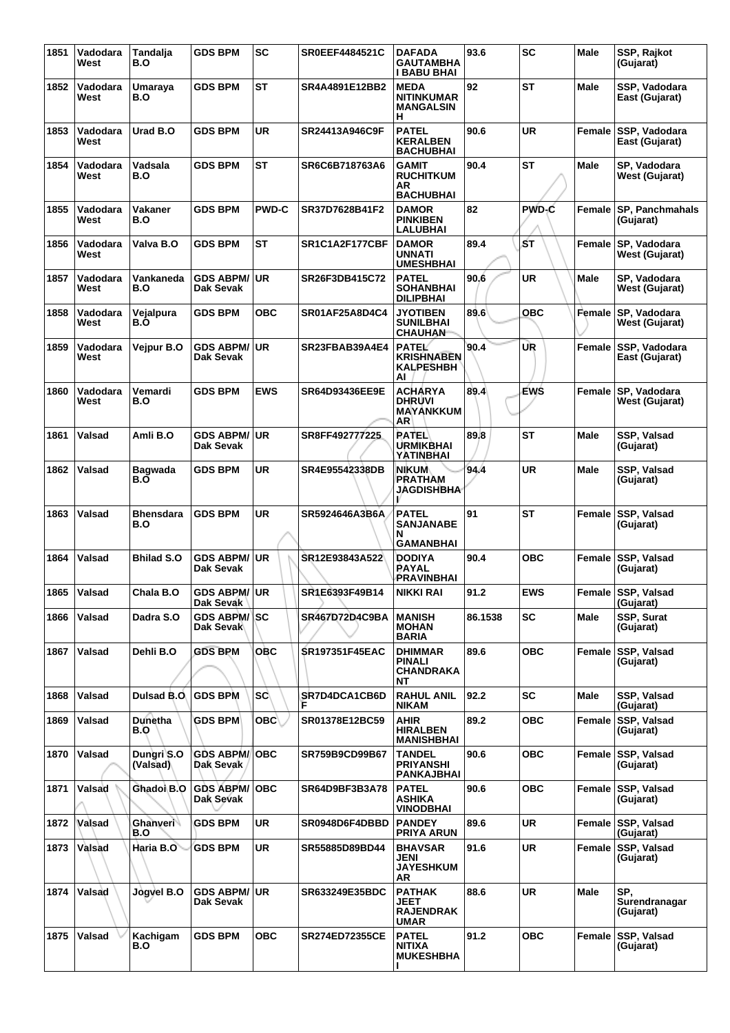| 1851 | Vadodara<br>West | Tandalja<br>B.O         | <b>GDS BPM</b>                   | <b>SC</b>    | <b>SR0EEF4484521C</b> | <b>DAFADA</b><br>GAUTAMBHA<br>I BABU BHAI                   | 93.6    | <b>SC</b>  | Male        | SSP, Rajkot<br>(Gujarat)          |
|------|------------------|-------------------------|----------------------------------|--------------|-----------------------|-------------------------------------------------------------|---------|------------|-------------|-----------------------------------|
| 1852 | Vadodara<br>West | Umaraya<br>B.O          | <b>GDS BPM</b>                   | <b>ST</b>    | SR4A4891E12BB2        | <b>MEDA</b><br><b>NITINKUMAR</b><br><b>MANGALSIN</b><br>н   | 92      | <b>ST</b>  | Male        | SSP, Vadodara<br>East (Gujarat)   |
| 1853 | Vadodara<br>West | Urad B.O                | <b>GDS BPM</b>                   | UR           | SR24413A946C9F        | <b>PATEL</b><br><b>KERALBEN</b><br>BACHUBHAI                | 90.6    | UR         | Female      | SSP, Vadodara<br>East (Gujarat)   |
| 1854 | Vadodara<br>West | Vadsala<br>B.O          | GDS BPM                          | <b>ST</b>    | SR6C6B718763A6        | GAMIT<br><b>RUCHITKUM</b><br>AR<br><b>BACHUBHAI</b>         | 90.4    | <b>ST</b>  | Male        | SP, Vadodara<br>West (Gujarat)    |
| 1855 | Vadodara<br>West | Vakaner<br>B.O          | <b>GDS BPM</b>                   | <b>PWD-C</b> | SR37D7628B41F2        | <b>DAMOR</b><br><b>PINKIBEN</b><br>LALUBHAI                 | 82      | PWD-C      | Female      | SP, Panchmahals<br>(Gujarat)      |
| 1856 | Vadodara<br>West | Valva B.O               | <b>GDS BPM</b>                   | <b>ST</b>    | SR1C1A2F177CBF        | <b>DAMOR</b><br>UNNATI<br><b>UMESHBHAI</b>                  | 89.4    | бT         | Female      | SP, Vadodara<br>West (Gujarat)    |
| 1857 | Vadodara<br>West | Vankaneda<br>B.O        | <b>GDS ABPM/</b><br>Dak Sevak    | <b>UR</b>    | SR26F3DB415C72        | <b>PATEL</b><br><b>SOHANBHAI</b><br><b>DILIPBHAI</b>        | 90.6    | <b>UR</b>  | Male        | SP, Vadodara<br>West (Gujarat)    |
| 1858 | Vadodara<br>West | Vejalpura<br>B.O        | GDS BPM                          | <b>OBC</b>   | SR01AF25A8D4C4        | <b>JYOTIBEN</b><br><b>SUNILBHAI</b><br><b>CHAUHAN</b>       | 89.6    | <b>OBC</b> | Female      | SP, Vadodara<br>West (Gujarat)    |
| 1859 | Vadodara<br>West | Vejpur B.O              | <b>GDS ABPM/</b><br>Dak Sevak    | <b>UR</b>    | SR23FBAB39A4E4        | <b>PATEL</b><br><b>KRISHNABEN</b><br><b>KALPESHBH</b><br>AI | 90.4    | UR         | Female      | SSP, Vadodara<br>East (Gujarat)   |
| 1860 | Vadodara<br>West | Vemardi<br>B.O          | <b>GDS BPM</b>                   | <b>EWS</b>   | SR64D93436EE9E        | <b>ACHARYA</b><br><b>DHRUVI</b><br><b>MAYANKKUM</b><br>AR   | 89.4    | EWS        | Female      | SP, Vadodara<br>West (Gujarat)    |
| 1861 | Valsad           | Amli B.O                | <b>GDS ABPM/</b><br>Dak Sevak    | UR           | SR8FF492777225        | <b>RATEL</b><br>URMIKBHAI<br>YATINBHAI                      | 89.8    | <b>ST</b>  | <b>Male</b> | SSP, Valsad<br>(Gujarat)          |
| 1862 | Valsad           | <b>Bagwada</b><br>B.O   | <b>GDS BPM</b>                   | UR           | SR4E95542338DB        | <b>NIKUM</b><br>PRATHAM<br>JAGDISHBHA                       | 94.4    | <b>UR</b>  | <b>Male</b> | SSP, Valsad<br>(Gujarat)          |
| 1863 | Valsad           | <b>Bhensdara</b><br>B.O | <b>GDS BPM</b>                   | <b>UR</b>    | SR5924646A3B6A        | <b>PATEL</b><br><b>SANJANABE</b><br>N<br><b>GAMANBHAI</b>   | 91      | ST         | Female      | SSP, Valsad<br>(Gujarat)          |
| 1864 | Valsad           | <b>Bhilad S.O</b>       | <b>GDS ABPM/</b><br>Dak Sevak    | UR           | SR12E93843A522        | <b>DODIYA</b><br><b>PAYAL</b><br>PRAVINBHAI                 | 90.4    | ОВС        | Female      | SSP, Valsad<br>(Gujarat)          |
| 1865 | Valsad           | Chala B.O               | <b>GDS ABPM/ UR</b><br>Dak Sevak |              | SR1E6393F49B14        | <b>NIKKI RAI</b>                                            | 91.2    | <b>EWS</b> |             | Female SSP, Valsad<br>(Gujarat)   |
| 1866 | Valsad           | Dadra S.O               | <b>GDS ABPM/ SC</b><br>Dak Sevak |              | SR467D72D4C9BA        | <b>MANISH</b><br><b>MOHAN</b><br><b>BARIA</b>               | 86.1538 | SC         | <b>Male</b> | <b>SSP. Surat</b><br>(Gujarat)    |
| 1867 | Valsad           | Dehli B.O               | <b>GDS BPM</b>                   | OBC          | <b>SR197351F45EAC</b> | <b>DHIMMAR</b><br><b>PINALI</b><br><b>CHANDRAKA</b><br>NΤ   | 89.6    | <b>OBC</b> | Female      | SSP, Valsad<br>(Gujarat)          |
| 1868 | Valsad           | Dulsad B.O.             | <b>GDS BPM</b>                   | <b>SC</b>    | SR7D4DCA1CB6D<br>F    | <b>RAHUL ANIL</b><br><b>NIKAM</b>                           | 92.2    | <b>SC</b>  | Male        | SSP, Valsad<br>(Gujarat)          |
| 1869 | Valsad           | <b>Dunetha</b><br>B.O   | <b>GDS BPM</b>                   | ОВС∖         | SR01378E12BC59        | <b>AHIR</b><br><b>HIRALBEN</b><br><b>MANISHBHAI</b>         | 89.2    | <b>OBC</b> | Female      | SSP, Valsad<br>(Gujarat)          |
| 1870 | Valsad           | Dungri S.O<br>(Valsad)  | <b>GDS ABPM/</b><br>Dak Sevak    | OBC          | SR759B9CD99B67        | <b>TANDEL</b><br><b>PRIYANSHI</b><br>PANKAJBHAI             | 90.6    | <b>OBC</b> | Female      | <b>SSP, Valsad</b><br>(Gujarat)   |
| 1871 | Valsad           | Ghadoi B.O              | <b>GDS ABPM/</b><br>Dak Sevak    | <b>OBC</b>   | SR64D9BF3B3A78        | <b>PATEL</b><br><b>ASHIKA</b><br><b>VINODBHAI</b>           | 90.6    | <b>OBC</b> | Female      | SSP, Valsad<br>(Gujarat)          |
| 1872 | Valsad           | Ghanveri<br>B.O         | <b>GDS BPM</b>                   | <b>UR</b>    | SR0948D6F4DBBD        | <b>PANDEY</b><br><b>PRIYA ARUN</b>                          | 89.6    | <b>UR</b>  | Female      | <b>SSP, Valsad</b><br>(Gujarat)   |
| 1873 | Valsad           | Haria B.O               | <b>GDS BPM</b>                   | <b>UR</b>    | SR55885D89BD44        | <b>BHAVSAR</b><br>JENI<br><b>JAYESHKUM</b><br>AR            | 91.6    | <b>UR</b>  | Female      | SSP, Valsad<br>(Gujarat)          |
| 1874 | Valsad           | Jogvel B.O              | <b>GDS ABPM/ UR</b><br>Dak Sevak |              | SR633249E35BDC        | <b>PATHAK</b><br>JEET<br><b>RAJENDRAK</b><br>UMAR           | 88.6    | <b>UR</b>  | Male        | SP.<br>Surendranagar<br>(Gujarat) |
| 1875 | Valsad           | Kachigam<br>B.O         | <b>GDS BPM</b>                   | <b>OBC</b>   | <b>SR274ED72355CE</b> | <b>PATEL</b><br><b>NITIXA</b><br><b>MUKESHBHA</b>           | 91.2    | <b>OBC</b> | Female      | SSP, Valsad<br>(Gujarat)          |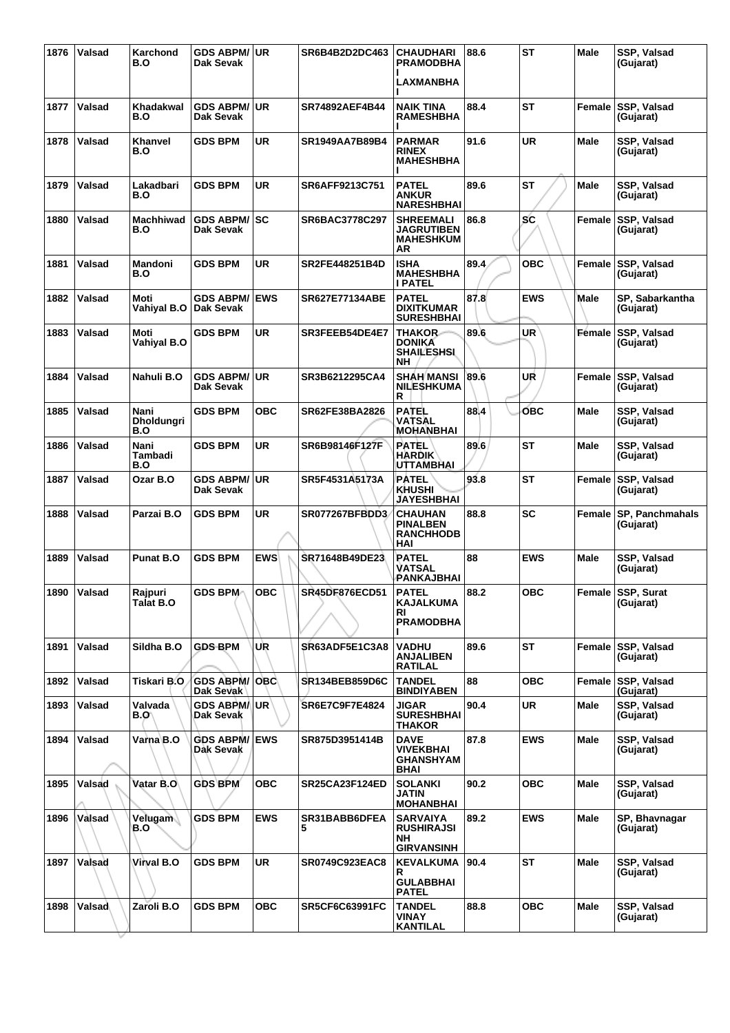| 1876 | Valsad | Karchond<br>B.O                  | <b>GDS ABPM/ UR</b><br>Dak Sevak  |            | SR6B4B2D2DC463        | <b>CHAUDHARI</b><br><b>PRAMODBHA</b><br>LAXMANBHA                      | 88.6 | <b>ST</b>  | Male        | SSP, Valsad<br>(Gujarat)        |
|------|--------|----------------------------------|-----------------------------------|------------|-----------------------|------------------------------------------------------------------------|------|------------|-------------|---------------------------------|
| 1877 | Valsad | Khadakwal<br>B.O                 | <b>GDS ABPM/ UR</b><br>Dak Sevak  |            | <b>SR74892AEF4B44</b> | <b>NAIK TINA</b><br><b>RAMESHBHA</b>                                   | 88.4 | ST         | Female      | <b>SSP, Valsad</b><br>(Gujarat) |
| 1878 | Valsad | Khanvel<br>B.O                   | <b>GDS BPM</b>                    | <b>UR</b>  | SR1949AA7B89B4        | <b>PARMAR</b><br><b>RINEX</b><br><b>MAHESHBHA</b>                      | 91.6 | <b>UR</b>  | Male        | SSP, Valsad<br>(Gujarat)        |
| 1879 | Valsad | Lakadbari<br>B.O                 | <b>GDS BPM</b>                    | <b>UR</b>  | SR6AFF9213C751        | <b>PATEL</b><br><b>ANKUR</b><br><b>NARESHBHAI</b>                      | 89.6 | <b>ST</b>  | Male        | <b>SSP, Valsad</b><br>(Gujarat) |
| 1880 | Valsad | Machhiwad<br>B.O                 | <b>GDS ABPM/ SC</b><br>Dak Sevak  |            | SR6BAC3778C297        | <b>SHREEMALI</b><br><b>JAGRUTIBEN</b><br><b>MAHESHKUM</b><br>ΑR        | 86.8 | <b>SC</b>  | Female      | SSP, Valsad<br>(Gujarat)        |
| 1881 | Valsad | Mandoni<br>B.O                   | <b>GDS BPM</b>                    | UR         | <b>SR2FE448251B4D</b> | <b>ISHA</b><br><b>MAHESHBHA</b><br><b>I PATEL</b>                      | 89.4 | <b>OBC</b> | Female      | SSP, Valsad<br>(Gujarat)        |
| 1882 | Valsad | Moti<br>Vahiyal B.O Dak Sevak    | <b>GDS ABPM/ EWS</b>              |            | <b>SR627E77134ABE</b> | <b>PATEL</b><br><b>DIXITKUMAR</b><br><b>SURESHBHAI</b>                 | 87.8 | EWS        | <b>Male</b> | SP, Sabarkantha<br>(Gujarat)    |
| 1883 | Valsad | Moti<br>Vahiyal B.O              | <b>GDS BPM</b>                    | <b>UR</b>  | SR3FEEB54DE4E7        | <b>THAKOR</b><br><b>DONIKA</b><br><b>SHAILESHSL</b><br>NH              | 89.6 | UR         | Eemale      | SSP, Valsad<br>(Gujarat)        |
| 1884 | Valsad | Nahuli B.O                       | <b>GDS ABPM/ UR</b><br>Dak Sevak  |            | SR3B6212295CA4        | <b>SHAH MANSI</b><br><b>NILESHKUMA</b><br>R                            | 89.6 | UR         |             | Female SSP, Valsad<br>(Gujarat) |
| 1885 | Valsad | Nani<br><b>Dholdungri</b><br>B.O | <b>GDS BPM</b>                    | <b>OBC</b> | SR62FE38BA2826        | <b>PATEL</b><br><b>VATSAL</b><br><b>MOHANBHAI</b>                      | 88.4 | <b>OBC</b> | Male        | SSP, Valsad<br>(Gujarat)        |
| 1886 | Valsad | Nani<br>Tambadi<br>B.O           | <b>GDS BPM</b>                    | <b>UR</b>  | SR6B98146F127F        | <b>PATEL</b><br><b>HARDIK</b><br>UTTAMBHAI                             | 89.6 | ST         | Male        | SSP, Valsad<br>(Gujarat)        |
| 1887 | Valsad | Ozar B.O                         | <b>GDS ABPM/ UR</b><br>Dak Sevak  |            | SR5F4531A5173A        | <b>PATEL</b><br><b>KHUSHI</b><br><b>JAYESHBHAI</b>                     | 93.8 | <b>ST</b>  |             | Female SSP, Valsad<br>(Gujarat) |
| 1888 | Valsad | Parzai B.O                       | <b>GDS BPM</b>                    | UR         | <b>SR077267BFBDD3</b> | <b>CHAUHAN</b><br><b>PINALBEN</b><br><b>RANCHHODB</b><br>HAI           | 88.8 | SC         | Female      | SP, Panchmahals<br>(Gujarat)    |
| 1889 | Valsad | Punat B.O                        | <b>GDS BPM</b>                    | <b>EWS</b> | SR71648B49DE23        | <b>PATEL</b><br>VATSAL<br>PANKAJBHAI                                   | 88   | <b>EWS</b> | <b>Male</b> | SSP, Valsad<br>(Gujarat)        |
| 1890 | Valsad | Rajpuri<br>Talat B.O             | <b>GDS BPM</b>                    | <b>OBC</b> | <b>SR45DF876ECD51</b> | <b>PATEL</b><br><b>KAJALKUMA</b><br>RI<br><b>PRAMODBHA</b>             | 88.2 | <b>OBC</b> |             | Female SSP, Surat<br>(Gujarat)  |
| 1891 | Valsad | Sildha B.O                       | <b>GDS BPM</b>                    | UR         | SR63ADF5E1C3A8        | <b>VADHU</b><br><b>ANJALIBEN</b><br><b>RATILAL</b>                     | 89.6 | <b>ST</b>  | Female      | <b>SSP, Valsad</b><br>(Gujarat) |
| 1892 | Valsad | Tiskari B.O                      | <b>GDS ABPM/OBC</b><br>Dak Sevak  |            | <b>SR134BEB859D6C</b> | <b>TANDEL</b><br><b>BINDIYABEN</b>                                     | 88   | ОВС        | Female      | SSP, Valsad<br>(Gujarat)        |
| 1893 | Valsad | Valvada<br>B.O\                  | GDS ABPM/UR<br>Dak Sevak          |            | SR6E7C9F7E4824        | <b>JIGAR</b><br><b>SURESHBHAI</b><br><b>THAKOR</b>                     | 90.4 | <b>UR</b>  | Male        | SSP, Valsad<br>(Gujarat)        |
| 1894 | Valsad | Varna B.O                        | <b>GDS ABPM/ EWS</b><br>Dak Sevak |            | SR875D3951414B        | DAVE<br><b>VIVEKBHAI</b><br><b>GHANSHYAM</b><br><b>BHAI</b>            | 87.8 | EWS        | Male        | SSP, Valsad<br>(Gujarat)        |
| 1895 | Valsad | Vatar B.O                        | <b>GDS BPM</b>                    | <b>OBC</b> | <b>SR25CA23F124ED</b> | <b>SOLANKI</b><br>JATIN<br><b>MOHANBHAI</b>                            | 90.2 | <b>OBC</b> | Male        | SSP, Valsad<br>(Gujarat)        |
| 1896 | Valsad | Velugam<br>B.O                   | <b>GDS BPM</b>                    | <b>EWS</b> | SR31BABB6DFEA         | <b>SARVAIYA</b><br><b>RUSHIRAJSI</b><br><b>NH</b><br><b>GIRVANSINH</b> | 89.2 | <b>EWS</b> | <b>Male</b> | SP, Bhavnagar<br>(Gujarat)      |
| 1897 | Valsad | Virval B.O                       | <b>GDS BPM</b>                    | <b>UR</b>  | <b>SR0749C923EAC8</b> | <b>KEVALKUMA</b><br>R<br><b>GULABBHAI</b><br><b>PATEL</b>              | 90.4 | <b>ST</b>  | <b>Male</b> | SSP, Valsad<br>(Gujarat)        |
| 1898 | Valsad | Zaroli B.O                       | <b>GDS BPM</b>                    | <b>OBC</b> | <b>SR5CF6C63991FC</b> | <b>TANDEL</b><br><b>VINAY</b><br><b>KANTILAL</b>                       | 88.8 | <b>OBC</b> | <b>Male</b> | SSP, Valsad<br>(Gujarat)        |